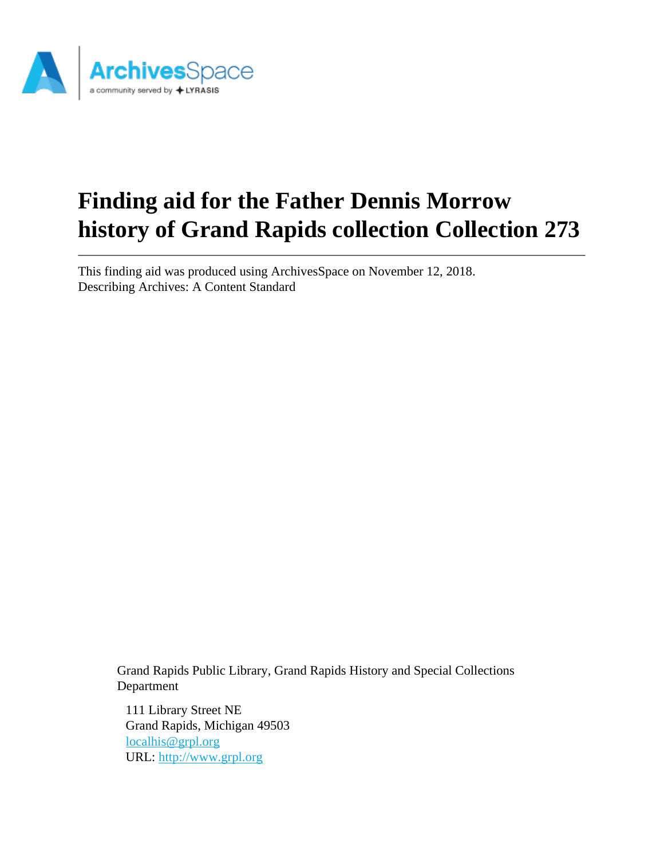

# **Finding aid for the Father Dennis Morrow history of Grand Rapids collection Collection 273**

This finding aid was produced using ArchivesSpace on November 12, 2018. Describing Archives: A Content Standard

Grand Rapids Public Library, Grand Rapids History and Special Collections Department

111 Library Street NE Grand Rapids, Michigan 49503 [localhis@grpl.org](mailto:localhis@grpl.org) URL:<http://www.grpl.org>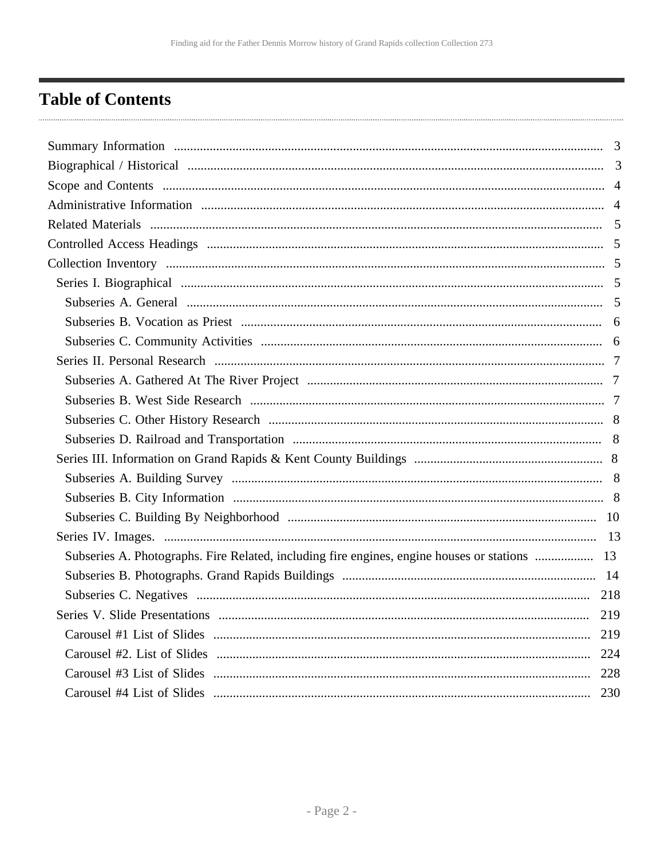## <span id="page-1-0"></span>**Table of Contents**

| Subseries A. Photographs. Fire Related, including fire engines, engine houses or stations  13 |     |
|-----------------------------------------------------------------------------------------------|-----|
|                                                                                               |     |
|                                                                                               |     |
| Series V. Slide Presentations                                                                 | 219 |
|                                                                                               | 219 |
|                                                                                               | 224 |
|                                                                                               | 228 |
|                                                                                               | 230 |
|                                                                                               |     |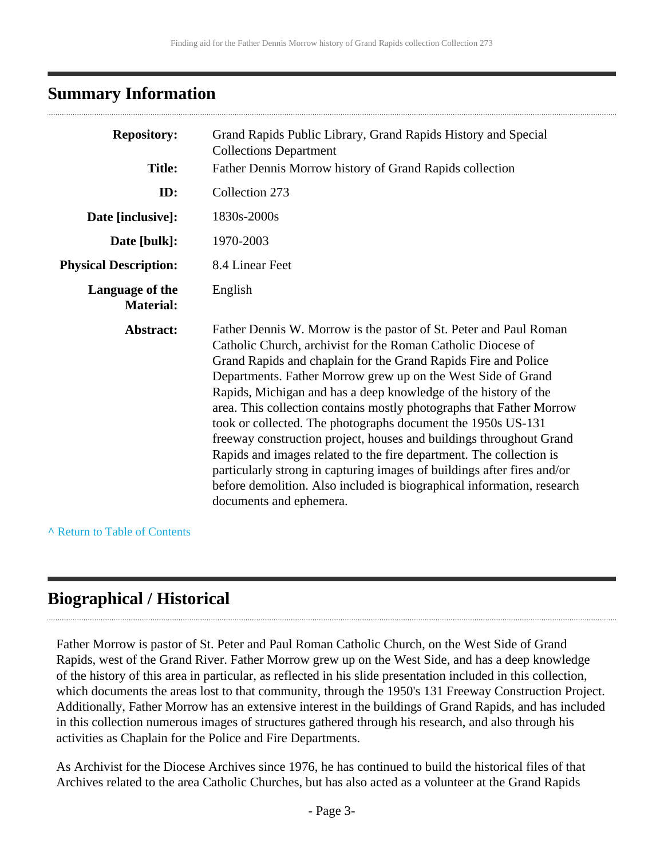## <span id="page-2-0"></span>**Summary Information**

| <b>Repository:</b>                  | Grand Rapids Public Library, Grand Rapids History and Special<br><b>Collections Department</b>                                                                                                                                                                                                                                                                                                                                                                                                                                                                                                                                                                                                                                                                                                               |
|-------------------------------------|--------------------------------------------------------------------------------------------------------------------------------------------------------------------------------------------------------------------------------------------------------------------------------------------------------------------------------------------------------------------------------------------------------------------------------------------------------------------------------------------------------------------------------------------------------------------------------------------------------------------------------------------------------------------------------------------------------------------------------------------------------------------------------------------------------------|
| <b>Title:</b>                       | Father Dennis Morrow history of Grand Rapids collection                                                                                                                                                                                                                                                                                                                                                                                                                                                                                                                                                                                                                                                                                                                                                      |
| ID:                                 | Collection 273                                                                                                                                                                                                                                                                                                                                                                                                                                                                                                                                                                                                                                                                                                                                                                                               |
| Date [inclusive]:                   | 1830s-2000s                                                                                                                                                                                                                                                                                                                                                                                                                                                                                                                                                                                                                                                                                                                                                                                                  |
| Date [bulk]:                        | 1970-2003                                                                                                                                                                                                                                                                                                                                                                                                                                                                                                                                                                                                                                                                                                                                                                                                    |
| <b>Physical Description:</b>        | 8.4 Linear Feet                                                                                                                                                                                                                                                                                                                                                                                                                                                                                                                                                                                                                                                                                                                                                                                              |
| Language of the<br><b>Material:</b> | English                                                                                                                                                                                                                                                                                                                                                                                                                                                                                                                                                                                                                                                                                                                                                                                                      |
| Abstract:                           | Father Dennis W. Morrow is the pastor of St. Peter and Paul Roman<br>Catholic Church, archivist for the Roman Catholic Diocese of<br>Grand Rapids and chaplain for the Grand Rapids Fire and Police<br>Departments. Father Morrow grew up on the West Side of Grand<br>Rapids, Michigan and has a deep knowledge of the history of the<br>area. This collection contains mostly photographs that Father Morrow<br>took or collected. The photographs document the 1950s US-131<br>freeway construction project, houses and buildings throughout Grand<br>Rapids and images related to the fire department. The collection is<br>particularly strong in capturing images of buildings after fires and/or<br>before demolition. Also included is biographical information, research<br>documents and ephemera. |

**^** [Return to Table of Contents](#page-1-0)

## <span id="page-2-1"></span>**Biographical / Historical**

Father Morrow is pastor of St. Peter and Paul Roman Catholic Church, on the West Side of Grand Rapids, west of the Grand River. Father Morrow grew up on the West Side, and has a deep knowledge of the history of this area in particular, as reflected in his slide presentation included in this collection, which documents the areas lost to that community, through the 1950's 131 Freeway Construction Project. Additionally, Father Morrow has an extensive interest in the buildings of Grand Rapids, and has included in this collection numerous images of structures gathered through his research, and also through his activities as Chaplain for the Police and Fire Departments.

As Archivist for the Diocese Archives since 1976, he has continued to build the historical files of that Archives related to the area Catholic Churches, but has also acted as a volunteer at the Grand Rapids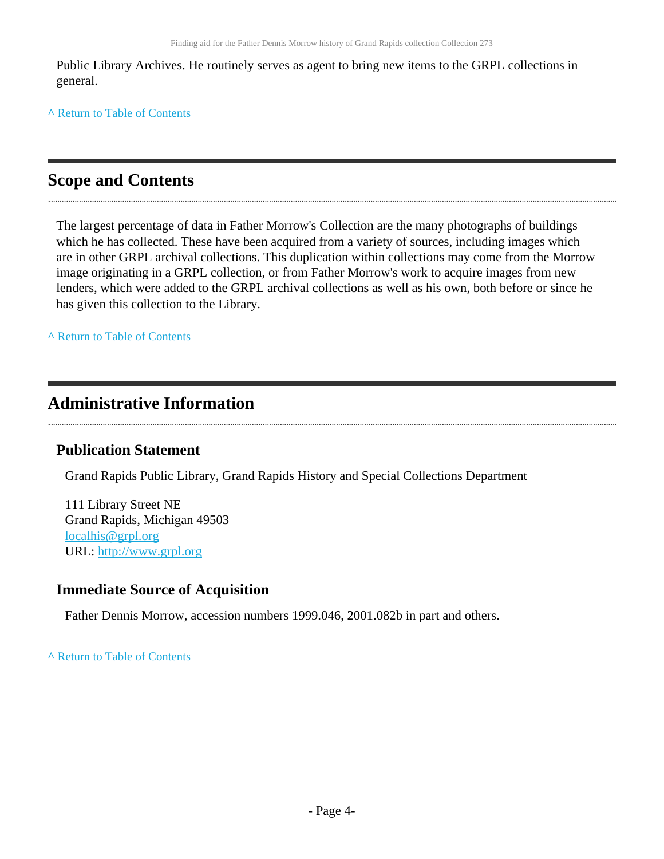Public Library Archives. He routinely serves as agent to bring new items to the GRPL collections in general.

**^** [Return to Table of Contents](#page-1-0)

## <span id="page-3-0"></span>**Scope and Contents**

The largest percentage of data in Father Morrow's Collection are the many photographs of buildings which he has collected. These have been acquired from a variety of sources, including images which are in other GRPL archival collections. This duplication within collections may come from the Morrow image originating in a GRPL collection, or from Father Morrow's work to acquire images from new lenders, which were added to the GRPL archival collections as well as his own, both before or since he has given this collection to the Library.

**^** [Return to Table of Contents](#page-1-0)

## <span id="page-3-1"></span>**Administrative Information**

### **Publication Statement**

Grand Rapids Public Library, Grand Rapids History and Special Collections Department

111 Library Street NE Grand Rapids, Michigan 49503 [localhis@grpl.org](mailto:localhis@grpl.org) URL:<http://www.grpl.org>

### **Immediate Source of Acquisition**

Father Dennis Morrow, accession numbers 1999.046, 2001.082b in part and others.

**^** [Return to Table of Contents](#page-1-0)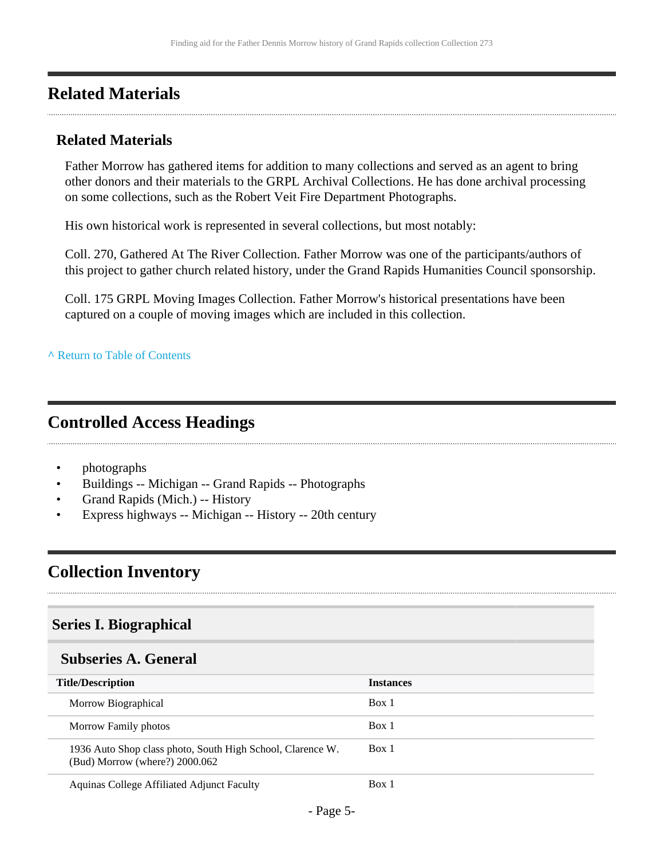## <span id="page-4-0"></span>**Related Materials**

### **Related Materials**

Father Morrow has gathered items for addition to many collections and served as an agent to bring other donors and their materials to the GRPL Archival Collections. He has done archival processing on some collections, such as the Robert Veit Fire Department Photographs.

His own historical work is represented in several collections, but most notably:

Coll. 270, Gathered At The River Collection. Father Morrow was one of the participants/authors of this project to gather church related history, under the Grand Rapids Humanities Council sponsorship.

Coll. 175 GRPL Moving Images Collection. Father Morrow's historical presentations have been captured on a couple of moving images which are included in this collection.

#### **^** [Return to Table of Contents](#page-1-0)

## <span id="page-4-1"></span>**Controlled Access Headings**

- photographs
- Buildings -- Michigan -- Grand Rapids -- Photographs
- Grand Rapids (Mich.) -- History
- Express highways -- Michigan -- History -- 20th century

## <span id="page-4-2"></span>**Collection Inventory**

### <span id="page-4-3"></span>**Series I. Biographical**

#### <span id="page-4-4"></span>**Subseries A. General**

| <b>Title/Description</b>                                                                       | <b>Instances</b> |
|------------------------------------------------------------------------------------------------|------------------|
| Morrow Biographical                                                                            | Box 1            |
| Morrow Family photos                                                                           | Box 1            |
| 1936 Auto Shop class photo, South High School, Clarence W.<br>$(Bud)$ Morrow (where?) 2000.062 | Box 1            |
| Aquinas College Affiliated Adjunct Faculty                                                     | Box 1            |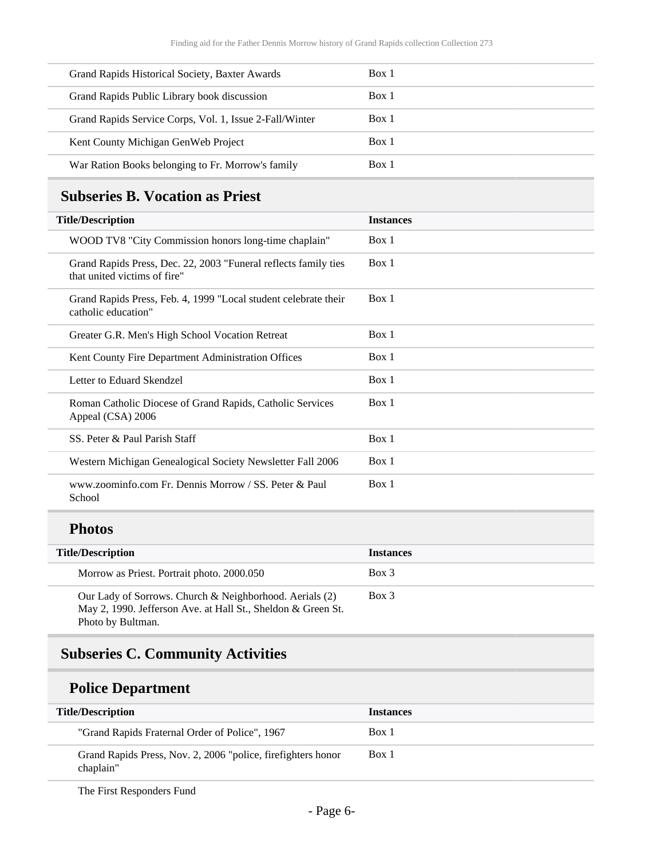| Grand Rapids Historical Society, Baxter Awards          | Box 1 |
|---------------------------------------------------------|-------|
| Grand Rapids Public Library book discussion             | Box 1 |
| Grand Rapids Service Corps, Vol. 1, Issue 2-Fall/Winter | Box 1 |
| Kent County Michigan Gen Web Project                    | Box 1 |
| War Ration Books belonging to Fr. Morrow's family       | Box 1 |

## <span id="page-5-0"></span>**Subseries B. Vocation as Priest**

| <b>Title/Description</b>                                                                        | <b>Instances</b> |
|-------------------------------------------------------------------------------------------------|------------------|
| WOOD TV8 "City Commission honors long-time chaplain"                                            | Box 1            |
| Grand Rapids Press, Dec. 22, 2003 "Funeral reflects family ties<br>that united victims of fire" | Box 1            |
| Grand Rapids Press, Feb. 4, 1999 "Local student celebrate their<br>catholic education"          | Box 1            |
| Greater G.R. Men's High School Vocation Retreat                                                 | Box 1            |
| Kent County Fire Department Administration Offices                                              | Box 1            |
| Letter to Eduard Skendzel                                                                       | Box 1            |
| Roman Catholic Diocese of Grand Rapids, Catholic Services<br>Appeal (CSA) 2006                  | Box 1            |
| SS. Peter & Paul Parish Staff                                                                   | Box 1            |
| Western Michigan Genealogical Society Newsletter Fall 2006                                      | Box 1            |
| www.zoominfo.com Fr. Dennis Morrow / SS. Peter & Paul<br>School                                 | Box 1            |
| <b>Photos</b>                                                                                   |                  |

| <b>Title/Description</b>                                                                                                                     | <b>Instances</b> |
|----------------------------------------------------------------------------------------------------------------------------------------------|------------------|
| Morrow as Priest. Portrait photo. 2000.050                                                                                                   | $Box$ 3          |
| Our Lady of Sorrows. Church & Neighborhood. Aerials (2)<br>May 2, 1990. Jefferson Ave. at Hall St., Sheldon & Green St.<br>Photo by Bultman. | Box 3            |

## <span id="page-5-1"></span>**Subseries C. Community Activities**

## **Police Department**

| <b>Title/Description</b>                                                  | <i><u><b>Instances</b></u></i> |
|---------------------------------------------------------------------------|--------------------------------|
| "Grand Rapids Fraternal Order of Police", 1967                            | Box 1                          |
| Grand Rapids Press, Nov. 2, 2006 "police, firefighters honor<br>chaplain" | Box 1                          |

The First Responders Fund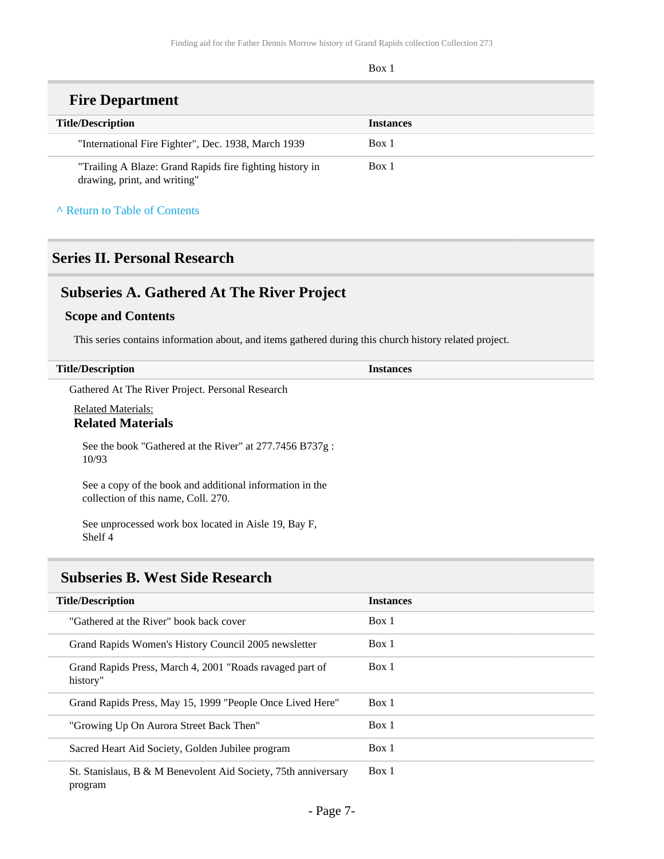Box 1

### **Fire Department**

| <b>Title/Description</b>                                                                 | <b>Instances</b> |
|------------------------------------------------------------------------------------------|------------------|
| "International Fire Fighter", Dec. 1938, March 1939                                      | Box 1            |
| "Trailing A Blaze: Grand Rapids fire fighting history in<br>drawing, print, and writing" | Box 1            |

#### **^** [Return to Table of Contents](#page-1-0)

## <span id="page-6-0"></span>**Series II. Personal Research**

## <span id="page-6-1"></span>**Subseries A. Gathered At The River Project**

#### **Scope and Contents**

This series contains information about, and items gathered during this church history related project.

| <b>Title/Description</b>                                                                        | <b>Instances</b> |
|-------------------------------------------------------------------------------------------------|------------------|
| Gathered At The River Project. Personal Research                                                |                  |
| <b>Related Materials:</b><br><b>Related Materials</b>                                           |                  |
| See the book "Gathered at the River" at 277.7456 B737g:<br>10/93                                |                  |
| See a copy of the book and additional information in the<br>collection of this name, Coll. 270. |                  |
| See unprocessed work box located in Aisle 19, Bay F,                                            |                  |

#### Shelf 4

### <span id="page-6-2"></span>**Subseries B. West Side Research**

| <b>Title/Description</b>                                                  | <b>Instances</b> |
|---------------------------------------------------------------------------|------------------|
| "Gathered at the River" book back cover                                   | Box 1            |
| Grand Rapids Women's History Council 2005 newsletter                      | Box 1            |
| Grand Rapids Press, March 4, 2001 "Roads ravaged part of<br>history"      | Box 1            |
| Grand Rapids Press, May 15, 1999 "People Once Lived Here"                 | Box 1            |
| "Growing Up On Aurora Street Back Then"                                   | Box 1            |
| Sacred Heart Aid Society, Golden Jubilee program                          | Box 1            |
| St. Stanislaus, B & M Benevolent Aid Society, 75th anniversary<br>program | Box 1            |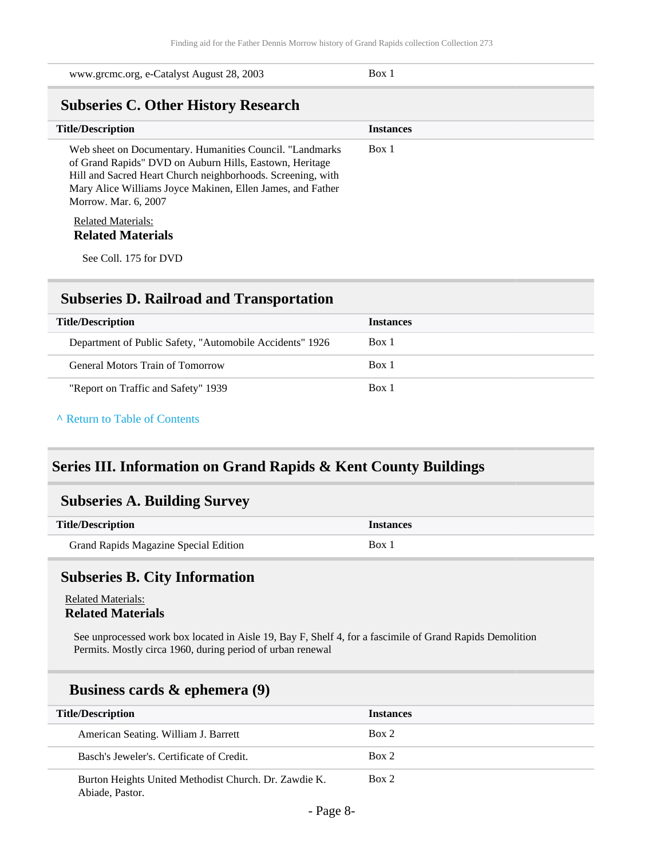<span id="page-7-0"></span>

| www.grcmc.org, e-Catalyst August 28, 2003                                                                                                                                                                                                                                | Box 1            |  |
|--------------------------------------------------------------------------------------------------------------------------------------------------------------------------------------------------------------------------------------------------------------------------|------------------|--|
| <b>Subseries C. Other History Research</b>                                                                                                                                                                                                                               |                  |  |
| <b>Title/Description</b>                                                                                                                                                                                                                                                 | <b>Instances</b> |  |
| Web sheet on Documentary. Humanities Council. "Landmarks<br>of Grand Rapids" DVD on Auburn Hills, Eastown, Heritage<br>Hill and Sacred Heart Church neighborhoods. Screening, with<br>Mary Alice Williams Joyce Makinen, Ellen James, and Father<br>Morrow. Mar. 6, 2007 | Box 1            |  |
| <b>Related Materials:</b>                                                                                                                                                                                                                                                |                  |  |
| <b>Related Materials</b>                                                                                                                                                                                                                                                 |                  |  |
| See Coll. 175 for DVD                                                                                                                                                                                                                                                    |                  |  |

### <span id="page-7-1"></span>**Subseries D. Railroad and Transportation**

| <b>Title/Description</b>                                 | <b>Instances</b> |
|----------------------------------------------------------|------------------|
| Department of Public Safety, "Automobile Accidents" 1926 | Box 1            |
| General Motors Train of Tomorrow                         | Box 1            |
| "Report on Traffic and Safety" 1939                      | Box 1            |

#### **^** [Return to Table of Contents](#page-1-0)

### <span id="page-7-2"></span>**Series III. Information on Grand Rapids & Kent County Buildings**

### <span id="page-7-3"></span>**Subseries A. Building Survey**

| <b>Title/Description</b>              | <i>Instances</i> |
|---------------------------------------|------------------|
| Grand Rapids Magazine Special Edition | Box.             |

### <span id="page-7-4"></span>**Subseries B. City Information**

Related Materials: **Related Materials**

See unprocessed work box located in Aisle 19, Bay F, Shelf 4, for a fascimile of Grand Rapids Demolition Permits. Mostly circa 1960, during period of urban renewal

### **Business cards & ephemera (9)**

| <b>Title/Description</b>                                                 | <b>Instances</b> |
|--------------------------------------------------------------------------|------------------|
| American Seating. William J. Barrett                                     | Box 2            |
| Basch's Jeweler's, Certificate of Credit.                                | Box 2            |
| Burton Heights United Methodist Church. Dr. Zawdie K.<br>Abiade, Pastor. | Box 2            |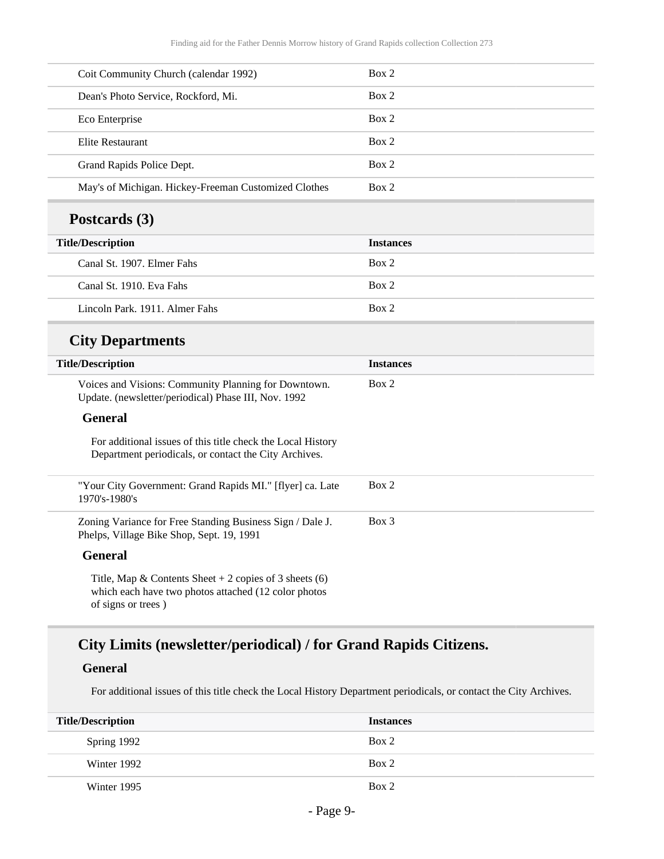| Coit Community Church (calendar 1992)                                                                                | Box 2            |
|----------------------------------------------------------------------------------------------------------------------|------------------|
| Dean's Photo Service, Rockford, Mi.                                                                                  | Box 2            |
| Eco Enterprise                                                                                                       | Box 2            |
| <b>Elite Restaurant</b>                                                                                              | Box 2            |
| Grand Rapids Police Dept.                                                                                            | Box 2            |
| May's of Michigan. Hickey-Freeman Customized Clothes                                                                 | Box 2            |
| Postcards (3)                                                                                                        |                  |
| <b>Title/Description</b>                                                                                             | <b>Instances</b> |
| Canal St. 1907. Elmer Fahs                                                                                           | Box 2            |
| Canal St. 1910. Eva Fahs                                                                                             | Box 2            |
| Lincoln Park. 1911. Almer Fahs                                                                                       | Box 2            |
| <b>City Departments</b>                                                                                              |                  |
| <b>Title/Description</b>                                                                                             | <b>Instances</b> |
| Voices and Visions: Community Planning for Downtown.<br>Update. (newsletter/periodical) Phase III, Nov. 1992         | Box 2            |
| <b>General</b>                                                                                                       |                  |
| For additional issues of this title check the Local History<br>Department periodicals, or contact the City Archives. |                  |
|                                                                                                                      |                  |
| "Your City Government: Grand Rapids MI." [flyer] ca. Late<br>1970's-1980's                                           | Box 2            |
| Zoning Variance for Free Standing Business Sign / Dale J.<br>Phelps, Village Bike Shop, Sept. 19, 1991               | Box 3            |
| <b>General</b>                                                                                                       |                  |

## **City Limits (newsletter/periodical) / for Grand Rapids Citizens.**

#### **General**

For additional issues of this title check the Local History Department periodicals, or contact the City Archives.

| <b>Title/Description</b> | <b>Instances</b> |
|--------------------------|------------------|
| Spring 1992              | Box 2            |
| Winter 1992              | Box 2            |
| Winter 1995              | Box 2            |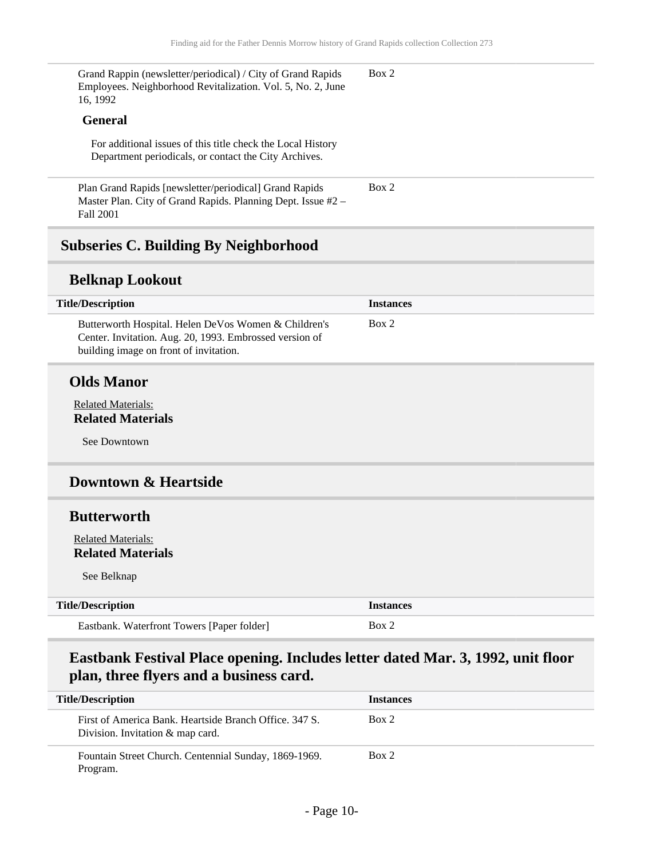Grand Rappin (newsletter/periodical) / City of Grand Rapids Employees. Neighborhood Revitalization. Vol. 5, No. 2, June 16, 1992 Box 2

#### **General**

For additional issues of this title check the Local History Department periodicals, or contact the City Archives.

Plan Grand Rapids [newsletter/periodical] Grand Rapids Master Plan. City of Grand Rapids. Planning Dept. Issue #2 – Fall 2001 Box 2

### <span id="page-9-0"></span>**Subseries C. Building By Neighborhood**

#### **Belknap Lookout**

| <b>Title/Description</b>                                                                                                                                  | <b>Instances</b> |
|-----------------------------------------------------------------------------------------------------------------------------------------------------------|------------------|
| Butterworth Hospital. Helen DeVos Women & Children's<br>Center. Invitation. Aug. 20, 1993. Embrossed version of<br>building image on front of invitation. | Box 2            |

#### **Olds Manor**

Related Materials: **Related Materials**

See Downtown

#### **Downtown & Heartside**

#### **Butterworth**

Related Materials: **Related Materials**

See Belknap

| <b>Title/Description</b>                   | <i><u><b>Instances</b></u></i> |
|--------------------------------------------|--------------------------------|
| Eastbank. Waterfront Towers [Paper folder] | Box 2                          |

### **Eastbank Festival Place opening. Includes letter dated Mar. 3, 1992, unit floor plan, three flyers and a business card.**

| <b>Title/Description</b>                                                                   | <b>Instances</b> |
|--------------------------------------------------------------------------------------------|------------------|
| First of America Bank. Heartside Branch Office, 347 S.<br>Division. Invitation & map card. | Box 2            |
| Fountain Street Church. Centennial Sunday, 1869-1969.<br>Program.                          | Box 2            |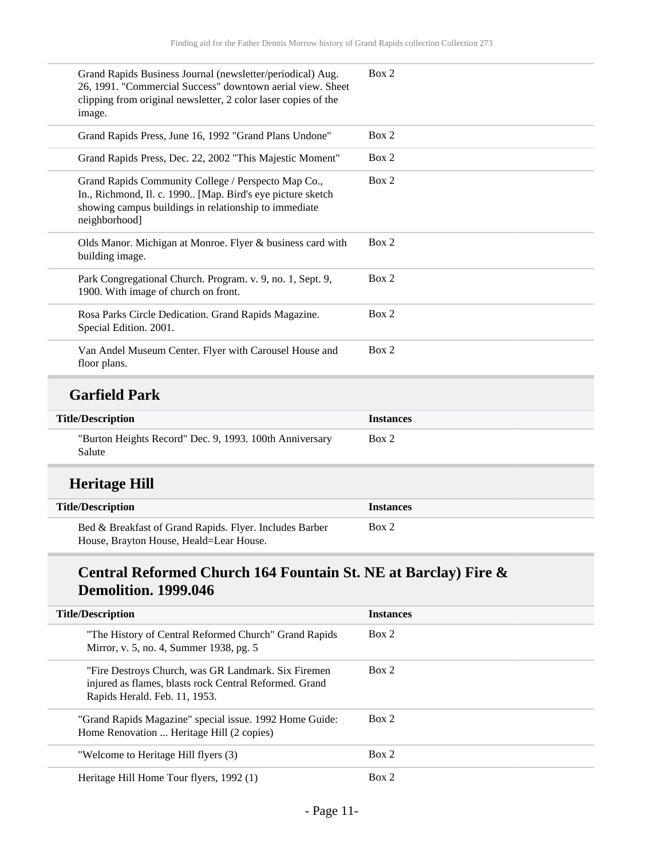| Grand Rapids Business Journal (newsletter/periodical) Aug.<br>26, 1991. "Commercial Success" downtown aerial view. Sheet<br>clipping from original newsletter, 2 color laser copies of the<br>image. | Box 2            |
|------------------------------------------------------------------------------------------------------------------------------------------------------------------------------------------------------|------------------|
| Grand Rapids Press, June 16, 1992 "Grand Plans Undone"                                                                                                                                               | Box 2            |
| Grand Rapids Press, Dec. 22, 2002 "This Majestic Moment"                                                                                                                                             | Box 2            |
| Grand Rapids Community College / Perspecto Map Co.,<br>In., Richmond, Il. c. 1990 [Map. Bird's eye picture sketch<br>showing campus buildings in relationship to immediate<br>neighborhood]          | Box 2            |
| Olds Manor. Michigan at Monroe. Flyer & business card with<br>building image.                                                                                                                        | Box 2            |
| Park Congregational Church. Program. v. 9, no. 1, Sept. 9,<br>1900. With image of church on front.                                                                                                   | Box 2            |
| Rosa Parks Circle Dedication. Grand Rapids Magazine.<br>Special Edition. 2001.                                                                                                                       | Box 2            |
| Van Andel Museum Center. Flyer with Carousel House and<br>floor plans.                                                                                                                               | Box 2            |
| <b>Garfield Park</b>                                                                                                                                                                                 |                  |
| <b>Title/Description</b>                                                                                                                                                                             | <b>Instances</b> |
| "Burton Heights Record" Dec. 9, 1993. 100th Anniversary<br>Salute                                                                                                                                    | Box 2            |
| <b>Heritage Hill</b>                                                                                                                                                                                 |                  |
| <b>Title/Description</b>                                                                                                                                                                             | <b>Instances</b> |
| Bed & Breakfast of Grand Rapids. Flyer. Includes Barber<br>House, Brayton House, Heald=Lear House.                                                                                                   | Box 2            |

## **Central Reformed Church 164 Fountain St. NE at Barclay) Fire & Demolition. 1999.046**

| <b>Title/Description</b>                                                                                                                       | <b>Instances</b> |
|------------------------------------------------------------------------------------------------------------------------------------------------|------------------|
|                                                                                                                                                |                  |
| "The History of Central Reformed Church" Grand Rapids<br>Mirror, v. 5, no. 4, Summer 1938, pg. 5                                               | Box 2            |
| "Fire Destroys Church, was GR Landmark. Six Firemen<br>injured as flames, blasts rock Central Reformed. Grand<br>Rapids Herald. Feb. 11, 1953. | Box 2            |
| "Grand Rapids Magazine" special issue. 1992 Home Guide:<br>Home Renovation  Heritage Hill (2 copies)                                           | Box 2            |
| "Welcome to Heritage Hill flyers (3)                                                                                                           | Box 2            |
| Heritage Hill Home Tour flyers, 1992 (1)                                                                                                       | Box 2            |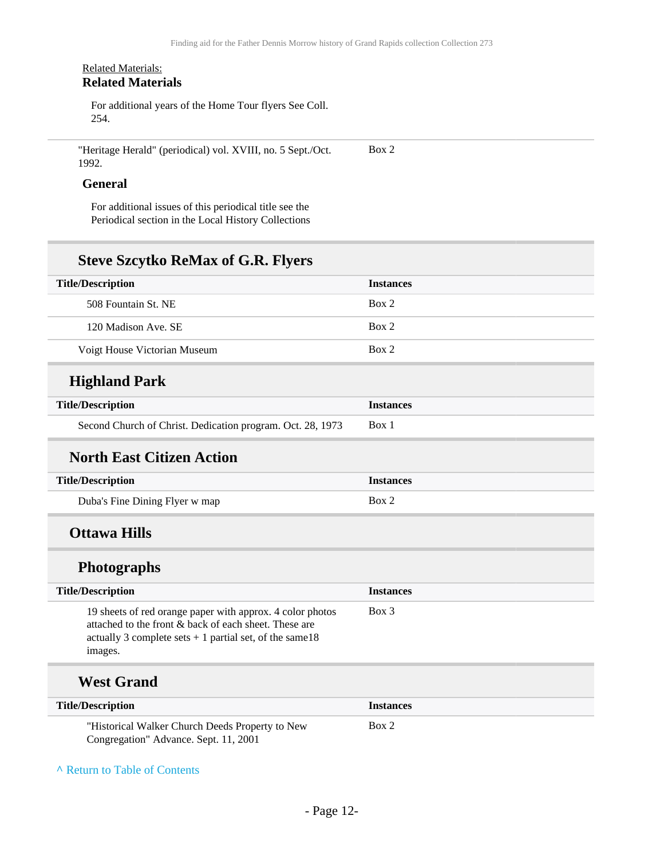#### Related Materials: **Related Materials**

For additional years of the Home Tour flyers See Coll. 254.

"Heritage Herald" (periodical) vol. XVIII, no. 5 Sept./Oct. 1992. Box 2

#### **General**

For additional issues of this periodical title see the Periodical section in the Local History Collections

### **Steve Szcytko ReMax of G.R. Flyers**

| <b>Title/Description</b>     | <b>Instances</b> |
|------------------------------|------------------|
| 508 Fountain St. NE          | Box 2            |
| 120 Madison Ave. SE          | Box 2            |
| Voigt House Victorian Museum | Box 2            |
|                              |                  |

## **Highland Park**

| <b>Title/Description</b>                                   | <i>Instances</i> |
|------------------------------------------------------------|------------------|
| Second Church of Christ. Dedication program. Oct. 28, 1973 | Box 1            |

### **North East Citizen Action**

| <b>Title/Description</b>       | <i><u><b>Instances</b></u></i> |
|--------------------------------|--------------------------------|
| Duba's Fine Dining Flyer w map | Box 2                          |

## **Ottawa Hills**

### **Photographs**

| <b>Title/Description</b>                                                                                                                                                                   | <i><u><b>Instances</b></u></i> |
|--------------------------------------------------------------------------------------------------------------------------------------------------------------------------------------------|--------------------------------|
| 19 sheets of red orange paper with approx. 4 color photos<br>attached to the front & back of each sheet. These are<br>actually 3 complete sets $+1$ partial set, of the same 18<br>images. | Box 3                          |
|                                                                                                                                                                                            |                                |

## **West Grand**

| <b>Title/Description</b>                        | <i><u><b>Instances</b></u></i> |
|-------------------------------------------------|--------------------------------|
| "Historical Walker Church Deeds Property to New | Box 2                          |
| Congregation" Advance. Sept. 11, 2001           |                                |

**^** [Return to Table of Contents](#page-1-0)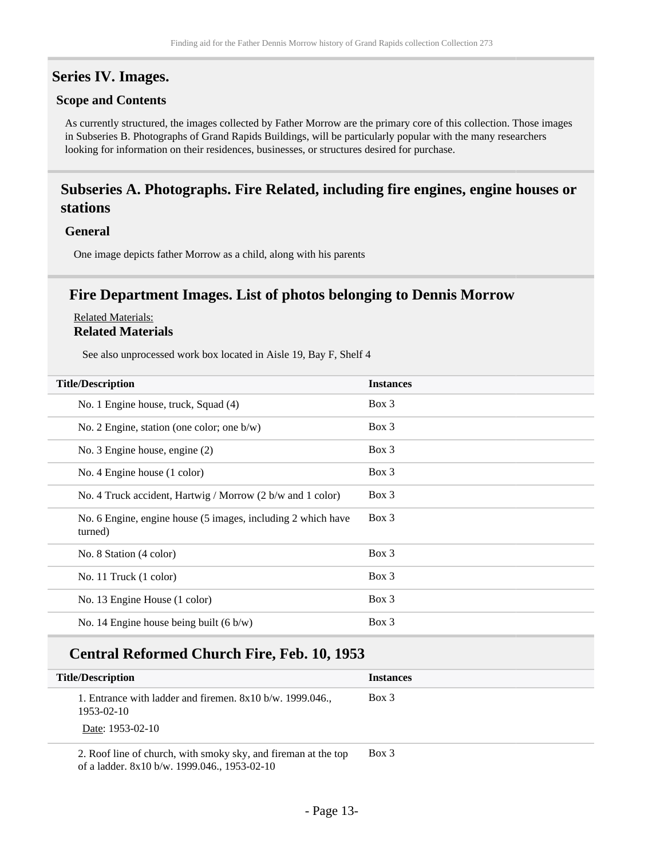### <span id="page-12-0"></span>**Series IV. Images.**

#### **Scope and Contents**

As currently structured, the images collected by Father Morrow are the primary core of this collection. Those images in Subseries B. Photographs of Grand Rapids Buildings, will be particularly popular with the many researchers looking for information on their residences, businesses, or structures desired for purchase.

### <span id="page-12-1"></span>**Subseries A. Photographs. Fire Related, including fire engines, engine houses or stations**

#### **General**

One image depicts father Morrow as a child, along with his parents

### **Fire Department Images. List of photos belonging to Dennis Morrow**

#### Related Materials: **Related Materials**

See also unprocessed work box located in Aisle 19, Bay F, Shelf 4

| <b>Title/Description</b>                                                | <b>Instances</b> |
|-------------------------------------------------------------------------|------------------|
| No. 1 Engine house, truck, Squad (4)                                    | $Box\ 3$         |
| No. 2 Engine, station (one color; one $b/w$ )                           | $Box\ 3$         |
| No. 3 Engine house, engine (2)                                          | $Box\ 3$         |
| No. 4 Engine house (1 color)                                            | $Box\ 3$         |
| No. 4 Truck accident, Hartwig / Morrow (2 b/w and 1 color)              | $Box\ 3$         |
| No. 6 Engine, engine house (5 images, including 2 which have<br>turned) | Box 3            |
| No. 8 Station (4 color)                                                 | Box 3            |
| No. 11 Truck $(1 \text{ color})$                                        | Box 3            |
| No. 13 Engine House (1 color)                                           | $Box\ 3$         |
| No. 14 Engine house being built $(6 \text{ b/w})$                       | $Box\ 3$         |

### **Central Reformed Church Fire, Feb. 10, 1953**

| <b>Title/Description</b>                                                                      | <b>Instances</b> |  |
|-----------------------------------------------------------------------------------------------|------------------|--|
| 1. Entrance with ladder and firemen. $8x10 b/w$ . 1999.046.<br>1953-02-10<br>Date: 1953-02-10 | Box 3            |  |
|                                                                                               |                  |  |

2. Roof line of church, with smoky sky, and fireman at the top of a ladder. 8x10 b/w. 1999.046., 1953-02-10 Box 3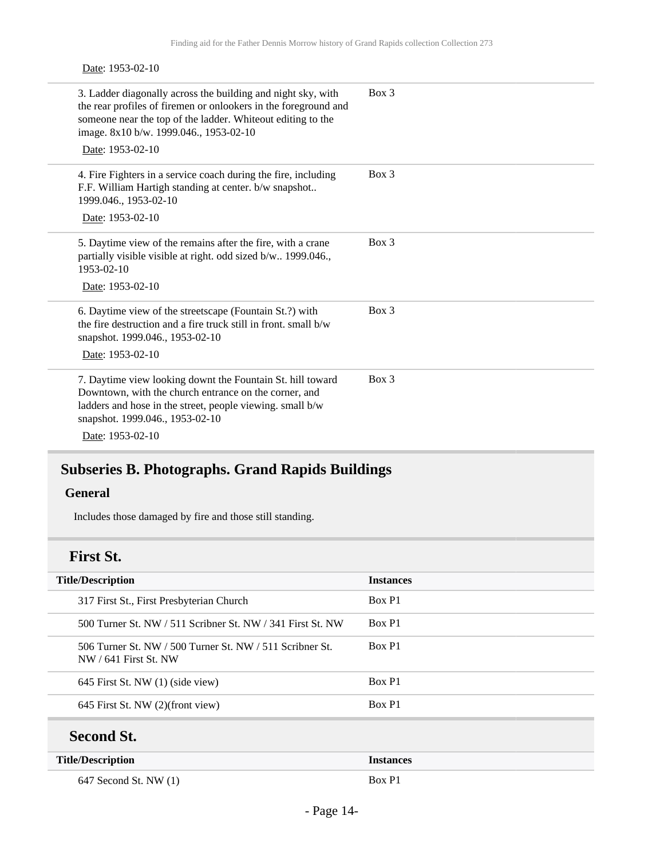#### Date: 1953-02-10

| 3. Ladder diagonally across the building and night sky, with<br>the rear profiles of firemen or onlookers in the foreground and<br>someone near the top of the ladder. Whiteout editing to the<br>image. 8x10 b/w. 1999.046., 1953-02-10<br>Date: 1953-02-10 | $Box$ 3 |
|--------------------------------------------------------------------------------------------------------------------------------------------------------------------------------------------------------------------------------------------------------------|---------|
| 4. Fire Fighters in a service coach during the fire, including<br>F.F. William Hartigh standing at center. b/w snapshot<br>1999.046., 1953-02-10<br>Date: 1953-02-10                                                                                         | $Box$ 3 |
| 5. Daytime view of the remains after the fire, with a crane<br>partially visible visible at right. odd sized b/w 1999.046.,<br>1953-02-10<br>Date: 1953-02-10                                                                                                | $Box$ 3 |
| 6. Daytime view of the streetscape (Fountain St.?) with<br>the fire destruction and a fire truck still in front. small b/w<br>snapshot. 1999.046., 1953-02-10<br>Date: 1953-02-10                                                                            | $Box$ 3 |
| 7. Daytime view looking downt the Fountain St. hill toward<br>Downtown, with the church entrance on the corner, and<br>ladders and hose in the street, people viewing. small b/w<br>snapshot. 1999.046., 1953-02-10<br>Date: 1953-02-10                      | $Box$ 3 |

## <span id="page-13-0"></span>**Subseries B. Photographs. Grand Rapids Buildings**

### **General**

Includes those damaged by fire and those still standing.

## **First St.**

| <b>Title/Description</b>                                                                | <b>Instances</b> |
|-----------------------------------------------------------------------------------------|------------------|
| 317 First St., First Presbyterian Church                                                | Box P1           |
| 500 Turner St. NW / 511 Scribner St. NW / 341 First St. NW                              | Box P1           |
| 506 Turner St. $NW / 500$ Turner St. $NW / 511$ Scribner St.<br>$NW / 641$ First St. NW | Box P1           |
| 645 First St. NW (1) (side view)                                                        | Box P1           |
| 645 First St. NW $(2)$ (front view)                                                     | Box P1           |
| <b>Second St.</b>                                                                       |                  |

| <b>Title/Description</b> | <i><u><b>Instances</b></u></i> |
|--------------------------|--------------------------------|
| 647 Second St. NW (1)    | Box P1                         |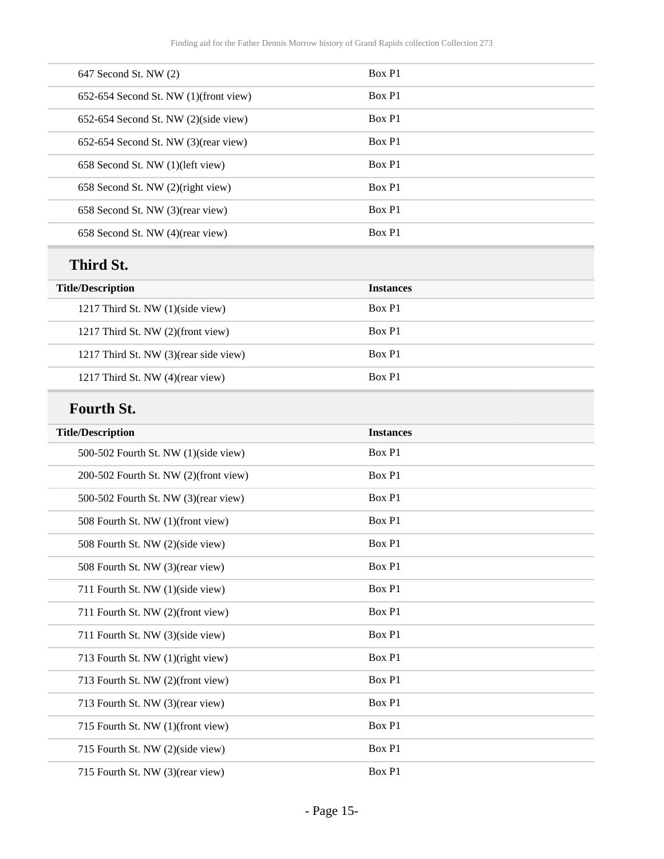| 647 Second St. NW (2)                 | Box P1           |
|---------------------------------------|------------------|
| 652-654 Second St. NW (1)(front view) | Box P1           |
| 652-654 Second St. NW (2)(side view)  | Box P1           |
| 652-654 Second St. NW (3)(rear view)  | Box P1           |
| 658 Second St. NW (1)(left view)      | Box P1           |
| 658 Second St. NW (2)(right view)     | Box P1           |
| 658 Second St. NW (3)(rear view)      | Box P1           |
| 658 Second St. NW (4)(rear view)      | Box P1           |
| Third St.                             |                  |
| <b>Title/Description</b>              | <b>Instances</b> |
| 1217 Third St. NW (1)(side view)      | Box P1           |
| 1217 Third St. NW (2)(front view)     | Box P1           |
| 1217 Third St. NW (3)(rear side view) | Box P1           |
| 1217 Third St. NW (4)(rear view)      | Box P1           |
| <b>Fourth St.</b>                     |                  |
| <b>Title/Description</b>              | <b>Instances</b> |
| 500-502 Fourth St. NW (1)(side view)  | Box P1           |
| 200-502 Fourth St. NW (2)(front view) | Box P1           |
| 500-502 Fourth St. NW (3)(rear view)  | Box P1           |
| 508 Fourth St. NW (1)(front view)     | Box P1           |
| 508 Fourth St. NW (2)(side view)      | Box P1           |
|                                       |                  |
| 508 Fourth St. NW (3)(rear view)      | Box P1           |
| 711 Fourth St. NW (1)(side view)      | Box P1           |
| 711 Fourth St. NW (2)(front view)     | Box P1           |
| 711 Fourth St. NW (3)(side view)      | Box P1           |
| 713 Fourth St. NW (1)(right view)     | Box P1           |
| 713 Fourth St. NW (2)(front view)     | Box P1           |
| 713 Fourth St. NW (3)(rear view)      | Box P1           |
| 715 Fourth St. NW (1)(front view)     | Box P1           |
| 715 Fourth St. NW (2)(side view)      | Box P1           |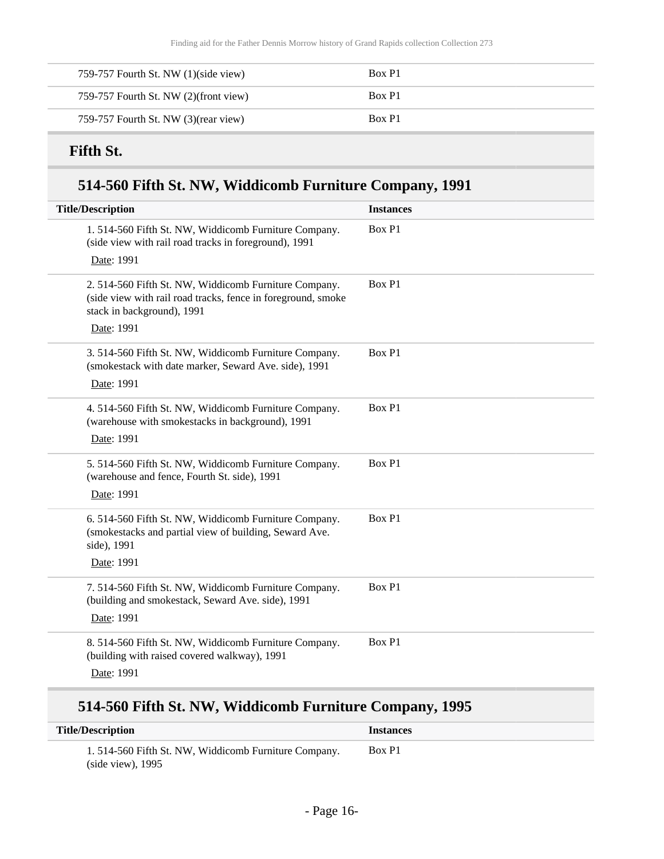| 759-757 Fourth St. NW (1)(side view)  | Box P1 |
|---------------------------------------|--------|
| 759-757 Fourth St. NW (2)(front view) | Box P1 |
| 759-757 Fourth St. NW (3) (rear view) | Box P1 |

## **Fifth St.**

## **514-560 Fifth St. NW, Widdicomb Furniture Company, 1991**

| <b>Title/Description</b>                                                                                                                            | <b>Instances</b> |
|-----------------------------------------------------------------------------------------------------------------------------------------------------|------------------|
| 1.514-560 Fifth St. NW, Widdicomb Furniture Company.<br>(side view with rail road tracks in foreground), 1991                                       | Box P1           |
| Date: 1991                                                                                                                                          |                  |
| 2. 514-560 Fifth St. NW, Widdicomb Furniture Company.<br>(side view with rail road tracks, fence in foreground, smoke<br>stack in background), 1991 | Box P1           |
| Date: 1991                                                                                                                                          |                  |
| 3. 514-560 Fifth St. NW, Widdicomb Furniture Company.<br>(smokestack with date marker, Seward Ave. side), 1991                                      | Box P1           |
| Date: 1991                                                                                                                                          |                  |
| 4. 514-560 Fifth St. NW, Widdicomb Furniture Company.<br>(warehouse with smokestacks in background), 1991                                           | Box P1           |
| Date: 1991                                                                                                                                          |                  |
| 5. 514-560 Fifth St. NW, Widdicomb Furniture Company.<br>(warehouse and fence, Fourth St. side), 1991                                               | Box P1           |
| Date: 1991                                                                                                                                          |                  |
| 6. 514-560 Fifth St. NW, Widdicomb Furniture Company.<br>(smokestacks and partial view of building, Seward Ave.<br>side), 1991                      | Box P1           |
| Date: 1991                                                                                                                                          |                  |
| 7. 514-560 Fifth St. NW, Widdicomb Furniture Company.<br>(building and smokestack, Seward Ave. side), 1991                                          | Box P1           |
| Date: 1991                                                                                                                                          |                  |
| 8. 514-560 Fifth St. NW, Widdicomb Furniture Company.<br>(building with raised covered walkway), 1991<br>Date: 1991                                 | Box P1           |

## **514-560 Fifth St. NW, Widdicomb Furniture Company, 1995**

| <b>Title/Description</b>                             | <i>Instances</i> |
|------------------------------------------------------|------------------|
| 1.514-560 Fifth St. NW, Widdicomb Furniture Company. | Box P1           |
| (side view), $1995$                                  |                  |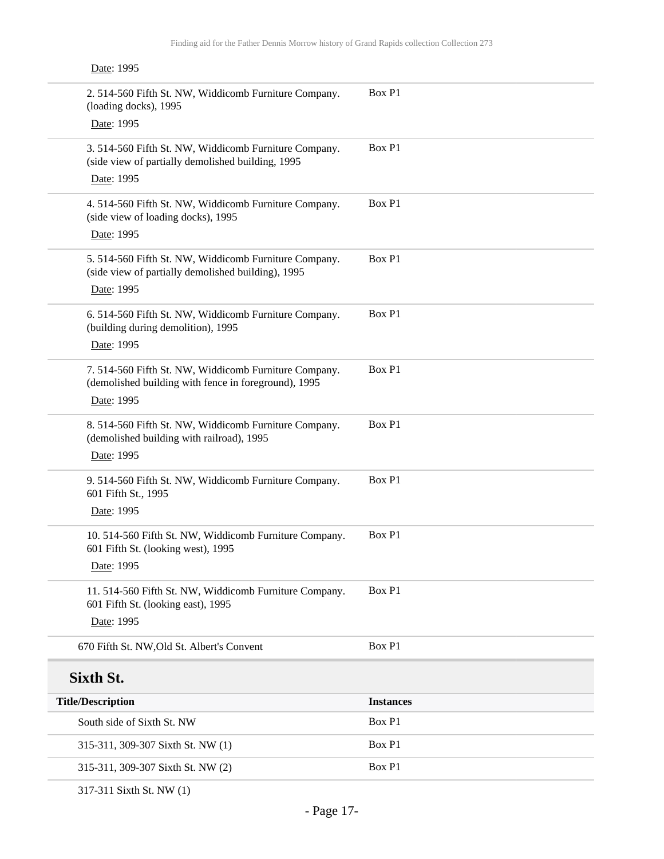| Date: 1995                                                                                                    |                  |
|---------------------------------------------------------------------------------------------------------------|------------------|
| 2. 514-560 Fifth St. NW, Widdicomb Furniture Company.<br>(loading docks), 1995                                | Box P1           |
| Date: 1995                                                                                                    |                  |
| 3. 514-560 Fifth St. NW, Widdicomb Furniture Company.<br>(side view of partially demolished building, 1995    | Box P1           |
| Date: 1995                                                                                                    |                  |
| 4. 514-560 Fifth St. NW, Widdicomb Furniture Company.<br>(side view of loading docks), 1995                   | Box P1           |
| Date: 1995                                                                                                    |                  |
| 5. 514-560 Fifth St. NW, Widdicomb Furniture Company.<br>(side view of partially demolished building), 1995   | Box P1           |
| Date: 1995                                                                                                    |                  |
| 6. 514-560 Fifth St. NW, Widdicomb Furniture Company.<br>(building during demolition), 1995                   | Box P1           |
| Date: 1995                                                                                                    |                  |
| 7. 514-560 Fifth St. NW, Widdicomb Furniture Company.<br>(demolished building with fence in foreground), 1995 | Box P1           |
| Date: 1995                                                                                                    |                  |
| 8. 514-560 Fifth St. NW, Widdicomb Furniture Company.<br>(demolished building with railroad), 1995            | Box P1           |
| Date: 1995                                                                                                    |                  |
| 9. 514-560 Fifth St. NW, Widdicomb Furniture Company.<br>601 Fifth St., 1995                                  | Box P1           |
| Date: 1995                                                                                                    |                  |
| 10. 514-560 Fifth St. NW, Widdicomb Furniture Company.<br>601 Fifth St. (looking west), 1995                  | Box P1           |
| Date: 1995                                                                                                    |                  |
| 11.514-560 Fifth St. NW, Widdicomb Furniture Company.<br>601 Fifth St. (looking east), 1995                   | Box P1           |
| Date: 1995                                                                                                    |                  |
| 670 Fifth St. NW, Old St. Albert's Convent                                                                    | Box P1           |
| Sixth St.                                                                                                     |                  |
| <b>Title/Description</b>                                                                                      | <b>Instances</b> |
| South side of Sixth St. NW                                                                                    | Box P1           |
| 315-311, 309-307 Sixth St. NW (1)                                                                             | Box P1           |
| 315-311, 309-307 Sixth St. NW (2)                                                                             | Box P1           |

317-311 Sixth St. NW (1)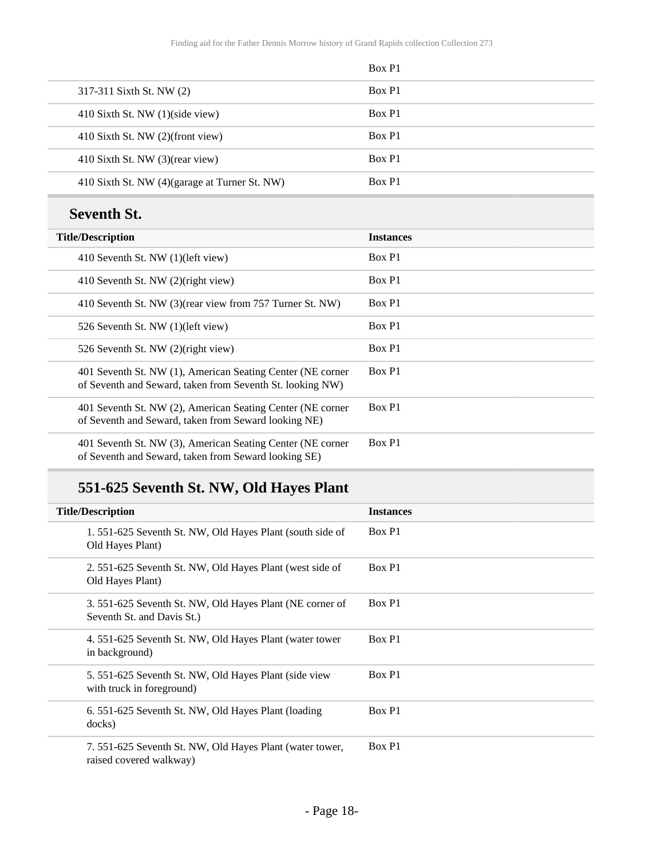|                                               | Box P1 |
|-----------------------------------------------|--------|
| 317-311 Sixth St. NW (2)                      | Box P1 |
| 410 Sixth St. NW $(1)(side view)$             | Box P1 |
| 410 Sixth St. NW (2)(front view)              | Box P1 |
| 410 Sixth St. NW (3)(rear view)               | Box P1 |
| 410 Sixth St. NW (4)(garage at Turner St. NW) | Box P1 |
|                                               |        |

## **Seventh St.**

| <b>Title/Description</b>                                                                                                | <b>Instances</b> |
|-------------------------------------------------------------------------------------------------------------------------|------------------|
| 410 Seventh St. NW (1)(left view)                                                                                       | Box P1           |
| 410 Seventh St. NW (2)(right view)                                                                                      | Box P1           |
| 410 Seventh St. NW (3) (rear view from 757 Turner St. NW)                                                               | Box P1           |
| 526 Seventh St. NW (1)(left view)                                                                                       | Box P1           |
| 526 Seventh St. NW (2)(right view)                                                                                      | Box P1           |
| 401 Seventh St. NW (1), American Seating Center (NE corner<br>of Seventh and Seward, taken from Seventh St. looking NW) | Box P1           |
| 401 Seventh St. NW (2), American Seating Center (NE corner<br>of Seventh and Seward, taken from Seward looking NE)      | Box P1           |
| 401 Seventh St. NW (3), American Seating Center (NE corner<br>of Seventh and Seward, taken from Seward looking SE)      | Box P1           |
|                                                                                                                         |                  |

## **551-625 Seventh St. NW, Old Hayes Plant**

| <b>Title/Description</b>                                                               | <b>Instances</b> |
|----------------------------------------------------------------------------------------|------------------|
| 1.551-625 Seventh St. NW, Old Hayes Plant (south side of<br>Old Hayes Plant)           | Box P1           |
| 2.551-625 Seventh St. NW, Old Hayes Plant (west side of<br>Old Hayes Plant)            | Box P1           |
| 3. 551-625 Seventh St. NW, Old Hayes Plant (NE corner of<br>Seventh St. and Davis St.) | Box P1           |
| 4. 551-625 Seventh St. NW, Old Hayes Plant (water tower<br>in background)              | Box P1           |
| 5. 551-625 Seventh St. NW, Old Hayes Plant (side view<br>with truck in foreground)     | Box P1           |
| 6. 551-625 Seventh St. NW, Old Hayes Plant (loading<br>docks)                          | Box P1           |
| 7. 551-625 Seventh St. NW, Old Hayes Plant (water tower,<br>raised covered walkway)    | Box P1           |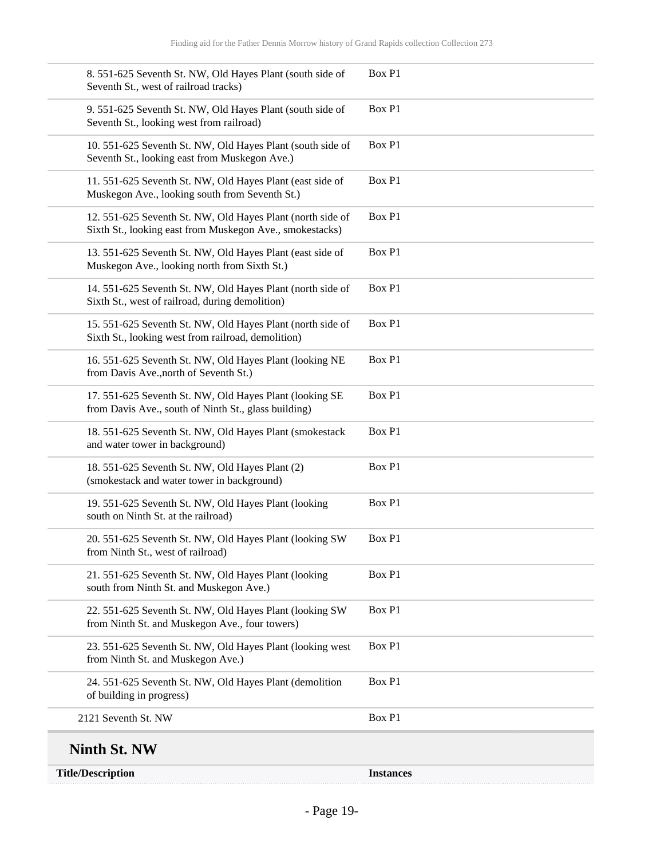| <b>Title/Description</b>                                                                                               | <b>Instances</b> |
|------------------------------------------------------------------------------------------------------------------------|------------------|
| <b>Ninth St. NW</b>                                                                                                    |                  |
| 2121 Seventh St. NW                                                                                                    | Box P1           |
| 24. 551-625 Seventh St. NW, Old Hayes Plant (demolition<br>of building in progress)                                    | Box P1           |
| 23. 551-625 Seventh St. NW, Old Hayes Plant (looking west<br>from Ninth St. and Muskegon Ave.)                         | Box P1           |
| 22. 551-625 Seventh St. NW, Old Hayes Plant (looking SW<br>from Ninth St. and Muskegon Ave., four towers)              | Box P1           |
| 21. 551-625 Seventh St. NW, Old Hayes Plant (looking<br>south from Ninth St. and Muskegon Ave.)                        | Box P1           |
| 20. 551-625 Seventh St. NW, Old Hayes Plant (looking SW<br>from Ninth St., west of railroad)                           | Box P1           |
| 19. 551-625 Seventh St. NW, Old Hayes Plant (looking<br>south on Ninth St. at the railroad)                            | Box P1           |
| 18. 551-625 Seventh St. NW, Old Hayes Plant (2)<br>(smokestack and water tower in background)                          | Box P1           |
| 18. 551-625 Seventh St. NW, Old Hayes Plant (smokestack<br>and water tower in background)                              | Box P1           |
| 17. 551-625 Seventh St. NW, Old Hayes Plant (looking SE<br>from Davis Ave., south of Ninth St., glass building)        | Box P1           |
| 16. 551-625 Seventh St. NW, Old Hayes Plant (looking NE<br>from Davis Ave., north of Seventh St.)                      | Box P1           |
| 15. 551-625 Seventh St. NW, Old Hayes Plant (north side of<br>Sixth St., looking west from railroad, demolition)       | Box P1           |
| 14. 551-625 Seventh St. NW, Old Hayes Plant (north side of<br>Sixth St., west of railroad, during demolition)          | Box P1           |
| 13. 551-625 Seventh St. NW, Old Hayes Plant (east side of<br>Muskegon Ave., looking north from Sixth St.)              | Box P1           |
| 12. 551-625 Seventh St. NW, Old Hayes Plant (north side of<br>Sixth St., looking east from Muskegon Ave., smokestacks) | Box P1           |
| 11. 551-625 Seventh St. NW, Old Hayes Plant (east side of<br>Muskegon Ave., looking south from Seventh St.)            | Box P1           |
| 10. 551-625 Seventh St. NW, Old Hayes Plant (south side of<br>Seventh St., looking east from Muskegon Ave.)            | Box P1           |
| 9. 551-625 Seventh St. NW, Old Hayes Plant (south side of<br>Seventh St., looking west from railroad)                  | Box P1           |
| 8. 551-625 Seventh St. NW, Old Hayes Plant (south side of<br>Seventh St., west of railroad tracks)                     | Box P1           |
|                                                                                                                        |                  |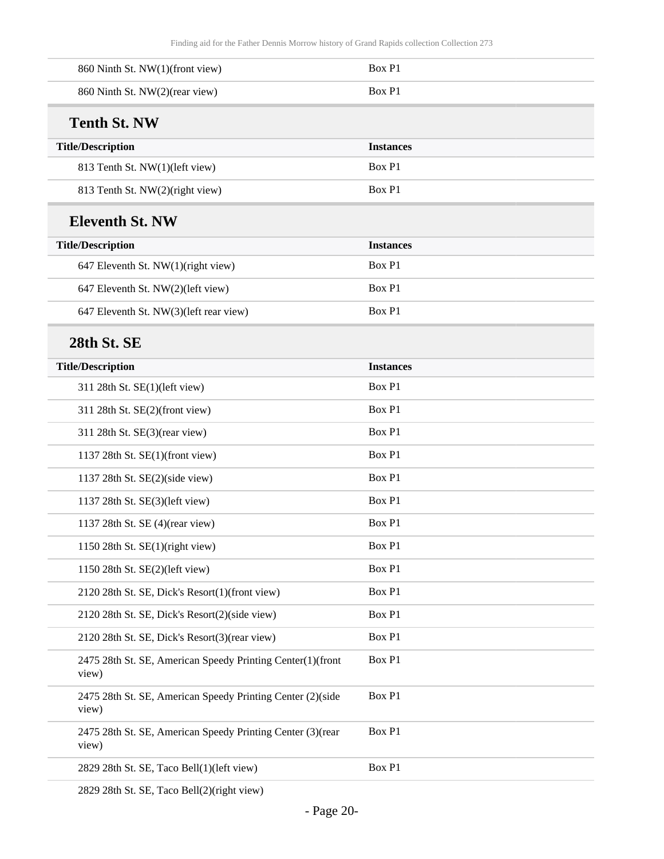| 860 Ninth St. NW(1)(front view)                                      | Box P1           |
|----------------------------------------------------------------------|------------------|
| 860 Ninth St. NW(2)(rear view)                                       | Box P1           |
| <b>Tenth St. NW</b>                                                  |                  |
| <b>Title/Description</b>                                             | <b>Instances</b> |
| 813 Tenth St. NW(1)(left view)                                       | Box P1           |
| 813 Tenth St. NW(2)(right view)                                      | Box P1           |
| <b>Eleventh St. NW</b>                                               |                  |
| <b>Title/Description</b>                                             | <b>Instances</b> |
| 647 Eleventh St. NW(1)(right view)                                   | Box P1           |
| 647 Eleventh St. NW(2)(left view)                                    | Box P1           |
| 647 Eleventh St. NW(3)(left rear view)                               | Box P1           |
| 28th St. SE                                                          |                  |
| <b>Title/Description</b>                                             | <b>Instances</b> |
| 311 28th St. SE(1)(left view)                                        | Box P1           |
| 311 28th St. SE(2)(front view)                                       | Box P1           |
| 311 28th St. SE(3)(rear view)                                        | Box P1           |
| 1137 28th St. SE(1)(front view)                                      | Box P1           |
| 1137 28th St. SE(2)(side view)                                       | Box P1           |
| 1137 28th St. SE(3)(left view)                                       | Box P1           |
| 1137 28th St. SE (4)(rear view)                                      | Box P1           |
| 1150 28th St. $SE(1)$ (right view)                                   | Box P1           |
| 1150 28th St. SE(2)(left view)                                       | Box P1           |
| 2120 28th St. SE, Dick's Resort(1)(front view)                       | Box P1           |
| 2120 28th St. SE, Dick's Resort(2)(side view)                        | Box P1           |
| 2120 28th St. SE, Dick's Resort(3)(rear view)                        | Box P1           |
| 2475 28th St. SE, American Speedy Printing Center(1)(front<br>view)  | Box P1           |
| 2475 28th St. SE, American Speedy Printing Center (2)(side<br>view)  | Box P1           |
| 2475 28th St. SE, American Speedy Printing Center (3) (rear<br>view) | Box P1           |
| 2829 28th St. SE, Taco Bell(1)(left view)                            | Box P1           |
|                                                                      |                  |

2829 28th St. SE, Taco Bell(2)(right view)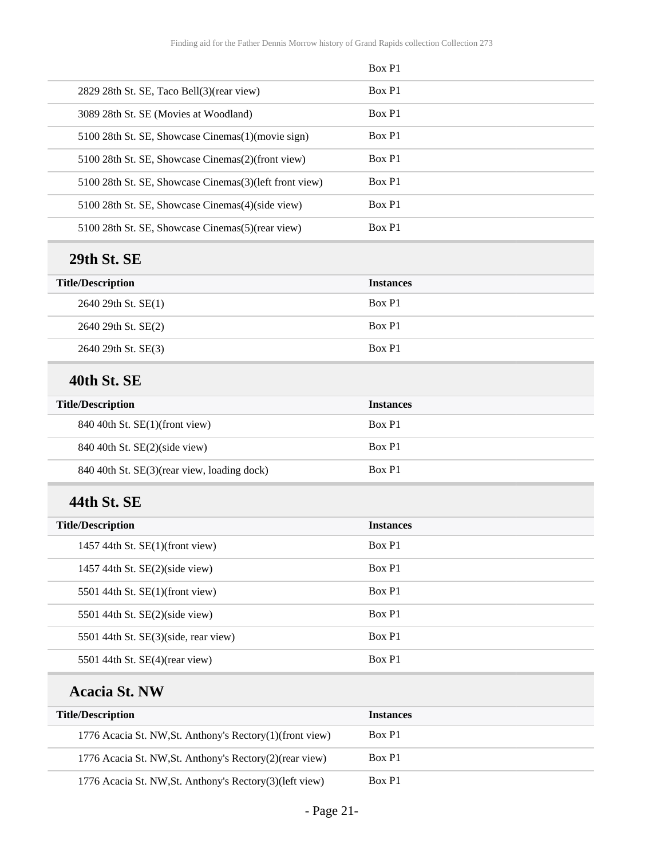|                                                          | Box P1           |
|----------------------------------------------------------|------------------|
| 2829 28th St. SE, Taco Bell(3)(rear view)                | Box P1           |
| 3089 28th St. SE (Movies at Woodland)                    | Box P1           |
| 5100 28th St. SE, Showcase Cinemas(1)(movie sign)        | Box P1           |
| 5100 28th St. SE, Showcase Cinemas(2)(front view)        | Box P1           |
| 5100 28th St. SE, Showcase Cinemas(3)(left front view)   | Box P1           |
| 5100 28th St. SE, Showcase Cinemas(4)(side view)         | Box P1           |
| 5100 28th St. SE, Showcase Cinemas(5)(rear view)         | Box P1           |
| 29th St. SE                                              |                  |
| <b>Title/Description</b>                                 | <b>Instances</b> |
| 2640 29th St. SE(1)                                      | Box P1           |
| 2640 29th St. SE(2)                                      | Box P1           |
| 2640 29th St. SE(3)                                      | Box P1           |
| 40th St. SE                                              |                  |
| <b>Title/Description</b>                                 | <b>Instances</b> |
| 840 40th St. SE(1)(front view)                           | Box P1           |
| 840 40th St. SE(2)(side view)                            | Box P1           |
| 840 40th St. SE(3)(rear view, loading dock)              | Box P1           |
| 44th St. SE                                              |                  |
| <b>Title/Description</b>                                 | <b>Instances</b> |
| 1457 44th St. SE(1)(front view)                          | Box P1           |
| 1457 44th St. SE(2)(side view)                           | Box P1           |
| 5501 44th St. SE(1)(front view)                          | Box P1           |
| 5501 44th St. SE(2)(side view)                           | Box P1           |
| 5501 44th St. SE(3)(side, rear view)                     | Box P1           |
| 5501 44th St. SE(4)(rear view)                           | Box P1           |
| <b>Acacia St. NW</b>                                     |                  |
| <b>Title/Description</b>                                 | <b>Instances</b> |
| 1776 Acacia St. NW, St. Anthony's Rectory(1)(front view) | Box P1           |
| 1776 Acacia St. NW, St. Anthony's Rectory(2)(rear view)  | Box P1           |
| 1776 Acacia St. NW, St. Anthony's Rectory(3)(left view)  | Box P1           |

- Page 21-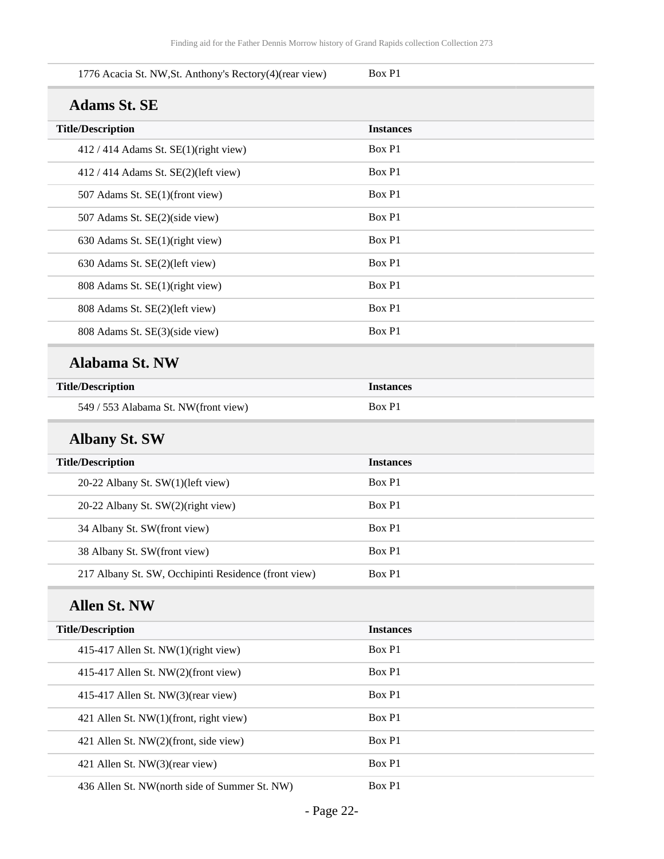| 1776 Acacia St. NW, St. Anthony's Rectory(4)(rear view) | Box P1           |
|---------------------------------------------------------|------------------|
| <b>Adams St. SE</b>                                     |                  |
| <b>Title/Description</b>                                | <b>Instances</b> |
| 412 / 414 Adams St. SE(1)(right view)                   | Box P1           |
| 412 / 414 Adams St. SE(2)(left view)                    | Box P1           |
| 507 Adams St. SE(1)(front view)                         | Box P1           |
| 507 Adams St. SE(2)(side view)                          | Box P1           |
| 630 Adams St. SE(1)(right view)                         | Box P1           |
| 630 Adams St. SE(2)(left view)                          | Box P1           |
| 808 Adams St. SE(1)(right view)                         | Box P1           |
| 808 Adams St. SE(2)(left view)                          | Box P1           |
| 808 Adams St. SE(3)(side view)                          | Box P1           |
| <b>Alabama St. NW</b>                                   |                  |
| <b>Title/Description</b>                                | <b>Instances</b> |
| 549 / 553 Alabama St. NW(front view)                    | Box P1           |
| <b>Albany St. SW</b>                                    |                  |
| <b>Title/Description</b>                                | <b>Instances</b> |
| 20-22 Albany St. SW(1)(left view)                       | Box P1           |
| 20-22 Albany St. SW(2)(right view)                      | Box P1           |
| 34 Albany St. SW(front view)                            | Box P1           |
| 38 Albany St. SW(front view)                            | Box P1           |
| 217 Albany St. SW, Occhipinti Residence (front view)    | Box P1           |
| <b>Allen St. NW</b>                                     |                  |
| <b>Title/Description</b>                                | <b>Instances</b> |
| 415-417 Allen St. NW(1)(right view)                     | Box P1           |
| 415-417 Allen St. NW(2)(front view)                     | Box P1           |
| 415-417 Allen St. NW(3)(rear view)                      | Box P1           |
| 421 Allen St. NW(1)(front, right view)                  | Box P1           |
| 421 Allen St. NW(2)(front, side view)                   | Box P1           |
| 421 Allen St. NW(3)(rear view)                          | Box P1           |
| 436 Allen St. NW(north side of Summer St. NW)           | Box P1           |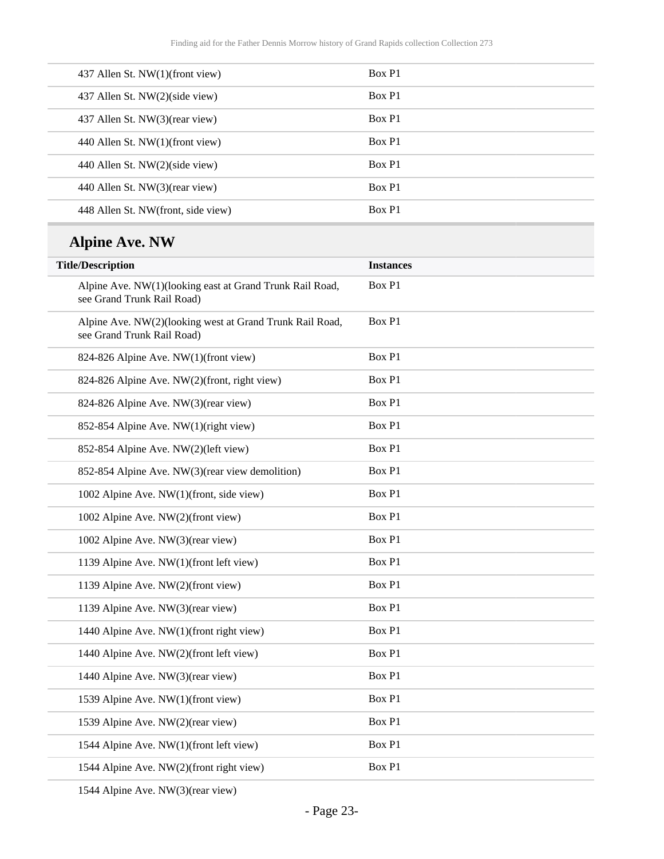| 437 Allen St. NW(1)(front view)    | Box P1 |
|------------------------------------|--------|
| 437 Allen St. NW(2)(side view)     | Box P1 |
| 437 Allen St. NW(3)(rear view)     | Box P1 |
| 440 Allen St. NW(1)(front view)    | Box P1 |
| 440 Allen St. NW(2)(side view)     | Box P1 |
| 440 Allen St. NW(3)(rear view)     | Box P1 |
| 448 Allen St. NW(front, side view) | Box P1 |

## **Alpine Ave. NW**

| <b>Title/Description</b>                                                               | <b>Instances</b> |
|----------------------------------------------------------------------------------------|------------------|
| Alpine Ave. NW(1)(looking east at Grand Trunk Rail Road,<br>see Grand Trunk Rail Road) | Box P1           |
| Alpine Ave. NW(2)(looking west at Grand Trunk Rail Road,<br>see Grand Trunk Rail Road) | Box P1           |
| 824-826 Alpine Ave. NW(1)(front view)                                                  | Box P1           |
| 824-826 Alpine Ave. NW(2)(front, right view)                                           | Box P1           |
| 824-826 Alpine Ave. NW(3)(rear view)                                                   | Box P1           |
| 852-854 Alpine Ave. NW(1)(right view)                                                  | Box P1           |
| 852-854 Alpine Ave. NW(2)(left view)                                                   | Box P1           |
| 852-854 Alpine Ave. NW(3)(rear view demolition)                                        | Box P1           |
| 1002 Alpine Ave. NW(1)(front, side view)                                               | Box P1           |
| 1002 Alpine Ave. NW(2)(front view)                                                     | Box P1           |
| 1002 Alpine Ave. NW(3)(rear view)                                                      | Box P1           |
| 1139 Alpine Ave. NW(1)(front left view)                                                | Box P1           |
| 1139 Alpine Ave. NW(2)(front view)                                                     | Box P1           |
| 1139 Alpine Ave. NW(3)(rear view)                                                      | Box P1           |
| 1440 Alpine Ave. NW(1)(front right view)                                               | Box P1           |
| 1440 Alpine Ave. NW(2)(front left view)                                                | Box P1           |
| 1440 Alpine Ave. NW(3)(rear view)                                                      | Box P1           |
| 1539 Alpine Ave. NW(1)(front view)                                                     | Box P1           |
| 1539 Alpine Ave. NW(2)(rear view)                                                      | Box P1           |
| 1544 Alpine Ave. NW(1)(front left view)                                                | Box P1           |
| 1544 Alpine Ave. NW(2)(front right view)                                               | Box P1           |

1544 Alpine Ave. NW(3)(rear view)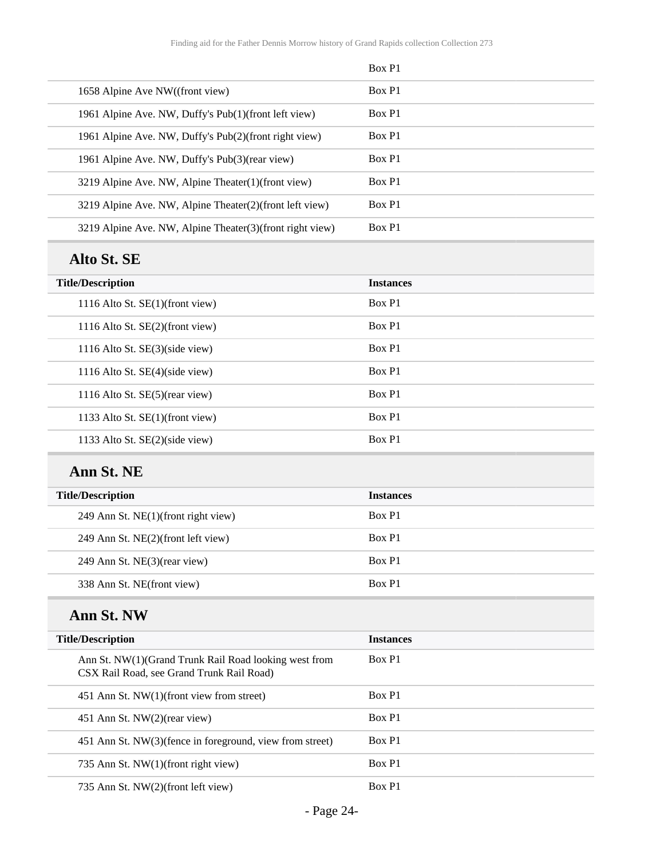|                                                                                                    | Box P1           |
|----------------------------------------------------------------------------------------------------|------------------|
| 1658 Alpine Ave NW((front view)                                                                    | Box P1           |
| 1961 Alpine Ave. NW, Duffy's Pub(1)(front left view)                                               | Box P1           |
| 1961 Alpine Ave. NW, Duffy's Pub(2)(front right view)                                              | Box P1           |
| 1961 Alpine Ave. NW, Duffy's Pub(3)(rear view)                                                     | Box P1           |
| 3219 Alpine Ave. NW, Alpine Theater(1)(front view)                                                 | Box P1           |
| 3219 Alpine Ave. NW, Alpine Theater(2)(front left view)                                            | Box P1           |
| 3219 Alpine Ave. NW, Alpine Theater(3)(front right view)                                           | Box P1           |
| Alto St. SE                                                                                        |                  |
| <b>Title/Description</b>                                                                           | <b>Instances</b> |
| 1116 Alto St. SE(1)(front view)                                                                    | Box P1           |
| 1116 Alto St. SE(2)(front view)                                                                    | Box P1           |
| 1116 Alto St. SE(3)(side view)                                                                     | Box P1           |
| 1116 Alto St. SE(4)(side view)                                                                     | Box P1           |
| 1116 Alto St. SE(5)(rear view)                                                                     | Box P1           |
| 1133 Alto St. SE(1)(front view)                                                                    | Box P1           |
| 1133 Alto St. SE(2)(side view)                                                                     | Box P1           |
| Ann St. NE                                                                                         |                  |
| <b>Title/Description</b>                                                                           | <b>Instances</b> |
| 249 Ann St. NE(1)(front right view)                                                                | Box P1           |
| 249 Ann St. NE(2)(front left view)                                                                 | Box P1           |
| 249 Ann St. NE(3)(rear view)                                                                       | Box P1           |
| 338 Ann St. NE(front view)                                                                         | Box P1           |
| Ann St. NW                                                                                         |                  |
| <b>Title/Description</b>                                                                           | <b>Instances</b> |
| Ann St. NW(1)(Grand Trunk Rail Road looking west from<br>CSX Rail Road, see Grand Trunk Rail Road) | Box P1           |
| 451 Ann St. NW(1)(front view from street)                                                          | Box P1           |
| 451 Ann St. NW(2)(rear view)                                                                       | Box P1           |
| 451 Ann St. NW(3)(fence in foreground, view from street)                                           | Box P1           |
| 735 Ann St. NW(1)(front right view)                                                                | Box P1           |
| 735 Ann St. NW(2)(front left view)                                                                 | Box P1           |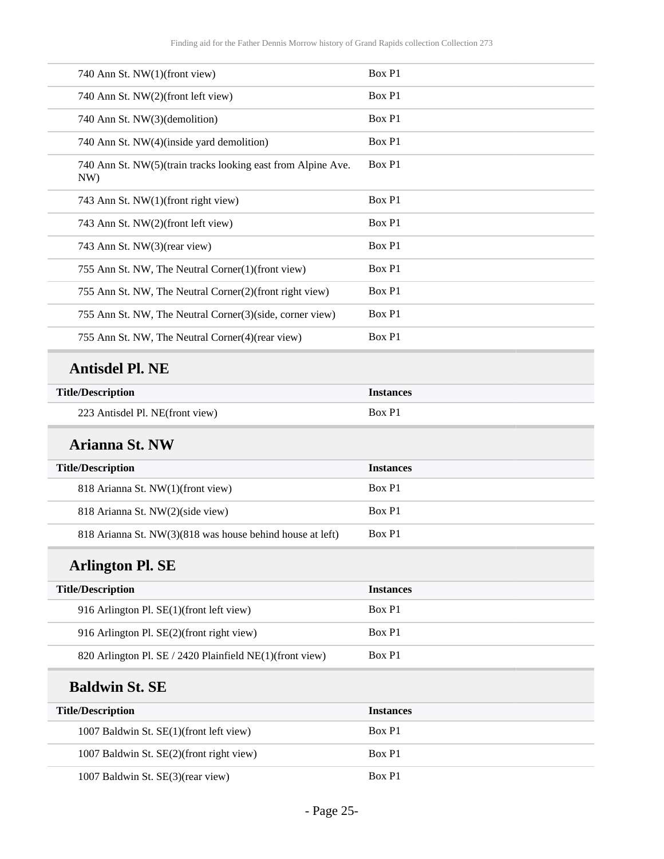| 740 Ann St. NW(1)(front view)                                       | Box P1           |
|---------------------------------------------------------------------|------------------|
| 740 Ann St. NW(2)(front left view)                                  | Box P1           |
| 740 Ann St. NW(3)(demolition)                                       | Box P1           |
| 740 Ann St. NW(4)(inside yard demolition)                           | Box P1           |
| 740 Ann St. NW(5)(train tracks looking east from Alpine Ave.<br>NW) | Box P1           |
| 743 Ann St. NW(1)(front right view)                                 | Box P1           |
| 743 Ann St. NW(2)(front left view)                                  | Box P1           |
| 743 Ann St. NW(3)(rear view)                                        | Box P1           |
| 755 Ann St. NW, The Neutral Corner(1)(front view)                   | Box P1           |
| 755 Ann St. NW, The Neutral Corner(2)(front right view)             | Box P1           |
| 755 Ann St. NW, The Neutral Corner(3)(side, corner view)            | Box P1           |
| 755 Ann St. NW, The Neutral Corner(4)(rear view)                    | Box P1           |
| <b>Antisdel Pl. NE</b>                                              |                  |
| <b>Title/Description</b>                                            | <b>Instances</b> |
| 223 Antisdel Pl. NE(front view)                                     | Box P1           |
| <b>Arianna St. NW</b>                                               |                  |
| <b>Title/Description</b>                                            | <b>Instances</b> |
| 818 Arianna St. NW(1)(front view)                                   | Box P1           |
| 818 Arianna St. NW(2)(side view)                                    | Box P1           |
| 818 Arianna St. NW(3)(818 was house behind house at left)           | Box P1           |
| <b>Arlington Pl. SE</b>                                             |                  |
| <b>Title/Description</b>                                            | <b>Instances</b> |
| 916 Arlington Pl. SE(1)(front left view)                            | Box P1           |
| 916 Arlington Pl. SE(2)(front right view)                           | Box P1           |
| 820 Arlington Pl. SE / 2420 Plainfield NE(1)(front view)            | Box P1           |
| <b>Baldwin St. SE</b>                                               |                  |
| <b>Title/Description</b>                                            | <b>Instances</b> |
| 1007 Baldwin St. SE(1)(front left view)                             | Box P1           |
| 1007 Baldwin St. SE(2)(front right view)                            | Box P1           |
| 1007 Baldwin St. SE(3)(rear view)                                   | Box P1           |
|                                                                     |                  |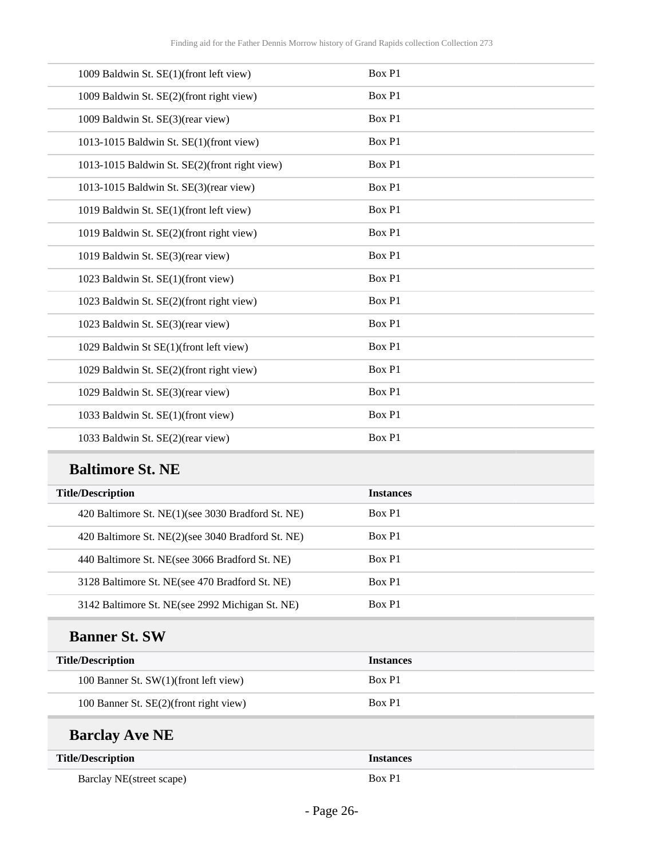| 1009 Baldwin St. SE(1)(front left view)       | Box P1 |
|-----------------------------------------------|--------|
| 1009 Baldwin St. SE(2)(front right view)      | Box P1 |
| 1009 Baldwin St. SE(3)(rear view)             | Box P1 |
| 1013-1015 Baldwin St. SE(1)(front view)       | Box P1 |
| 1013-1015 Baldwin St. SE(2)(front right view) | Box P1 |
| 1013-1015 Baldwin St. SE(3)(rear view)        | Box P1 |
| 1019 Baldwin St. SE(1)(front left view)       | Box P1 |
| 1019 Baldwin St. SE(2)(front right view)      | Box P1 |
| 1019 Baldwin St. SE(3)(rear view)             | Box P1 |
| 1023 Baldwin St. SE(1)(front view)            | Box P1 |
| 1023 Baldwin St. SE(2)(front right view)      | Box P1 |
| 1023 Baldwin St. SE(3)(rear view)             | Box P1 |
| 1029 Baldwin St SE(1)(front left view)        | Box P1 |
| 1029 Baldwin St. SE(2)(front right view)      | Box P1 |
| 1029 Baldwin St. SE(3)(rear view)             | Box P1 |
| 1033 Baldwin St. SE(1)(front view)            | Box P1 |
| 1033 Baldwin St. SE(2)(rear view)             | Box P1 |

## **Baltimore St. NE**

| <b>Title/Description</b>                          | <b>Instances</b> |
|---------------------------------------------------|------------------|
| 420 Baltimore St. NE(1)(see 3030 Bradford St. NE) | Box P1           |
| 420 Baltimore St. NE(2)(see 3040 Bradford St. NE) | Box P1           |
| 440 Baltimore St. NE(see 3066 Bradford St. NE)    | Box P1           |
| 3128 Baltimore St. NE(see 470 Bradford St. NE)    | Box P1           |
| 3142 Baltimore St. NE(see 2992 Michigan St. NE)   | Box P1           |

## **Banner St. SW**

| <b>Title/Description</b>               | <b>Instances</b> |
|----------------------------------------|------------------|
| 100 Banner St. SW(1)(front left view)  | Box P1           |
| 100 Banner St. SE(2)(front right view) | Box P1           |

## **Barclay Ave NE**

| <b>Title/Description</b> | <b>Instances</b> |
|--------------------------|------------------|
| Barclay NE(street scape) | Box P1           |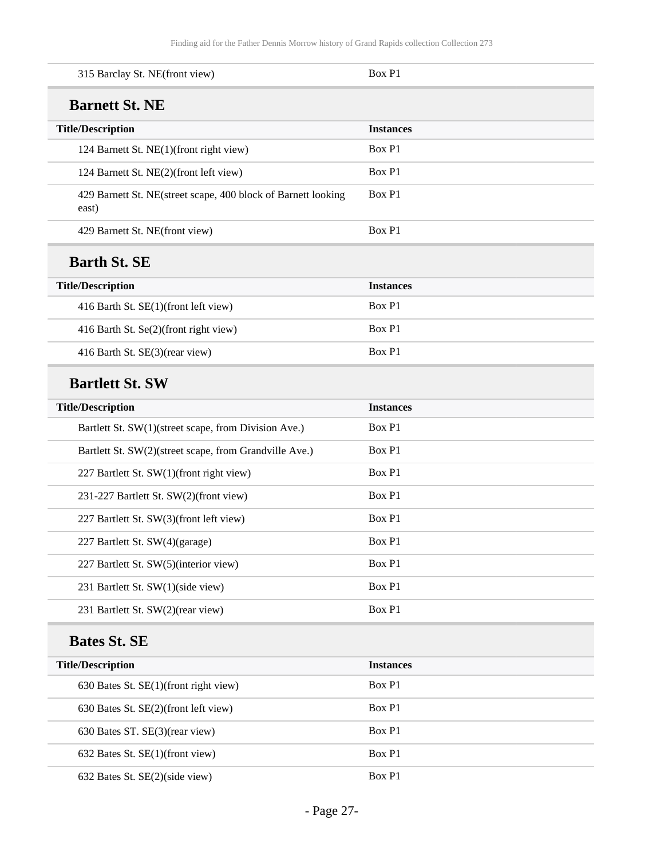| 315 Barclay St. NE(front view)                                         | Box P1           |
|------------------------------------------------------------------------|------------------|
| <b>Barnett St. NE</b>                                                  |                  |
| <b>Title/Description</b>                                               | <b>Instances</b> |
| 124 Barnett St. NE(1)(front right view)                                | Box P1           |
| 124 Barnett St. NE(2)(front left view)                                 | Box P1           |
| 429 Barnett St. NE(street scape, 400 block of Barnett looking<br>east) | Box P1           |
| 429 Barnett St. NE(front view)                                         | Box P1           |
| <b>Barth St. SE</b>                                                    |                  |
| <b>Title/Description</b>                                               | <b>Instances</b> |
| 416 Barth St. SE(1)(front left view)                                   | Box P1           |
| 416 Barth St. Se(2)(front right view)                                  | Box P1           |
| 416 Barth St. SE(3)(rear view)                                         | Box P1           |
| <b>Bartlett St. SW</b>                                                 |                  |
| <b>Title/Description</b>                                               | <b>Instances</b> |
| Bartlett St. SW(1)(street scape, from Division Ave.)                   | Box P1           |
| Bartlett St. SW(2)(street scape, from Grandville Ave.)                 | Box P1           |
| 227 Bartlett St. SW(1)(front right view)                               | Box P1           |
| 231-227 Bartlett St. SW(2)(front view)                                 | Box P1           |
| 227 Bartlett St. SW(3)(front left view)                                | Box P1           |
| 227 Bartlett St. SW(4)(garage)                                         | Box P1           |
| 227 Bartlett St. SW(5)(interior view)                                  | Box P1           |
| 231 Bartlett St. SW(1)(side view)                                      | Box P1           |
| 231 Bartlett St. SW(2)(rear view)                                      | Box P1           |
| <b>Bates St. SE</b>                                                    |                  |
| <b>Title/Description</b>                                               | <b>Instances</b> |
| 630 Bates St. SE(1)(front right view)                                  | Box P1           |
| 630 Bates St. SE(2)(front left view)                                   | Box P1           |
| 630 Bates ST. SE(3)(rear view)                                         | Box P1           |
| 632 Bates St. SE(1)(front view)                                        | Box P1           |
| 632 Bates St. SE(2)(side view)                                         | Box P1           |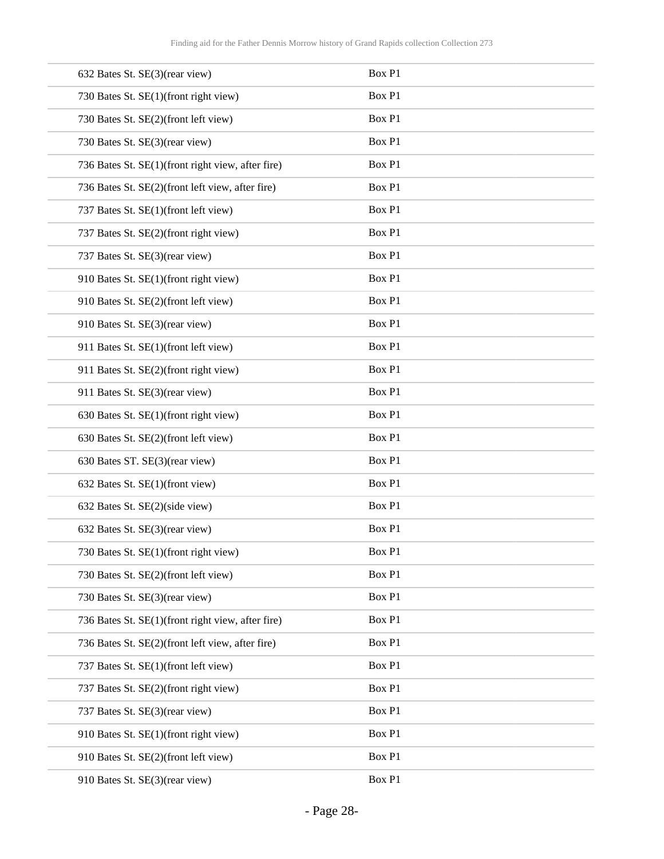| 632 Bates St. SE(3)(rear view)                    | Box P1 |
|---------------------------------------------------|--------|
| 730 Bates St. SE(1)(front right view)             | Box P1 |
| 730 Bates St. SE(2)(front left view)              | Box P1 |
| 730 Bates St. SE(3)(rear view)                    | Box P1 |
| 736 Bates St. SE(1)(front right view, after fire) | Box P1 |
| 736 Bates St. SE(2)(front left view, after fire)  | Box P1 |
| 737 Bates St. SE(1)(front left view)              | Box P1 |
| 737 Bates St. SE(2)(front right view)             | Box P1 |
| 737 Bates St. SE(3)(rear view)                    | Box P1 |
| 910 Bates St. SE(1)(front right view)             | Box P1 |
| 910 Bates St. SE(2)(front left view)              | Box P1 |
| 910 Bates St. SE(3)(rear view)                    | Box P1 |
| 911 Bates St. SE(1)(front left view)              | Box P1 |
| 911 Bates St. SE(2)(front right view)             | Box P1 |
| 911 Bates St. SE(3)(rear view)                    | Box P1 |
| 630 Bates St. SE(1)(front right view)             | Box P1 |
| 630 Bates St. SE(2)(front left view)              | Box P1 |
| 630 Bates ST. SE(3)(rear view)                    | Box P1 |
| 632 Bates St. SE(1)(front view)                   | Box P1 |
| 632 Bates St. SE(2)(side view)                    | Box P1 |
| 632 Bates St. SE(3)(rear view)                    | Box P1 |
| 730 Bates St. SE(1)(front right view)             | Box P1 |
| 730 Bates St. SE(2)(front left view)              | Box P1 |
| 730 Bates St. SE(3)(rear view)                    | Box P1 |
| 736 Bates St. SE(1)(front right view, after fire) | Box P1 |
| 736 Bates St. SE(2)(front left view, after fire)  | Box P1 |
| 737 Bates St. SE(1)(front left view)              | Box P1 |
| 737 Bates St. SE(2)(front right view)             | Box P1 |
| 737 Bates St. SE(3)(rear view)                    | Box P1 |
| 910 Bates St. SE(1)(front right view)             | Box P1 |
| 910 Bates St. SE(2)(front left view)              | Box P1 |
| 910 Bates St. SE(3)(rear view)                    | Box P1 |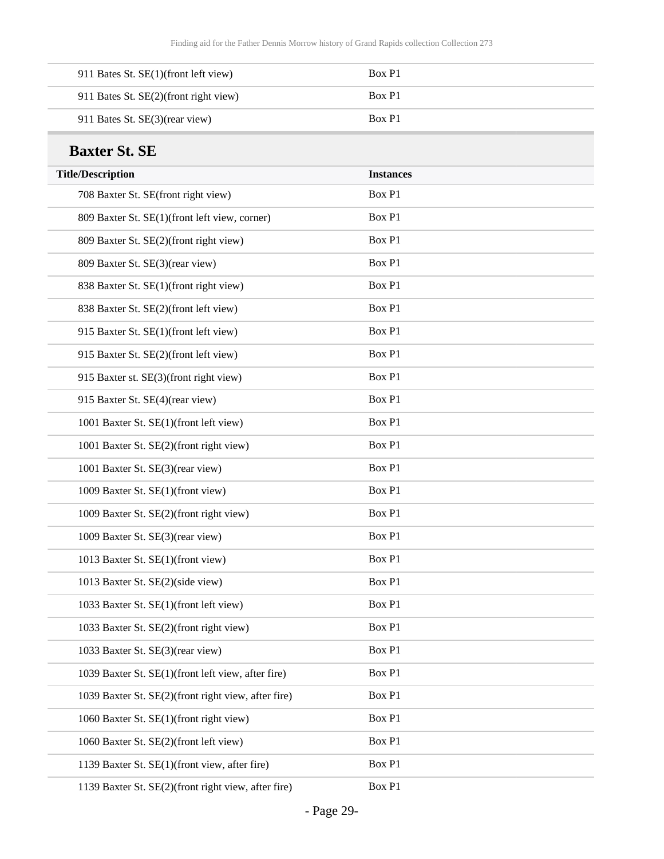| 911 Bates St. SE(1)(front left view)  | Box P1 |
|---------------------------------------|--------|
| 911 Bates St. SE(2)(front right view) | Box P1 |
| 911 Bates St. SE(3)(rear view)        | Box P1 |

## **Baxter St. SE**

| <b>Title/Description</b>                            | <b>Instances</b> |
|-----------------------------------------------------|------------------|
| 708 Baxter St. SE(front right view)                 | Box P1           |
| 809 Baxter St. SE(1)(front left view, corner)       | Box P1           |
| 809 Baxter St. SE(2)(front right view)              | Box P1           |
| 809 Baxter St. SE(3)(rear view)                     | Box P1           |
| 838 Baxter St. SE(1)(front right view)              | Box P1           |
| 838 Baxter St. SE(2)(front left view)               | Box P1           |
| 915 Baxter St. SE(1)(front left view)               | Box P1           |
| 915 Baxter St. SE(2)(front left view)               | Box P1           |
| 915 Baxter st. SE(3)(front right view)              | Box P1           |
| 915 Baxter St. SE(4)(rear view)                     | Box P1           |
| 1001 Baxter St. SE(1)(front left view)              | Box P1           |
| 1001 Baxter St. SE(2)(front right view)             | Box P1           |
| 1001 Baxter St. SE(3)(rear view)                    | Box P1           |
| 1009 Baxter St. SE(1)(front view)                   | Box P1           |
| 1009 Baxter St. SE(2)(front right view)             | Box P1           |
| 1009 Baxter St. SE(3)(rear view)                    | Box P1           |
| 1013 Baxter St. SE(1)(front view)                   | Box P1           |
| 1013 Baxter St. SE(2)(side view)                    | Box P1           |
| 1033 Baxter St. SE(1)(front left view)              | Box P1           |
| 1033 Baxter St. SE(2)(front right view)             | Box P1           |
| 1033 Baxter St. SE(3)(rear view)                    | Box P1           |
| 1039 Baxter St. SE(1)(front left view, after fire)  | Box P1           |
| 1039 Baxter St. SE(2)(front right view, after fire) | Box P1           |
| 1060 Baxter St. SE(1)(front right view)             | Box P1           |
| 1060 Baxter St. SE(2)(front left view)              | Box P1           |
| 1139 Baxter St. SE(1)(front view, after fire)       | Box P1           |
| 1139 Baxter St. SE(2)(front right view, after fire) | Box P1           |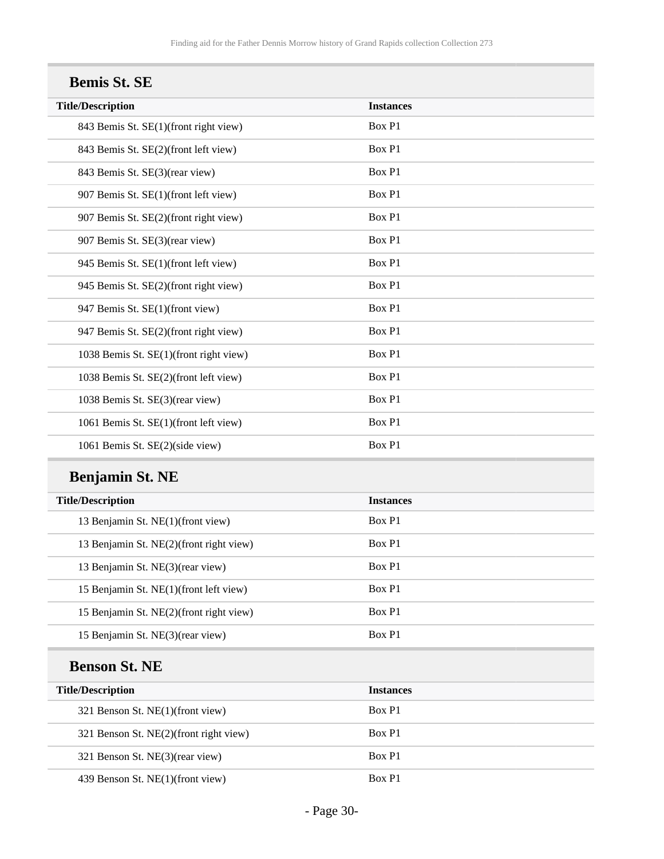| <b>Bemis St. SE</b>                    |                  |  |
|----------------------------------------|------------------|--|
| <b>Title/Description</b>               | <b>Instances</b> |  |
| 843 Bemis St. SE(1)(front right view)  | Box P1           |  |
| 843 Bemis St. SE(2)(front left view)   | Box P1           |  |
| 843 Bemis St. SE(3)(rear view)         | Box P1           |  |
| 907 Bemis St. SE(1)(front left view)   | Box P1           |  |
| 907 Bemis St. SE(2)(front right view)  | Box P1           |  |
| 907 Bemis St. SE(3)(rear view)         | Box P1           |  |
| 945 Bemis St. SE(1)(front left view)   | Box P1           |  |
| 945 Bemis St. SE(2)(front right view)  | Box P1           |  |
| 947 Bemis St. SE(1)(front view)        | Box P1           |  |
| 947 Bemis St. SE(2)(front right view)  | Box P1           |  |
| 1038 Bemis St. SE(1)(front right view) | Box P1           |  |
| 1038 Bemis St. SE(2)(front left view)  | Box P1           |  |
| 1038 Bemis St. SE(3)(rear view)        | Box P1           |  |
| 1061 Bemis St. SE(1)(front left view)  | Box P1           |  |
| 1061 Bemis St. SE(2)(side view)        | Box P1           |  |

## **Benjamin St. NE**

| <b>Title/Description</b>                | <b>Instances</b> |
|-----------------------------------------|------------------|
| 13 Benjamin St. NE(1)(front view)       | Box P1           |
| 13 Benjamin St. NE(2)(front right view) | Box P1           |
| 13 Benjamin St. NE(3)(rear view)        | Box P1           |
| 15 Benjamin St. NE(1)(front left view)  | Box P1           |
| 15 Benjamin St. NE(2)(front right view) | Box P1           |
| 15 Benjamin St. NE(3)(rear view)        | Box P1           |

## **Benson St. NE**

| <b>Title/Description</b> |                                        | <b>Instances</b> |
|--------------------------|----------------------------------------|------------------|
|                          | 321 Benson St. NE(1)(front view)       | Box P1           |
|                          | 321 Benson St. NE(2)(front right view) | Box P1           |
|                          | 321 Benson St. NE(3)(rear view)        | Box P1           |
|                          | 439 Benson St. NE(1)(front view)       | Box P1           |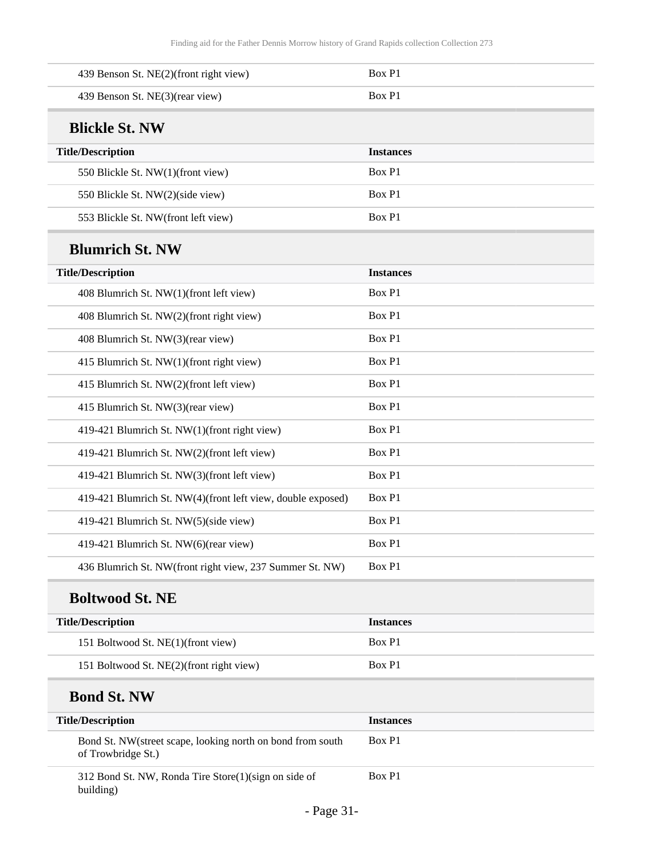| 439 Benson St. NE(2)(front right view)                                           | Box P1           |
|----------------------------------------------------------------------------------|------------------|
| 439 Benson St. NE(3)(rear view)                                                  | Box P1           |
| <b>Blickle St. NW</b>                                                            |                  |
| <b>Title/Description</b>                                                         | <b>Instances</b> |
| 550 Blickle St. NW(1)(front view)                                                | Box P1           |
| 550 Blickle St. NW(2)(side view)                                                 | Box P1           |
| 553 Blickle St. NW(front left view)                                              | Box P1           |
| <b>Blumrich St. NW</b>                                                           |                  |
| <b>Title/Description</b>                                                         | <b>Instances</b> |
| 408 Blumrich St. NW(1)(front left view)                                          | Box P1           |
| 408 Blumrich St. NW(2)(front right view)                                         | Box P1           |
| 408 Blumrich St. NW(3)(rear view)                                                | Box P1           |
| 415 Blumrich St. NW(1)(front right view)                                         | Box P1           |
| 415 Blumrich St. NW(2)(front left view)                                          | Box P1           |
| 415 Blumrich St. NW(3)(rear view)                                                | Box P1           |
| 419-421 Blumrich St. NW(1)(front right view)                                     | Box P1           |
| 419-421 Blumrich St. NW(2)(front left view)                                      | Box P1           |
| 419-421 Blumrich St. NW(3)(front left view)                                      | Box P1           |
| 419-421 Blumrich St. NW(4)(front left view, double exposed)                      | Box P1           |
| 419-421 Blumrich St. NW(5)(side view)                                            | Box P1           |
| 419-421 Blumrich St. NW(6)(rear view)                                            | Box P1           |
| 436 Blumrich St. NW(front right view, 237 Summer St. NW)                         | Box P1           |
| <b>Boltwood St. NE</b>                                                           |                  |
| <b>Title/Description</b>                                                         | <b>Instances</b> |
| 151 Boltwood St. NE(1)(front view)                                               | Box P1           |
| 151 Boltwood St. NE(2)(front right view)                                         | Box P1           |
| <b>Bond St. NW</b>                                                               |                  |
| <b>Title/Description</b>                                                         | <b>Instances</b> |
| Bond St. NW(street scape, looking north on bond from south<br>of Trowbridge St.) | Box P1           |
| 312 Bond St. NW, Ronda Tire Store(1)(sign on side of                             | Box P1           |

building)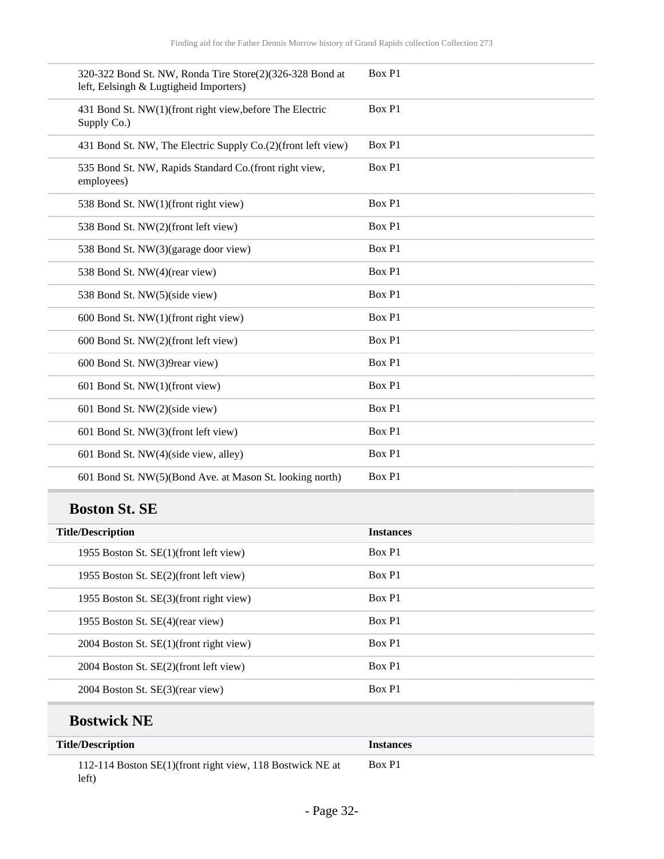| 320-322 Bond St. NW, Ronda Tire Store(2)(326-328 Bond at<br>left, Eelsingh & Lugtigheid Importers) | Box P1 |
|----------------------------------------------------------------------------------------------------|--------|
| 431 Bond St. NW(1)(front right view, before The Electric<br>Supply Co.)                            | Box P1 |
| 431 Bond St. NW, The Electric Supply Co.(2)(front left view)                                       | Box P1 |
| 535 Bond St. NW, Rapids Standard Co.(front right view,<br>employees)                               | Box P1 |
| 538 Bond St. NW(1)(front right view)                                                               | Box P1 |
| 538 Bond St. NW(2)(front left view)                                                                | Box P1 |
| 538 Bond St. NW(3)(garage door view)                                                               | Box P1 |
| 538 Bond St. NW(4)(rear view)                                                                      | Box P1 |
| 538 Bond St. NW(5)(side view)                                                                      | Box P1 |
| 600 Bond St. NW(1)(front right view)                                                               | Box P1 |
| 600 Bond St. NW(2)(front left view)                                                                | Box P1 |
| 600 Bond St. NW(3)9rear view)                                                                      | Box P1 |
| 601 Bond St. NW(1)(front view)                                                                     | Box P1 |
| 601 Bond St. NW(2)(side view)                                                                      | Box P1 |
| 601 Bond St. NW(3)(front left view)                                                                | Box P1 |
| 601 Bond St. NW(4)(side view, alley)                                                               | Box P1 |
| 601 Bond St. NW(5)(Bond Ave. at Mason St. looking north)                                           | Box P1 |
|                                                                                                    |        |

## **Boston St. SE**

| <b>Title/Description</b>                | <b>Instances</b> |
|-----------------------------------------|------------------|
| 1955 Boston St. SE(1)(front left view)  | Box P1           |
| 1955 Boston St. SE(2)(front left view)  | Box P1           |
| 1955 Boston St. SE(3)(front right view) | Box P1           |
| 1955 Boston St. SE(4)(rear view)        | Box P1           |
| 2004 Boston St. SE(1)(front right view) | Box P1           |
| 2004 Boston St. SE(2)(front left view)  | Box P1           |
| 2004 Boston St. SE(3)(rear view)        | Box P1           |
|                                         |                  |

## **Bostwick NE**

| <b>Title/Description</b>                                           | <b>Instances</b> |
|--------------------------------------------------------------------|------------------|
| 112-114 Boston SE(1)(front right view, 118 Bostwick NE at<br>left) | Box P1           |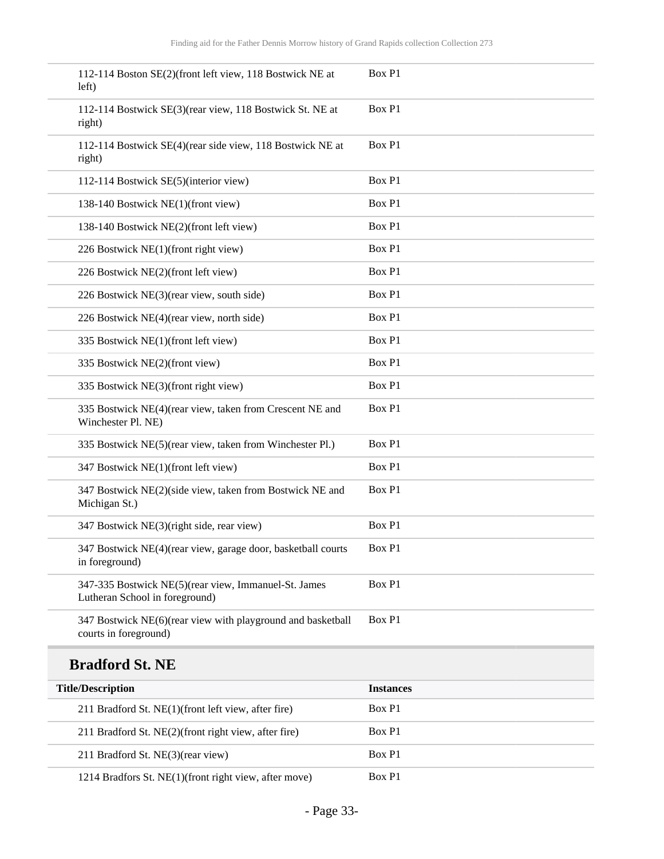| 112-114 Boston SE(2)(front left view, 118 Bostwick NE at<br>left)                      | Box P1           |
|----------------------------------------------------------------------------------------|------------------|
| 112-114 Bostwick SE(3)(rear view, 118 Bostwick St. NE at<br>right)                     | Box P1           |
| 112-114 Bostwick SE(4)(rear side view, 118 Bostwick NE at<br>right)                    | Box P1           |
| 112-114 Bostwick SE(5)(interior view)                                                  | Box P1           |
| 138-140 Bostwick NE(1)(front view)                                                     | Box P1           |
| 138-140 Bostwick NE(2)(front left view)                                                | Box P1           |
| 226 Bostwick NE(1)(front right view)                                                   | Box P1           |
| 226 Bostwick NE(2)(front left view)                                                    | Box P1           |
| 226 Bostwick NE(3)(rear view, south side)                                              | Box P1           |
| 226 Bostwick NE(4)(rear view, north side)                                              | Box P1           |
| 335 Bostwick NE(1)(front left view)                                                    | Box P1           |
| 335 Bostwick NE(2)(front view)                                                         | Box P1           |
| 335 Bostwick NE(3)(front right view)                                                   | Box P1           |
| 335 Bostwick NE(4)(rear view, taken from Crescent NE and<br>Winchester Pl. NE)         | Box P1           |
| 335 Bostwick NE(5)(rear view, taken from Winchester Pl.)                               | Box P1           |
| 347 Bostwick NE(1)(front left view)                                                    | Box P1           |
| 347 Bostwick NE(2)(side view, taken from Bostwick NE and<br>Michigan St.)              | Box P1           |
| 347 Bostwick NE(3)(right side, rear view)                                              | Box P1           |
| 347 Bostwick NE(4)(rear view, garage door, basketball courts<br>in foreground)         | Box P1           |
| 347-335 Bostwick NE(5)(rear view, Immanuel-St. James<br>Lutheran School in foreground) | Box P1           |
| 347 Bostwick NE(6)(rear view with playground and basketball<br>courts in foreground)   | Box P1           |
| <b>Bradford St. NE</b>                                                                 |                  |
| <b>Title/Description</b>                                                               | <b>Instances</b> |

| <b>Title/Description</b>                              | <b>Instances</b> |
|-------------------------------------------------------|------------------|
| 211 Bradford St. NE(1)(front left view, after fire)   | Box P1           |
| 211 Bradford St. NE(2)(front right view, after fire)  | Box P1           |
| 211 Bradford St. NE(3)(rear view)                     | Box P1           |
| 1214 Bradfors St. NE(1)(front right view, after move) | Box P1           |

 $\overline{\phantom{a}}$ 

 $\overline{\phantom{a}}$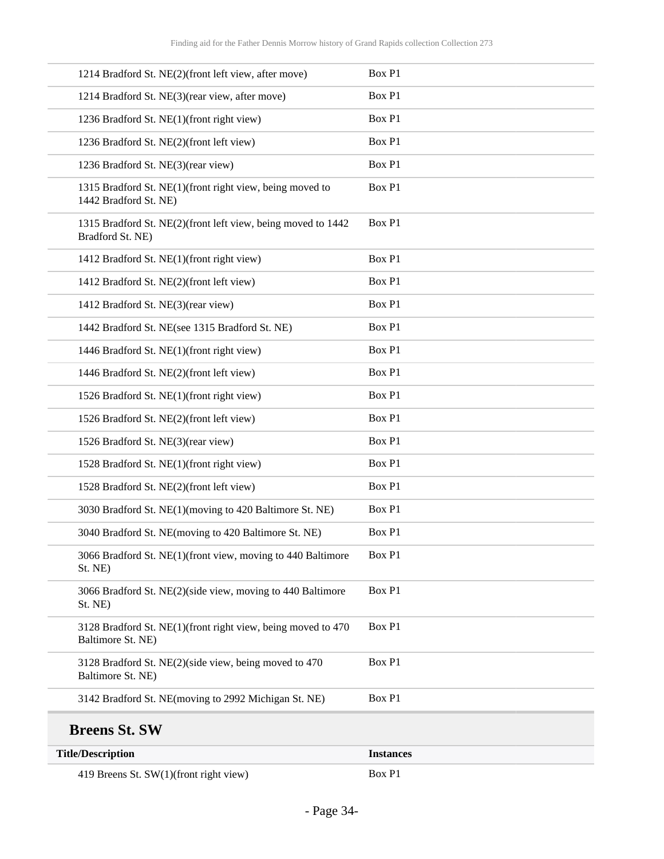| 1214 Bradford St. NE(2)(front left view, after move)                              | Box P1           |
|-----------------------------------------------------------------------------------|------------------|
| 1214 Bradford St. NE(3)(rear view, after move)                                    | Box P1           |
| 1236 Bradford St. NE(1)(front right view)                                         | Box P1           |
| 1236 Bradford St. NE(2)(front left view)                                          | Box P1           |
| 1236 Bradford St. NE(3)(rear view)                                                | Box P1           |
| 1315 Bradford St. NE(1)(front right view, being moved to<br>1442 Bradford St. NE) | Box P1           |
| 1315 Bradford St. NE(2)(front left view, being moved to 1442<br>Bradford St. NE)  | Box P1           |
| 1412 Bradford St. NE(1)(front right view)                                         | Box P1           |
| 1412 Bradford St. NE(2)(front left view)                                          | Box P1           |
| 1412 Bradford St. NE(3)(rear view)                                                | Box P1           |
| 1442 Bradford St. NE(see 1315 Bradford St. NE)                                    | Box P1           |
| 1446 Bradford St. NE(1)(front right view)                                         | Box P1           |
| 1446 Bradford St. NE(2)(front left view)                                          | Box P1           |
| 1526 Bradford St. NE(1)(front right view)                                         | Box P1           |
| 1526 Bradford St. NE(2)(front left view)                                          | Box P1           |
| 1526 Bradford St. NE(3)(rear view)                                                | Box P1           |
| 1528 Bradford St. NE(1)(front right view)                                         | Box P1           |
| 1528 Bradford St. NE(2)(front left view)                                          | Box P1           |
| 3030 Bradford St. NE(1)(moving to 420 Baltimore St. NE)                           | Box P1           |
| 3040 Bradford St. NE(moving to 420 Baltimore St. NE)                              | Box P1           |
| 3066 Bradford St. NE(1)(front view, moving to 440 Baltimore<br>St. NE)            | Box P1           |
| 3066 Bradford St. NE(2)(side view, moving to 440 Baltimore<br>St. NE)             | Box P1           |
| 3128 Bradford St. NE(1)(front right view, being moved to 470<br>Baltimore St. NE) | Box P1           |
| 3128 Bradford St. NE(2)(side view, being moved to 470<br>Baltimore St. NE)        | Box P1           |
| 3142 Bradford St. NE(moving to 2992 Michigan St. NE)                              | Box P1           |
| <b>Breens St. SW</b>                                                              |                  |
| <b>Title/Description</b>                                                          | <b>Instances</b> |
| 419 Breens St. SW(1)(front right view)                                            | Box P1           |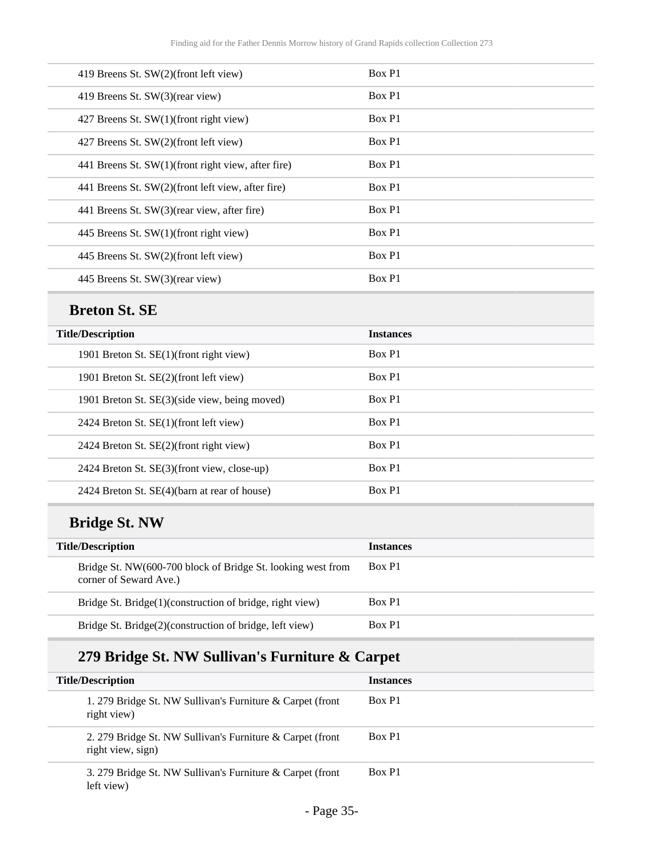| 419 Breens St. SW(2)(front left view)              | Box P1 |
|----------------------------------------------------|--------|
| 419 Breens St. SW(3)(rear view)                    | Box P1 |
| 427 Breens St. SW(1)(front right view)             | Box P1 |
| 427 Breens St. SW(2)(front left view)              | Box P1 |
| 441 Breens St. SW(1)(front right view, after fire) | Box P1 |
| 441 Breens St. SW(2)(front left view, after fire)  | Box P1 |
| 441 Breens St. SW(3)(rear view, after fire)        | Box P1 |
| 445 Breens St. SW(1)(front right view)             | Box P1 |
| 445 Breens St. SW(2)(front left view)              | Box P1 |
| 445 Breens St. SW(3)(rear view)                    | Box P1 |

### **Breton St. SE**

| <b>Title/Description</b>                      | <b>Instances</b> |
|-----------------------------------------------|------------------|
| 1901 Breton St. SE(1)(front right view)       | Box P1           |
| 1901 Breton St. SE(2)(front left view)        | Box P1           |
| 1901 Breton St. SE(3)(side view, being moved) | Box P1           |
| 2424 Breton St. SE(1)(front left view)        | Box P1           |
| 2424 Breton St. SE(2)(front right view)       | Box P1           |
| 2424 Breton St. SE(3)(front view, close-up)   | Box P1           |
| 2424 Breton St. SE(4)(barn at rear of house)  | Box P1           |

## **Bridge St. NW**

| <b>Title/Description</b>                                                              | <b>Instances</b> |
|---------------------------------------------------------------------------------------|------------------|
| Bridge St. NW(600-700 block of Bridge St. looking west from<br>corner of Seward Ave.) | Box P1           |
| Bridge St. Bridge(1)(construction of bridge, right view)                              | Box P1           |
| Bridge St. Bridge(2)(construction of bridge, left view)                               | Box P1           |

## **279 Bridge St. NW Sullivan's Furniture & Carpet**

| <b>Title/Description</b>                                                       | <b>Instances</b> |
|--------------------------------------------------------------------------------|------------------|
| 1. 279 Bridge St. NW Sullivan's Furniture & Carpet (front<br>right view)       | Box P1           |
| 2. 279 Bridge St. NW Sullivan's Furniture & Carpet (front<br>right view, sign) | Box P1           |
| 3. 279 Bridge St. NW Sullivan's Furniture & Carpet (front<br>left view)        | Box P1           |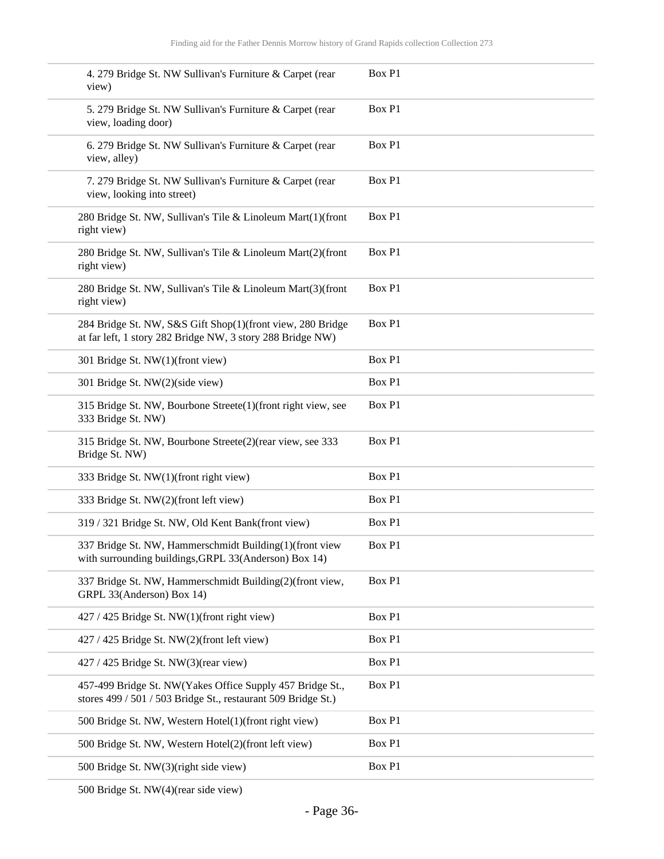| 4. 279 Bridge St. NW Sullivan's Furniture & Carpet (rear<br>view)                                                          | Box P1 |
|----------------------------------------------------------------------------------------------------------------------------|--------|
| 5. 279 Bridge St. NW Sullivan's Furniture & Carpet (rear<br>view, loading door)                                            | Box P1 |
| 6. 279 Bridge St. NW Sullivan's Furniture & Carpet (rear<br>view, alley)                                                   | Box P1 |
| 7. 279 Bridge St. NW Sullivan's Furniture & Carpet (rear<br>view, looking into street)                                     | Box P1 |
| 280 Bridge St. NW, Sullivan's Tile & Linoleum Mart(1)(front<br>right view)                                                 | Box P1 |
| 280 Bridge St. NW, Sullivan's Tile & Linoleum Mart(2)(front<br>right view)                                                 | Box P1 |
| 280 Bridge St. NW, Sullivan's Tile & Linoleum Mart(3)(front<br>right view)                                                 | Box P1 |
| 284 Bridge St. NW, S&S Gift Shop(1)(front view, 280 Bridge<br>at far left, 1 story 282 Bridge NW, 3 story 288 Bridge NW)   | Box P1 |
| 301 Bridge St. NW(1)(front view)                                                                                           | Box P1 |
| 301 Bridge St. NW(2)(side view)                                                                                            | Box P1 |
| 315 Bridge St. NW, Bourbone Streete(1)(front right view, see<br>333 Bridge St. NW)                                         | Box P1 |
| 315 Bridge St. NW, Bourbone Streete(2)(rear view, see 333<br>Bridge St. NW)                                                | Box P1 |
| 333 Bridge St. NW(1)(front right view)                                                                                     | Box P1 |
| 333 Bridge St. NW(2)(front left view)                                                                                      | Box P1 |
| 319 / 321 Bridge St. NW, Old Kent Bank(front view)                                                                         | Box P1 |
| 337 Bridge St. NW. Hammerschmidt Building(1) (front view<br>with surrounding buildings, GRPL 33(Anderson) Box 14)          | Box P1 |
| 337 Bridge St. NW, Hammerschmidt Building(2)(front view,<br>GRPL 33(Anderson) Box 14)                                      | Box P1 |
| 427 / 425 Bridge St. NW(1)(front right view)                                                                               | Box P1 |
| 427 / 425 Bridge St. NW(2)(front left view)                                                                                | Box P1 |
| $427 / 425$ Bridge St. NW(3)(rear view)                                                                                    | Box P1 |
| 457-499 Bridge St. NW(Yakes Office Supply 457 Bridge St.,<br>stores 499 / 501 / 503 Bridge St., restaurant 509 Bridge St.) | Box P1 |
| 500 Bridge St. NW, Western Hotel(1)(front right view)                                                                      | Box P1 |
| 500 Bridge St. NW, Western Hotel(2)(front left view)                                                                       | Box P1 |
| 500 Bridge St. NW(3)(right side view)                                                                                      | Box P1 |
|                                                                                                                            |        |

500 Bridge St. NW(4)(rear side view)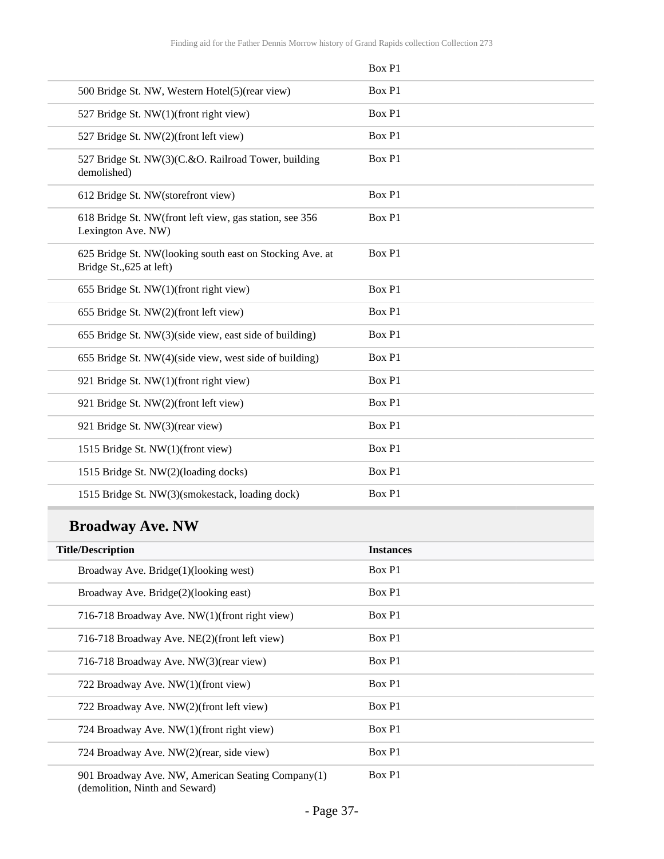|                                                                                      | Box P1 |
|--------------------------------------------------------------------------------------|--------|
| 500 Bridge St. NW, Western Hotel(5)(rear view)                                       | Box P1 |
| 527 Bridge St. NW(1)(front right view)                                               | Box P1 |
| 527 Bridge St. NW(2)(front left view)                                                | Box P1 |
| 527 Bridge St. NW(3)(C.&O. Railroad Tower, building<br>demolished)                   | Box P1 |
| 612 Bridge St. NW(storefront view)                                                   | Box P1 |
| 618 Bridge St. NW(front left view, gas station, see 356<br>Lexington Ave. NW)        | Box P1 |
| 625 Bridge St. NW(looking south east on Stocking Ave. at<br>Bridge St., 625 at left) | Box P1 |
| 655 Bridge St. NW(1)(front right view)                                               | Box P1 |
| 655 Bridge St. NW(2)(front left view)                                                | Box P1 |
| 655 Bridge St. NW(3)(side view, east side of building)                               | Box P1 |
| 655 Bridge St. NW(4)(side view, west side of building)                               | Box P1 |
| 921 Bridge St. NW(1)(front right view)                                               | Box P1 |
| 921 Bridge St. NW(2)(front left view)                                                | Box P1 |
| 921 Bridge St. NW(3)(rear view)                                                      | Box P1 |
| 1515 Bridge St. NW(1)(front view)                                                    | Box P1 |
| 1515 Bridge St. NW(2)(loading docks)                                                 | Box P1 |
| 1515 Bridge St. NW(3)(smokestack, loading dock)                                      | Box P1 |

# **Broadway Ave. NW**

| <b>Title/Description</b>                                                            | <b>Instances</b> |
|-------------------------------------------------------------------------------------|------------------|
| Broadway Ave. Bridge(1)(looking west)                                               | Box P1           |
| Broadway Ave. Bridge(2)(looking east)                                               | Box P1           |
| 716-718 Broadway Ave. NW(1)(front right view)                                       | Box P1           |
| 716-718 Broadway Ave. NE(2)(front left view)                                        | Box P1           |
| 716-718 Broadway Ave. NW(3)(rear view)                                              | Box P1           |
| 722 Broadway Ave. NW(1)(front view)                                                 | Box P1           |
| 722 Broadway Ave. NW(2)(front left view)                                            | Box P1           |
| 724 Broadway Ave. NW(1)(front right view)                                           | Box P1           |
| 724 Broadway Ave. NW(2)(rear, side view)                                            | Box P1           |
| 901 Broadway Ave. NW, American Seating Company(1)<br>(demolition, Ninth and Seward) | Box P1           |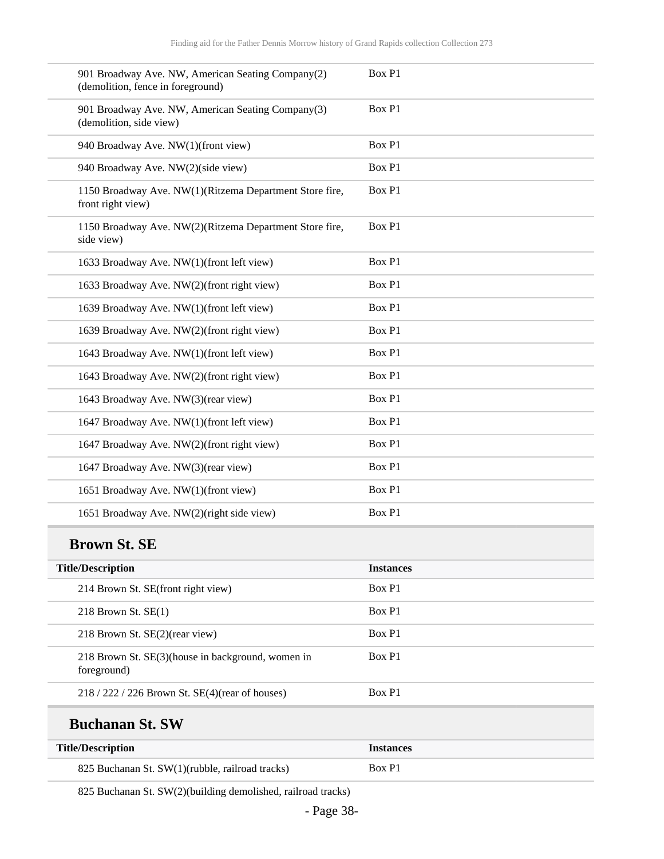| 901 Broadway Ave. NW, American Seating Company(2)<br>(demolition, fence in foreground) | Box P1 |
|----------------------------------------------------------------------------------------|--------|
| 901 Broadway Ave. NW, American Seating Company(3)<br>(demolition, side view)           | Box P1 |
| 940 Broadway Ave. NW(1)(front view)                                                    | Box P1 |
| 940 Broadway Ave. NW(2)(side view)                                                     | Box P1 |
| 1150 Broadway Ave. NW(1)(Ritzema Department Store fire,<br>front right view)           | Box P1 |
| 1150 Broadway Ave. NW(2)(Ritzema Department Store fire,<br>side view)                  | Box P1 |
| 1633 Broadway Ave. NW(1)(front left view)                                              | Box P1 |
| 1633 Broadway Ave. NW(2)(front right view)                                             | Box P1 |
| 1639 Broadway Ave. NW(1)(front left view)                                              | Box P1 |
| 1639 Broadway Ave. NW(2)(front right view)                                             | Box P1 |
| 1643 Broadway Ave. NW(1)(front left view)                                              | Box P1 |
| 1643 Broadway Ave. NW(2)(front right view)                                             | Box P1 |
| 1643 Broadway Ave. NW(3)(rear view)                                                    | Box P1 |
| 1647 Broadway Ave. NW(1)(front left view)                                              | Box P1 |
| 1647 Broadway Ave. NW(2)(front right view)                                             | Box P1 |
| 1647 Broadway Ave. NW(3)(rear view)                                                    | Box P1 |
| 1651 Broadway Ave. NW(1)(front view)                                                   | Box P1 |
| 1651 Broadway Ave. NW(2)(right side view)                                              | Box P1 |
|                                                                                        |        |

#### **Brown St. SE**

| <b>Title/Description</b> |                                                   | <b>Instances</b> |
|--------------------------|---------------------------------------------------|------------------|
|                          | 214 Brown St. SE(front right view)                | Box P1           |
| 218 Brown St. $SE(1)$    |                                                   | Box P1           |
|                          | 218 Brown St. SE(2)(rear view)                    | Box P1           |
| foreground)              | 218 Brown St. SE(3)(house in background, women in | Box P1           |
|                          | $218 / 222 / 226$ Brown St. SE(4)(rear of houses) | Box P1           |

### **Buchanan St. SW**

| <b>Title/Description</b>                        | <i><u><b>Instances</b></u></i> |
|-------------------------------------------------|--------------------------------|
| 825 Buchanan St. SW(1)(rubble, railroad tracks) | Box P1                         |

825 Buchanan St. SW(2)(building demolished, railroad tracks)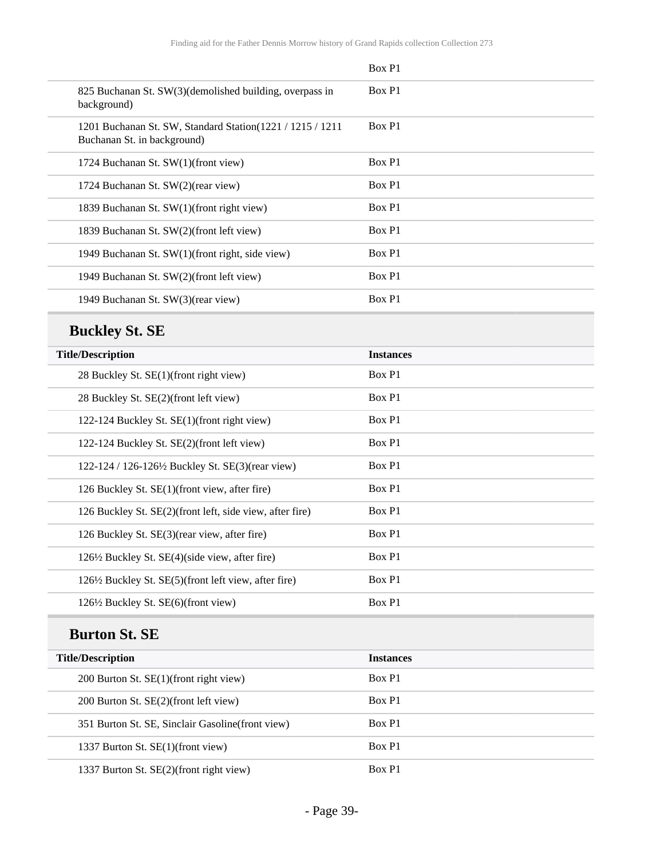|                                                                                            | Box P1 |
|--------------------------------------------------------------------------------------------|--------|
| 825 Buchanan St. SW(3)(demolished building, overpass in<br>background)                     | Box P1 |
| 1201 Buchanan St. SW, Standard Station (1221 / 1215 / 1211)<br>Buchanan St. in background) | Box P1 |
| 1724 Buchanan St. SW(1)(front view)                                                        | Box P1 |
| 1724 Buchanan St. SW(2)(rear view)                                                         | Box P1 |
| 1839 Buchanan St. SW(1)(front right view)                                                  | Box P1 |
| 1839 Buchanan St. SW(2)(front left view)                                                   | Box P1 |
| 1949 Buchanan St. SW(1)(front right, side view)                                            | Box P1 |
| 1949 Buchanan St. SW(2)(front left view)                                                   | Box P1 |
| 1949 Buchanan St. SW(3)(rear view)                                                         | Box P1 |

## **Buckley St. SE**

| <b>Title/Description</b>                                 | <b>Instances</b> |
|----------------------------------------------------------|------------------|
| 28 Buckley St. SE(1)(front right view)                   | Box P1           |
| 28 Buckley St. SE(2)(front left view)                    | Box P1           |
| 122-124 Buckley St. SE(1)(front right view)              | Box P1           |
| 122-124 Buckley St. SE(2)(front left view)               | Box P1           |
| 122-124 / 126-126½ Buckley St. SE(3)(rear view)          | Box P1           |
| 126 Buckley St. SE(1)(front view, after fire)            | Box P1           |
| 126 Buckley St. SE(2)(front left, side view, after fire) | Box P1           |
| 126 Buckley St. SE(3) (rear view, after fire)            | Box P1           |
| 126½ Buckley St. SE(4)(side view, after fire)            | Box P1           |
| 126½ Buckley St. SE(5)(front left view, after fire)      | Box P1           |
| 126½ Buckley St. SE(6)(front view)                       | Box P1           |

## **Burton St. SE**

| <b>Title/Description</b>                          | <b>Instances</b> |
|---------------------------------------------------|------------------|
| 200 Burton St. SE(1)(front right view)            | Box P1           |
| 200 Burton St. SE(2)(front left view)             | Box P1           |
| 351 Burton St. SE, Sinclair Gasoline (front view) | Box P1           |
| 1337 Burton St. SE(1)(front view)                 | Box P1           |
| 1337 Burton St. SE(2)(front right view)           | Box P1           |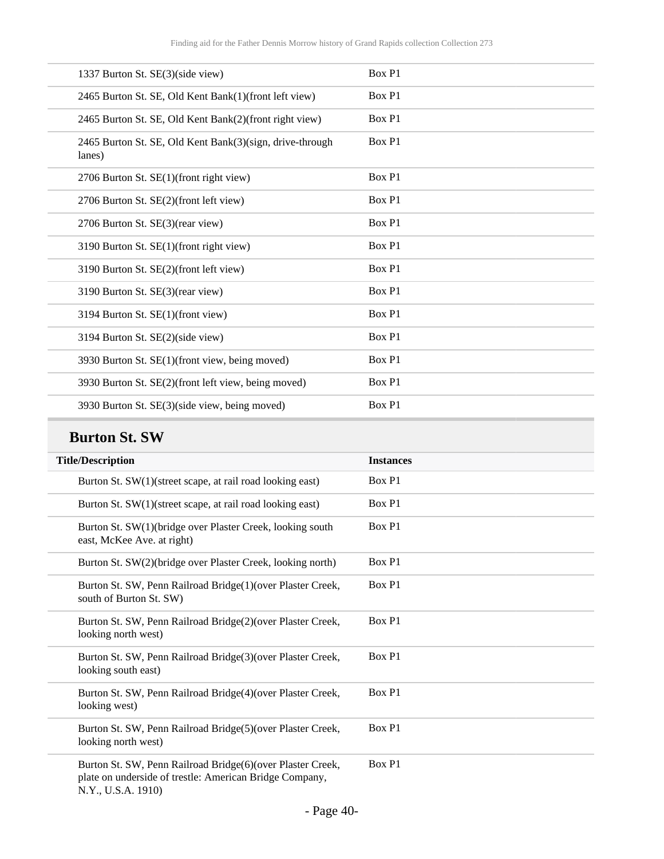| 1337 Burton St. SE(3)(side view)                                   | Box P1 |
|--------------------------------------------------------------------|--------|
| 2465 Burton St. SE, Old Kent Bank(1)(front left view)              | Box P1 |
| 2465 Burton St. SE, Old Kent Bank(2)(front right view)             | Box P1 |
| 2465 Burton St. SE, Old Kent Bank(3)(sign, drive-through<br>lanes) | Box P1 |
| 2706 Burton St. SE(1)(front right view)                            | Box P1 |
| 2706 Burton St. SE(2)(front left view)                             | Box P1 |
| 2706 Burton St. SE(3)(rear view)                                   | Box P1 |
| 3190 Burton St. SE(1)(front right view)                            | Box P1 |
| 3190 Burton St. SE(2)(front left view)                             | Box P1 |
| 3190 Burton St. SE(3)(rear view)                                   | Box P1 |
| 3194 Burton St. SE(1)(front view)                                  | Box P1 |
| 3194 Burton St. SE(2)(side view)                                   | Box P1 |
| 3930 Burton St. SE(1)(front view, being moved)                     | Box P1 |
| 3930 Burton St. SE(2)(front left view, being moved)                | Box P1 |
| 3930 Burton St. SE(3)(side view, being moved)                      | Box P1 |

### **Burton St. SW**

| <b>Title/Description</b>                                                                                                                    | <b>Instances</b> |
|---------------------------------------------------------------------------------------------------------------------------------------------|------------------|
| Burton St. SW(1)(street scape, at rail road looking east)                                                                                   | Box P1           |
| Burton St. SW(1)(street scape, at rail road looking east)                                                                                   | Box P1           |
| Burton St. SW(1)(bridge over Plaster Creek, looking south<br>east, McKee Ave. at right)                                                     | Box P1           |
| Burton St. SW(2)(bridge over Plaster Creek, looking north)                                                                                  | Box P1           |
| Burton St. SW, Penn Railroad Bridge(1)(over Plaster Creek,<br>south of Burton St. SW)                                                       | Box P1           |
| Burton St. SW, Penn Railroad Bridge(2)(over Plaster Creek,<br>looking north west)                                                           | Box P1           |
| Burton St. SW, Penn Railroad Bridge(3)(over Plaster Creek,<br>looking south east)                                                           | Box P1           |
| Burton St. SW, Penn Railroad Bridge(4)(over Plaster Creek,<br>looking west)                                                                 | Box P1           |
| Burton St. SW, Penn Railroad Bridge(5)(over Plaster Creek,<br>looking north west)                                                           | Box P1           |
| Burton St. SW, Penn Railroad Bridge(6)(over Plaster Creek,<br>plate on underside of trestle: American Bridge Company,<br>N.Y., U.S.A. 1910) | Box P1           |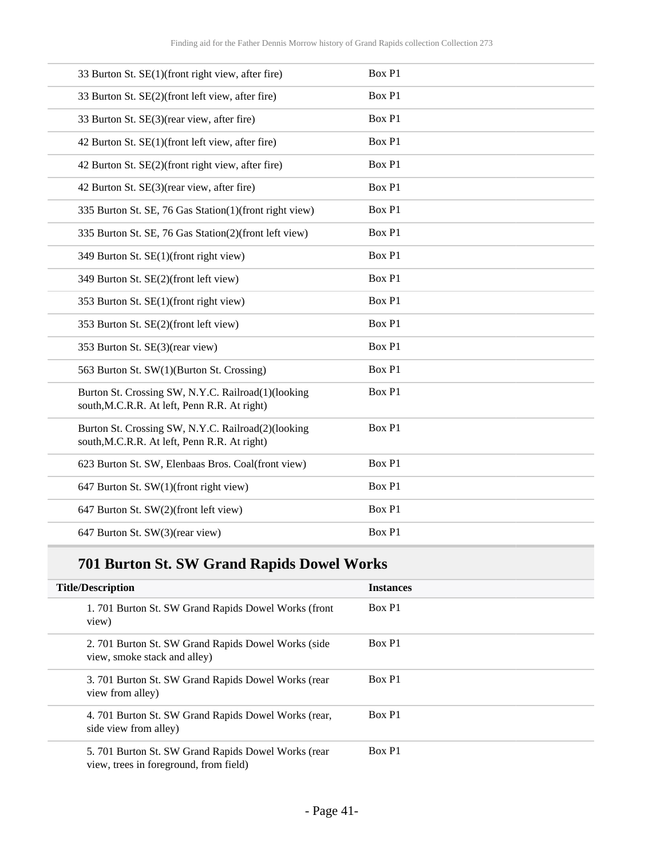| 33 Burton St. SE(1)(front right view, after fire)                                                  | Box P1 |
|----------------------------------------------------------------------------------------------------|--------|
| 33 Burton St. SE(2)(front left view, after fire)                                                   | Box P1 |
| 33 Burton St. SE(3)(rear view, after fire)                                                         | Box P1 |
| 42 Burton St. SE(1)(front left view, after fire)                                                   | Box P1 |
| 42 Burton St. SE(2)(front right view, after fire)                                                  | Box P1 |
| 42 Burton St. SE(3)(rear view, after fire)                                                         | Box P1 |
| 335 Burton St. SE, 76 Gas Station(1)(front right view)                                             | Box P1 |
| 335 Burton St. SE, 76 Gas Station(2)(front left view)                                              | Box P1 |
| 349 Burton St. SE(1)(front right view)                                                             | Box P1 |
| 349 Burton St. SE(2)(front left view)                                                              | Box P1 |
| 353 Burton St. SE(1)(front right view)                                                             | Box P1 |
| 353 Burton St. SE(2)(front left view)                                                              | Box P1 |
| 353 Burton St. SE(3)(rear view)                                                                    | Box P1 |
| 563 Burton St. SW(1)(Burton St. Crossing)                                                          | Box P1 |
| Burton St. Crossing SW, N.Y.C. Railroad(1)(looking<br>south, M.C.R.R. At left, Penn R.R. At right) | Box P1 |
| Burton St. Crossing SW, N.Y.C. Railroad(2)(looking<br>south, M.C.R.R. At left, Penn R.R. At right) | Box P1 |
| 623 Burton St. SW, Elenbaas Bros. Coal(front view)                                                 | Box P1 |
| 647 Burton St. SW(1)(front right view)                                                             | Box P1 |
| 647 Burton St. SW(2)(front left view)                                                              | Box P1 |
| 647 Burton St. SW(3)(rear view)                                                                    | Box P1 |

# **701 Burton St. SW Grand Rapids Dowel Works**

| <b>Title/Description</b>                                                                      | <b>Instances</b> |
|-----------------------------------------------------------------------------------------------|------------------|
| 1.701 Burton St. SW Grand Rapids Dowel Works (front<br>view)                                  | Box P1           |
| 2. 701 Burton St. SW Grand Rapids Dowel Works (side<br>view, smoke stack and alley)           | Box P1           |
| 3.701 Burton St. SW Grand Rapids Dowel Works (rear)<br>view from alley)                       | Box P1           |
| 4. 701 Burton St. SW Grand Rapids Dowel Works (rear,<br>side view from alley)                 | Box P1           |
| 5. 701 Burton St. SW Grand Rapids Dowel Works (rear<br>view, trees in foreground, from field) | Box P1           |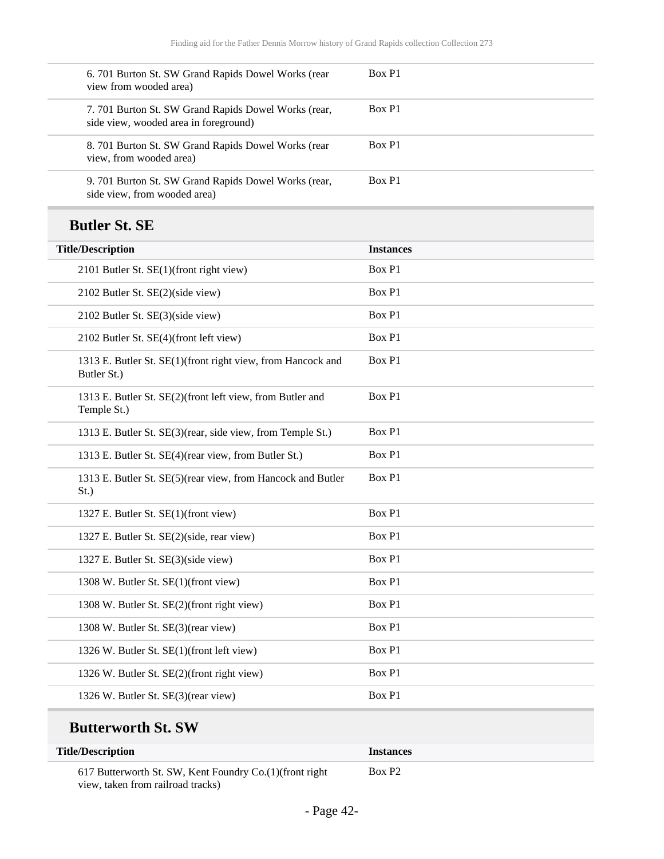| 6. 701 Burton St. SW Grand Rapids Dowel Works (rear<br>view from wooded area)                 | Box P1           |
|-----------------------------------------------------------------------------------------------|------------------|
| 7. 701 Burton St. SW Grand Rapids Dowel Works (rear,<br>side view, wooded area in foreground) | Box P1           |
| 8. 701 Burton St. SW Grand Rapids Dowel Works (rear<br>view, from wooded area)                | Box P1           |
| 9. 701 Burton St. SW Grand Rapids Dowel Works (rear,<br>side view, from wooded area)          | Box P1           |
| <b>Butler St. SE</b>                                                                          |                  |
| <b>Title/Description</b>                                                                      | <b>Instances</b> |
| 2101 Butler St. SE(1)(front right view)                                                       | Box P1           |
| 2102 Butler St. SE(2)(side view)                                                              | Box P1           |
| 2102 Butler St. SE(3)(side view)                                                              | Box P1           |
| 2102 Butler St. SE(4)(front left view)                                                        | Box P1           |
| 1313 E. Butler St. SE(1)(front right view, from Hancock and<br>Butler St.)                    | Box P1           |
| 1313 E. Butler St. SE(2)(front left view, from Butler and<br>Temple St.)                      | Box P1           |
| 1313 E. Butler St. SE(3)(rear, side view, from Temple St.)                                    | Box P1           |
| 1313 E. Butler St. SE(4)(rear view, from Butler St.)                                          | Box P1           |
| 1313 E. Butler St. SE(5)(rear view, from Hancock and Butler<br>St.)                           | Box P1           |
| 1327 E. Butler St. SE(1)(front view)                                                          | Box P1           |
| 1327 E. Butler St. SE(2)(side, rear view)                                                     | Box P1           |
| 1327 E. Butler St. SE(3)(side view)                                                           | Box P1           |
| 1308 W. Butler St. SE(1)(front view)                                                          | Box P1           |
| 1308 W. Butler St. SE(2)(front right view)                                                    | Box P1           |
| 1308 W. Butler St. SE(3)(rear view)                                                           | Box P1           |
| 1326 W. Butler St. SE(1)(front left view)                                                     | Box P1           |
| 1326 W. Butler St. SE(2)(front right view)                                                    | Box P1           |
| 1326 W. Butler St. SE(3)(rear view)                                                           | Box P1           |

| <b>Title/Description</b>                                                                       | <b>Instances</b> |  |
|------------------------------------------------------------------------------------------------|------------------|--|
| 617 Butterworth St. SW, Kent Foundry Co. (1) (front right<br>view, taken from railroad tracks) | Box P2           |  |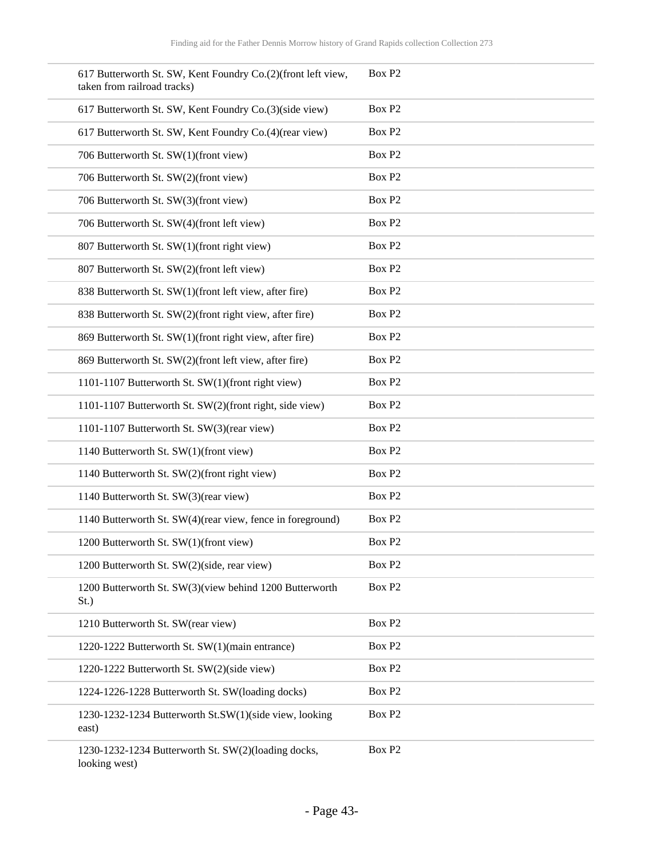| 617 Butterworth St. SW, Kent Foundry Co.(2)(front left view,<br>taken from railroad tracks) | Box P <sub>2</sub> |
|---------------------------------------------------------------------------------------------|--------------------|
| 617 Butterworth St. SW, Kent Foundry Co.(3)(side view)                                      | Box P <sub>2</sub> |
| 617 Butterworth St. SW, Kent Foundry Co.(4)(rear view)                                      | Box P2             |
| 706 Butterworth St. SW(1)(front view)                                                       | Box P2             |
| 706 Butterworth St. SW(2)(front view)                                                       | Box P <sub>2</sub> |
| 706 Butterworth St. SW(3)(front view)                                                       | Box P2             |
| 706 Butterworth St. SW(4)(front left view)                                                  | Box P2             |
| 807 Butterworth St. SW(1)(front right view)                                                 | Box P2             |
| 807 Butterworth St. SW(2)(front left view)                                                  | Box P <sub>2</sub> |
| 838 Butterworth St. SW(1)(front left view, after fire)                                      | Box P <sub>2</sub> |
| 838 Butterworth St. SW(2)(front right view, after fire)                                     | Box P <sub>2</sub> |
| 869 Butterworth St. SW(1)(front right view, after fire)                                     | Box P <sub>2</sub> |
| 869 Butterworth St. SW(2)(front left view, after fire)                                      | Box P <sub>2</sub> |
| 1101-1107 Butterworth St. SW(1)(front right view)                                           | Box P <sub>2</sub> |
| 1101-1107 Butterworth St. SW(2)(front right, side view)                                     | Box P <sub>2</sub> |
| 1101-1107 Butterworth St. SW(3)(rear view)                                                  | Box P2             |
| 1140 Butterworth St. SW(1)(front view)                                                      | Box P <sub>2</sub> |
| 1140 Butterworth St. SW(2)(front right view)                                                | Box P <sub>2</sub> |
| 1140 Butterworth St. SW(3)(rear view)                                                       | Box P2             |
| 1140 Butterworth St. SW(4)(rear view, fence in foreground)                                  | Box P2             |
| 1200 Butterworth St. SW(1)(front view)                                                      | Box P <sub>2</sub> |
| 1200 Butterworth St. SW(2)(side, rear view)                                                 | Box P2             |
| 1200 Butterworth St. SW(3)(view behind 1200 Butterworth<br>$St.$ )                          | Box P2             |
| 1210 Butterworth St. SW(rear view)                                                          | Box P2             |
| 1220-1222 Butterworth St. SW(1)(main entrance)                                              | Box P <sub>2</sub> |
| 1220-1222 Butterworth St. SW(2)(side view)                                                  | Box P <sub>2</sub> |
| 1224-1226-1228 Butterworth St. SW(loading docks)                                            | Box P <sub>2</sub> |
| 1230-1232-1234 Butterworth St.SW(1)(side view, looking<br>east)                             | Box P <sub>2</sub> |
| 1230-1232-1234 Butterworth St. SW(2)(loading docks,<br>looking west)                        | Box P <sub>2</sub> |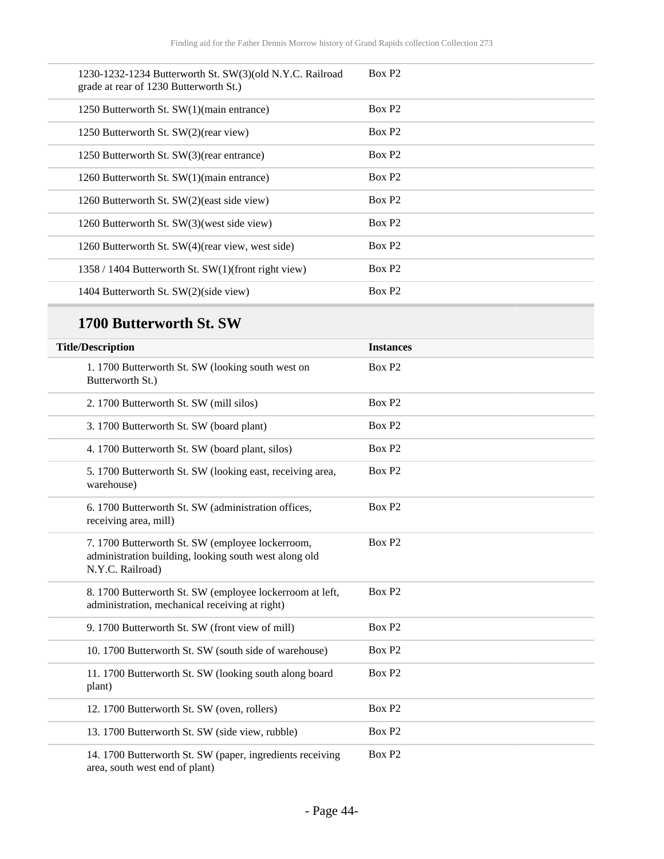| 1230-1232-1234 Butterworth St. SW(3)(old N.Y.C. Railroad<br>grade at rear of 1230 Butterworth St.) | Box P <sub>2</sub> |
|----------------------------------------------------------------------------------------------------|--------------------|
| 1250 Butterworth St. SW(1)(main entrance)                                                          | Box P <sub>2</sub> |
| 1250 Butterworth St. SW(2)(rear view)                                                              | Box P <sub>2</sub> |
| 1250 Butterworth St. SW(3)(rear entrance)                                                          | Box P <sub>2</sub> |
| 1260 Butterworth St. SW(1)(main entrance)                                                          | Box P <sub>2</sub> |
| 1260 Butterworth St. SW(2)(east side view)                                                         | Box P <sub>2</sub> |
| 1260 Butterworth St. SW(3) (west side view)                                                        | Box P <sub>2</sub> |
| 1260 Butterworth St. SW(4)(rear view, west side)                                                   | Box P <sub>2</sub> |
| 1358 / 1404 Butterworth St. SW(1)(front right view)                                                | Box P <sub>2</sub> |
| 1404 Butterworth St. SW(2)(side view)                                                              | Box P <sub>2</sub> |

| <b>Title/Description</b>                                                                                                      | <b>Instances</b>   |
|-------------------------------------------------------------------------------------------------------------------------------|--------------------|
| 1.1700 Butterworth St. SW (looking south west on<br>Butterworth St.)                                                          | Box P <sub>2</sub> |
| 2. 1700 Butterworth St. SW (mill silos)                                                                                       | Box P <sub>2</sub> |
| 3. 1700 Butterworth St. SW (board plant)                                                                                      | Box P <sub>2</sub> |
| 4. 1700 Butterworth St. SW (board plant, silos)                                                                               | Box P <sub>2</sub> |
| 5. 1700 Butterworth St. SW (looking east, receiving area,<br>warehouse)                                                       | Box P <sub>2</sub> |
| 6. 1700 Butterworth St. SW (administration offices,<br>receiving area, mill)                                                  | Box P <sub>2</sub> |
| 7. 1700 Butterworth St. SW (employee lockerroom,<br>administration building, looking south west along old<br>N.Y.C. Railroad) | Box P <sub>2</sub> |
| 8. 1700 Butterworth St. SW (employee lockerroom at left,<br>administration, mechanical receiving at right)                    | Box P <sub>2</sub> |
| 9. 1700 Butterworth St. SW (front view of mill)                                                                               | Box P <sub>2</sub> |
| 10. 1700 Butterworth St. SW (south side of warehouse)                                                                         | Box P <sub>2</sub> |
| 11. 1700 Butterworth St. SW (looking south along board<br>plant)                                                              | Box P2             |
| 12. 1700 Butterworth St. SW (oven, rollers)                                                                                   | Box P <sub>2</sub> |
| 13. 1700 Butterworth St. SW (side view, rubble)                                                                               | Box P <sub>2</sub> |
| 14. 1700 Butterworth St. SW (paper, ingredients receiving<br>area, south west end of plant)                                   | Box P <sub>2</sub> |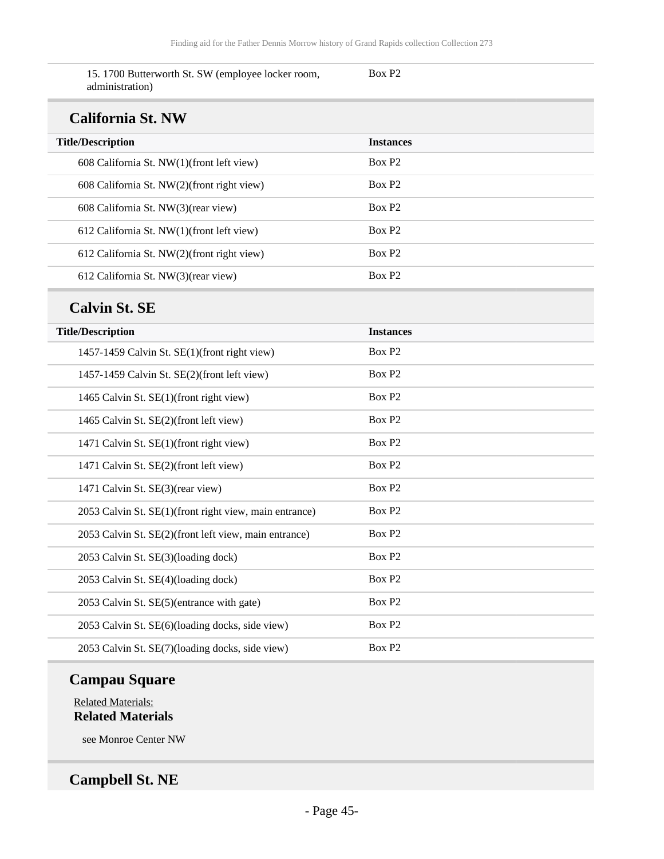Box P2

15. 1700 Butterworth St. SW (employee locker room, administration)

#### **California St. NW**

| Camulma Divitivi                           |                    |
|--------------------------------------------|--------------------|
| <b>Title/Description</b>                   | <b>Instances</b>   |
| 608 California St. NW(1)(front left view)  | Box P <sub>2</sub> |
| 608 California St. NW(2)(front right view) | Box P <sub>2</sub> |
| 608 California St. NW(3)(rear view)        | Box P <sub>2</sub> |
| 612 California St. NW(1)(front left view)  | Box P <sub>2</sub> |
| 612 California St. NW(2)(front right view) | Box P <sub>2</sub> |
| 612 California St. NW(3)(rear view)        | Box P <sub>2</sub> |

#### **Calvin St. SE**

| <b>Title/Description</b>                               | <b>Instances</b>   |
|--------------------------------------------------------|--------------------|
| 1457-1459 Calvin St. SE(1)(front right view)           | Box P <sub>2</sub> |
| 1457-1459 Calvin St. SE(2)(front left view)            | Box P <sub>2</sub> |
| 1465 Calvin St. SE(1)(front right view)                | Box P <sub>2</sub> |
| 1465 Calvin St. SE(2)(front left view)                 | Box P <sub>2</sub> |
| 1471 Calvin St. SE(1)(front right view)                | Box P <sub>2</sub> |
| 1471 Calvin St. SE(2)(front left view)                 | Box P <sub>2</sub> |
| 1471 Calvin St. SE(3)(rear view)                       | Box P <sub>2</sub> |
| 2053 Calvin St. SE(1)(front right view, main entrance) | Box P <sub>2</sub> |
| 2053 Calvin St. SE(2)(front left view, main entrance)  | Box P <sub>2</sub> |
| 2053 Calvin St. SE(3)(loading dock)                    | Box P <sub>2</sub> |
| 2053 Calvin St. SE(4)(loading dock)                    | Box P <sub>2</sub> |
| 2053 Calvin St. SE(5)(entrance with gate)              | Box P <sub>2</sub> |
| 2053 Calvin St. SE(6)(loading docks, side view)        | Box P <sub>2</sub> |
| 2053 Calvin St. SE(7)(loading docks, side view)        | Box P <sub>2</sub> |

### **Campau Square**

Related Materials: **Related Materials**

see Monroe Center NW

### **Campbell St. NE**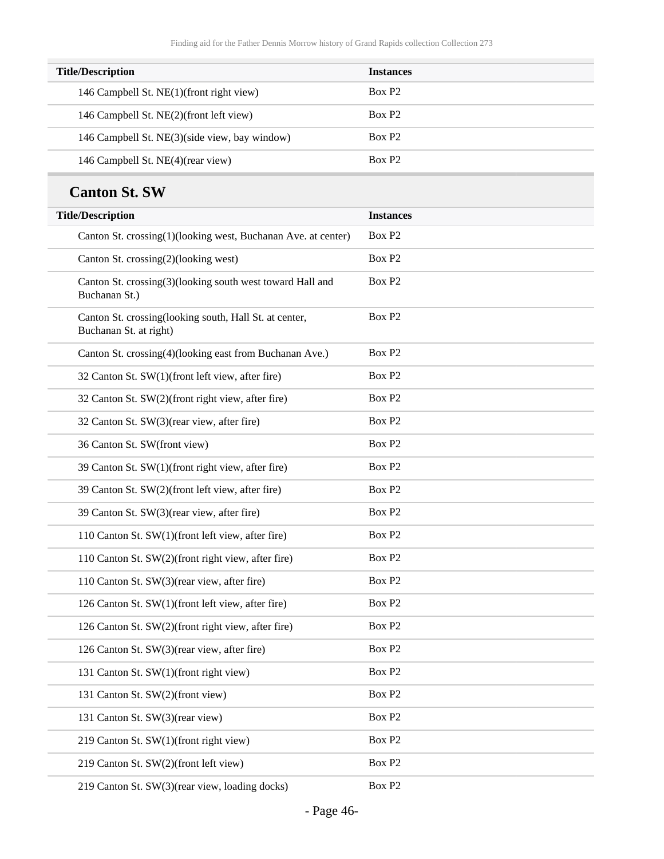| <b>Title/Description</b>                      | <b>Instances</b>   |
|-----------------------------------------------|--------------------|
| 146 Campbell St. NE(1)(front right view)      | Box P <sub>2</sub> |
| 146 Campbell St. NE(2)(front left view)       | Box P <sub>2</sub> |
| 146 Campbell St. NE(3)(side view, bay window) | Box P <sub>2</sub> |
| 146 Campbell St. NE(4)(rear view)             | Box P <sub>2</sub> |

### **Canton St. SW**

| <b>Title/Description</b>                                                         | <b>Instances</b>   |
|----------------------------------------------------------------------------------|--------------------|
| Canton St. crossing(1)(looking west, Buchanan Ave. at center)                    | Box P <sub>2</sub> |
| Canton St. crossing(2)(looking west)                                             | Box P <sub>2</sub> |
| Canton St. crossing(3)(looking south west toward Hall and<br>Buchanan St.)       | Box P <sub>2</sub> |
| Canton St. crossing(looking south, Hall St. at center,<br>Buchanan St. at right) | Box P <sub>2</sub> |
| Canton St. crossing(4)(looking east from Buchanan Ave.)                          | Box P <sub>2</sub> |
| 32 Canton St. SW(1)(front left view, after fire)                                 | Box P <sub>2</sub> |
| 32 Canton St. SW(2)(front right view, after fire)                                | Box P <sub>2</sub> |
| 32 Canton St. SW(3)(rear view, after fire)                                       | Box P <sub>2</sub> |
| 36 Canton St. SW(front view)                                                     | Box P <sub>2</sub> |
| 39 Canton St. SW(1)(front right view, after fire)                                | Box P <sub>2</sub> |
| 39 Canton St. SW(2)(front left view, after fire)                                 | Box P <sub>2</sub> |
| 39 Canton St. SW(3)(rear view, after fire)                                       | Box P <sub>2</sub> |
| 110 Canton St. SW(1)(front left view, after fire)                                | Box P <sub>2</sub> |
| 110 Canton St. SW(2)(front right view, after fire)                               | Box P <sub>2</sub> |
| 110 Canton St. SW(3)(rear view, after fire)                                      | Box P <sub>2</sub> |
| 126 Canton St. SW(1)(front left view, after fire)                                | Box P <sub>2</sub> |
| 126 Canton St. SW(2)(front right view, after fire)                               | Box P <sub>2</sub> |
| 126 Canton St. SW(3)(rear view, after fire)                                      | Box P <sub>2</sub> |
| 131 Canton St. SW(1)(front right view)                                           | Box P <sub>2</sub> |
| 131 Canton St. SW(2)(front view)                                                 | Box P <sub>2</sub> |
| 131 Canton St. SW(3)(rear view)                                                  | Box P2             |
| 219 Canton St. SW(1)(front right view)                                           | Box P <sub>2</sub> |
| 219 Canton St. SW(2)(front left view)                                            | Box P <sub>2</sub> |
| 219 Canton St. SW(3)(rear view, loading docks)                                   | Box P2             |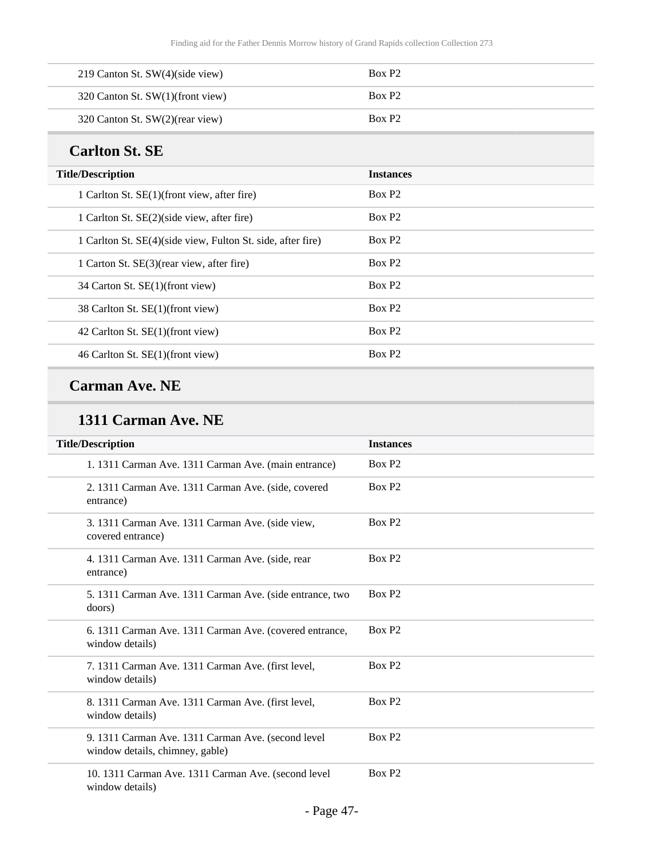| 219 Canton St. SW(4)(side view)  | Box P <sub>2</sub> |
|----------------------------------|--------------------|
| 320 Canton St. SW(1)(front view) | Box P <sub>2</sub> |
| 320 Canton St. SW(2)(rear view)  | Box P <sub>2</sub> |

### **Carlton St. SE**

| <b>Title/Description</b>                                    | <b>Instances</b>   |
|-------------------------------------------------------------|--------------------|
| 1 Carlton St. SE(1)(front view, after fire)                 | Box P <sub>2</sub> |
| 1 Carlton St. SE(2)(side view, after fire)                  | Box P <sub>2</sub> |
| 1 Carlton St. SE(4)(side view, Fulton St. side, after fire) | Box P <sub>2</sub> |
| 1 Carton St. SE(3)(rear view, after fire)                   | Box P <sub>2</sub> |
| 34 Carton St. SE(1)(front view)                             | Box P <sub>2</sub> |
| 38 Carlton St. SE(1)(front view)                            | Box P <sub>2</sub> |
| 42 Carlton St. SE(1)(front view)                            | Box P <sub>2</sub> |
| 46 Carlton St. SE(1)(front view)                            | Box P <sub>2</sub> |

## **Carman Ave. NE**

#### **1311 Carman Ave. NE**

| <b>Title/Description</b>                                                              | <b>Instances</b>   |
|---------------------------------------------------------------------------------------|--------------------|
| 1. 1311 Carman Ave. 1311 Carman Ave. (main entrance)                                  | Box P <sub>2</sub> |
| 2. 1311 Carman Ave. 1311 Carman Ave. (side, covered<br>entrance)                      | Box P <sub>2</sub> |
| 3. 1311 Carman Ave. 1311 Carman Ave. (side view,<br>covered entrance)                 | Box P <sub>2</sub> |
| 4. 1311 Carman Ave. 1311 Carman Ave. (side, rear<br>entrance)                         | Box P <sub>2</sub> |
| 5. 1311 Carman Ave. 1311 Carman Ave. (side entrance, two<br>doors)                    | Box P <sub>2</sub> |
| 6. 1311 Carman Ave. 1311 Carman Ave. (covered entrance,<br>window details)            | Box P <sub>2</sub> |
| 7. 1311 Carman Ave. 1311 Carman Ave. (first level,<br>window details)                 | Box P <sub>2</sub> |
| 8. 1311 Carman Ave. 1311 Carman Ave. (first level,<br>window details)                 | Box P <sub>2</sub> |
| 9. 1311 Carman Ave. 1311 Carman Ave. (second level<br>window details, chimney, gable) | Box P <sub>2</sub> |
| 10. 1311 Carman Ave. 1311 Carman Ave. (second level<br>window details)                | Box P <sub>2</sub> |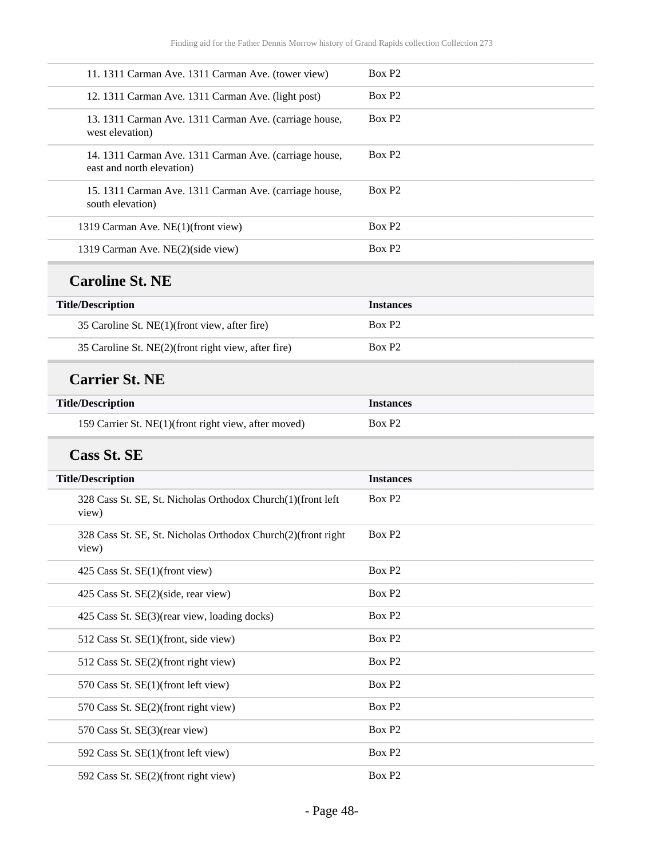| 11. 1311 Carman Ave. 1311 Carman Ave. (tower view)                                  | Box P <sub>2</sub> |
|-------------------------------------------------------------------------------------|--------------------|
| 12. 1311 Carman Ave. 1311 Carman Ave. (light post)                                  | Box P <sub>2</sub> |
| 13. 1311 Carman Ave. 1311 Carman Ave. (carriage house,<br>west elevation)           | Box P <sub>2</sub> |
| 14. 1311 Carman Ave. 1311 Carman Ave. (carriage house,<br>east and north elevation) | Box P <sub>2</sub> |
| 15. 1311 Carman Ave. 1311 Carman Ave. (carriage house,<br>south elevation)          | Box P <sub>2</sub> |
| 1319 Carman Ave. NE(1)(front view)                                                  | Box P <sub>2</sub> |
| 1319 Carman Ave. NE(2)(side view)                                                   | Box P <sub>2</sub> |
| <b>Caroline St. NE</b>                                                              |                    |
| <b>Title/Description</b>                                                            | <b>Instances</b>   |
| 35 Caroline St. NE(1)(front view, after fire)                                       | Box P <sub>2</sub> |
| 35 Caroline St. NE(2)(front right view, after fire)                                 | Box P2             |
| <b>Carrier St. NE</b>                                                               |                    |
| <b>Title/Description</b>                                                            | <b>Instances</b>   |
| 159 Carrier St. NE(1)(front right view, after moved)                                | Box P <sub>2</sub> |
| <b>Cass St. SE</b>                                                                  |                    |
| <b>Title/Description</b>                                                            | <b>Instances</b>   |
| 328 Cass St. SE, St. Nicholas Orthodox Church(1)(front left<br>view)                | Box P <sub>2</sub> |
| 328 Cass St. SE, St. Nicholas Orthodox Church(2)(front right<br>view)               | Box P <sub>2</sub> |
| 425 Cass St. SE(1)(front view)                                                      | Box P <sub>2</sub> |
| 425 Cass St. SE(2)(side, rear view)                                                 | Box P <sub>2</sub> |
| 425 Cass St. SE(3)(rear view, loading docks)                                        | Box P <sub>2</sub> |
| 512 Cass St. SE(1)(front, side view)                                                | Box P <sub>2</sub> |
| 512 Cass St. SE(2)(front right view)                                                | Box P <sub>2</sub> |
| 570 Cass St. SE(1)(front left view)                                                 | Box P <sub>2</sub> |
| 570 Cass St. SE(2)(front right view)                                                | Box P <sub>2</sub> |
| 570 Cass St. SE(3)(rear view)                                                       | Box P <sub>2</sub> |
| 592 Cass St. SE(1)(front left view)                                                 | Box P <sub>2</sub> |
| 592 Cass St. SE(2)(front right view)                                                | Box P2             |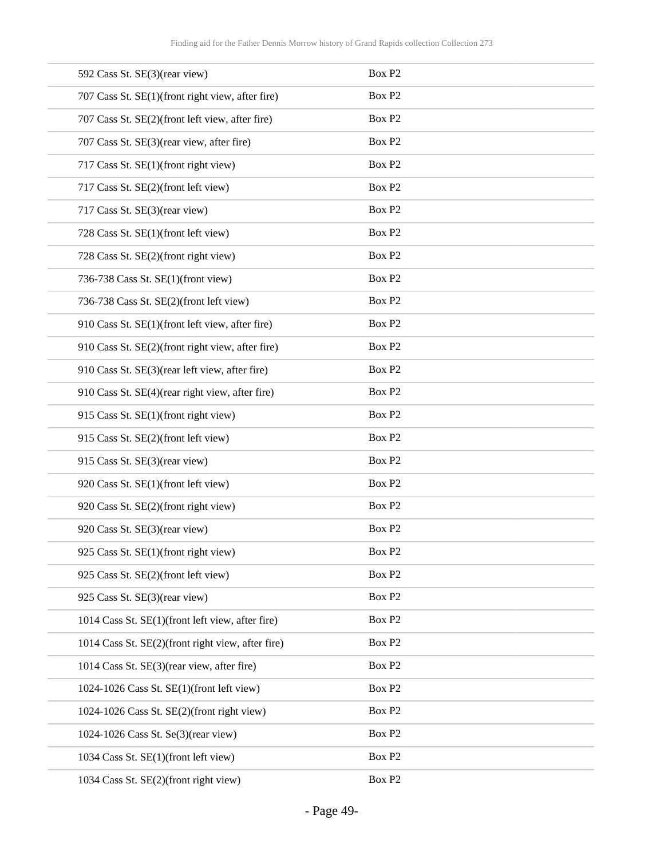| 592 Cass St. SE(3)(rear view)                     | Box P <sub>2</sub> |
|---------------------------------------------------|--------------------|
| 707 Cass St. SE(1)(front right view, after fire)  | Box P <sub>2</sub> |
| 707 Cass St. SE(2)(front left view, after fire)   | Box P <sub>2</sub> |
| 707 Cass St. SE(3)(rear view, after fire)         | Box P <sub>2</sub> |
| 717 Cass St. SE(1)(front right view)              | Box P <sub>2</sub> |
| 717 Cass St. SE(2)(front left view)               | Box P <sub>2</sub> |
| 717 Cass St. SE(3)(rear view)                     | Box P2             |
| 728 Cass St. SE(1)(front left view)               | Box P <sub>2</sub> |
| 728 Cass St. SE(2)(front right view)              | Box P <sub>2</sub> |
| 736-738 Cass St. SE(1)(front view)                | Box P <sub>2</sub> |
| 736-738 Cass St. SE(2)(front left view)           | Box P <sub>2</sub> |
| 910 Cass St. SE(1)(front left view, after fire)   | Box P <sub>2</sub> |
| 910 Cass St. SE(2)(front right view, after fire)  | Box P <sub>2</sub> |
| 910 Cass St. SE(3)(rear left view, after fire)    | Box P <sub>2</sub> |
| 910 Cass St. SE(4)(rear right view, after fire)   | Box P <sub>2</sub> |
| 915 Cass St. SE(1)(front right view)              | Box P <sub>2</sub> |
| 915 Cass St. SE(2)(front left view)               | Box P <sub>2</sub> |
| 915 Cass St. SE(3)(rear view)                     | Box P <sub>2</sub> |
| 920 Cass St. SE(1)(front left view)               | Box P <sub>2</sub> |
| 920 Cass St. SE(2)(front right view)              | Box P <sub>2</sub> |
| 920 Cass St. SE(3)(rear view)                     | Box P2             |
| 925 Cass St. SE(1)(front right view)              | Box P <sub>2</sub> |
| 925 Cass St. SE(2)(front left view)               | Box P <sub>2</sub> |
| 925 Cass St. SE(3)(rear view)                     | Box P <sub>2</sub> |
| 1014 Cass St. SE(1)(front left view, after fire)  | Box P <sub>2</sub> |
| 1014 Cass St. SE(2)(front right view, after fire) | Box P <sub>2</sub> |
| 1014 Cass St. SE(3)(rear view, after fire)        | Box P <sub>2</sub> |
| 1024-1026 Cass St. SE(1)(front left view)         | Box P <sub>2</sub> |
| 1024-1026 Cass St. SE(2)(front right view)        | Box P <sub>2</sub> |
| 1024-1026 Cass St. Se(3)(rear view)               | Box P2             |
| 1034 Cass St. SE(1)(front left view)              | Box P <sub>2</sub> |
| 1034 Cass St. SE(2)(front right view)             | Box P <sub>2</sub> |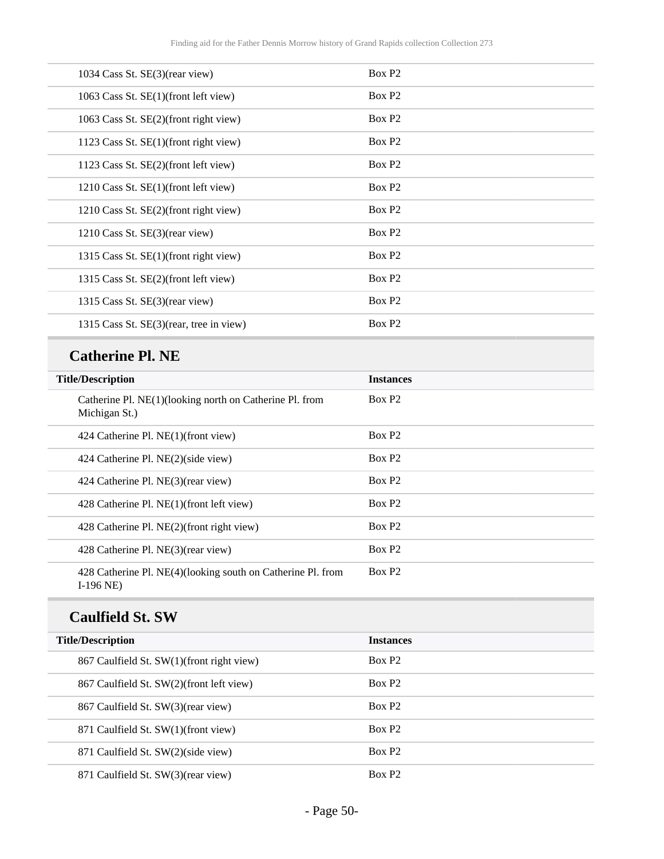### **Catherine Pl. NE**

| <b>Title/Description</b>                                                   | <b>Instances</b>   |
|----------------------------------------------------------------------------|--------------------|
| Catherine Pl. NE(1)(looking north on Catherine Pl. from<br>Michigan St.)   | Box P <sub>2</sub> |
| 424 Catherine Pl. NE(1)(front view)                                        | Box P <sub>2</sub> |
| 424 Catherine Pl. NE(2)(side view)                                         | Box P <sub>2</sub> |
| 424 Catherine Pl. NE(3)(rear view)                                         | Box P <sub>2</sub> |
| 428 Catherine Pl. NE(1)(front left view)                                   | Box P <sub>2</sub> |
| 428 Catherine Pl. NE(2)(front right view)                                  | Box P <sub>2</sub> |
| 428 Catherine Pl. NE(3)(rear view)                                         | Box P <sub>2</sub> |
| 428 Catherine Pl. NE(4)(looking south on Catherine Pl. from<br>$I-196$ NE) | Box P <sub>2</sub> |

### **Caulfield St. SW**

| <b>Title/Description</b>                  | <b>Instances</b>   |
|-------------------------------------------|--------------------|
| 867 Caulfield St. SW(1)(front right view) | Box P <sub>2</sub> |
| 867 Caulfield St. SW(2)(front left view)  | Box P <sub>2</sub> |
| 867 Caulfield St. SW(3)(rear view)        | Box P2             |
| 871 Caulfield St. SW(1)(front view)       | Box P <sub>2</sub> |
| 871 Caulfield St. SW(2)(side view)        | Box P <sub>2</sub> |
| 871 Caulfield St. SW(3)(rear view)        | Box P <sub>2</sub> |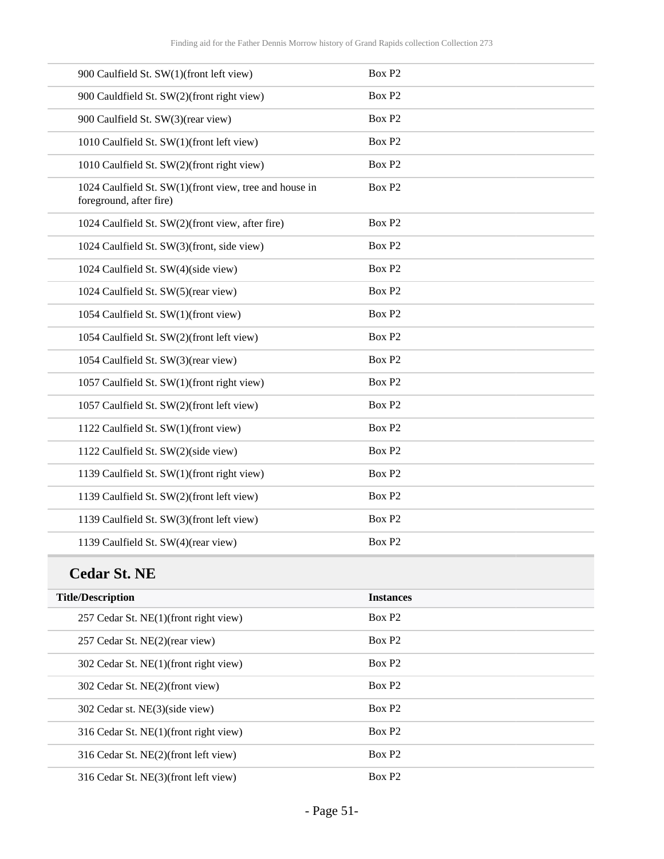| 900 Caulfield St. SW(1)(front left view)                                          | Box P <sub>2</sub> |
|-----------------------------------------------------------------------------------|--------------------|
| 900 Cauldfield St. SW(2)(front right view)                                        | Box P <sub>2</sub> |
| 900 Caulfield St. SW(3)(rear view)                                                | Box P <sub>2</sub> |
| 1010 Caulfield St. SW(1)(front left view)                                         | Box P <sub>2</sub> |
| 1010 Caulfield St. SW(2)(front right view)                                        | Box P <sub>2</sub> |
| 1024 Caulfield St. SW(1)(front view, tree and house in<br>foreground, after fire) | Box P <sub>2</sub> |
| 1024 Caulfield St. SW(2)(front view, after fire)                                  | Box P <sub>2</sub> |
| 1024 Caulfield St. SW(3)(front, side view)                                        | Box P <sub>2</sub> |
| 1024 Caulfield St. SW(4)(side view)                                               | Box P <sub>2</sub> |
| 1024 Caulfield St. SW(5)(rear view)                                               | Box P <sub>2</sub> |
| 1054 Caulfield St. SW(1)(front view)                                              | Box P <sub>2</sub> |
| 1054 Caulfield St. SW(2)(front left view)                                         | Box P <sub>2</sub> |
| 1054 Caulfield St. SW(3)(rear view)                                               | Box P <sub>2</sub> |
| 1057 Caulfield St. SW(1)(front right view)                                        | Box P <sub>2</sub> |
| 1057 Caulfield St. SW(2)(front left view)                                         | Box P <sub>2</sub> |
| 1122 Caulfield St. SW(1)(front view)                                              | Box P <sub>2</sub> |
| 1122 Caulfield St. SW(2)(side view)                                               | Box P2             |
| 1139 Caulfield St. SW(1)(front right view)                                        | Box P <sub>2</sub> |
| 1139 Caulfield St. SW(2)(front left view)                                         | Box P <sub>2</sub> |
| 1139 Caulfield St. SW(3)(front left view)                                         | Box P <sub>2</sub> |
| 1139 Caulfield St. SW(4)(rear view)                                               | Box P <sub>2</sub> |
|                                                                                   |                    |

### **Cedar St. NE**

| <b>Title/Description</b>              | <b>Instances</b>   |
|---------------------------------------|--------------------|
|                                       |                    |
| 257 Cedar St. NE(1)(front right view) | Box P <sub>2</sub> |
| 257 Cedar St. NE(2)(rear view)        | Box P <sub>2</sub> |
| 302 Cedar St. NE(1)(front right view) | Box P <sub>2</sub> |
| 302 Cedar St. NE(2)(front view)       | Box P <sub>2</sub> |
| 302 Cedar st. NE(3)(side view)        | Box P <sub>2</sub> |
| 316 Cedar St. NE(1)(front right view) | Box P <sub>2</sub> |
| 316 Cedar St. NE(2)(front left view)  | Box P <sub>2</sub> |
| 316 Cedar St. NE(3)(front left view)  | Box P <sub>2</sub> |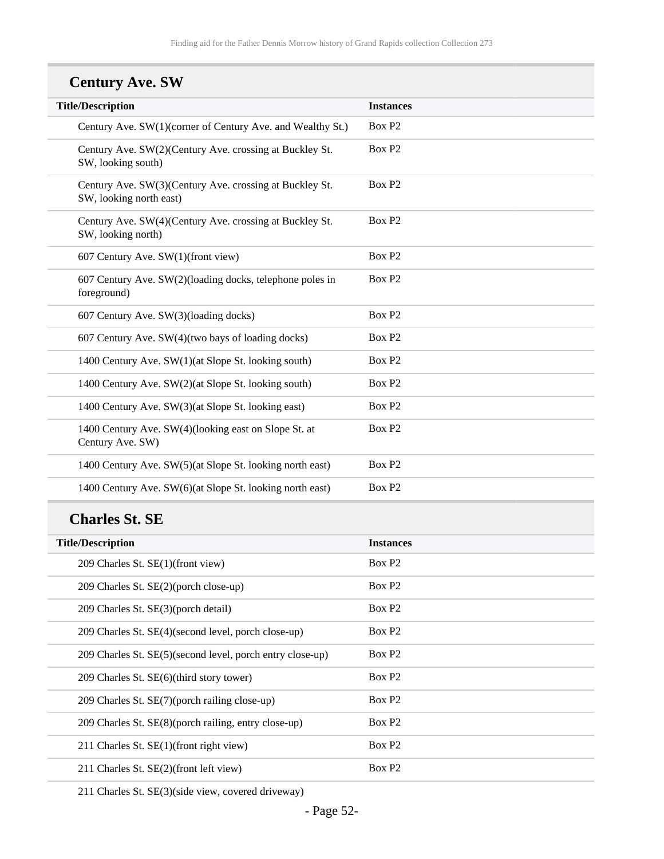## **Century Ave. SW**

| <b>Title/Description</b>                                                           | <b>Instances</b>   |
|------------------------------------------------------------------------------------|--------------------|
| Century Ave. SW(1)(corner of Century Ave. and Wealthy St.)                         | Box P <sub>2</sub> |
| Century Ave. SW(2)(Century Ave. crossing at Buckley St.<br>SW, looking south)      | Box P <sub>2</sub> |
| Century Ave. SW(3)(Century Ave. crossing at Buckley St.<br>SW, looking north east) | Box P <sub>2</sub> |
| Century Ave. SW(4)(Century Ave. crossing at Buckley St.<br>SW, looking north)      | Box P <sub>2</sub> |
| 607 Century Ave. SW(1)(front view)                                                 | Box P <sub>2</sub> |
| 607 Century Ave. SW(2)(loading docks, telephone poles in<br>foreground)            | Box P <sub>2</sub> |
| 607 Century Ave. SW(3)(loading docks)                                              | Box P <sub>2</sub> |
| 607 Century Ave. SW(4)(two bays of loading docks)                                  | Box P <sub>2</sub> |
| 1400 Century Ave. SW(1)(at Slope St. looking south)                                | Box P <sub>2</sub> |
| 1400 Century Ave. SW(2)(at Slope St. looking south)                                | Box P <sub>2</sub> |
| 1400 Century Ave. SW(3)(at Slope St. looking east)                                 | Box P <sub>2</sub> |
| 1400 Century Ave. SW(4)(looking east on Slope St. at<br>Century Ave. SW)           | Box P <sub>2</sub> |
| 1400 Century Ave. SW(5)(at Slope St. looking north east)                           | Box P <sub>2</sub> |
| 1400 Century Ave. SW(6)(at Slope St. looking north east)                           | Box P <sub>2</sub> |
|                                                                                    |                    |

### **Charles St. SE**

| <b>Title/Description</b>                                  | <b>Instances</b>   |
|-----------------------------------------------------------|--------------------|
| 209 Charles St. SE(1)(front view)                         | Box P <sub>2</sub> |
| 209 Charles St. SE(2)(porch close-up)                     | Box P <sub>2</sub> |
| 209 Charles St. SE(3)(porch detail)                       | Box P <sub>2</sub> |
| 209 Charles St. SE(4)(second level, porch close-up)       | Box P <sub>2</sub> |
| 209 Charles St. SE(5)(second level, porch entry close-up) | Box P <sub>2</sub> |
| 209 Charles St. SE(6)(third story tower)                  | Box P <sub>2</sub> |
| 209 Charles St. SE(7)(porch railing close-up)             | Box P <sub>2</sub> |
| 209 Charles St. SE(8)(porch railing, entry close-up)      | Box P <sub>2</sub> |
| 211 Charles St. SE(1)(front right view)                   | Box P <sub>2</sub> |
| 211 Charles St. SE(2)(front left view)                    | Box P <sub>2</sub> |

211 Charles St. SE(3)(side view, covered driveway)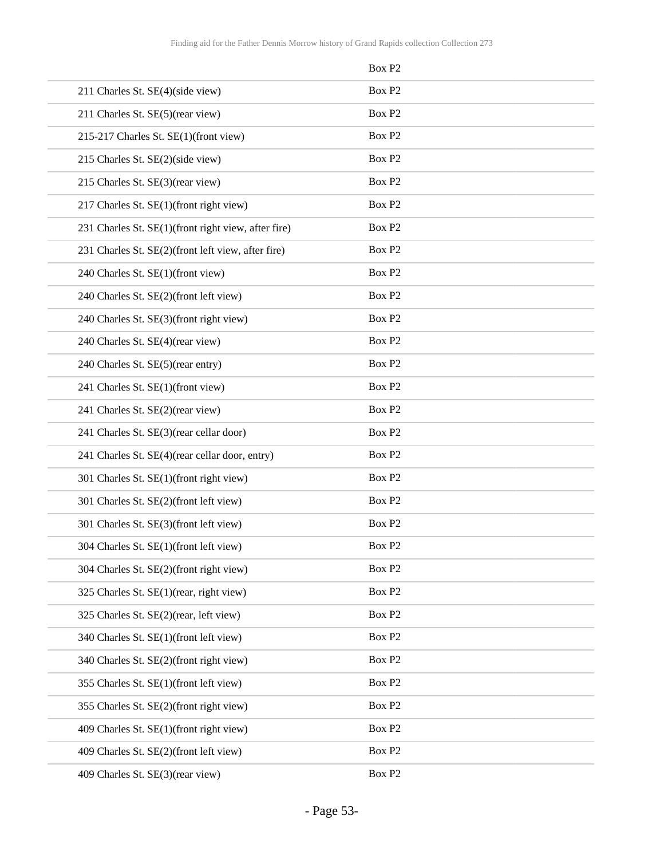|                                                     | Box P <sub>2</sub> |  |
|-----------------------------------------------------|--------------------|--|
| 211 Charles St. SE(4)(side view)                    | Box P <sub>2</sub> |  |
| 211 Charles St. SE(5)(rear view)                    | Box P2             |  |
| 215-217 Charles St. SE(1)(front view)               | Box P2             |  |
| 215 Charles St. SE(2)(side view)                    | Box P <sub>2</sub> |  |
| 215 Charles St. SE(3)(rear view)                    | Box P <sub>2</sub> |  |
| 217 Charles St. SE(1)(front right view)             | Box P2             |  |
| 231 Charles St. SE(1)(front right view, after fire) | Box P <sub>2</sub> |  |
| 231 Charles St. SE(2)(front left view, after fire)  | Box P <sub>2</sub> |  |
| 240 Charles St. SE(1)(front view)                   | Box P <sub>2</sub> |  |
| 240 Charles St. SE(2)(front left view)              | Box P2             |  |
| 240 Charles St. SE(3)(front right view)             | Box P2             |  |
| 240 Charles St. SE(4)(rear view)                    | Box P <sub>2</sub> |  |
| 240 Charles St. SE(5)(rear entry)                   | Box P2             |  |
| 241 Charles St. SE(1)(front view)                   | Box P2             |  |
| 241 Charles St. SE(2)(rear view)                    | Box P <sub>2</sub> |  |
| 241 Charles St. SE(3)(rear cellar door)             | Box P2             |  |
| 241 Charles St. SE(4)(rear cellar door, entry)      | Box P <sub>2</sub> |  |
| 301 Charles St. SE(1)(front right view)             | Box P2             |  |
| 301 Charles St. SE(2)(front left view)              | Box P <sub>2</sub> |  |
| 301 Charles St. SE(3)(front left view)              | Box P2             |  |
| 304 Charles St. SE(1)(front left view)              | Box P2             |  |
| 304 Charles St. SE(2)(front right view)             | Box P <sub>2</sub> |  |
| 325 Charles St. SE(1)(rear, right view)             | Box P2             |  |
| 325 Charles St. SE(2)(rear, left view)              | Box P2             |  |
| 340 Charles St. SE(1)(front left view)              | Box P2             |  |
| 340 Charles St. SE(2)(front right view)             | Box P2             |  |
| 355 Charles St. SE(1)(front left view)              | Box P2             |  |
| 355 Charles St. SE(2)(front right view)             | Box P2             |  |
| 409 Charles St. SE(1)(front right view)             | Box P2             |  |
| 409 Charles St. SE(2)(front left view)              | Box P2             |  |
| 409 Charles St. SE(3)(rear view)                    | Box P2             |  |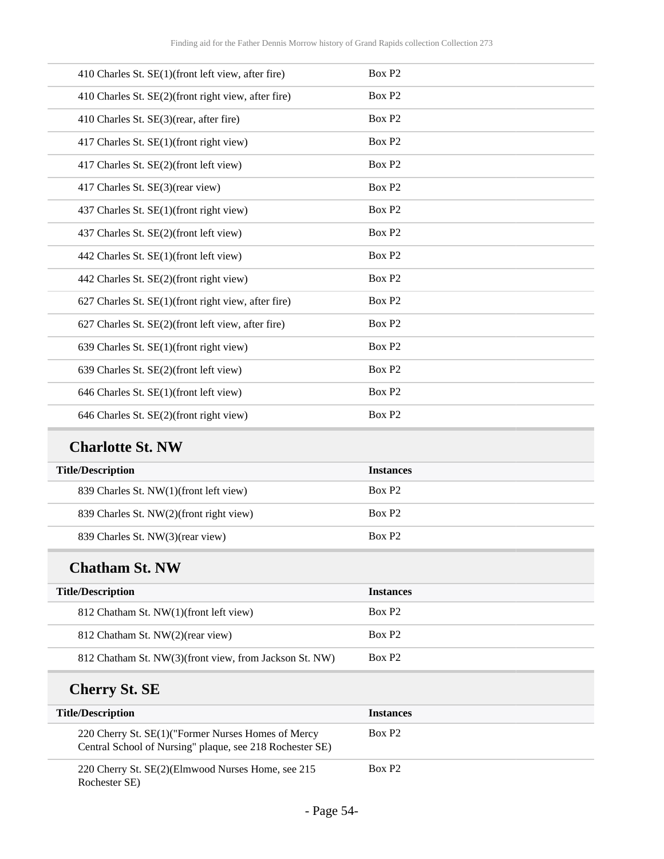| 410 Charles St. SE(1)(front left view, after fire)  | Box P <sub>2</sub> |
|-----------------------------------------------------|--------------------|
| 410 Charles St. SE(2)(front right view, after fire) | Box P <sub>2</sub> |
| 410 Charles St. SE(3)(rear, after fire)             | Box P <sub>2</sub> |
| 417 Charles St. SE(1)(front right view)             | Box P <sub>2</sub> |
| 417 Charles St. SE(2)(front left view)              | Box P <sub>2</sub> |
| 417 Charles St. SE(3)(rear view)                    | Box P2             |
| 437 Charles St. SE(1)(front right view)             | Box P <sub>2</sub> |
| 437 Charles St. SE(2)(front left view)              | Box P <sub>2</sub> |
| 442 Charles St. SE(1)(front left view)              | Box P <sub>2</sub> |
| 442 Charles St. SE(2)(front right view)             | Box P <sub>2</sub> |
| 627 Charles St. SE(1)(front right view, after fire) | Box P2             |
| 627 Charles St. SE(2)(front left view, after fire)  | Box P <sub>2</sub> |
| 639 Charles St. SE(1)(front right view)             | Box P <sub>2</sub> |
| 639 Charles St. SE(2)(front left view)              | Box P <sub>2</sub> |
| 646 Charles St. SE(1)(front left view)              | Box P <sub>2</sub> |
| 646 Charles St. SE(2)(front right view)             | Box P2             |
|                                                     |                    |

### **Charlotte St. NW**

| <b>Title/Description</b>                | <b>Instances</b>   |
|-----------------------------------------|--------------------|
| 839 Charles St. NW(1)(front left view)  | Box P <sub>2</sub> |
| 839 Charles St. NW(2)(front right view) | Box P <sub>2</sub> |
| 839 Charles St. NW(3)(rear view)        | Box P <sub>2</sub> |

### **Chatham St. NW**

L

| <b>Title/Description</b>                               | <b>Instances</b>   |
|--------------------------------------------------------|--------------------|
| 812 Chatham St. NW(1)(front left view)                 | Box P <sub>2</sub> |
| 812 Chatham St. NW(2)(rear view)                       | Box P <sub>2</sub> |
| 812 Chatham St. NW(3)(front view, from Jackson St. NW) | Box P <sub>2</sub> |

## **Cherry St. SE**

| <b>Title/Description</b>                                                                                       | <b>Instances</b>   |
|----------------------------------------------------------------------------------------------------------------|--------------------|
| 220 Cherry St. SE(1)("Former Nurses Homes of Mercy<br>Central School of Nursing" plaque, see 218 Rochester SE) | Box P <sub>2</sub> |
| 220 Cherry St. SE(2)(Elmwood Nurses Home, see 215<br>Rochester SE)                                             | Box P <sub>2</sub> |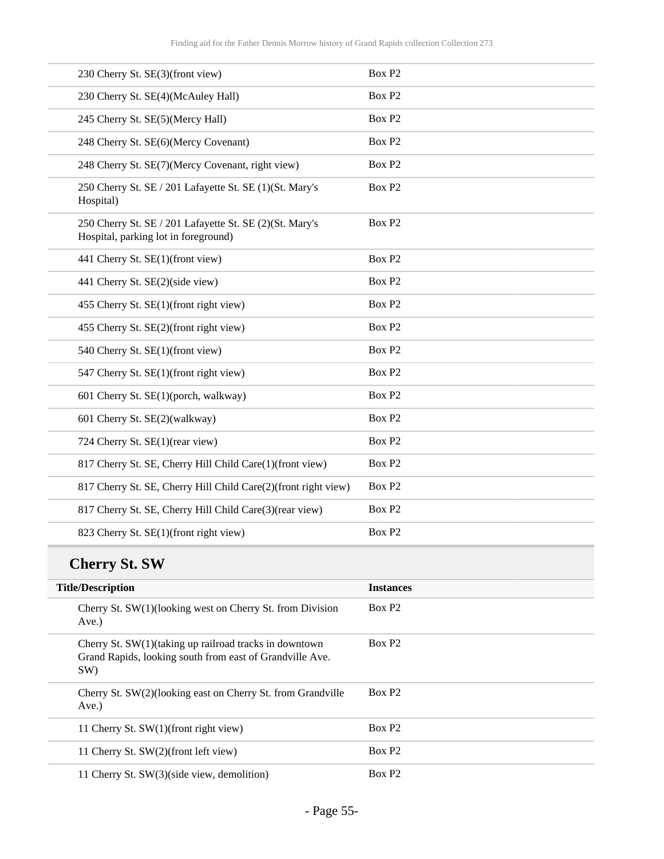| 230 Cherry St. SE(3)(front view)                                                                                          | Box P <sub>2</sub> |
|---------------------------------------------------------------------------------------------------------------------------|--------------------|
| 230 Cherry St. SE(4)(McAuley Hall)                                                                                        | Box P <sub>2</sub> |
| 245 Cherry St. SE(5)(Mercy Hall)                                                                                          | Box P <sub>2</sub> |
| 248 Cherry St. SE(6)(Mercy Covenant)                                                                                      | Box P <sub>2</sub> |
| 248 Cherry St. SE(7)(Mercy Covenant, right view)                                                                          | Box P <sub>2</sub> |
| 250 Cherry St. SE / 201 Lafayette St. SE (1)(St. Mary's<br>Hospital)                                                      | Box P <sub>2</sub> |
| 250 Cherry St. SE / 201 Lafayette St. SE (2)(St. Mary's<br>Hospital, parking lot in foreground)                           | Box P <sub>2</sub> |
| 441 Cherry St. SE(1)(front view)                                                                                          | Box P <sub>2</sub> |
| 441 Cherry St. SE(2)(side view)                                                                                           | Box P <sub>2</sub> |
| 455 Cherry St. SE(1)(front right view)                                                                                    | Box P <sub>2</sub> |
| 455 Cherry St. SE(2)(front right view)                                                                                    | Box P <sub>2</sub> |
| 540 Cherry St. SE(1)(front view)                                                                                          | Box P <sub>2</sub> |
| 547 Cherry St. SE(1)(front right view)                                                                                    | Box P <sub>2</sub> |
| 601 Cherry St. SE(1)(porch, walkway)                                                                                      | Box P <sub>2</sub> |
| 601 Cherry St. SE(2)(walkway)                                                                                             | Box P <sub>2</sub> |
| 724 Cherry St. SE(1)(rear view)                                                                                           | Box P <sub>2</sub> |
| 817 Cherry St. SE, Cherry Hill Child Care(1)(front view)                                                                  | Box P <sub>2</sub> |
| 817 Cherry St. SE, Cherry Hill Child Care(2)(front right view)                                                            | Box P <sub>2</sub> |
| 817 Cherry St. SE, Cherry Hill Child Care(3)(rear view)                                                                   | Box P <sub>2</sub> |
| 823 Cherry St. SE(1)(front right view)                                                                                    | Box P <sub>2</sub> |
| <b>Cherry St. SW</b>                                                                                                      |                    |
| <b>Title/Description</b>                                                                                                  | <b>Instances</b>   |
| Cherry St. SW(1)(looking west on Cherry St. from Division<br>Ave.)                                                        | Box P <sub>2</sub> |
| Cherry St. SW(1)(taking up railroad tracks in downtown<br>Grand Rapids, looking south from east of Grandville Ave.<br>SW) | Box P <sub>2</sub> |
|                                                                                                                           |                    |

| Cherry St. SW(2)(looking east on Cherry St. from Grandville<br>Ave. | Box P <sub>2</sub> |
|---------------------------------------------------------------------|--------------------|
| 11 Cherry St. SW(1)(front right view)                               | Box P <sub>2</sub> |
| 11 Cherry St. SW(2)(front left view)                                | Box P <sub>2</sub> |
| 11 Cherry St. SW(3)(side view, demolition)                          | Box P <sub>2</sub> |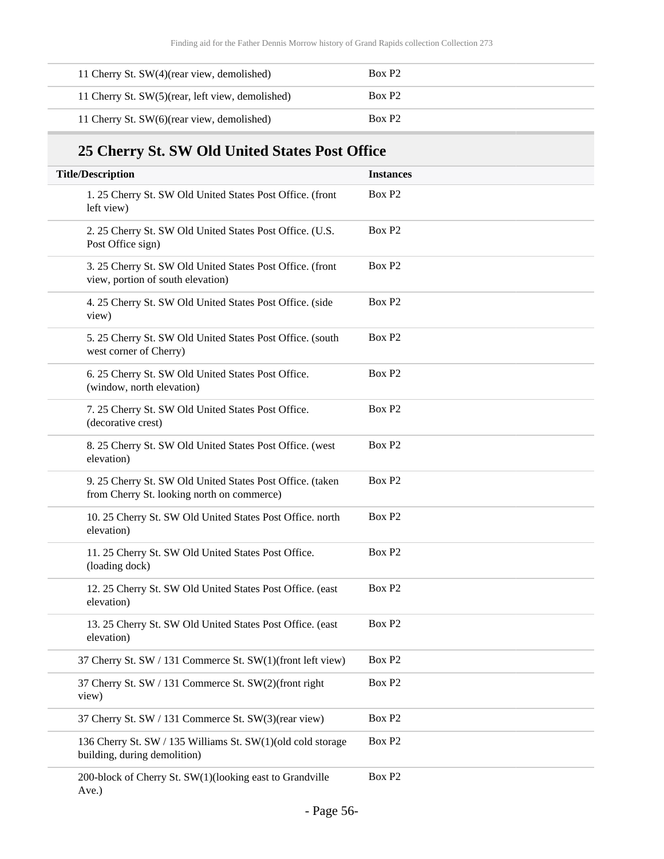| 11 Cherry St. SW(4)(rear view, demolished)       | Box P <sub>2</sub> |
|--------------------------------------------------|--------------------|
| 11 Cherry St. SW(5)(rear, left view, demolished) | Box P <sub>2</sub> |
| 11 Cherry St. SW(6)(rear view, demolished)       | Box P <sub>2</sub> |

## **25 Cherry St. SW Old United States Post Office**

| <b>Title/Description</b>                                                                                | <b>Instances</b>   |
|---------------------------------------------------------------------------------------------------------|--------------------|
| 1. 25 Cherry St. SW Old United States Post Office. (front<br>left view)                                 | Box P <sub>2</sub> |
| 2. 25 Cherry St. SW Old United States Post Office. (U.S.<br>Post Office sign)                           | Box P <sub>2</sub> |
| 3. 25 Cherry St. SW Old United States Post Office. (front<br>view, portion of south elevation)          | Box P <sub>2</sub> |
| 4. 25 Cherry St. SW Old United States Post Office. (side<br>view)                                       | Box P <sub>2</sub> |
| 5. 25 Cherry St. SW Old United States Post Office. (south<br>west corner of Cherry)                     | Box P <sub>2</sub> |
| 6. 25 Cherry St. SW Old United States Post Office.<br>(window, north elevation)                         | Box P <sub>2</sub> |
| 7. 25 Cherry St. SW Old United States Post Office.<br>(decorative crest)                                | Box P <sub>2</sub> |
| 8. 25 Cherry St. SW Old United States Post Office. (west<br>elevation)                                  | Box P <sub>2</sub> |
| 9. 25 Cherry St. SW Old United States Post Office. (taken<br>from Cherry St. looking north on commerce) | Box P <sub>2</sub> |
| 10. 25 Cherry St. SW Old United States Post Office. north<br>elevation)                                 | Box P <sub>2</sub> |
| 11. 25 Cherry St. SW Old United States Post Office.<br>(loading dock)                                   | Box P <sub>2</sub> |
| 12. 25 Cherry St. SW Old United States Post Office. (east<br>elevation)                                 | Box P <sub>2</sub> |
| 13. 25 Cherry St. SW Old United States Post Office. (east<br>elevation)                                 | Box P <sub>2</sub> |
| 37 Cherry St. SW / 131 Commerce St. SW(1)(front left view)                                              | Box P <sub>2</sub> |
| 37 Cherry St. SW / 131 Commerce St. SW(2)(front right<br>view)                                          | Box P <sub>2</sub> |
| 37 Cherry St. SW / 131 Commerce St. SW(3)(rear view)                                                    | Box P <sub>2</sub> |
| 136 Cherry St. SW / 135 Williams St. SW(1)(old cold storage<br>building, during demolition)             | Box P <sub>2</sub> |
| 200-block of Cherry St. SW(1)(looking east to Grandville<br>Ave.)                                       | Box P <sub>2</sub> |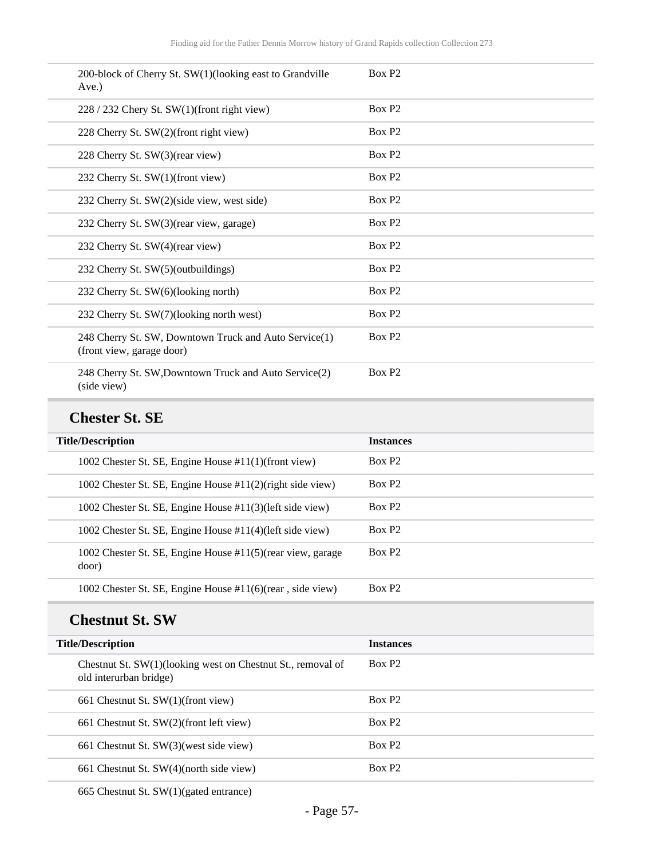| 200-block of Cherry St. SW(1)(looking east to Grandville<br>Ave.)                  | Box P <sub>2</sub> |
|------------------------------------------------------------------------------------|--------------------|
| 228 / 232 Chery St. SW(1)(front right view)                                        | Box P <sub>2</sub> |
| 228 Cherry St. SW(2)(front right view)                                             | Box P <sub>2</sub> |
| 228 Cherry St. SW(3)(rear view)                                                    | Box P <sub>2</sub> |
| 232 Cherry St. SW(1)(front view)                                                   | Box P <sub>2</sub> |
| 232 Cherry St. SW(2)(side view, west side)                                         | Box P <sub>2</sub> |
| 232 Cherry St. SW(3)(rear view, garage)                                            | Box P <sub>2</sub> |
| 232 Cherry St. SW(4)(rear view)                                                    | Box P <sub>2</sub> |
| 232 Cherry St. SW(5)(outbuildings)                                                 | Box P <sub>2</sub> |
| 232 Cherry St. SW(6)(looking north)                                                | Box P <sub>2</sub> |
| 232 Cherry St. SW(7)(looking north west)                                           | Box P <sub>2</sub> |
| 248 Cherry St. SW, Downtown Truck and Auto Service(1)<br>(front view, garage door) | Box P <sub>2</sub> |
| 248 Cherry St. SW, Downtown Truck and Auto Service(2)<br>(side view)               | Box P <sub>2</sub> |

#### **Chester St. SE**

| <b>Title/Description</b>                                             | <b>Instances</b>   |
|----------------------------------------------------------------------|--------------------|
| 1002 Chester St. SE, Engine House #11(1)(front view)                 | Box P <sub>2</sub> |
| 1002 Chester St. SE, Engine House #11(2)(right side view)            | Box P <sub>2</sub> |
| 1002 Chester St. SE, Engine House #11(3)(left side view)             | Box P <sub>2</sub> |
| 1002 Chester St. SE, Engine House #11(4)(left side view)             | Box P <sub>2</sub> |
| 1002 Chester St. SE, Engine House #11(5) (rear view, garage<br>door) | Box P <sub>2</sub> |
| 1002 Chester St. SE, Engine House #11(6)(rear, side view)            | Box P <sub>2</sub> |

### **Chestnut St. SW**

| <b>Title/Description</b>                                                              | <b>Instances</b>   |
|---------------------------------------------------------------------------------------|--------------------|
| Chestnut St. SW(1)(looking west on Chestnut St., removal of<br>old interurban bridge) | Box P <sub>2</sub> |
| 661 Chestnut St. $SW(1)$ (front view)                                                 | Box P <sub>2</sub> |
| 661 Chestnut St. SW(2)(front left view)                                               | Box P <sub>2</sub> |
| 661 Chestnut St. SW(3)(west side view)                                                | Box P <sub>2</sub> |
| 661 Chestnut St. SW(4)(north side view)                                               | Box P <sub>2</sub> |

665 Chestnut St. SW(1)(gated entrance)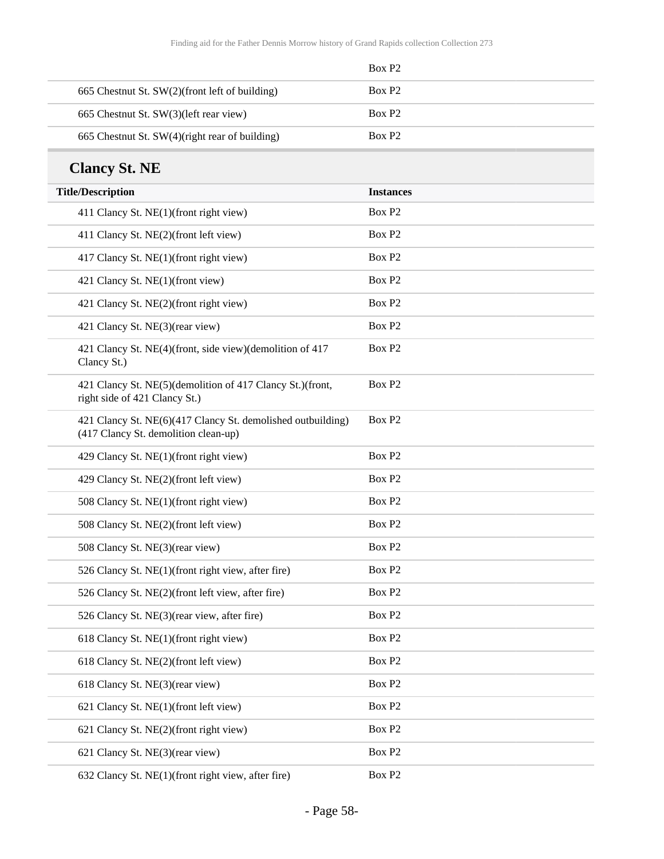|                                                | Box P <sub>2</sub> |
|------------------------------------------------|--------------------|
| 665 Chestnut St. SW(2)(front left of building) | Box P <sub>2</sub> |
| 665 Chestnut St. SW(3)(left rear view)         | Box P <sub>2</sub> |
| 665 Chestnut St. SW(4)(right rear of building) | Box P <sub>2</sub> |

### **Clancy St. NE**

| <b>Title/Description</b>                                                                            | <b>Instances</b>   |
|-----------------------------------------------------------------------------------------------------|--------------------|
| 411 Clancy St. NE(1)(front right view)                                                              | Box P <sub>2</sub> |
| 411 Clancy St. NE(2)(front left view)                                                               | Box P <sub>2</sub> |
| 417 Clancy St. NE(1)(front right view)                                                              | Box P <sub>2</sub> |
| 421 Clancy St. NE(1)(front view)                                                                    | Box P <sub>2</sub> |
| 421 Clancy St. NE(2)(front right view)                                                              | Box P <sub>2</sub> |
| 421 Clancy St. NE(3)(rear view)                                                                     | Box P <sub>2</sub> |
| 421 Clancy St. NE(4)(front, side view)(demolition of 417<br>Clancy St.)                             | Box P <sub>2</sub> |
| 421 Clancy St. NE(5)(demolition of 417 Clancy St.)(front,<br>right side of 421 Clancy St.)          | Box P <sub>2</sub> |
| 421 Clancy St. NE(6)(417 Clancy St. demolished outbuilding)<br>(417 Clancy St. demolition clean-up) | Box P <sub>2</sub> |
| 429 Clancy St. NE(1)(front right view)                                                              | Box P <sub>2</sub> |
| 429 Clancy St. NE(2)(front left view)                                                               | Box P <sub>2</sub> |
| 508 Clancy St. NE(1)(front right view)                                                              | Box P <sub>2</sub> |
| 508 Clancy St. NE(2)(front left view)                                                               | Box P <sub>2</sub> |
| 508 Clancy St. NE(3)(rear view)                                                                     | Box P <sub>2</sub> |
| 526 Clancy St. NE(1)(front right view, after fire)                                                  | Box P <sub>2</sub> |
| 526 Clancy St. NE(2)(front left view, after fire)                                                   | Box P <sub>2</sub> |
| 526 Clancy St. NE(3)(rear view, after fire)                                                         | Box P <sub>2</sub> |
| 618 Clancy St. NE(1)(front right view)                                                              | Box P <sub>2</sub> |
| 618 Clancy St. NE(2)(front left view)                                                               | Box P <sub>2</sub> |
| 618 Clancy St. NE(3)(rear view)                                                                     | Box P <sub>2</sub> |
| 621 Clancy St. NE(1)(front left view)                                                               | Box P <sub>2</sub> |
| 621 Clancy St. NE(2)(front right view)                                                              | Box P <sub>2</sub> |
| 621 Clancy St. NE(3)(rear view)                                                                     | Box P <sub>2</sub> |
| 632 Clancy St. NE(1)(front right view, after fire)                                                  | Box P <sub>2</sub> |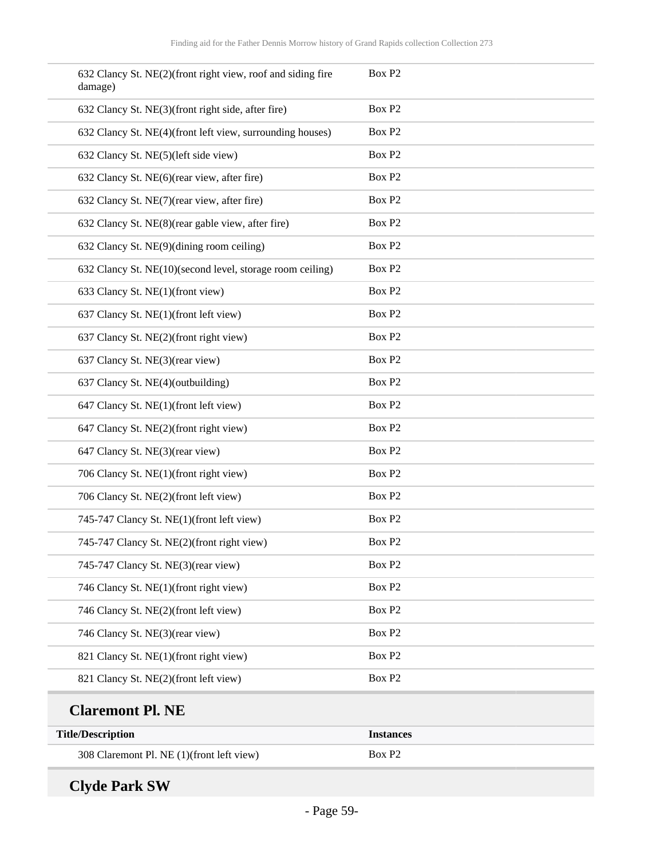| 632 Clancy St. NE(2)(front right view, roof and siding fire<br>damage) | Box P <sub>2</sub> |
|------------------------------------------------------------------------|--------------------|
| 632 Clancy St. NE(3)(front right side, after fire)                     | Box P <sub>2</sub> |
| 632 Clancy St. NE(4)(front left view, surrounding houses)              | Box P <sub>2</sub> |
| 632 Clancy St. NE(5)(left side view)                                   | Box P <sub>2</sub> |
| 632 Clancy St. NE(6)(rear view, after fire)                            | Box P <sub>2</sub> |
| 632 Clancy St. NE(7)(rear view, after fire)                            | Box P <sub>2</sub> |
| 632 Clancy St. NE(8)(rear gable view, after fire)                      | Box P <sub>2</sub> |
| 632 Clancy St. NE(9)(dining room ceiling)                              | Box P <sub>2</sub> |
| 632 Clancy St. NE(10)(second level, storage room ceiling)              | Box P <sub>2</sub> |
| 633 Clancy St. NE(1)(front view)                                       | Box P <sub>2</sub> |
| 637 Clancy St. NE(1)(front left view)                                  | Box P <sub>2</sub> |
| 637 Clancy St. NE(2)(front right view)                                 | Box P <sub>2</sub> |
| 637 Clancy St. NE(3)(rear view)                                        | Box P <sub>2</sub> |
| 637 Clancy St. NE(4)(outbuilding)                                      | Box P <sub>2</sub> |
| 647 Clancy St. NE(1)(front left view)                                  | Box P <sub>2</sub> |
| 647 Clancy St. NE(2)(front right view)                                 | Box P <sub>2</sub> |
| 647 Clancy St. NE(3)(rear view)                                        | Box P <sub>2</sub> |
| 706 Clancy St. NE(1)(front right view)                                 | Box P <sub>2</sub> |
| 706 Clancy St. NE(2)(front left view)                                  | Box P <sub>2</sub> |
| 745-747 Clancy St. NE(1)(front left view)                              | Box P <sub>2</sub> |
| 745-747 Clancy St. NE(2)(front right view)                             | Box P <sub>2</sub> |
| 745-747 Clancy St. NE(3)(rear view)                                    | Box P <sub>2</sub> |
| 746 Clancy St. NE(1)(front right view)                                 | Box P <sub>2</sub> |
| 746 Clancy St. NE(2)(front left view)                                  | Box P <sub>2</sub> |
| 746 Clancy St. NE(3)(rear view)                                        | Box P <sub>2</sub> |
| 821 Clancy St. NE(1)(front right view)                                 | Box P <sub>2</sub> |
| 821 Clancy St. NE(2)(front left view)                                  | Box P <sub>2</sub> |
| <b>Claremont Pl. NE</b>                                                |                    |

| Ciarchiviit 1 is 192                      |                    |  |
|-------------------------------------------|--------------------|--|
| <b>Title/Description</b>                  | <b>Instances</b>   |  |
| 308 Claremont Pl. NE (1)(front left view) | Box P <sub>2</sub> |  |

# **Clyde Park SW**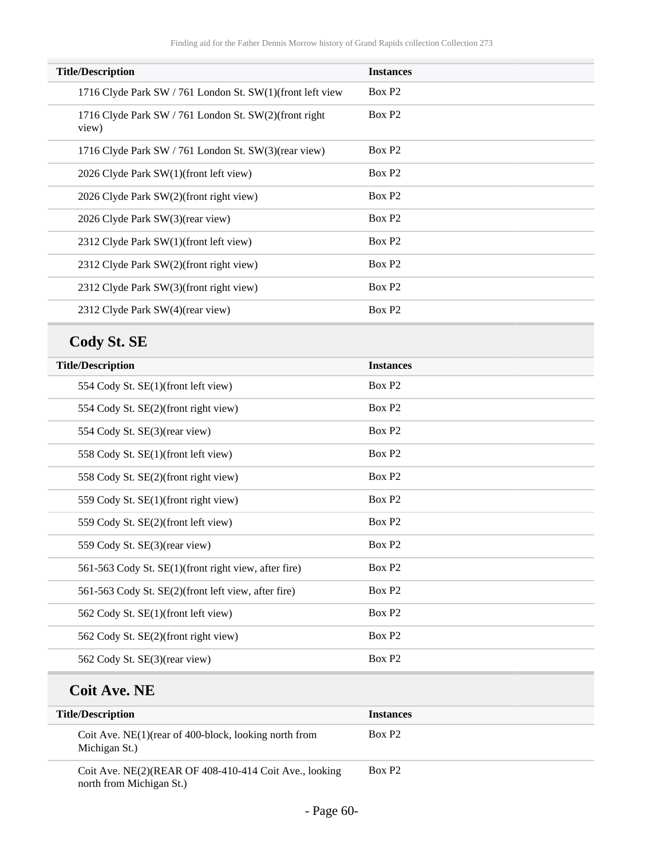| <b>Title/Description</b>                                       | <b>Instances</b>   |
|----------------------------------------------------------------|--------------------|
| 1716 Clyde Park SW / 761 London St. SW(1)(front left view      | Box P <sub>2</sub> |
| 1716 Clyde Park SW / 761 London St. SW(2)(front right<br>view) | Box P <sub>2</sub> |
| 1716 Clyde Park SW / 761 London St. SW(3)(rear view)           | Box P <sub>2</sub> |
| 2026 Clyde Park SW(1)(front left view)                         | Box P <sub>2</sub> |
| 2026 Clyde Park SW(2)(front right view)                        | Box P <sub>2</sub> |
| 2026 Clyde Park SW(3)(rear view)                               | Box P <sub>2</sub> |
| 2312 Clyde Park SW(1)(front left view)                         | Box P <sub>2</sub> |
| 2312 Clyde Park SW(2)(front right view)                        | Box P <sub>2</sub> |
| 2312 Clyde Park SW(3)(front right view)                        | Box P <sub>2</sub> |
| 2312 Clyde Park SW(4)(rear view)                               | Box P <sub>2</sub> |

# **Cody St. SE**

| <b>Title/Description</b>                             | <b>Instances</b>   |
|------------------------------------------------------|--------------------|
| 554 Cody St. SE(1)(front left view)                  | Box P <sub>2</sub> |
| 554 Cody St. SE(2)(front right view)                 | Box P <sub>2</sub> |
| 554 Cody St. SE(3)(rear view)                        | Box P <sub>2</sub> |
| 558 Cody St. SE(1)(front left view)                  | Box P <sub>2</sub> |
| 558 Cody St. SE(2)(front right view)                 | Box P <sub>2</sub> |
| 559 Cody St. SE(1)(front right view)                 | Box P <sub>2</sub> |
| 559 Cody St. SE(2)(front left view)                  | Box P <sub>2</sub> |
| 559 Cody St. SE(3)(rear view)                        | Box P <sub>2</sub> |
| 561-563 Cody St. SE(1)(front right view, after fire) | Box P <sub>2</sub> |
| 561-563 Cody St. SE(2)(front left view, after fire)  | Box P <sub>2</sub> |
| 562 Cody St. SE(1)(front left view)                  | Box P <sub>2</sub> |
| 562 Cody St. SE(2)(front right view)                 | Box P <sub>2</sub> |
| 562 Cody St. SE(3)(rear view)                        | Box P <sub>2</sub> |

### **Coit Ave. NE**

| <b>Title/Description</b>                                                           | <b>Instances</b>   |
|------------------------------------------------------------------------------------|--------------------|
| Coit Ave. NE $(1)$ (rear of 400-block, looking north from<br>Michigan St.)         | Box P <sub>2</sub> |
| Coit Ave. NE(2)(REAR OF 408-410-414 Coit Ave., looking<br>north from Michigan St.) | Box P <sub>2</sub> |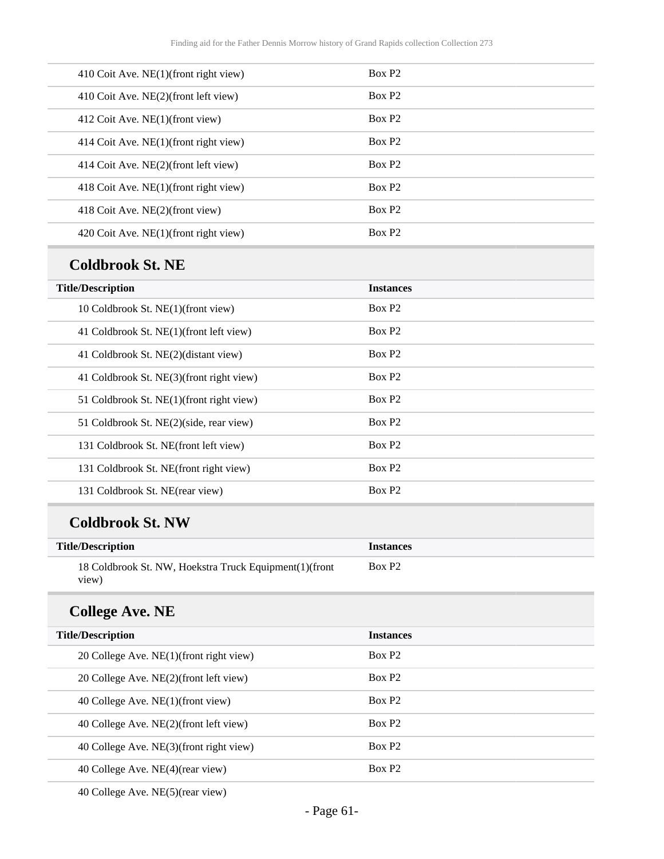| 410 Coit Ave. NE(1)(front right view) | Box P <sub>2</sub> |
|---------------------------------------|--------------------|
| 410 Coit Ave. NE(2)(front left view)  | Box P <sub>2</sub> |
| 412 Coit Ave. NE(1)(front view)       | Box P <sub>2</sub> |
| 414 Coit Ave. NE(1)(front right view) | Box P <sub>2</sub> |
| 414 Coit Ave. NE(2)(front left view)  | Box P <sub>2</sub> |
| 418 Coit Ave. NE(1)(front right view) | Box P <sub>2</sub> |
| 418 Coit Ave. NE(2)(front view)       | Box P <sub>2</sub> |
| 420 Coit Ave. NE(1)(front right view) | Box P <sub>2</sub> |
|                                       |                    |

#### **Coldbrook St. NE**

| <b>Title/Description</b>                 | <b>Instances</b>   |
|------------------------------------------|--------------------|
| 10 Coldbrook St. NE(1)(front view)       | Box P <sub>2</sub> |
| 41 Coldbrook St. NE(1)(front left view)  | Box P <sub>2</sub> |
| 41 Coldbrook St. NE(2)(distant view)     | Box P <sub>2</sub> |
| 41 Coldbrook St. NE(3)(front right view) | Box P <sub>2</sub> |
| 51 Coldbrook St. NE(1)(front right view) | Box P <sub>2</sub> |
| 51 Coldbrook St. NE(2)(side, rear view)  | Box P <sub>2</sub> |
| 131 Coldbrook St. NE(front left view)    | Box P <sub>2</sub> |
| 131 Coldbrook St. NE(front right view)   | Box P <sub>2</sub> |
| 131 Coldbrook St. NE(rear view)          | Box P <sub>2</sub> |

### **Coldbrook St. NW**

| <b>Title/Description</b>                                         | <b>Instances</b>   |
|------------------------------------------------------------------|--------------------|
| 18 Coldbrook St. NW, Hoekstra Truck Equipment(1) (front<br>view) | Box P <sub>2</sub> |

## **College Ave. NE**

| <b>Title/Description</b>                | <b>Instances</b>   |
|-----------------------------------------|--------------------|
| 20 College Ave. NE(1)(front right view) | Box P <sub>2</sub> |
| 20 College Ave. NE(2)(front left view)  | Box P2             |
| 40 College Ave. NE(1)(front view)       | Box P <sub>2</sub> |
| 40 College Ave. NE(2)(front left view)  | Box P <sub>2</sub> |
| 40 College Ave. NE(3)(front right view) | Box P <sub>2</sub> |
| 40 College Ave. NE(4)(rear view)        | Box P <sub>2</sub> |
|                                         |                    |

40 College Ave. NE(5)(rear view)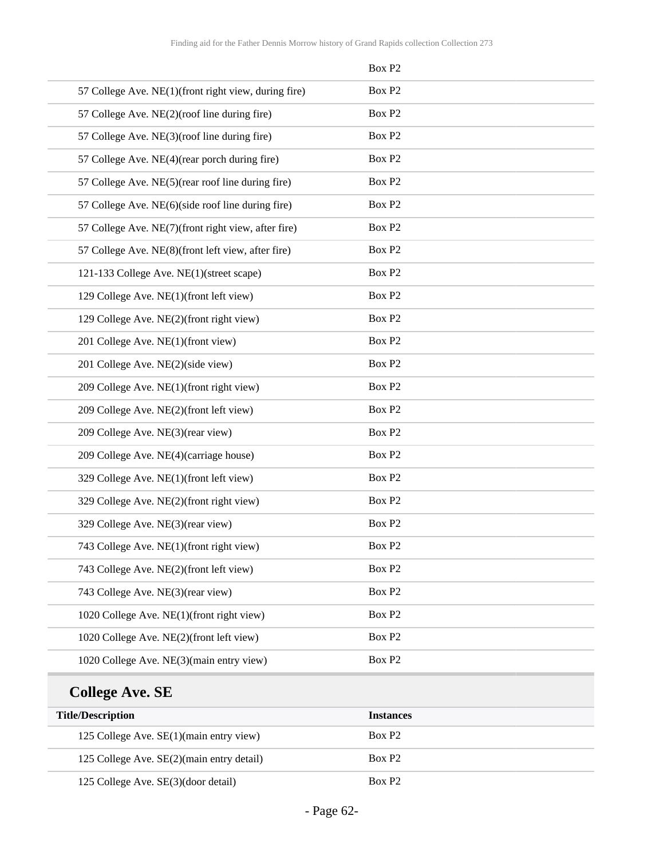|                                                      | Box P <sub>2</sub> |
|------------------------------------------------------|--------------------|
| 57 College Ave. NE(1)(front right view, during fire) | Box P <sub>2</sub> |
| 57 College Ave. NE(2)(roof line during fire)         | Box P <sub>2</sub> |
| 57 College Ave. NE(3)(roof line during fire)         | Box P <sub>2</sub> |
| 57 College Ave. NE(4)(rear porch during fire)        | Box P <sub>2</sub> |
| 57 College Ave. NE(5)(rear roof line during fire)    | Box P <sub>2</sub> |
| 57 College Ave. NE(6)(side roof line during fire)    | Box P <sub>2</sub> |
| 57 College Ave. NE(7)(front right view, after fire)  | Box P <sub>2</sub> |
| 57 College Ave. NE(8)(front left view, after fire)   | Box P <sub>2</sub> |
| 121-133 College Ave. NE(1)(street scape)             | Box P <sub>2</sub> |
| 129 College Ave. NE(1)(front left view)              | Box P <sub>2</sub> |
| 129 College Ave. NE(2)(front right view)             | Box P <sub>2</sub> |
| 201 College Ave. NE(1)(front view)                   | Box P <sub>2</sub> |
| 201 College Ave. NE(2)(side view)                    | Box P <sub>2</sub> |
| 209 College Ave. NE(1)(front right view)             | Box P <sub>2</sub> |
| 209 College Ave. NE(2)(front left view)              | Box P <sub>2</sub> |
| 209 College Ave. NE(3)(rear view)                    | Box P <sub>2</sub> |
| 209 College Ave. NE(4)(carriage house)               | Box P <sub>2</sub> |
| 329 College Ave. NE(1)(front left view)              | Box P <sub>2</sub> |
| 329 College Ave. NE(2)(front right view)             | Box P <sub>2</sub> |
| 329 College Ave. NE(3)(rear view)                    | Box P <sub>2</sub> |
| 743 College Ave. NE(1)(front right view)             | Box P <sub>2</sub> |
| 743 College Ave. NE(2)(front left view)              | Box P2             |
| 743 College Ave. NE(3)(rear view)                    | Box P2             |
| 1020 College Ave. NE(1)(front right view)            | Box P2             |
| 1020 College Ave. NE(2)(front left view)             | Box P2             |
| 1020 College Ave. NE(3)(main entry view)             | Box P2             |
|                                                      |                    |

# **College Ave. SE**

| <b>Title/Description</b>                   | <b>Instances</b>   |
|--------------------------------------------|--------------------|
| 125 College Ave. $SE(1)$ (main entry view) | Box P <sub>2</sub> |
| 125 College Ave. SE(2)(main entry detail)  | Box P <sub>2</sub> |
| 125 College Ave. SE(3)(door detail)        | Box P <sub>2</sub> |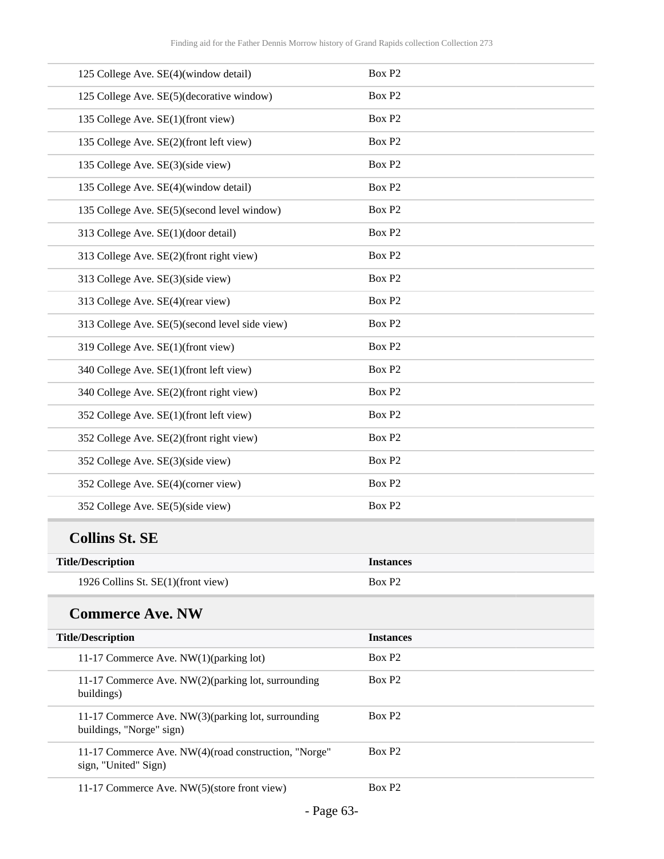| 125 College Ave. SE(4)(window detail)                                          | Box P <sub>2</sub> |
|--------------------------------------------------------------------------------|--------------------|
| 125 College Ave. SE(5)(decorative window)                                      | Box P <sub>2</sub> |
| 135 College Ave. SE(1)(front view)                                             | Box P <sub>2</sub> |
| 135 College Ave. SE(2)(front left view)                                        | Box P <sub>2</sub> |
| 135 College Ave. SE(3)(side view)                                              | Box P <sub>2</sub> |
| 135 College Ave. SE(4)(window detail)                                          | Box P <sub>2</sub> |
| 135 College Ave. SE(5)(second level window)                                    | Box P <sub>2</sub> |
| 313 College Ave. SE(1)(door detail)                                            | Box P <sub>2</sub> |
| 313 College Ave. SE(2)(front right view)                                       | Box P <sub>2</sub> |
| 313 College Ave. SE(3)(side view)                                              | Box P <sub>2</sub> |
| 313 College Ave. SE(4)(rear view)                                              | Box P <sub>2</sub> |
| 313 College Ave. SE(5)(second level side view)                                 | Box P <sub>2</sub> |
| 319 College Ave. SE(1)(front view)                                             | Box P <sub>2</sub> |
| 340 College Ave. SE(1)(front left view)                                        | Box P <sub>2</sub> |
| 340 College Ave. SE(2)(front right view)                                       | Box P <sub>2</sub> |
| 352 College Ave. SE(1)(front left view)                                        | Box P <sub>2</sub> |
| 352 College Ave. SE(2)(front right view)                                       | Box P <sub>2</sub> |
| 352 College Ave. SE(3)(side view)                                              | Box P <sub>2</sub> |
| 352 College Ave. SE(4)(corner view)                                            | Box P <sub>2</sub> |
| 352 College Ave. SE(5)(side view)                                              | Box P <sub>2</sub> |
| <b>Collins St. SE</b>                                                          |                    |
| <b>Title/Description</b>                                                       | <b>Instances</b>   |
| 1926 Collins St. SE(1)(front view)                                             | Box P <sub>2</sub> |
| <b>Commerce Ave. NW</b>                                                        |                    |
| <b>Title/Description</b>                                                       | <b>Instances</b>   |
| 11-17 Commerce Ave. NW(1)(parking lot)                                         | Box P <sub>2</sub> |
| 11-17 Commerce Ave. NW(2)(parking lot, surrounding<br>buildings)               | Box P <sub>2</sub> |
| 11-17 Commerce Ave. NW(3)(parking lot, surrounding<br>buildings, "Norge" sign) | Box P <sub>2</sub> |
| 11-17 Commerce Ave. NW(4)(road construction, "Norge"<br>sign, "United" Sign)   | Box P <sub>2</sub> |
| 11-17 Commerce Ave. NW(5)(store front view)                                    | Box P <sub>2</sub> |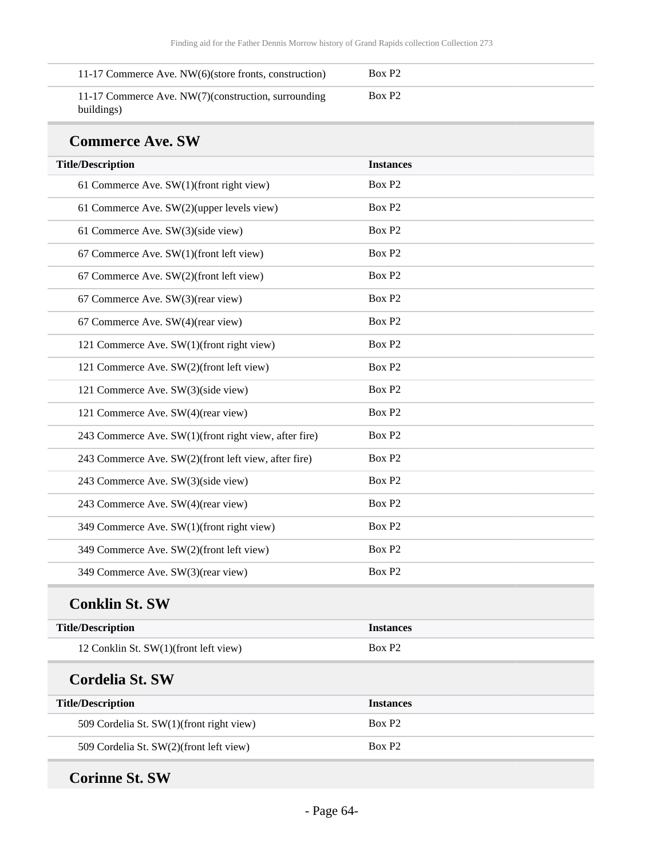| 11-17 Commerce Ave. NW(6)(store fronts, construction)             | Box P2 |  |
|-------------------------------------------------------------------|--------|--|
| 11-17 Commerce Ave. NW(7)(construction, surrounding<br>buildings) | Box P2 |  |

#### **Commerce Ave. SW**

| <b>Title/Description</b>                              | <b>Instances</b>   |
|-------------------------------------------------------|--------------------|
| 61 Commerce Ave. SW(1)(front right view)              | Box P2             |
| 61 Commerce Ave. SW(2)(upper levels view)             | Box P <sub>2</sub> |
| 61 Commerce Ave. SW(3)(side view)                     | Box P <sub>2</sub> |
| 67 Commerce Ave. SW(1)(front left view)               | Box P <sub>2</sub> |
| 67 Commerce Ave. SW(2)(front left view)               | Box P <sub>2</sub> |
| 67 Commerce Ave. SW(3)(rear view)                     | Box P2             |
| 67 Commerce Ave. SW(4)(rear view)                     | Box P <sub>2</sub> |
| 121 Commerce Ave. SW(1)(front right view)             | Box P <sub>2</sub> |
| 121 Commerce Ave. SW(2)(front left view)              | Box P2             |
| 121 Commerce Ave. SW(3)(side view)                    | Box P <sub>2</sub> |
| 121 Commerce Ave. SW(4)(rear view)                    | Box P <sub>2</sub> |
| 243 Commerce Ave. SW(1)(front right view, after fire) | Box P2             |
| 243 Commerce Ave. SW(2)(front left view, after fire)  | Box P <sub>2</sub> |
| 243 Commerce Ave. SW(3)(side view)                    | Box P2             |
| 243 Commerce Ave. SW(4)(rear view)                    | Box P <sub>2</sub> |
| 349 Commerce Ave. SW(1)(front right view)             | Box P2             |
| 349 Commerce Ave. SW(2)(front left view)              | Box P <sub>2</sub> |
| 349 Commerce Ave. SW(3)(rear view)                    | Box P2             |
| <b>Conklin St. SW</b>                                 |                    |
| <b>Title/Description</b>                              | <b>Instances</b>   |
| 12 Conklin St. SW(1)(front left view)                 | Box P <sub>2</sub> |
| <b>Cordelia St. SW</b>                                |                    |
| <b>Title/Description</b>                              | <b>Instances</b>   |
| 509 Cordelia St. SW(1)(front right view)              | Box P <sub>2</sub> |
| 509 Cordelia St. SW(2)(front left view)               | Box P <sub>2</sub> |
|                                                       |                    |

## **Corinne St. SW**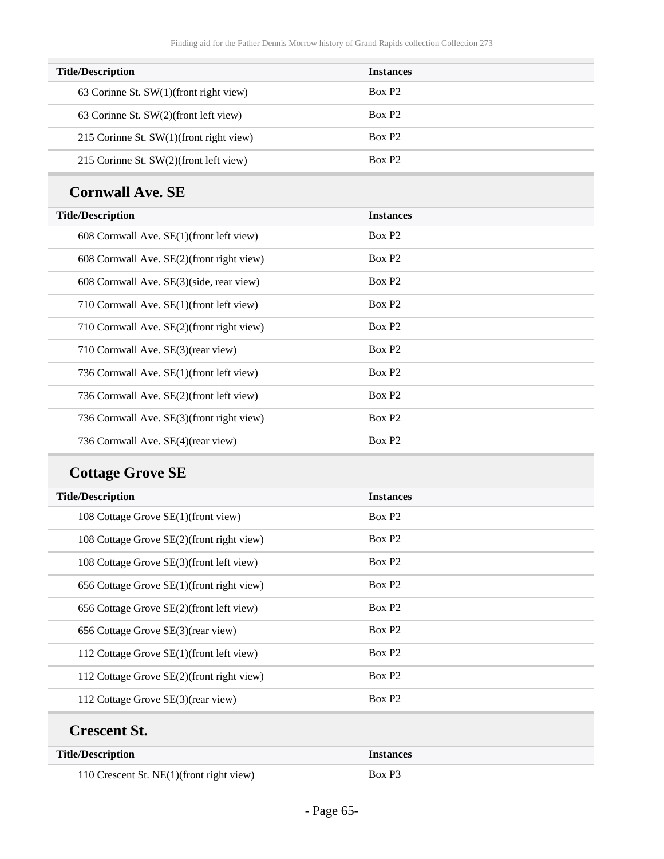| <b>Title/Description</b>                   | <b>Instances</b>   |
|--------------------------------------------|--------------------|
| 63 Corinne St. $SW(1)$ (front right view)  | Box P <sub>2</sub> |
| 63 Corinne St. SW(2)(front left view)      | Box P <sub>2</sub> |
| 215 Corinne St. $SW(1)$ (front right view) | Box P <sub>2</sub> |
| 215 Corinne St. SW(2)(front left view)     | Box P <sub>2</sub> |

### **Cornwall Ave. SE**

| <b>Title/Description</b>                  | <b>Instances</b>   |
|-------------------------------------------|--------------------|
| 608 Cornwall Ave. SE(1)(front left view)  | Box P <sub>2</sub> |
| 608 Cornwall Ave. SE(2)(front right view) | Box P <sub>2</sub> |
| 608 Cornwall Ave. SE(3)(side, rear view)  | Box P <sub>2</sub> |
| 710 Cornwall Ave. SE(1)(front left view)  | Box P <sub>2</sub> |
| 710 Cornwall Ave. SE(2)(front right view) | Box P <sub>2</sub> |
| 710 Cornwall Ave. SE(3) (rear view)       | Box P <sub>2</sub> |
| 736 Cornwall Ave. SE(1)(front left view)  | Box P <sub>2</sub> |
| 736 Cornwall Ave. SE(2)(front left view)  | Box P <sub>2</sub> |
| 736 Cornwall Ave. SE(3)(front right view) | Box P <sub>2</sub> |
| 736 Cornwall Ave. SE(4)(rear view)        | Box P <sub>2</sub> |

# **Cottage Grove SE**

| <b>Title/Description</b>                  | <b>Instances</b>   |
|-------------------------------------------|--------------------|
| 108 Cottage Grove SE(1)(front view)       | Box P <sub>2</sub> |
| 108 Cottage Grove SE(2)(front right view) | Box P <sub>2</sub> |
| 108 Cottage Grove SE(3)(front left view)  | Box P <sub>2</sub> |
| 656 Cottage Grove SE(1)(front right view) | Box P <sub>2</sub> |
| 656 Cottage Grove SE(2)(front left view)  | Box P <sub>2</sub> |
| 656 Cottage Grove SE(3)(rear view)        | Box P <sub>2</sub> |
| 112 Cottage Grove SE(1)(front left view)  | Box P <sub>2</sub> |
| 112 Cottage Grove SE(2)(front right view) | Box P <sub>2</sub> |
| 112 Cottage Grove SE(3)(rear view)        | Box P <sub>2</sub> |
| <b>Crescent St.</b>                       |                    |
| <b>Title/Description</b>                  | <b>Instances</b>   |

110 Crescent St. NE(1)(front right view) Box P3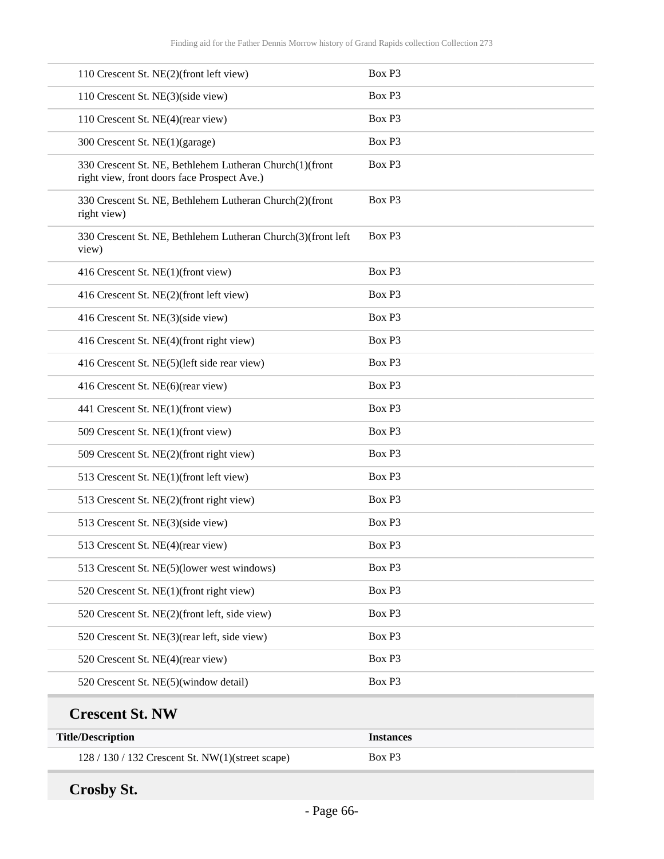| 110 Crescent St. NE(2)(front left view)                                                                | Box P3             |
|--------------------------------------------------------------------------------------------------------|--------------------|
| 110 Crescent St. NE(3)(side view)                                                                      | Box P3             |
| 110 Crescent St. NE(4)(rear view)                                                                      | Box P3             |
| 300 Crescent St. NE(1)(garage)                                                                         | Box P3             |
| 330 Crescent St. NE, Bethlehem Lutheran Church(1)(front<br>right view, front doors face Prospect Ave.) | Box P3             |
| 330 Crescent St. NE, Bethlehem Lutheran Church(2)(front<br>right view)                                 | Box P3             |
| 330 Crescent St. NE, Bethlehem Lutheran Church(3)(front left<br>view)                                  | Box P3             |
| 416 Crescent St. NE(1)(front view)                                                                     | Box P3             |
| 416 Crescent St. NE(2)(front left view)                                                                | Box P3             |
| 416 Crescent St. NE(3)(side view)                                                                      | Box P3             |
| 416 Crescent St. NE(4)(front right view)                                                               | Box P3             |
| 416 Crescent St. NE(5)(left side rear view)                                                            | Box P3             |
| 416 Crescent St. NE(6)(rear view)                                                                      | Box P3             |
| 441 Crescent St. NE(1)(front view)                                                                     | Box P3             |
| 509 Crescent St. NE(1)(front view)                                                                     | Box P3             |
| 509 Crescent St. NE(2)(front right view)                                                               | Box P3             |
| 513 Crescent St. NE(1)(front left view)                                                                | Box P3             |
| 513 Crescent St. NE(2)(front right view)                                                               | Box P3             |
| 513 Crescent St. NE(3)(side view)                                                                      | Box P3             |
| 513 Crescent St. NE(4)(rear view)                                                                      | Box P <sub>3</sub> |
| 513 Crescent St. NE(5)(lower west windows)                                                             | Box P3             |
| 520 Crescent St. NE(1)(front right view)                                                               | Box P3             |
| 520 Crescent St. NE(2)(front left, side view)                                                          | Box P3             |
| 520 Crescent St. NE(3)(rear left, side view)                                                           | Box P3             |
| 520 Crescent St. NE(4)(rear view)                                                                      | Box P3             |
| 520 Crescent St. NE(5)(window detail)                                                                  | Box P3             |
| <b>Crescent St. NW</b>                                                                                 |                    |
| <b>Title/Description</b>                                                                               | <b>Instances</b>   |
| 128 / 130 / 132 Crescent St. NW(1)(street scape)                                                       | Box P3             |

**Crosby St.**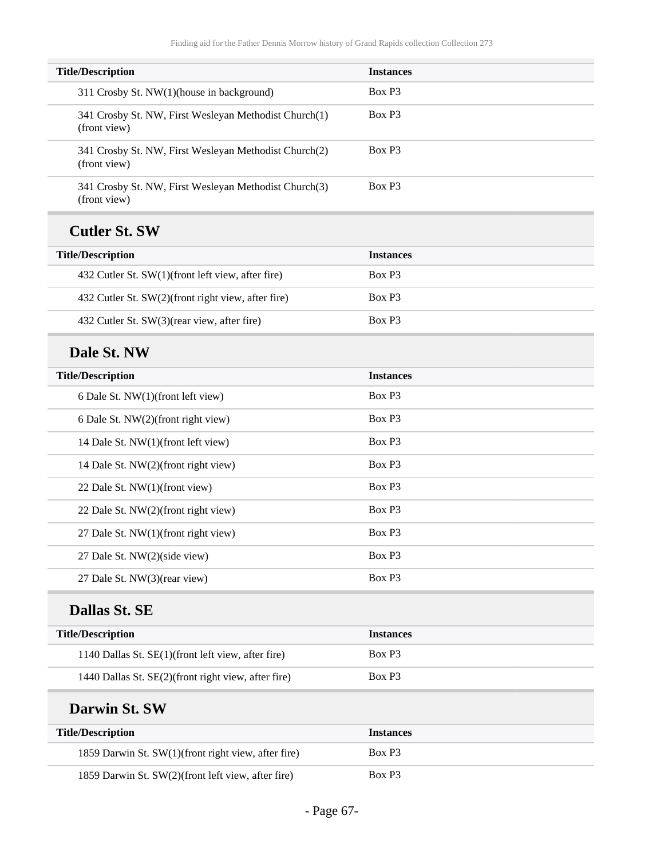| <b>Title/Description</b>                                              | <b>Instances</b>   |
|-----------------------------------------------------------------------|--------------------|
| 311 Crosby St. NW(1)(house in background)                             | Box P3             |
| 341 Crosby St. NW, First Wesleyan Methodist Church(1)<br>(front view) | Box P3             |
| 341 Crosby St. NW, First Wesleyan Methodist Church(2)<br>(front view) | Box P3             |
| 341 Crosby St. NW, First Wesleyan Methodist Church(3)<br>(front view) | Box P <sub>3</sub> |
| <b>Cutler St. SW</b>                                                  |                    |
| <b>Title/Description</b>                                              | <b>Instances</b>   |
| 432 Cutler St. SW(1)(front left view, after fire)                     | Box P <sub>3</sub> |
| 432 Cutler St. SW(2)(front right view, after fire)                    | Box P3             |
| 432 Cutler St. SW(3)(rear view, after fire)                           | Box P3             |
| Dale St. NW                                                           |                    |
| <b>Title/Description</b>                                              | <b>Instances</b>   |
| 6 Dale St. NW(1)(front left view)                                     | Box P3             |
| 6 Dale St. NW(2)(front right view)                                    | Box P3             |
| 14 Dale St. NW(1)(front left view)                                    | Box P3             |
| 14 Dale St. NW(2)(front right view)                                   | Box P3             |
| 22 Dale St. NW(1)(front view)                                         | Box P3             |
| 22 Dale St. NW(2)(front right view)                                   | Box P3             |
| 27 Dale St. NW(1)(front right view)                                   | Box P3             |
| 27 Dale St. NW(2)(side view)                                          | Box P3             |
| 27 Dale St. NW(3)(rear view)                                          | Box P3             |
| <b>Dallas St. SE</b>                                                  |                    |
| <b>Title/Description</b>                                              | <b>Instances</b>   |
| 1140 Dallas St. SE(1)(front left view, after fire)                    | Box P3             |
| 1440 Dallas St. SE(2)(front right view, after fire)                   | Box P3             |
| Darwin St. SW                                                         |                    |
| <b>Title/Description</b>                                              | <b>Instances</b>   |
| 1859 Darwin St. SW(1)(front right view, after fire)                   | Box P3             |
| 1859 Darwin St. SW(2)(front left view, after fire)                    | Box P3             |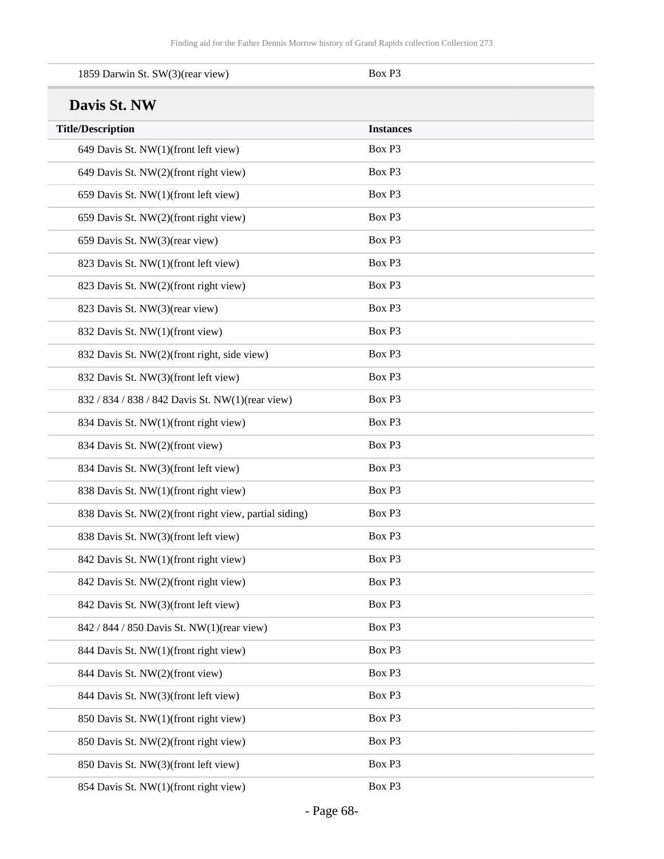| 1859 Darwin St. SW(3)(rear view)                      | Box P3           |
|-------------------------------------------------------|------------------|
| Davis St. NW                                          |                  |
| <b>Title/Description</b>                              | <b>Instances</b> |
| 649 Davis St. NW(1)(front left view)                  | Box P3           |
| 649 Davis St. NW(2)(front right view)                 | Box P3           |
| 659 Davis St. NW(1)(front left view)                  | Box P3           |
| 659 Davis St. NW(2)(front right view)                 | Box P3           |
| 659 Davis St. NW(3)(rear view)                        | Box P3           |
| 823 Davis St. NW(1)(front left view)                  | Box P3           |
| 823 Davis St. NW(2)(front right view)                 | Box P3           |
| 823 Davis St. NW(3)(rear view)                        | Box P3           |
| 832 Davis St. NW(1)(front view)                       | Box P3           |
| 832 Davis St. NW(2)(front right, side view)           | Box P3           |
| 832 Davis St. NW(3)(front left view)                  | Box P3           |
| 832 / 834 / 838 / 842 Davis St. NW(1)(rear view)      | Box P3           |
| 834 Davis St. NW(1)(front right view)                 | Box P3           |
| 834 Davis St. NW(2)(front view)                       | Box P3           |
| 834 Davis St. NW(3)(front left view)                  | Box P3           |
| 838 Davis St. NW(1)(front right view)                 | Box P3           |
| 838 Davis St. NW(2)(front right view, partial siding) | Box P3           |
| 838 Davis St. NW(3)(front left view)                  | Box P3           |
| 842 Davis St. NW(1)(front right view)                 | Box P3           |
| 842 Davis St. NW(2)(front right view)                 | Box P3           |
| 842 Davis St. NW(3)(front left view)                  | Box P3           |
| 842 / 844 / 850 Davis St. NW(1)(rear view)            | Box P3           |
| 844 Davis St. NW(1)(front right view)                 | Box P3           |
| 844 Davis St. NW(2)(front view)                       | Box P3           |
| 844 Davis St. NW(3)(front left view)                  | Box P3           |
| 850 Davis St. NW(1)(front right view)                 | Box P3           |
| 850 Davis St. NW(2)(front right view)                 | Box P3           |
| 850 Davis St. NW(3)(front left view)                  | Box P3           |
| 854 Davis St. NW(1)(front right view)                 | Box P3           |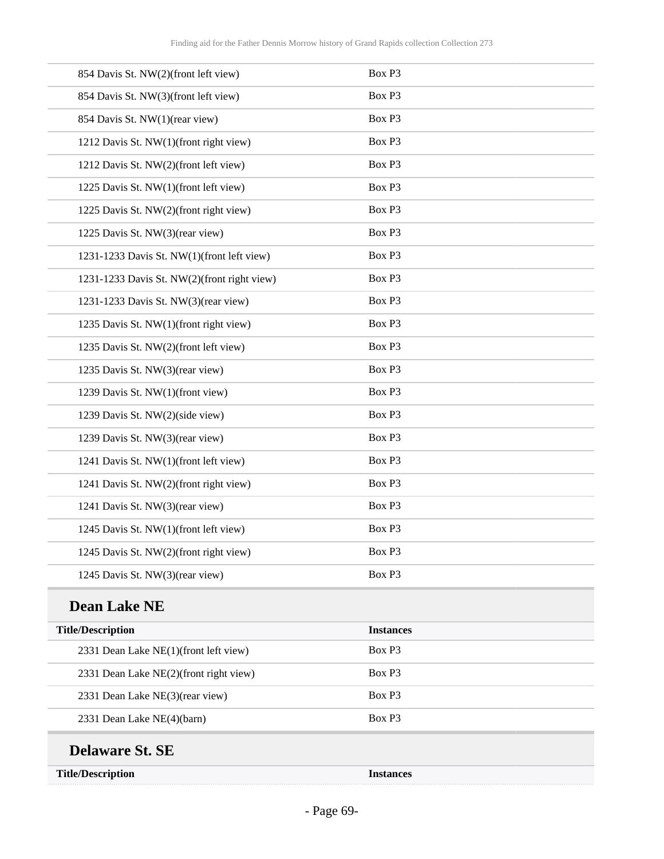| 854 Davis St. NW(2)(front left view)        | Box P3           |
|---------------------------------------------|------------------|
| 854 Davis St. NW(3)(front left view)        | Box P3           |
| 854 Davis St. NW(1)(rear view)              | Box P3           |
| 1212 Davis St. NW(1)(front right view)      | Box P3           |
| 1212 Davis St. NW(2)(front left view)       | Box P3           |
| 1225 Davis St. NW(1)(front left view)       | Box P3           |
| 1225 Davis St. NW(2)(front right view)      | Box P3           |
| 1225 Davis St. NW(3)(rear view)             | Box P3           |
| 1231-1233 Davis St. NW(1)(front left view)  | Box P3           |
| 1231-1233 Davis St. NW(2)(front right view) | Box P3           |
| 1231-1233 Davis St. NW(3)(rear view)        | Box P3           |
| 1235 Davis St. NW(1)(front right view)      | Box P3           |
| 1235 Davis St. NW(2)(front left view)       | Box P3           |
| 1235 Davis St. NW(3)(rear view)             | Box P3           |
| 1239 Davis St. NW(1)(front view)            | Box P3           |
| 1239 Davis St. NW(2)(side view)             | Box P3           |
| 1239 Davis St. NW(3)(rear view)             | Box P3           |
| 1241 Davis St. NW(1)(front left view)       | Box P3           |
| 1241 Davis St. NW(2)(front right view)      | Box P3           |
| 1241 Davis St. NW(3)(rear view)             | Box P3           |
| 1245 Davis St. NW(1)(front left view)       | Box P3           |
| 1245 Davis St. NW(2)(front right view)      | Box P3           |
| 1245 Davis St. NW(3)(rear view)             | Box P3           |
| <b>Dean Lake NE</b>                         |                  |
| <b>Title/Description</b>                    | <b>Instances</b> |
| 2331 Dean Lake NE(1)(front left view)       | Box P3           |
| 2331 Dean Lake NE(2)(front right view)      | Box P3           |
| 2331 Dean Lake NE(3)(rear view)             | Box P3           |
| 2331 Dean Lake NE(4)(barn)                  | Box P3           |
| <b>Delaware St. SE</b>                      |                  |
| <b>Title/Description</b>                    | <b>Instances</b> |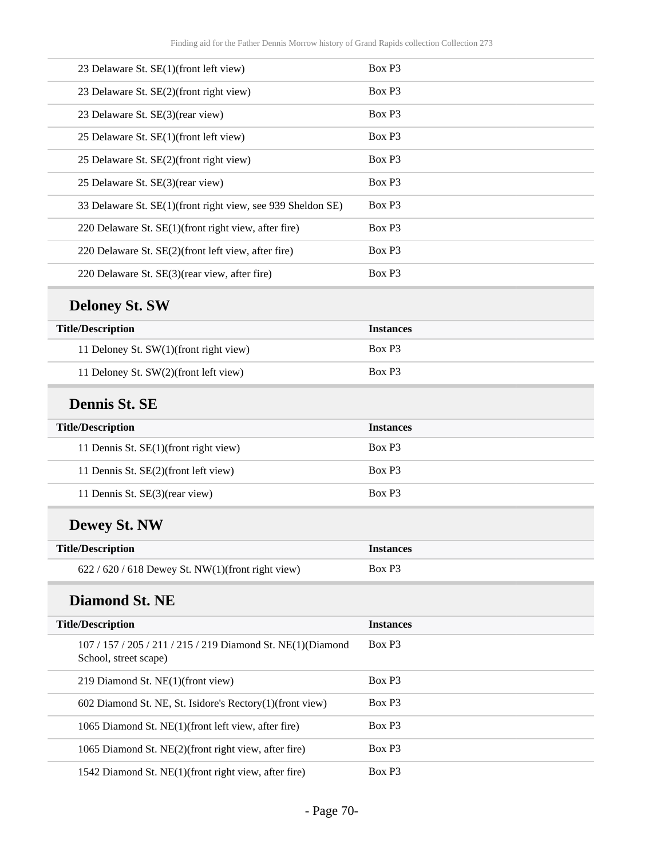| 23 Delaware St. SE(1)(front left view)                                               | Box P3           |
|--------------------------------------------------------------------------------------|------------------|
| 23 Delaware St. SE(2)(front right view)                                              | Box P3           |
| 23 Delaware St. SE(3)(rear view)                                                     | Box P3           |
| 25 Delaware St. SE(1)(front left view)                                               | Box P3           |
| 25 Delaware St. SE(2)(front right view)                                              | Box P3           |
| 25 Delaware St. SE(3)(rear view)                                                     | Box P3           |
| 33 Delaware St. SE(1)(front right view, see 939 Sheldon SE)                          | Box P3           |
| 220 Delaware St. SE(1)(front right view, after fire)                                 | Box P3           |
| 220 Delaware St. SE(2)(front left view, after fire)                                  | Box P3           |
| 220 Delaware St. SE(3)(rear view, after fire)                                        | Box P3           |
| <b>Deloney St. SW</b>                                                                |                  |
| <b>Title/Description</b>                                                             | <b>Instances</b> |
| 11 Deloney St. SW(1)(front right view)                                               | Box P3           |
| 11 Deloney St. SW(2)(front left view)                                                | Box P3           |
| <b>Dennis St. SE</b>                                                                 |                  |
| <b>Title/Description</b>                                                             | <b>Instances</b> |
| 11 Dennis St. SE(1)(front right view)                                                | Box P3           |
| 11 Dennis St. SE(2)(front left view)                                                 | Box P3           |
| 11 Dennis St. SE(3)(rear view)                                                       | Box P3           |
| <b>Dewey St. NW</b>                                                                  |                  |
| <b>Title/Description</b>                                                             | <b>Instances</b> |
| $622 / 620 / 618$ Dewey St. NW(1)(front right view)                                  | Box P3           |
| <b>Diamond St. NE</b>                                                                |                  |
| <b>Title/Description</b>                                                             | <b>Instances</b> |
| 107 / 157 / 205 / 211 / 215 / 219 Diamond St. NE(1)(Diamond<br>School, street scape) | Box P3           |
| 219 Diamond St. NE(1)(front view)                                                    | Box P3           |
| 602 Diamond St. NE, St. Isidore's Rectory(1)(front view)                             | Box P3           |
| 1065 Diamond St. NE(1)(front left view, after fire)                                  | Box P3           |
| 1065 Diamond St. NE(2)(front right view, after fire)                                 | Box P3           |
| 1542 Diamond St. NE(1)(front right view, after fire)                                 | Box P3           |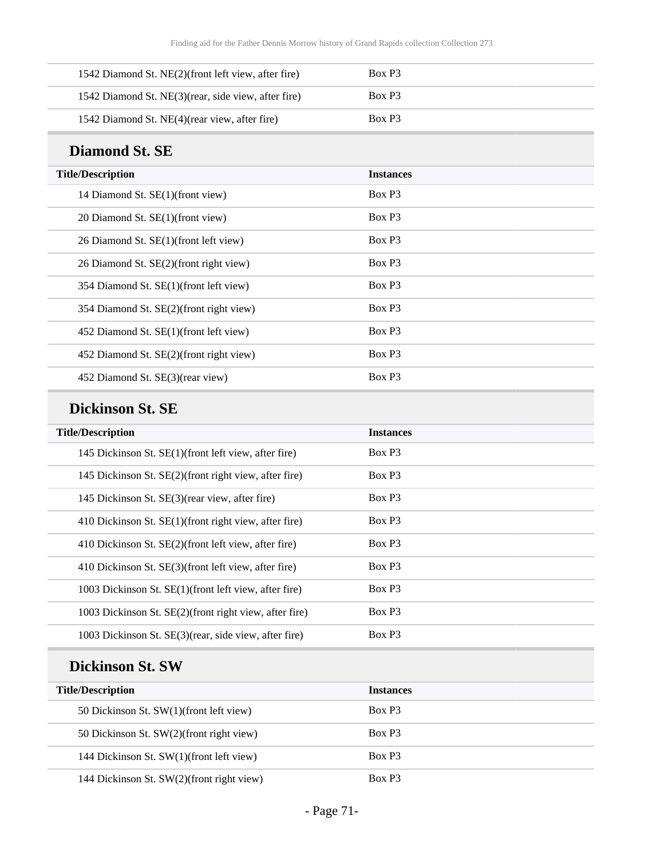| 1542 Diamond St. NE(2)(front left view, after fire)  | Box P <sub>3</sub> |
|------------------------------------------------------|--------------------|
| 1542 Diamond St. NE(3) (rear, side view, after fire) | Box P <sub>3</sub> |
| 1542 Diamond St. NE(4) (rear view, after fire)       | Box P <sub>3</sub> |

### **Diamond St. SE**

| <b>Title/Description</b>                | <b>Instances</b>   |
|-----------------------------------------|--------------------|
| 14 Diamond St. SE(1)(front view)        | Box P <sub>3</sub> |
| 20 Diamond St. SE(1)(front view)        | Box P <sub>3</sub> |
| 26 Diamond St. SE(1)(front left view)   | Box P <sub>3</sub> |
| 26 Diamond St. SE(2)(front right view)  | Box P3             |
| 354 Diamond St. SE(1)(front left view)  | Box P <sub>3</sub> |
| 354 Diamond St. SE(2)(front right view) | Box P3             |
| 452 Diamond St. SE(1)(front left view)  | Box P <sub>3</sub> |
| 452 Diamond St. SE(2)(front right view) | Box P <sub>3</sub> |
| 452 Diamond St. SE(3)(rear view)        | Box P <sub>3</sub> |

### **Dickinson St. SE**

| <b>Title/Description</b>                               | <b>Instances</b>   |
|--------------------------------------------------------|--------------------|
| 145 Dickinson St. SE(1)(front left view, after fire)   | Box P <sub>3</sub> |
| 145 Dickinson St. SE(2)(front right view, after fire)  | Box P3             |
| 145 Dickinson St. SE(3) (rear view, after fire)        | Box P3             |
| 410 Dickinson St. SE(1)(front right view, after fire)  | Box P3             |
| 410 Dickinson St. SE(2)(front left view, after fire)   | Box P <sub>3</sub> |
| 410 Dickinson St. SE(3)(front left view, after fire)   | Box P3             |
| 1003 Dickinson St. SE(1)(front left view, after fire)  | Box P3             |
| 1003 Dickinson St. SE(2)(front right view, after fire) | Box P3             |
| 1003 Dickinson St. SE(3)(rear, side view, after fire)  | Box P3             |

## **Dickinson St. SW**

| <b>Title/Description</b>                  | <b>Instances</b> |
|-------------------------------------------|------------------|
| 50 Dickinson St. SW(1)(front left view)   | Box P3           |
| 50 Dickinson St. SW(2)(front right view)  | Box P3           |
| 144 Dickinson St. SW(1)(front left view)  | Box P3           |
| 144 Dickinson St. SW(2)(front right view) | Box P3           |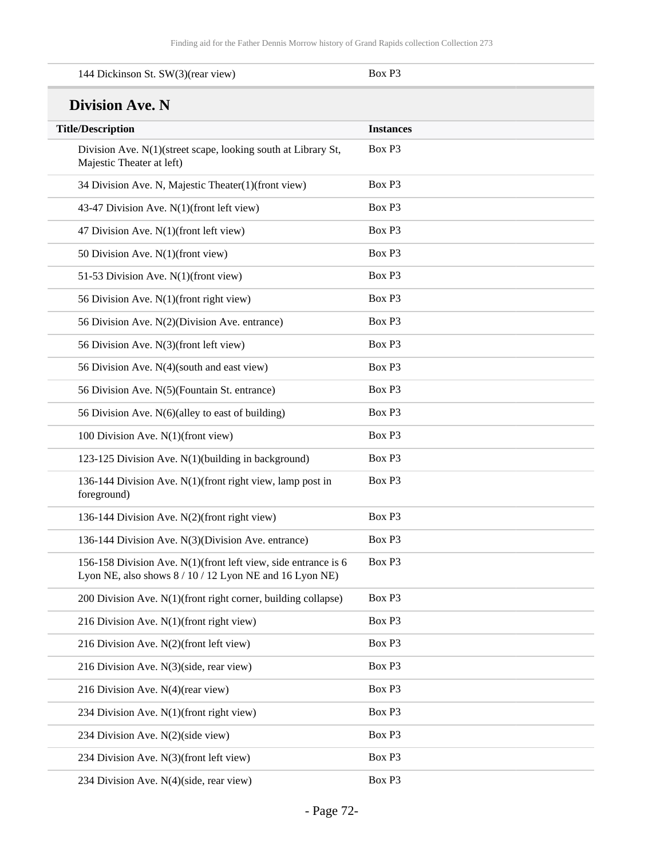| 144 Dickinson St. SW(3)(rear view)                                                                                        | Box P3           |
|---------------------------------------------------------------------------------------------------------------------------|------------------|
| <b>Division Ave. N</b>                                                                                                    |                  |
| <b>Title/Description</b>                                                                                                  | <b>Instances</b> |
| Division Ave. N(1)(street scape, looking south at Library St,<br>Majestic Theater at left)                                | Box P3           |
| 34 Division Ave. N, Majestic Theater(1)(front view)                                                                       | Box P3           |
| 43-47 Division Ave. N(1)(front left view)                                                                                 | Box P3           |
| 47 Division Ave. N(1)(front left view)                                                                                    | Box P3           |
| 50 Division Ave. N(1)(front view)                                                                                         | Box P3           |
| 51-53 Division Ave. N(1)(front view)                                                                                      | Box P3           |
| 56 Division Ave. N(1)(front right view)                                                                                   | Box P3           |
| 56 Division Ave. N(2)(Division Ave. entrance)                                                                             | Box P3           |
| 56 Division Ave. N(3)(front left view)                                                                                    | Box P3           |
| 56 Division Ave. N(4)(south and east view)                                                                                | Box P3           |
| 56 Division Ave. N(5)(Fountain St. entrance)                                                                              | Box P3           |
| 56 Division Ave. N(6)(alley to east of building)                                                                          | Box P3           |
| 100 Division Ave. N(1)(front view)                                                                                        | Box P3           |
| 123-125 Division Ave. N(1)(building in background)                                                                        | Box P3           |
| 136-144 Division Ave. N(1)(front right view, lamp post in<br>foreground)                                                  | Box P3           |
| 136-144 Division Ave. N(2)(front right view)                                                                              | Box P3           |
| 136-144 Division Ave. N(3)(Division Ave. entrance)                                                                        | Box P3           |
| 156-158 Division Ave. N(1)(front left view, side entrance is 6<br>Lyon NE, also shows 8 / 10 / 12 Lyon NE and 16 Lyon NE) | Box P3           |
| 200 Division Ave. N(1)(front right corner, building collapse)                                                             | Box P3           |
| 216 Division Ave. N(1)(front right view)                                                                                  | Box P3           |
| 216 Division Ave. N(2)(front left view)                                                                                   | Box P3           |
| 216 Division Ave. N(3)(side, rear view)                                                                                   | Box P3           |
| 216 Division Ave. N(4)(rear view)                                                                                         | Box P3           |
| 234 Division Ave. N(1)(front right view)                                                                                  | Box P3           |
| 234 Division Ave. N(2)(side view)                                                                                         | Box P3           |
| 234 Division Ave. N(3)(front left view)                                                                                   | Box P3           |
| 234 Division Ave. N(4)(side, rear view)                                                                                   | Box P3           |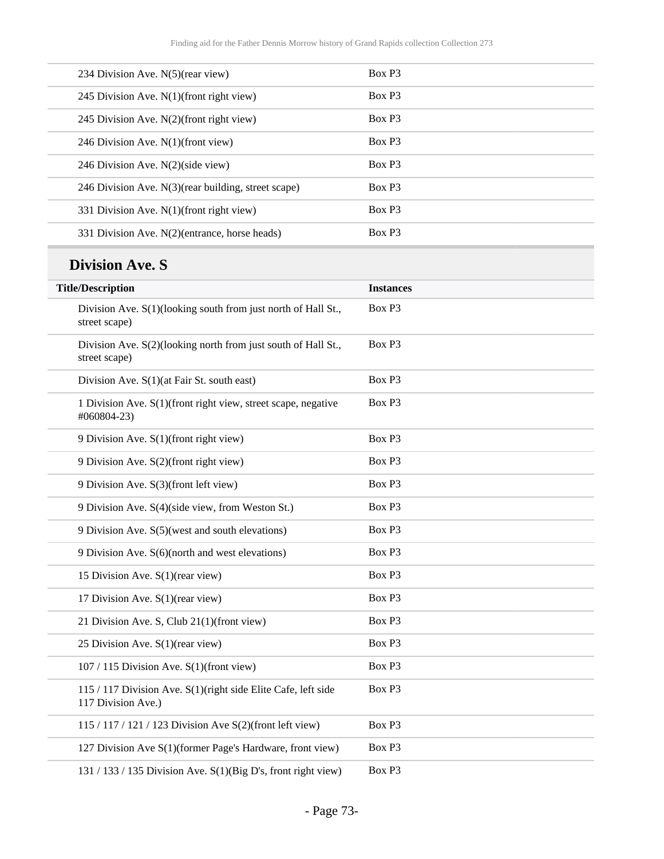| 234 Division Ave. N(5)(rear view)                      | Box P3             |
|--------------------------------------------------------|--------------------|
| 245 Division Ave. $N(1)$ (front right view)            | Box P3             |
| 245 Division Ave. $N(2)$ (front right view)            | Box P3             |
| 246 Division Ave. $N(1)$ (front view)                  | Box P3             |
| 246 Division Ave. $N(2)$ (side view)                   | Box P <sub>3</sub> |
| 246 Division Ave. $N(3)$ (rear building, street scape) | Box P <sub>3</sub> |
| 331 Division Ave. $N(1)$ (front right view)            | Box P3             |
| 331 Division Ave. N(2)(entrance, horse heads)          | Box P <sub>3</sub> |
|                                                        |                    |

# **Division Ave. S**

| <b>Title/Description</b>                                                            | <b>Instances</b> |
|-------------------------------------------------------------------------------------|------------------|
| Division Ave. S(1)(looking south from just north of Hall St.,<br>street scape)      | Box P3           |
| Division Ave. S(2)(looking north from just south of Hall St.,<br>street scape)      | Box P3           |
| Division Ave. S(1)(at Fair St. south east)                                          | Box P3           |
| 1 Division Ave. S(1)(front right view, street scape, negative<br>#060804-23)        | Box P3           |
| 9 Division Ave. S(1)(front right view)                                              | Box P3           |
| 9 Division Ave. S(2)(front right view)                                              | Box P3           |
| 9 Division Ave. S(3)(front left view)                                               | Box P3           |
| 9 Division Ave. S(4)(side view, from Weston St.)                                    | Box P3           |
| 9 Division Ave. S(5)(west and south elevations)                                     | Box P3           |
| 9 Division Ave. S(6)(north and west elevations)                                     | Box P3           |
| 15 Division Ave. S(1)(rear view)                                                    | Box P3           |
| 17 Division Ave. S(1)(rear view)                                                    | Box P3           |
| 21 Division Ave. S, Club 21(1)(front view)                                          | Box P3           |
| 25 Division Ave. S(1)(rear view)                                                    | Box P3           |
| $107 / 115$ Division Ave. S(1)(front view)                                          | Box P3           |
| 115 / 117 Division Ave. S(1)(right side Elite Cafe, left side<br>117 Division Ave.) | Box P3           |
| 115 / 117 / 121 / 123 Division Ave S(2)(front left view)                            | Box P3           |
| 127 Division Ave S(1)(former Page's Hardware, front view)                           | Box P3           |
| 131 / 133 / 135 Division Ave. S(1)(Big D's, front right view)                       | Box P3           |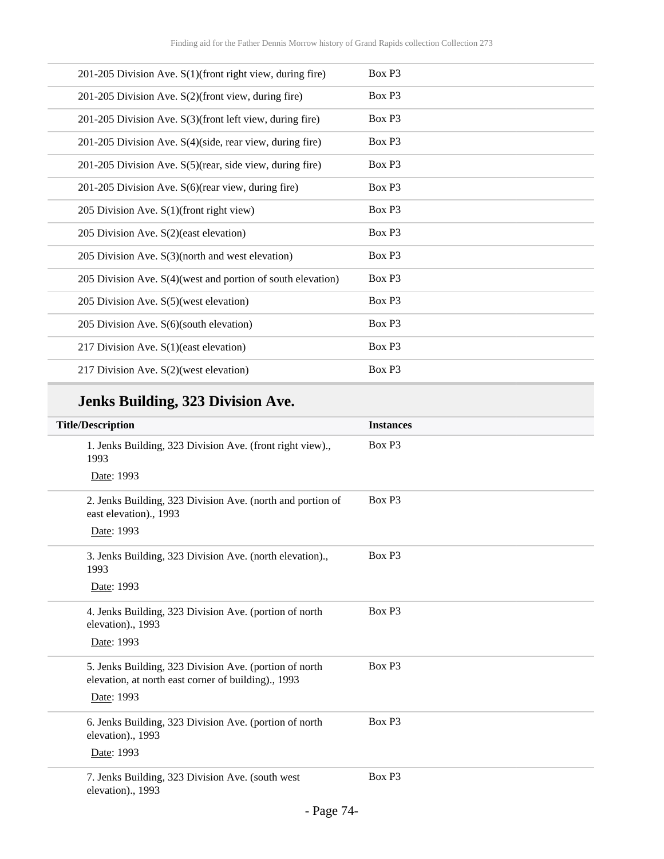| 201-205 Division Ave. S(1)(front right view, during fire)      | Box P3 |
|----------------------------------------------------------------|--------|
| 201-205 Division Ave. S(2)(front view, during fire)            | Box P3 |
| 201-205 Division Ave. S(3)(front left view, during fire)       | Box P3 |
| 201-205 Division Ave. S(4)(side, rear view, during fire)       | Box P3 |
| 201-205 Division Ave. S(5)(rear, side view, during fire)       | Box P3 |
| 201-205 Division Ave. S(6)(rear view, during fire)             | Box P3 |
| 205 Division Ave. $S(1)$ (front right view)                    | Box P3 |
| 205 Division Ave. S(2)(east elevation)                         | Box P3 |
| 205 Division Ave. S(3)(north and west elevation)               | Box P3 |
| 205 Division Ave. $S(4)$ (west and portion of south elevation) | Box P3 |
| 205 Division Ave. S(5)(west elevation)                         | Box P3 |
| 205 Division Ave. S(6)(south elevation)                        | Box P3 |
| 217 Division Ave. $S(1)$ (east elevation)                      | Box P3 |
| 217 Division Ave. S(2)(west elevation)                         | Box P3 |

# **Jenks Building, 323 Division Ave.**

| <b>Title/Description</b>                                                                                      | <b>Instances</b>   |
|---------------------------------------------------------------------------------------------------------------|--------------------|
| 1. Jenks Building, 323 Division Ave. (front right view).,<br>1993                                             | Box P3             |
| Date: 1993                                                                                                    |                    |
| 2. Jenks Building, 323 Division Ave. (north and portion of<br>east elevation)., 1993                          | Box P3             |
| Date: 1993                                                                                                    |                    |
| 3. Jenks Building, 323 Division Ave. (north elevation).,<br>1993                                              | Box P3             |
| Date: 1993                                                                                                    |                    |
| 4. Jenks Building, 323 Division Ave. (portion of north<br>elevation)., 1993                                   | Box P <sub>3</sub> |
| Date: 1993                                                                                                    |                    |
| 5. Jenks Building, 323 Division Ave. (portion of north<br>elevation, at north east corner of building)., 1993 | Box P3             |
| Date: 1993                                                                                                    |                    |
| 6. Jenks Building, 323 Division Ave. (portion of north<br>elevation)., 1993                                   | Box P3             |
| Date: 1993                                                                                                    |                    |
| 7. Jenks Building, 323 Division Ave. (south west<br>elevation)., 1993                                         | Box P3             |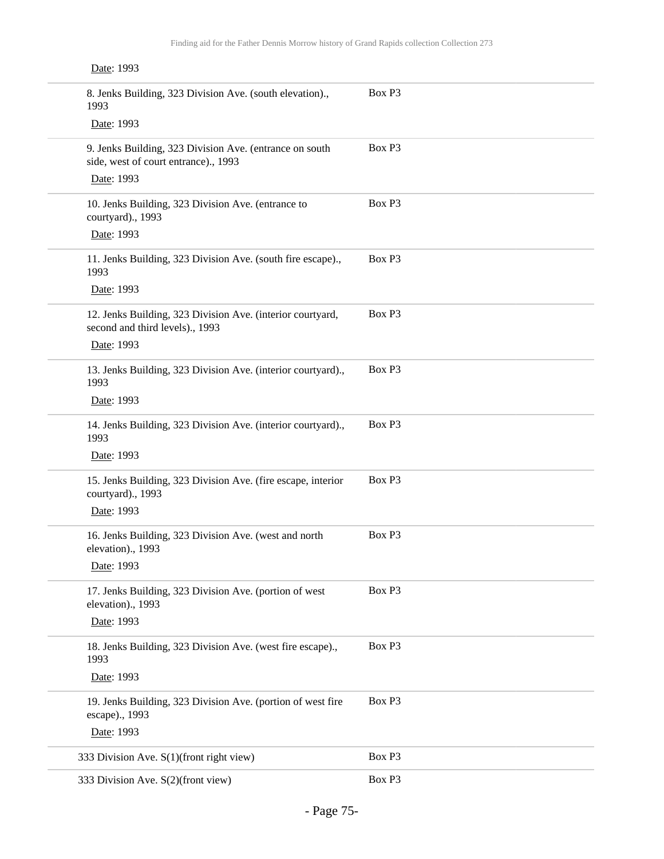| Date: 1993                                                                                      |        |
|-------------------------------------------------------------------------------------------------|--------|
| 8. Jenks Building, 323 Division Ave. (south elevation).,<br>1993                                | Box P3 |
| Date: 1993                                                                                      |        |
| 9. Jenks Building, 323 Division Ave. (entrance on south<br>side, west of court entrance)., 1993 | Box P3 |
| Date: 1993                                                                                      |        |
| 10. Jenks Building, 323 Division Ave. (entrance to<br>courtyard)., 1993                         | Box P3 |
| Date: 1993                                                                                      |        |
| 11. Jenks Building, 323 Division Ave. (south fire escape).,<br>1993                             | Box P3 |
| Date: 1993                                                                                      |        |
| 12. Jenks Building, 323 Division Ave. (interior courtyard,<br>second and third levels)., 1993   | Box P3 |
| Date: 1993                                                                                      |        |
| 13. Jenks Building, 323 Division Ave. (interior courtyard).,<br>1993                            | Box P3 |
| Date: 1993                                                                                      |        |
| 14. Jenks Building, 323 Division Ave. (interior courtyard).,<br>1993                            | Box P3 |
| Date: 1993                                                                                      |        |
| 15. Jenks Building, 323 Division Ave. (fire escape, interior<br>courtyard)., 1993               | Box P3 |
| Date: 1993                                                                                      |        |
| 16. Jenks Building, 323 Division Ave. (west and north<br>elevation)., 1993                      | Box P3 |
| Date: 1993                                                                                      |        |
| 17. Jenks Building, 323 Division Ave. (portion of west<br>elevation)., 1993                     | Box P3 |
| Date: 1993                                                                                      |        |
| 18. Jenks Building, 323 Division Ave. (west fire escape).,<br>1993                              | Box P3 |
| Date: 1993                                                                                      |        |
| 19. Jenks Building, 323 Division Ave. (portion of west fire<br>escape)., 1993                   | Box P3 |
| Date: 1993                                                                                      |        |
| 333 Division Ave. S(1)(front right view)                                                        | Box P3 |
| 333 Division Ave. S(2)(front view)                                                              | Box P3 |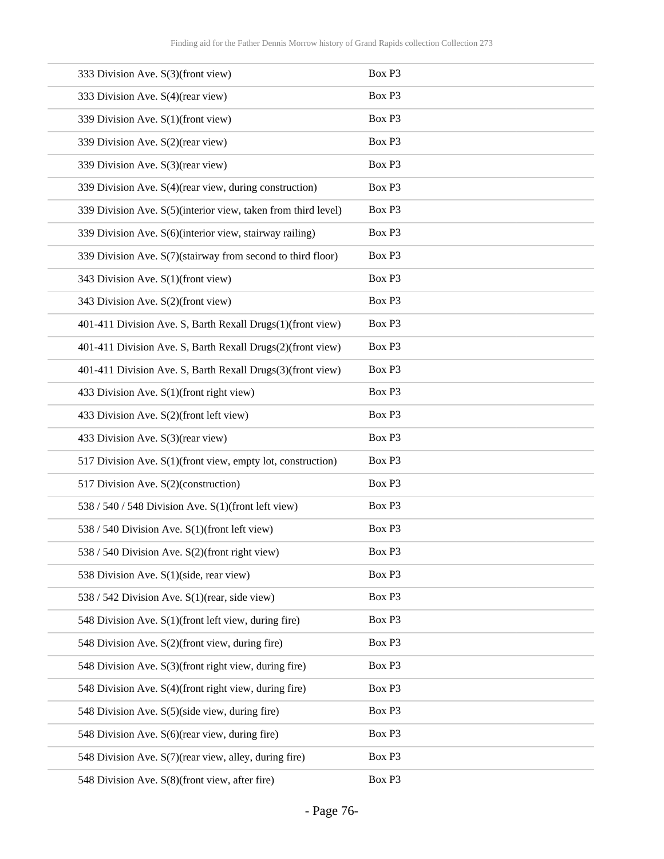| 333 Division Ave. S(3)(front view)                            | Box P3 |
|---------------------------------------------------------------|--------|
| 333 Division Ave. S(4)(rear view)                             | Box P3 |
| 339 Division Ave. S(1)(front view)                            | Box P3 |
| 339 Division Ave. S(2)(rear view)                             | Box P3 |
| 339 Division Ave. S(3)(rear view)                             | Box P3 |
| 339 Division Ave. S(4)(rear view, during construction)        | Box P3 |
| 339 Division Ave. S(5)(interior view, taken from third level) | Box P3 |
| 339 Division Ave. S(6)(interior view, stairway railing)       | Box P3 |
| 339 Division Ave. S(7)(stairway from second to third floor)   | Box P3 |
| 343 Division Ave. S(1)(front view)                            | Box P3 |
| 343 Division Ave. S(2)(front view)                            | Box P3 |
| 401-411 Division Ave. S, Barth Rexall Drugs(1)(front view)    | Box P3 |
| 401-411 Division Ave. S, Barth Rexall Drugs(2)(front view)    | Box P3 |
| 401-411 Division Ave. S, Barth Rexall Drugs(3)(front view)    | Box P3 |
| 433 Division Ave. S(1)(front right view)                      | Box P3 |
| 433 Division Ave. S(2)(front left view)                       | Box P3 |
| 433 Division Ave. S(3)(rear view)                             | Box P3 |
| 517 Division Ave. S(1)(front view, empty lot, construction)   | Box P3 |
| 517 Division Ave. S(2)(construction)                          | Box P3 |
| 538 / 540 / 548 Division Ave. $S(1)$ (front left view)        | Box P3 |
| 538 / 540 Division Ave. S(1)(front left view)                 | Box P3 |
| 538 / 540 Division Ave. S(2)(front right view)                | Box P3 |
| 538 Division Ave. S(1)(side, rear view)                       | Box P3 |
| 538 / 542 Division Ave. S(1)(rear, side view)                 | Box P3 |
| 548 Division Ave. S(1)(front left view, during fire)          | Box P3 |
| 548 Division Ave. S(2)(front view, during fire)               | Box P3 |
| 548 Division Ave. S(3)(front right view, during fire)         | Box P3 |
| 548 Division Ave. S(4)(front right view, during fire)         | Box P3 |
| 548 Division Ave. S(5)(side view, during fire)                | Box P3 |
| 548 Division Ave. S(6)(rear view, during fire)                | Box P3 |
| 548 Division Ave. S(7)(rear view, alley, during fire)         | Box P3 |
| 548 Division Ave. S(8)(front view, after fire)                | Box P3 |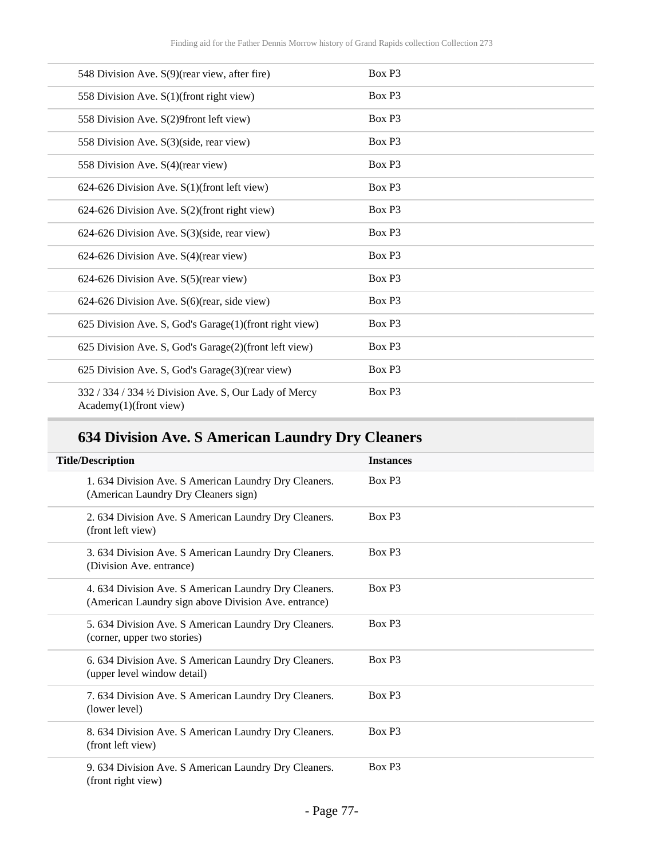| 548 Division Ave. S(9)(rear view, after fire)                                    | Box P3             |
|----------------------------------------------------------------------------------|--------------------|
| 558 Division Ave. S(1)(front right view)                                         | Box P3             |
| 558 Division Ave. S(2)9front left view)                                          | Box P3             |
| 558 Division Ave. S(3)(side, rear view)                                          | Box P3             |
| 558 Division Ave. S(4)(rear view)                                                | Box P <sub>3</sub> |
| $624-626$ Division Ave. $S(1)$ (front left view)                                 | Box P3             |
| $624-626$ Division Ave. $S(2)$ (front right view)                                | Box P3             |
| 624-626 Division Ave. S(3)(side, rear view)                                      | Box P3             |
| 624-626 Division Ave. S(4)(rear view)                                            | Box P3             |
| 624-626 Division Ave. S(5)(rear view)                                            | Box P3             |
| 624-626 Division Ave. S(6)(rear, side view)                                      | Box P3             |
| 625 Division Ave. S, God's Garage(1)(front right view)                           | Box P3             |
| 625 Division Ave. S, God's Garage(2)(front left view)                            | Box P3             |
| 625 Division Ave. S, God's Garage(3)(rear view)                                  | Box P3             |
| 332 / 334 / 334 1/2 Division Ave. S, Our Lady of Mercy<br>Academy(1)(front view) | Box P3             |

# **634 Division Ave. S American Laundry Dry Cleaners**

| <b>Title/Description</b>                                                                                      | <b>Instances</b>   |
|---------------------------------------------------------------------------------------------------------------|--------------------|
| 1.634 Division Ave. S American Laundry Dry Cleaners.<br>(American Laundry Dry Cleaners sign)                  | Box P <sub>3</sub> |
| 2. 634 Division Ave. S American Laundry Dry Cleaners.<br>(front left view)                                    | Box P <sub>3</sub> |
| 3. 634 Division Ave. S American Laundry Dry Cleaners.<br>(Division Ave. entrance)                             | Box P <sub>3</sub> |
| 4. 634 Division Ave. S American Laundry Dry Cleaners.<br>(American Laundry sign above Division Ave. entrance) | Box P <sub>3</sub> |
| 5. 634 Division Ave. S American Laundry Dry Cleaners.<br>(corner, upper two stories)                          | Box P <sub>3</sub> |
| 6. 634 Division Ave. S American Laundry Dry Cleaners.<br>(upper level window detail)                          | Box P <sub>3</sub> |
| 7. 634 Division Ave. S American Laundry Dry Cleaners.<br>(lower level)                                        | Box P <sub>3</sub> |
| 8. 634 Division Ave. S American Laundry Dry Cleaners.<br>(front left view)                                    | Box P <sub>3</sub> |
| 9. 634 Division Ave. S American Laundry Dry Cleaners.<br>(front right view)                                   | Box P <sub>3</sub> |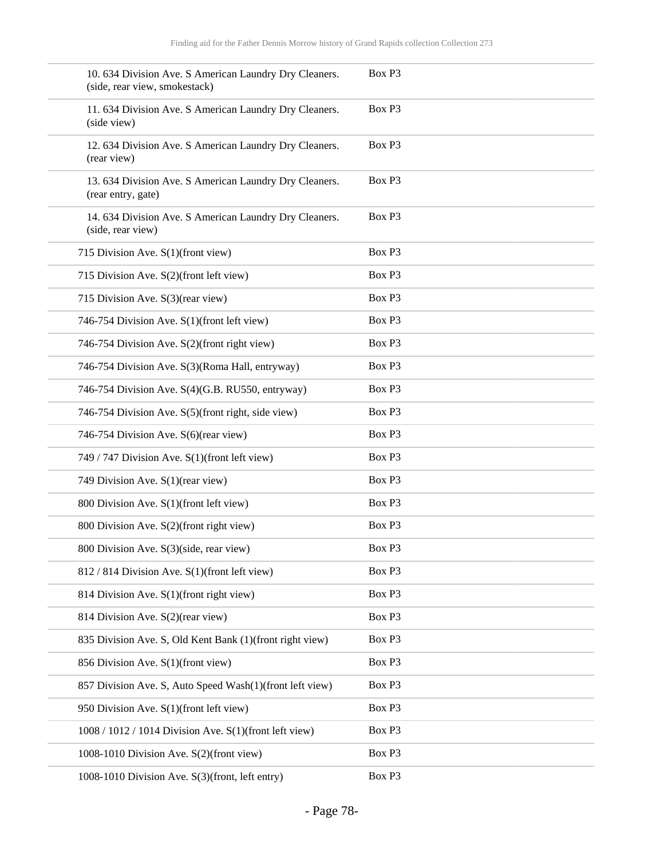| 10. 634 Division Ave. S American Laundry Dry Cleaners.<br>(side, rear view, smokestack) | Box P3 |
|-----------------------------------------------------------------------------------------|--------|
| 11. 634 Division Ave. S American Laundry Dry Cleaners.<br>(side view)                   | Box P3 |
| 12. 634 Division Ave. S American Laundry Dry Cleaners.<br>(rear view)                   | Box P3 |
| 13. 634 Division Ave. S American Laundry Dry Cleaners.<br>(rear entry, gate)            | Box P3 |
| 14. 634 Division Ave. S American Laundry Dry Cleaners.<br>(side, rear view)             | Box P3 |
| 715 Division Ave. S(1)(front view)                                                      | Box P3 |
| 715 Division Ave. S(2)(front left view)                                                 | Box P3 |
| 715 Division Ave. S(3)(rear view)                                                       | Box P3 |
| 746-754 Division Ave. S(1)(front left view)                                             | Box P3 |
| 746-754 Division Ave. S(2)(front right view)                                            | Box P3 |
| 746-754 Division Ave. S(3)(Roma Hall, entryway)                                         | Box P3 |
| 746-754 Division Ave. S(4)(G.B. RU550, entryway)                                        | Box P3 |
| 746-754 Division Ave. S(5)(front right, side view)                                      | Box P3 |
| 746-754 Division Ave. S(6)(rear view)                                                   | Box P3 |
| 749 / 747 Division Ave. S(1)(front left view)                                           | Box P3 |
| 749 Division Ave. S(1)(rear view)                                                       | Box P3 |
| 800 Division Ave. S(1)(front left view)                                                 | Box P3 |
| 800 Division Ave. S(2)(front right view)                                                | Box P3 |
| 800 Division Ave. S(3)(side, rear view)                                                 | Box P3 |
| 812 / 814 Division Ave. S(1)(front left view)                                           | Box P3 |
| 814 Division Ave. S(1)(front right view)                                                | Box P3 |
| 814 Division Ave. S(2)(rear view)                                                       | Box P3 |
| 835 Division Ave. S, Old Kent Bank (1)(front right view)                                | Box P3 |
| 856 Division Ave. S(1)(front view)                                                      | Box P3 |
| 857 Division Ave. S, Auto Speed Wash(1)(front left view)                                | Box P3 |
| 950 Division Ave. S(1)(front left view)                                                 | Box P3 |
| 1008 / 1012 / 1014 Division Ave. S(1)(front left view)                                  | Box P3 |
| 1008-1010 Division Ave. S(2)(front view)                                                | Box P3 |
| 1008-1010 Division Ave. S(3)(front, left entry)                                         | Box P3 |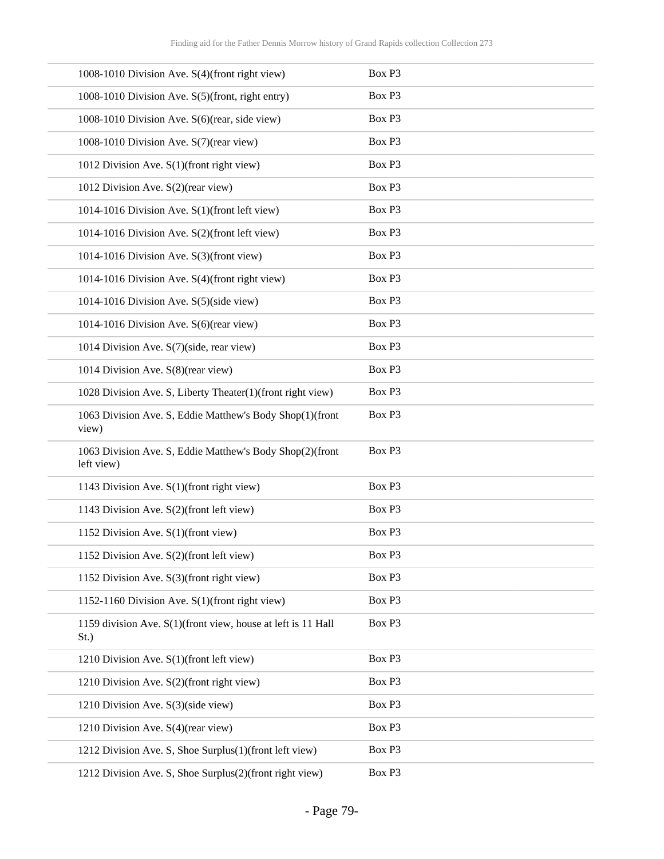| 1008-1010 Division Ave. S(4)(front right view)                         | Box P3 |
|------------------------------------------------------------------------|--------|
| 1008-1010 Division Ave. S(5)(front, right entry)                       | Box P3 |
| 1008-1010 Division Ave. S(6)(rear, side view)                          | Box P3 |
| 1008-1010 Division Ave. S(7)(rear view)                                | Box P3 |
| 1012 Division Ave. S(1)(front right view)                              | Box P3 |
| 1012 Division Ave. S(2)(rear view)                                     | Box P3 |
| 1014-1016 Division Ave. S(1)(front left view)                          | Box P3 |
| 1014-1016 Division Ave. S(2)(front left view)                          | Box P3 |
| 1014-1016 Division Ave. S(3)(front view)                               | Box P3 |
| 1014-1016 Division Ave. S(4)(front right view)                         | Box P3 |
| 1014-1016 Division Ave. S(5)(side view)                                | Box P3 |
| 1014-1016 Division Ave. S(6)(rear view)                                | Box P3 |
| 1014 Division Ave. S(7)(side, rear view)                               | Box P3 |
| 1014 Division Ave. S(8)(rear view)                                     | Box P3 |
| 1028 Division Ave. S, Liberty Theater(1)(front right view)             | Box P3 |
| 1063 Division Ave. S, Eddie Matthew's Body Shop(1)(front<br>view)      | Box P3 |
| 1063 Division Ave. S, Eddie Matthew's Body Shop(2)(front<br>left view) | Box P3 |
| 1143 Division Ave. S(1)(front right view)                              | Box P3 |
| 1143 Division Ave. S(2)(front left view)                               | Box P3 |
| 1152 Division Ave. S(1)(front view)                                    | Box P3 |
| 1152 Division Ave. S(2)(front left view)                               | Box P3 |
| 1152 Division Ave. S(3)(front right view)                              | Box P3 |
| 1152-1160 Division Ave. S(1)(front right view)                         | Box P3 |
| 1159 division Ave. S(1)(front view, house at left is 11 Hall<br>St.)   | Box P3 |
| 1210 Division Ave. S(1)(front left view)                               | Box P3 |
| 1210 Division Ave. S(2)(front right view)                              | Box P3 |
| 1210 Division Ave. S(3)(side view)                                     | Box P3 |
| 1210 Division Ave. S(4)(rear view)                                     | Box P3 |
| 1212 Division Ave. S, Shoe Surplus(1)(front left view)                 | Box P3 |
| 1212 Division Ave. S, Shoe Surplus(2)(front right view)                | Box P3 |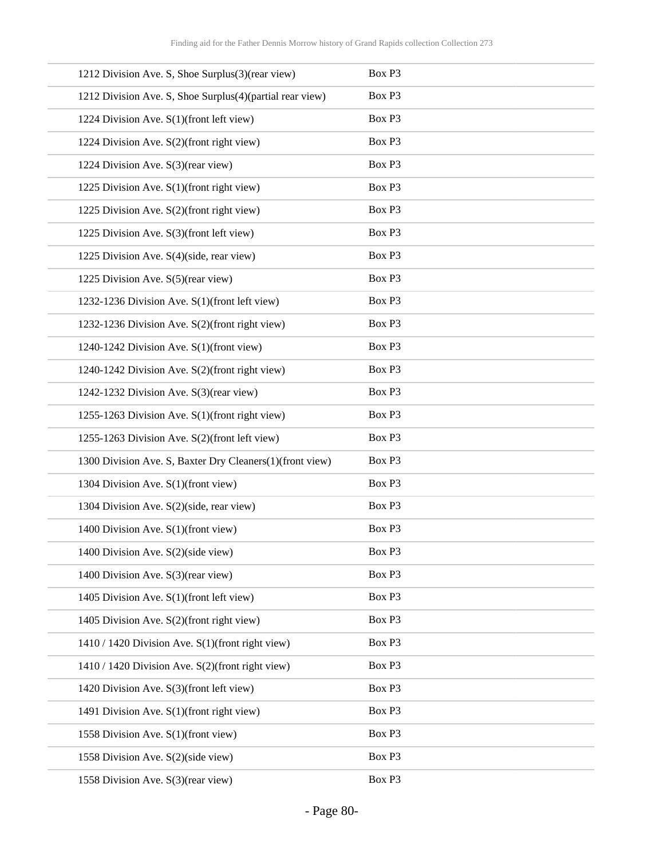| 1212 Division Ave. S, Shoe Surplus(3)(rear view)         | Box P3 |
|----------------------------------------------------------|--------|
| 1212 Division Ave. S, Shoe Surplus(4)(partial rear view) | Box P3 |
| 1224 Division Ave. S(1)(front left view)                 | Box P3 |
| 1224 Division Ave. S(2)(front right view)                | Box P3 |
| 1224 Division Ave. S(3)(rear view)                       | Box P3 |
| 1225 Division Ave. S(1)(front right view)                | Box P3 |
| 1225 Division Ave. S(2)(front right view)                | Box P3 |
| 1225 Division Ave. S(3)(front left view)                 | Box P3 |
| 1225 Division Ave. S(4)(side, rear view)                 | Box P3 |
| 1225 Division Ave. S(5)(rear view)                       | Box P3 |
| 1232-1236 Division Ave. S(1)(front left view)            | Box P3 |
| 1232-1236 Division Ave. S(2)(front right view)           | Box P3 |
| 1240-1242 Division Ave. S(1)(front view)                 | Box P3 |
| 1240-1242 Division Ave. S(2)(front right view)           | Box P3 |
| 1242-1232 Division Ave. S(3)(rear view)                  | Box P3 |
| 1255-1263 Division Ave. S(1)(front right view)           | Box P3 |
| 1255-1263 Division Ave. S(2)(front left view)            | Box P3 |
| 1300 Division Ave. S, Baxter Dry Cleaners(1)(front view) | Box P3 |
| 1304 Division Ave. S(1)(front view)                      | Box P3 |
| 1304 Division Ave. S(2)(side, rear view)                 | Box P3 |
| 1400 Division Ave. S(1)(front view)                      | Box P3 |
| 1400 Division Ave. S(2)(side view)                       | Box P3 |
| 1400 Division Ave. S(3)(rear view)                       | Box P3 |
| 1405 Division Ave. S(1)(front left view)                 | Box P3 |
| 1405 Division Ave. S(2)(front right view)                | Box P3 |
| 1410 / 1420 Division Ave. S(1)(front right view)         | Box P3 |
| 1410 / 1420 Division Ave. S(2)(front right view)         | Box P3 |
| 1420 Division Ave. S(3)(front left view)                 | Box P3 |
| 1491 Division Ave. S(1)(front right view)                | Box P3 |
| 1558 Division Ave. S(1)(front view)                      | Box P3 |
| 1558 Division Ave. S(2)(side view)                       | Box P3 |
| 1558 Division Ave. S(3)(rear view)                       | Box P3 |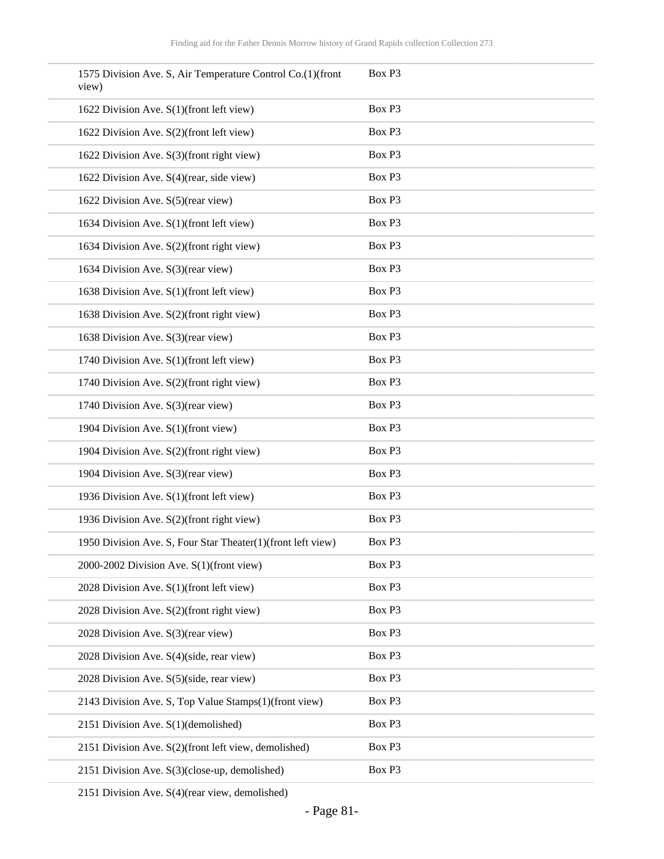| 1575 Division Ave. S, Air Temperature Control Co.(1)(front<br>view) | Box P3 |
|---------------------------------------------------------------------|--------|
| 1622 Division Ave. S(1)(front left view)                            | Box P3 |
| 1622 Division Ave. S(2)(front left view)                            | Box P3 |
| 1622 Division Ave. S(3)(front right view)                           | Box P3 |
| 1622 Division Ave. S(4)(rear, side view)                            | Box P3 |
| 1622 Division Ave. S(5)(rear view)                                  | Box P3 |
| 1634 Division Ave. S(1)(front left view)                            | Box P3 |
| 1634 Division Ave. S(2)(front right view)                           | Box P3 |
| 1634 Division Ave. S(3)(rear view)                                  | Box P3 |
| 1638 Division Ave. S(1)(front left view)                            | Box P3 |
| 1638 Division Ave. S(2)(front right view)                           | Box P3 |
| 1638 Division Ave. S(3)(rear view)                                  | Box P3 |
| 1740 Division Ave. S(1)(front left view)                            | Box P3 |
| 1740 Division Ave. S(2)(front right view)                           | Box P3 |
| 1740 Division Ave. S(3)(rear view)                                  | Box P3 |
| 1904 Division Ave. S(1)(front view)                                 | Box P3 |
| 1904 Division Ave. S(2)(front right view)                           | Box P3 |
| 1904 Division Ave. S(3)(rear view)                                  | Box P3 |
| 1936 Division Ave. S(1)(front left view)                            | Box P3 |
| 1936 Division Ave. S(2)(front right view)                           | Box P3 |
| 1950 Division Ave. S, Four Star Theater(1)(front left view)         | Box P3 |
| 2000-2002 Division Ave. S(1)(front view)                            | Box P3 |
| 2028 Division Ave. S(1)(front left view)                            | Box P3 |
| 2028 Division Ave. S(2)(front right view)                           | Box P3 |
| 2028 Division Ave. S(3)(rear view)                                  | Box P3 |
| 2028 Division Ave. S(4)(side, rear view)                            | Box P3 |
| 2028 Division Ave. S(5)(side, rear view)                            | Box P3 |
| 2143 Division Ave. S, Top Value Stamps(1)(front view)               | Box P3 |
| 2151 Division Ave. S(1)(demolished)                                 | Box P3 |
| 2151 Division Ave. S(2)(front left view, demolished)                | Box P3 |
| 2151 Division Ave. S(3)(close-up, demolished)                       | Box P3 |

2151 Division Ave. S(4)(rear view, demolished)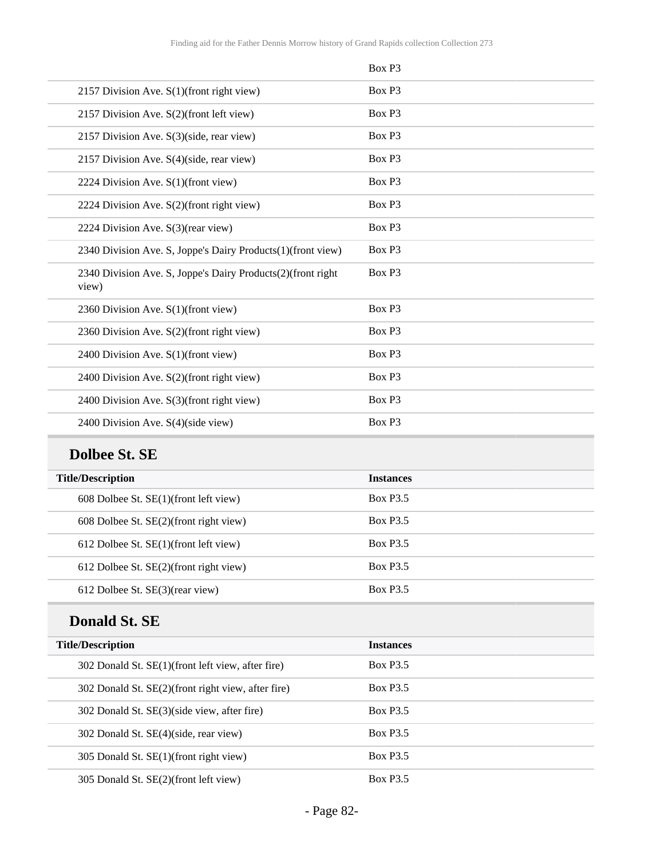|                                                                      | Box P3 |
|----------------------------------------------------------------------|--------|
| 2157 Division Ave. S(1)(front right view)                            | Box P3 |
| 2157 Division Ave. S(2)(front left view)                             | Box P3 |
| 2157 Division Ave. S(3)(side, rear view)                             | Box P3 |
| 2157 Division Ave. S(4)(side, rear view)                             | Box P3 |
| 2224 Division Ave. S(1)(front view)                                  | Box P3 |
| 2224 Division Ave. S(2)(front right view)                            | Box P3 |
| 2224 Division Ave. S(3)(rear view)                                   | Box P3 |
| 2340 Division Ave. S, Joppe's Dairy Products(1)(front view)          | Box P3 |
| 2340 Division Ave. S, Joppe's Dairy Products(2)(front right<br>view) | Box P3 |
| 2360 Division Ave. S(1)(front view)                                  | Box P3 |
| 2360 Division Ave. S(2)(front right view)                            | Box P3 |
| 2400 Division Ave. S(1)(front view)                                  | Box P3 |
| 2400 Division Ave. S(2)(front right view)                            | Box P3 |
| 2400 Division Ave. S(3)(front right view)                            | Box P3 |
| 2400 Division Ave. S(4)(side view)                                   | Box P3 |

## **Dolbee St. SE**

| <b>Title/Description</b>                    | <b>Instances</b> |  |
|---------------------------------------------|------------------|--|
| $608$ Dolbee St. $SE(1)$ (front left view)  | <b>Box P3.5</b>  |  |
| 608 Dolbee St. SE(2)(front right view)      | <b>Box P3.5</b>  |  |
| $612$ Dolbee St. SE $(1)$ (front left view) | <b>Box P3.5</b>  |  |
| $612$ Dolbee St. $SE(2)$ (front right view) | <b>Box P3.5</b>  |  |
| 612 Dolbee St. SE(3)(rear view)             | <b>Box P3.5</b>  |  |

## **Donald St. SE**

| <b>Title/Description</b>                           | <b>Instances</b> |  |
|----------------------------------------------------|------------------|--|
| 302 Donald St. SE(1)(front left view, after fire)  | <b>Box P3.5</b>  |  |
| 302 Donald St. SE(2)(front right view, after fire) | <b>Box P3.5</b>  |  |
| 302 Donald St. SE(3)(side view, after fire)        | <b>Box P3.5</b>  |  |
| 302 Donald St. SE(4)(side, rear view)              | <b>Box P3.5</b>  |  |
| 305 Donald St. SE(1)(front right view)             | <b>Box P3.5</b>  |  |
| 305 Donald St. SE(2)(front left view)              | <b>Box P3.5</b>  |  |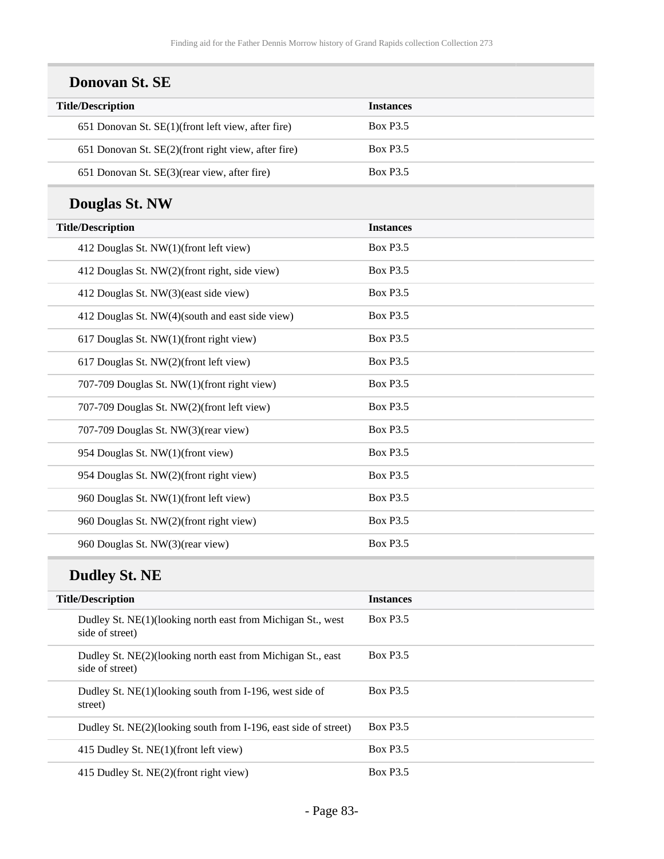| <b>Donovan St. SE</b>                               |                  |  |
|-----------------------------------------------------|------------------|--|
| <b>Title/Description</b>                            | <b>Instances</b> |  |
| 651 Donovan St. SE(1)(front left view, after fire)  | <b>Box P3.5</b>  |  |
| 651 Donovan St. SE(2)(front right view, after fire) | <b>Box P3.5</b>  |  |
| 651 Donovan St. SE(3)(rear view, after fire)        | <b>Box P3.5</b>  |  |
| <b>Douglas St. NW</b>                               |                  |  |
| <b>Title/Description</b>                            | <b>Instances</b> |  |
| 412 Douglas St. NW(1)(front left view)              | <b>Box P3.5</b>  |  |
| 412 Douglas St. NW(2)(front right, side view)       | <b>Box P3.5</b>  |  |
| 412 Douglas St. NW(3)(east side view)               | <b>Box P3.5</b>  |  |
| 412 Douglas St. NW(4)(south and east side view)     | <b>Box P3.5</b>  |  |
| 617 Douglas St. NW(1)(front right view)             | <b>Box P3.5</b>  |  |
| 617 Douglas St. NW(2)(front left view)              | <b>Box P3.5</b>  |  |
| 707-709 Douglas St. NW(1)(front right view)         | <b>Box P3.5</b>  |  |
| 707-709 Douglas St. NW(2)(front left view)          | <b>Box P3.5</b>  |  |
| 707-709 Douglas St. NW(3)(rear view)                | <b>Box P3.5</b>  |  |
| 954 Douglas St. NW(1)(front view)                   | <b>Box P3.5</b>  |  |
| 954 Douglas St. NW(2)(front right view)             | <b>Box P3.5</b>  |  |
| 960 Douglas St. NW(1)(front left view)              | <b>Box P3.5</b>  |  |
| 960 Douglas St. NW(2)(front right view)             | <b>Box P3.5</b>  |  |
| 960 Douglas St. NW(3)(rear view)                    | <b>Box P3.5</b>  |  |
| <b>Dudley St. NE</b>                                |                  |  |
| <b>Title/Description</b>                            | <b>Instances</b> |  |

| THE DESCRIPTION                                                                 | THSTATICES      |
|---------------------------------------------------------------------------------|-----------------|
| Dudley St. NE(1) (looking north east from Michigan St., west<br>side of street) | <b>Box P3.5</b> |
| Dudley St. NE(2)(looking north east from Michigan St., east<br>side of street)  | <b>Box P3.5</b> |
| Dudley St. NE(1)(looking south from I-196, west side of<br>street)              | <b>Box P3.5</b> |
| Dudley St. NE(2)(looking south from I-196, east side of street)                 | <b>Box P3.5</b> |
| 415 Dudley St. NE(1)(front left view)                                           | <b>Box P3.5</b> |
| 415 Dudley St. NE(2)(front right view)                                          | <b>Box P3.5</b> |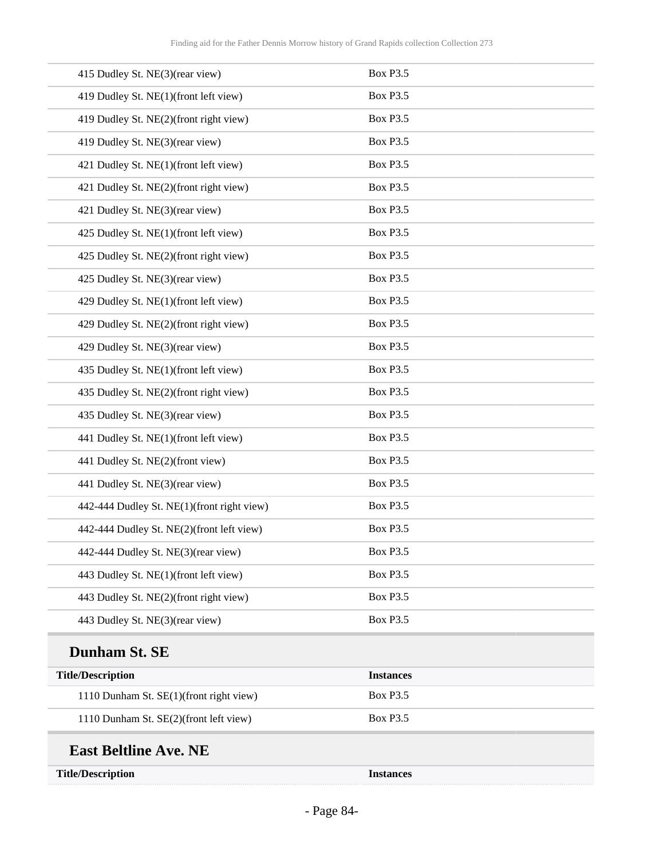| 415 Dudley St. NE(3)(rear view)            | <b>Box P3.5</b>  |
|--------------------------------------------|------------------|
| 419 Dudley St. NE(1)(front left view)      | <b>Box P3.5</b>  |
| 419 Dudley St. NE(2)(front right view)     | <b>Box P3.5</b>  |
| 419 Dudley St. NE(3)(rear view)            | <b>Box P3.5</b>  |
| 421 Dudley St. NE(1)(front left view)      | <b>Box P3.5</b>  |
| 421 Dudley St. NE(2)(front right view)     | <b>Box P3.5</b>  |
| 421 Dudley St. NE(3)(rear view)            | <b>Box P3.5</b>  |
| 425 Dudley St. NE(1)(front left view)      | <b>Box P3.5</b>  |
| 425 Dudley St. NE(2)(front right view)     | <b>Box P3.5</b>  |
| 425 Dudley St. NE(3)(rear view)            | <b>Box P3.5</b>  |
| 429 Dudley St. NE(1)(front left view)      | <b>Box P3.5</b>  |
| 429 Dudley St. NE(2)(front right view)     | <b>Box P3.5</b>  |
| 429 Dudley St. NE(3)(rear view)            | <b>Box P3.5</b>  |
| 435 Dudley St. NE(1)(front left view)      | <b>Box P3.5</b>  |
| 435 Dudley St. NE(2)(front right view)     | <b>Box P3.5</b>  |
| 435 Dudley St. NE(3)(rear view)            | <b>Box P3.5</b>  |
| 441 Dudley St. NE(1)(front left view)      | <b>Box P3.5</b>  |
| 441 Dudley St. NE(2)(front view)           | <b>Box P3.5</b>  |
| 441 Dudley St. NE(3)(rear view)            | <b>Box P3.5</b>  |
| 442-444 Dudley St. NE(1)(front right view) | <b>Box P3.5</b>  |
| 442-444 Dudley St. NE(2)(front left view)  | <b>Box P3.5</b>  |
| 442-444 Dudley St. NE(3)(rear view)        | <b>Box P3.5</b>  |
| 443 Dudley St. NE(1)(front left view)      | <b>Box P3.5</b>  |
| 443 Dudley St. NE(2)(front right view)     | <b>Box P3.5</b>  |
| 443 Dudley St. NE(3)(rear view)            | <b>Box P3.5</b>  |
| Dunham St. SE                              |                  |
| <b>Title/Description</b>                   | <b>Instances</b> |
| 1110 Dunham St. SE(1)(front right view)    | <b>Box P3.5</b>  |
| 1110 Dunham St. SE(2)(front left view)     | <b>Box P3.5</b>  |
| <b>East Beltline Ave. NE</b>               |                  |

**Title/Description Instances**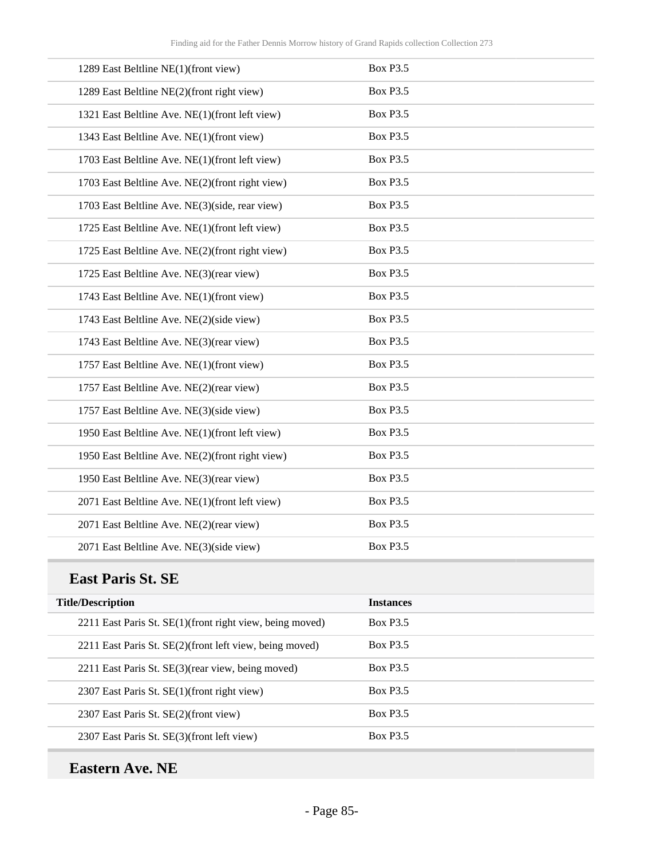| 1289 East Beltline NE(1)(front view)            | <b>Box P3.5</b> |
|-------------------------------------------------|-----------------|
| 1289 East Beltline NE(2)(front right view)      | <b>Box P3.5</b> |
| 1321 East Beltline Ave. NE(1)(front left view)  | <b>Box P3.5</b> |
| 1343 East Beltline Ave. NE(1)(front view)       | <b>Box P3.5</b> |
| 1703 East Beltline Ave. NE(1)(front left view)  | <b>Box P3.5</b> |
| 1703 East Beltline Ave. NE(2)(front right view) | <b>Box P3.5</b> |
| 1703 East Beltline Ave. NE(3)(side, rear view)  | <b>Box P3.5</b> |
| 1725 East Beltline Ave. NE(1)(front left view)  | <b>Box P3.5</b> |
| 1725 East Beltline Ave. NE(2)(front right view) | <b>Box P3.5</b> |
| 1725 East Beltline Ave. NE(3)(rear view)        | <b>Box P3.5</b> |
| 1743 East Beltline Ave. NE(1)(front view)       | <b>Box P3.5</b> |
| 1743 East Beltline Ave. NE(2)(side view)        | <b>Box P3.5</b> |
| 1743 East Beltline Ave. NE(3)(rear view)        | <b>Box P3.5</b> |
| 1757 East Beltline Ave. NE(1)(front view)       | <b>Box P3.5</b> |
| 1757 East Beltline Ave. NE(2)(rear view)        | <b>Box P3.5</b> |
| 1757 East Beltline Ave. NE(3)(side view)        | <b>Box P3.5</b> |
| 1950 East Beltline Ave. NE(1)(front left view)  | <b>Box P3.5</b> |
| 1950 East Beltline Ave. NE(2)(front right view) | <b>Box P3.5</b> |
| 1950 East Beltline Ave. NE(3)(rear view)        | <b>Box P3.5</b> |
| 2071 East Beltline Ave. NE(1)(front left view)  | <b>Box P3.5</b> |
| 2071 East Beltline Ave. NE(2)(rear view)        | <b>Box P3.5</b> |
| 2071 East Beltline Ave. NE(3)(side view)        | <b>Box P3.5</b> |

#### **East Paris St. SE**

| <b>Title/Description</b>                                  | <b>Instances</b> |
|-----------------------------------------------------------|------------------|
| 2211 East Paris St. SE(1) (front right view, being moved) | <b>Box P3.5</b>  |
| 2211 East Paris St. SE(2)(front left view, being moved)   | <b>Box P3.5</b>  |
| 2211 East Paris St. SE(3) (rear view, being moved)        | <b>Box P3.5</b>  |
| 2307 East Paris St. SE(1)(front right view)               | <b>Box P3.5</b>  |
| 2307 East Paris St. SE(2)(front view)                     | <b>Box P3.5</b>  |
| 2307 East Paris St. SE(3)(front left view)                | <b>Box P3.5</b>  |

## **Eastern Ave. NE**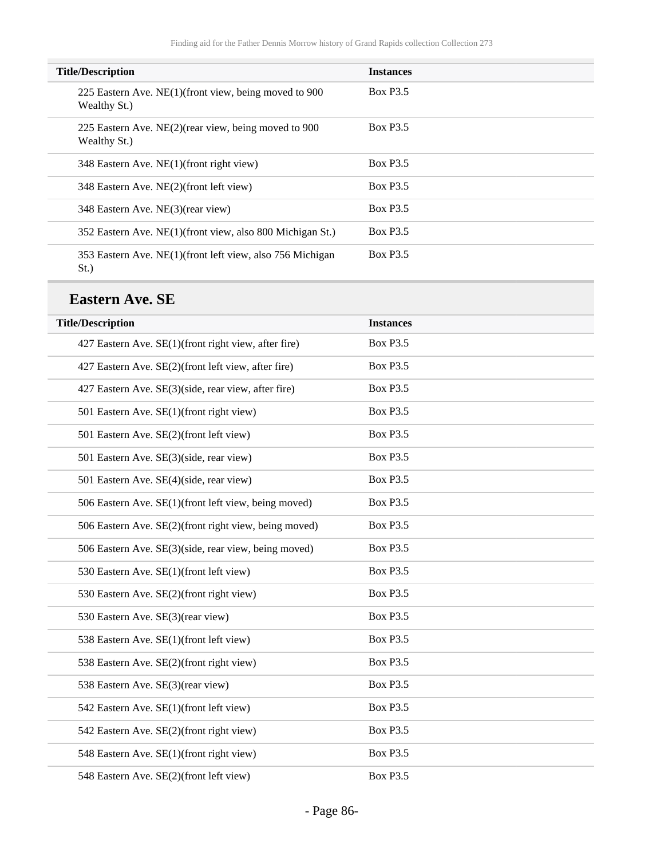| <b>Title/Description</b>                                                 | <b>Instances</b> |
|--------------------------------------------------------------------------|------------------|
| 225 Eastern Ave. NE(1)(front view, being moved to 900<br>Wealthy St.)    | <b>Box P3.5</b>  |
| 225 Eastern Ave. NE $(2)$ (rear view, being moved to 900<br>Wealthy St.) | <b>Box P3.5</b>  |
| 348 Eastern Ave. NE(1)(front right view)                                 | <b>Box P3.5</b>  |
| 348 Eastern Ave. NE(2)(front left view)                                  | <b>Box P3.5</b>  |
| 348 Eastern Ave. NE(3)(rear view)                                        | <b>Box P3.5</b>  |
| 352 Eastern Ave. NE(1)(front view, also 800 Michigan St.)                | <b>Box P3.5</b>  |
| 353 Eastern Ave. NE(1) (front left view, also 756 Michigan<br>$St.$ )    | <b>Box P3.5</b>  |

#### **Eastern Ave. SE**

| <b>Title/Description</b>                              | <b>Instances</b> |
|-------------------------------------------------------|------------------|
| 427 Eastern Ave. SE(1)(front right view, after fire)  | <b>Box P3.5</b>  |
| 427 Eastern Ave. SE(2)(front left view, after fire)   | <b>Box P3.5</b>  |
| 427 Eastern Ave. SE(3)(side, rear view, after fire)   | <b>Box P3.5</b>  |
| 501 Eastern Ave. SE(1)(front right view)              | <b>Box P3.5</b>  |
| 501 Eastern Ave. SE(2)(front left view)               | <b>Box P3.5</b>  |
| 501 Eastern Ave. SE(3)(side, rear view)               | <b>Box P3.5</b>  |
| 501 Eastern Ave. SE(4)(side, rear view)               | <b>Box P3.5</b>  |
| 506 Eastern Ave. SE(1)(front left view, being moved)  | <b>Box P3.5</b>  |
| 506 Eastern Ave. SE(2)(front right view, being moved) | <b>Box P3.5</b>  |
| 506 Eastern Ave. SE(3)(side, rear view, being moved)  | <b>Box P3.5</b>  |
| 530 Eastern Ave. SE(1)(front left view)               | <b>Box P3.5</b>  |
| 530 Eastern Ave. SE(2)(front right view)              | <b>Box P3.5</b>  |
| 530 Eastern Ave. SE(3)(rear view)                     | <b>Box P3.5</b>  |
| 538 Eastern Ave. SE(1)(front left view)               | <b>Box P3.5</b>  |
| 538 Eastern Ave. SE(2)(front right view)              | <b>Box P3.5</b>  |
| 538 Eastern Ave. SE(3)(rear view)                     | <b>Box P3.5</b>  |
| 542 Eastern Ave. SE(1)(front left view)               | <b>Box P3.5</b>  |
| 542 Eastern Ave. SE(2)(front right view)              | <b>Box P3.5</b>  |
| 548 Eastern Ave. SE(1)(front right view)              | <b>Box P3.5</b>  |
| 548 Eastern Ave. SE(2)(front left view)               | <b>Box P3.5</b>  |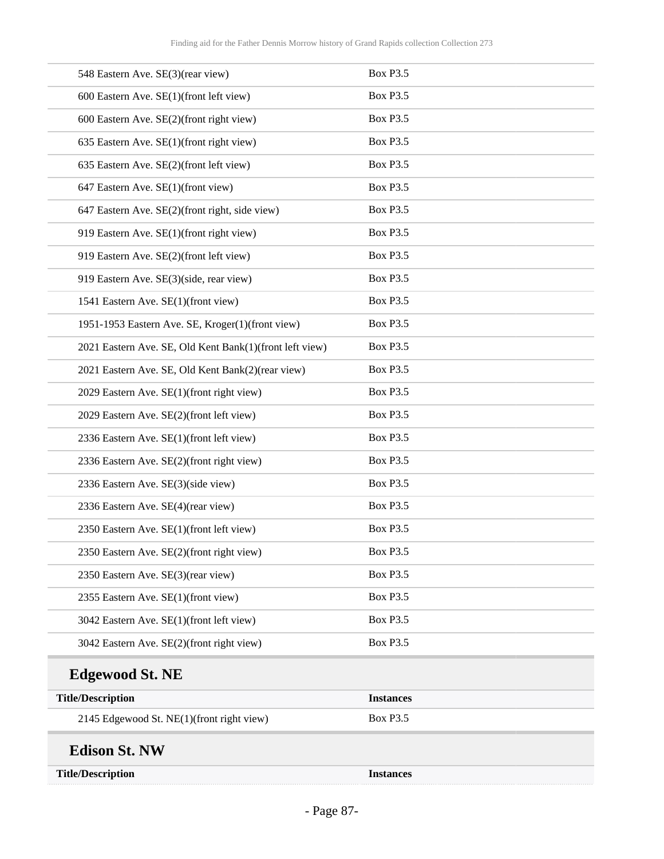| 548 Eastern Ave. SE(3)(rear view)                       | <b>Box P3.5</b>  |
|---------------------------------------------------------|------------------|
| 600 Eastern Ave. SE(1)(front left view)                 | <b>Box P3.5</b>  |
| 600 Eastern Ave. SE(2)(front right view)                | <b>Box P3.5</b>  |
| 635 Eastern Ave. SE(1)(front right view)                | <b>Box P3.5</b>  |
| 635 Eastern Ave. SE(2)(front left view)                 | <b>Box P3.5</b>  |
| 647 Eastern Ave. SE(1)(front view)                      | <b>Box P3.5</b>  |
| 647 Eastern Ave. SE(2)(front right, side view)          | <b>Box P3.5</b>  |
| 919 Eastern Ave. SE(1)(front right view)                | <b>Box P3.5</b>  |
| 919 Eastern Ave. SE(2)(front left view)                 | <b>Box P3.5</b>  |
| 919 Eastern Ave. SE(3)(side, rear view)                 | <b>Box P3.5</b>  |
| 1541 Eastern Ave. SE(1)(front view)                     | <b>Box P3.5</b>  |
| 1951-1953 Eastern Ave. SE, Kroger(1)(front view)        | <b>Box P3.5</b>  |
| 2021 Eastern Ave. SE, Old Kent Bank(1)(front left view) | <b>Box P3.5</b>  |
| 2021 Eastern Ave. SE, Old Kent Bank(2)(rear view)       | <b>Box P3.5</b>  |
| 2029 Eastern Ave. SE(1)(front right view)               | <b>Box P3.5</b>  |
| 2029 Eastern Ave. SE(2)(front left view)                | <b>Box P3.5</b>  |
| 2336 Eastern Ave. SE(1)(front left view)                | <b>Box P3.5</b>  |
| 2336 Eastern Ave. SE(2)(front right view)               | <b>Box P3.5</b>  |
| 2336 Eastern Ave. SE(3)(side view)                      | <b>Box P3.5</b>  |
| 2336 Eastern Ave. SE(4)(rear view)                      | <b>Box P3.5</b>  |
| 2350 Eastern Ave. SE(1)(front left view)                | <b>Box P3.5</b>  |
| 2350 Eastern Ave. SE(2)(front right view)               | <b>Box P3.5</b>  |
| 2350 Eastern Ave. SE(3)(rear view)                      | <b>Box P3.5</b>  |
| 2355 Eastern Ave. SE(1)(front view)                     | <b>Box P3.5</b>  |
| 3042 Eastern Ave. SE(1)(front left view)                | <b>Box P3.5</b>  |
| 3042 Eastern Ave. SE(2)(front right view)               | <b>Box P3.5</b>  |
| <b>Edgewood St. NE</b>                                  |                  |
| <b>Title/Description</b>                                | <b>Instances</b> |
| 2145 Edgewood St. NE(1)(front right view)               | <b>Box P3.5</b>  |
| <b>Edison St. NW</b>                                    |                  |
| <b>Title/Description</b>                                | <b>Instances</b> |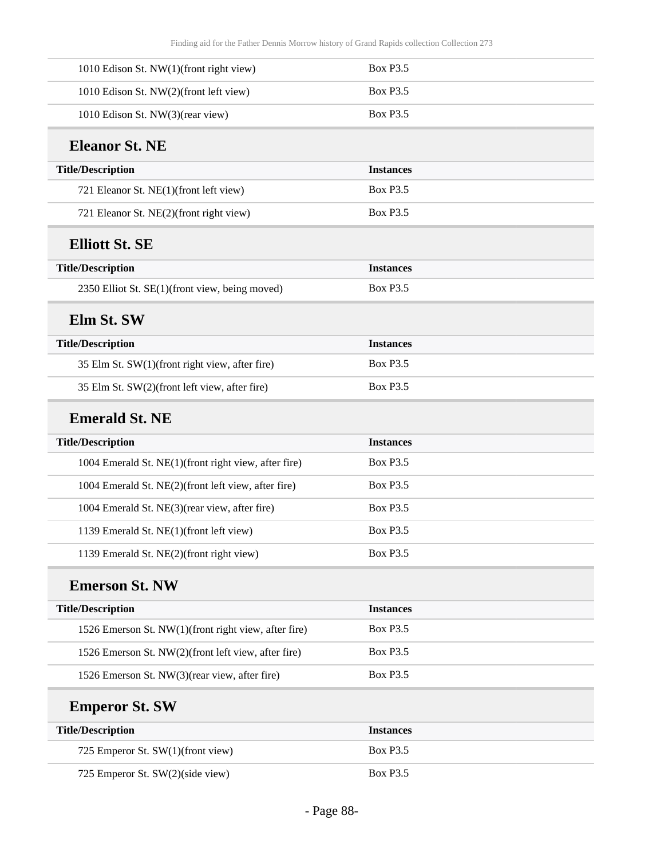| 1010 Edison St. NW(1)(front right view)              | <b>Box P3.5</b>  |  |
|------------------------------------------------------|------------------|--|
| 1010 Edison St. NW(2)(front left view)               | <b>Box P3.5</b>  |  |
| 1010 Edison St. NW(3)(rear view)                     | <b>Box P3.5</b>  |  |
| <b>Eleanor St. NE</b>                                |                  |  |
| <b>Title/Description</b>                             | <b>Instances</b> |  |
| 721 Eleanor St. NE(1)(front left view)               | <b>Box P3.5</b>  |  |
| 721 Eleanor St. NE(2)(front right view)              | <b>Box P3.5</b>  |  |
| <b>Elliott St. SE</b>                                |                  |  |
| <b>Title/Description</b>                             | <b>Instances</b> |  |
| 2350 Elliot St. SE(1)(front view, being moved)       | <b>Box P3.5</b>  |  |
| Elm St. SW                                           |                  |  |
| <b>Title/Description</b>                             | <b>Instances</b> |  |
| 35 Elm St. SW(1)(front right view, after fire)       | <b>Box P3.5</b>  |  |
| 35 Elm St. SW(2)(front left view, after fire)        | <b>Box P3.5</b>  |  |
| <b>Emerald St. NE</b>                                |                  |  |
| <b>Title/Description</b>                             | <b>Instances</b> |  |
| 1004 Emerald St. NE(1)(front right view, after fire) | <b>Box P3.5</b>  |  |
| 1004 Emerald St. NE(2)(front left view, after fire)  | <b>Box P3.5</b>  |  |
| 1004 Emerald St. NE(3)(rear view, after fire)        | <b>Box P3.5</b>  |  |
| 1139 Emerald St. NE(1)(front left view)              | <b>Box P3.5</b>  |  |
| 1139 Emerald St. NE(2)(front right view)             | <b>Box P3.5</b>  |  |
| <b>Emerson St. NW</b>                                |                  |  |
| <b>Title/Description</b>                             | <b>Instances</b> |  |
| 1526 Emerson St. NW(1)(front right view, after fire) | <b>Box P3.5</b>  |  |
| 1526 Emerson St. NW(2)(front left view, after fire)  | <b>Box P3.5</b>  |  |
| 1526 Emerson St. NW(3)(rear view, after fire)        | <b>Box P3.5</b>  |  |
| <b>Emperor St. SW</b>                                |                  |  |
| <b>Title/Description</b>                             | <b>Instances</b> |  |
| 725 Emperor St. SW(1)(front view)                    | <b>Box P3.5</b>  |  |
| 725 Emperor St. SW(2)(side view)                     | <b>Box P3.5</b>  |  |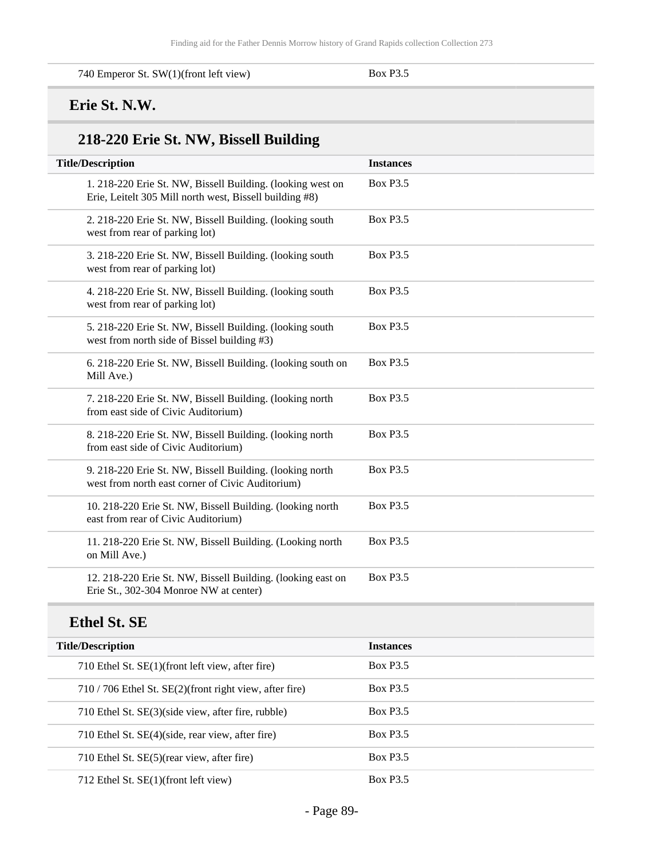740 Emperor St. SW(1)(front left view) Box P3.5

#### **Erie St. N.W.**

# **218-220 Erie St. NW, Bissell Building**

| <b>Title/Description</b>                                                                                              | <b>Instances</b> |
|-----------------------------------------------------------------------------------------------------------------------|------------------|
| 1. 218-220 Erie St. NW, Bissell Building. (looking west on<br>Erie, Leitelt 305 Mill north west, Bissell building #8) | <b>Box P3.5</b>  |
| 2. 218-220 Erie St. NW, Bissell Building. (looking south<br>west from rear of parking lot)                            | <b>Box P3.5</b>  |
| 3. 218-220 Erie St. NW, Bissell Building. (looking south<br>west from rear of parking lot)                            | <b>Box P3.5</b>  |
| 4. 218-220 Erie St. NW, Bissell Building. (looking south<br>west from rear of parking lot)                            | <b>Box P3.5</b>  |
| 5. 218-220 Erie St. NW, Bissell Building. (looking south<br>west from north side of Bissel building #3)               | <b>Box P3.5</b>  |
| 6. 218-220 Erie St. NW, Bissell Building. (looking south on<br>Mill Ave.)                                             | <b>Box P3.5</b>  |
| 7. 218-220 Erie St. NW, Bissell Building. (looking north<br>from east side of Civic Auditorium)                       | <b>Box P3.5</b>  |
| 8. 218-220 Erie St. NW, Bissell Building. (looking north<br>from east side of Civic Auditorium)                       | <b>Box P3.5</b>  |
| 9. 218-220 Erie St. NW, Bissell Building. (looking north<br>west from north east corner of Civic Auditorium)          | <b>Box P3.5</b>  |
| 10. 218-220 Erie St. NW, Bissell Building. (looking north<br>east from rear of Civic Auditorium)                      | <b>Box P3.5</b>  |
| 11. 218-220 Erie St. NW, Bissell Building. (Looking north<br>on Mill Ave.)                                            | <b>Box P3.5</b>  |
| 12. 218-220 Erie St. NW, Bissell Building. (looking east on<br>Erie St., 302-304 Monroe NW at center)                 | <b>Box P3.5</b>  |
| <b>Ethel St. SE</b>                                                                                                   |                  |
| <b>Title/Description</b>                                                                                              | <b>Instances</b> |
| 710 Ethel St. SE(1)(front left view, after fire)                                                                      | <b>Box P3.5</b>  |
| 710 / 706 Ethel St. SE(2)(front right view, after fire)                                                               | <b>Box P3.5</b>  |
| 710 Ethel St. SE(3)(side view, after fire, rubble)                                                                    | <b>Box P3.5</b>  |
| 710 Ethel St. SE(4)(side, rear view, after fire)                                                                      | <b>Box P3.5</b>  |
| 710 Ethel St. SE(5)(rear view, after fire)                                                                            | <b>Box P3.5</b>  |
| 712 Ethel St. SE(1)(front left view)                                                                                  | <b>Box P3.5</b>  |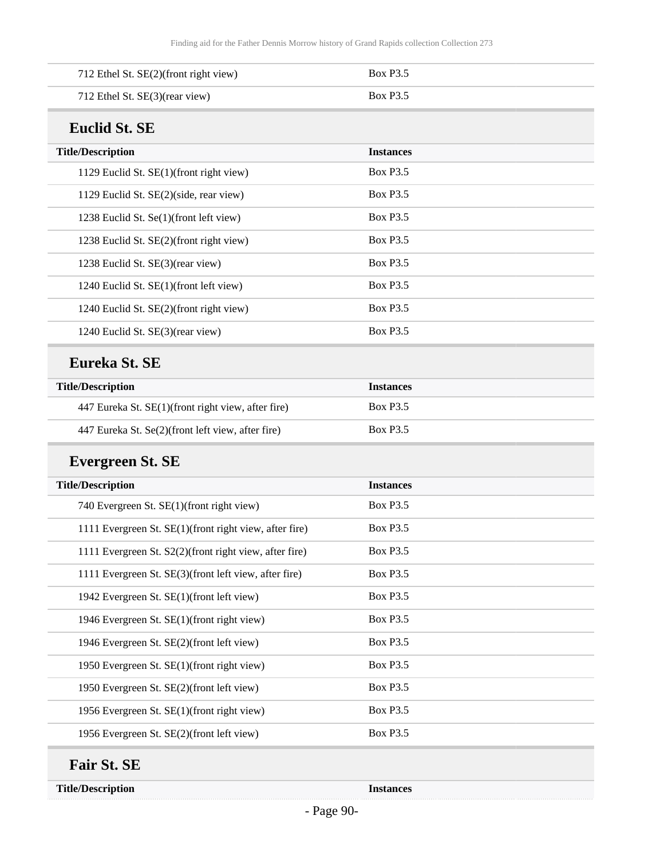| 712 Ethel St. SE(2)(front right view)                  | <b>Box P3.5</b>  |  |
|--------------------------------------------------------|------------------|--|
| 712 Ethel St. SE(3)(rear view)                         | <b>Box P3.5</b>  |  |
| <b>Euclid St. SE</b>                                   |                  |  |
| <b>Title/Description</b>                               | <b>Instances</b> |  |
| 1129 Euclid St. SE(1)(front right view)                | <b>Box P3.5</b>  |  |
| 1129 Euclid St. SE(2)(side, rear view)                 | <b>Box P3.5</b>  |  |
| 1238 Euclid St. Se(1)(front left view)                 | <b>Box P3.5</b>  |  |
| 1238 Euclid St. SE(2)(front right view)                | <b>Box P3.5</b>  |  |
| 1238 Euclid St. SE(3)(rear view)                       | <b>Box P3.5</b>  |  |
| 1240 Euclid St. SE(1)(front left view)                 | <b>Box P3.5</b>  |  |
| 1240 Euclid St. SE(2)(front right view)                | <b>Box P3.5</b>  |  |
| 1240 Euclid St. SE(3)(rear view)                       | <b>Box P3.5</b>  |  |
| Eureka St. SE                                          |                  |  |
| <b>Title/Description</b>                               | <b>Instances</b> |  |
| 447 Eureka St. SE(1)(front right view, after fire)     | <b>Box P3.5</b>  |  |
| 447 Eureka St. Se(2)(front left view, after fire)      | <b>Box P3.5</b>  |  |
| <b>Evergreen St. SE</b>                                |                  |  |
| <b>Title/Description</b>                               | <b>Instances</b> |  |
| 740 Evergreen St. SE(1)(front right view)              | <b>Box P3.5</b>  |  |
| 1111 Evergreen St. SE(1)(front right view, after fire) | <b>Box P3.5</b>  |  |
| 1111 Evergreen St. S2(2)(front right view, after fire) | <b>Box P3.5</b>  |  |
| 1111 Evergreen St. SE(3)(front left view, after fire)  | <b>Box P3.5</b>  |  |
| 1942 Evergreen St. SE(1)(front left view)              | <b>Box P3.5</b>  |  |
| 1946 Evergreen St. SE(1)(front right view)             | <b>Box P3.5</b>  |  |
| 1946 Evergreen St. SE(2)(front left view)              | <b>Box P3.5</b>  |  |
| 1950 Evergreen St. SE(1)(front right view)             |                  |  |
|                                                        | <b>Box P3.5</b>  |  |
| 1950 Evergreen St. SE(2)(front left view)              | <b>Box P3.5</b>  |  |
| 1956 Evergreen St. SE(1)(front right view)             | <b>Box P3.5</b>  |  |

### **Fair St. SE**

**Title/Description Instances**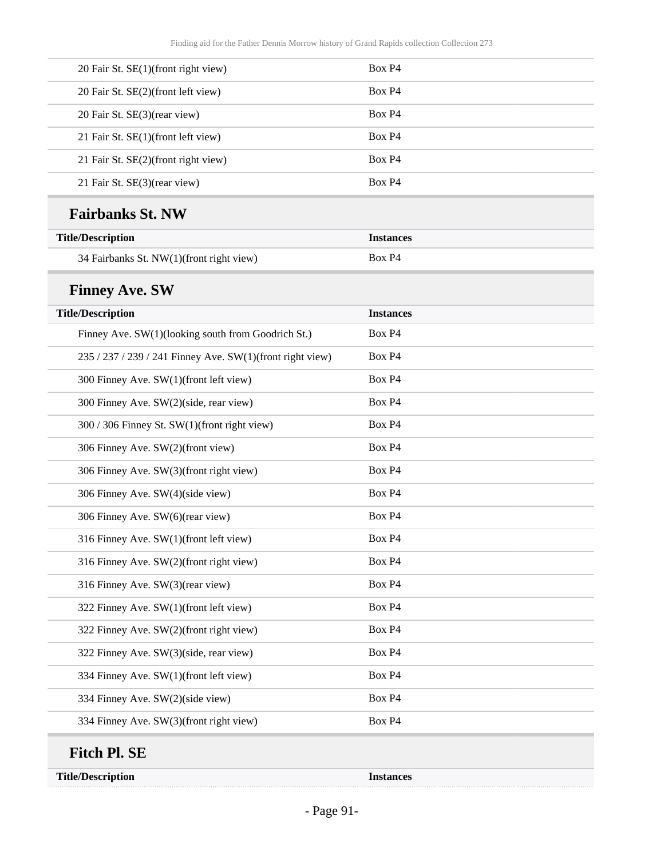| 20 Fair St. SE(1)(front right view)                       | Box P4           |
|-----------------------------------------------------------|------------------|
| 20 Fair St. SE(2)(front left view)                        | Box P4           |
| 20 Fair St. SE(3)(rear view)                              | Box P4           |
| 21 Fair St. SE(1)(front left view)                        | Box P4           |
| 21 Fair St. SE(2)(front right view)                       | Box P4           |
| 21 Fair St. SE(3)(rear view)                              | Box P4           |
| <b>Fairbanks St. NW</b>                                   |                  |
| <b>Title/Description</b>                                  | <b>Instances</b> |
| 34 Fairbanks St. NW(1)(front right view)                  | Box P4           |
| <b>Finney Ave. SW</b>                                     |                  |
| <b>Title/Description</b>                                  | <b>Instances</b> |
| Finney Ave. SW(1)(looking south from Goodrich St.)        | Box P4           |
| 235 / 237 / 239 / 241 Finney Ave. SW(1)(front right view) | Box P4           |
| 300 Finney Ave. SW(1)(front left view)                    | Box P4           |
| 300 Finney Ave. SW(2)(side, rear view)                    | Box P4           |
| 300 / 306 Finney St. SW(1)(front right view)              | Box P4           |
| 306 Finney Ave. SW(2)(front view)                         | Box P4           |
| 306 Finney Ave. SW(3)(front right view)                   | Box P4           |
| 306 Finney Ave. SW(4)(side view)                          | Box P4           |
| 306 Finney Ave. SW(6)(rear view)                          | Box P4           |
| 316 Finney Ave. SW(1)(front left view)                    | Box P4           |
| 316 Finney Ave. SW(2)(front right view)                   | Box P4           |
| 316 Finney Ave. SW(3)(rear view)                          | Box P4           |
| 322 Finney Ave. SW(1)(front left view)                    | Box P4           |
| 322 Finney Ave. SW(2)(front right view)                   | Box P4           |
| 322 Finney Ave. SW(3)(side, rear view)                    | Box P4           |
| 334 Finney Ave. SW(1)(front left view)                    | Box P4           |
| 334 Finney Ave. SW(2)(side view)                          | Box P4           |
| 334 Finney Ave. SW(3)(front right view)                   | Box P4           |
| <b>Fitch Pl. SE</b>                                       |                  |
| <b>Title/Description</b>                                  | <b>Instances</b> |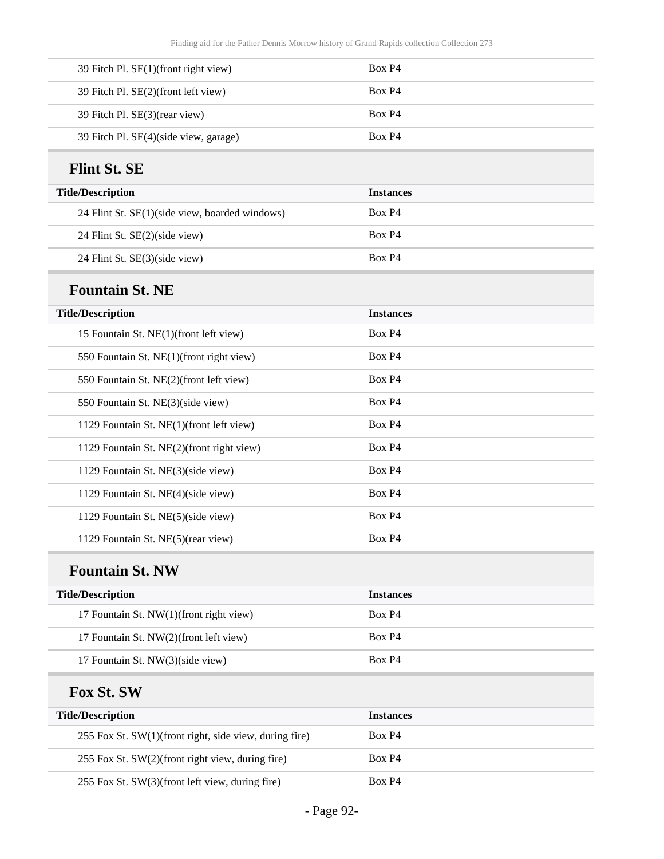| 39 Fitch Pl. SE(1)(front right view)  | Box P4 |
|---------------------------------------|--------|
| 39 Fitch Pl. SE(2)(front left view)   | Box P4 |
| 39 Fitch Pl. SE(3)(rear view)         | Box P4 |
| 39 Fitch Pl. SE(4)(side view, garage) | Box P4 |

#### **Flint St. SE**

| <b>Title/Description</b>                       | <b>Instances</b> |
|------------------------------------------------|------------------|
| 24 Flint St. SE(1)(side view, boarded windows) | Box P4           |
| 24 Flint St. SE(2)(side view)                  | Box P4           |
| 24 Flint St. SE(3)(side view)                  | Box P4           |

## **Fountain St. NE**

| <b>Title/Description</b>                  | <b>Instances</b> |
|-------------------------------------------|------------------|
| 15 Fountain St. NE(1)(front left view)    | Box P4           |
| 550 Fountain St. NE(1) (front right view) | Box P4           |
| 550 Fountain St. NE(2)(front left view)   | Box P4           |
| 550 Fountain St. NE(3)(side view)         | Box P4           |
| 1129 Fountain St. NE(1)(front left view)  | Box P4           |
| 1129 Fountain St. NE(2)(front right view) | Box P4           |
| 1129 Fountain St. NE(3)(side view)        | Box P4           |
| 1129 Fountain St. NE(4)(side view)        | Box P4           |
| 1129 Fountain St. NE(5)(side view)        | Box P4           |
| 1129 Fountain St. NE(5)(rear view)        | Box P4           |

### **Fountain St. NW**

| <b>Title/Description</b>                | <b>Instances</b> |
|-----------------------------------------|------------------|
| 17 Fountain St. NW(1)(front right view) | Box P4           |
| 17 Fountain St. NW(2)(front left view)  | Box P4           |
| 17 Fountain St. NW(3)(side view)        | Box P4           |

#### **Fox St. SW**

| <b>Title/Description</b>                               | <b>Instances</b> |
|--------------------------------------------------------|------------------|
| 255 Fox St. SW(1)(front right, side view, during fire) | Box P4           |
| 255 Fox St. SW(2)(front right view, during fire)       | Box P4           |
| 255 Fox St. SW(3)(front left view, during fire)        | Box P4           |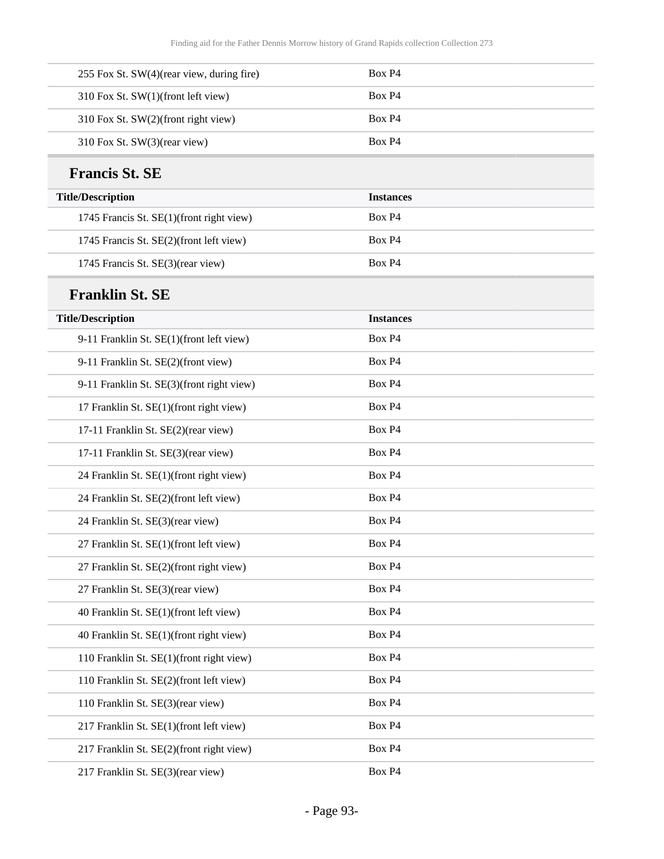| 255 Fox St. SW(4)(rear view, during fire) | Box P4           |
|-------------------------------------------|------------------|
| 310 Fox St. SW(1)(front left view)        | Box P4           |
| 310 Fox St. SW(2)(front right view)       | Box P4           |
| 310 Fox St. SW(3)(rear view)              | Box P4           |
| <b>Francis St. SE</b>                     |                  |
| <b>Title/Description</b>                  | <b>Instances</b> |
| 1745 Francis St. SE(1)(front right view)  | Box P4           |
| 1745 Francis St. SE(2)(front left view)   | Box P4           |
| 1745 Francis St. SE(3)(rear view)         | Box P4           |
| <b>Franklin St. SE</b>                    |                  |
| <b>Title/Description</b>                  | <b>Instances</b> |
| 9-11 Franklin St. SE(1)(front left view)  | Box P4           |
| 9-11 Franklin St. SE(2)(front view)       | Box P4           |
| 9-11 Franklin St. SE(3)(front right view) | Box P4           |
| 17 Franklin St. SE(1)(front right view)   | Box P4           |
| 17-11 Franklin St. SE(2)(rear view)       | Box P4           |
| 17-11 Franklin St. SE(3)(rear view)       | Box P4           |
| 24 Franklin St. SE(1)(front right view)   | Box P4           |
| 24 Franklin St. SE(2)(front left view)    | Box P4           |
| 24 Franklin St. SE(3)(rear view)          | Box P4           |
| 27 Franklin St. SE(1)(front left view)    | Box P4           |
| 27 Franklin St. SE(2)(front right view)   | Box P4           |
| 27 Franklin St. SE(3)(rear view)          | Box P4           |
| 40 Franklin St. SE(1)(front left view)    | Box P4           |
| 40 Franklin St. SE(1)(front right view)   | Box P4           |
| 110 Franklin St. SE(1)(front right view)  | Box P4           |
| 110 Franklin St. SE(2)(front left view)   | Box P4           |
| 110 Franklin St. SE(3)(rear view)         | Box P4           |
| 217 Franklin St. SE(1)(front left view)   | Box P4           |
| 217 Franklin St. SE(2)(front right view)  | Box P4           |
| 217 Franklin St. SE(3)(rear view)         | Box P4           |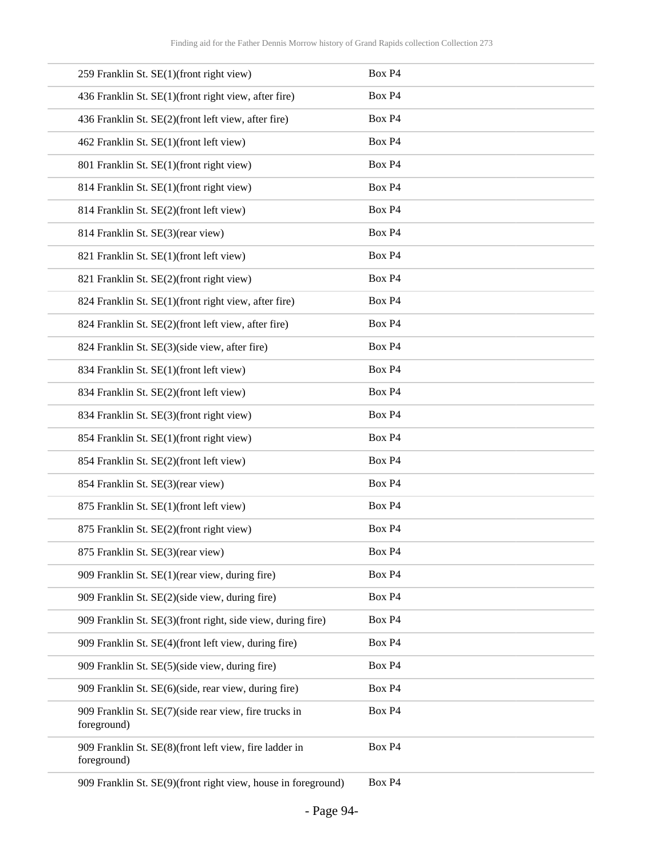| 259 Franklin St. SE(1)(front right view)                              | Box P4 |
|-----------------------------------------------------------------------|--------|
| 436 Franklin St. SE(1)(front right view, after fire)                  | Box P4 |
| 436 Franklin St. SE(2)(front left view, after fire)                   | Box P4 |
| 462 Franklin St. SE(1)(front left view)                               | Box P4 |
| 801 Franklin St. SE(1)(front right view)                              | Box P4 |
| 814 Franklin St. SE(1)(front right view)                              | Box P4 |
| 814 Franklin St. SE(2)(front left view)                               | Box P4 |
| 814 Franklin St. SE(3)(rear view)                                     | Box P4 |
| 821 Franklin St. SE(1)(front left view)                               | Box P4 |
| 821 Franklin St. SE(2)(front right view)                              | Box P4 |
| 824 Franklin St. SE(1)(front right view, after fire)                  | Box P4 |
| 824 Franklin St. SE(2)(front left view, after fire)                   | Box P4 |
| 824 Franklin St. SE(3)(side view, after fire)                         | Box P4 |
| 834 Franklin St. SE(1)(front left view)                               | Box P4 |
| 834 Franklin St. SE(2)(front left view)                               | Box P4 |
| 834 Franklin St. SE(3)(front right view)                              | Box P4 |
| 854 Franklin St. SE(1)(front right view)                              | Box P4 |
| 854 Franklin St. SE(2)(front left view)                               | Box P4 |
| 854 Franklin St. SE(3)(rear view)                                     | Box P4 |
| 875 Franklin St. SE(1)(front left view)                               | Box P4 |
| 875 Franklin St. SE(2)(front right view)                              | Box P4 |
| 875 Franklin St. SE(3)(rear view)                                     | Box P4 |
| 909 Franklin St. SE(1)(rear view, during fire)                        | Box P4 |
| 909 Franklin St. SE(2)(side view, during fire)                        | Box P4 |
| 909 Franklin St. SE(3)(front right, side view, during fire)           | Box P4 |
| 909 Franklin St. SE(4)(front left view, during fire)                  | Box P4 |
| 909 Franklin St. SE(5)(side view, during fire)                        | Box P4 |
| 909 Franklin St. SE(6)(side, rear view, during fire)                  | Box P4 |
| 909 Franklin St. SE(7)(side rear view, fire trucks in<br>foreground)  | Box P4 |
| 909 Franklin St. SE(8)(front left view, fire ladder in<br>foreground) | Box P4 |

909 Franklin St. SE(9)(front right view, house in foreground) Box P4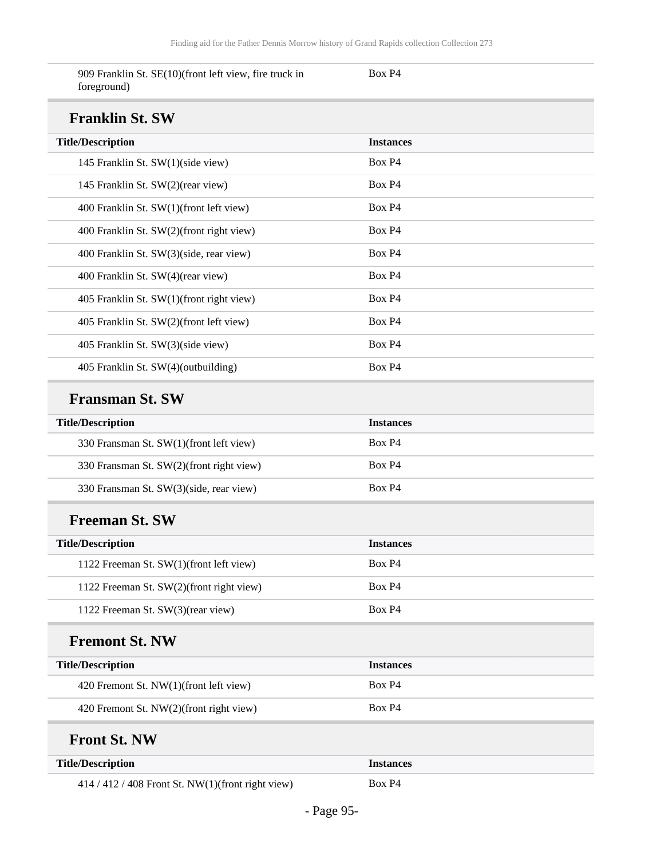Box P4

|             | 909 Franklin St. SE(10)(front left view, fire truck in |  |  |
|-------------|--------------------------------------------------------|--|--|
| foreground) |                                                        |  |  |

### $\mathbf{F}$

| Franklin St. SW                          |                    |  |  |  |
|------------------------------------------|--------------------|--|--|--|
| <b>Title/Description</b>                 | <b>Instances</b>   |  |  |  |
| 145 Franklin St. SW(1)(side view)        | Box P4             |  |  |  |
| 145 Franklin St. SW(2)(rear view)        | Box P4             |  |  |  |
| 400 Franklin St. SW(1)(front left view)  | Box P4             |  |  |  |
| 400 Franklin St. SW(2)(front right view) | Box P4             |  |  |  |
| 400 Franklin St. SW(3)(side, rear view)  | Box P4             |  |  |  |
| 400 Franklin St. SW(4)(rear view)        | Box P4             |  |  |  |
| 405 Franklin St. SW(1)(front right view) | Box P4             |  |  |  |
| 405 Franklin St. SW(2)(front left view)  | Box P4             |  |  |  |
| 405 Franklin St. SW(3)(side view)        | Box P4             |  |  |  |
| 405 Franklin St. SW(4)(outbuilding)      | Box P <sub>4</sub> |  |  |  |

#### **Fransman St. SW**

| <b>Title/Description</b>                 | <b>Instances</b> |
|------------------------------------------|------------------|
| 330 Fransman St. SW(1)(front left view)  | Box P4           |
| 330 Fransman St. SW(2)(front right view) | Box P4           |
| 330 Fransman St. SW(3)(side, rear view)  | Box P4           |

#### **Freeman St. SW**

| <b>Title/Description</b>                 | <b>Instances</b> |
|------------------------------------------|------------------|
| 1122 Freeman St. SW(1)(front left view)  | Box P4           |
| 1122 Freeman St. SW(2)(front right view) | Box P4           |
| 1122 Freeman St. SW(3)(rear view)        | Box P4           |

#### **Fremont St. NW**

| <b>Title/Description</b>                | <i><u><b>Instances</b></u></i> |
|-----------------------------------------|--------------------------------|
| 420 Fremont St. NW(1)(front left view)  | Box P4                         |
| 420 Fremont St. NW(2)(front right view) | Box P4                         |

#### **Front St. NW**

| <b>Title/Description</b>                            | <b>Instances</b> |
|-----------------------------------------------------|------------------|
| $414 / 412 / 408$ Front St. NW(1)(front right view) | Box P4           |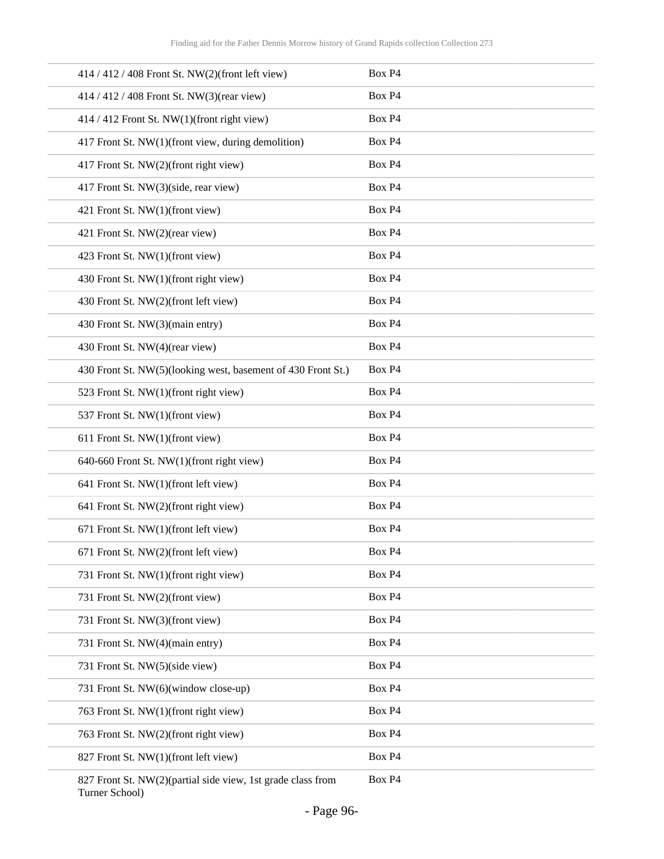| 414 / 412 / 408 Front St. NW(2)(front left view)             | Box P4                        |
|--------------------------------------------------------------|-------------------------------|
| 414 / 412 / 408 Front St. NW(3)(rear view)                   | Box P4                        |
| 414 / 412 Front St. NW(1)(front right view)                  | Box P4                        |
| 417 Front St. NW(1)(front view, during demolition)           | Box P4                        |
| 417 Front St. NW(2)(front right view)                        | Box P4                        |
| 417 Front St. NW(3)(side, rear view)                         | Box P4                        |
| 421 Front St. NW(1)(front view)                              | Box P4                        |
| 421 Front St. NW(2)(rear view)                               | Box P4                        |
| 423 Front St. NW(1)(front view)                              | Box P4                        |
| 430 Front St. NW(1)(front right view)                        | Box P4                        |
| 430 Front St. NW(2)(front left view)                         | Box P4                        |
| 430 Front St. NW(3)(main entry)                              | Box P4                        |
| 430 Front St. NW(4)(rear view)                               | Box P4                        |
| 430 Front St. NW(5)(looking west, basement of 430 Front St.) | Box P4                        |
| 523 Front St. NW(1)(front right view)                        | Box P4                        |
| 537 Front St. NW(1)(front view)                              | Box P4                        |
| 611 Front St. NW(1)(front view)                              | Box P4                        |
| 640-660 Front St. NW(1)(front right view)                    | Box P4                        |
| 641 Front St. NW(1)(front left view)                         | Box P4                        |
| 641 Front St. NW(2)(front right view)                        | Box P4                        |
| 671 Front St. NW(1)(front left view)                         | Box P4                        |
| 671 Front St. NW(2)(front left view)                         | Box P4                        |
| 731 Front St. NW(1)(front right view)                        | Box P4                        |
| 731 Front St. NW(2)(front view)                              | Box P4                        |
| 731 Front St. NW(3)(front view)                              | Box P4                        |
| 731 Front St. NW(4)(main entry)                              | Box P4                        |
| 731 Front St. NW(5)(side view)                               | Box P4                        |
| 731 Front St. NW(6)(window close-up)                         | Box P4                        |
| 763 Front St. NW(1)(front right view)                        | Box P4                        |
| 763 Front St. NW(2)(front right view)                        | Box P4                        |
| 827 Front St. NW(1)(front left view)                         | Box P4                        |
| $0.27$ Example $\Gamma$ MW/(2)(magnitude and a               | $D_{\alpha v}$ D <sub>A</sub> |

827 Front St. NW(2)(partial side view, 1st grade class from Turner School) Box P4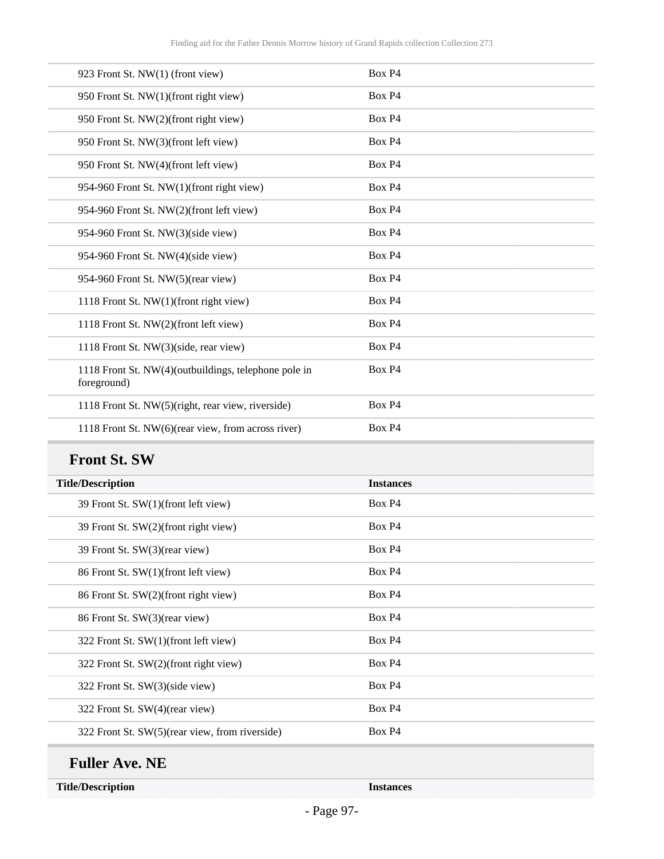| 923 Front St. NW(1) (front view)                                    | Box P4             |
|---------------------------------------------------------------------|--------------------|
| 950 Front St. NW(1)(front right view)                               | Box P4             |
| 950 Front St. NW(2)(front right view)                               | Box P4             |
| 950 Front St. NW(3)(front left view)                                | Box P4             |
| 950 Front St. NW(4)(front left view)                                | Box P4             |
| 954-960 Front St. NW(1)(front right view)                           | Box P4             |
| 954-960 Front St. NW(2)(front left view)                            | Box P4             |
| 954-960 Front St. NW(3)(side view)                                  | Box P4             |
| 954-960 Front St. NW(4)(side view)                                  | Box P4             |
| 954-960 Front St. NW(5)(rear view)                                  | Box P4             |
| 1118 Front St. NW(1)(front right view)                              | Box P4             |
| 1118 Front St. NW(2)(front left view)                               | Box P <sub>4</sub> |
| 1118 Front St. NW(3)(side, rear view)                               | Box P4             |
| 1118 Front St. NW(4)(outbuildings, telephone pole in<br>foreground) | Box P4             |
| 1118 Front St. NW(5)(right, rear view, riverside)                   | Box P4             |
| 1118 Front St. NW(6)(rear view, from across river)                  | Box P4             |

# **Front St. SW**

| <b>Title/Description</b>                       | <b>Instances</b>   |
|------------------------------------------------|--------------------|
| 39 Front St. SW(1)(front left view)            | Box P <sub>4</sub> |
| 39 Front St. SW(2)(front right view)           | Box P4             |
| 39 Front St. SW(3)(rear view)                  | Box P <sub>4</sub> |
| 86 Front St. SW(1)(front left view)            | Box P4             |
| 86 Front St. SW(2)(front right view)           | Box P <sub>4</sub> |
| 86 Front St. SW(3)(rear view)                  | Box P4             |
| 322 Front St. SW(1)(front left view)           | Box P4             |
| 322 Front St. SW(2)(front right view)          | Box P4             |
| 322 Front St. SW(3)(side view)                 | Box P4             |
| 322 Front St. SW(4)(rear view)                 | Box P4             |
| 322 Front St. SW(5)(rear view, from riverside) | Box P4             |

## **Fuller Ave. NE**

**Title/Description Instances**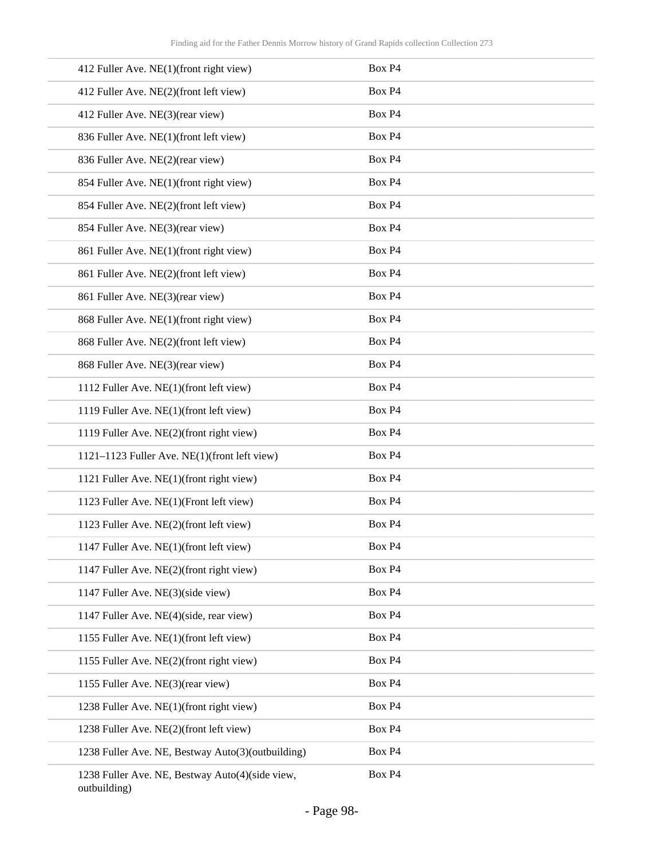| 412 Fuller Ave. NE(1)(front right view)                         | Box P4 |
|-----------------------------------------------------------------|--------|
| 412 Fuller Ave. NE(2)(front left view)                          | Box P4 |
| 412 Fuller Ave. NE(3)(rear view)                                | Box P4 |
| 836 Fuller Ave. NE(1)(front left view)                          | Box P4 |
| 836 Fuller Ave. NE(2)(rear view)                                | Box P4 |
| 854 Fuller Ave. NE(1)(front right view)                         | Box P4 |
| 854 Fuller Ave. NE(2)(front left view)                          | Box P4 |
| 854 Fuller Ave. NE(3)(rear view)                                | Box P4 |
| 861 Fuller Ave. NE(1)(front right view)                         | Box P4 |
| 861 Fuller Ave. NE(2)(front left view)                          | Box P4 |
| 861 Fuller Ave. NE(3)(rear view)                                | Box P4 |
| 868 Fuller Ave. NE(1)(front right view)                         | Box P4 |
| 868 Fuller Ave. NE(2)(front left view)                          | Box P4 |
| 868 Fuller Ave. NE(3)(rear view)                                | Box P4 |
| 1112 Fuller Ave. NE(1)(front left view)                         | Box P4 |
| 1119 Fuller Ave. NE(1)(front left view)                         | Box P4 |
| 1119 Fuller Ave. NE(2)(front right view)                        | Box P4 |
| 1121-1123 Fuller Ave. NE(1)(front left view)                    | Box P4 |
| 1121 Fuller Ave. NE(1)(front right view)                        | Box P4 |
| 1123 Fuller Ave. NE(1)(Front left view)                         | Box P4 |
| 1123 Fuller Ave. NE(2)(front left view)                         | Box P4 |
| 1147 Fuller Ave. NE(1)(front left view)                         | Box P4 |
| 1147 Fuller Ave. NE(2)(front right view)                        | Box P4 |
| 1147 Fuller Ave. NE(3)(side view)                               | Box P4 |
| 1147 Fuller Ave. NE(4)(side, rear view)                         | Box P4 |
| 1155 Fuller Ave. NE(1)(front left view)                         | Box P4 |
| 1155 Fuller Ave. NE(2)(front right view)                        | Box P4 |
| 1155 Fuller Ave. NE(3)(rear view)                               | Box P4 |
| 1238 Fuller Ave. NE(1)(front right view)                        | Box P4 |
| 1238 Fuller Ave. NE(2)(front left view)                         | Box P4 |
| 1238 Fuller Ave. NE, Bestway Auto(3)(outbuilding)               | Box P4 |
| 1238 Fuller Ave. NE, Bestway Auto(4)(side view,<br>outbuilding) | Box P4 |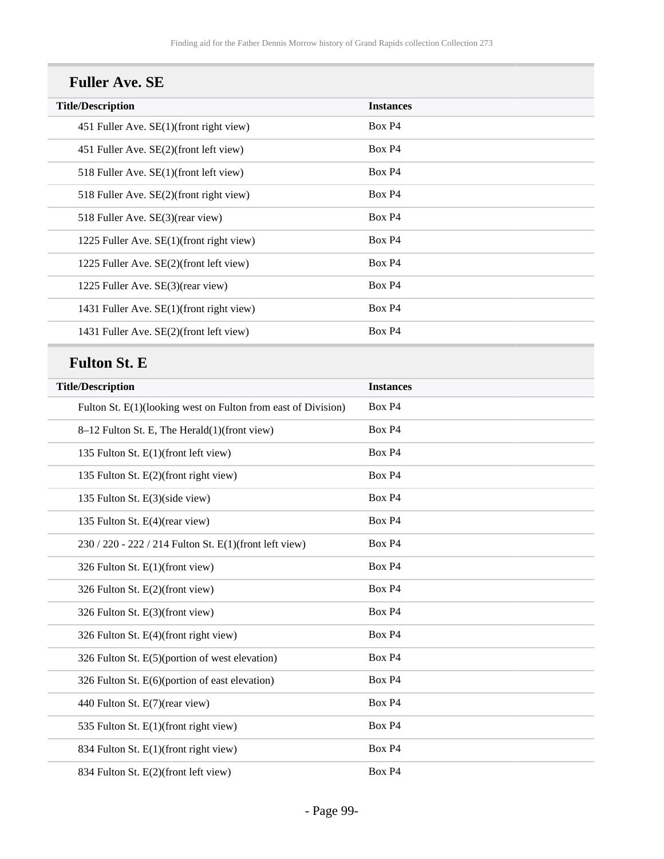| <b>Fuller Ave. SE</b>                    |                  |  |
|------------------------------------------|------------------|--|
| <b>Title/Description</b>                 | <b>Instances</b> |  |
| 451 Fuller Ave. SE(1)(front right view)  | Box P4           |  |
| 451 Fuller Ave. SE(2)(front left view)   | Box P4           |  |
| 518 Fuller Ave. SE(1)(front left view)   | Box P4           |  |
| 518 Fuller Ave. SE(2)(front right view)  | Box P4           |  |
| 518 Fuller Ave. SE(3)(rear view)         | Box P4           |  |
| 1225 Fuller Ave. SE(1)(front right view) | Box P4           |  |
| 1225 Fuller Ave. SE(2)(front left view)  | Box P4           |  |
| 1225 Fuller Ave. SE(3)(rear view)        | Box P4           |  |
| 1431 Fuller Ave. SE(1)(front right view) | Box P4           |  |
| 1431 Fuller Ave. SE(2)(front left view)  | Box P4           |  |

# **Fulton St. E**

| <b>Title/Description</b>                                      | <b>Instances</b> |
|---------------------------------------------------------------|------------------|
| Fulton St. E(1)(looking west on Fulton from east of Division) | Box P4           |
| 8–12 Fulton St. E, The Herald(1)(front view)                  | Box P4           |
| 135 Fulton St. E(1)(front left view)                          | Box P4           |
| 135 Fulton St. E(2)(front right view)                         | Box P4           |
| 135 Fulton St. E(3)(side view)                                | Box P4           |
| 135 Fulton St. E(4)(rear view)                                | Box P4           |
| 230 / 220 - 222 / 214 Fulton St. E(1)(front left view)        | Box P4           |
| 326 Fulton St. E(1)(front view)                               | Box P4           |
| 326 Fulton St. E(2)(front view)                               | Box P4           |
| 326 Fulton St. E(3)(front view)                               | Box P4           |
| 326 Fulton St. E(4)(front right view)                         | Box P4           |
| 326 Fulton St. E(5)(portion of west elevation)                | Box P4           |
| 326 Fulton St. E(6)(portion of east elevation)                | Box P4           |
| 440 Fulton St. E(7)(rear view)                                | Box P4           |
| 535 Fulton St. E(1)(front right view)                         | Box P4           |
| 834 Fulton St. E(1)(front right view)                         | Box P4           |
| 834 Fulton St. E(2)(front left view)                          | Box P4           |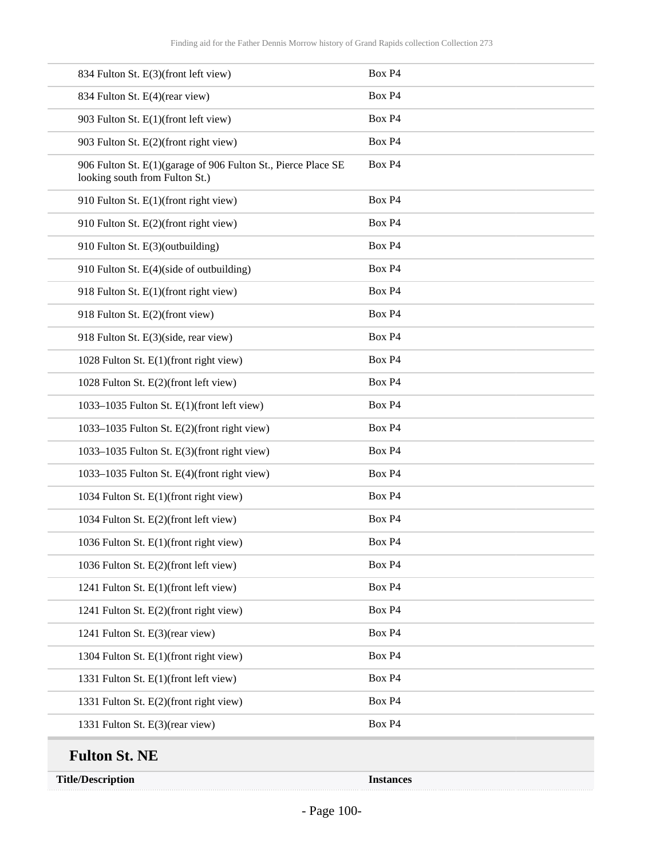| 834 Fulton St. E(3)(front left view)                                                            | Box P4           |
|-------------------------------------------------------------------------------------------------|------------------|
| 834 Fulton St. E(4)(rear view)                                                                  | Box P4           |
| 903 Fulton St. E(1)(front left view)                                                            | Box P4           |
| 903 Fulton St. E(2)(front right view)                                                           | Box P4           |
| 906 Fulton St. E(1)(garage of 906 Fulton St., Pierce Place SE<br>looking south from Fulton St.) | Box P4           |
| 910 Fulton St. E(1)(front right view)                                                           | Box P4           |
| 910 Fulton St. E(2)(front right view)                                                           | Box P4           |
| 910 Fulton St. E(3)(outbuilding)                                                                | Box P4           |
| 910 Fulton St. E(4)(side of outbuilding)                                                        | Box P4           |
| 918 Fulton St. E(1)(front right view)                                                           | Box P4           |
| 918 Fulton St. E(2)(front view)                                                                 | Box P4           |
| 918 Fulton St. E(3)(side, rear view)                                                            | Box P4           |
| 1028 Fulton St. E(1)(front right view)                                                          | Box P4           |
| 1028 Fulton St. E(2)(front left view)                                                           | Box P4           |
| 1033-1035 Fulton St. E(1)(front left view)                                                      | Box P4           |
| 1033-1035 Fulton St. E(2)(front right view)                                                     | Box P4           |
| 1033-1035 Fulton St. E(3)(front right view)                                                     | Box P4           |
| 1033-1035 Fulton St. E(4)(front right view)                                                     | Box P4           |
| 1034 Fulton St. E(1)(front right view)                                                          | Box P4           |
| 1034 Fulton St. E(2)(front left view)                                                           | Box P4           |
| 1036 Fulton St. E(1)(front right view)                                                          | Box P4           |
| 1036 Fulton St. E(2)(front left view)                                                           | Box P4           |
| 1241 Fulton St. E(1)(front left view)                                                           | Box P4           |
| 1241 Fulton St. E(2)(front right view)                                                          | Box P4           |
| 1241 Fulton St. E(3)(rear view)                                                                 | Box P4           |
| 1304 Fulton St. E(1)(front right view)                                                          | Box P4           |
| 1331 Fulton St. E(1)(front left view)                                                           | Box P4           |
| 1331 Fulton St. E(2)(front right view)                                                          | Box P4           |
| 1331 Fulton St. E(3)(rear view)                                                                 | Box P4           |
| <b>Fulton St. NE</b>                                                                            |                  |
| <b>Title/Description</b>                                                                        | <b>Instances</b> |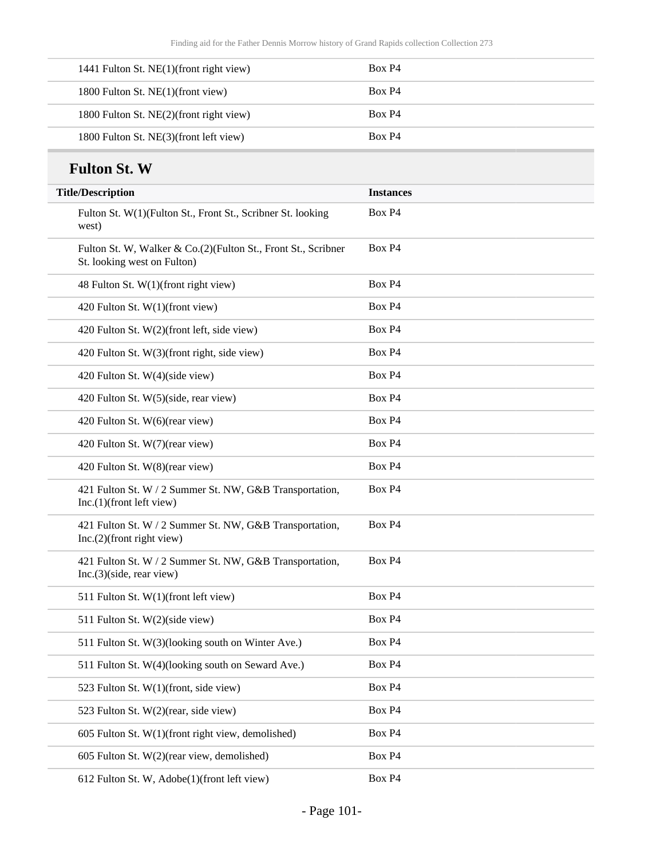| 1441 Fulton St. NE(1)(front right view) | Box P4 |
|-----------------------------------------|--------|
| 1800 Fulton St. NE(1)(front view)       | Box P4 |
| 1800 Fulton St. NE(2)(front right view) | Box P4 |
| 1800 Fulton St. NE(3)(front left view)  | Box P4 |

#### **Fulton St. W**

| <b>Fulton St. W</b>                                                                          |                  |
|----------------------------------------------------------------------------------------------|------------------|
| <b>Title/Description</b>                                                                     | <b>Instances</b> |
| Fulton St. W(1)(Fulton St., Front St., Scribner St. looking<br>west)                         | Box P4           |
| Fulton St. W, Walker & Co.(2)(Fulton St., Front St., Scribner<br>St. looking west on Fulton) | Box P4           |
| 48 Fulton St. W(1)(front right view)                                                         | Box P4           |
| 420 Fulton St. W(1)(front view)                                                              | Box P4           |
| 420 Fulton St. W(2)(front left, side view)                                                   | Box P4           |
| 420 Fulton St. W(3)(front right, side view)                                                  | Box P4           |
| 420 Fulton St. W(4)(side view)                                                               | Box P4           |
| 420 Fulton St. W(5)(side, rear view)                                                         | Box P4           |
| 420 Fulton St. W(6)(rear view)                                                               | Box P4           |
| 420 Fulton St. W(7)(rear view)                                                               | Box P4           |
| 420 Fulton St. W(8)(rear view)                                                               | Box P4           |
| 421 Fulton St. W / 2 Summer St. NW, G&B Transportation,<br>$Inc.(1)$ (front left view)       | Box P4           |
| 421 Fulton St. W / 2 Summer St. NW, G&B Transportation,<br>$Inc.(2)$ (front right view)      | Box P4           |
| 421 Fulton St. W / 2 Summer St. NW, G&B Transportation,<br>Inc.(3)(side, rear view)          | Box P4           |
| 511 Fulton St. W(1)(front left view)                                                         | Box P4           |
| 511 Fulton St. W(2)(side view)                                                               | Box P4           |
| 511 Fulton St. W(3)(looking south on Winter Ave.)                                            | Box P4           |
| 511 Fulton St. W(4)(looking south on Seward Ave.)                                            | Box P4           |
| 523 Fulton St. W(1)(front, side view)                                                        | Box P4           |
| 523 Fulton St. W(2)(rear, side view)                                                         | Box P4           |
| 605 Fulton St. W(1)(front right view, demolished)                                            | Box P4           |
| 605 Fulton St. W(2)(rear view, demolished)                                                   | Box P4           |
| 612 Fulton St. W, Adobe(1)(front left view)                                                  | Box P4           |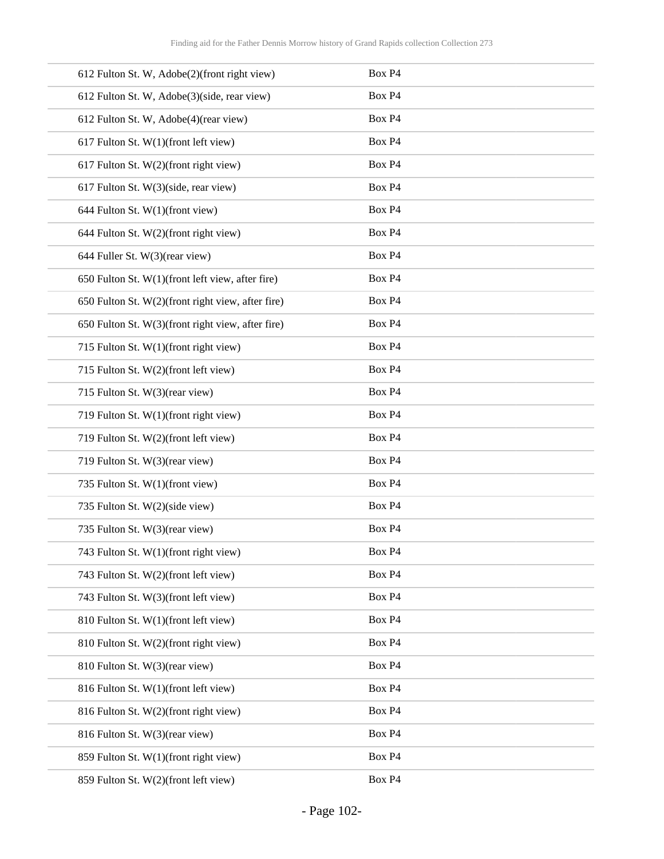| 612 Fulton St. W, Adobe(2)(front right view)      | Box P4 |
|---------------------------------------------------|--------|
| 612 Fulton St. W, Adobe(3)(side, rear view)       | Box P4 |
| 612 Fulton St. W, Adobe(4)(rear view)             | Box P4 |
| 617 Fulton St. W(1)(front left view)              | Box P4 |
| 617 Fulton St. W(2)(front right view)             | Box P4 |
| 617 Fulton St. W(3)(side, rear view)              | Box P4 |
| 644 Fulton St. W(1)(front view)                   | Box P4 |
| 644 Fulton St. W(2)(front right view)             | Box P4 |
| 644 Fuller St. W(3)(rear view)                    | Box P4 |
| 650 Fulton St. W(1)(front left view, after fire)  | Box P4 |
| 650 Fulton St. W(2)(front right view, after fire) | Box P4 |
| 650 Fulton St. W(3)(front right view, after fire) | Box P4 |
| 715 Fulton St. W(1)(front right view)             | Box P4 |
| 715 Fulton St. W(2)(front left view)              | Box P4 |
| 715 Fulton St. W(3)(rear view)                    | Box P4 |
| 719 Fulton St. W(1)(front right view)             | Box P4 |
| 719 Fulton St. W(2)(front left view)              | Box P4 |
| 719 Fulton St. W(3)(rear view)                    | Box P4 |
| 735 Fulton St. W(1)(front view)                   | Box P4 |
| 735 Fulton St. W(2)(side view)                    | Box P4 |
| 735 Fulton St. W(3)(rear view)                    | Box P4 |
| 743 Fulton St. W(1)(front right view)             | Box P4 |
| 743 Fulton St. W(2)(front left view)              | Box P4 |
| 743 Fulton St. W(3)(front left view)              | Box P4 |
| 810 Fulton St. W(1)(front left view)              | Box P4 |
| 810 Fulton St. W(2)(front right view)             | Box P4 |
| 810 Fulton St. W(3)(rear view)                    | Box P4 |
| 816 Fulton St. W(1)(front left view)              | Box P4 |
| 816 Fulton St. W(2)(front right view)             | Box P4 |
| 816 Fulton St. W(3)(rear view)                    | Box P4 |
| 859 Fulton St. W(1)(front right view)             | Box P4 |
| 859 Fulton St. W(2)(front left view)              | Box P4 |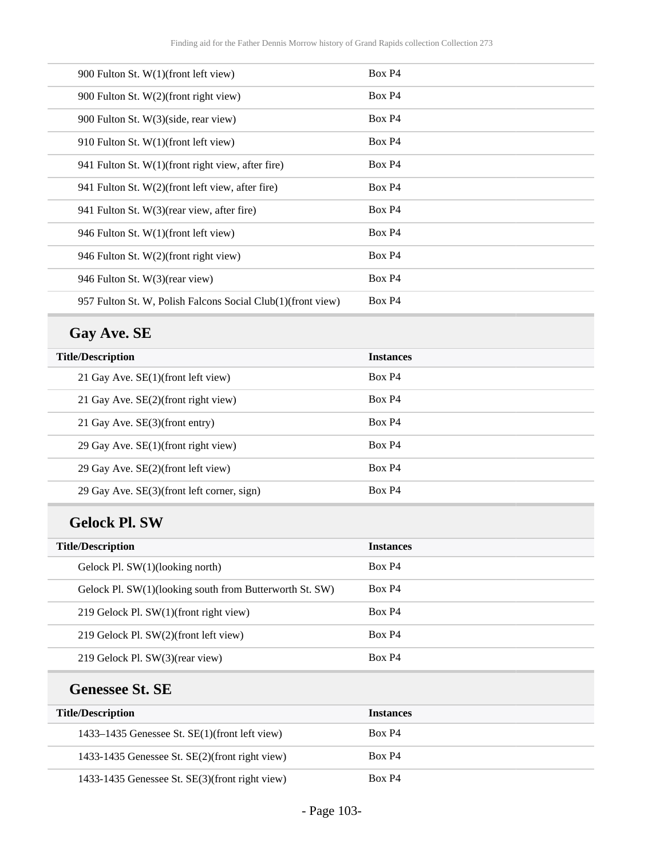| 900 Fulton St. W(1)(front left view)                        | Box P4             |
|-------------------------------------------------------------|--------------------|
| 900 Fulton St. W(2)(front right view)                       | Box P4             |
| 900 Fulton St. W(3)(side, rear view)                        | Box P4             |
| 910 Fulton St. W(1)(front left view)                        | Box P4             |
| 941 Fulton St. W(1)(front right view, after fire)           | Box P4             |
| 941 Fulton St. W(2)(front left view, after fire)            | Box P4             |
| 941 Fulton St. W(3) (rear view, after fire)                 | Box P4             |
| 946 Fulton St. W(1)(front left view)                        | Box P4             |
| 946 Fulton St. W(2)(front right view)                       | Box P4             |
| 946 Fulton St. W(3)(rear view)                              | Box P <sub>4</sub> |
| 957 Fulton St. W, Polish Falcons Social Club(1)(front view) | Box P <sub>4</sub> |

# **Gay Ave. SE**

| <b>Title/Description</b><br><b>Instances</b><br>Box P4<br>21 Gay Ave. SE(1)(front left view)<br>Box P4<br>21 Gay Ave. SE(2)(front right view)<br>Box P4<br>21 Gay Ave. SE(3)(front entry)<br>Box P4<br>29 Gay Ave. SE(1)(front right view)<br>Box P4<br>29 Gay Ave. SE(2)(front left view) |  |
|--------------------------------------------------------------------------------------------------------------------------------------------------------------------------------------------------------------------------------------------------------------------------------------------|--|
|                                                                                                                                                                                                                                                                                            |  |
|                                                                                                                                                                                                                                                                                            |  |
|                                                                                                                                                                                                                                                                                            |  |
|                                                                                                                                                                                                                                                                                            |  |
|                                                                                                                                                                                                                                                                                            |  |
|                                                                                                                                                                                                                                                                                            |  |
| Box P4<br>29 Gay Ave. SE(3)(front left corner, sign)                                                                                                                                                                                                                                       |  |

## **Gelock Pl. SW**

| <b>Title/Description</b>                                | <b>Instances</b> |
|---------------------------------------------------------|------------------|
| Gelock Pl. $SW(1)(\text{looking north})$                | Box P4           |
| Gelock Pl. SW(1)(looking south from Butterworth St. SW) | Box P4           |
| 219 Gelock Pl. SW(1)(front right view)                  | Box P4           |
| 219 Gelock Pl. SW(2)(front left view)                   | Box P4           |
| 219 Gelock Pl. SW(3)(rear view)                         | Box P4           |

## **Genessee St. SE**

| <b>Title/Description</b>                       | <b>Instances</b> |
|------------------------------------------------|------------------|
| 1433–1435 Genessee St. SE(1)(front left view)  | Box P4           |
| 1433-1435 Genessee St. SE(2)(front right view) | Box P4           |
| 1433-1435 Genessee St. SE(3)(front right view) | Box P4           |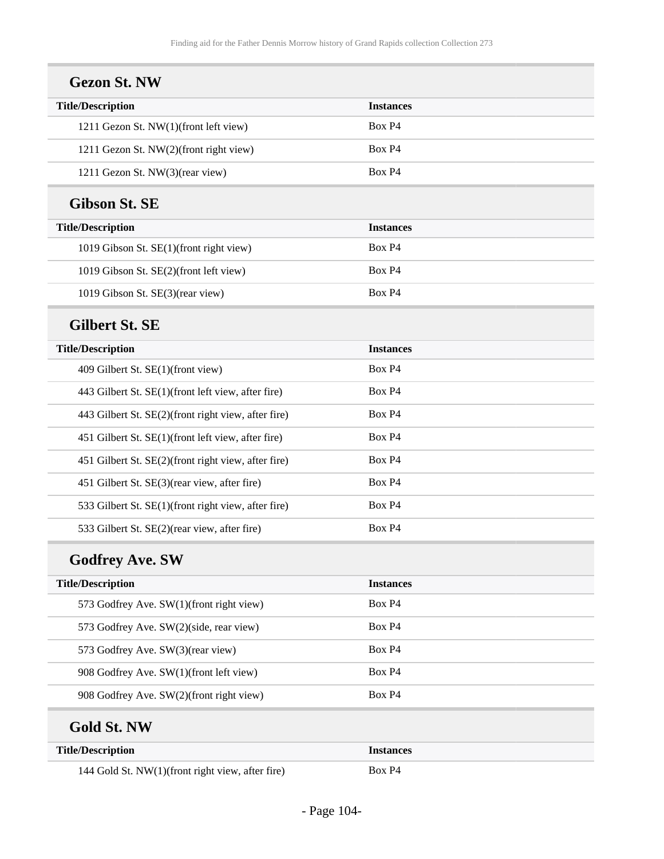| <b>Title/Description</b>                            | <b>Instances</b> |
|-----------------------------------------------------|------------------|
|                                                     | Box P4           |
| 1211 Gezon St. NW(1)(front left view)               |                  |
| 1211 Gezon St. NW(2)(front right view)              | Box P4           |
| 1211 Gezon St. NW(3)(rear view)                     | Box P4           |
| <b>Gibson St. SE</b>                                |                  |
| <b>Title/Description</b>                            | <b>Instances</b> |
| 1019 Gibson St. SE(1)(front right view)             | Box P4           |
| 1019 Gibson St. SE(2)(front left view)              | Box P4           |
| 1019 Gibson St. SE(3)(rear view)                    | Box P4           |
| <b>Gilbert St. SE</b>                               |                  |
| <b>Title/Description</b>                            | <b>Instances</b> |
| 409 Gilbert St. SE(1)(front view)                   | Box P4           |
| 443 Gilbert St. SE(1)(front left view, after fire)  | Box P4           |
| 443 Gilbert St. SE(2)(front right view, after fire) | Box P4           |
| 451 Gilbert St. SE(1)(front left view, after fire)  | Box P4           |
| 451 Gilbert St. SE(2)(front right view, after fire) | Box P4           |
| 451 Gilbert St. SE(3)(rear view, after fire)        | Box P4           |
| 533 Gilbert St. SE(1)(front right view, after fire) | Box P4           |
| 533 Gilbert St. SE(2)(rear view, after fire)        | Box P4           |
| <b>Godfrey Ave. SW</b>                              |                  |
| <b>Title/Description</b>                            | <b>Instances</b> |
| 573 Godfrey Ave. SW(1)(front right view)            | Box P4           |
| 573 Godfrey Ave. SW(2)(side, rear view)             | Box P4           |
| 573 Godfrey Ave. SW(3)(rear view)                   | Box P4           |
| 908 Godfrey Ave. SW(1)(front left view)             | Box P4           |
| 908 Godfrey Ave. SW(2)(front right view)            | Box P4           |
| <b>Gold St. NW</b>                                  |                  |
| <b>Title/Description</b>                            | <b>Instances</b> |
| 144 Gold St. NW(1)(front right view, after fire)    | Box P4           |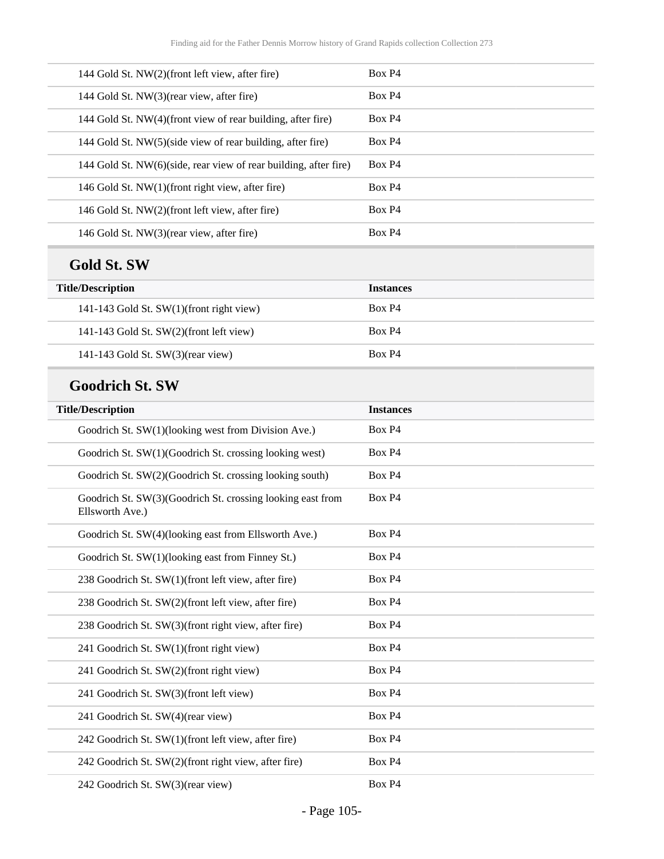| 144 Gold St. NW(2)(front left view, after fire)                               | Box P4           |
|-------------------------------------------------------------------------------|------------------|
| 144 Gold St. NW(3)(rear view, after fire)                                     | Box P4           |
| 144 Gold St. NW(4)(front view of rear building, after fire)                   | Box P4           |
| 144 Gold St. NW(5)(side view of rear building, after fire)                    | Box P4           |
| 144 Gold St. NW(6)(side, rear view of rear building, after fire)              | Box P4           |
| 146 Gold St. NW(1)(front right view, after fire)                              | Box P4           |
| 146 Gold St. NW(2)(front left view, after fire)                               | Box P4           |
| 146 Gold St. NW(3)(rear view, after fire)                                     | Box P4           |
| <b>Gold St. SW</b>                                                            |                  |
| <b>Title/Description</b>                                                      | <b>Instances</b> |
| 141-143 Gold St. SW(1)(front right view)                                      | Box P4           |
| 141-143 Gold St. SW(2)(front left view)                                       | Box P4           |
| 141-143 Gold St. SW(3)(rear view)                                             | Box P4           |
| <b>Goodrich St. SW</b>                                                        |                  |
| <b>Title/Description</b>                                                      | <b>Instances</b> |
| Goodrich St. SW(1)(looking west from Division Ave.)                           | Box P4           |
| Goodrich St. SW(1)(Goodrich St. crossing looking west)                        | Box P4           |
| Goodrich St. SW(2)(Goodrich St. crossing looking south)                       | Box P4           |
| Goodrich St. SW(3)(Goodrich St. crossing looking east from<br>Ellsworth Ave.) | Box P4           |
| Goodrich St. SW(4)(looking east from Ellsworth Ave.)                          | Box P4           |
| Goodrich St. SW(1)(looking east from Finney St.)                              | Box P4           |
| 238 Goodrich St. SW(1)(front left view, after fire)                           | Box P4           |
| 238 Goodrich St. SW(2)(front left view, after fire)                           | Box P4           |
| 238 Goodrich St. SW(3)(front right view, after fire)                          | Box P4           |
| 241 Goodrich St. SW(1)(front right view)                                      | Box P4           |
| 241 Goodrich St. SW(2)(front right view)                                      | Box P4           |
| 241 Goodrich St. SW(3)(front left view)                                       | Box P4           |
| 241 Goodrich St. SW(4)(rear view)                                             | Box P4           |
| 242 Goodrich St. SW(1)(front left view, after fire)                           | Box P4           |
| 242 Goodrich St. SW(2)(front right view, after fire)                          | Box P4           |
|                                                                               |                  |

242 Goodrich St. SW(3)(rear view) Box P4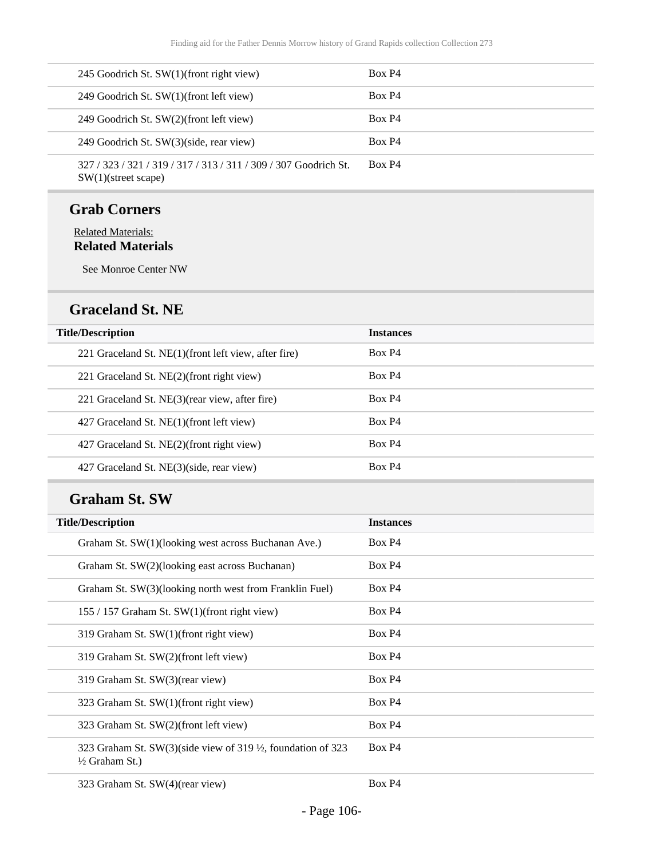| 245 Goodrich St. SW(1)(front right view)                                                   | Box P4 |
|--------------------------------------------------------------------------------------------|--------|
| 249 Goodrich St. SW(1)(front left view)                                                    | Box P4 |
| 249 Goodrich St. SW(2)(front left view)                                                    | Box P4 |
| 249 Goodrich St. SW(3)(side, rear view)                                                    | Box P4 |
| 327 / 323 / 321 / 319 / 317 / 313 / 311 / 309 / 307 Goodrich St.<br>$SW(1)$ (street scape) | Box P4 |

#### **Grab Corners**

#### Related Materials: **Related Materials**

See Monroe Center NW

#### **Graceland St. NE**

| <b>Title/Description</b>                              | <b>Instances</b> |
|-------------------------------------------------------|------------------|
| 221 Graceland St. NE(1) (front left view, after fire) | Box P4           |
| 221 Graceland St. NE(2)(front right view)             | Box P4           |
| 221 Graceland St. NE(3) (rear view, after fire)       | Box P4           |
| 427 Graceland St. NE(1)(front left view)              | Box P4           |
| 427 Graceland St. NE(2)(front right view)             | Box P4           |
| 427 Graceland St. NE(3)(side, rear view)              | Box P4           |

#### **Graham St. SW**

| <b>Title/Description</b>                                                                | <b>Instances</b>   |
|-----------------------------------------------------------------------------------------|--------------------|
| Graham St. SW(1)(looking west across Buchanan Ave.)                                     | Box P <sub>4</sub> |
| Graham St. SW(2)(looking east across Buchanan)                                          | Box P4             |
| Graham St. SW(3)(looking north west from Franklin Fuel)                                 | Box P4             |
| 155 / 157 Graham St. SW(1)(front right view)                                            | Box P <sub>4</sub> |
| 319 Graham St. SW(1)(front right view)                                                  | Box P <sub>4</sub> |
| 319 Graham St. SW(2)(front left view)                                                   | Box P <sub>4</sub> |
| 319 Graham St. SW(3)(rear view)                                                         | Box P <sub>4</sub> |
| 323 Graham St. SW(1)(front right view)                                                  | Box P <sub>4</sub> |
| 323 Graham St. SW(2)(front left view)                                                   | Box P <sub>4</sub> |
| 323 Graham St. SW(3)(side view of 319 ½, foundation of 323<br>$\frac{1}{2}$ Graham St.) | Box P <sub>4</sub> |
| 323 Graham St. SW(4)(rear view)                                                         | Box P4             |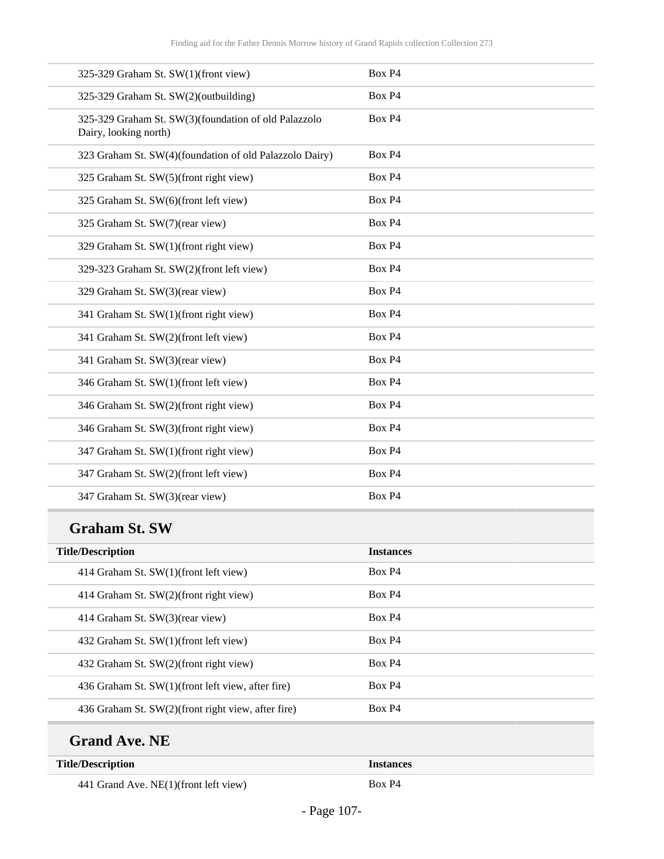| 325-329 Graham St. SW(1)(front view)                                          | Box P4 |
|-------------------------------------------------------------------------------|--------|
| 325-329 Graham St. SW(2)(outbuilding)                                         | Box P4 |
| 325-329 Graham St. SW(3)(foundation of old Palazzolo<br>Dairy, looking north) | Box P4 |
| 323 Graham St. SW(4)(foundation of old Palazzolo Dairy)                       | Box P4 |
| 325 Graham St. SW(5)(front right view)                                        | Box P4 |
| 325 Graham St. SW(6)(front left view)                                         | Box P4 |
| 325 Graham St. SW(7)(rear view)                                               | Box P4 |
| 329 Graham St. SW(1)(front right view)                                        | Box P4 |
| 329-323 Graham St. SW(2)(front left view)                                     | Box P4 |
| 329 Graham St. SW(3)(rear view)                                               | Box P4 |
| 341 Graham St. SW(1)(front right view)                                        | Box P4 |
| 341 Graham St. SW(2)(front left view)                                         | Box P4 |
| 341 Graham St. SW(3)(rear view)                                               | Box P4 |
| 346 Graham St. SW(1)(front left view)                                         | Box P4 |
| 346 Graham St. SW(2)(front right view)                                        | Box P4 |
| 346 Graham St. SW(3)(front right view)                                        | Box P4 |
| 347 Graham St. SW(1)(front right view)                                        | Box P4 |
| 347 Graham St. SW(2)(front left view)                                         | Box P4 |
| 347 Graham St. SW(3)(rear view)                                               | Box P4 |

## **Graham St. SW**

| <b>Title/Description</b>                           | <b>Instances</b>   |
|----------------------------------------------------|--------------------|
| 414 Graham St. SW(1)(front left view)              | Box P4             |
| 414 Graham St. SW(2)(front right view)             | Box P <sub>4</sub> |
| 414 Graham St. SW(3)(rear view)                    | Box P4             |
| 432 Graham St. SW(1)(front left view)              | Box P <sub>4</sub> |
| 432 Graham St. SW(2)(front right view)             | Box P <sub>4</sub> |
| 436 Graham St. SW(1)(front left view, after fire)  | Box P <sub>4</sub> |
| 436 Graham St. SW(2)(front right view, after fire) | Box P4             |

# **Grand Ave. NE**

| <b>Title/Description</b>              | Instances |
|---------------------------------------|-----------|
| 441 Grand Ave. NE(1)(front left view) | Box P4    |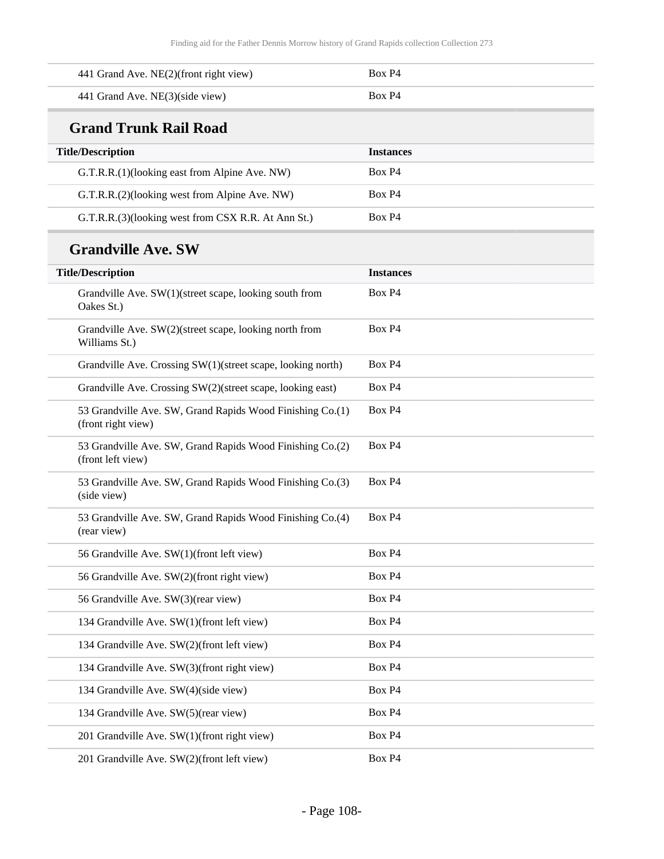| 441 Grand Ave. NE(2)(front right view)                                          | Box P <sub>4</sub> |
|---------------------------------------------------------------------------------|--------------------|
| 441 Grand Ave. NE(3)(side view)                                                 | Box P4             |
| <b>Grand Trunk Rail Road</b>                                                    |                    |
| <b>Title/Description</b>                                                        | <b>Instances</b>   |
| G.T.R.R.(1)(looking east from Alpine Ave. NW)                                   | Box P4             |
| G.T.R.R.(2)(looking west from Alpine Ave. NW)                                   | Box P4             |
| G.T.R.R.(3)(looking west from CSX R.R. At Ann St.)                              | Box P4             |
| <b>Grandville Ave. SW</b>                                                       |                    |
| <b>Title/Description</b>                                                        | <b>Instances</b>   |
| Grandville Ave. SW(1)(street scape, looking south from<br>Oakes St.)            | Box P4             |
| Grandville Ave. SW(2)(street scape, looking north from<br>Williams St.)         | Box P4             |
| Grandville Ave. Crossing SW(1)(street scape, looking north)                     | Box P4             |
| Grandville Ave. Crossing SW(2)(street scape, looking east)                      | Box P <sub>4</sub> |
| 53 Grandville Ave. SW, Grand Rapids Wood Finishing Co.(1)<br>(front right view) | Box P4             |
| 53 Grandville Ave. SW, Grand Rapids Wood Finishing Co.(2)<br>(front left view)  | Box P4             |
| 53 Grandville Ave. SW, Grand Rapids Wood Finishing Co.(3)<br>(side view)        | Box P4             |
| 53 Grandville Ave. SW, Grand Rapids Wood Finishing Co.(4)<br>(rear view)        | Box P4             |
| 56 Grandville Ave. SW(1)(front left view)                                       | Box P4             |
| 56 Grandville Ave. SW(2)(front right view)                                      | Box P4             |
| 56 Grandville Ave. SW(3)(rear view)                                             | Box P4             |
| 134 Grandville Ave. SW(1)(front left view)                                      | Box P4             |
| 134 Grandville Ave. SW(2)(front left view)                                      | Box P4             |
| 134 Grandville Ave. SW(3)(front right view)                                     | Box P4             |
| 134 Grandville Ave. SW(4)(side view)                                            | Box P4             |
| 134 Grandville Ave. SW(5)(rear view)                                            | Box P4             |
| 201 Grandville Ave. SW(1)(front right view)                                     | Box P4             |
| 201 Grandville Ave. SW(2)(front left view)                                      | Box P4             |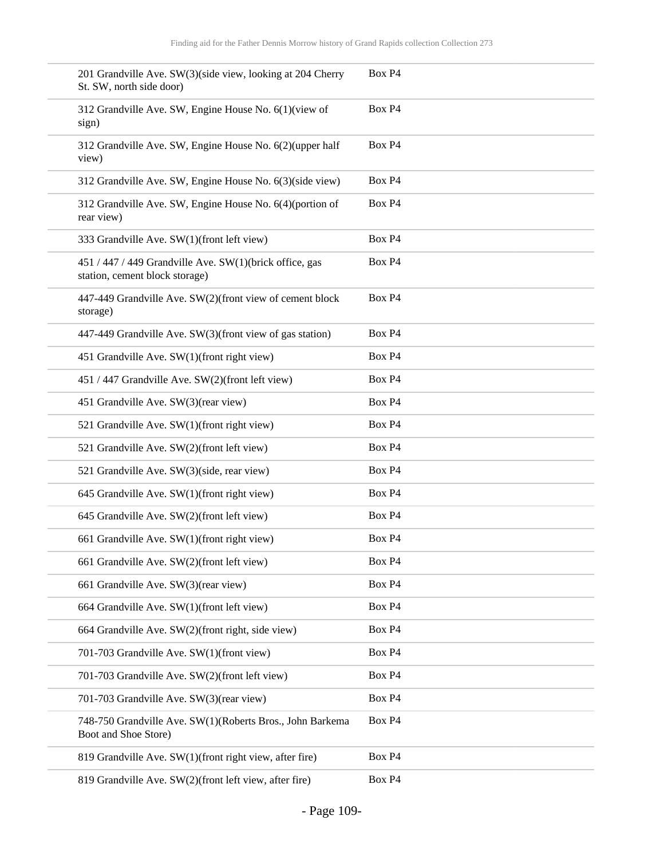| 201 Grandville Ave. SW(3)(side view, looking at 204 Cherry<br>St. SW, north side door)    | Box P4 |
|-------------------------------------------------------------------------------------------|--------|
| 312 Grandville Ave. SW, Engine House No. 6(1)(view of<br>sign)                            | Box P4 |
| 312 Grandville Ave. SW, Engine House No. 6(2)(upper half<br>view)                         | Box P4 |
| 312 Grandville Ave. SW, Engine House No. 6(3)(side view)                                  | Box P4 |
| 312 Grandville Ave. SW, Engine House No. 6(4)(portion of<br>rear view)                    | Box P4 |
| 333 Grandville Ave. SW(1)(front left view)                                                | Box P4 |
| 451 / 447 / 449 Grandville Ave. SW(1)(brick office, gas<br>station, cement block storage) | Box P4 |
| 447-449 Grandville Ave. SW(2)(front view of cement block<br>storage)                      | Box P4 |
| 447-449 Grandville Ave. SW(3)(front view of gas station)                                  | Box P4 |
| 451 Grandville Ave. SW(1)(front right view)                                               | Box P4 |
| 451 / 447 Grandville Ave. SW(2)(front left view)                                          | Box P4 |
| 451 Grandville Ave. SW(3)(rear view)                                                      | Box P4 |
| 521 Grandville Ave. SW(1)(front right view)                                               | Box P4 |
| 521 Grandville Ave. SW(2)(front left view)                                                | Box P4 |
| 521 Grandville Ave. SW(3)(side, rear view)                                                | Box P4 |
| 645 Grandville Ave. SW(1)(front right view)                                               | Box P4 |
| 645 Grandville Ave. SW(2)(front left view)                                                | Box P4 |
| 661 Grandville Ave. SW(1)(front right view)                                               | Box P4 |
| 661 Grandville Ave. SW(2)(front left view)                                                | Box P4 |
| 661 Grandville Ave. SW(3)(rear view)                                                      | Box P4 |
| 664 Grandville Ave. SW(1)(front left view)                                                | Box P4 |
| 664 Grandville Ave. SW(2)(front right, side view)                                         | Box P4 |
| 701-703 Grandville Ave. SW(1)(front view)                                                 | Box P4 |
| 701-703 Grandville Ave. SW(2)(front left view)                                            | Box P4 |
| 701-703 Grandville Ave. SW(3)(rear view)                                                  | Box P4 |
| 748-750 Grandville Ave. SW(1)(Roberts Bros., John Barkema<br>Boot and Shoe Store)         | Box P4 |
| 819 Grandville Ave. SW(1)(front right view, after fire)                                   | Box P4 |
| 819 Grandville Ave. SW(2)(front left view, after fire)                                    | Box P4 |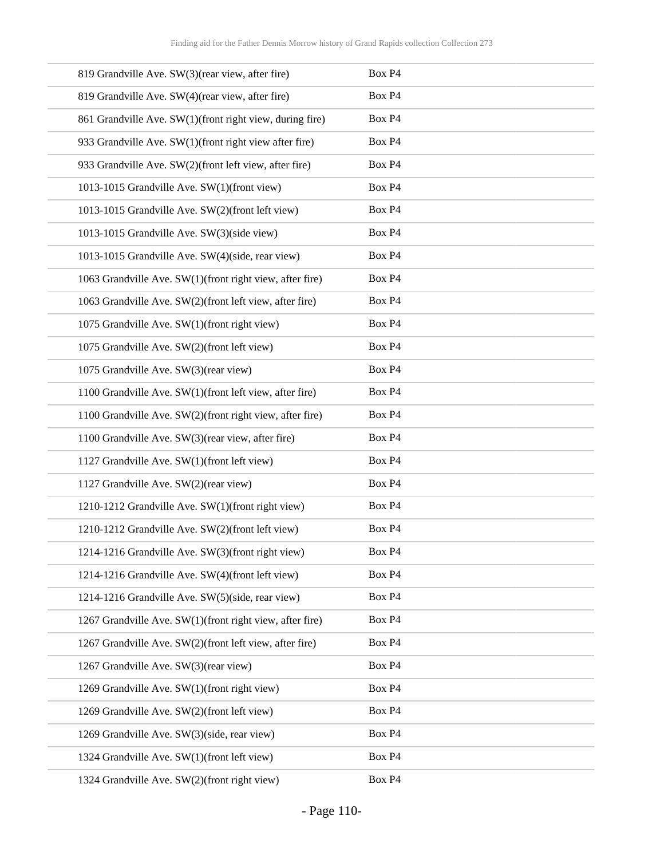| 819 Grandville Ave. SW(3)(rear view, after fire)         | Box P4             |
|----------------------------------------------------------|--------------------|
| 819 Grandville Ave. SW(4)(rear view, after fire)         | Box P4             |
| 861 Grandville Ave. SW(1)(front right view, during fire) | Box P4             |
| 933 Grandville Ave. SW(1)(front right view after fire)   | Box P4             |
| 933 Grandville Ave. SW(2)(front left view, after fire)   | Box P4             |
| 1013-1015 Grandville Ave. SW(1)(front view)              | Box P4             |
| 1013-1015 Grandville Ave. SW(2)(front left view)         | Box P4             |
| 1013-1015 Grandville Ave. SW(3)(side view)               | Box P4             |
| 1013-1015 Grandville Ave. SW(4)(side, rear view)         | Box P4             |
| 1063 Grandville Ave. SW(1)(front right view, after fire) | Box P4             |
| 1063 Grandville Ave. SW(2)(front left view, after fire)  | Box P4             |
| 1075 Grandville Ave. SW(1)(front right view)             | Box P4             |
| 1075 Grandville Ave. SW(2)(front left view)              | Box P4             |
| 1075 Grandville Ave. SW(3)(rear view)                    | Box P4             |
| 1100 Grandville Ave. SW(1)(front left view, after fire)  | Box P4             |
| 1100 Grandville Ave. SW(2)(front right view, after fire) | Box P4             |
| 1100 Grandville Ave. SW(3)(rear view, after fire)        | Box P4             |
| 1127 Grandville Ave. SW(1)(front left view)              | Box P4             |
| 1127 Grandville Ave. SW(2)(rear view)                    | Box P4             |
| 1210-1212 Grandville Ave. SW(1)(front right view)        | Box P4             |
| 1210-1212 Grandville Ave. SW(2)(front left view)         | Box P4             |
| 1214-1216 Grandville Ave. SW(3)(front right view)        | Box P <sub>4</sub> |
| 1214-1216 Grandville Ave. SW(4)(front left view)         | Box P4             |
| 1214-1216 Grandville Ave. SW(5)(side, rear view)         | Box P4             |
| 1267 Grandville Ave. SW(1)(front right view, after fire) | Box P4             |
| 1267 Grandville Ave. SW(2)(front left view, after fire)  | Box P4             |
| 1267 Grandville Ave. SW(3)(rear view)                    | Box P4             |
| 1269 Grandville Ave. SW(1)(front right view)             | Box P4             |
| 1269 Grandville Ave. SW(2)(front left view)              | Box P4             |
| 1269 Grandville Ave. SW(3)(side, rear view)              | Box P4             |
| 1324 Grandville Ave. SW(1)(front left view)              | Box P4             |
| 1324 Grandville Ave. SW(2)(front right view)             | Box P4             |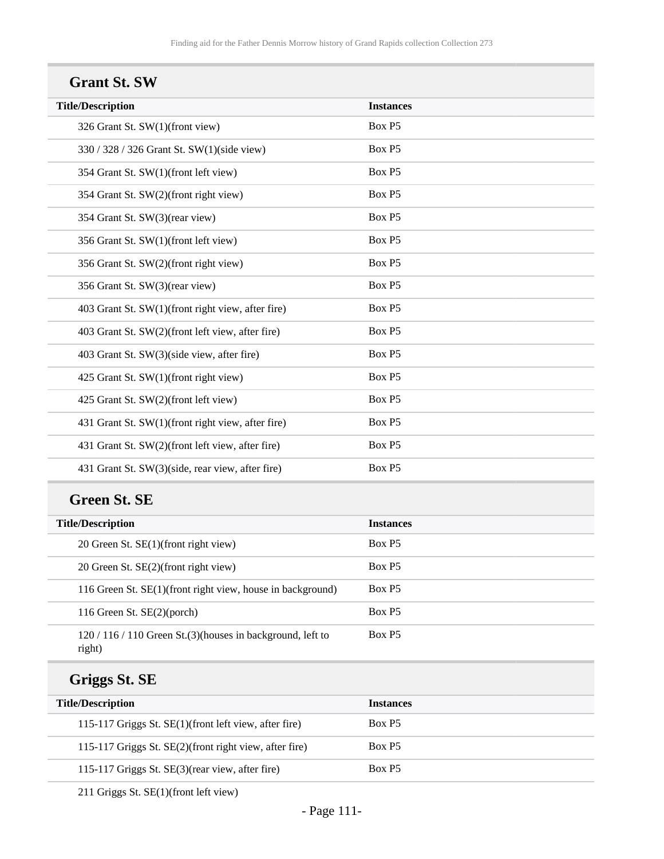#### **Grant St. SW**

| <b>Instances</b> |
|------------------|
| Box P5           |
| Box P5           |
| Box P5           |
| Box P5           |
| Box P5           |
| Box P5           |
| Box P5           |
| Box P5           |
| Box P5           |
| Box P5           |
| Box P5           |
| Box P5           |
| Box P5           |
| Box P5           |
| Box P5           |
| Box P5           |
|                  |

#### **Green St. SE**

| <b>Title/Description</b>                                           | <b>Instances</b>   |
|--------------------------------------------------------------------|--------------------|
| 20 Green St. SE(1)(front right view)                               | Box P5             |
| 20 Green St. SE(2)(front right view)                               | Box P <sub>5</sub> |
| 116 Green St. SE(1)(front right view, house in background)         | Box P <sub>5</sub> |
| 116 Green St. $SE(2)$ (porch)                                      | Box P <sub>5</sub> |
| $120/116/110$ Green St.(3)(houses in background, left to<br>right) | Box P <sub>5</sub> |

## **Griggs St. SE**

| <b>Title/Description</b>                               | <b>Instances</b>   |
|--------------------------------------------------------|--------------------|
| 115-117 Griggs St. SE(1)(front left view, after fire)  | Box P <sub>5</sub> |
| 115-117 Griggs St. SE(2)(front right view, after fire) | Box P <sub>5</sub> |
| 115-117 Griggs St. SE(3)(rear view, after fire)        | Box P <sub>5</sub> |

211 Griggs St. SE(1)(front left view)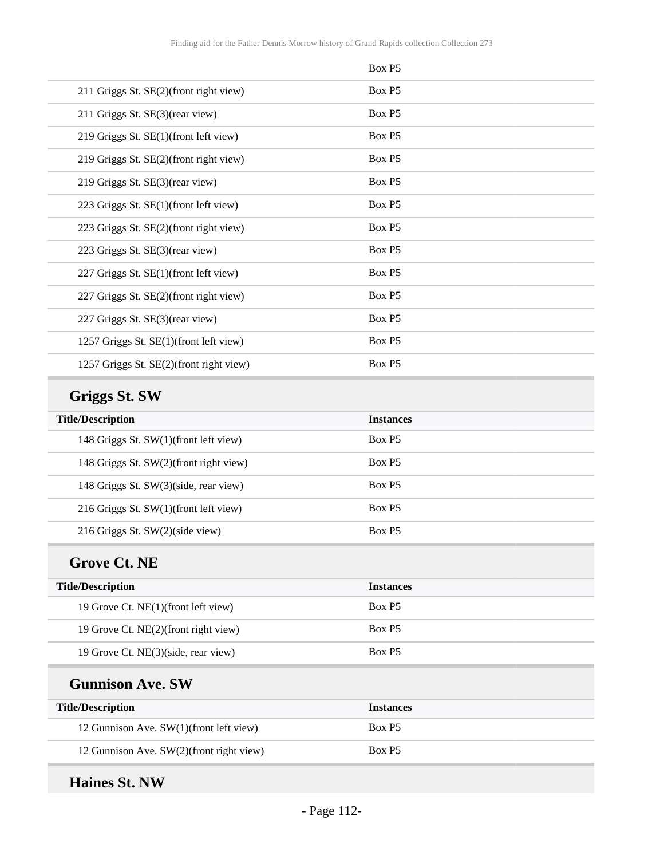|                                          | Box P5           |
|------------------------------------------|------------------|
| 211 Griggs St. SE(2)(front right view)   | Box P5           |
| 211 Griggs St. SE(3)(rear view)          | Box P5           |
| 219 Griggs St. SE(1)(front left view)    | Box P5           |
| 219 Griggs St. SE(2)(front right view)   | Box P5           |
| 219 Griggs St. SE(3)(rear view)          | Box P5           |
| 223 Griggs St. SE(1)(front left view)    | Box P5           |
| 223 Griggs St. SE(2)(front right view)   | Box P5           |
| 223 Griggs St. SE(3)(rear view)          | Box P5           |
| 227 Griggs St. SE(1)(front left view)    | Box P5           |
| 227 Griggs St. SE(2)(front right view)   | Box P5           |
| 227 Griggs St. SE(3)(rear view)          | Box P5           |
| 1257 Griggs St. SE(1)(front left view)   | Box P5           |
| 1257 Griggs St. SE(2)(front right view)  | Box P5           |
| <b>Griggs St. SW</b>                     |                  |
|                                          |                  |
| <b>Title/Description</b>                 | <b>Instances</b> |
| 148 Griggs St. SW(1)(front left view)    | Box P5           |
| 148 Griggs St. SW(2)(front right view)   | Box P5           |
| 148 Griggs St. SW(3)(side, rear view)    | Box P5           |
| 216 Griggs St. SW(1)(front left view)    | Box P5           |
| 216 Griggs St. SW(2)(side view)          | Box P5           |
| <b>Grove Ct. NE</b>                      |                  |
| <b>Title/Description</b>                 | <b>Instances</b> |
| 19 Grove Ct. NE(1)(front left view)      | Box P5           |
| 19 Grove Ct. NE(2)(front right view)     | Box P5           |
| 19 Grove Ct. NE(3)(side, rear view)      | Box P5           |
| <b>Gunnison Ave. SW</b>                  |                  |
| <b>Title/Description</b>                 | <b>Instances</b> |
| 12 Gunnison Ave. SW(1)(front left view)  | Box P5           |
| 12 Gunnison Ave. SW(2)(front right view) | Box P5           |

# **Haines St. NW**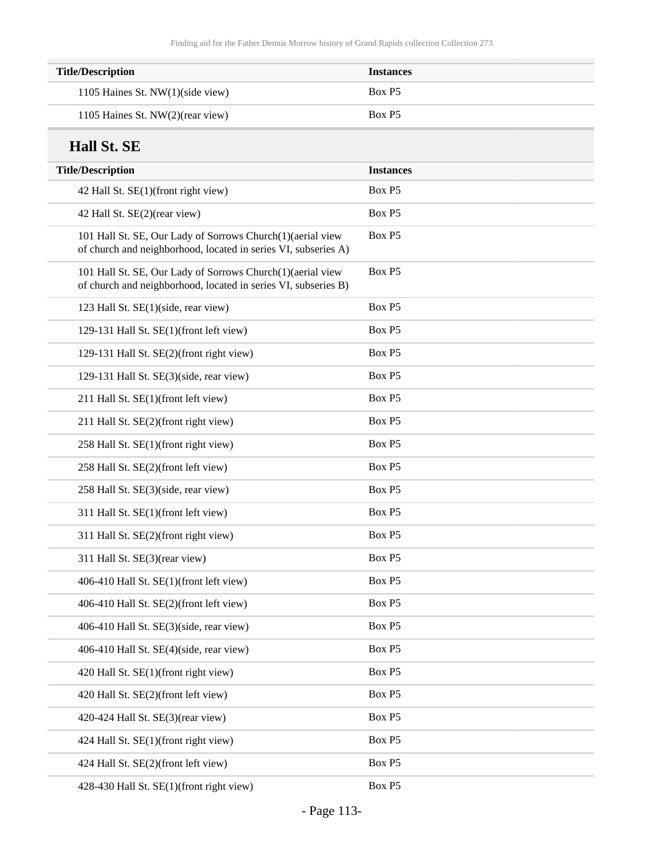| <b>Title/Description</b>           | <b>Instances</b> |
|------------------------------------|------------------|
| 1105 Haines St. $NW(1)(side view)$ | Box P5           |
| 1105 Haines St. NW(2)(rear view)   | Box P5           |

### **Hall St. SE**

| <b>Title/Description</b>                                                                                                     | <b>Instances</b> |
|------------------------------------------------------------------------------------------------------------------------------|------------------|
| 42 Hall St. SE(1)(front right view)                                                                                          | Box P5           |
| 42 Hall St. SE(2)(rear view)                                                                                                 | Box P5           |
| 101 Hall St. SE, Our Lady of Sorrows Church(1)(aerial view<br>of church and neighborhood, located in series VI, subseries A) | Box P5           |
| 101 Hall St. SE, Our Lady of Sorrows Church(1)(aerial view<br>of church and neighborhood, located in series VI, subseries B) | Box P5           |
| 123 Hall St. SE(1)(side, rear view)                                                                                          | Box P5           |
| 129-131 Hall St. SE(1)(front left view)                                                                                      | Box P5           |
| 129-131 Hall St. SE(2)(front right view)                                                                                     | Box P5           |
| 129-131 Hall St. SE(3)(side, rear view)                                                                                      | Box P5           |
| 211 Hall St. SE(1)(front left view)                                                                                          | Box P5           |
| 211 Hall St. SE(2)(front right view)                                                                                         | Box P5           |
| 258 Hall St. SE(1)(front right view)                                                                                         | Box P5           |
| 258 Hall St. SE(2)(front left view)                                                                                          | Box P5           |
| 258 Hall St. SE(3)(side, rear view)                                                                                          | Box P5           |
| 311 Hall St. SE(1)(front left view)                                                                                          | Box P5           |
| 311 Hall St. SE(2)(front right view)                                                                                         | Box P5           |
| 311 Hall St. SE(3)(rear view)                                                                                                | Box P5           |
| 406-410 Hall St. SE(1)(front left view)                                                                                      | Box P5           |
| 406-410 Hall St. SE(2)(front left view)                                                                                      | Box P5           |
| 406-410 Hall St. SE(3)(side, rear view)                                                                                      | Box P5           |
| 406-410 Hall St. SE(4)(side, rear view)                                                                                      | Box P5           |
| 420 Hall St. SE(1)(front right view)                                                                                         | Box P5           |
| 420 Hall St. SE(2)(front left view)                                                                                          | Box P5           |
| 420-424 Hall St. SE(3)(rear view)                                                                                            | Box P5           |
| 424 Hall St. SE(1)(front right view)                                                                                         | Box P5           |
| 424 Hall St. SE(2)(front left view)                                                                                          | Box P5           |
| 428-430 Hall St. SE(1)(front right view)                                                                                     | Box P5           |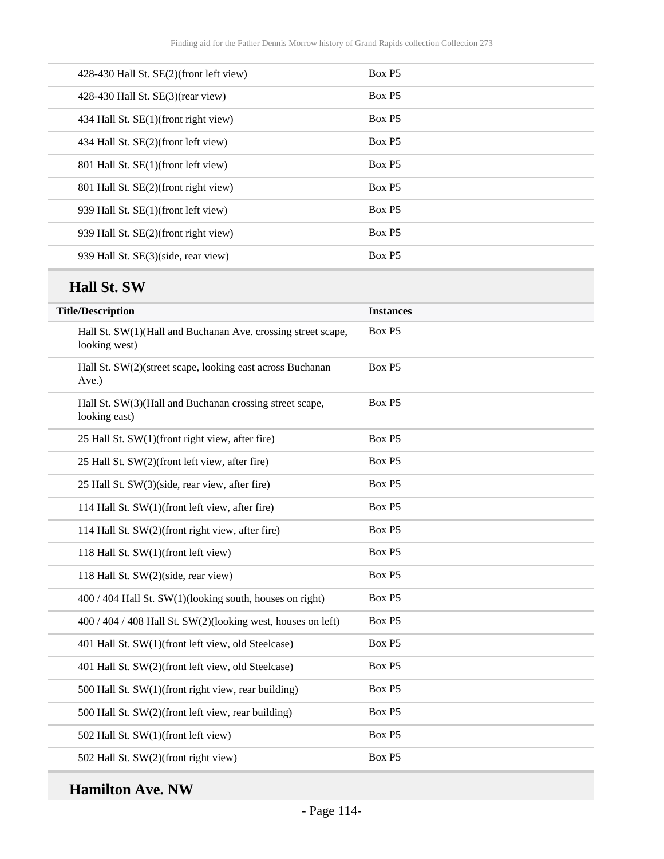| 428-430 Hall St. SE(2)(front left view) | Box P <sub>5</sub> |
|-----------------------------------------|--------------------|
| 428-430 Hall St. $SE(3)$ (rear view)    | Box P <sub>5</sub> |
| 434 Hall St. SE(1)(front right view)    | Box P5             |
| 434 Hall St. SE(2)(front left view)     | Box P5             |
| 801 Hall St. SE(1)(front left view)     | Box P5             |
| 801 Hall St. SE(2)(front right view)    | Box P5             |
| 939 Hall St. SE(1)(front left view)     | Box P5             |
| 939 Hall St. SE(2)(front right view)    | Box P5             |
| 939 Hall St. SE(3)(side, rear view)     | Box P5             |
|                                         |                    |

## **Hall St. SW**

| <b>Title/Description</b>                                                      | <b>Instances</b> |
|-------------------------------------------------------------------------------|------------------|
| Hall St. SW(1)(Hall and Buchanan Ave. crossing street scape,<br>looking west) | Box P5           |
| Hall St. SW(2)(street scape, looking east across Buchanan<br>Ave.)            | Box P5           |
| Hall St. SW(3)(Hall and Buchanan crossing street scape,<br>looking east)      | Box P5           |
| 25 Hall St. SW(1)(front right view, after fire)                               | Box P5           |
| 25 Hall St. SW(2)(front left view, after fire)                                | Box P5           |
| 25 Hall St. SW(3)(side, rear view, after fire)                                | Box P5           |
| 114 Hall St. SW(1)(front left view, after fire)                               | Box P5           |
| 114 Hall St. SW(2)(front right view, after fire)                              | Box P5           |
| 118 Hall St. SW(1)(front left view)                                           | Box P5           |
| 118 Hall St. SW(2)(side, rear view)                                           | Box P5           |
| 400 / 404 Hall St. SW(1)(looking south, houses on right)                      | Box P5           |
| $400 / 404 / 408$ Hall St. SW(2)(looking west, houses on left)                | Box P5           |
| 401 Hall St. SW(1)(front left view, old Steelcase)                            | Box P5           |
| 401 Hall St. SW(2)(front left view, old Steelcase)                            | Box P5           |
| 500 Hall St. SW(1)(front right view, rear building)                           | Box P5           |
| 500 Hall St. SW(2)(front left view, rear building)                            | Box P5           |
| 502 Hall St. SW(1)(front left view)                                           | Box P5           |
| 502 Hall St. SW(2)(front right view)                                          | Box P5           |

## **Hamilton Ave. NW**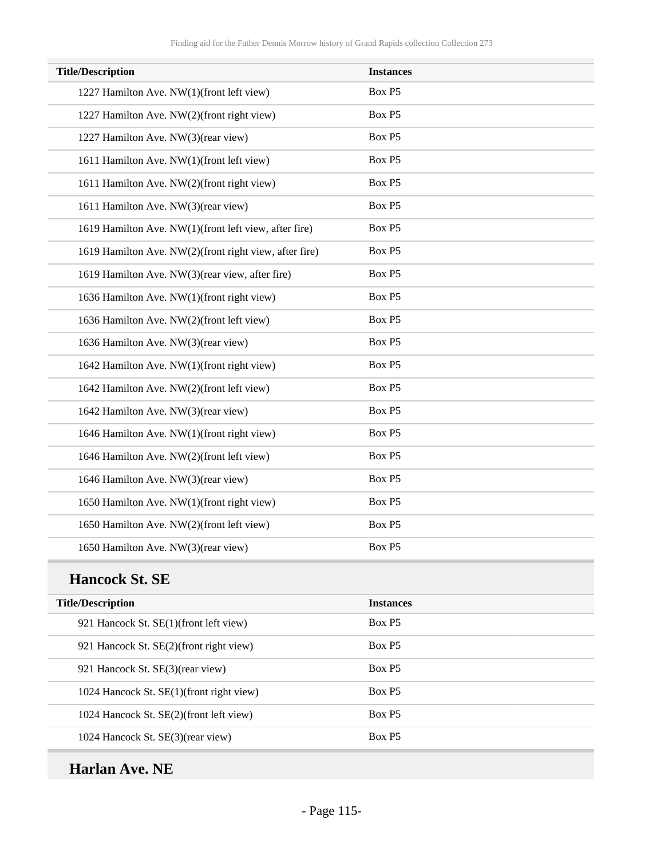| <b>Title/Description</b>                               | <b>Instances</b> |
|--------------------------------------------------------|------------------|
| 1227 Hamilton Ave. NW(1)(front left view)              | Box P5           |
| 1227 Hamilton Ave. NW(2)(front right view)             | Box P5           |
| 1227 Hamilton Ave. NW(3)(rear view)                    | Box P5           |
| 1611 Hamilton Ave. NW(1)(front left view)              | Box P5           |
| 1611 Hamilton Ave. NW(2)(front right view)             | Box P5           |
| 1611 Hamilton Ave. NW(3)(rear view)                    | Box P5           |
| 1619 Hamilton Ave. NW(1)(front left view, after fire)  | Box P5           |
| 1619 Hamilton Ave. NW(2)(front right view, after fire) | Box P5           |
| 1619 Hamilton Ave. NW(3)(rear view, after fire)        | Box P5           |
| 1636 Hamilton Ave. NW(1)(front right view)             | Box P5           |
| 1636 Hamilton Ave. NW(2)(front left view)              | Box P5           |
| 1636 Hamilton Ave. NW(3)(rear view)                    | Box P5           |
| 1642 Hamilton Ave. NW(1)(front right view)             | Box P5           |
| 1642 Hamilton Ave. NW(2)(front left view)              | Box P5           |
| 1642 Hamilton Ave. NW(3)(rear view)                    | Box P5           |
| 1646 Hamilton Ave. NW(1)(front right view)             | Box P5           |
| 1646 Hamilton Ave. NW(2)(front left view)              | Box P5           |
| 1646 Hamilton Ave. NW(3)(rear view)                    | Box P5           |
| 1650 Hamilton Ave. NW(1)(front right view)             | Box P5           |
| 1650 Hamilton Ave. NW(2)(front left view)              | Box P5           |
| 1650 Hamilton Ave. NW(3)(rear view)                    | Box P5           |

#### **Hancock St. SE**

| <b>Title/Description</b>                 | <b>Instances</b>   |
|------------------------------------------|--------------------|
| 921 Hancock St. SE(1)(front left view)   | Box P <sub>5</sub> |
| 921 Hancock St. SE(2)(front right view)  | Box P <sub>5</sub> |
| 921 Hancock St. SE(3)(rear view)         | Box P <sub>5</sub> |
| 1024 Hancock St. SE(1)(front right view) | Box P <sub>5</sub> |
| 1024 Hancock St. SE(2)(front left view)  | Box P5             |
| 1024 Hancock St. SE(3)(rear view)        | Box P <sub>5</sub> |

## **Harlan Ave. NE**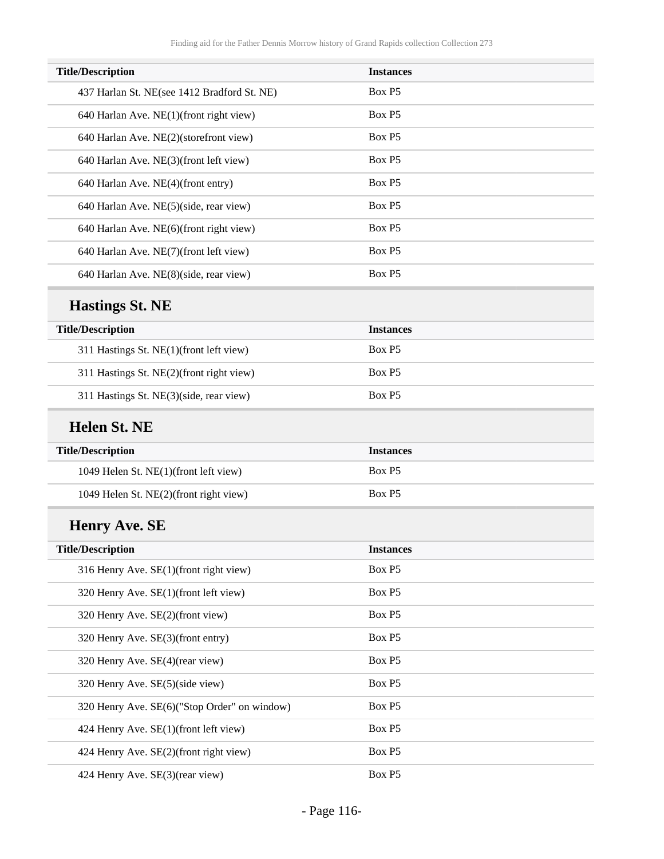| <b>Title/Description</b>                     | <b>Instances</b> |  |
|----------------------------------------------|------------------|--|
| 437 Harlan St. NE(see 1412 Bradford St. NE)  | Box P5           |  |
| 640 Harlan Ave. NE(1)(front right view)      | Box P5           |  |
| 640 Harlan Ave. NE(2)(storefront view)       | Box P5           |  |
| 640 Harlan Ave. NE(3)(front left view)       | Box P5           |  |
| 640 Harlan Ave. NE(4)(front entry)           | Box P5           |  |
| 640 Harlan Ave. NE(5)(side, rear view)       | Box P5           |  |
| 640 Harlan Ave. NE(6)(front right view)      | Box P5           |  |
| 640 Harlan Ave. NE(7)(front left view)       | Box P5           |  |
| 640 Harlan Ave. NE(8)(side, rear view)       | Box P5           |  |
| <b>Hastings St. NE</b>                       |                  |  |
| <b>Title/Description</b>                     | <b>Instances</b> |  |
| 311 Hastings St. NE(1)(front left view)      | Box P5           |  |
| 311 Hastings St. NE(2)(front right view)     | Box P5           |  |
| 311 Hastings St. NE(3)(side, rear view)      | Box P5           |  |
| <b>Helen St. NE</b>                          |                  |  |
| <b>Title/Description</b>                     | <b>Instances</b> |  |
| 1049 Helen St. NE(1)(front left view)        | Box P5           |  |
| 1049 Helen St. NE(2)(front right view)       | Box P5           |  |
| <b>Henry Ave. SE</b>                         |                  |  |
| <b>Title/Description</b>                     | <b>Instances</b> |  |
| 316 Henry Ave. SE(1)(front right view)       | Box P5           |  |
| 320 Henry Ave. SE(1)(front left view)        | Box P5           |  |
| 320 Henry Ave. SE(2)(front view)             | Box P5           |  |
| 320 Henry Ave. SE(3)(front entry)            | Box P5           |  |
| 320 Henry Ave. SE(4)(rear view)              | Box P5           |  |
| 320 Henry Ave. SE(5)(side view)              | Box P5           |  |
| 320 Henry Ave. SE(6)("Stop Order" on window) | Box P5           |  |
| 424 Henry Ave. SE(1)(front left view)        | Box P5           |  |
| 424 Henry Ave. SE(2)(front right view)       | Box P5           |  |
| 424 Henry Ave. SE(3)(rear view)              | Box P5           |  |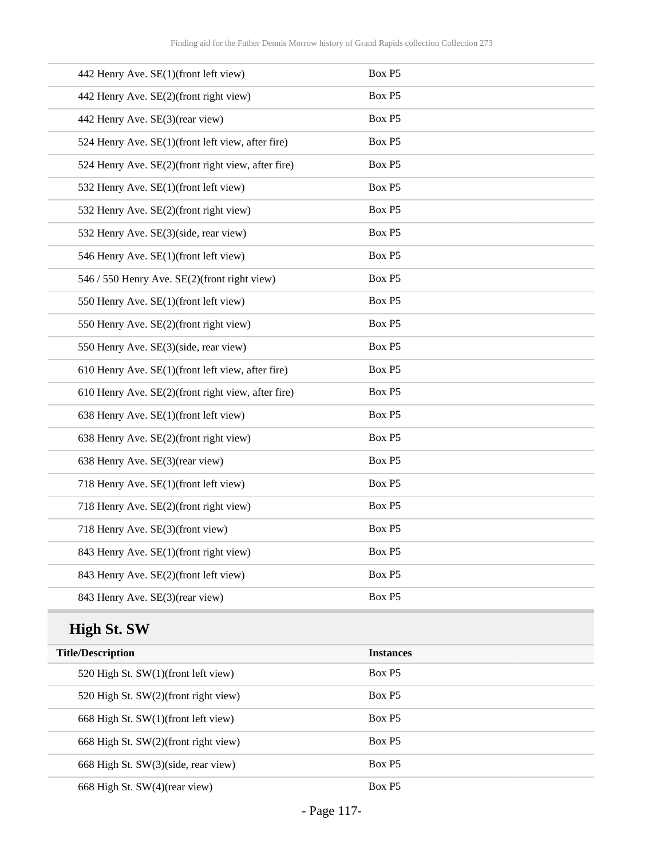| 442 Henry Ave. SE(1)(front left view)              | Box P5 |
|----------------------------------------------------|--------|
| 442 Henry Ave. SE(2)(front right view)             | Box P5 |
| 442 Henry Ave. SE(3)(rear view)                    | Box P5 |
| 524 Henry Ave. SE(1)(front left view, after fire)  | Box P5 |
| 524 Henry Ave. SE(2)(front right view, after fire) | Box P5 |
| 532 Henry Ave. SE(1)(front left view)              | Box P5 |
| 532 Henry Ave. SE(2)(front right view)             | Box P5 |
| 532 Henry Ave. SE(3)(side, rear view)              | Box P5 |
| 546 Henry Ave. SE(1)(front left view)              | Box P5 |
| 546 / 550 Henry Ave. SE(2)(front right view)       | Box P5 |
| 550 Henry Ave. SE(1)(front left view)              | Box P5 |
| 550 Henry Ave. SE(2)(front right view)             | Box P5 |
| 550 Henry Ave. SE(3)(side, rear view)              | Box P5 |
| 610 Henry Ave. SE(1)(front left view, after fire)  | Box P5 |
| 610 Henry Ave. SE(2)(front right view, after fire) | Box P5 |
| 638 Henry Ave. SE(1)(front left view)              | Box P5 |
| 638 Henry Ave. SE(2)(front right view)             | Box P5 |
| 638 Henry Ave. SE(3)(rear view)                    | Box P5 |
| 718 Henry Ave. SE(1)(front left view)              | Box P5 |
| 718 Henry Ave. SE(2)(front right view)             | Box P5 |
| 718 Henry Ave. SE(3)(front view)                   | Box P5 |
| 843 Henry Ave. SE(1)(front right view)             | Box P5 |
| 843 Henry Ave. SE(2)(front left view)              | Box P5 |
| 843 Henry Ave. SE(3)(rear view)                    | Box P5 |

## **High St. SW**

| <b>Title/Description</b>             | <b>Instances</b>   |
|--------------------------------------|--------------------|
| 520 High St. SW(1)(front left view)  | Box P <sub>5</sub> |
| 520 High St. SW(2)(front right view) | Box P <sub>5</sub> |
| 668 High St. SW(1)(front left view)  | Box P <sub>5</sub> |
| 668 High St. SW(2)(front right view) | Box P <sub>5</sub> |
| 668 High St. SW(3)(side, rear view)  | Box P <sub>5</sub> |
| 668 High St. SW(4)(rear view)        | Box P <sub>5</sub> |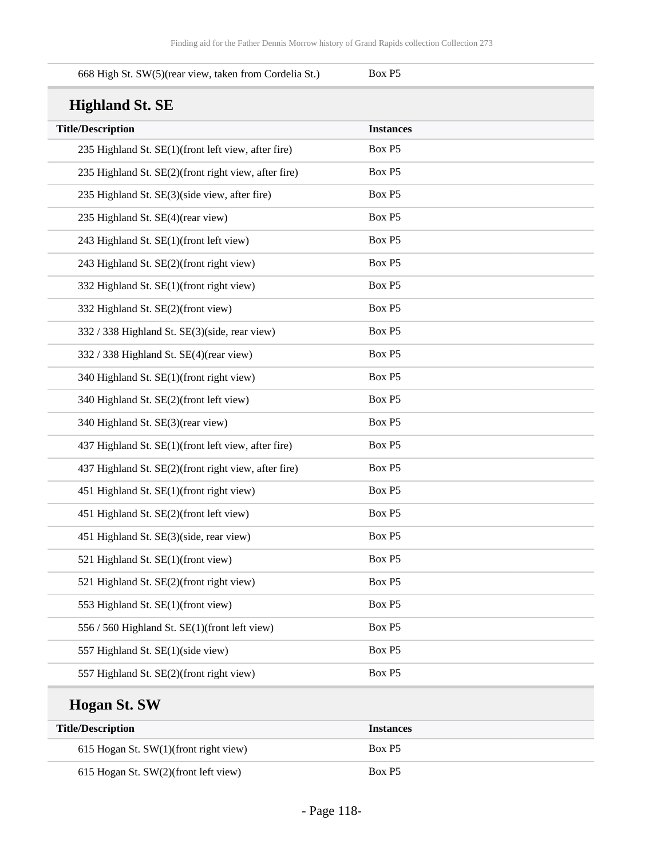| 668 High St. SW(5)(rear view, taken from Cordelia St.) | Box P5           |
|--------------------------------------------------------|------------------|
| <b>Highland St. SE</b>                                 |                  |
| <b>Title/Description</b>                               | <b>Instances</b> |
| 235 Highland St. SE(1)(front left view, after fire)    | Box P5           |
| 235 Highland St. SE(2)(front right view, after fire)   | Box P5           |
| 235 Highland St. SE(3)(side view, after fire)          | Box P5           |
| 235 Highland St. SE(4)(rear view)                      | Box P5           |
| 243 Highland St. SE(1)(front left view)                | Box P5           |
| 243 Highland St. SE(2)(front right view)               | Box P5           |
| 332 Highland St. SE(1)(front right view)               | Box P5           |
| 332 Highland St. SE(2)(front view)                     | Box P5           |
| 332 / 338 Highland St. SE(3)(side, rear view)          | Box P5           |
| 332 / 338 Highland St. SE(4)(rear view)                | Box P5           |
| 340 Highland St. SE(1)(front right view)               | Box P5           |
| 340 Highland St. SE(2)(front left view)                | Box P5           |
| 340 Highland St. SE(3)(rear view)                      | Box P5           |
| 437 Highland St. SE(1)(front left view, after fire)    | Box P5           |
| 437 Highland St. SE(2)(front right view, after fire)   | Box P5           |
| 451 Highland St. SE(1)(front right view)               | Box P5           |
| 451 Highland St. SE(2)(front left view)                | Box P5           |
| 451 Highland St. SE(3)(side, rear view)                | Box P5           |
| 521 Highland St. SE(1)(front view)                     | Box P5           |
| 521 Highland St. SE(2)(front right view)               | Box P5           |
| 553 Highland St. SE(1)(front view)                     | Box P5           |
| 556 / 560 Highland St. SE(1)(front left view)          | Box P5           |
| 557 Highland St. SE(1)(side view)                      | Box P5           |
| 557 Highland St. SE(2)(front right view)               | Box P5           |
|                                                        |                  |

# **Hogan St. SW**

| <b>Title/Description</b>                | <i>Instances</i>   |
|-----------------------------------------|--------------------|
| 615 Hogan St. SW(1)(front right view)   | Box P <sub>5</sub> |
| 615 Hogan St. $SW(2)$ (front left view) | Box P <sub>5</sub> |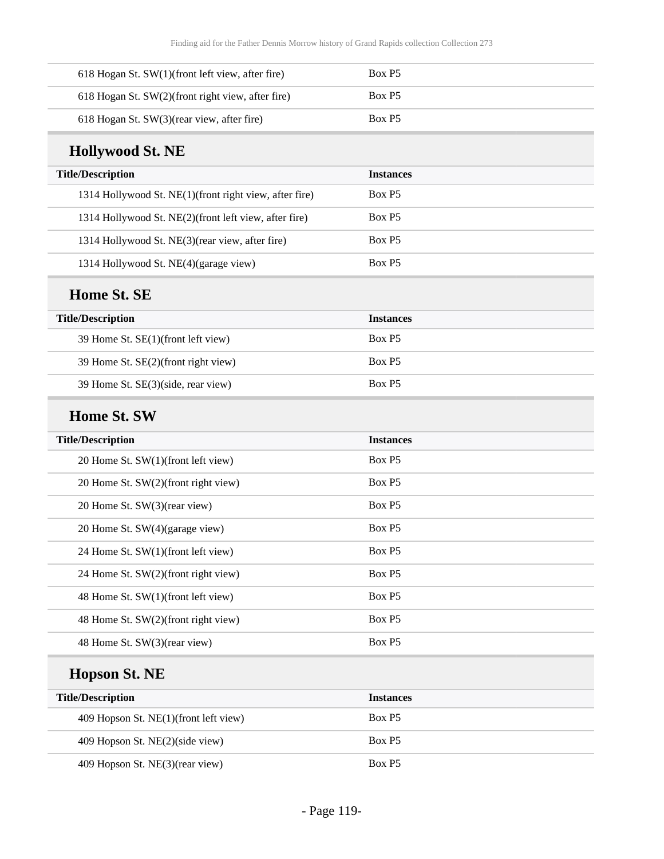| 618 Hogan St. $SW(1)$ (front left view, after fire) | Box P5             |
|-----------------------------------------------------|--------------------|
| 618 Hogan St. SW(2)(front right view, after fire)   | Box P <sub>5</sub> |
| $618$ Hogan St. SW $(3)$ (rear view, after fire)    | Box P <sub>5</sub> |

# **Hollywood St. NE**

| <b>Title/Description</b>                               | <b>Instances</b>   |
|--------------------------------------------------------|--------------------|
| 1314 Hollywood St. NE(1)(front right view, after fire) | Box P <sub>5</sub> |
| 1314 Hollywood St. NE(2)(front left view, after fire)  | Box P <sub>5</sub> |
| 1314 Hollywood St. NE(3) (rear view, after fire)       | Box P <sub>5</sub> |
| 1314 Hollywood St. NE(4)(garage view)                  | Box P <sub>5</sub> |

## **Home St. SE**

| <b>Title/Description</b>            | <b>Instances</b>   |
|-------------------------------------|--------------------|
| 39 Home St. SE(1)(front left view)  | Box P <sub>5</sub> |
| 39 Home St. SE(2)(front right view) | Box P <sub>5</sub> |
| 39 Home St. SE(3)(side, rear view)  | Box P <sub>5</sub> |

#### **Home St. SW**

| <b>Title/Description</b>            | <b>Instances</b>   |
|-------------------------------------|--------------------|
| 20 Home St. SW(1)(front left view)  | Box P5             |
| 20 Home St. SW(2)(front right view) | Box P5             |
| 20 Home St. SW(3)(rear view)        | Box P5             |
| 20 Home St. SW(4)(garage view)      | Box P5             |
| 24 Home St. SW(1)(front left view)  | Box P5             |
| 24 Home St. SW(2)(front right view) | Box P5             |
| 48 Home St. SW(1)(front left view)  | Box P <sub>5</sub> |
| 48 Home St. SW(2)(front right view) | Box P5             |
| 48 Home St. SW(3)(rear view)        | Box P5             |

## **Hopson St. NE**

| <b>Title/Description</b>              | <b>Instances</b>   |
|---------------------------------------|--------------------|
| 409 Hopson St. NE(1)(front left view) | Box P <sub>5</sub> |
| 409 Hopson St. NE(2)(side view)       | Box P5             |
| 409 Hopson St. NE(3)(rear view)       | Box P <sub>5</sub> |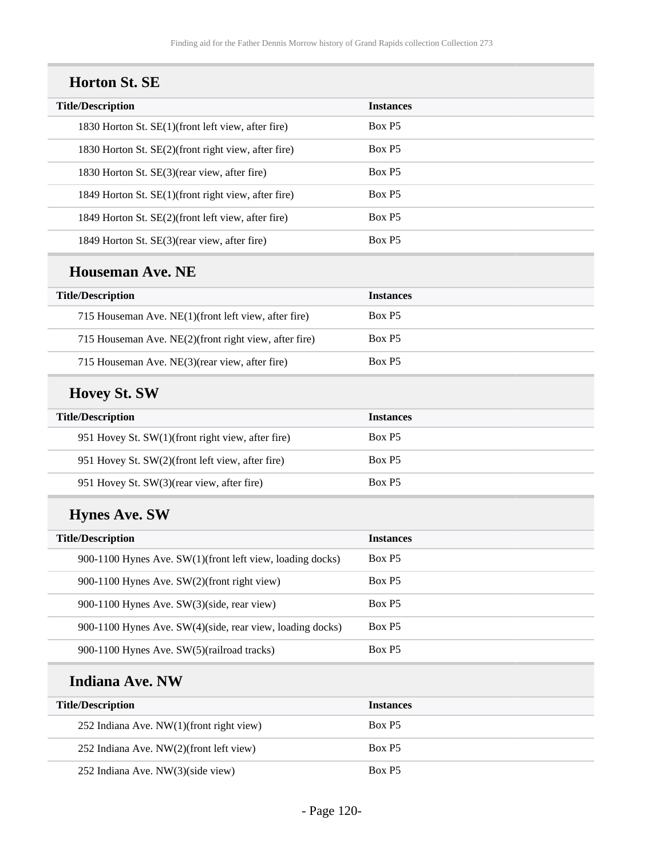| <b>Horton St. SE</b>                                      |                  |
|-----------------------------------------------------------|------------------|
| <b>Title/Description</b>                                  | <b>Instances</b> |
| 1830 Horton St. SE(1)(front left view, after fire)        | Box P5           |
| 1830 Horton St. SE(2)(front right view, after fire)       | Box P5           |
| 1830 Horton St. SE(3)(rear view, after fire)              | Box P5           |
| 1849 Horton St. SE(1)(front right view, after fire)       | Box P5           |
| 1849 Horton St. SE(2)(front left view, after fire)        | Box P5           |
| 1849 Horton St. SE(3)(rear view, after fire)              | Box P5           |
| <b>Houseman Ave. NE</b>                                   |                  |
| <b>Title/Description</b>                                  | <b>Instances</b> |
| 715 Houseman Ave. NE(1)(front left view, after fire)      | Box P5           |
| 715 Houseman Ave. NE(2)(front right view, after fire)     | Box P5           |
| 715 Houseman Ave. NE(3)(rear view, after fire)            | Box P5           |
| <b>Hovey St. SW</b>                                       |                  |
| <b>Title/Description</b>                                  | <b>Instances</b> |
| 951 Hovey St. SW(1)(front right view, after fire)         | Box P5           |
| 951 Hovey St. SW(2)(front left view, after fire)          | Box P5           |
| 951 Hovey St. SW(3)(rear view, after fire)                | Box P5           |
| <b>Hynes Ave. SW</b>                                      |                  |
| <b>Title/Description</b>                                  | <b>Instances</b> |
| 900-1100 Hynes Ave. SW(1)(front left view, loading docks) | Box P5           |
| 900-1100 Hynes Ave. SW(2)(front right view)               | Box P5           |
| 900-1100 Hynes Ave. SW(3)(side, rear view)                | Box P5           |
| 900-1100 Hynes Ave. SW(4)(side, rear view, loading docks) | Box P5           |
| 900-1100 Hynes Ave. SW(5)(railroad tracks)                | Box P5           |
| <b>Indiana Ave. NW</b>                                    |                  |
| <b>Title/Description</b>                                  | <b>Instances</b> |
| 252 Indiana Ave. NW(1)(front right view)                  | Box P5           |
| 252 Indiana Ave. NW(2)(front left view)                   | Box P5           |
| 252 Indiana Ave. NW(3)(side view)                         | Box P5           |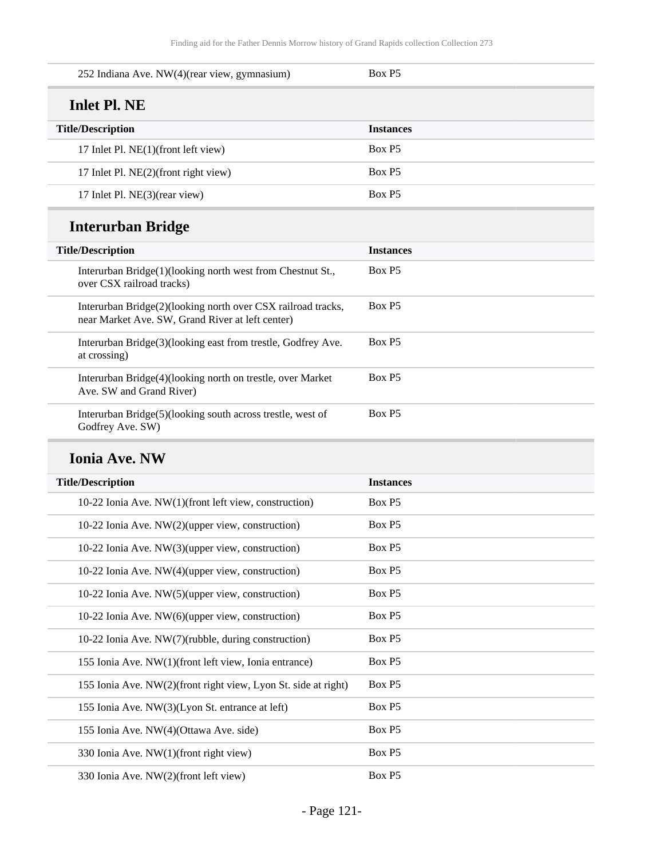| 252 Indiana Ave. NW(4)(rear view, gymnasium) | Box P <sub>5</sub> |
|----------------------------------------------|--------------------|
| Inlet Pl. NE                                 |                    |
| <b>Title/Description</b>                     | <b>Instances</b>   |
| 17 Inlet Pl. NE(1)(front left view)          | Box P <sub>5</sub> |
| 17 Inlet Pl. NE(2)(front right view)         | Box P <sub>5</sub> |
| 17 Inlet Pl. NE(3)(rear view)                | Box P <sub>5</sub> |

# **Interurban Bridge**

| <b>Title/Description</b> |                                                                                                                  | <b>Instances</b>   |
|--------------------------|------------------------------------------------------------------------------------------------------------------|--------------------|
|                          | Interurban Bridge(1)(looking north west from Chestnut St.,<br>over CSX railroad tracks)                          | Box P <sub>5</sub> |
|                          | Interurban Bridge(2)(looking north over CSX railroad tracks,<br>near Market Ave. SW, Grand River at left center) | Box P <sub>5</sub> |
|                          | Interurban Bridge(3)(looking east from trestle, Godfrey Ave.<br>at crossing)                                     | Box P5             |
|                          | Interurban Bridge(4)(looking north on trestle, over Market<br>Ave. SW and Grand River)                           | Box P <sub>5</sub> |
|                          | Interurban Bridge(5)(looking south across trestle, west of<br>Godfrey Ave. SW)                                   | Box P5             |

#### **Ionia Ave. NW**

| <b>Instances</b> |
|------------------|
| Box P5           |
| Box P5           |
| Box P5           |
| Box P5           |
| Box P5           |
| Box P5           |
| Box P5           |
| Box P5           |
| Box P5           |
| Box P5           |
| Box P5           |
| Box P5           |
| Box P5           |
|                  |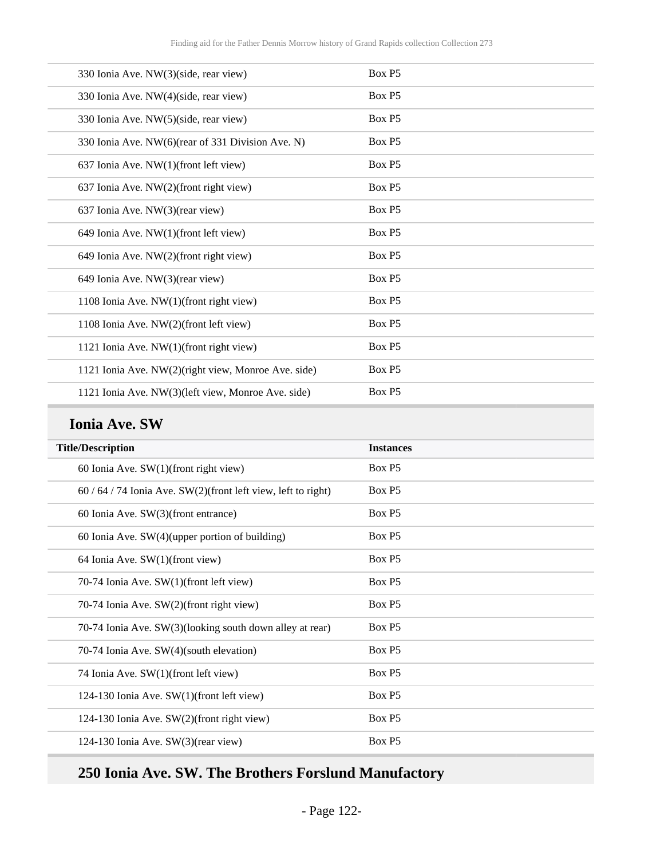| 330 Ionia Ave. NW(3)(side, rear view)               | Box P5 |
|-----------------------------------------------------|--------|
| 330 Ionia Ave. NW(4)(side, rear view)               | Box P5 |
| 330 Ionia Ave. NW(5)(side, rear view)               | Box P5 |
| 330 Ionia Ave. NW(6)(rear of 331 Division Ave. N)   | Box P5 |
| 637 Ionia Ave. NW(1)(front left view)               | Box P5 |
| 637 Ionia Ave. NW(2)(front right view)              | Box P5 |
| 637 Ionia Ave. NW(3)(rear view)                     | Box P5 |
| 649 Ionia Ave. NW(1)(front left view)               | Box P5 |
| 649 Ionia Ave. NW(2)(front right view)              | Box P5 |
| 649 Ionia Ave. NW(3)(rear view)                     | Box P5 |
| 1108 Ionia Ave. NW(1)(front right view)             | Box P5 |
| 1108 Ionia Ave. NW(2)(front left view)              | Box P5 |
| 1121 Ionia Ave. NW(1)(front right view)             | Box P5 |
| 1121 Ionia Ave. NW(2)(right view, Monroe Ave. side) | Box P5 |
| 1121 Ionia Ave. NW(3)(left view, Monroe Ave. side)  | Box P5 |

#### **Ionia Ave. SW**

| <b>Title/Description</b>                                    | <b>Instances</b> |
|-------------------------------------------------------------|------------------|
| 60 Ionia Ave. $SW(1)$ (front right view)                    | Box P5           |
| $60/64/74$ Ionia Ave. SW(2)(front left view, left to right) | Box P5           |
| 60 Ionia Ave. SW(3)(front entrance)                         | Box P5           |
| 60 Ionia Ave. $SW(4)$ (upper portion of building)           | Box P5           |
| 64 Ionia Ave. $SW(1)$ (front view)                          | Box P5           |
| 70-74 Ionia Ave. SW(1)(front left view)                     | Box P5           |
| 70-74 Ionia Ave. SW(2)(front right view)                    | Box P5           |
| 70-74 Ionia Ave. SW(3)(looking south down alley at rear)    | Box P5           |
| 70-74 Ionia Ave. SW(4)(south elevation)                     | Box P5           |
| 74 Ionia Ave. SW(1)(front left view)                        | Box P5           |
| 124-130 Ionia Ave. SW(1)(front left view)                   | Box P5           |
| 124-130 Ionia Ave. SW(2)(front right view)                  | Box P5           |
| 124-130 Ionia Ave. $SW(3)$ (rear view)                      | Box P5           |

## **250 Ionia Ave. SW. The Brothers Forslund Manufactory**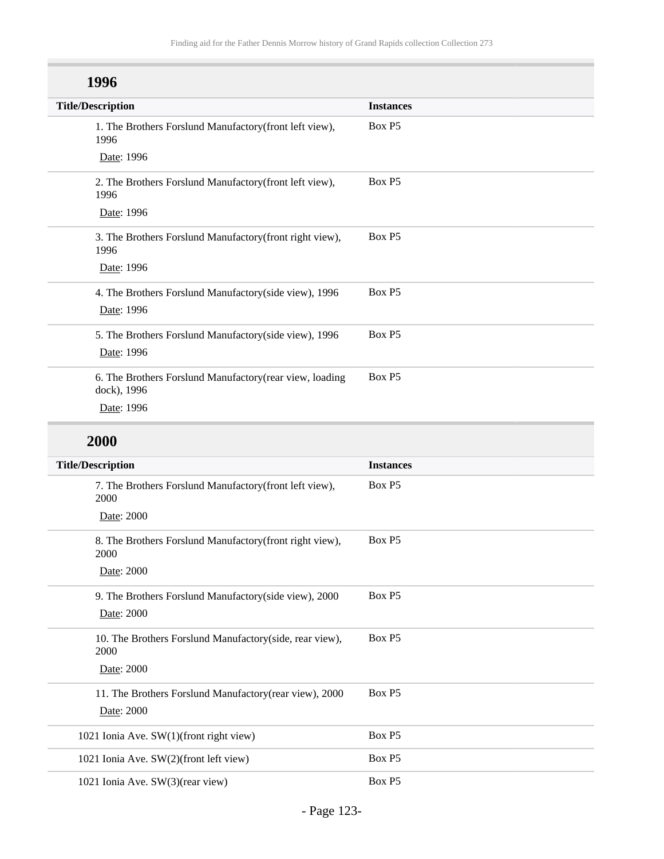| 1996                                                                    |                  |
|-------------------------------------------------------------------------|------------------|
| <b>Title/Description</b>                                                | <b>Instances</b> |
| 1. The Brothers Forslund Manufactory(front left view),<br>1996          | Box P5           |
| Date: 1996                                                              |                  |
| 2. The Brothers Forslund Manufactory(front left view),<br>1996          | Box P5           |
| Date: 1996                                                              |                  |
| 3. The Brothers Forslund Manufactory(front right view),<br>1996         | Box P5           |
| Date: 1996                                                              |                  |
| 4. The Brothers Forslund Manufactory(side view), 1996                   | Box P5           |
| Date: 1996                                                              |                  |
| 5. The Brothers Forslund Manufactory(side view), 1996                   | Box P5           |
| Date: 1996                                                              |                  |
| 6. The Brothers Forslund Manufactory (rear view, loading<br>dock), 1996 | Box P5           |
| Date: 1996                                                              |                  |

## **2000**

| <b>Title/Description</b>                                         | <b>Instances</b> |
|------------------------------------------------------------------|------------------|
| 7. The Brothers Forslund Manufactory (front left view),<br>2000  | Box P5           |
| Date: 2000                                                       |                  |
| 8. The Brothers Forslund Manufactory(front right view),<br>2000  | Box P5           |
| Date: 2000                                                       |                  |
| 9. The Brothers Forslund Manufactory (side view), 2000           | Box P5           |
| Date: 2000                                                       |                  |
| 10. The Brothers Forslund Manufactory (side, rear view),<br>2000 | Box P5           |
| Date: 2000                                                       |                  |
| 11. The Brothers Forslund Manufactory(rear view), 2000           | Box P5           |
| Date: 2000                                                       |                  |
| 1021 Ionia Ave. SW(1)(front right view)                          | Box P5           |
| 1021 Ionia Ave. SW(2)(front left view)                           | Box P5           |
| 1021 Ionia Ave. SW(3)(rear view)                                 | Box P5           |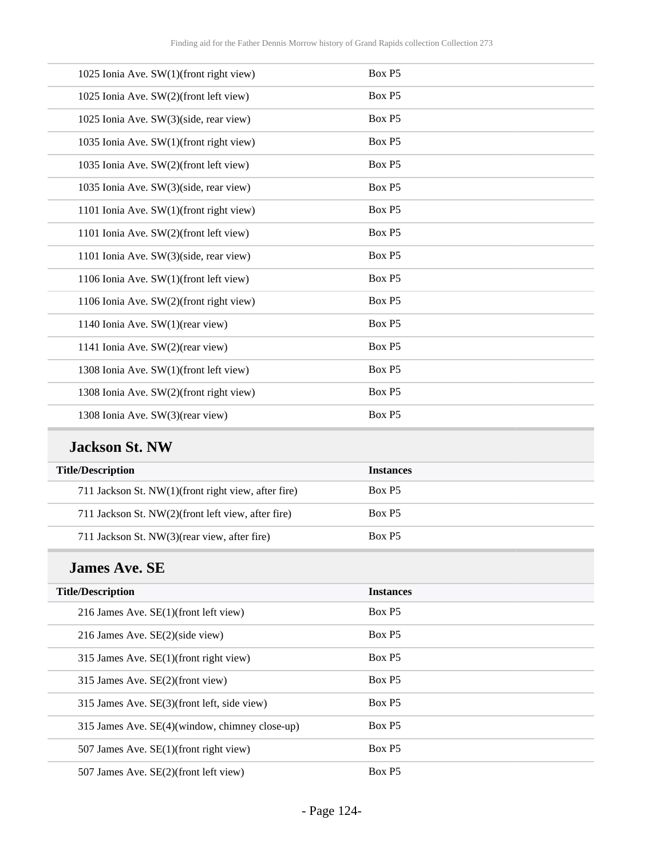| 1025 Ionia Ave. SW(1)(front right view) | Box P5 |
|-----------------------------------------|--------|
| 1025 Ionia Ave. SW(2)(front left view)  | Box P5 |
| 1025 Ionia Ave. SW(3)(side, rear view)  | Box P5 |
| 1035 Ionia Ave. SW(1)(front right view) | Box P5 |
| 1035 Ionia Ave. SW(2)(front left view)  | Box P5 |
| 1035 Ionia Ave. SW(3)(side, rear view)  | Box P5 |
| 1101 Ionia Ave. SW(1)(front right view) | Box P5 |
| 1101 Ionia Ave. SW(2)(front left view)  | Box P5 |
| 1101 Ionia Ave. SW(3)(side, rear view)  | Box P5 |
| 1106 Ionia Ave. SW(1)(front left view)  | Box P5 |
| 1106 Ionia Ave. SW(2)(front right view) | Box P5 |
| 1140 Ionia Ave. SW(1)(rear view)        | Box P5 |
| 1141 Ionia Ave. SW(2)(rear view)        | Box P5 |
| 1308 Ionia Ave. SW(1)(front left view)  | Box P5 |
| 1308 Ionia Ave. SW(2)(front right view) | Box P5 |
| 1308 Ionia Ave. SW(3)(rear view)        | Box P5 |
|                                         |        |

## **Jackson St. NW**

| <b>Title/Description</b>                            | <b>Instances</b>   |
|-----------------------------------------------------|--------------------|
| 711 Jackson St. NW(1)(front right view, after fire) | Box P <sub>5</sub> |
| 711 Jackson St. NW(2)(front left view, after fire)  | Box P <sub>5</sub> |
| 711 Jackson St. NW(3)(rear view, after fire)        | Box P <sub>5</sub> |

#### **James Ave. SE**

| <b>Title/Description</b>                       | <b>Instances</b>   |
|------------------------------------------------|--------------------|
| 216 James Ave. $SE(1)$ (front left view)       | Box P5             |
| 216 James Ave. SE(2)(side view)                | Box P <sub>5</sub> |
| 315 James Ave. SE(1)(front right view)         | Box P5             |
| 315 James Ave. SE(2)(front view)               | Box P5             |
| 315 James Ave. SE(3)(front left, side view)    | Box P5             |
| 315 James Ave. SE(4)(window, chimney close-up) | Box P5             |
| 507 James Ave. SE(1)(front right view)         | Box P5             |
| 507 James Ave. SE(2)(front left view)          | Box P <sub>5</sub> |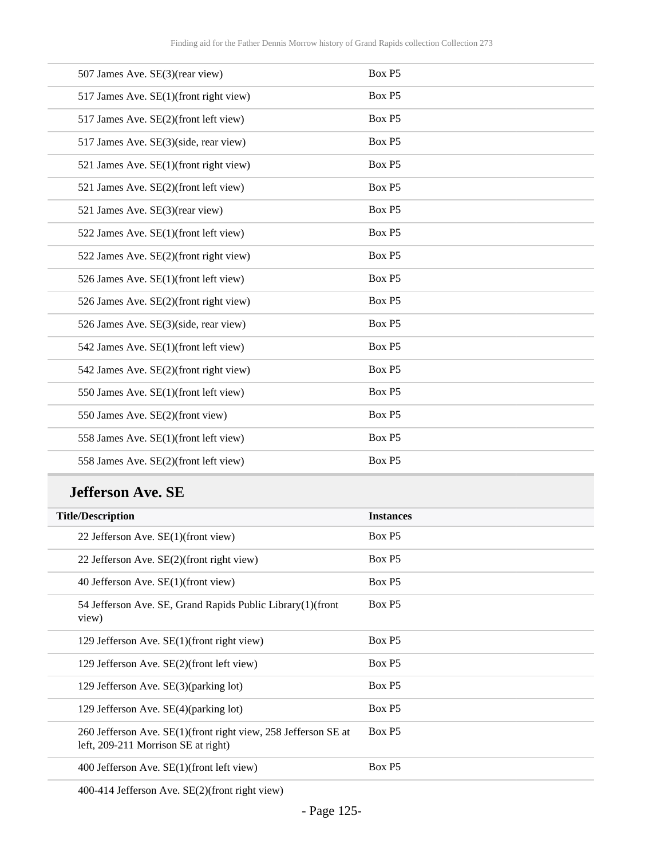| 507 James Ave. SE(3)(rear view)        | Box P5 |
|----------------------------------------|--------|
| 517 James Ave. SE(1)(front right view) | Box P5 |
| 517 James Ave. SE(2)(front left view)  | Box P5 |
| 517 James Ave. SE(3)(side, rear view)  | Box P5 |
| 521 James Ave. SE(1)(front right view) | Box P5 |
| 521 James Ave. SE(2)(front left view)  | Box P5 |
| 521 James Ave. SE(3)(rear view)        | Box P5 |
| 522 James Ave. SE(1)(front left view)  | Box P5 |
| 522 James Ave. SE(2)(front right view) | Box P5 |
| 526 James Ave. SE(1)(front left view)  | Box P5 |
| 526 James Ave. SE(2)(front right view) | Box P5 |
| 526 James Ave. SE(3)(side, rear view)  | Box P5 |
| 542 James Ave. SE(1)(front left view)  | Box P5 |
| 542 James Ave. SE(2)(front right view) | Box P5 |
| 550 James Ave. SE(1)(front left view)  | Box P5 |
| 550 James Ave. SE(2)(front view)       | Box P5 |
| 558 James Ave. SE(1)(front left view)  | Box P5 |
| 558 James Ave. SE(2)(front left view)  | Box P5 |

#### **Jefferson Ave. SE**

| <b>Instances</b> |
|------------------|
| Box P5           |
| Box P5           |
| Box P5           |
| Box P5           |
| Box P5           |
| Box P5           |
| Box P5           |
| Box P5           |
| Box P5           |
| Box P5           |
|                  |

400-414 Jefferson Ave. SE(2)(front right view)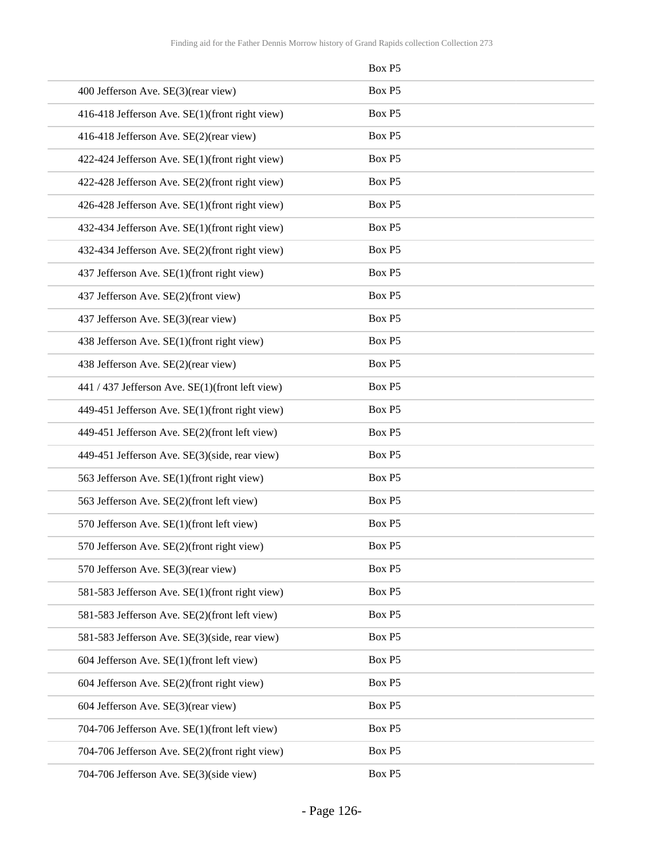|                                                 | Box P5 |
|-------------------------------------------------|--------|
| 400 Jefferson Ave. SE(3)(rear view)             | Box P5 |
| 416-418 Jefferson Ave. SE(1)(front right view)  | Box P5 |
| 416-418 Jefferson Ave. SE(2)(rear view)         | Box P5 |
| 422-424 Jefferson Ave. SE(1)(front right view)  | Box P5 |
| 422-428 Jefferson Ave. SE(2)(front right view)  | Box P5 |
| 426-428 Jefferson Ave. SE(1)(front right view)  | Box P5 |
| 432-434 Jefferson Ave. SE(1)(front right view)  | Box P5 |
| 432-434 Jefferson Ave. SE(2)(front right view)  | Box P5 |
| 437 Jefferson Ave. SE(1)(front right view)      | Box P5 |
| 437 Jefferson Ave. SE(2)(front view)            | Box P5 |
| 437 Jefferson Ave. SE(3)(rear view)             | Box P5 |
| 438 Jefferson Ave. SE(1)(front right view)      | Box P5 |
| 438 Jefferson Ave. SE(2)(rear view)             | Box P5 |
| 441 / 437 Jefferson Ave. SE(1)(front left view) | Box P5 |
| 449-451 Jefferson Ave. SE(1)(front right view)  | Box P5 |
| 449-451 Jefferson Ave. SE(2)(front left view)   | Box P5 |
| 449-451 Jefferson Ave. SE(3)(side, rear view)   | Box P5 |
| 563 Jefferson Ave. SE(1)(front right view)      | Box P5 |
| 563 Jefferson Ave. SE(2)(front left view)       | Box P5 |
| 570 Jefferson Ave. SE(1)(front left view)       | Box P5 |
| 570 Jefferson Ave. SE(2)(front right view)      | Box P5 |
| 570 Jefferson Ave. SE(3)(rear view)             | Box P5 |
| 581-583 Jefferson Ave. SE(1)(front right view)  | Box P5 |
| 581-583 Jefferson Ave. SE(2)(front left view)   | Box P5 |
| 581-583 Jefferson Ave. SE(3)(side, rear view)   | Box P5 |
| 604 Jefferson Ave. SE(1)(front left view)       | Box P5 |
| 604 Jefferson Ave. SE(2)(front right view)      | Box P5 |
| 604 Jefferson Ave. SE(3)(rear view)             | Box P5 |
| 704-706 Jefferson Ave. SE(1)(front left view)   | Box P5 |
| 704-706 Jefferson Ave. SE(2)(front right view)  | Box P5 |
| 704-706 Jefferson Ave. SE(3)(side view)         | Box P5 |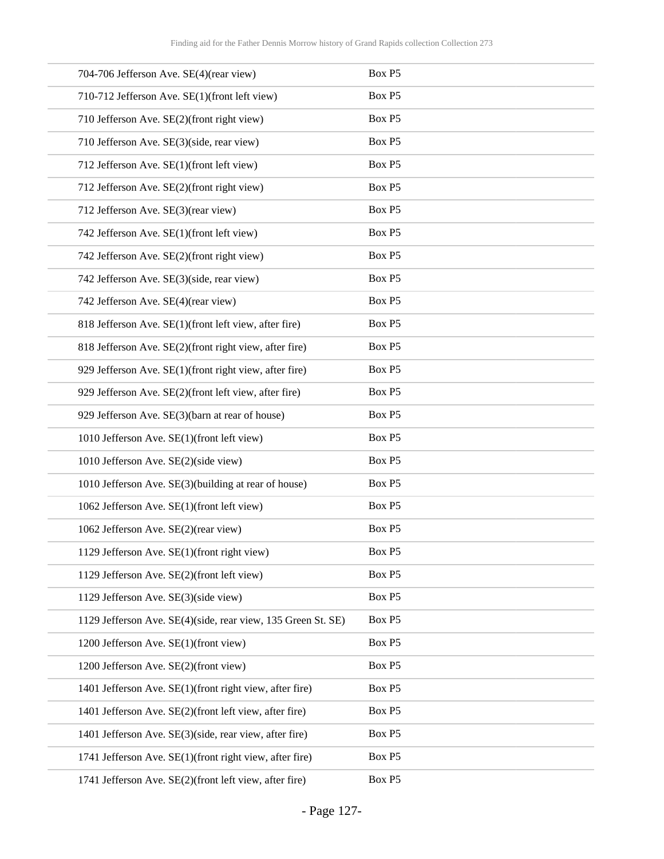| 704-706 Jefferson Ave. SE(4)(rear view)                      | Box P5 |
|--------------------------------------------------------------|--------|
| 710-712 Jefferson Ave. SE(1)(front left view)                | Box P5 |
| 710 Jefferson Ave. SE(2)(front right view)                   | Box P5 |
| 710 Jefferson Ave. SE(3)(side, rear view)                    | Box P5 |
| 712 Jefferson Ave. SE(1)(front left view)                    | Box P5 |
| 712 Jefferson Ave. SE(2)(front right view)                   | Box P5 |
| 712 Jefferson Ave. SE(3)(rear view)                          | Box P5 |
| 742 Jefferson Ave. SE(1)(front left view)                    | Box P5 |
| 742 Jefferson Ave. SE(2)(front right view)                   | Box P5 |
| 742 Jefferson Ave. SE(3)(side, rear view)                    | Box P5 |
| 742 Jefferson Ave. SE(4)(rear view)                          | Box P5 |
| 818 Jefferson Ave. SE(1)(front left view, after fire)        | Box P5 |
| 818 Jefferson Ave. SE(2)(front right view, after fire)       | Box P5 |
| 929 Jefferson Ave. SE(1)(front right view, after fire)       | Box P5 |
| 929 Jefferson Ave. SE(2)(front left view, after fire)        | Box P5 |
| 929 Jefferson Ave. SE(3)(barn at rear of house)              | Box P5 |
| 1010 Jefferson Ave. SE(1)(front left view)                   | Box P5 |
| 1010 Jefferson Ave. SE(2)(side view)                         | Box P5 |
| 1010 Jefferson Ave. SE(3)(building at rear of house)         | Box P5 |
| 1062 Jefferson Ave. SE(1)(front left view)                   | Box P5 |
| 1062 Jefferson Ave. SE(2)(rear view)                         | Box P5 |
| 1129 Jefferson Ave. SE(1)(front right view)                  | Box P5 |
| 1129 Jefferson Ave. SE(2)(front left view)                   | Box P5 |
| 1129 Jefferson Ave. SE(3)(side view)                         | Box P5 |
| 1129 Jefferson Ave. SE(4)(side, rear view, 135 Green St. SE) | Box P5 |
| 1200 Jefferson Ave. SE(1)(front view)                        | Box P5 |
| 1200 Jefferson Ave. SE(2)(front view)                        | Box P5 |
| 1401 Jefferson Ave. SE(1)(front right view, after fire)      | Box P5 |
| 1401 Jefferson Ave. SE(2)(front left view, after fire)       | Box P5 |
| 1401 Jefferson Ave. SE(3)(side, rear view, after fire)       | Box P5 |
| 1741 Jefferson Ave. SE(1)(front right view, after fire)      | Box P5 |
| 1741 Jefferson Ave. SE(2)(front left view, after fire)       | Box P5 |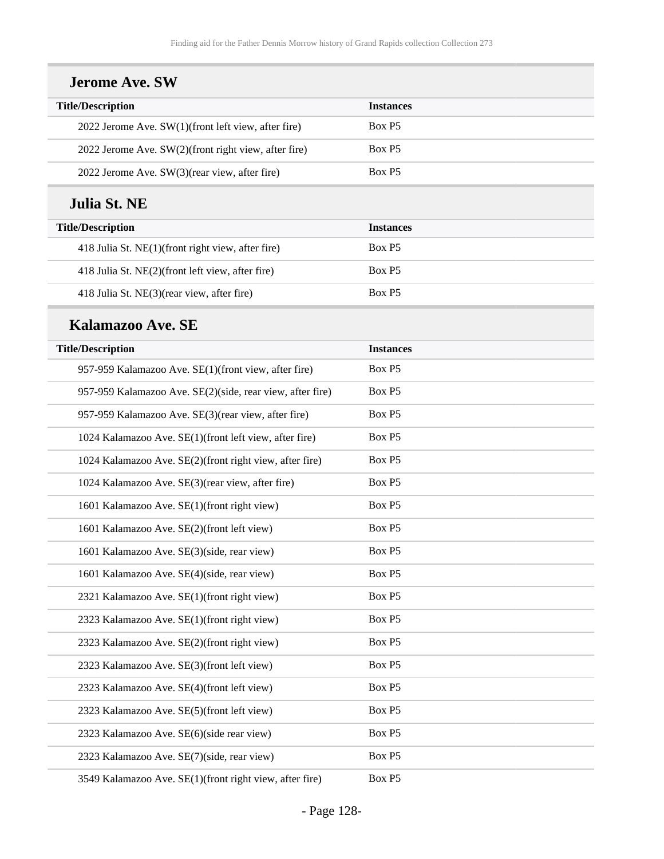| <b>Title/Description</b>                                  | <b>Instances</b> |
|-----------------------------------------------------------|------------------|
| 2022 Jerome Ave. SW(1)(front left view, after fire)       | Box P5           |
| 2022 Jerome Ave. SW(2)(front right view, after fire)      | Box P5           |
| 2022 Jerome Ave. SW(3)(rear view, after fire)             | Box P5           |
|                                                           |                  |
| Julia St. NE                                              |                  |
| <b>Title/Description</b>                                  | <b>Instances</b> |
| 418 Julia St. NE(1)(front right view, after fire)         | Box P5           |
| 418 Julia St. NE(2)(front left view, after fire)          | Box P5           |
| 418 Julia St. NE(3)(rear view, after fire)                | Box P5           |
| Kalamazoo Ave. SE                                         |                  |
| <b>Title/Description</b>                                  | <b>Instances</b> |
| 957-959 Kalamazoo Ave. SE(1)(front view, after fire)      | Box P5           |
| 957-959 Kalamazoo Ave. SE(2)(side, rear view, after fire) | Box P5           |
| 957-959 Kalamazoo Ave. SE(3)(rear view, after fire)       | Box P5           |
| 1024 Kalamazoo Ave. SE(1)(front left view, after fire)    | Box P5           |
| 1024 Kalamazoo Ave. SE(2)(front right view, after fire)   | Box P5           |
| 1024 Kalamazoo Ave. SE(3)(rear view, after fire)          | Box P5           |
| 1601 Kalamazoo Ave. SE(1)(front right view)               | Box P5           |
| 1601 Kalamazoo Ave. SE(2)(front left view)                | Box P5           |
| 1601 Kalamazoo Ave. SE(3)(side, rear view)                | Box P5           |
| 1601 Kalamazoo Ave. SE(4)(side, rear view)                | Box P5           |
| 2321 Kalamazoo Ave. SE(1)(front right view)               | Box P5           |
| 2323 Kalamazoo Ave. SE(1)(front right view)               | Box P5           |
| 2323 Kalamazoo Ave. SE(2)(front right view)               | Box P5           |
| 2323 Kalamazoo Ave. SE(3)(front left view)                | Box P5           |
| 2323 Kalamazoo Ave. SE(4)(front left view)                | Box P5           |
| 2323 Kalamazoo Ave. SE(5)(front left view)                | Box P5           |
| 2323 Kalamazoo Ave. SE(6)(side rear view)                 | Box P5           |
| 2323 Kalamazoo Ave. SE(7)(side, rear view)                | Box P5           |
| 3549 Kalamazoo Ave. SE(1)(front right view, after fire)   | Box P5           |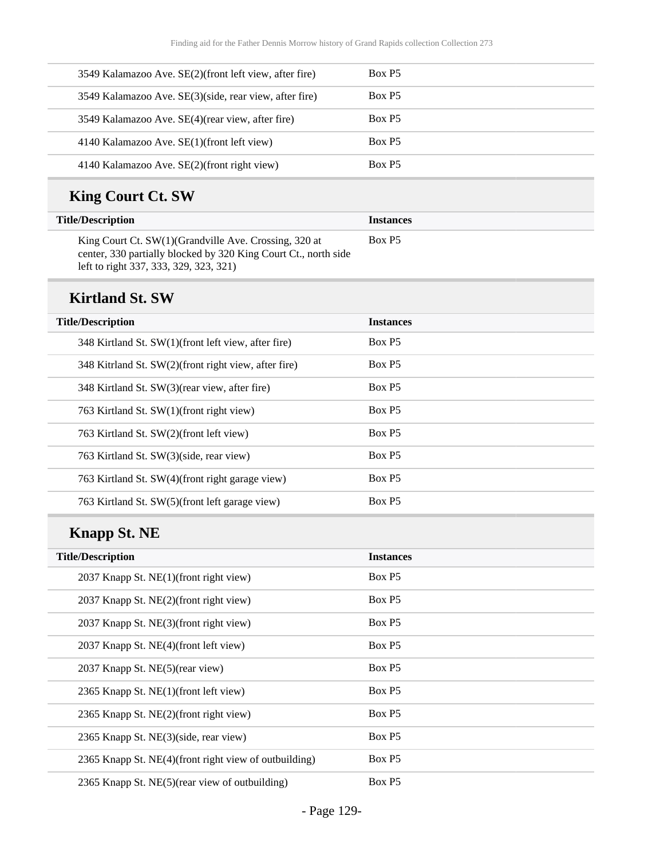| 3549 Kalamazoo Ave. SE(2)(front left view, after fire) | Box P5             |
|--------------------------------------------------------|--------------------|
| 3549 Kalamazoo Ave. SE(3)(side, rear view, after fire) | Box P <sub>5</sub> |
| 3549 Kalamazoo Ave. SE(4) (rear view, after fire)      | Box P5             |
| 4140 Kalamazoo Ave. SE(1)(front left view)             | Box P5             |
| 4140 Kalamazoo Ave. SE(2)(front right view)            | Box P <sub>5</sub> |

# **King Court Ct. SW**

| <b>Title/Description</b>                                                                                                                                            | <b>Instances</b>   |
|---------------------------------------------------------------------------------------------------------------------------------------------------------------------|--------------------|
| King Court Ct. SW(1) (Grandville Ave. Crossing, 320 at<br>center, 330 partially blocked by 320 King Court Ct., north side<br>left to right 337, 333, 329, 323, 321) | Box P <sub>5</sub> |

#### **Kirtland St. SW**

| <b>Title/Description</b>                             | <b>Instances</b>   |
|------------------------------------------------------|--------------------|
| 348 Kirtland St. SW(1)(front left view, after fire)  | Box P <sub>5</sub> |
| 348 Kitrland St. SW(2)(front right view, after fire) | Box P <sub>5</sub> |
| 348 Kirtland St. SW(3) (rear view, after fire)       | Box P <sub>5</sub> |
| 763 Kirtland St. SW(1)(front right view)             | Box P5             |
| 763 Kirtland St. SW(2)(front left view)              | Box P5             |
| 763 Kirtland St. SW(3)(side, rear view)              | Box P5             |
| 763 Kirtland St. SW(4)(front right garage view)      | Box P5             |
| 763 Kirtland St. SW(5)(front left garage view)       | Box P5             |

## **Knapp St. NE**

| <b>Title/Description</b>                              | <b>Instances</b> |
|-------------------------------------------------------|------------------|
| 2037 Knapp St. NE(1)(front right view)                | Box P5           |
| 2037 Knapp St. NE(2)(front right view)                | Box P5           |
| 2037 Knapp St. NE(3)(front right view)                | Box P5           |
| 2037 Knapp St. NE(4)(front left view)                 | Box P5           |
| 2037 Knapp St. NE(5)(rear view)                       | Box P5           |
| 2365 Knapp St. NE(1)(front left view)                 | Box P5           |
| 2365 Knapp St. NE(2)(front right view)                | Box P5           |
| 2365 Knapp St. NE(3)(side, rear view)                 | Box P5           |
| 2365 Knapp St. NE(4)(front right view of outbuilding) | Box P5           |
| 2365 Knapp St. NE(5)(rear view of outbuilding)        | Box P5           |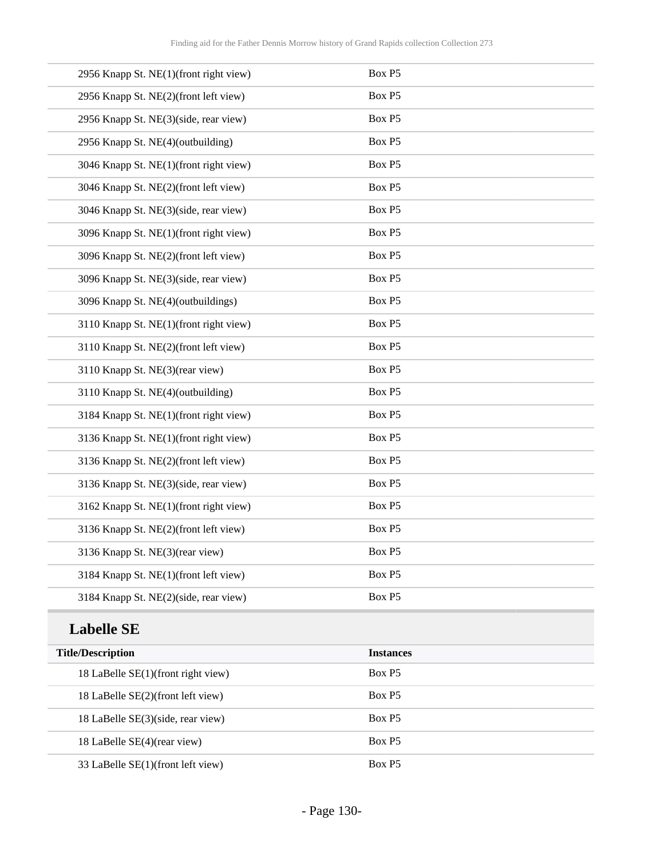| 2956 Knapp St. NE(1)(front right view) | Box P5 |
|----------------------------------------|--------|
| 2956 Knapp St. NE(2)(front left view)  | Box P5 |
| 2956 Knapp St. NE(3)(side, rear view)  | Box P5 |
| 2956 Knapp St. NE(4)(outbuilding)      | Box P5 |
| 3046 Knapp St. NE(1)(front right view) | Box P5 |
| 3046 Knapp St. NE(2)(front left view)  | Box P5 |
| 3046 Knapp St. NE(3)(side, rear view)  | Box P5 |
| 3096 Knapp St. NE(1)(front right view) | Box P5 |
| 3096 Knapp St. NE(2)(front left view)  | Box P5 |
| 3096 Knapp St. NE(3)(side, rear view)  | Box P5 |
| 3096 Knapp St. NE(4)(outbuildings)     | Box P5 |
| 3110 Knapp St. NE(1)(front right view) | Box P5 |
| 3110 Knapp St. NE(2)(front left view)  | Box P5 |
| 3110 Knapp St. NE(3)(rear view)        | Box P5 |
| 3110 Knapp St. NE(4)(outbuilding)      | Box P5 |
| 3184 Knapp St. NE(1)(front right view) | Box P5 |
| 3136 Knapp St. NE(1)(front right view) | Box P5 |
| 3136 Knapp St. NE(2)(front left view)  | Box P5 |
| 3136 Knapp St. NE(3)(side, rear view)  | Box P5 |
| 3162 Knapp St. NE(1)(front right view) | Box P5 |
| 3136 Knapp St. NE(2)(front left view)  | Box P5 |
| 3136 Knapp St. NE(3)(rear view)        | Box P5 |
| 3184 Knapp St. NE(1)(front left view)  | Box P5 |
| 3184 Knapp St. NE(2)(side, rear view)  | Box P5 |
|                                        |        |

## **Labelle SE**

| <b>Title/Description</b>           | <b>Instances</b>   |
|------------------------------------|--------------------|
| 18 LaBelle SE(1)(front right view) | Box P <sub>5</sub> |
| 18 LaBelle SE(2)(front left view)  | Box P <sub>5</sub> |
| 18 LaBelle SE(3)(side, rear view)  | Box P <sub>5</sub> |
| 18 LaBelle SE(4)(rear view)        | Box P5             |
| 33 LaBelle SE(1)(front left view)  | Box P5             |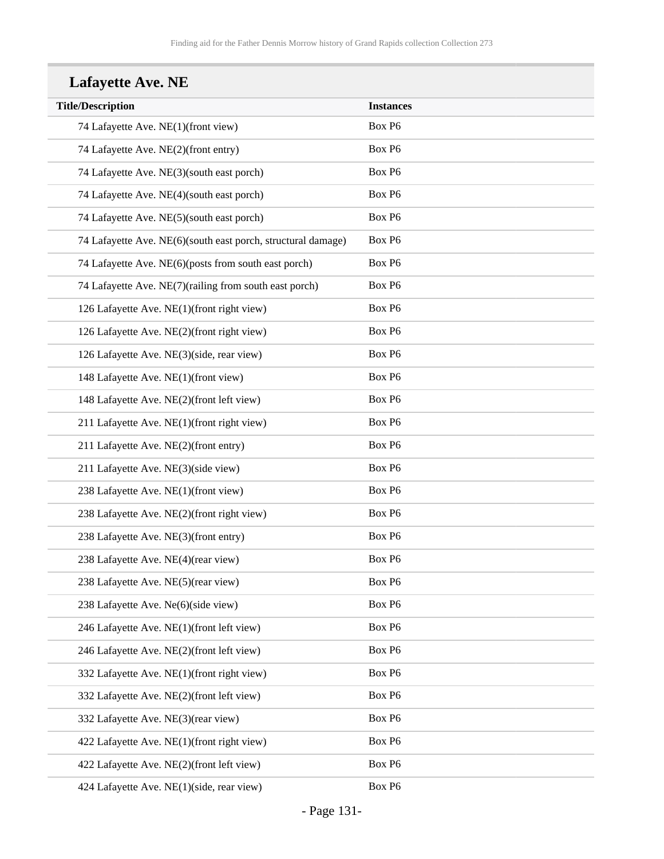# **Lafayette Ave. NE**

| <b>Title/Description</b>                                     | <b>Instances</b> |
|--------------------------------------------------------------|------------------|
| 74 Lafayette Ave. NE(1)(front view)                          | Box P6           |
| 74 Lafayette Ave. NE(2)(front entry)                         | Box P6           |
| 74 Lafayette Ave. NE(3)(south east porch)                    | Box P6           |
| 74 Lafayette Ave. NE(4)(south east porch)                    | Box P6           |
| 74 Lafayette Ave. NE(5)(south east porch)                    | Box P6           |
| 74 Lafayette Ave. NE(6)(south east porch, structural damage) | Box P6           |
| 74 Lafayette Ave. NE(6)(posts from south east porch)         | Box P6           |
| 74 Lafayette Ave. NE(7)(railing from south east porch)       | Box P6           |
| 126 Lafayette Ave. NE(1)(front right view)                   | Box P6           |
| 126 Lafayette Ave. NE(2)(front right view)                   | Box P6           |
| 126 Lafayette Ave. NE(3)(side, rear view)                    | Box P6           |
| 148 Lafayette Ave. NE(1)(front view)                         | Box P6           |
| 148 Lafayette Ave. NE(2)(front left view)                    | Box P6           |
| 211 Lafayette Ave. NE(1)(front right view)                   | Box P6           |
| 211 Lafayette Ave. NE(2)(front entry)                        | Box P6           |
| 211 Lafayette Ave. NE(3)(side view)                          | Box P6           |
| 238 Lafayette Ave. NE(1)(front view)                         | Box P6           |
| 238 Lafayette Ave. NE(2)(front right view)                   | Box P6           |
| 238 Lafayette Ave. NE(3)(front entry)                        | Box P6           |
| 238 Lafayette Ave. NE(4)(rear view)                          | Box P6           |
| 238 Lafayette Ave. NE(5)(rear view)                          | Box P6           |
| 238 Lafayette Ave. Ne(6)(side view)                          | Box P6           |
| 246 Lafayette Ave. NE(1)(front left view)                    | Box P6           |
| 246 Lafayette Ave. NE(2)(front left view)                    | Box P6           |
| 332 Lafayette Ave. NE(1)(front right view)                   | Box P6           |
| 332 Lafayette Ave. NE(2)(front left view)                    | Box P6           |
| 332 Lafayette Ave. NE(3)(rear view)                          | Box P6           |
| 422 Lafayette Ave. NE(1)(front right view)                   | Box P6           |
| 422 Lafayette Ave. NE(2)(front left view)                    | Box P6           |
| 424 Lafayette Ave. NE(1)(side, rear view)                    | Box P6           |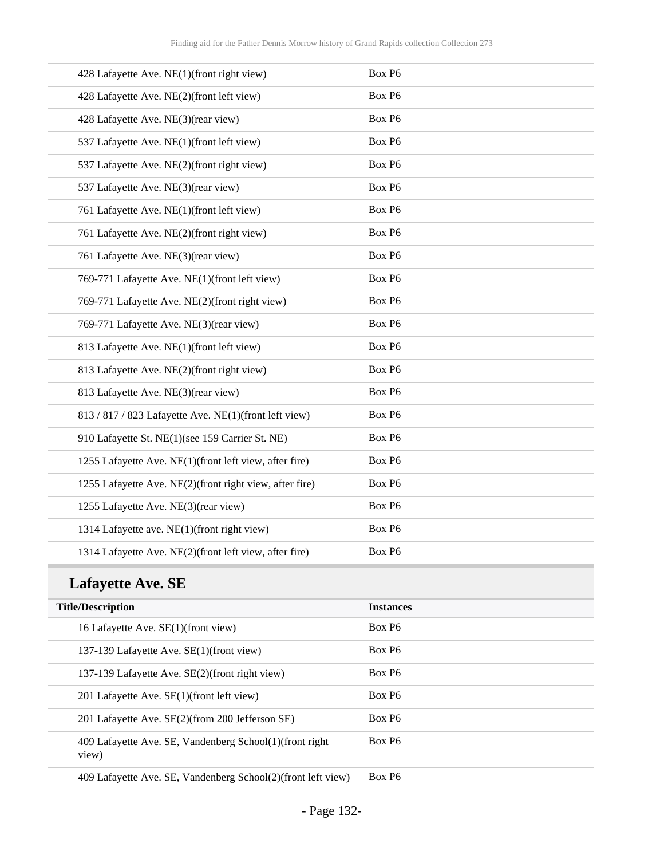| 428 Lafayette Ave. NE(1)(front right view)              | Box P6 |
|---------------------------------------------------------|--------|
| 428 Lafayette Ave. NE(2)(front left view)               | Box P6 |
| 428 Lafayette Ave. NE(3)(rear view)                     | Box P6 |
| 537 Lafayette Ave. NE(1)(front left view)               | Box P6 |
| 537 Lafayette Ave. NE(2)(front right view)              | Box P6 |
| 537 Lafayette Ave. NE(3)(rear view)                     | Box P6 |
| 761 Lafayette Ave. NE(1)(front left view)               | Box P6 |
| 761 Lafayette Ave. NE(2)(front right view)              | Box P6 |
| 761 Lafayette Ave. NE(3)(rear view)                     | Box P6 |
| 769-771 Lafayette Ave. NE(1)(front left view)           | Box P6 |
| 769-771 Lafayette Ave. NE(2)(front right view)          | Box P6 |
| 769-771 Lafayette Ave. NE(3)(rear view)                 | Box P6 |
| 813 Lafayette Ave. NE(1)(front left view)               | Box P6 |
| 813 Lafayette Ave. NE(2)(front right view)              | Box P6 |
| 813 Lafayette Ave. NE(3)(rear view)                     | Box P6 |
| 813 / 817 / 823 Lafayette Ave. NE(1)(front left view)   | Box P6 |
| 910 Lafayette St. NE(1)(see 159 Carrier St. NE)         | Box P6 |
| 1255 Lafayette Ave. NE(1)(front left view, after fire)  | Box P6 |
| 1255 Lafayette Ave. NE(2)(front right view, after fire) | Box P6 |
| 1255 Lafayette Ave. NE(3)(rear view)                    | Box P6 |
| 1314 Lafayette ave. NE(1)(front right view)             | Box P6 |
| 1314 Lafayette Ave. NE(2)(front left view, after fire)  | Box P6 |

## **Lafayette Ave. SE**

| <b>Title/Description</b>                                          | <b>Instances</b>   |
|-------------------------------------------------------------------|--------------------|
| 16 Lafayette Ave. SE(1)(front view)                               | Box P <sub>6</sub> |
| 137-139 Lafayette Ave. SE(1)(front view)                          | Box P <sub>6</sub> |
| 137-139 Lafayette Ave. SE(2)(front right view)                    | Box P <sub>6</sub> |
| 201 Lafayette Ave. SE(1)(front left view)                         | Box P <sub>6</sub> |
| 201 Lafayette Ave. SE(2)(from 200 Jefferson SE)                   | Box P <sub>6</sub> |
| 409 Lafayette Ave. SE, Vandenberg School(1) (front right<br>view) | Box P <sub>6</sub> |
|                                                                   |                    |

409 Lafayette Ave. SE, Vandenberg School(2)(front left view) Box P6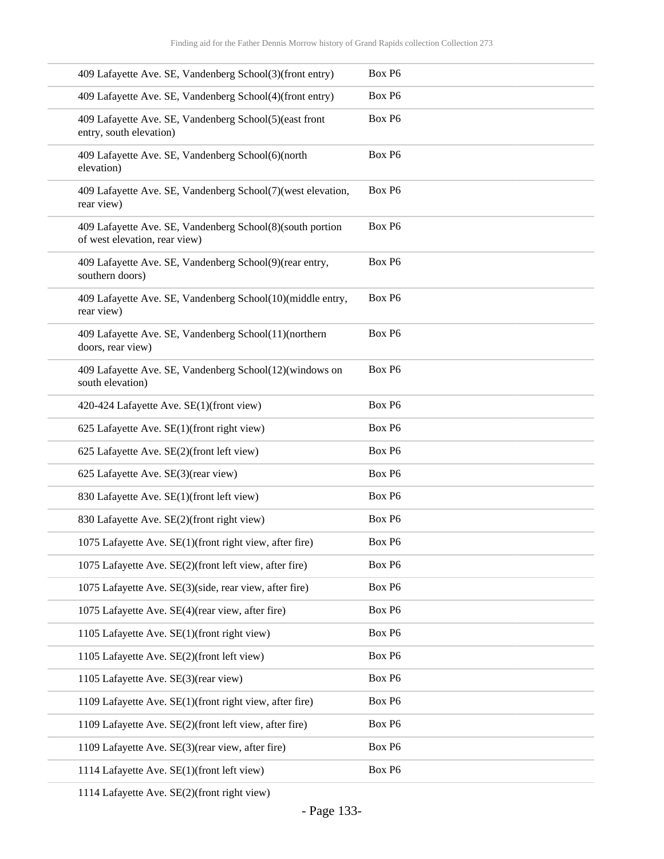| 409 Lafayette Ave. SE, Vandenberg School(3)(front entry)                                   | Box P6             |
|--------------------------------------------------------------------------------------------|--------------------|
| 409 Lafayette Ave. SE, Vandenberg School(4)(front entry)                                   | Box P6             |
| 409 Lafayette Ave. SE, Vandenberg School(5)(east front<br>entry, south elevation)          | Box P6             |
| 409 Lafayette Ave. SE, Vandenberg School(6)(north<br>elevation)                            | Box P6             |
| 409 Lafayette Ave. SE, Vandenberg School(7)(west elevation,<br>rear view)                  | Box P6             |
| 409 Lafayette Ave. SE, Vandenberg School(8)(south portion<br>of west elevation, rear view) | Box P6             |
| 409 Lafayette Ave. SE, Vandenberg School(9)(rear entry,<br>southern doors)                 | Box P6             |
| 409 Lafayette Ave. SE, Vandenberg School(10)(middle entry,<br>rear view)                   | Box P6             |
| 409 Lafayette Ave. SE, Vandenberg School(11)(northern<br>doors, rear view)                 | Box P6             |
| 409 Lafayette Ave. SE, Vandenberg School(12)(windows on<br>south elevation)                | Box P6             |
| 420-424 Lafayette Ave. SE(1)(front view)                                                   | Box P6             |
| 625 Lafayette Ave. SE(1)(front right view)                                                 | Box P6             |
| 625 Lafayette Ave. SE(2)(front left view)                                                  | Box P6             |
| 625 Lafayette Ave. SE(3)(rear view)                                                        | Box P6             |
| 830 Lafayette Ave. SE(1)(front left view)                                                  | Box P6             |
| 830 Lafayette Ave. SE(2)(front right view)                                                 | Box P6             |
| 1075 Lafayette Ave. SE(1)(front right view, after fire)                                    | Box P <sub>6</sub> |
| 1075 Lafayette Ave. SE(2)(front left view, after fire)                                     | Box P6             |
| 1075 Lafayette Ave. SE(3)(side, rear view, after fire)                                     | Box P6             |
| 1075 Lafayette Ave. SE(4)(rear view, after fire)                                           | Box P6             |
| 1105 Lafayette Ave. SE(1)(front right view)                                                | Box P6             |
| 1105 Lafayette Ave. SE(2)(front left view)                                                 | Box P6             |
| 1105 Lafayette Ave. SE(3)(rear view)                                                       | Box P6             |
| 1109 Lafayette Ave. SE(1)(front right view, after fire)                                    | Box P6             |
| 1109 Lafayette Ave. SE(2)(front left view, after fire)                                     | Box P6             |
| 1109 Lafayette Ave. SE(3)(rear view, after fire)                                           | Box P6             |
| 1114 Lafayette Ave. SE(1)(front left view)                                                 | Box P6             |
|                                                                                            |                    |

1114 Lafayette Ave. SE(2)(front right view)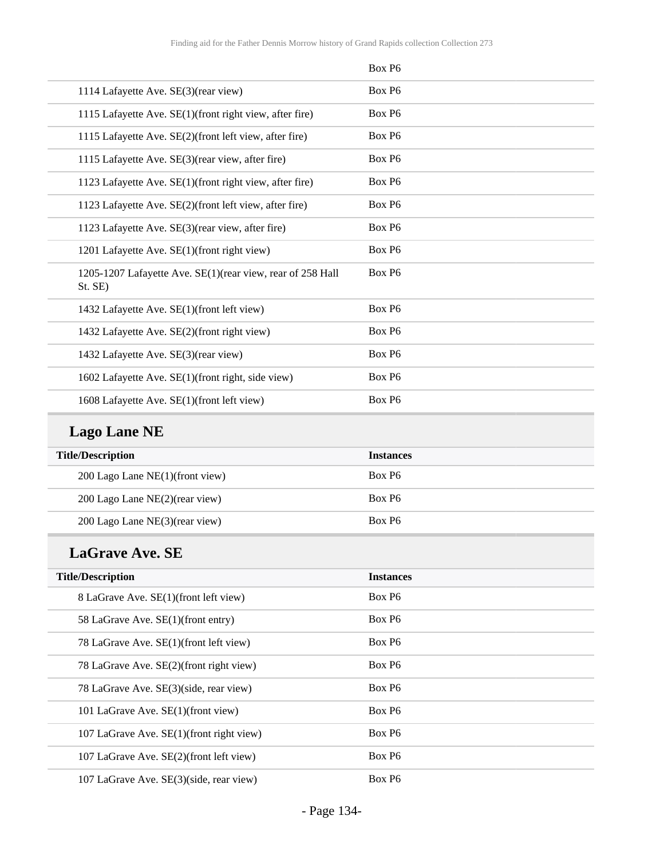| Box P <sub>6</sub> |
|--------------------|
| Box P6             |
| Box P6             |
| Box P <sub>6</sub> |
| Box P <sub>6</sub> |
| Box P <sub>6</sub> |
| Box P <sub>6</sub> |
| Box P6             |
| Box P <sub>6</sub> |
| Box P <sub>6</sub> |
| Box P <sub>6</sub> |
| Box P6             |
| Box P <sub>6</sub> |
| Box P6             |
| Box P <sub>6</sub> |
|                    |

# **Lago Lane NE**

| <b>Title/Description</b>           | <b>Instances</b>   |
|------------------------------------|--------------------|
| 200 Lago Lane $NE(1)$ (front view) | Box P <sub>6</sub> |
| 200 Lago Lane $NE(2)$ (rear view)  | Box P <sub>6</sub> |
| 200 Lago Lane NE(3)(rear view)     | Box P <sub>6</sub> |

## **LaGrave Ave. SE**

| <b>Title/Description</b>                   | <b>Instances</b>   |
|--------------------------------------------|--------------------|
| 8 LaGrave Ave. SE(1)(front left view)      | Box P <sub>6</sub> |
| 58 LaGrave Ave. SE(1)(front entry)         | Box P <sub>6</sub> |
| 78 LaGrave Ave. SE(1)(front left view)     | Box P <sub>6</sub> |
| 78 LaGrave Ave. SE(2)(front right view)    | Box P <sub>6</sub> |
| 78 LaGrave Ave. SE(3)(side, rear view)     | Box P <sub>6</sub> |
| 101 LaGrave Ave. SE(1)(front view)         | Box P <sub>6</sub> |
| 107 LaGrave Ave. SE(1)(front right view)   | Box P <sub>6</sub> |
| 107 LaGrave Ave. SE(2)(front left view)    | Box P <sub>6</sub> |
| 107 LaGrave Ave. $SE(3)$ (side, rear view) | Box P <sub>6</sub> |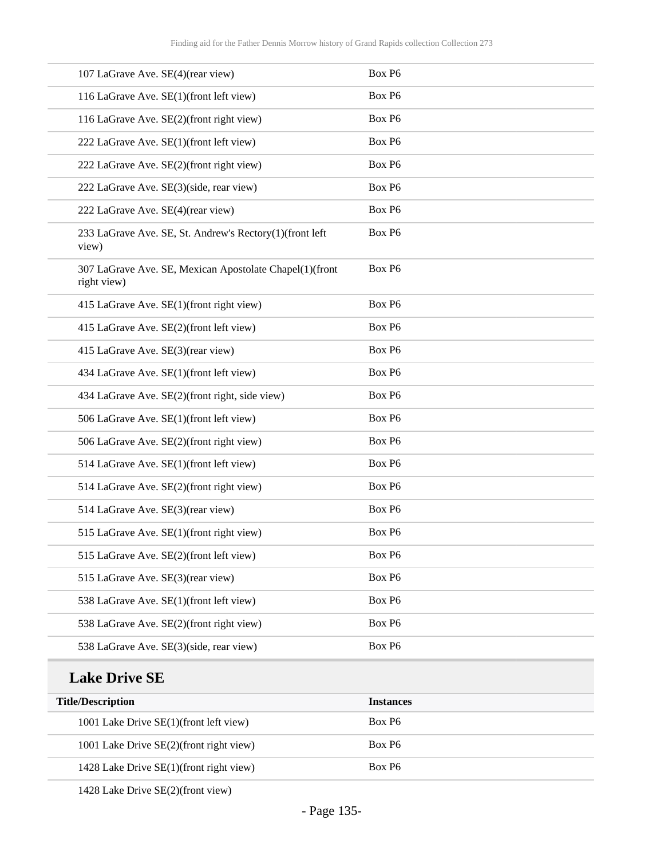| 107 LaGrave Ave. SE(4)(rear view)                                      | Box P6 |
|------------------------------------------------------------------------|--------|
| 116 LaGrave Ave. SE(1)(front left view)                                | Box P6 |
| 116 LaGrave Ave. SE(2)(front right view)                               | Box P6 |
| 222 LaGrave Ave. SE(1)(front left view)                                | Box P6 |
| 222 LaGrave Ave. SE(2)(front right view)                               | Box P6 |
| 222 LaGrave Ave. SE(3)(side, rear view)                                | Box P6 |
| 222 LaGrave Ave. SE(4)(rear view)                                      | Box P6 |
| 233 LaGrave Ave. SE, St. Andrew's Rectory(1)(front left<br>view)       | Box P6 |
| 307 LaGrave Ave. SE, Mexican Apostolate Chapel(1)(front<br>right view) | Box P6 |
| 415 LaGrave Ave. SE(1)(front right view)                               | Box P6 |
| 415 LaGrave Ave. SE(2)(front left view)                                | Box P6 |
| 415 LaGrave Ave. SE(3)(rear view)                                      | Box P6 |
| 434 LaGrave Ave. SE(1)(front left view)                                | Box P6 |
| 434 LaGrave Ave. SE(2)(front right, side view)                         | Box P6 |
| 506 LaGrave Ave. SE(1)(front left view)                                | Box P6 |
| 506 LaGrave Ave. SE(2)(front right view)                               | Box P6 |
| 514 LaGrave Ave. SE(1)(front left view)                                | Box P6 |
| 514 LaGrave Ave. SE(2)(front right view)                               | Box P6 |
| 514 LaGrave Ave. SE(3)(rear view)                                      | Box P6 |
| 515 LaGrave Ave. SE(1)(front right view)                               | Box P6 |
| 515 LaGrave Ave. SE(2)(front left view)                                | Box P6 |
| 515 LaGrave Ave. SE(3)(rear view)                                      | Box P6 |
| 538 LaGrave Ave. SE(1)(front left view)                                | Box P6 |
| 538 LaGrave Ave. SE(2)(front right view)                               | Box P6 |
| 538 LaGrave Ave. SE(3)(side, rear view)                                | Box P6 |
|                                                                        |        |

#### **Lake Drive SE**

| <b>Title/Description</b>                | <b>Instances</b>   |
|-----------------------------------------|--------------------|
| 1001 Lake Drive SE(1)(front left view)  | Box P <sub>6</sub> |
| 1001 Lake Drive SE(2)(front right view) | Box P <sub>6</sub> |
| 1428 Lake Drive SE(1)(front right view) | Box P <sub>6</sub> |

1428 Lake Drive SE(2)(front view)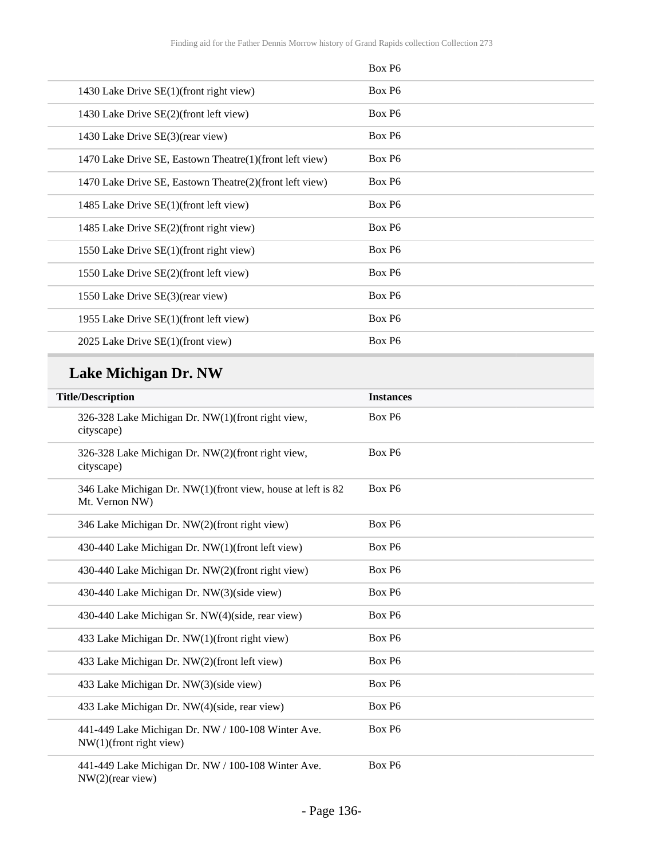|                                                         | Box P <sub>6</sub> |
|---------------------------------------------------------|--------------------|
| 1430 Lake Drive SE(1)(front right view)                 | Box P <sub>6</sub> |
| 1430 Lake Drive SE(2)(front left view)                  | Box P <sub>6</sub> |
| 1430 Lake Drive SE(3)(rear view)                        | Box P6             |
| 1470 Lake Drive SE, Eastown Theatre(1)(front left view) | Box P <sub>6</sub> |
| 1470 Lake Drive SE, Eastown Theatre(2)(front left view) | Box P <sub>6</sub> |
| 1485 Lake Drive SE(1)(front left view)                  | Box P <sub>6</sub> |
| 1485 Lake Drive SE(2)(front right view)                 | Box P <sub>6</sub> |
| 1550 Lake Drive SE(1)(front right view)                 | Box P <sub>6</sub> |
| 1550 Lake Drive SE(2)(front left view)                  | Box P <sub>6</sub> |
| 1550 Lake Drive SE(3)(rear view)                        | Box P <sub>6</sub> |
| 1955 Lake Drive $SE(1)$ (front left view)               | Box P <sub>6</sub> |
| 2025 Lake Drive SE(1)(front view)                       | Box P <sub>6</sub> |

# **Lake Michigan Dr. NW**

| <b>Title/Description</b>                                                         | <b>Instances</b>   |
|----------------------------------------------------------------------------------|--------------------|
| 326-328 Lake Michigan Dr. NW(1)(front right view,<br>cityscape)                  | Box P <sub>6</sub> |
| 326-328 Lake Michigan Dr. NW(2)(front right view,<br>cityscape)                  | Box P <sub>6</sub> |
| 346 Lake Michigan Dr. NW(1)(front view, house at left is 82<br>Mt. Vernon NW)    | Box P <sub>6</sub> |
| 346 Lake Michigan Dr. NW(2)(front right view)                                    | Box P6             |
| 430-440 Lake Michigan Dr. NW(1)(front left view)                                 | Box P6             |
| 430-440 Lake Michigan Dr. NW(2)(front right view)                                | Box P6             |
| 430-440 Lake Michigan Dr. NW(3)(side view)                                       | Box P <sub>6</sub> |
| 430-440 Lake Michigan Sr. NW(4)(side, rear view)                                 | Box P6             |
| 433 Lake Michigan Dr. NW(1)(front right view)                                    | Box P <sub>6</sub> |
| 433 Lake Michigan Dr. NW(2)(front left view)                                     | Box P6             |
| 433 Lake Michigan Dr. NW(3)(side view)                                           | Box P6             |
| 433 Lake Michigan Dr. NW(4)(side, rear view)                                     | Box P6             |
| 441-449 Lake Michigan Dr. NW / 100-108 Winter Ave.<br>$NW(1)$ (front right view) | Box P6             |
| 441-449 Lake Michigan Dr. NW / 100-108 Winter Ave.<br>$NW(2)(\text{rear view})$  | Box P6             |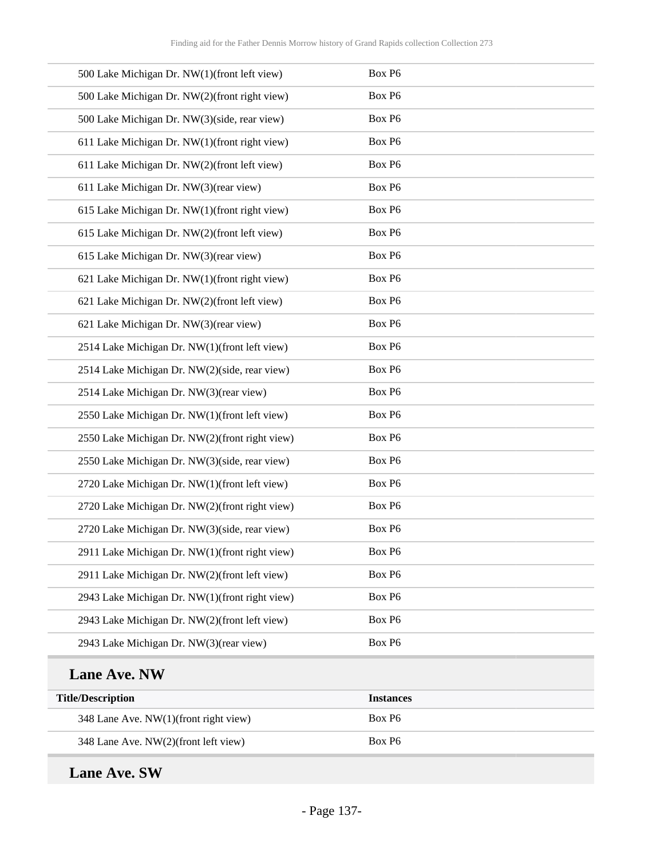| 500 Lake Michigan Dr. NW(1)(front left view)   | Box P6 |
|------------------------------------------------|--------|
| 500 Lake Michigan Dr. NW(2)(front right view)  | Box P6 |
| 500 Lake Michigan Dr. NW(3)(side, rear view)   | Box P6 |
| 611 Lake Michigan Dr. NW(1)(front right view)  | Box P6 |
| 611 Lake Michigan Dr. NW(2)(front left view)   | Box P6 |
| 611 Lake Michigan Dr. NW(3)(rear view)         | Box P6 |
| 615 Lake Michigan Dr. NW(1)(front right view)  | Box P6 |
| 615 Lake Michigan Dr. NW(2)(front left view)   | Box P6 |
| 615 Lake Michigan Dr. NW(3)(rear view)         | Box P6 |
| 621 Lake Michigan Dr. NW(1)(front right view)  | Box P6 |
| 621 Lake Michigan Dr. NW(2)(front left view)   | Box P6 |
| 621 Lake Michigan Dr. NW(3)(rear view)         | Box P6 |
| 2514 Lake Michigan Dr. NW(1)(front left view)  | Box P6 |
| 2514 Lake Michigan Dr. NW(2)(side, rear view)  | Box P6 |
| 2514 Lake Michigan Dr. NW(3)(rear view)        | Box P6 |
| 2550 Lake Michigan Dr. NW(1)(front left view)  | Box P6 |
| 2550 Lake Michigan Dr. NW(2)(front right view) | Box P6 |
| 2550 Lake Michigan Dr. NW(3)(side, rear view)  | Box P6 |
| 2720 Lake Michigan Dr. NW(1)(front left view)  | Box P6 |
| 2720 Lake Michigan Dr. NW(2)(front right view) | Box P6 |
| 2720 Lake Michigan Dr. NW(3)(side, rear view)  | Box P6 |
| 2911 Lake Michigan Dr. NW(1)(front right view) | Box P6 |
| 2911 Lake Michigan Dr. NW(2)(front left view)  | Box P6 |
| 2943 Lake Michigan Dr. NW(1)(front right view) | Box P6 |
| 2943 Lake Michigan Dr. NW(2)(front left view)  | Box P6 |
| 2943 Lake Michigan Dr. NW(3)(rear view)        | Box P6 |
|                                                |        |

## **Lane Ave. NW**

| <b>Title/Description</b>              | <b>Instances</b>   |
|---------------------------------------|--------------------|
| 348 Lane Ave. NW(1)(front right view) | Box P <sub>6</sub> |
| 348 Lane Ave. NW(2)(front left view)  | Box P <sub>6</sub> |

## **Lane Ave. SW**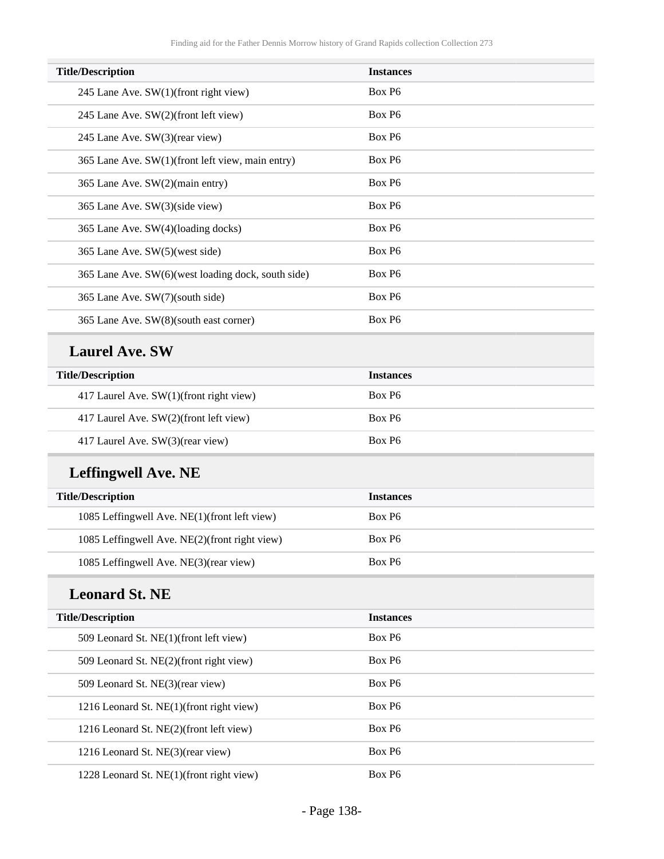| <b>Title/Description</b>                           | <b>Instances</b>   |
|----------------------------------------------------|--------------------|
| 245 Lane Ave. $SW(1)$ (front right view)           | Box P <sub>6</sub> |
| 245 Lane Ave. SW(2)(front left view)               | Box P <sub>6</sub> |
| 245 Lane Ave. SW(3)(rear view)                     | Box P <sub>6</sub> |
| 365 Lane Ave. SW(1)(front left view, main entry)   | Box P <sub>6</sub> |
| 365 Lane Ave. SW(2)(main entry)                    | Box P <sub>6</sub> |
| 365 Lane Ave. SW(3)(side view)                     | Box P <sub>6</sub> |
| 365 Lane Ave. SW(4)(loading docks)                 | Box P <sub>6</sub> |
| 365 Lane Ave. SW(5)(west side)                     | Box P <sub>6</sub> |
| 365 Lane Ave. SW(6)(west loading dock, south side) | Box P <sub>6</sub> |
| 365 Lane Ave. SW(7)(south side)                    | Box P <sub>6</sub> |
| 365 Lane Ave. SW(8)(south east corner)             | Box P <sub>6</sub> |
|                                                    |                    |

#### **Laurel Ave. SW**

| <b>Title/Description</b>                | <b>Instances</b>   |
|-----------------------------------------|--------------------|
| 417 Laurel Ave. SW(1)(front right view) | Box P <sub>6</sub> |
| 417 Laurel Ave. SW(2)(front left view)  | Box P <sub>6</sub> |
| 417 Laurel Ave. SW(3)(rear view)        | Box P <sub>6</sub> |

# **Leffingwell Ave. NE**

| <b>Title/Description</b>                      | <b>Instances</b>   |
|-----------------------------------------------|--------------------|
| 1085 Leffingwell Ave. NE(1)(front left view)  | Box P <sub>6</sub> |
| 1085 Leffingwell Ave. NE(2)(front right view) | Box P <sub>6</sub> |
| 1085 Leffingwell Ave. NE(3)(rear view)        | Box P <sub>6</sub> |

### **Leonard St. NE**

| <b>Title/Description</b>                 | <b>Instances</b>   |
|------------------------------------------|--------------------|
| 509 Leonard St. NE(1)(front left view)   | Box P <sub>6</sub> |
| 509 Leonard St. NE(2)(front right view)  | Box P <sub>6</sub> |
| 509 Leonard St. NE(3)(rear view)         | Box P <sub>6</sub> |
| 1216 Leonard St. NE(1)(front right view) | Box P <sub>6</sub> |
| 1216 Leonard St. NE(2)(front left view)  | Box P <sub>6</sub> |
| 1216 Leonard St. NE(3)(rear view)        | Box P <sub>6</sub> |
| 1228 Leonard St. NE(1)(front right view) | Box P <sub>6</sub> |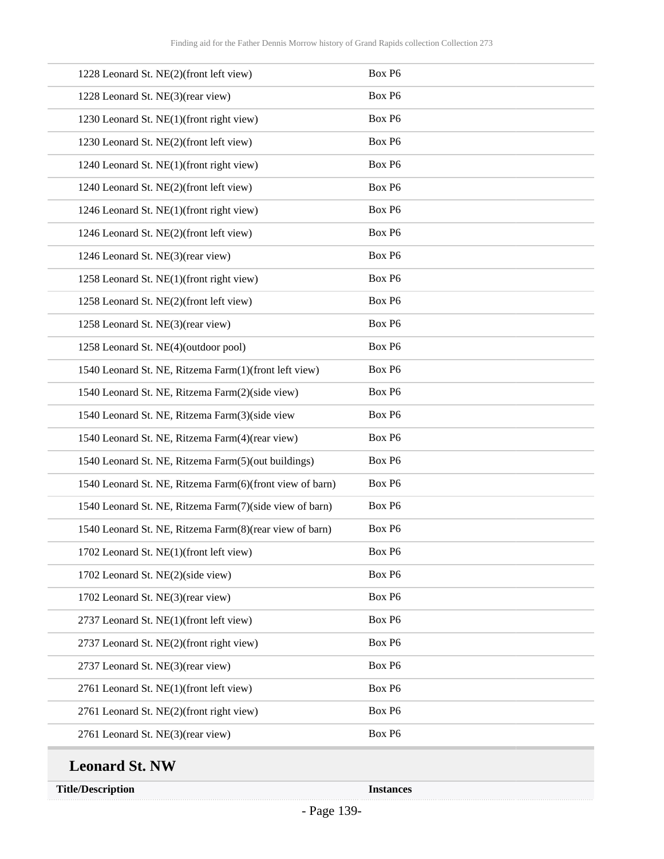| 1228 Leonard St. NE(2)(front left view)                  | Box P6             |
|----------------------------------------------------------|--------------------|
| 1228 Leonard St. NE(3)(rear view)                        | Box P6             |
| 1230 Leonard St. NE(1)(front right view)                 | Box P6             |
| 1230 Leonard St. NE(2)(front left view)                  | Box P6             |
| 1240 Leonard St. NE(1)(front right view)                 | Box P6             |
| 1240 Leonard St. NE(2)(front left view)                  | Box P6             |
| 1246 Leonard St. NE(1)(front right view)                 | Box P6             |
| 1246 Leonard St. NE(2)(front left view)                  | Box P6             |
| 1246 Leonard St. NE(3)(rear view)                        | Box P6             |
| 1258 Leonard St. NE(1)(front right view)                 | Box P6             |
| 1258 Leonard St. NE(2)(front left view)                  | Box P6             |
| 1258 Leonard St. NE(3)(rear view)                        | Box P6             |
| 1258 Leonard St. NE(4)(outdoor pool)                     | Box P6             |
| 1540 Leonard St. NE, Ritzema Farm(1)(front left view)    | Box P6             |
| 1540 Leonard St. NE, Ritzema Farm(2)(side view)          | Box P6             |
| 1540 Leonard St. NE, Ritzema Farm(3)(side view           | Box P6             |
| 1540 Leonard St. NE, Ritzema Farm(4)(rear view)          | Box P6             |
| 1540 Leonard St. NE, Ritzema Farm(5)(out buildings)      | Box P6             |
| 1540 Leonard St. NE, Ritzema Farm(6)(front view of barn) | Box P6             |
| 1540 Leonard St. NE, Ritzema Farm(7)(side view of barn)  | Box P6             |
| 1540 Leonard St. NE, Ritzema Farm(8)(rear view of barn)  | Box P6             |
| 1702 Leonard St. NE(1)(front left view)                  | Box P <sub>6</sub> |
| 1702 Leonard St. NE(2)(side view)                        | Box P6             |
| 1702 Leonard St. NE(3)(rear view)                        | Box P6             |
| 2737 Leonard St. NE(1)(front left view)                  | Box P6             |
| 2737 Leonard St. NE(2)(front right view)                 | Box P6             |
| 2737 Leonard St. NE(3)(rear view)                        | Box P6             |
| 2761 Leonard St. NE(1)(front left view)                  | Box P6             |
| 2761 Leonard St. NE(2)(front right view)                 | Box P6             |
| 2761 Leonard St. NE(3)(rear view)                        | Box P6             |
|                                                          |                    |

# **Leonard St. NW**

**Title/Description Instances**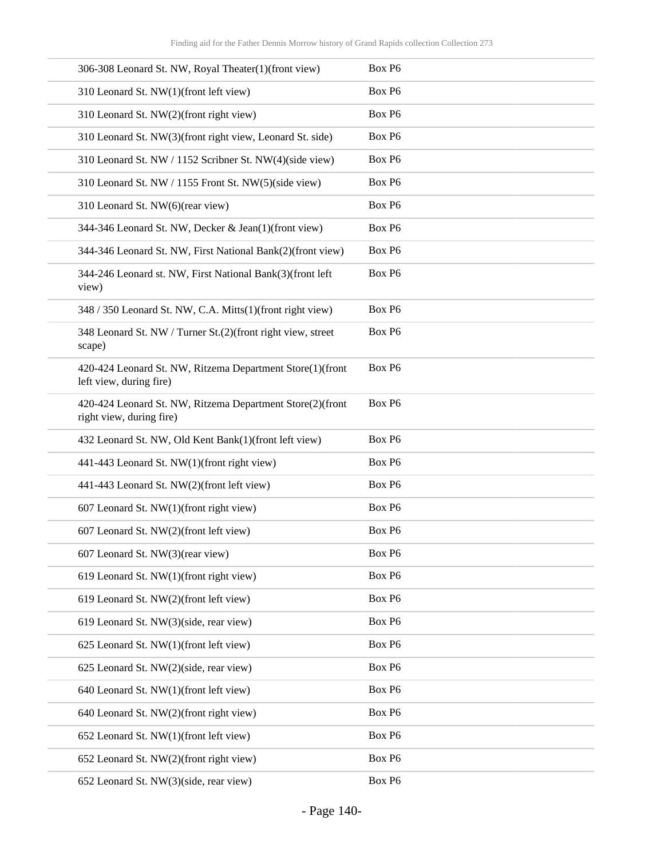| 306-308 Leonard St. NW, Royal Theater(1)(front view)                                  | Box P6 |
|---------------------------------------------------------------------------------------|--------|
| 310 Leonard St. NW(1)(front left view)                                                | Box P6 |
| 310 Leonard St. NW(2)(front right view)                                               | Box P6 |
| 310 Leonard St. NW(3)(front right view, Leonard St. side)                             | Box P6 |
| 310 Leonard St. NW / 1152 Scribner St. NW(4)(side view)                               | Box P6 |
| 310 Leonard St. NW / 1155 Front St. NW(5)(side view)                                  | Box P6 |
| 310 Leonard St. NW(6)(rear view)                                                      | Box P6 |
| 344-346 Leonard St. NW, Decker & Jean(1)(front view)                                  | Box P6 |
| 344-346 Leonard St. NW, First National Bank(2)(front view)                            | Box P6 |
| 344-246 Leonard st. NW, First National Bank(3)(front left<br>view)                    | Box P6 |
| 348 / 350 Leonard St. NW, C.A. Mitts(1)(front right view)                             | Box P6 |
| 348 Leonard St. NW / Turner St.(2)(front right view, street<br>scape)                 | Box P6 |
| 420-424 Leonard St. NW, Ritzema Department Store(1)(front<br>left view, during fire)  | Box P6 |
| 420-424 Leonard St. NW, Ritzema Department Store(2)(front<br>right view, during fire) | Box P6 |
| 432 Leonard St. NW, Old Kent Bank(1)(front left view)                                 | Box P6 |
| 441-443 Leonard St. NW(1)(front right view)                                           | Box P6 |
| 441-443 Leonard St. NW(2)(front left view)                                            | Box P6 |
| 607 Leonard St. NW(1)(front right view)                                               | Box P6 |
| 607 Leonard St. NW(2)(front left view)                                                | Box P6 |
| 607 Leonard St. NW(3)(rear view)                                                      | Box P6 |
| 619 Leonard St. NW(1)(front right view)                                               | Box P6 |
| 619 Leonard St. NW(2)(front left view)                                                | Box P6 |
| 619 Leonard St. NW(3)(side, rear view)                                                | Box P6 |
| 625 Leonard St. NW(1)(front left view)                                                | Box P6 |
| 625 Leonard St. NW(2)(side, rear view)                                                | Box P6 |
| 640 Leonard St. NW(1)(front left view)                                                | Box P6 |
| 640 Leonard St. NW(2)(front right view)                                               | Box P6 |
| 652 Leonard St. NW(1)(front left view)                                                | Box P6 |
| 652 Leonard St. NW(2)(front right view)                                               | Box P6 |
| 652 Leonard St. NW(3)(side, rear view)                                                | Box P6 |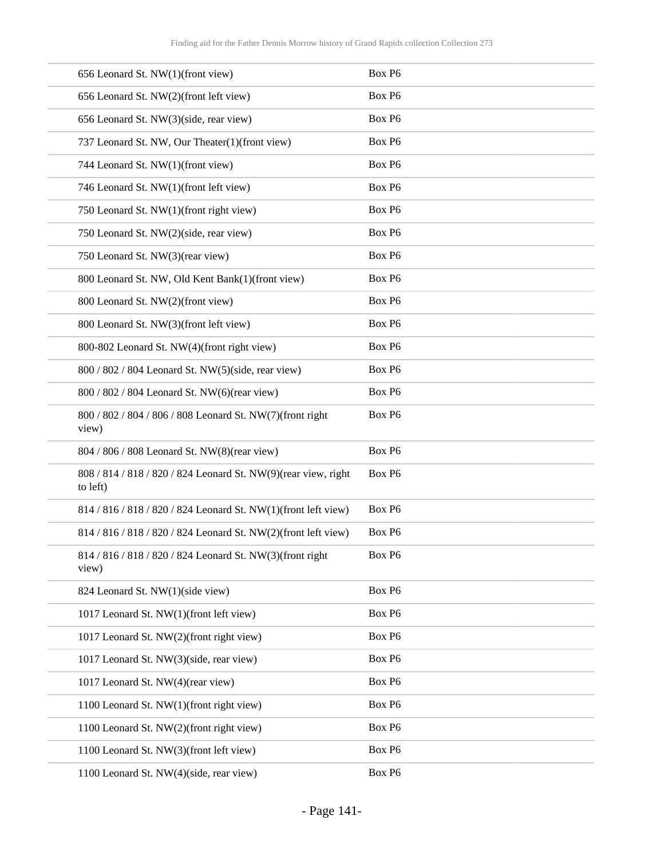| 656 Leonard St. NW(1)(front view)                                          | Box P6             |
|----------------------------------------------------------------------------|--------------------|
| 656 Leonard St. NW(2)(front left view)                                     | Box P6             |
| 656 Leonard St. NW(3)(side, rear view)                                     | Box P6             |
| 737 Leonard St. NW, Our Theater(1)(front view)                             | Box P6             |
| 744 Leonard St. NW(1)(front view)                                          | Box P6             |
| 746 Leonard St. NW(1)(front left view)                                     | Box P6             |
| 750 Leonard St. NW(1)(front right view)                                    | Box P6             |
| 750 Leonard St. NW(2)(side, rear view)                                     | Box P6             |
| 750 Leonard St. NW(3)(rear view)                                           | Box P6             |
| 800 Leonard St. NW, Old Kent Bank(1)(front view)                           | Box P6             |
| 800 Leonard St. NW(2)(front view)                                          | Box P6             |
| 800 Leonard St. NW(3)(front left view)                                     | Box P6             |
| 800-802 Leonard St. NW(4)(front right view)                                | Box P6             |
| 800 / 802 / 804 Leonard St. NW(5)(side, rear view)                         | Box P6             |
| 800 / 802 / 804 Leonard St. NW(6)(rear view)                               | Box P6             |
| 800 / 802 / 804 / 806 / 808 Leonard St. NW(7)(front right<br>view)         | Box P6             |
| 804 / 806 / 808 Leonard St. NW(8)(rear view)                               | Box P6             |
| 808 / 814 / 818 / 820 / 824 Leonard St. NW(9)(rear view, right<br>to left) | Box P6             |
| 814 / 816 / 818 / 820 / 824 Leonard St. NW(1)(front left view)             | Box P <sub>6</sub> |
| 814 / 816 / 818 / 820 / 824 Leonard St. NW(2)(front left view)             | Box P6             |
| 814 / 816 / 818 / 820 / 824 Leonard St. NW(3)(front right<br>view)         | Box P6             |
| 824 Leonard St. NW(1)(side view)                                           | Box P6             |
| 1017 Leonard St. NW(1)(front left view)                                    | Box P6             |
| 1017 Leonard St. NW(2)(front right view)                                   | Box P6             |
| 1017 Leonard St. NW(3)(side, rear view)                                    | Box P6             |
| 1017 Leonard St. NW(4)(rear view)                                          | Box P6             |
| 1100 Leonard St. NW(1)(front right view)                                   | Box P6             |
| 1100 Leonard St. NW(2)(front right view)                                   | Box P6             |
| 1100 Leonard St. NW(3)(front left view)                                    | Box P6             |
| 1100 Leonard St. NW(4)(side, rear view)                                    | Box P6             |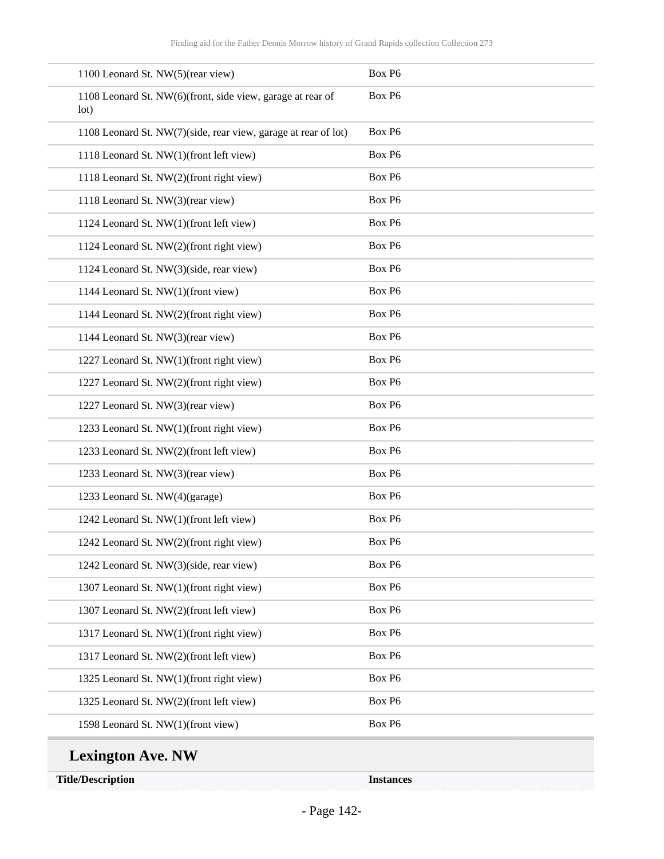| 1100 Leonard St. NW(5)(rear view)                                  | Box P6             |
|--------------------------------------------------------------------|--------------------|
| 1108 Leonard St. NW(6)(front, side view, garage at rear of<br>lot) | Box P6             |
| 1108 Leonard St. NW(7)(side, rear view, garage at rear of lot)     | Box P6             |
| 1118 Leonard St. NW(1)(front left view)                            | Box P6             |
| 1118 Leonard St. NW(2)(front right view)                           | Box P6             |
| 1118 Leonard St. NW(3)(rear view)                                  | Box P6             |
| 1124 Leonard St. NW(1)(front left view)                            | Box P6             |
| 1124 Leonard St. NW(2)(front right view)                           | Box P6             |
| 1124 Leonard St. NW(3)(side, rear view)                            | Box P6             |
| 1144 Leonard St. NW(1)(front view)                                 | Box P6             |
| 1144 Leonard St. NW(2)(front right view)                           | Box P6             |
| 1144 Leonard St. NW(3)(rear view)                                  | Box P6             |
| 1227 Leonard St. NW(1)(front right view)                           | Box P6             |
| 1227 Leonard St. NW(2)(front right view)                           | Box P6             |
| 1227 Leonard St. NW(3)(rear view)                                  | Box P6             |
| 1233 Leonard St. NW(1)(front right view)                           | Box P6             |
| 1233 Leonard St. NW(2)(front left view)                            | Box P6             |
| 1233 Leonard St. NW(3)(rear view)                                  | Box P6             |
| 1233 Leonard St. NW(4)(garage)                                     | Box P6             |
| 1242 Leonard St. NW(1)(front left view)                            | Box P6             |
| 1242 Leonard St. NW(2)(front right view)                           | Box P <sub>6</sub> |
| 1242 Leonard St. NW(3)(side, rear view)                            | Box P6             |
| 1307 Leonard St. NW(1)(front right view)                           | Box P6             |
| 1307 Leonard St. NW(2)(front left view)                            | Box P6             |
| 1317 Leonard St. NW(1)(front right view)                           | Box P6             |
| 1317 Leonard St. NW(2)(front left view)                            | Box P6             |
| 1325 Leonard St. NW(1)(front right view)                           | Box P6             |
| 1325 Leonard St. NW(2)(front left view)                            | Box P6             |
| 1598 Leonard St. NW(1)(front view)                                 | Box P6             |
| <b>Lexington Ave. NW</b>                                           |                    |
| <b>Title/Description</b>                                           | <b>Instances</b>   |

- Page 142-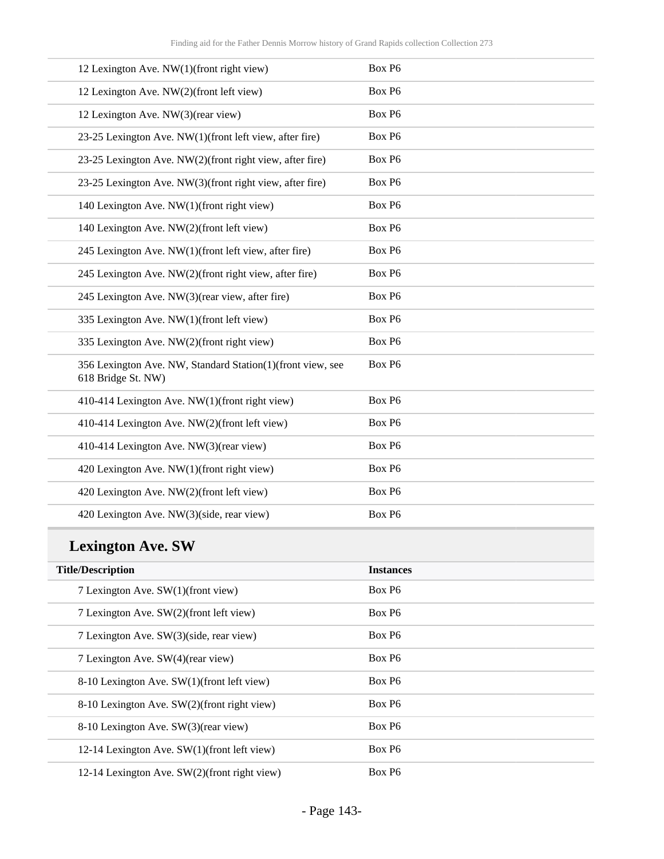| 12 Lexington Ave. NW(1)(front right view)                                        | Box P6 |
|----------------------------------------------------------------------------------|--------|
| 12 Lexington Ave. NW(2)(front left view)                                         | Box P6 |
| 12 Lexington Ave. NW(3)(rear view)                                               | Box P6 |
| 23-25 Lexington Ave. NW(1)(front left view, after fire)                          | Box P6 |
| 23-25 Lexington Ave. NW(2)(front right view, after fire)                         | Box P6 |
| 23-25 Lexington Ave. NW(3)(front right view, after fire)                         | Box P6 |
| 140 Lexington Ave. NW(1)(front right view)                                       | Box P6 |
| 140 Lexington Ave. NW(2)(front left view)                                        | Box P6 |
| 245 Lexington Ave. NW(1)(front left view, after fire)                            | Box P6 |
| 245 Lexington Ave. NW(2)(front right view, after fire)                           | Box P6 |
| 245 Lexington Ave. NW(3)(rear view, after fire)                                  | Box P6 |
| 335 Lexington Ave. NW(1)(front left view)                                        | Box P6 |
| 335 Lexington Ave. NW(2)(front right view)                                       | Box P6 |
| 356 Lexington Ave. NW, Standard Station(1)(front view, see<br>618 Bridge St. NW) | Box P6 |
| 410-414 Lexington Ave. NW(1)(front right view)                                   | Box P6 |
| 410-414 Lexington Ave. NW(2)(front left view)                                    | Box P6 |
| 410-414 Lexington Ave. NW(3)(rear view)                                          | Box P6 |
| 420 Lexington Ave. NW(1)(front right view)                                       | Box P6 |
| 420 Lexington Ave. NW(2)(front left view)                                        | Box P6 |
| 420 Lexington Ave. NW(3)(side, rear view)                                        | Box P6 |

# **Lexington Ave. SW**

| <b>Title/Description</b>                       | <b>Instances</b>   |
|------------------------------------------------|--------------------|
| 7 Lexington Ave. SW(1)(front view)             | Box P <sub>6</sub> |
| 7 Lexington Ave. SW(2)(front left view)        | Box P <sub>6</sub> |
| 7 Lexington Ave. SW(3)(side, rear view)        | Box P <sub>6</sub> |
| 7 Lexington Ave. SW(4)(rear view)              | Box P <sub>6</sub> |
| 8-10 Lexington Ave. SW(1)(front left view)     | Box P <sub>6</sub> |
| 8-10 Lexington Ave. SW(2)(front right view)    | Box P <sub>6</sub> |
| 8-10 Lexington Ave. SW(3)(rear view)           | Box P <sub>6</sub> |
| 12-14 Lexington Ave. $SW(1)$ (front left view) | Box P <sub>6</sub> |
| 12-14 Lexington Ave. SW(2)(front right view)   | Box P <sub>6</sub> |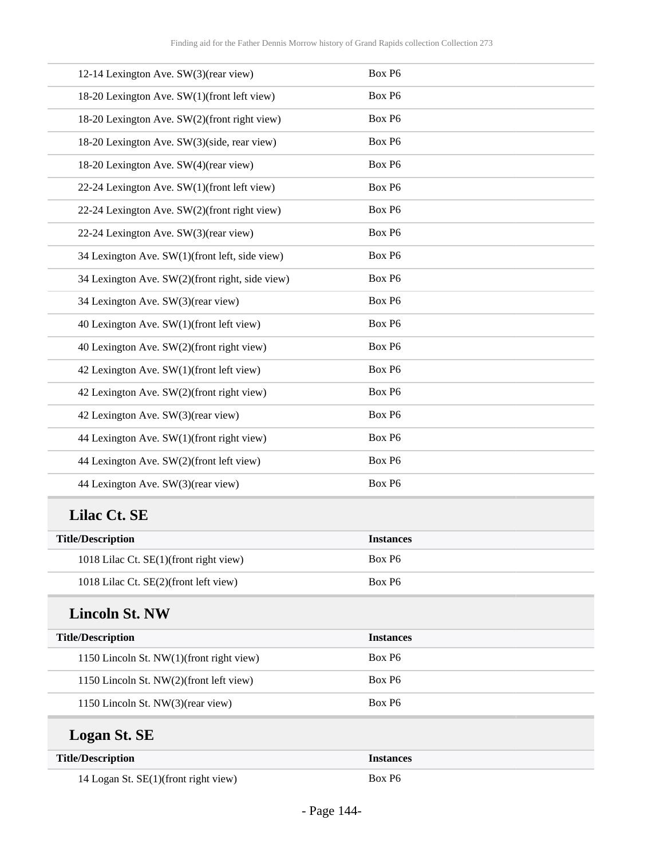| 12-14 Lexington Ave. SW(3)(rear view)           | Box P6           |  |
|-------------------------------------------------|------------------|--|
| 18-20 Lexington Ave. SW(1)(front left view)     | Box P6           |  |
| 18-20 Lexington Ave. SW(2)(front right view)    | Box P6           |  |
| 18-20 Lexington Ave. SW(3)(side, rear view)     | Box P6           |  |
| 18-20 Lexington Ave. SW(4)(rear view)           | Box P6           |  |
| 22-24 Lexington Ave. SW(1)(front left view)     | Box P6           |  |
| 22-24 Lexington Ave. SW(2)(front right view)    | Box P6           |  |
| 22-24 Lexington Ave. SW(3)(rear view)           | Box P6           |  |
| 34 Lexington Ave. SW(1)(front left, side view)  | Box P6           |  |
| 34 Lexington Ave. SW(2)(front right, side view) | Box P6           |  |
| 34 Lexington Ave. SW(3)(rear view)              | Box P6           |  |
| 40 Lexington Ave. SW(1)(front left view)        | Box P6           |  |
| 40 Lexington Ave. SW(2)(front right view)       | Box P6           |  |
| 42 Lexington Ave. SW(1)(front left view)        | Box P6           |  |
| 42 Lexington Ave. SW(2)(front right view)       | Box P6           |  |
| 42 Lexington Ave. SW(3)(rear view)              | Box P6           |  |
| 44 Lexington Ave. SW(1)(front right view)       | Box P6           |  |
| 44 Lexington Ave. SW(2)(front left view)        | Box P6           |  |
| 44 Lexington Ave. SW(3)(rear view)              | Box P6           |  |
| Lilac Ct. SE                                    |                  |  |
| <b>Title/Description</b>                        | <b>Instances</b> |  |
| 1018 Lilac Ct. SE(1)(front right view)          | Box P6           |  |
| 1018 Lilac Ct. SE(2)(front left view)           | Box P6           |  |
| <b>Lincoln St. NW</b>                           |                  |  |
| <b>Title/Description</b>                        | <b>Instances</b> |  |
| 1150 Lincoln St. NW(1)(front right view)        | Box P6           |  |
| 1150 Lincoln St. NW(2)(front left view)         | Box P6           |  |
| 1150 Lincoln St. NW(3)(rear view)               | Box P6           |  |
| <b>Logan St. SE</b>                             |                  |  |
| <b>Title/Description</b>                        | <b>Instances</b> |  |
| 14 Logan St. SE(1)(front right view)            | Box P6           |  |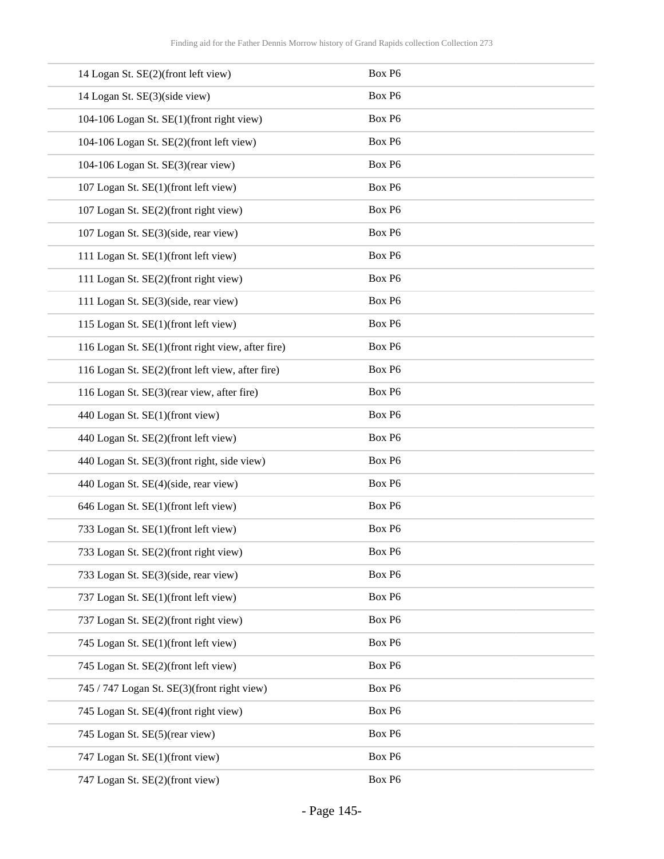| 14 Logan St. SE(2)(front left view)               | Box P6 |
|---------------------------------------------------|--------|
| 14 Logan St. SE(3)(side view)                     | Box P6 |
| 104-106 Logan St. SE(1)(front right view)         | Box P6 |
| 104-106 Logan St. SE(2)(front left view)          | Box P6 |
| 104-106 Logan St. SE(3)(rear view)                | Box P6 |
| 107 Logan St. SE(1)(front left view)              | Box P6 |
| 107 Logan St. SE(2)(front right view)             | Box P6 |
| 107 Logan St. SE(3)(side, rear view)              | Box P6 |
| 111 Logan St. SE(1)(front left view)              | Box P6 |
| 111 Logan St. SE(2)(front right view)             | Box P6 |
| 111 Logan St. SE(3)(side, rear view)              | Box P6 |
| 115 Logan St. SE(1)(front left view)              | Box P6 |
| 116 Logan St. SE(1)(front right view, after fire) | Box P6 |
| 116 Logan St. SE(2)(front left view, after fire)  | Box P6 |
| 116 Logan St. SE(3)(rear view, after fire)        | Box P6 |
| 440 Logan St. SE(1)(front view)                   | Box P6 |
| 440 Logan St. SE(2)(front left view)              | Box P6 |
| 440 Logan St. SE(3)(front right, side view)       | Box P6 |
| 440 Logan St. SE(4)(side, rear view)              | Box P6 |
| 646 Logan St. SE(1)(front left view)              | Box P6 |
| 733 Logan St. SE(1)(front left view)              | Box P6 |
| 733 Logan St. SE(2)(front right view)             | Box P6 |
| 733 Logan St. SE(3)(side, rear view)              | Box P6 |
| 737 Logan St. SE(1)(front left view)              | Box P6 |
| 737 Logan St. SE(2)(front right view)             | Box P6 |
| 745 Logan St. SE(1)(front left view)              | Box P6 |
| 745 Logan St. SE(2)(front left view)              | Box P6 |
| 745 / 747 Logan St. SE(3)(front right view)       | Box P6 |
| 745 Logan St. SE(4)(front right view)             | Box P6 |
| 745 Logan St. SE(5)(rear view)                    | Box P6 |
| 747 Logan St. SE(1)(front view)                   | Box P6 |
| 747 Logan St. SE(2)(front view)                   | Box P6 |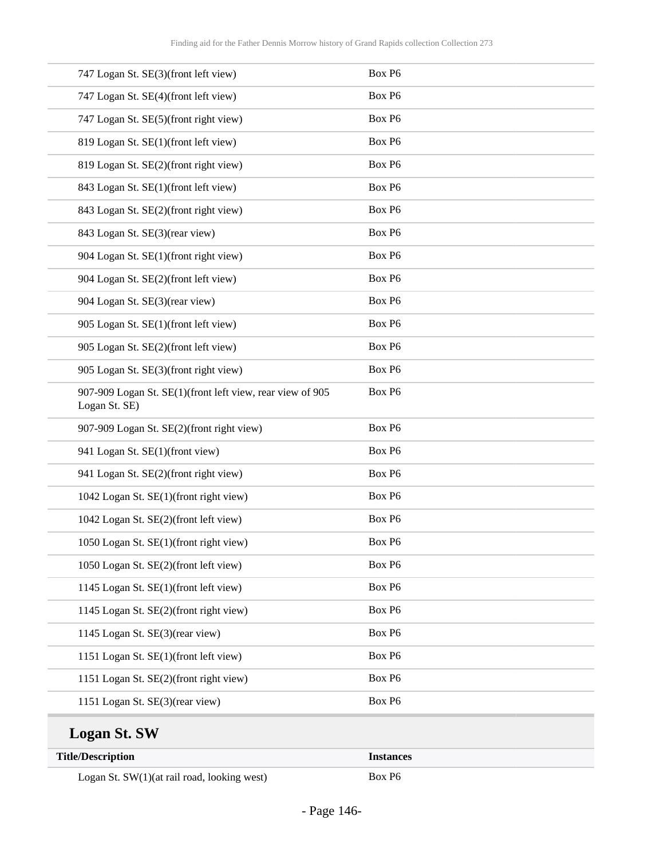| <b>Title/Description</b>                                                   | <b>Instances</b> |
|----------------------------------------------------------------------------|------------------|
| <b>Logan St. SW</b>                                                        |                  |
| 1151 Logan St. SE(3)(rear view)                                            | Box P6           |
| 1151 Logan St. SE(2)(front right view)                                     | Box P6           |
| 1151 Logan St. SE(1)(front left view)                                      | Box P6           |
| 1145 Logan St. SE(3)(rear view)                                            | Box P6           |
| 1145 Logan St. SE(2)(front right view)                                     | Box P6           |
| 1145 Logan St. SE(1)(front left view)                                      | Box P6           |
| 1050 Logan St. SE(2)(front left view)                                      | Box P6           |
| 1050 Logan St. SE(1)(front right view)                                     | Box P6           |
| 1042 Logan St. SE(2)(front left view)                                      | Box P6           |
| 1042 Logan St. SE(1)(front right view)                                     | Box P6           |
| 941 Logan St. SE(2)(front right view)                                      | Box P6           |
| 941 Logan St. SE(1)(front view)                                            | Box P6           |
| 907-909 Logan St. SE(2)(front right view)                                  | Box P6           |
| 907-909 Logan St. SE(1)(front left view, rear view of 905<br>Logan St. SE) | Box P6           |
| 905 Logan St. SE(3)(front right view)                                      | Box P6           |
| 905 Logan St. SE(2)(front left view)                                       | Box P6           |
| 905 Logan St. SE(1)(front left view)                                       | Box P6           |
| 904 Logan St. SE(3)(rear view)                                             | Box P6           |
| 904 Logan St. SE(2)(front left view)                                       | Box P6           |
| 904 Logan St. SE(1)(front right view)                                      | Box P6           |
| 843 Logan St. SE(3)(rear view)                                             | Box P6           |
| 843 Logan St. SE(2)(front right view)                                      | Box P6           |
| 843 Logan St. SE(1)(front left view)                                       | Box P6           |
| 819 Logan St. SE(2)(front right view)                                      | Box P6           |
| 819 Logan St. SE(1)(front left view)                                       | Box P6           |
| 747 Logan St. SE(5)(front right view)                                      | Box P6           |
| 747 Logan St. SE(4)(front left view)                                       | Box P6           |
| 747 Logan St. SE(3)(front left view)                                       | Box P6           |
|                                                                            |                  |

Logan St. SW(1)(at rail road, looking west) Box P6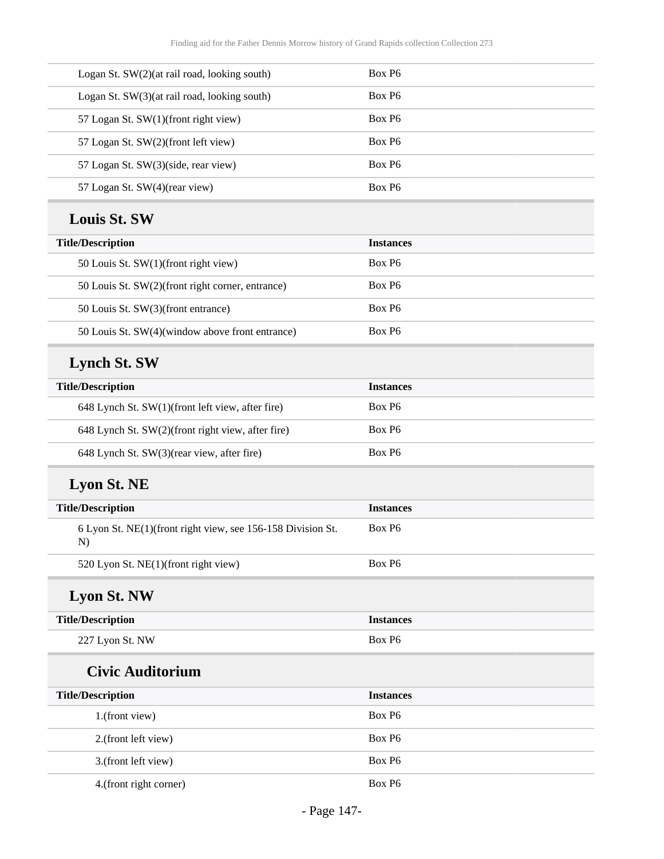| Logan St. SW(2)(at rail road, looking south) | Box P <sub>6</sub> |
|----------------------------------------------|--------------------|
| Logan St. SW(3)(at rail road, looking south) | Box P <sub>6</sub> |
| 57 Logan St. SW(1)(front right view)         | Box P <sub>6</sub> |
| 57 Logan St. SW(2)(front left view)          | Box P <sub>6</sub> |
| 57 Logan St. SW(3)(side, rear view)          | Box P <sub>6</sub> |
| 57 Logan St. SW(4)(rear view)                | Box P <sub>6</sub> |

#### **Louis St. SW**

| <b>Title/Description</b>                         | <b>Instances</b>   |
|--------------------------------------------------|--------------------|
| 50 Louis St. SW(1)(front right view)             | Box P <sub>6</sub> |
| 50 Louis St. SW(2)(front right corner, entrance) | Box P <sub>6</sub> |
| 50 Louis St. SW(3)(front entrance)               | Box P <sub>6</sub> |
| 50 Louis St. SW(4)(window above front entrance)  | Box P <sub>6</sub> |

# **Lynch St. SW**

| <b>Title/Description</b>                          | <b>Instances</b>   |
|---------------------------------------------------|--------------------|
| 648 Lynch St. SW(1)(front left view, after fire)  | Box P <sub>6</sub> |
| 648 Lynch St. SW(2)(front right view, after fire) | Box P <sub>6</sub> |
| 648 Lynch St. SW(3)(rear view, after fire)        | Box P <sub>6</sub> |

# **Lyon St. NE**

| <b>Title/Description</b>                                          | <b>Instances</b>   |
|-------------------------------------------------------------------|--------------------|
| 6 Lyon St. NE(1)(front right view, see 156-158 Division St.<br>N) | Box P <sub>6</sub> |
| 520 Lyon St. NE(1)(front right view)                              | Box P <sub>6</sub> |

### **Lyon St. NW**

| <b>Title/Description</b> | <i>Instances</i> |
|--------------------------|------------------|
| 227 Lyon St. NW          | Box P6           |

### **Civic Auditorium**

| <b>Title/Description</b> | <b>Instances</b>   |
|--------------------------|--------------------|
| 1.(front view)           | Box P <sub>6</sub> |
| 2.(front left view)      | Box P <sub>6</sub> |
| 3.(front left view)      | Box P <sub>6</sub> |
| 4. (front right corner)  | Box P <sub>6</sub> |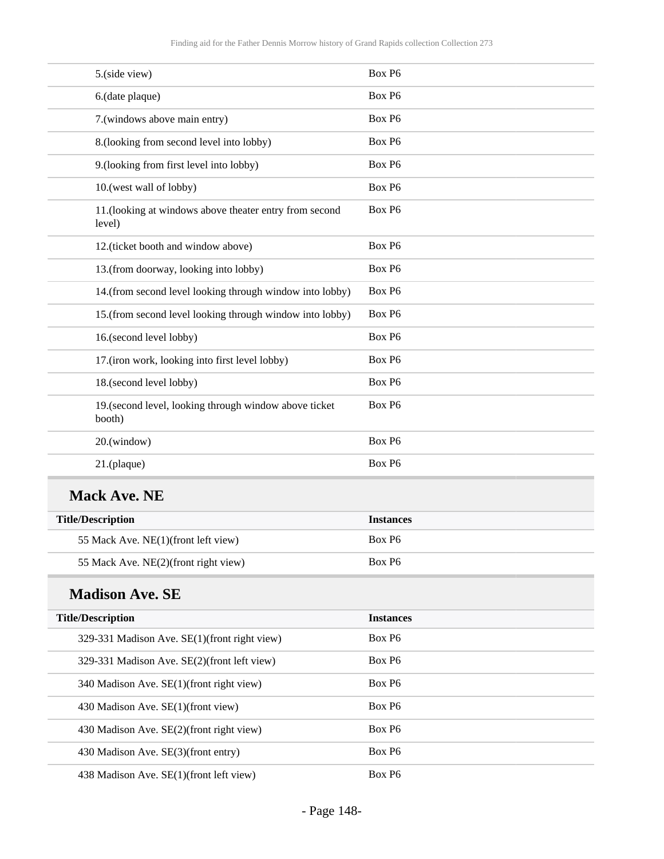| 5.(side view)                                                    | Box P6             |
|------------------------------------------------------------------|--------------------|
| 6.(date plaque)                                                  | Box P6             |
| 7.(windows above main entry)                                     | Box P6             |
| 8.(looking from second level into lobby)                         | Box P <sub>6</sub> |
| 9.(looking from first level into lobby)                          | Box P6             |
| 10.(west wall of lobby)                                          | Box P6             |
| 11.(looking at windows above theater entry from second<br>level) | Box P6             |
| 12.(ticket booth and window above)                               | Box P <sub>6</sub> |
| 13.(from doorway, looking into lobby)                            | Box P6             |
| 14.(from second level looking through window into lobby)         | Box P6             |
| 15.(from second level looking through window into lobby)         | Box P6             |
| 16.(second level lobby)                                          | Box P6             |
| 17.(iron work, looking into first level lobby)                   | Box P6             |
| 18.(second level lobby)                                          | Box P <sub>6</sub> |
| 19. (second level, looking through window above ticket<br>booth) | Box P6             |
| 20.(window)                                                      | Box P <sub>6</sub> |
| 21.(plaque)                                                      | Box P6             |
| <b>Mack Ave. NE</b>                                              |                    |
| <b>Title/Description</b>                                         | <b>Instances</b>   |
| 55 Mack Ave. NE(1)(front left view)                              | Box P <sub>6</sub> |
| 55 Mack Ave. NE(2)(front right view)                             | Box P6             |
| <b>Madison Ave. SE</b>                                           |                    |
| <b>Title/Description</b>                                         | <b>Instances</b>   |
| 329-331 Madison Ave. SE(1)(front right view)                     | Box P6             |
| 329-331 Madison Ave. SE(2)(front left view)                      | Box P6             |
| 340 Madison Ave. SE(1)(front right view)                         | Box P6             |
| 430 Madison Ave. SE(1)(front view)                               | Box P6             |
| 430 Madison Ave. SE(2)(front right view)                         | Box P6             |
| 430 Madison Ave. SE(3)(front entry)                              | Box P6             |
| 438 Madison Ave. SE(1)(front left view)                          | Box P6             |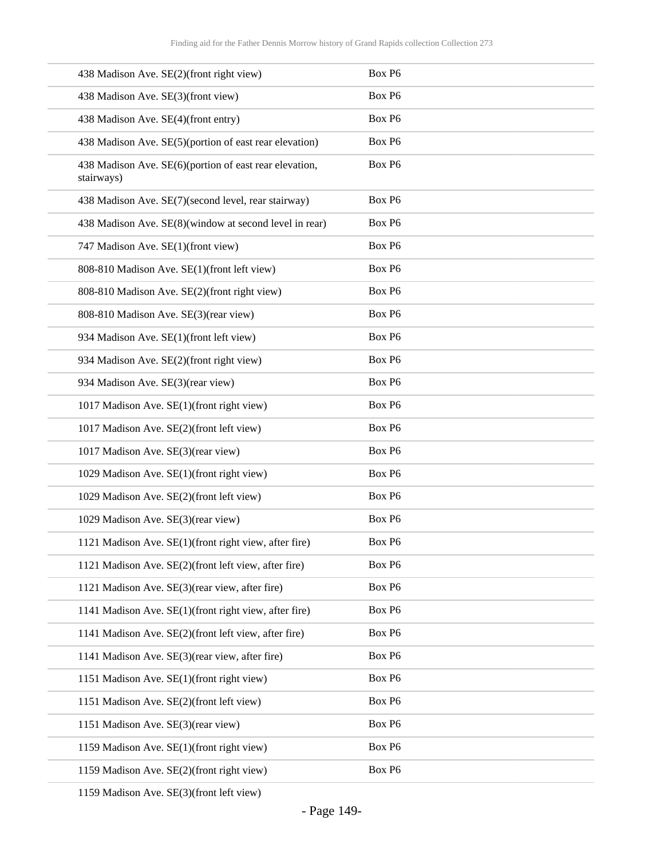| 438 Madison Ave. SE(2)(front right view)                             | Box P6 |
|----------------------------------------------------------------------|--------|
| 438 Madison Ave. SE(3)(front view)                                   | Box P6 |
| 438 Madison Ave. SE(4)(front entry)                                  | Box P6 |
| 438 Madison Ave. SE(5)(portion of east rear elevation)               | Box P6 |
| 438 Madison Ave. SE(6)(portion of east rear elevation,<br>stairways) | Box P6 |
| 438 Madison Ave. SE(7)(second level, rear stairway)                  | Box P6 |
| 438 Madison Ave. SE(8)(window at second level in rear)               | Box P6 |
| 747 Madison Ave. SE(1)(front view)                                   | Box P6 |
| 808-810 Madison Ave. SE(1)(front left view)                          | Box P6 |
| 808-810 Madison Ave. SE(2)(front right view)                         | Box P6 |
| 808-810 Madison Ave. SE(3)(rear view)                                | Box P6 |
| 934 Madison Ave. SE(1)(front left view)                              | Box P6 |
| 934 Madison Ave. SE(2)(front right view)                             | Box P6 |
| 934 Madison Ave. SE(3)(rear view)                                    | Box P6 |
| 1017 Madison Ave. SE(1)(front right view)                            | Box P6 |
| 1017 Madison Ave. SE(2)(front left view)                             | Box P6 |
| 1017 Madison Ave. SE(3)(rear view)                                   | Box P6 |
| 1029 Madison Ave. SE(1)(front right view)                            | Box P6 |
| 1029 Madison Ave. SE(2)(front left view)                             | Box P6 |
| 1029 Madison Ave. SE(3)(rear view)                                   | Box P6 |
| 1121 Madison Ave. SE(1)(front right view, after fire)                | Box P6 |
| 1121 Madison Ave. SE(2)(front left view, after fire)                 | Box P6 |
| 1121 Madison Ave. SE(3)(rear view, after fire)                       | Box P6 |
| 1141 Madison Ave. SE(1)(front right view, after fire)                | Box P6 |
| 1141 Madison Ave. SE(2)(front left view, after fire)                 | Box P6 |
| 1141 Madison Ave. SE(3)(rear view, after fire)                       | Box P6 |
| 1151 Madison Ave. SE(1)(front right view)                            | Box P6 |
| 1151 Madison Ave. SE(2)(front left view)                             | Box P6 |
| 1151 Madison Ave. SE(3)(rear view)                                   | Box P6 |
| 1159 Madison Ave. SE(1)(front right view)                            | Box P6 |
| 1159 Madison Ave. SE(2)(front right view)                            | Box P6 |

1159 Madison Ave. SE(3)(front left view)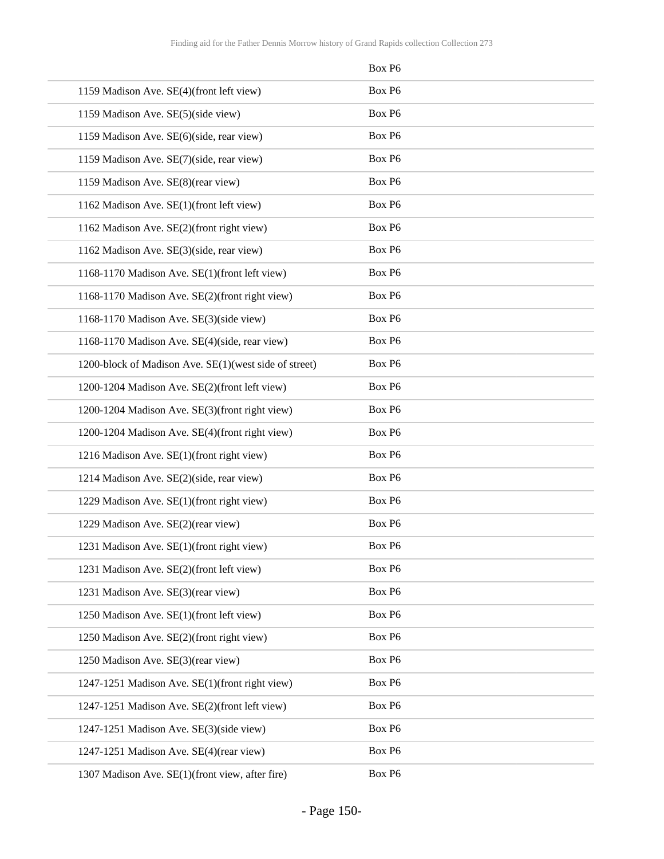|                                                       | Box P6 |
|-------------------------------------------------------|--------|
| 1159 Madison Ave. SE(4)(front left view)              | Box P6 |
| 1159 Madison Ave. SE(5)(side view)                    | Box P6 |
| 1159 Madison Ave. SE(6)(side, rear view)              | Box P6 |
| 1159 Madison Ave. SE(7)(side, rear view)              | Box P6 |
| 1159 Madison Ave. SE(8)(rear view)                    | Box P6 |
| 1162 Madison Ave. SE(1)(front left view)              | Box P6 |
| 1162 Madison Ave. SE(2)(front right view)             | Box P6 |
| 1162 Madison Ave. SE(3)(side, rear view)              | Box P6 |
| 1168-1170 Madison Ave. SE(1)(front left view)         | Box P6 |
| 1168-1170 Madison Ave. SE(2)(front right view)        | Box P6 |
| 1168-1170 Madison Ave. SE(3)(side view)               | Box P6 |
| 1168-1170 Madison Ave. SE(4)(side, rear view)         | Box P6 |
| 1200-block of Madison Ave. SE(1)(west side of street) | Box P6 |
| 1200-1204 Madison Ave. SE(2)(front left view)         | Box P6 |
| 1200-1204 Madison Ave. SE(3)(front right view)        | Box P6 |
| 1200-1204 Madison Ave. SE(4)(front right view)        | Box P6 |
| 1216 Madison Ave. SE(1)(front right view)             | Box P6 |
| 1214 Madison Ave. SE(2)(side, rear view)              | Box P6 |
| 1229 Madison Ave. SE(1)(front right view)             | Box P6 |
| 1229 Madison Ave. SE(2)(rear view)                    | Box P6 |
| 1231 Madison Ave. SE(1)(front right view)             | Box P6 |
| 1231 Madison Ave. SE(2)(front left view)              | Box P6 |
| 1231 Madison Ave. SE(3)(rear view)                    | Box P6 |
| 1250 Madison Ave. SE(1)(front left view)              | Box P6 |
| 1250 Madison Ave. SE(2)(front right view)             | Box P6 |
| 1250 Madison Ave. SE(3)(rear view)                    | Box P6 |
| 1247-1251 Madison Ave. SE(1)(front right view)        | Box P6 |
| 1247-1251 Madison Ave. SE(2)(front left view)         | Box P6 |
| 1247-1251 Madison Ave. SE(3)(side view)               | Box P6 |
| 1247-1251 Madison Ave. SE(4)(rear view)               | Box P6 |
| 1307 Madison Ave. SE(1)(front view, after fire)       | Box P6 |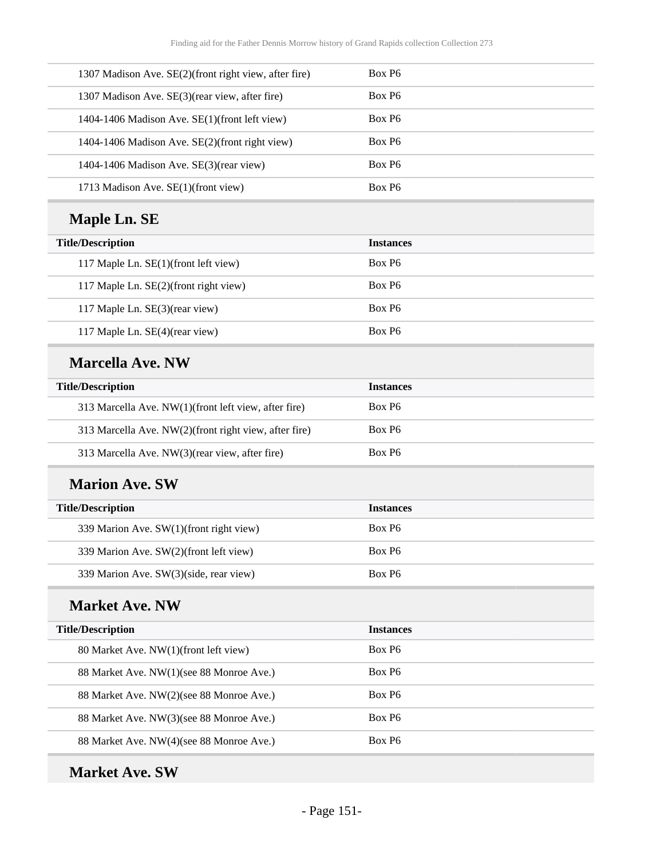| 1307 Madison Ave. SE(2)(front right view, after fire) | Box P <sub>6</sub> |
|-------------------------------------------------------|--------------------|
| 1307 Madison Ave. SE(3) (rear view, after fire)       | Box P <sub>6</sub> |
| 1404-1406 Madison Ave. SE(1)(front left view)         | Box P <sub>6</sub> |
| 1404-1406 Madison Ave. SE(2)(front right view)        | Box P <sub>6</sub> |
| 1404-1406 Madison Ave. $SE(3)$ (rear view)            | Box P <sub>6</sub> |
| 1713 Madison Ave. SE(1)(front view)                   | Box P <sub>6</sub> |

# **Maple Ln. SE**

| <b>Title/Description</b>              | <b>Instances</b>   |
|---------------------------------------|--------------------|
| 117 Maple Ln. SE(1)(front left view)  | Box P <sub>6</sub> |
| 117 Maple Ln. SE(2)(front right view) | Box P <sub>6</sub> |
| 117 Maple Ln. SE(3)(rear view)        | Box P <sub>6</sub> |
| 117 Maple Ln. SE(4)(rear view)        | Box P <sub>6</sub> |

#### **Marcella Ave. NW**

| <b>Title/Description</b>                              | <b>Instances</b>   |
|-------------------------------------------------------|--------------------|
| 313 Marcella Ave. NW(1)(front left view, after fire)  | Box P <sub>6</sub> |
| 313 Marcella Ave. NW(2)(front right view, after fire) | Box P <sub>6</sub> |
| 313 Marcella Ave. NW(3)(rear view, after fire)        | Box P <sub>6</sub> |

#### **Marion Ave. SW**

| <b>Title/Description</b>                | <b>Instances</b>   |
|-----------------------------------------|--------------------|
| 339 Marion Ave. SW(1)(front right view) | Box P <sub>6</sub> |
| 339 Marion Ave. SW(2)(front left view)  | Box P <sub>6</sub> |
| 339 Marion Ave. SW(3)(side, rear view)  | Box P <sub>6</sub> |

### **Market Ave. NW**

| <b>Title/Description</b>                 | <b>Instances</b>   |
|------------------------------------------|--------------------|
| 80 Market Ave. NW(1)(front left view)    | Box P <sub>6</sub> |
| 88 Market Ave. NW(1)(see 88 Monroe Ave.) | Box P <sub>6</sub> |
| 88 Market Ave. NW(2)(see 88 Monroe Ave.) | Box P <sub>6</sub> |
| 88 Market Ave. NW(3)(see 88 Monroe Ave.) | Box P <sub>6</sub> |
| 88 Market Ave. NW(4)(see 88 Monroe Ave.) | Box P <sub>6</sub> |

### **Market Ave. SW**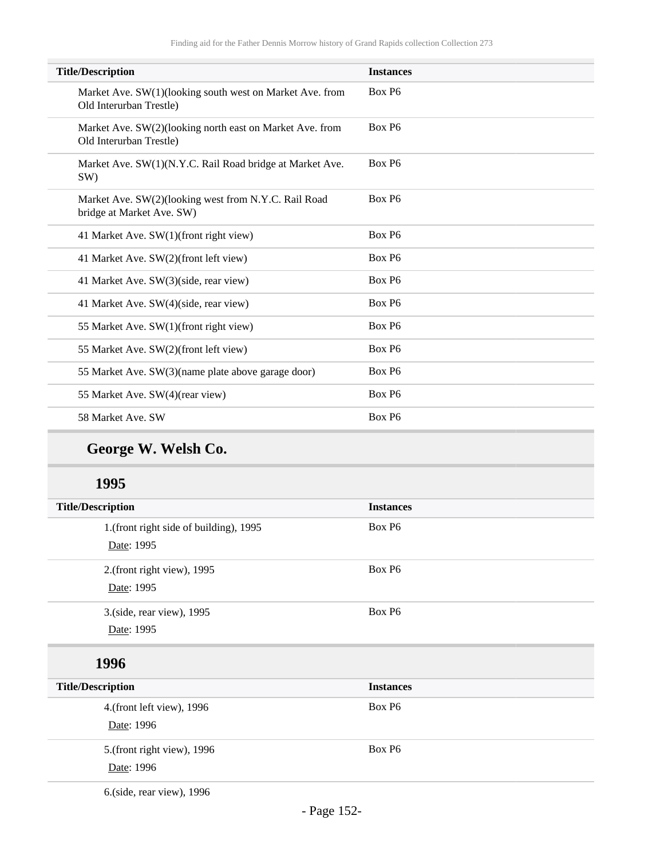| <b>Title/Description</b>                                                            | <b>Instances</b>   |
|-------------------------------------------------------------------------------------|--------------------|
| Market Ave. SW(1)(looking south west on Market Ave. from<br>Old Interurban Trestle) | Box P <sub>6</sub> |
| Market Ave. SW(2)(looking north east on Market Ave. from<br>Old Interurban Trestle) | Box P6             |
| Market Ave. SW(1)(N.Y.C. Rail Road bridge at Market Ave.<br>SW)                     | Box P <sub>6</sub> |
| Market Ave. SW(2)(looking west from N.Y.C. Rail Road<br>bridge at Market Ave. SW)   | Box P6             |
| 41 Market Ave. SW(1)(front right view)                                              | Box P6             |
| 41 Market Ave. SW(2)(front left view)                                               | Box P <sub>6</sub> |
| 41 Market Ave. SW(3)(side, rear view)                                               | Box P <sub>6</sub> |
| 41 Market Ave. SW(4)(side, rear view)                                               | Box P6             |
| 55 Market Ave. SW(1)(front right view)                                              | Box P6             |
| 55 Market Ave. SW(2)(front left view)                                               | Box P6             |
| 55 Market Ave. SW(3)(name plate above garage door)                                  | Box P <sub>6</sub> |
| 55 Market Ave. SW(4)(rear view)                                                     | Box P6             |
| 58 Market Ave. SW                                                                   | Box P <sub>6</sub> |
|                                                                                     |                    |

# **George W. Welsh Co.**

#### **1995**

| <b>Title/Description</b>               | <b>Instances</b> |  |
|----------------------------------------|------------------|--|
| 1.(front right side of building), 1995 | Box P6           |  |
| Date: 1995                             |                  |  |
| 2.(front right view), 1995             | Box P6           |  |
| Date: 1995                             |                  |  |
| 3.(side, rear view), 1995              | Box P6           |  |
| Date: 1995                             |                  |  |
| 1996                                   |                  |  |
| <b>Title/Description</b>               | <b>Instances</b> |  |
| 4.(front left view), 1996              | Box P6           |  |
| Date: 1996                             |                  |  |

5.(front right view), 1996 Date: 1996

6.(side, rear view), 1996

Box P6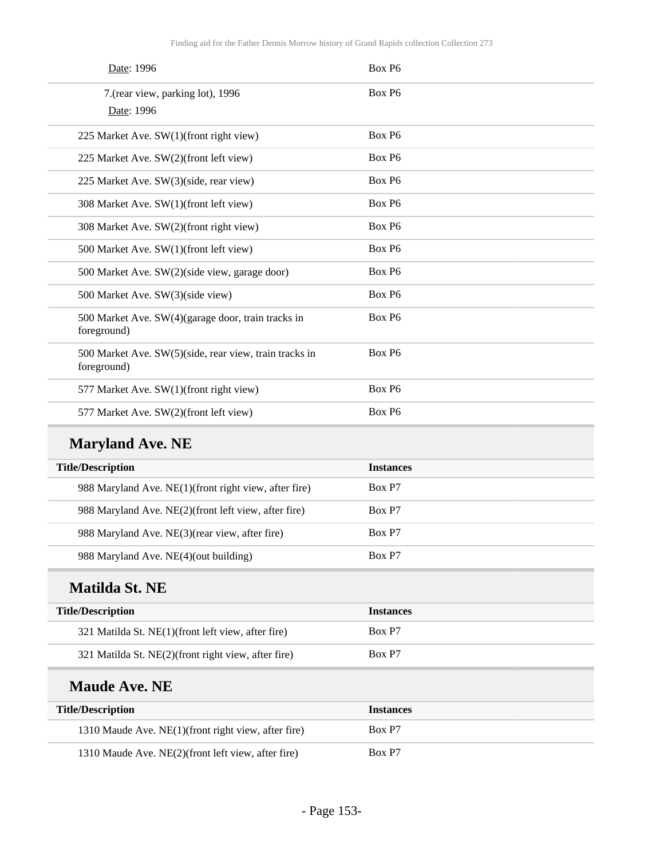| Date: 1996                                                            | Box P6             |
|-----------------------------------------------------------------------|--------------------|
| 7. (rear view, parking lot), 1996                                     | Box P6             |
| Date: 1996                                                            |                    |
| 225 Market Ave. SW(1)(front right view)                               | Box P6             |
| 225 Market Ave. SW(2)(front left view)                                | Box P <sub>6</sub> |
| 225 Market Ave. SW(3)(side, rear view)                                | Box P6             |
| 308 Market Ave. SW(1)(front left view)                                | Box P6             |
| 308 Market Ave. SW(2)(front right view)                               | Box P6             |
| 500 Market Ave. SW(1)(front left view)                                | Box P6             |
| 500 Market Ave. SW(2)(side view, garage door)                         | Box P6             |
| 500 Market Ave. SW(3)(side view)                                      | Box P6             |
| 500 Market Ave. SW(4)(garage door, train tracks in<br>foreground)     | Box P6             |
| 500 Market Ave. SW(5)(side, rear view, train tracks in<br>foreground) | Box P6             |
| 577 Market Ave. SW(1)(front right view)                               | Box P6             |
| 577 Market Ave. SW(2)(front left view)                                | Box P6             |
| <b>Maryland Ave. NE</b>                                               |                    |
| <b>Title/Description</b>                                              | <b>Instances</b>   |
| 988 Maryland Ave. NE(1)(front right view, after fire)                 | Box P7             |
| 988 Maryland Ave. NE(2)(front left view, after fire)                  | Box P7             |
| 988 Maryland Ave. NE(3)(rear view, after fire)                        | Box P7             |
| 988 Maryland Ave. NE(4)(out building)                                 | Box P7             |
| <b>Matilda St. NE</b>                                                 |                    |
| <b>Title/Description</b>                                              | <b>Instances</b>   |
| 321 Matilda St. NE(1)(front left view, after fire)                    | Box P7             |
| 321 Matilda St. NE(2)(front right view, after fire)                   | Box P7             |

### **Maude Ave. NE**

| <b>Title/Description</b>                            | <b>Instances</b> |
|-----------------------------------------------------|------------------|
| 1310 Maude Ave. NE(1)(front right view, after fire) | Box P7           |
| 1310 Maude Ave. NE(2)(front left view, after fire)  | Box P7           |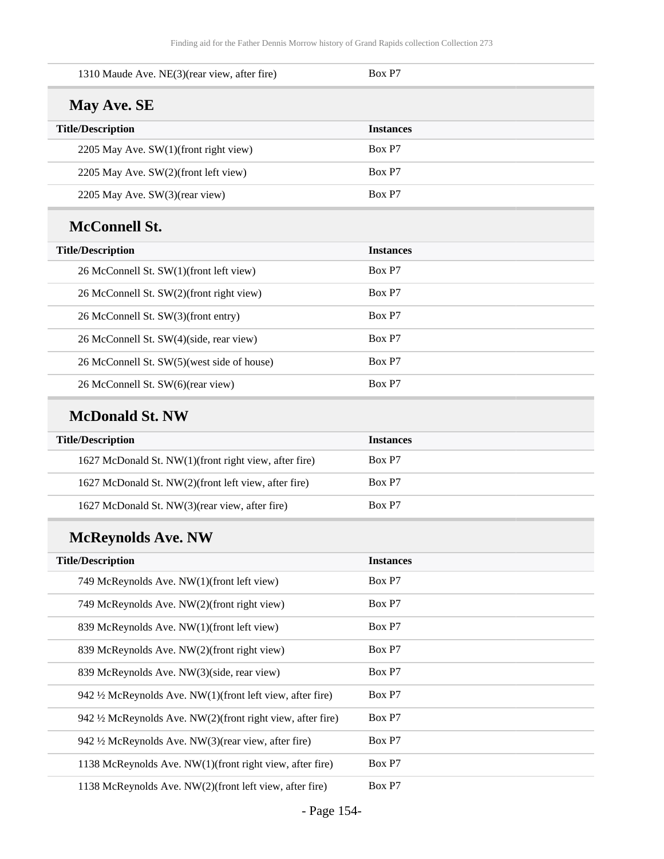| 1310 Maude Ave. NE(3)(rear view, after fire)                | Box P7           |
|-------------------------------------------------------------|------------------|
| May Ave. SE                                                 |                  |
| <b>Title/Description</b>                                    | <b>Instances</b> |
| 2205 May Ave. SW(1)(front right view)                       | Box P7           |
| 2205 May Ave. SW(2)(front left view)                        | Box P7           |
| 2205 May Ave. SW(3)(rear view)                              | Box P7           |
| <b>McConnell St.</b>                                        |                  |
| <b>Title/Description</b>                                    | <b>Instances</b> |
| 26 McConnell St. SW(1)(front left view)                     | Box P7           |
| 26 McConnell St. SW(2)(front right view)                    | Box P7           |
| 26 McConnell St. SW(3)(front entry)                         | Box P7           |
| 26 McConnell St. SW(4)(side, rear view)                     | Box P7           |
| 26 McConnell St. SW(5)(west side of house)                  | Box P7           |
| 26 McConnell St. SW(6)(rear view)                           | Box P7           |
| <b>McDonald St. NW</b>                                      |                  |
| <b>Title/Description</b>                                    | <b>Instances</b> |
| 1627 McDonald St. NW(1)(front right view, after fire)       | Box P7           |
| 1627 McDonald St. NW(2)(front left view, after fire)        | Box P7           |
| 1627 McDonald St. NW(3)(rear view, after fire)              | Box P7           |
| <b>McReynolds Ave. NW</b>                                   |                  |
| <b>Title/Description</b>                                    | <b>Instances</b> |
| 749 McReynolds Ave. NW(1)(front left view)                  | Box P7           |
| 749 McReynolds Ave. NW(2)(front right view)                 | Box P7           |
| 839 McReynolds Ave. NW(1)(front left view)                  | Box P7           |
| 839 McReynolds Ave. NW(2)(front right view)                 | Box P7           |
| 839 McReynolds Ave. NW(3)(side, rear view)                  | Box P7           |
| 942 1/2 McReynolds Ave. NW(1)(front left view, after fire)  | Box P7           |
| 942 1/2 McReynolds Ave. NW(2)(front right view, after fire) | Box P7           |
| 942 1/2 McReynolds Ave. NW(3)(rear view, after fire)        | Box P7           |
| 1138 McReynolds Ave. NW(1)(front right view, after fire)    | Box P7           |
| 1138 McReynolds Ave. NW(2)(front left view, after fire)     | Box P7           |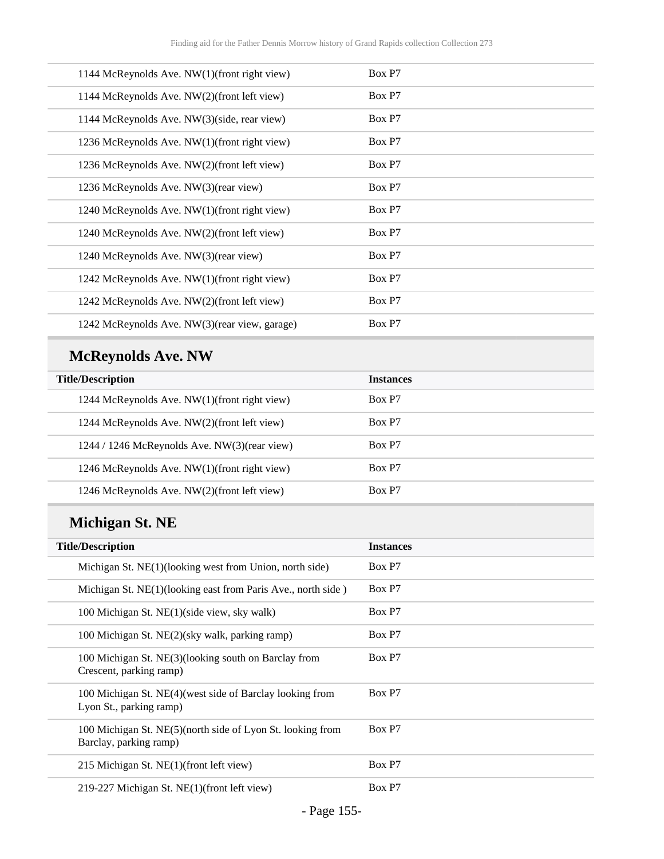| 1144 McReynolds Ave. NW(1)(front right view)   | Box P7 |
|------------------------------------------------|--------|
| 1144 McReynolds Ave. NW(2)(front left view)    | Box P7 |
| 1144 McReynolds Ave. NW(3)(side, rear view)    | Box P7 |
| 1236 McReynolds Ave. NW(1)(front right view)   | Box P7 |
| 1236 McReynolds Ave. NW(2)(front left view)    | Box P7 |
| 1236 McReynolds Ave. NW(3)(rear view)          | Box P7 |
| 1240 McReynolds Ave. NW(1)(front right view)   | Box P7 |
| 1240 McReynolds Ave. NW(2)(front left view)    | Box P7 |
| 1240 McReynolds Ave. NW(3)(rear view)          | Box P7 |
| 1242 McReynolds Ave. NW(1)(front right view)   | Box P7 |
| 1242 McReynolds Ave. NW(2)(front left view)    | Box P7 |
| 1242 McReynolds Ave. NW(3) (rear view, garage) | Box P7 |

# **McReynolds Ave. NW**

| <b>Title/Description</b>                           | <b>Instances</b> |
|----------------------------------------------------|------------------|
| 1244 McReynolds Ave. NW(1)(front right view)       | Box P7           |
| 1244 McReynolds Ave. NW(2)(front left view)        | Box P7           |
| $1244 / 1246$ McReynolds Ave. NW $(3)$ (rear view) | Box P7           |
| 1246 McReynolds Ave. NW(1)(front right view)       | Box P7           |
| 1246 McReynolds Ave. NW(2)(front left view)        | Box P7           |

# **Michigan St. NE**

| <b>Title/Description</b>                                                             | <b>Instances</b> |
|--------------------------------------------------------------------------------------|------------------|
| Michigan St. NE(1)(looking west from Union, north side)                              | Box P7           |
| Michigan St. NE(1)(looking east from Paris Ave., north side)                         | Box P7           |
| 100 Michigan St. NE(1)(side view, sky walk)                                          | Box P7           |
| 100 Michigan St. NE(2)(sky walk, parking ramp)                                       | Box P7           |
| 100 Michigan St. NE(3)(looking south on Barclay from<br>Crescent, parking ramp)      | Box P7           |
| 100 Michigan St. NE(4) (west side of Barclay looking from<br>Lyon St., parking ramp) | Box P7           |
| 100 Michigan St. NE(5)(north side of Lyon St. looking from<br>Barclay, parking ramp) | Box P7           |
| 215 Michigan St. NE(1)(front left view)                                              | Box P7           |
| 219-227 Michigan St. NE(1)(front left view)                                          | Box P7           |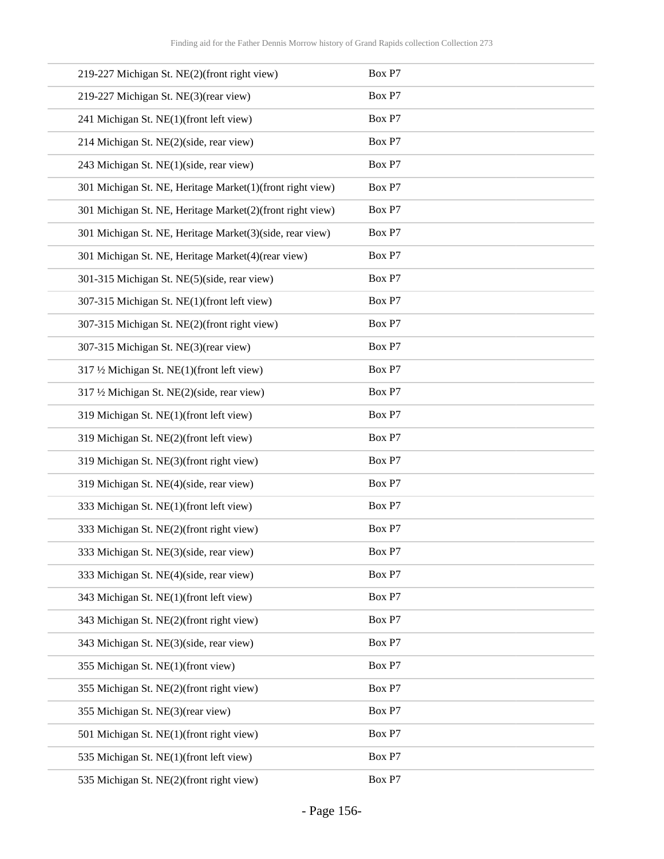| 219-227 Michigan St. NE(2)(front right view)              | Box P7 |
|-----------------------------------------------------------|--------|
| 219-227 Michigan St. NE(3)(rear view)                     | Box P7 |
| 241 Michigan St. NE(1)(front left view)                   | Box P7 |
| 214 Michigan St. NE(2)(side, rear view)                   | Box P7 |
| 243 Michigan St. NE(1)(side, rear view)                   | Box P7 |
| 301 Michigan St. NE, Heritage Market(1)(front right view) | Box P7 |
| 301 Michigan St. NE, Heritage Market(2)(front right view) | Box P7 |
| 301 Michigan St. NE, Heritage Market(3)(side, rear view)  | Box P7 |
| 301 Michigan St. NE, Heritage Market(4)(rear view)        | Box P7 |
| 301-315 Michigan St. NE(5)(side, rear view)               | Box P7 |
| 307-315 Michigan St. NE(1)(front left view)               | Box P7 |
| 307-315 Michigan St. NE(2)(front right view)              | Box P7 |
| 307-315 Michigan St. NE(3)(rear view)                     | Box P7 |
| 317 1/2 Michigan St. NE(1)(front left view)               | Box P7 |
| 317 1/2 Michigan St. NE(2)(side, rear view)               | Box P7 |
| 319 Michigan St. NE(1)(front left view)                   | Box P7 |
| 319 Michigan St. NE(2)(front left view)                   | Box P7 |
| 319 Michigan St. NE(3)(front right view)                  | Box P7 |
| 319 Michigan St. NE(4)(side, rear view)                   | Box P7 |
| 333 Michigan St. NE(1)(front left view)                   | Box P7 |
| 333 Michigan St. NE(2)(front right view)                  | Box P7 |
| 333 Michigan St. NE(3)(side, rear view)                   | Box P7 |
| 333 Michigan St. NE(4)(side, rear view)                   | Box P7 |
| 343 Michigan St. NE(1)(front left view)                   | Box P7 |
| 343 Michigan St. NE(2)(front right view)                  | Box P7 |
| 343 Michigan St. NE(3)(side, rear view)                   | Box P7 |
| 355 Michigan St. NE(1)(front view)                        | Box P7 |
| 355 Michigan St. NE(2)(front right view)                  | Box P7 |
| 355 Michigan St. NE(3)(rear view)                         | Box P7 |
| 501 Michigan St. NE(1)(front right view)                  | Box P7 |
| 535 Michigan St. NE(1)(front left view)                   | Box P7 |
| 535 Michigan St. NE(2)(front right view)                  | Box P7 |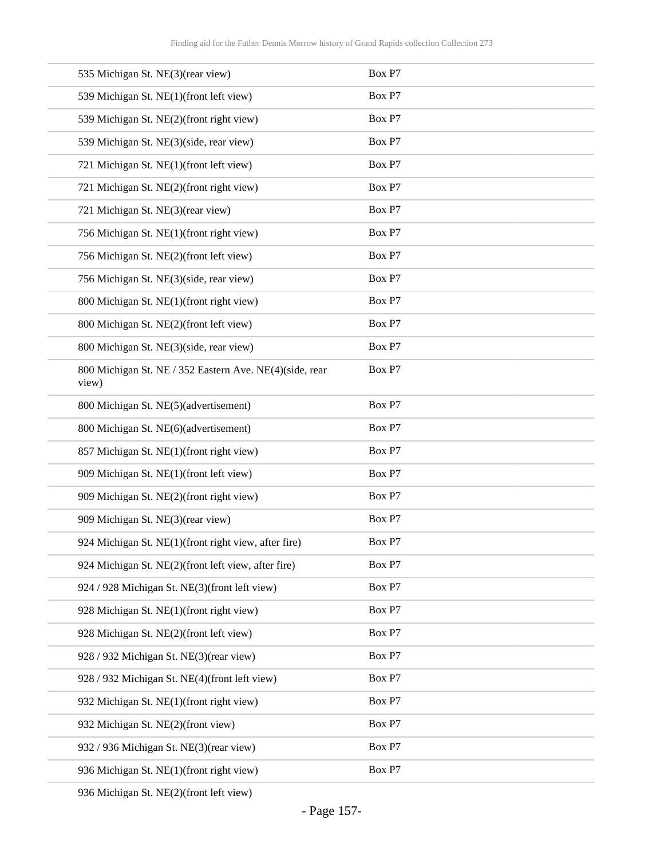| 535 Michigan St. NE(3)(rear view)                                | Box P7 |
|------------------------------------------------------------------|--------|
| 539 Michigan St. NE(1)(front left view)                          | Box P7 |
| 539 Michigan St. NE(2)(front right view)                         | Box P7 |
| 539 Michigan St. NE(3)(side, rear view)                          | Box P7 |
| 721 Michigan St. NE(1)(front left view)                          | Box P7 |
| 721 Michigan St. NE(2)(front right view)                         | Box P7 |
| 721 Michigan St. NE(3)(rear view)                                | Box P7 |
| 756 Michigan St. NE(1)(front right view)                         | Box P7 |
| 756 Michigan St. NE(2)(front left view)                          | Box P7 |
| 756 Michigan St. NE(3)(side, rear view)                          | Box P7 |
| 800 Michigan St. NE(1)(front right view)                         | Box P7 |
| 800 Michigan St. NE(2)(front left view)                          | Box P7 |
| 800 Michigan St. NE(3)(side, rear view)                          | Box P7 |
| 800 Michigan St. NE / 352 Eastern Ave. NE(4)(side, rear<br>view) | Box P7 |
| 800 Michigan St. NE(5)(advertisement)                            | Box P7 |
| 800 Michigan St. NE(6)(advertisement)                            | Box P7 |
| 857 Michigan St. NE(1)(front right view)                         | Box P7 |
| 909 Michigan St. NE(1)(front left view)                          | Box P7 |
| 909 Michigan St. NE(2)(front right view)                         | Box P7 |
| 909 Michigan St. NE(3)(rear view)                                | Box P7 |
| 924 Michigan St. NE(1)(front right view, after fire)             | Box P7 |
| 924 Michigan St. NE(2)(front left view, after fire)              | Box P7 |
| 924 / 928 Michigan St. NE(3)(front left view)                    | Box P7 |
| 928 Michigan St. NE(1)(front right view)                         | Box P7 |
| 928 Michigan St. NE(2)(front left view)                          | Box P7 |
| 928 / 932 Michigan St. NE(3)(rear view)                          | Box P7 |
| 928 / 932 Michigan St. NE(4)(front left view)                    | Box P7 |
| 932 Michigan St. NE(1)(front right view)                         | Box P7 |
| 932 Michigan St. NE(2)(front view)                               | Box P7 |
| 932 / 936 Michigan St. NE(3)(rear view)                          | Box P7 |
| 936 Michigan St. NE(1)(front right view)                         | Box P7 |
|                                                                  |        |

936 Michigan St. NE(2)(front left view)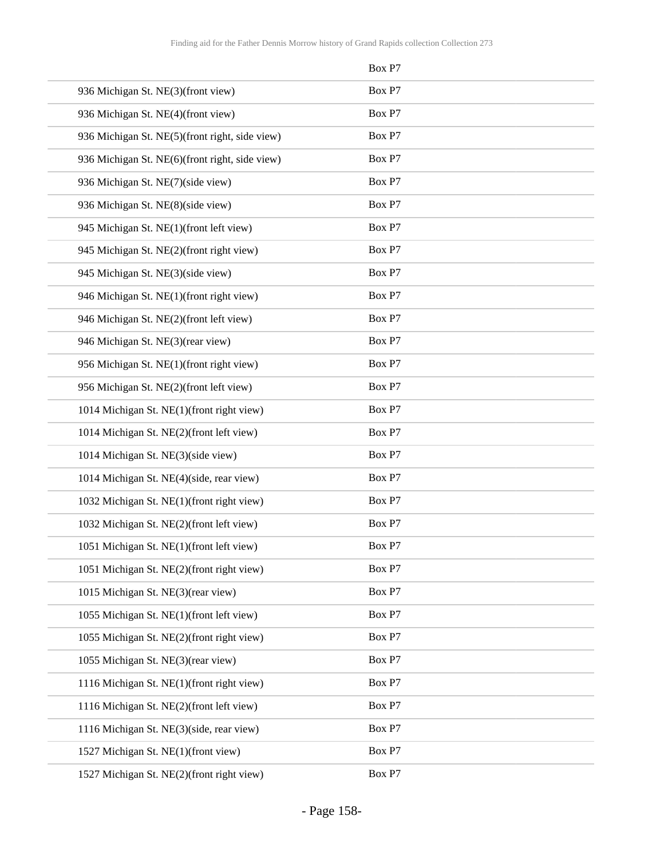|                                                | Box P7 |
|------------------------------------------------|--------|
| 936 Michigan St. NE(3)(front view)             | Box P7 |
| 936 Michigan St. NE(4)(front view)             | Box P7 |
| 936 Michigan St. NE(5)(front right, side view) | Box P7 |
| 936 Michigan St. NE(6)(front right, side view) | Box P7 |
| 936 Michigan St. NE(7)(side view)              | Box P7 |
| 936 Michigan St. NE(8)(side view)              | Box P7 |
| 945 Michigan St. NE(1)(front left view)        | Box P7 |
| 945 Michigan St. NE(2)(front right view)       | Box P7 |
| 945 Michigan St. NE(3)(side view)              | Box P7 |
| 946 Michigan St. NE(1)(front right view)       | Box P7 |
| 946 Michigan St. NE(2)(front left view)        | Box P7 |
| 946 Michigan St. NE(3)(rear view)              | Box P7 |
| 956 Michigan St. NE(1)(front right view)       | Box P7 |
| 956 Michigan St. NE(2)(front left view)        | Box P7 |
| 1014 Michigan St. NE(1)(front right view)      | Box P7 |
| 1014 Michigan St. NE(2)(front left view)       | Box P7 |
| 1014 Michigan St. NE(3)(side view)             | Box P7 |
| 1014 Michigan St. NE(4)(side, rear view)       | Box P7 |
| 1032 Michigan St. NE(1)(front right view)      | Box P7 |
| 1032 Michigan St. NE(2)(front left view)       | Box P7 |
| 1051 Michigan St. NE(1)(front left view)       | Box P7 |
| 1051 Michigan St. NE(2)(front right view)      | Box P7 |
| 1015 Michigan St. NE(3)(rear view)             | Box P7 |
| 1055 Michigan St. NE(1)(front left view)       | Box P7 |
| 1055 Michigan St. NE(2)(front right view)      | Box P7 |
| 1055 Michigan St. NE(3)(rear view)             | Box P7 |
| 1116 Michigan St. NE(1)(front right view)      | Box P7 |
| 1116 Michigan St. NE(2)(front left view)       | Box P7 |
| 1116 Michigan St. NE(3)(side, rear view)       | Box P7 |
| 1527 Michigan St. NE(1)(front view)            | Box P7 |
| 1527 Michigan St. NE(2)(front right view)      | Box P7 |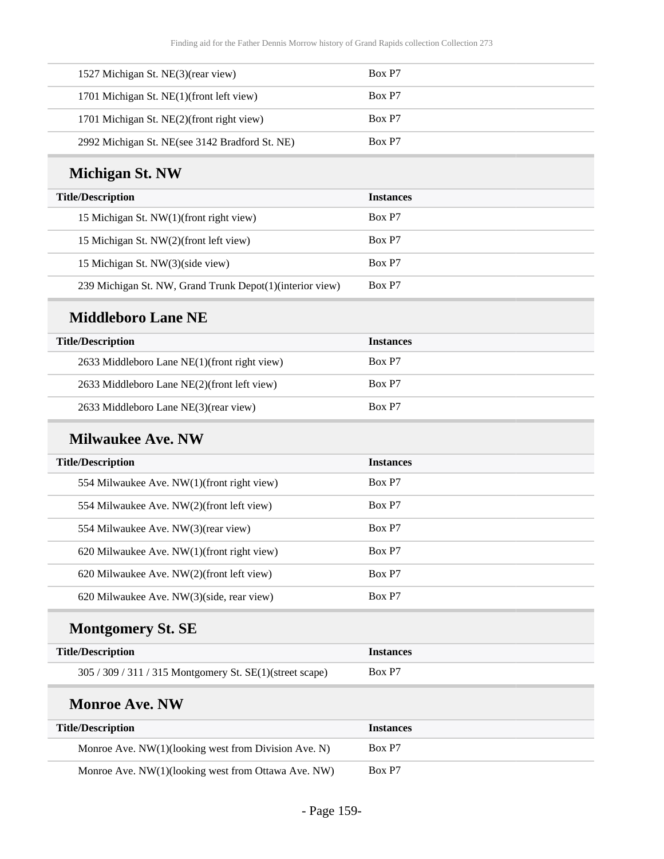| 1527 Michigan St. NE(3)(rear view)             | Box P7 |
|------------------------------------------------|--------|
| 1701 Michigan St. NE(1)(front left view)       | Box P7 |
| 1701 Michigan St. NE(2)(front right view)      | Box P7 |
| 2992 Michigan St. NE(see 3142 Bradford St. NE) | Box P7 |

### **Michigan St. NW**

| <b>Title/Description</b>                                  | <b>Instances</b> |
|-----------------------------------------------------------|------------------|
| 15 Michigan St. NW(1)(front right view)                   | Box P7           |
| 15 Michigan St. NW(2)(front left view)                    | Box P7           |
| 15 Michigan St. NW(3)(side view)                          | Box P7           |
| 239 Michigan St. NW, Grand Trunk Depot(1) (interior view) | Box P7           |

#### **Middleboro Lane NE**

| <b>Title/Description</b>                     | <b>Instances</b> |
|----------------------------------------------|------------------|
| 2633 Middleboro Lane NE(1)(front right view) | Box P7           |
| 2633 Middleboro Lane NE(2)(front left view)  | Box P7           |
| 2633 Middleboro Lane NE(3)(rear view)        | Box P7           |

#### **Milwaukee Ave. NW**

| <b>Title/Description</b>                      | <b>Instances</b> |
|-----------------------------------------------|------------------|
| 554 Milwaukee Ave. NW(1)(front right view)    | Box P7           |
| 554 Milwaukee Ave. NW(2)(front left view)     | Box P7           |
| 554 Milwaukee Ave. NW(3)(rear view)           | Box P7           |
| 620 Milwaukee Ave. $NW(1)$ (front right view) | Box P7           |
| 620 Milwaukee Ave. NW(2)(front left view)     | Box P7           |
| 620 Milwaukee Ave. NW(3)(side, rear view)     | Box P7           |

# **Montgomery St. SE**

| <b>Title/Description</b>                                 | <b>Instances</b> |
|----------------------------------------------------------|------------------|
| 305 / 309 / 311 / 315 Montgomery St. SE(1)(street scape) | Box P7           |

#### **Monroe Ave. NW**

| Title/Description                                      | <b>Instances</b> |
|--------------------------------------------------------|------------------|
| Monroe Ave. $NW(1)(looking$ west from Division Ave. N) | Box P7           |
| Monroe Ave. NW(1)(looking west from Ottawa Ave. NW)    | Box P7           |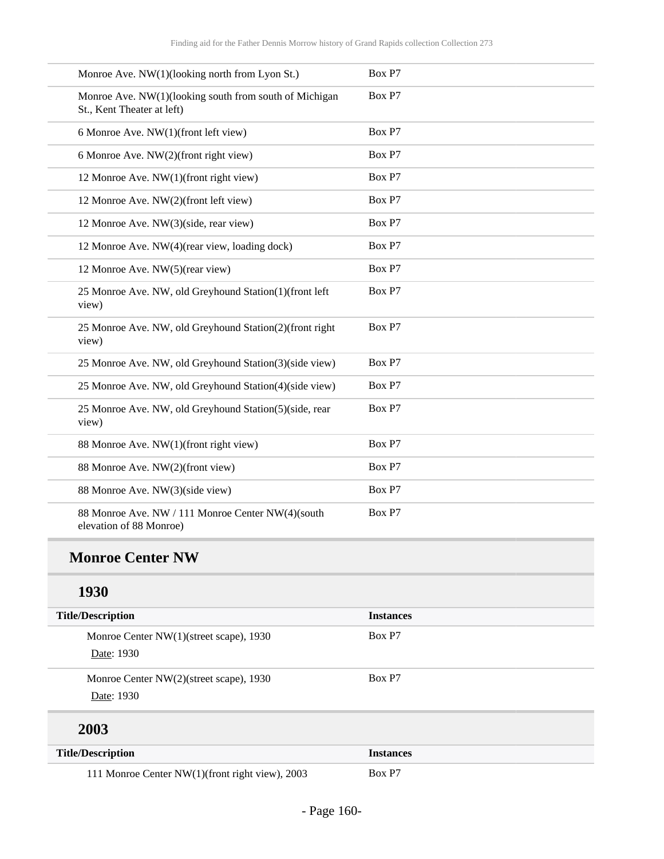| Monroe Ave. NW(1)(looking north from Lyon St.)                                       | Box P7 |
|--------------------------------------------------------------------------------------|--------|
| Monroe Ave. NW(1)(looking south from south of Michigan<br>St., Kent Theater at left) | Box P7 |
| 6 Monroe Ave. NW(1)(front left view)                                                 | Box P7 |
| 6 Monroe Ave. NW(2)(front right view)                                                | Box P7 |
| 12 Monroe Ave. NW(1)(front right view)                                               | Box P7 |
| 12 Monroe Ave. NW(2)(front left view)                                                | Box P7 |
| 12 Monroe Ave. NW(3)(side, rear view)                                                | Box P7 |
| 12 Monroe Ave. NW(4)(rear view, loading dock)                                        | Box P7 |
| 12 Monroe Ave. NW(5)(rear view)                                                      | Box P7 |
| 25 Monroe Ave. NW, old Greyhound Station(1)(front left<br>view)                      | Box P7 |
| 25 Monroe Ave. NW, old Greyhound Station(2)(front right<br>view)                     | Box P7 |
| 25 Monroe Ave. NW, old Greyhound Station(3)(side view)                               | Box P7 |
| 25 Monroe Ave. NW, old Greyhound Station(4)(side view)                               | Box P7 |
| 25 Monroe Ave. NW, old Greyhound Station(5)(side, rear<br>view)                      | Box P7 |
| 88 Monroe Ave. NW(1)(front right view)                                               | Box P7 |
| 88 Monroe Ave. NW(2)(front view)                                                     | Box P7 |
| 88 Monroe Ave. NW(3)(side view)                                                      | Box P7 |
| 88 Monroe Ave. NW / 111 Monroe Center NW(4)(south<br>elevation of 88 Monroe)         | Box P7 |

### **1930**

| <b>Title/Description</b>                              | <b>Instances</b> |
|-------------------------------------------------------|------------------|
| Monroe Center NW(1)(street scape), 1930<br>Date: 1930 | Box P7           |
| Monroe Center NW(2)(street scape), 1930<br>Date: 1930 | Box P7           |
| 2003                                                  |                  |
| <b>Title/Description</b>                              | <b>Instances</b> |

111 Monroe Center NW(1)(front right view), 2003 Box P7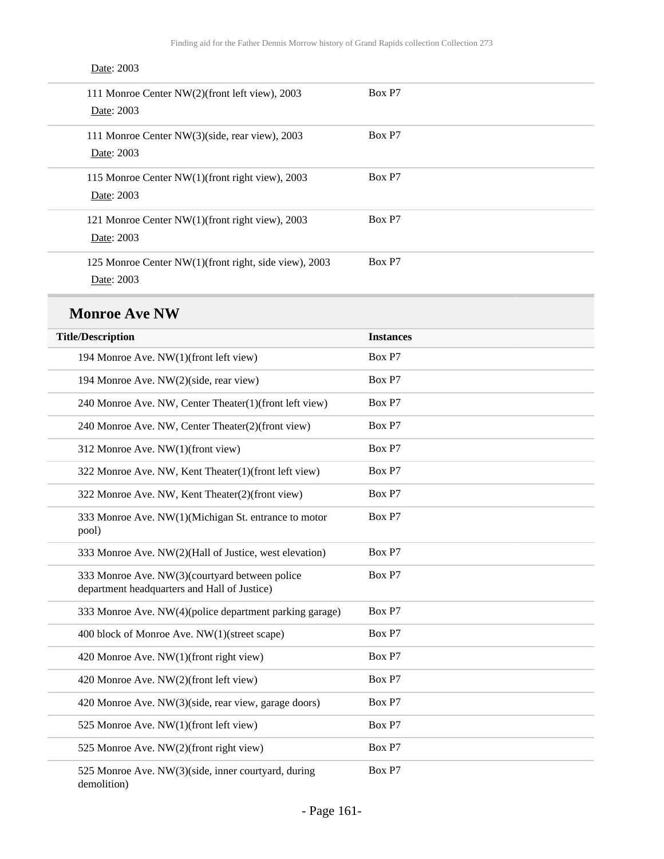| 111 Monroe Center NW(2)(front left view), 2003        | Box P7 |
|-------------------------------------------------------|--------|
| Date: 2003                                            |        |
| 111 Monroe Center NW(3)(side, rear view), 2003        | Box P7 |
| Date: 2003                                            |        |
| 115 Monroe Center NW(1)(front right view), 2003       | Box P7 |
| Date: 2003                                            |        |
| 121 Monroe Center NW(1)(front right view), 2003       | Box P7 |
| Date: 2003                                            |        |
| 125 Monroe Center NW(1)(front right, side view), 2003 | Box P7 |
| Date: 2003                                            |        |

#### Date: 2003

### **Monroe Ave NW**

| <b>Title/Description</b>                                                                       | <b>Instances</b> |
|------------------------------------------------------------------------------------------------|------------------|
| 194 Monroe Ave. NW(1)(front left view)                                                         | Box P7           |
| 194 Monroe Ave. NW(2)(side, rear view)                                                         | Box P7           |
| 240 Monroe Ave. NW, Center Theater(1)(front left view)                                         | Box P7           |
| 240 Monroe Ave. NW, Center Theater(2)(front view)                                              | Box P7           |
| 312 Monroe Ave. NW(1)(front view)                                                              | Box P7           |
| 322 Monroe Ave. NW, Kent Theater(1)(front left view)                                           | Box P7           |
| 322 Monroe Ave. NW, Kent Theater(2)(front view)                                                | Box P7           |
| 333 Monroe Ave. NW(1)(Michigan St. entrance to motor<br>pool)                                  | Box P7           |
| 333 Monroe Ave. NW(2)(Hall of Justice, west elevation)                                         | Box P7           |
| 333 Monroe Ave. NW(3)(courtyard between police<br>department headquarters and Hall of Justice) | Box P7           |
| 333 Monroe Ave. NW(4)(police department parking garage)                                        | Box P7           |
| 400 block of Monroe Ave. NW(1)(street scape)                                                   | Box P7           |
| 420 Monroe Ave. NW(1)(front right view)                                                        | Box P7           |
| 420 Monroe Ave. NW(2)(front left view)                                                         | Box P7           |
| 420 Monroe Ave. NW(3)(side, rear view, garage doors)                                           | Box P7           |
| 525 Monroe Ave. NW(1)(front left view)                                                         | Box P7           |
| 525 Monroe Ave. NW(2)(front right view)                                                        | Box P7           |
| 525 Monroe Ave. NW(3)(side, inner courtyard, during                                            | Box P7           |

demolition)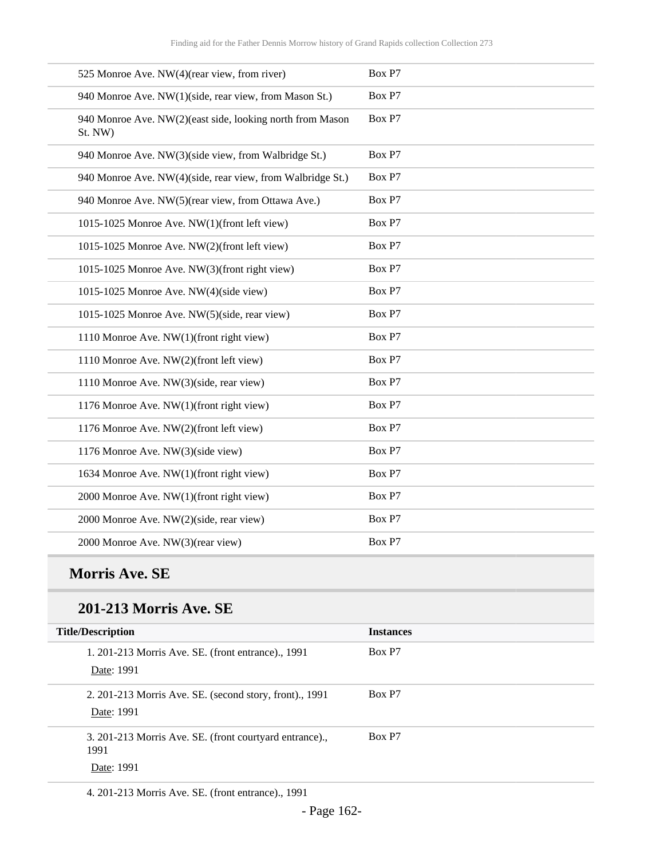| Box P7 |
|--------|
| Box P7 |
| Box P7 |
| Box P7 |
| Box P7 |
| Box P7 |
| Box P7 |
| Box P7 |
| Box P7 |
| Box P7 |
| Box P7 |
| Box P7 |
| Box P7 |
| Box P7 |
| Box P7 |
| Box P7 |
| Box P7 |
| Box P7 |
| Box P7 |
| Box P7 |
| Box P7 |
|        |

### **Morris Ave. SE**

#### **201-213 Morris Ave. SE**

| <b>Title/Description</b>                                              | <b>Instances</b> |
|-----------------------------------------------------------------------|------------------|
| 1. 201-213 Morris Ave. SE. (front entrance)., 1991<br>Date: 1991      | Box P7           |
| 2. 201-213 Morris Ave. SE. (second story, front)., 1991<br>Date: 1991 | Box P7           |
| 3. 201-213 Morris Ave. SE. (front courtyard entrance).,<br>1991       | Box P7           |
| Date: 1991                                                            |                  |

4. 201-213 Morris Ave. SE. (front entrance)., 1991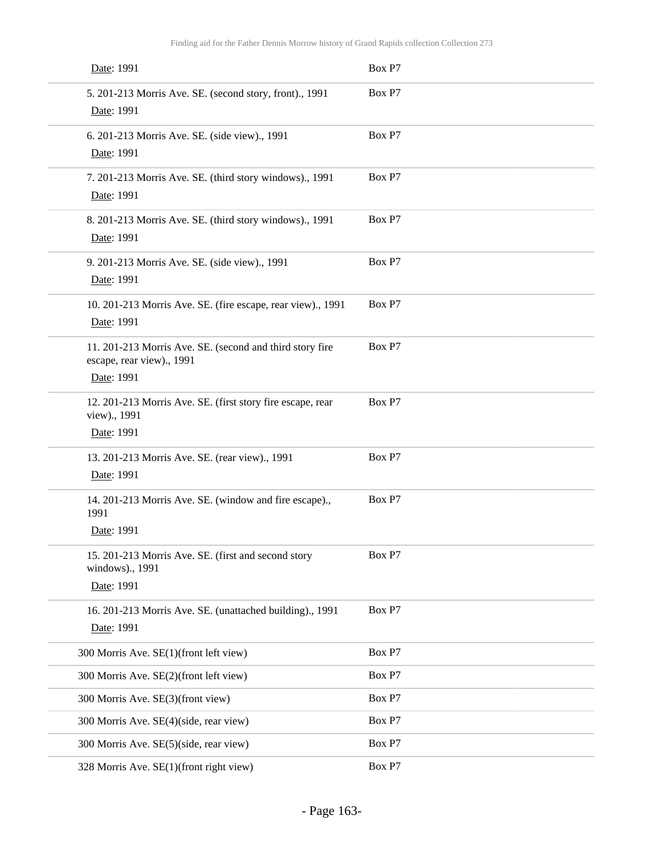| Date: 1991                                                                                          | Box P7 |
|-----------------------------------------------------------------------------------------------------|--------|
| 5. 201-213 Morris Ave. SE. (second story, front)., 1991<br>Date: 1991                               | Box P7 |
| 6. 201-213 Morris Ave. SE. (side view)., 1991<br>Date: 1991                                         | Box P7 |
| 7. 201-213 Morris Ave. SE. (third story windows)., 1991<br>Date: 1991                               | Box P7 |
| 8. 201-213 Morris Ave. SE. (third story windows)., 1991<br>Date: 1991                               | Box P7 |
| 9. 201-213 Morris Ave. SE. (side view)., 1991<br>Date: 1991                                         | Box P7 |
| 10. 201-213 Morris Ave. SE. (fire escape, rear view)., 1991<br>Date: 1991                           | Box P7 |
| 11. 201-213 Morris Ave. SE. (second and third story fire<br>escape, rear view)., 1991<br>Date: 1991 | Box P7 |
| 12. 201-213 Morris Ave. SE. (first story fire escape, rear<br>view)., 1991<br>Date: 1991            | Box P7 |
| 13. 201-213 Morris Ave. SE. (rear view)., 1991<br>Date: 1991                                        | Box P7 |
| 14. 201-213 Morris Ave. SE. (window and fire escape).,<br>1991<br>Date: 1991                        | Box P7 |
| 15. 201-213 Morris Ave. SE. (first and second story<br>windows)., 1991<br>Date: 1991                | Box P7 |
| 16. 201-213 Morris Ave. SE. (unattached building)., 1991<br>Date: 1991                              | Box P7 |
| 300 Morris Ave. SE(1)(front left view)                                                              | Box P7 |
| 300 Morris Ave. SE(2)(front left view)                                                              | Box P7 |
| 300 Morris Ave. SE(3)(front view)                                                                   | Box P7 |
| 300 Morris Ave. SE(4)(side, rear view)                                                              | Box P7 |
| 300 Morris Ave. SE(5)(side, rear view)                                                              | Box P7 |
| 328 Morris Ave. SE(1)(front right view)                                                             | Box P7 |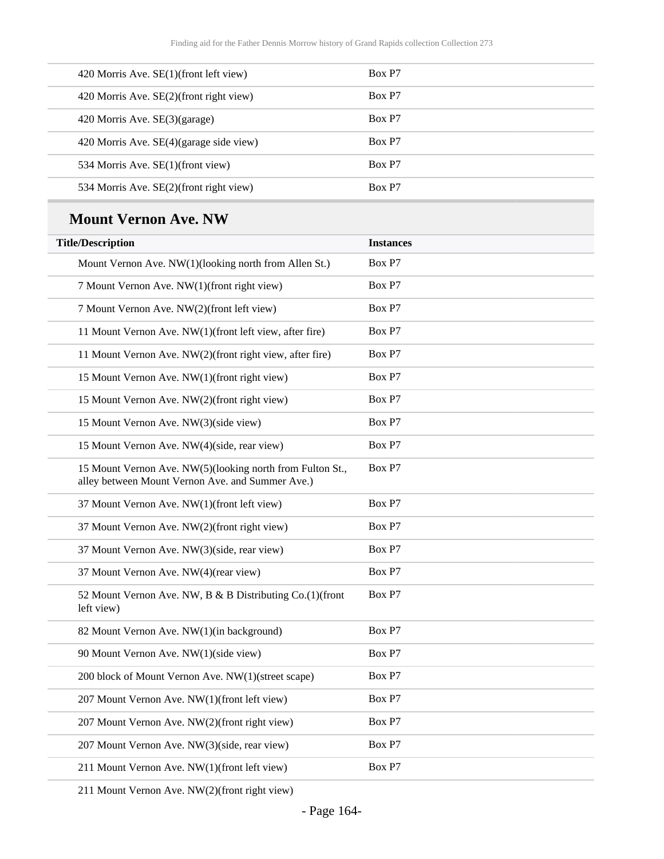| 420 Morris Ave. $SE(1)$ (front left view) | Box P <sub>7</sub> |
|-------------------------------------------|--------------------|
| 420 Morris Ave. SE(2)(front right view)   | Box P7             |
| 420 Morris Ave. SE(3)(garage)             | Box P7             |
| 420 Morris Ave. SE(4)(garage side view)   | Box P7             |
| 534 Morris Ave. SE(1)(front view)         | Box P7             |
| 534 Morris Ave. SE(2)(front right view)   | Box P7             |

### **Mount Vernon Ave. NW**

| <b>Title/Description</b>                                                                                      | <b>Instances</b> |
|---------------------------------------------------------------------------------------------------------------|------------------|
| Mount Vernon Ave. NW(1)(looking north from Allen St.)                                                         | Box P7           |
| 7 Mount Vernon Ave. NW(1)(front right view)                                                                   | Box P7           |
| 7 Mount Vernon Ave. NW(2)(front left view)                                                                    | Box P7           |
| 11 Mount Vernon Ave. NW(1)(front left view, after fire)                                                       | Box P7           |
| 11 Mount Vernon Ave. NW(2)(front right view, after fire)                                                      | Box P7           |
| 15 Mount Vernon Ave. NW(1)(front right view)                                                                  | Box P7           |
| 15 Mount Vernon Ave. NW(2)(front right view)                                                                  | Box P7           |
| 15 Mount Vernon Ave. NW(3)(side view)                                                                         | Box P7           |
| 15 Mount Vernon Ave. NW(4)(side, rear view)                                                                   | Box P7           |
| 15 Mount Vernon Ave. NW(5)(looking north from Fulton St.,<br>alley between Mount Vernon Ave. and Summer Ave.) | Box P7           |
| 37 Mount Vernon Ave. NW(1)(front left view)                                                                   | Box P7           |
| 37 Mount Vernon Ave. NW(2)(front right view)                                                                  | Box P7           |
| 37 Mount Vernon Ave. NW(3)(side, rear view)                                                                   | Box P7           |
| 37 Mount Vernon Ave. NW(4)(rear view)                                                                         | Box P7           |
| 52 Mount Vernon Ave. NW, B & B Distributing Co.(1)(front<br>left view)                                        | Box P7           |
| 82 Mount Vernon Ave. NW(1)(in background)                                                                     | Box P7           |
| 90 Mount Vernon Ave. NW(1)(side view)                                                                         | Box P7           |
| 200 block of Mount Vernon Ave. NW(1)(street scape)                                                            | Box P7           |
| 207 Mount Vernon Ave. NW(1)(front left view)                                                                  | Box P7           |
| 207 Mount Vernon Ave. NW(2)(front right view)                                                                 | Box P7           |
| 207 Mount Vernon Ave. NW(3)(side, rear view)                                                                  | Box P7           |
| 211 Mount Vernon Ave. NW(1)(front left view)                                                                  | Box P7           |
|                                                                                                               |                  |

211 Mount Vernon Ave. NW(2)(front right view)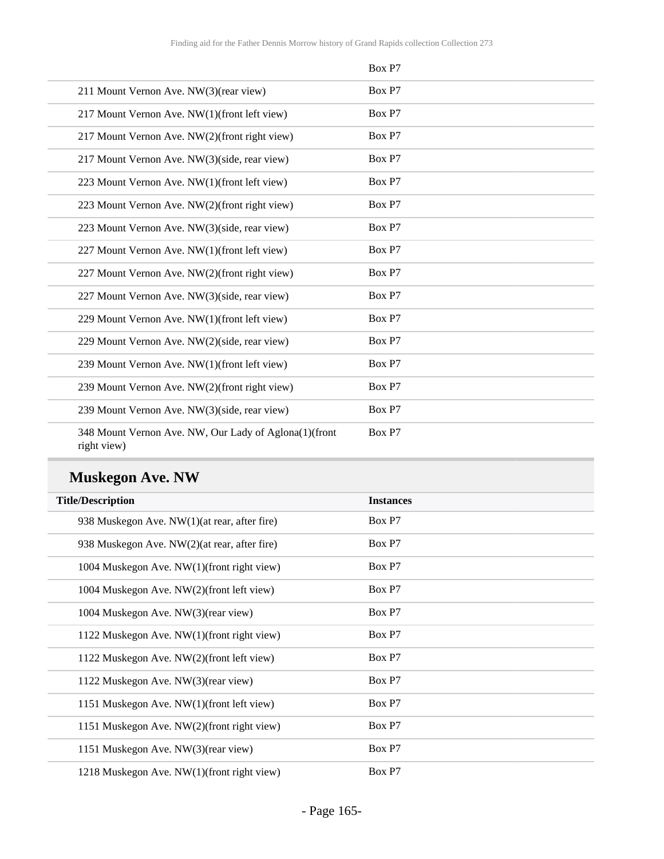|                                                                      | Box P7 |
|----------------------------------------------------------------------|--------|
| 211 Mount Vernon Ave. NW(3)(rear view)                               | Box P7 |
| 217 Mount Vernon Ave. NW(1)(front left view)                         | Box P7 |
| 217 Mount Vernon Ave. NW(2)(front right view)                        | Box P7 |
| 217 Mount Vernon Ave. NW(3)(side, rear view)                         | Box P7 |
| 223 Mount Vernon Ave. NW(1)(front left view)                         | Box P7 |
| 223 Mount Vernon Ave. NW(2)(front right view)                        | Box P7 |
| 223 Mount Vernon Ave. NW(3)(side, rear view)                         | Box P7 |
| 227 Mount Vernon Ave. NW(1)(front left view)                         | Box P7 |
| 227 Mount Vernon Ave. NW(2)(front right view)                        | Box P7 |
| 227 Mount Vernon Ave. NW(3)(side, rear view)                         | Box P7 |
| 229 Mount Vernon Ave. NW(1)(front left view)                         | Box P7 |
| 229 Mount Vernon Ave. NW(2)(side, rear view)                         | Box P7 |
| 239 Mount Vernon Ave. NW(1)(front left view)                         | Box P7 |
| 239 Mount Vernon Ave. NW(2)(front right view)                        | Box P7 |
| 239 Mount Vernon Ave. NW(3)(side, rear view)                         | Box P7 |
| 348 Mount Vernon Ave. NW, Our Lady of Aglona(1)(front<br>right view) | Box P7 |

# **Muskegon Ave. NW**

| <b>Title/Description</b>                     | <b>Instances</b> |
|----------------------------------------------|------------------|
| 938 Muskegon Ave. NW(1)(at rear, after fire) | Box P7           |
| 938 Muskegon Ave. NW(2)(at rear, after fire) | Box P7           |
| 1004 Muskegon Ave. NW(1)(front right view)   | Box P7           |
| 1004 Muskegon Ave. NW(2)(front left view)    | Box P7           |
| 1004 Muskegon Ave. NW(3)(rear view)          | Box P7           |
| 1122 Muskegon Ave. NW(1)(front right view)   | Box P7           |
| 1122 Muskegon Ave. NW(2)(front left view)    | Box P7           |
| 1122 Muskegon Ave. NW(3)(rear view)          | Box P7           |
| 1151 Muskegon Ave. NW(1)(front left view)    | Box P7           |
| 1151 Muskegon Ave. NW(2)(front right view)   | Box P7           |
| 1151 Muskegon Ave. NW(3)(rear view)          | Box P7           |
| 1218 Muskegon Ave. NW(1)(front right view)   | Box P7           |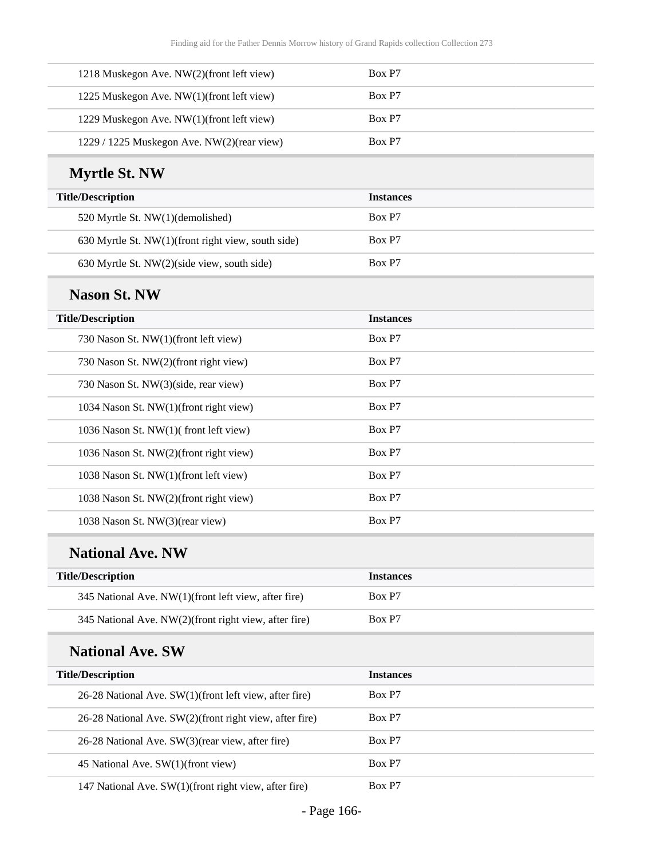| 1218 Muskegon Ave. NW(2)(front left view)  | Box P7 |
|--------------------------------------------|--------|
| 1225 Muskegon Ave. NW(1)(front left view)  | Box P7 |
| 1229 Muskegon Ave. NW(1)(front left view)  | Box P7 |
| 1229 / 1225 Muskegon Ave. NW(2)(rear view) | Box P7 |

# **Myrtle St. NW**

| <b>Title/Description</b>                           | <b>Instances</b> |
|----------------------------------------------------|------------------|
| 520 Myrtle St. NW(1)(demolished)                   | Box P7           |
| 630 Myrtle St. NW(1)(front right view, south side) | Box P7           |
| 630 Myrtle St. NW(2)(side view, south side)        | Box P7           |

#### **Nason St. NW**

| <b>Title/Description</b>               | <b>Instances</b> |
|----------------------------------------|------------------|
| 730 Nason St. NW(1)(front left view)   | Box P7           |
| 730 Nason St. NW(2)(front right view)  | Box P7           |
| 730 Nason St. NW(3)(side, rear view)   | Box P7           |
| 1034 Nason St. NW(1)(front right view) | Box P7           |
| 1036 Nason St. NW(1)(front left view)  | Box P7           |
| 1036 Nason St. NW(2)(front right view) | Box P7           |
| 1038 Nason St. NW(1)(front left view)  | Box P7           |
| 1038 Nason St. NW(2)(front right view) | Box P7           |
| 1038 Nason St. NW(3)(rear view)        | Box P7           |

### **National Ave. NW**

| <b>Title/Description</b>                              | <b>Instances</b> |
|-------------------------------------------------------|------------------|
| 345 National Ave. NW(1)(front left view, after fire)  | Box P7           |
| 345 National Ave. NW(2)(front right view, after fire) | Box P7           |

### **National Ave. SW**

| <b>Title/Description</b>                                     | <b>Instances</b> |
|--------------------------------------------------------------|------------------|
| $26-28$ National Ave. SW $(1)$ (front left view, after fire) | Box P7           |
| 26-28 National Ave. SW(2)(front right view, after fire)      | Box P7           |
| 26-28 National Ave. SW(3)(rear view, after fire)             | Box P7           |
| 45 National Ave. SW(1)(front view)                           | Box P7           |
| 147 National Ave. SW(1)(front right view, after fire)        | Box P7           |

- Page 166-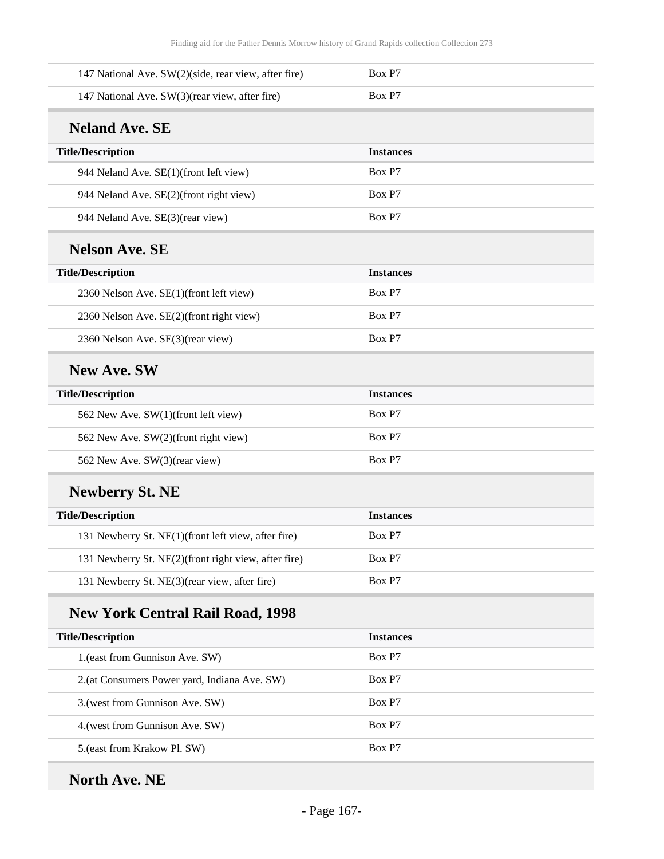| 147 National Ave. SW(2)(side, rear view, after fire) | Box P7           |
|------------------------------------------------------|------------------|
| 147 National Ave. SW(3)(rear view, after fire)       | Box P7           |
| <b>Neland Ave. SE</b>                                |                  |
| <b>Title/Description</b>                             | <b>Instances</b> |
| 944 Neland Ave. SE(1)(front left view)               | Box P7           |
| 944 Neland Ave. SE(2)(front right view)              | Box P7           |
| 944 Neland Ave. SE(3)(rear view)                     | Box P7           |
| <b>Nelson Ave. SE</b>                                |                  |
| <b>Title/Description</b>                             | <b>Instances</b> |
| 2360 Nelson Ave. SE(1)(front left view)              | Box P7           |
| 2360 Nelson Ave. SE(2)(front right view)             | Box P7           |
| 2360 Nelson Ave. SE(3)(rear view)                    | Box P7           |
| <b>New Ave. SW</b>                                   |                  |
| <b>Title/Description</b>                             | <b>Instances</b> |
| 562 New Ave. SW(1)(front left view)                  | Box P7           |
| 562 New Ave. SW(2)(front right view)                 | Box P7           |
| 562 New Ave. SW(3)(rear view)                        | Box P7           |
| <b>Newberry St. NE</b>                               |                  |
| <b>Title/Description</b>                             | <b>Instances</b> |
| 131 Newberry St. NE(1)(front left view, after fire)  | Box P7           |
| 131 Newberry St. NE(2)(front right view, after fire) | Box P7           |
| 131 Newberry St. NE(3)(rear view, after fire)        | Box P7           |
| <b>New York Central Rail Road, 1998</b>              |                  |
| <b>Title/Description</b>                             | <b>Instances</b> |
| 1.(east from Gunnison Ave. SW)                       | Box P7           |
| 2.(at Consumers Power yard, Indiana Ave. SW)         | Box P7           |
| 3.(west from Gunnison Ave. SW)                       | Box P7           |
| 4. (west from Gunnison Ave. SW)                      | Box P7           |
| 5.(east from Krakow Pl. SW)                          | Box P7           |
|                                                      |                  |

# **North Ave. NE**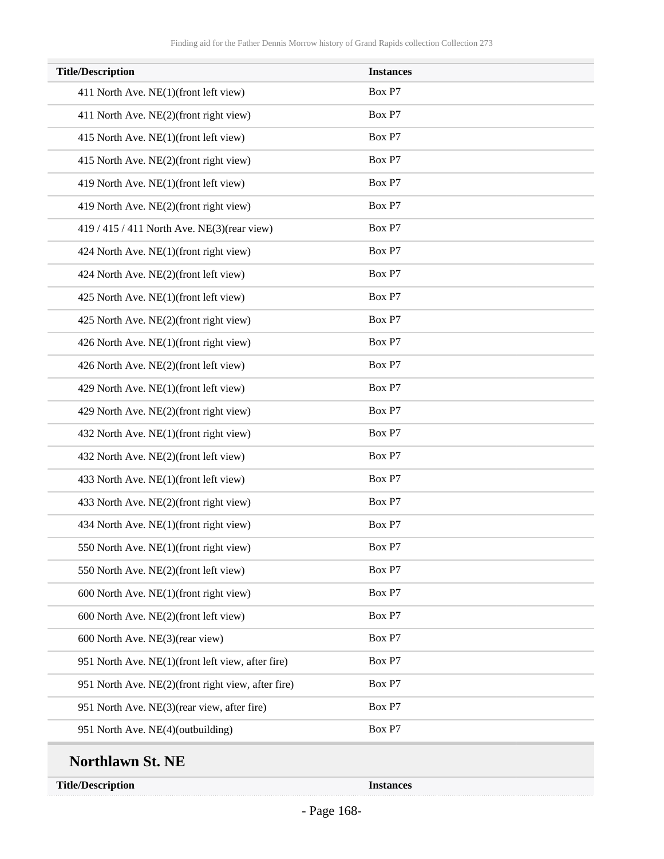| <b>Title/Description</b>                           | <b>Instances</b> |
|----------------------------------------------------|------------------|
| 411 North Ave. NE(1)(front left view)              | Box P7           |
| 411 North Ave. NE(2)(front right view)             | Box P7           |
| 415 North Ave. NE(1)(front left view)              | Box P7           |
| 415 North Ave. NE(2)(front right view)             | Box P7           |
| 419 North Ave. NE(1)(front left view)              | Box P7           |
| 419 North Ave. NE(2)(front right view)             | Box P7           |
| 419 / 415 / 411 North Ave. NE(3)(rear view)        | Box P7           |
| 424 North Ave. NE(1)(front right view)             | Box P7           |
| 424 North Ave. NE(2)(front left view)              | Box P7           |
| 425 North Ave. NE(1)(front left view)              | Box P7           |
| 425 North Ave. NE(2)(front right view)             | Box P7           |
| 426 North Ave. NE(1)(front right view)             | Box P7           |
| 426 North Ave. NE(2)(front left view)              | Box P7           |
| 429 North Ave. NE(1)(front left view)              | Box P7           |
| 429 North Ave. NE(2)(front right view)             | Box P7           |
| 432 North Ave. NE(1)(front right view)             | Box P7           |
| 432 North Ave. NE(2)(front left view)              | Box P7           |
| 433 North Ave. NE(1)(front left view)              | Box P7           |
| 433 North Ave. NE(2)(front right view)             | Box P7           |
| 434 North Ave. NE(1)(front right view)             | Box P7           |
| 550 North Ave. NE(1)(front right view)             | Box P7           |
| 550 North Ave. NE(2)(front left view)              | Box P7           |
| 600 North Ave. NE(1)(front right view)             | Box P7           |
| 600 North Ave. NE(2)(front left view)              | Box P7           |
| 600 North Ave. NE(3)(rear view)                    | Box P7           |
| 951 North Ave. NE(1)(front left view, after fire)  | Box P7           |
| 951 North Ave. NE(2)(front right view, after fire) | Box P7           |
| 951 North Ave. NE(3)(rear view, after fire)        | Box P7           |
| 951 North Ave. NE(4)(outbuilding)                  | Box P7           |

**Title/Description Instances**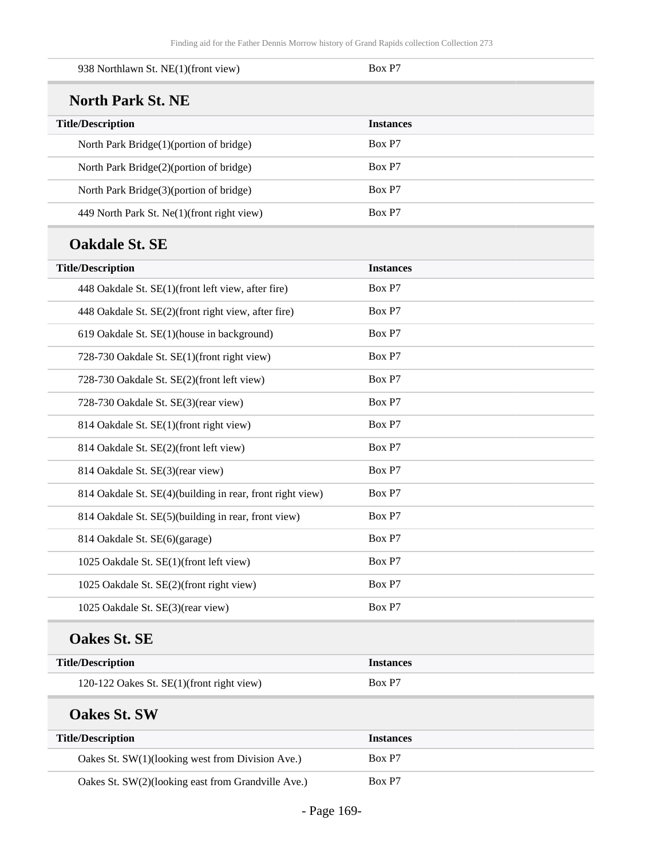| 938 Northlawn St. NE(1)(front view)                       | Box P7           |
|-----------------------------------------------------------|------------------|
| <b>North Park St. NE</b>                                  |                  |
| <b>Title/Description</b>                                  | <b>Instances</b> |
| North Park Bridge(1)(portion of bridge)                   | Box P7           |
| North Park Bridge(2)(portion of bridge)                   | Box P7           |
| North Park Bridge(3)(portion of bridge)                   | Box P7           |
| 449 North Park St. Ne(1)(front right view)                | Box P7           |
| <b>Oakdale St. SE</b>                                     |                  |
| <b>Title/Description</b>                                  | <b>Instances</b> |
| 448 Oakdale St. SE(1)(front left view, after fire)        | Box P7           |
| 448 Oakdale St. SE(2)(front right view, after fire)       | Box P7           |
| 619 Oakdale St. SE(1)(house in background)                | Box P7           |
| 728-730 Oakdale St. SE(1)(front right view)               | Box P7           |
| 728-730 Oakdale St. SE(2)(front left view)                | Box P7           |
| 728-730 Oakdale St. SE(3)(rear view)                      | Box P7           |
| 814 Oakdale St. SE(1)(front right view)                   | Box P7           |
| 814 Oakdale St. SE(2)(front left view)                    | Box P7           |
| 814 Oakdale St. SE(3)(rear view)                          | Box P7           |
| 814 Oakdale St. SE(4)(building in rear, front right view) | Box P7           |
| 814 Oakdale St. SE(5)(building in rear, front view)       | Box P7           |
| 814 Oakdale St. SE(6)(garage)                             | Box P7           |
| 1025 Oakdale St. SE(1)(front left view)                   | Box P7           |
| 1025 Oakdale St. SE(2)(front right view)                  | Box P7           |
| 1025 Oakdale St. SE(3)(rear view)                         | Box P7           |
| <b>Oakes St. SE</b>                                       |                  |
| <b>Title/Description</b>                                  | <b>Instances</b> |
| 120-122 Oakes St. SE(1)(front right view)                 | Box P7           |
| <b>Oakes St. SW</b>                                       |                  |
| <b>Title/Description</b>                                  | <b>Instances</b> |
| Oakes St. SW(1)(looking west from Division Ave.)          | Box P7           |
| Oakes St. SW(2)(looking east from Grandville Ave.)        | Box P7           |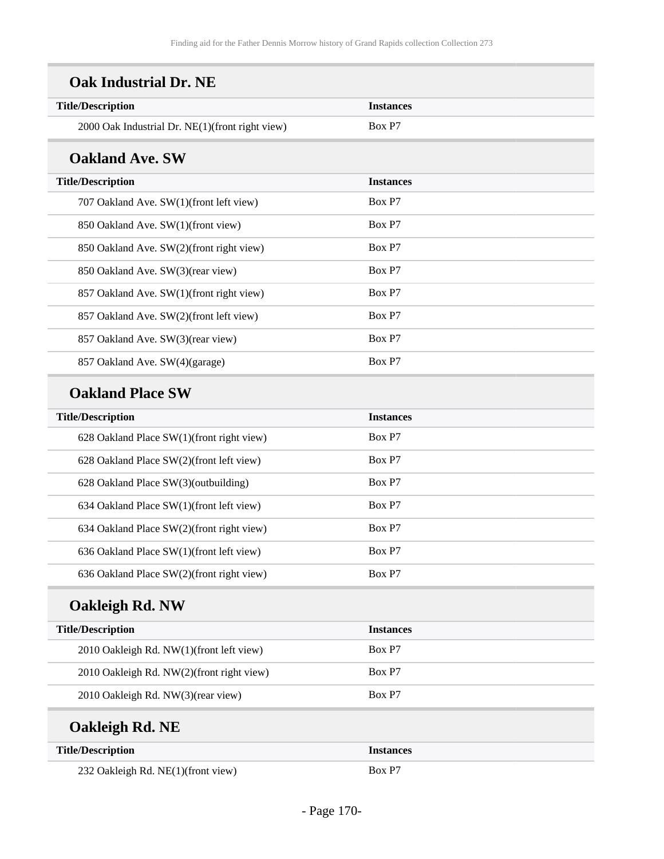| <b>Title/Description</b>                        | <b>Instances</b> |  |
|-------------------------------------------------|------------------|--|
| 2000 Oak Industrial Dr. NE(1)(front right view) | Box P7           |  |
| <b>Oakland Ave. SW</b>                          |                  |  |
| <b>Title/Description</b>                        | <b>Instances</b> |  |
| 707 Oakland Ave. SW(1)(front left view)         | Box P7           |  |
| 850 Oakland Ave. SW(1)(front view)              | Box P7           |  |
| 850 Oakland Ave. SW(2)(front right view)        | Box P7           |  |
| 850 Oakland Ave. SW(3)(rear view)               | Box P7           |  |
| 857 Oakland Ave. SW(1)(front right view)        | Box P7           |  |
| 857 Oakland Ave. SW(2)(front left view)         | Box P7           |  |
| 857 Oakland Ave. SW(3)(rear view)               | Box P7           |  |
| 857 Oakland Ave. SW(4)(garage)                  | Box P7           |  |
| <b>Oakland Place SW</b>                         |                  |  |
| <b>Title/Description</b>                        | <b>Instances</b> |  |
| 628 Oakland Place SW(1)(front right view)       | Box P7           |  |
| 628 Oakland Place SW(2)(front left view)        | Box P7           |  |
| 628 Oakland Place SW(3)(outbuilding)            | Box P7           |  |
| 634 Oakland Place SW(1)(front left view)        | Box P7           |  |
| 634 Oakland Place SW(2)(front right view)       | Box P7           |  |
| 636 Oakland Place SW(1)(front left view)        | Box P7           |  |
| 636 Oakland Place SW(2)(front right view)       | Box P7           |  |
| <b>Oakleigh Rd. NW</b>                          |                  |  |
| <b>Title/Description</b>                        | <b>Instances</b> |  |
| 2010 Oakleigh Rd. NW(1)(front left view)        | Box P7           |  |
| 2010 Oakleigh Rd. NW(2)(front right view)       | Box P7           |  |
| 2010 Oakleigh Rd. NW(3)(rear view)              | Box P7           |  |
| Oakleigh Rd. NE                                 |                  |  |
| <b>Title/Description</b>                        | <b>Instances</b> |  |
| 232 Oakleigh Rd. NE(1)(front view)              | Box P7           |  |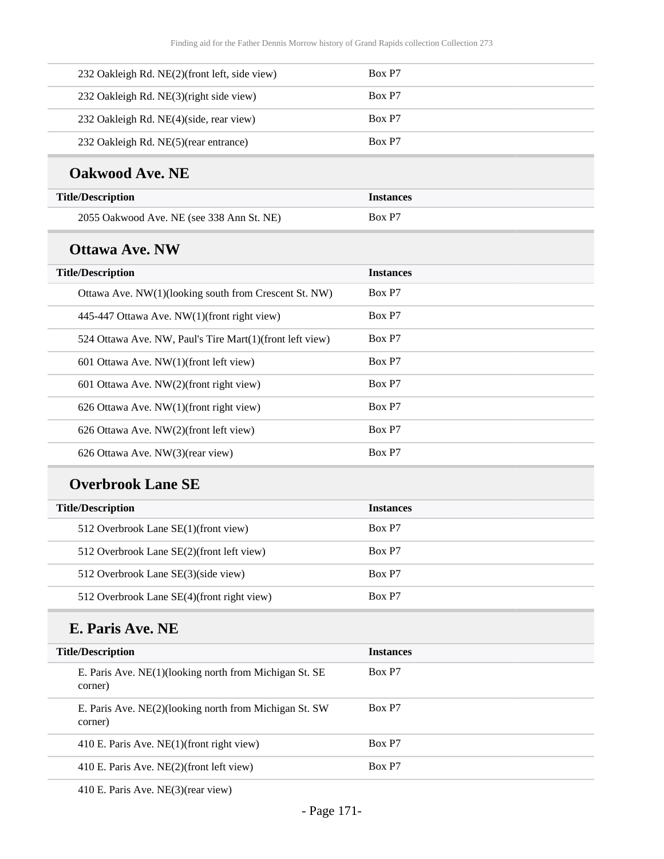| 232 Oakleigh Rd. NE(2)(front left, side view)                     | Box P7           |
|-------------------------------------------------------------------|------------------|
| 232 Oakleigh Rd. NE(3)(right side view)                           | Box P7           |
| 232 Oakleigh Rd. NE(4)(side, rear view)                           | Box P7           |
| 232 Oakleigh Rd. NE(5)(rear entrance)                             | Box P7           |
| <b>Oakwood Ave. NE</b>                                            |                  |
| <b>Title/Description</b>                                          | <b>Instances</b> |
| 2055 Oakwood Ave. NE (see 338 Ann St. NE)                         | Box P7           |
| <b>Ottawa Ave. NW</b>                                             |                  |
| <b>Title/Description</b>                                          | <b>Instances</b> |
| Ottawa Ave. NW(1)(looking south from Crescent St. NW)             | Box P7           |
| 445-447 Ottawa Ave. NW(1)(front right view)                       | Box P7           |
| 524 Ottawa Ave. NW, Paul's Tire Mart(1)(front left view)          | Box P7           |
| 601 Ottawa Ave. NW(1)(front left view)                            | Box P7           |
| 601 Ottawa Ave. NW(2)(front right view)                           | Box P7           |
| 626 Ottawa Ave. NW(1)(front right view)                           | Box P7           |
| 626 Ottawa Ave. NW(2)(front left view)                            | Box P7           |
| 626 Ottawa Ave. NW(3)(rear view)                                  | Box P7           |
| <b>Overbrook Lane SE</b>                                          |                  |
| <b>Title/Description</b>                                          | <b>Instances</b> |
| 512 Overbrook Lane SE(1)(front view)                              | Box P7           |
| 512 Overbrook Lane SE(2)(front left view)                         | Box P7           |
| 512 Overbrook Lane SE(3)(side view)                               | Box P7           |
| 512 Overbrook Lane SE(4)(front right view)                        | Box P7           |
| E. Paris Ave. NE                                                  |                  |
| <b>Title/Description</b>                                          | <b>Instances</b> |
| E. Paris Ave. NE(1)(looking north from Michigan St. SE<br>corner) | Box P7           |
| E. Paris Ave. NE(2)(looking north from Michigan St. SW<br>corner) | Box P7           |
| 410 E. Paris Ave. NE(1)(front right view)                         | Box P7           |
| 410 E. Paris Ave. NE(2)(front left view)                          | Box P7           |
|                                                                   |                  |

410 E. Paris Ave. NE(3)(rear view)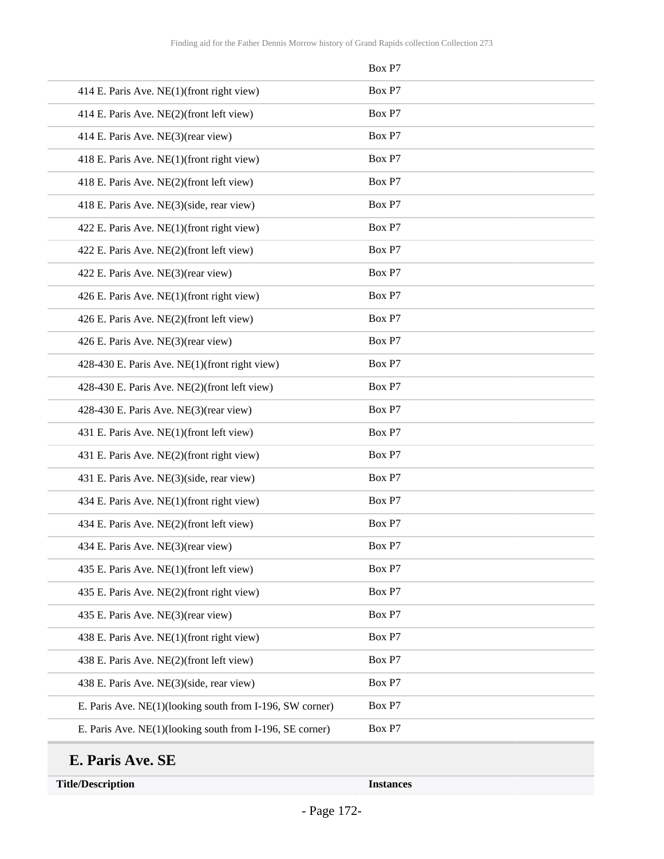|                                                          | Box P7 |
|----------------------------------------------------------|--------|
| 414 E. Paris Ave. NE(1)(front right view)                | Box P7 |
| 414 E. Paris Ave. NE(2)(front left view)                 | Box P7 |
| 414 E. Paris Ave. NE(3)(rear view)                       | Box P7 |
| 418 E. Paris Ave. NE(1)(front right view)                | Box P7 |
| 418 E. Paris Ave. NE(2)(front left view)                 | Box P7 |
| 418 E. Paris Ave. NE(3)(side, rear view)                 | Box P7 |
| 422 E. Paris Ave. NE(1)(front right view)                | Box P7 |
| 422 E. Paris Ave. NE(2)(front left view)                 | Box P7 |
| 422 E. Paris Ave. NE(3)(rear view)                       | Box P7 |
| 426 E. Paris Ave. NE(1)(front right view)                | Box P7 |
| 426 E. Paris Ave. NE(2)(front left view)                 | Box P7 |
| 426 E. Paris Ave. NE(3)(rear view)                       | Box P7 |
| 428-430 E. Paris Ave. NE(1)(front right view)            | Box P7 |
| 428-430 E. Paris Ave. NE(2)(front left view)             | Box P7 |
| 428-430 E. Paris Ave. NE(3)(rear view)                   | Box P7 |
| 431 E. Paris Ave. NE(1)(front left view)                 | Box P7 |
| 431 E. Paris Ave. NE(2)(front right view)                | Box P7 |
| 431 E. Paris Ave. NE(3)(side, rear view)                 | Box P7 |
| 434 E. Paris Ave. NE(1)(front right view)                | Box P7 |
| 434 E. Paris Ave. NE(2)(front left view)                 | Box P7 |
| 434 E. Paris Ave. NE(3)(rear view)                       | Box P7 |
| 435 E. Paris Ave. NE(1)(front left view)                 | Box P7 |
| 435 E. Paris Ave. NE(2)(front right view)                | Box P7 |
| 435 E. Paris Ave. NE(3)(rear view)                       | Box P7 |
| 438 E. Paris Ave. NE(1)(front right view)                | Box P7 |
| 438 E. Paris Ave. NE(2)(front left view)                 | Box P7 |
| 438 E. Paris Ave. NE(3)(side, rear view)                 | Box P7 |
| E. Paris Ave. NE(1)(looking south from I-196, SW corner) | Box P7 |
| E. Paris Ave. NE(1)(looking south from I-196, SE corner) | Box P7 |

**Title/Description Instances**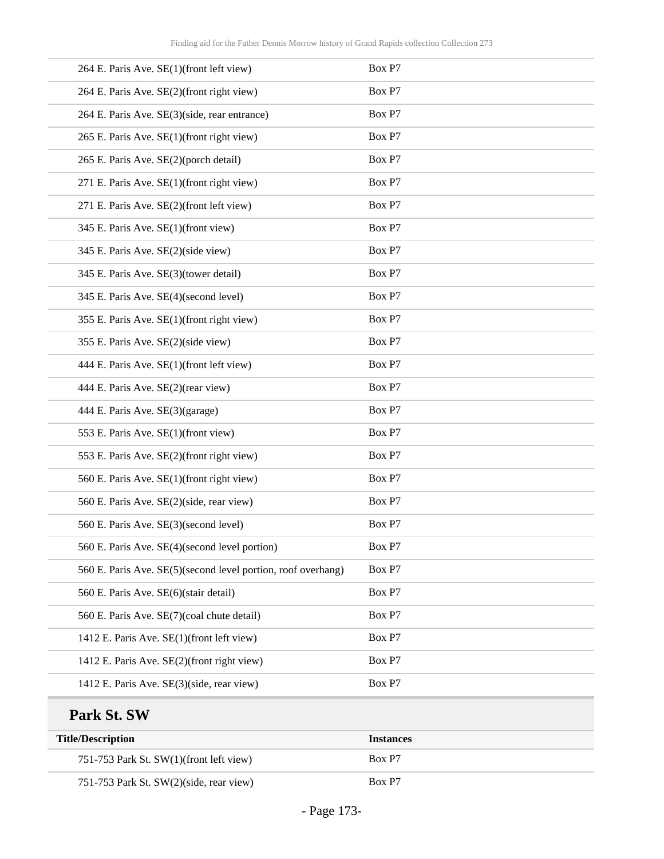| 264 E. Paris Ave. SE(1)(front left view)                     | Box P7 |
|--------------------------------------------------------------|--------|
| 264 E. Paris Ave. SE(2)(front right view)                    | Box P7 |
| 264 E. Paris Ave. SE(3)(side, rear entrance)                 | Box P7 |
| 265 E. Paris Ave. SE(1)(front right view)                    | Box P7 |
| 265 E. Paris Ave. SE(2)(porch detail)                        | Box P7 |
| 271 E. Paris Ave. SE(1)(front right view)                    | Box P7 |
| 271 E. Paris Ave. SE(2)(front left view)                     | Box P7 |
| 345 E. Paris Ave. SE(1)(front view)                          | Box P7 |
| 345 E. Paris Ave. SE(2)(side view)                           | Box P7 |
| 345 E. Paris Ave. SE(3)(tower detail)                        | Box P7 |
| 345 E. Paris Ave. SE(4)(second level)                        | Box P7 |
| 355 E. Paris Ave. SE(1)(front right view)                    | Box P7 |
| 355 E. Paris Ave. SE(2)(side view)                           | Box P7 |
| 444 E. Paris Ave. SE(1)(front left view)                     | Box P7 |
| 444 E. Paris Ave. SE(2)(rear view)                           | Box P7 |
| 444 E. Paris Ave. SE(3)(garage)                              | Box P7 |
| 553 E. Paris Ave. SE(1)(front view)                          | Box P7 |
| 553 E. Paris Ave. SE(2)(front right view)                    | Box P7 |
| 560 E. Paris Ave. SE(1)(front right view)                    | Box P7 |
| 560 E. Paris Ave. SE(2)(side, rear view)                     | Box P7 |
| 560 E. Paris Ave. SE(3)(second level)                        | Box P7 |
| 560 E. Paris Ave. SE(4)(second level portion)                | Box P7 |
| 560 E. Paris Ave. SE(5)(second level portion, roof overhang) | Box P7 |
| 560 E. Paris Ave. SE(6)(stair detail)                        | Box P7 |
| 560 E. Paris Ave. SE(7)(coal chute detail)                   | Box P7 |
| 1412 E. Paris Ave. SE(1)(front left view)                    | Box P7 |
| 1412 E. Paris Ave. SE(2)(front right view)                   | Box P7 |
| 1412 E. Paris Ave. SE(3)(side, rear view)                    | Box P7 |
|                                                              |        |

# **Park St. SW**

| <b>Title/Description</b>                | <b>Instances</b> |
|-----------------------------------------|------------------|
| 751-753 Park St. SW(1)(front left view) | Box P7           |
| 751-753 Park St. SW(2)(side, rear view) | Box P7           |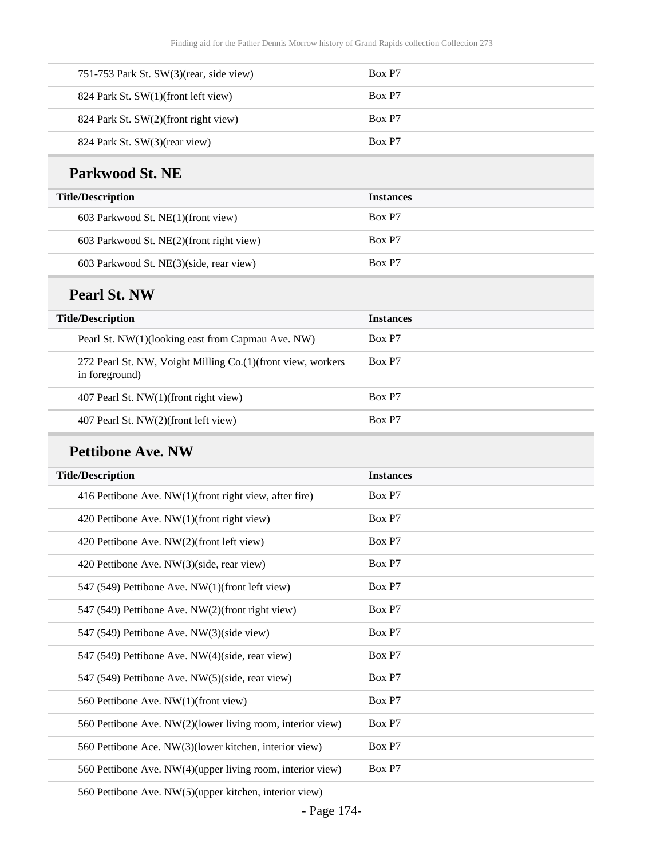| 751-753 Park St. $SW(3)$ (rear, side view) | Box P7 |
|--------------------------------------------|--------|
| 824 Park St. SW(1)(front left view)        | Box P7 |
| 824 Park St. SW(2)(front right view)       | Box P7 |
| 824 Park St. SW(3)(rear view)              | Box P7 |
|                                            |        |

#### **Parkwood St. NE**

| <b>Title/Description</b>                 | <b>Instances</b> |
|------------------------------------------|------------------|
| 603 Parkwood St. NE(1)(front view)       | Box P7           |
| 603 Parkwood St. NE(2)(front right view) | Box P7           |
| 603 Parkwood St. NE(3)(side, rear view)  | Box P7           |

#### **Pearl St. NW**

| <b>Title/Description</b>                                                        | <b>Instances</b> |
|---------------------------------------------------------------------------------|------------------|
| Pearl St. NW(1)(looking east from Capmau Ave. NW)                               | Box P7           |
| 272 Pearl St. NW, Voight Milling Co. (1) (front view, workers<br>in foreground) | Box P7           |
| 407 Pearl St. NW(1)(front right view)                                           | Box P7           |
| 407 Pearl St. NW(2)(front left view)                                            | Box P7           |

#### **Pettibone Ave. NW**

| <b>Title/Description</b>                                   | <b>Instances</b> |
|------------------------------------------------------------|------------------|
|                                                            |                  |
| 416 Pettibone Ave. NW(1)(front right view, after fire)     | Box P7           |
| 420 Pettibone Ave. NW(1)(front right view)                 | Box P7           |
| 420 Pettibone Ave. NW(2)(front left view)                  | Box P7           |
| 420 Pettibone Ave. NW(3)(side, rear view)                  | Box P7           |
| 547 (549) Pettibone Ave. NW(1)(front left view)            | Box P7           |
| 547 (549) Pettibone Ave. NW(2)(front right view)           | Box P7           |
| 547 (549) Pettibone Ave. NW(3)(side view)                  | Box P7           |
| 547 (549) Pettibone Ave. NW(4)(side, rear view)            | Box P7           |
| 547 (549) Pettibone Ave. NW(5)(side, rear view)            | Box P7           |
| 560 Pettibone Ave. NW(1)(front view)                       | Box P7           |
| 560 Pettibone Ave. NW(2)(lower living room, interior view) | Box P7           |
| 560 Pettibone Ace. NW(3)(lower kitchen, interior view)     | Box P7           |
| 560 Pettibone Ave. NW(4)(upper living room, interior view) | Box P7           |
|                                                            |                  |

560 Pettibone Ave. NW(5)(upper kitchen, interior view)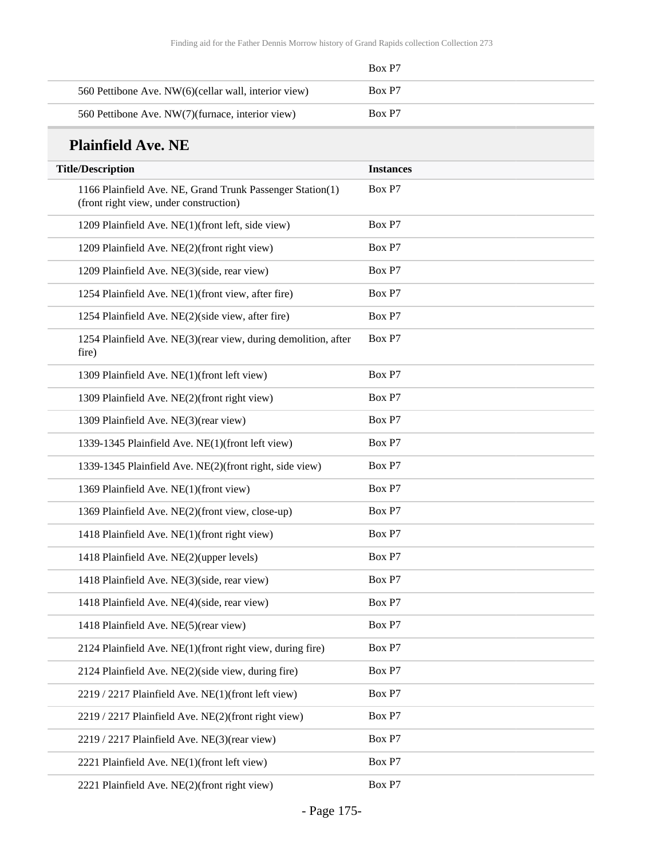|                                                      | Box P7 |
|------------------------------------------------------|--------|
| 560 Pettibone Ave. NW(6)(cellar wall, interior view) | Box P7 |
| 560 Pettibone Ave. NW(7)(furnace, interior view)     | Box P7 |

### **Plainfield Ave. NE**

| <b>Title/Description</b>                                                                            | <b>Instances</b> |
|-----------------------------------------------------------------------------------------------------|------------------|
| 1166 Plainfield Ave. NE, Grand Trunk Passenger Station(1)<br>(front right view, under construction) | Box P7           |
| 1209 Plainfield Ave. NE(1)(front left, side view)                                                   | Box P7           |
| 1209 Plainfield Ave. NE(2)(front right view)                                                        | Box P7           |
| 1209 Plainfield Ave. NE(3)(side, rear view)                                                         | Box P7           |
| 1254 Plainfield Ave. NE(1)(front view, after fire)                                                  | Box P7           |
| 1254 Plainfield Ave. NE(2)(side view, after fire)                                                   | Box P7           |
| 1254 Plainfield Ave. NE(3)(rear view, during demolition, after<br>fire)                             | Box P7           |
| 1309 Plainfield Ave. NE(1)(front left view)                                                         | Box P7           |
| 1309 Plainfield Ave. NE(2)(front right view)                                                        | Box P7           |
| 1309 Plainfield Ave. NE(3)(rear view)                                                               | Box P7           |
| 1339-1345 Plainfield Ave. NE(1)(front left view)                                                    | Box P7           |
| 1339-1345 Plainfield Ave. NE(2)(front right, side view)                                             | Box P7           |
| 1369 Plainfield Ave. NE(1)(front view)                                                              | Box P7           |
| 1369 Plainfield Ave. NE(2)(front view, close-up)                                                    | Box P7           |
| 1418 Plainfield Ave. NE(1)(front right view)                                                        | Box P7           |
| 1418 Plainfield Ave. NE(2)(upper levels)                                                            | Box P7           |
| 1418 Plainfield Ave. NE(3)(side, rear view)                                                         | Box P7           |
| 1418 Plainfield Ave. NE(4)(side, rear view)                                                         | Box P7           |
| 1418 Plainfield Ave. NE(5)(rear view)                                                               | Box P7           |
| 2124 Plainfield Ave. NE(1)(front right view, during fire)                                           | Box P7           |
| 2124 Plainfield Ave. NE(2)(side view, during fire)                                                  | Box P7           |
| 2219 / 2217 Plainfield Ave. NE(1)(front left view)                                                  | Box P7           |
| 2219 / 2217 Plainfield Ave. NE(2)(front right view)                                                 | Box P7           |
| 2219 / 2217 Plainfield Ave. NE(3)(rear view)                                                        | Box P7           |
| 2221 Plainfield Ave. NE(1)(front left view)                                                         | Box P7           |
| 2221 Plainfield Ave. NE(2)(front right view)                                                        | Box P7           |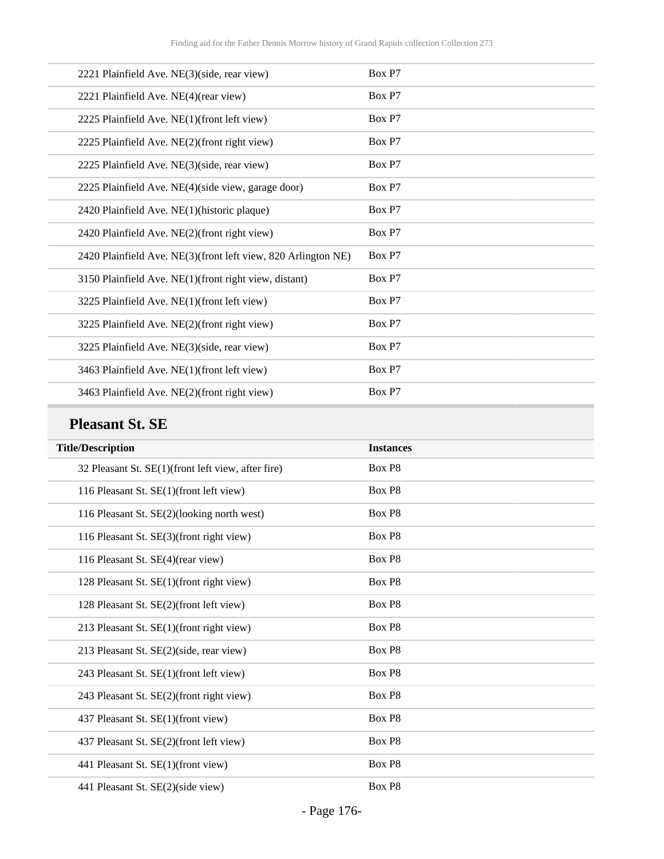| 2221 Plainfield Ave. NE(3)(side, rear view)                   | Box P7 |
|---------------------------------------------------------------|--------|
| 2221 Plainfield Ave. NE(4)(rear view)                         | Box P7 |
| 2225 Plainfield Ave. NE(1)(front left view)                   | Box P7 |
| 2225 Plainfield Ave. NE(2)(front right view)                  | Box P7 |
| 2225 Plainfield Ave. NE(3)(side, rear view)                   | Box P7 |
| 2225 Plainfield Ave. NE(4)(side view, garage door)            | Box P7 |
| 2420 Plainfield Ave. NE(1)(historic plaque)                   | Box P7 |
| 2420 Plainfield Ave. NE(2)(front right view)                  | Box P7 |
| 2420 Plainfield Ave. NE(3)(front left view, 820 Arlington NE) | Box P7 |
| 3150 Plainfield Ave. NE(1)(front right view, distant)         | Box P7 |
| 3225 Plainfield Ave. NE(1)(front left view)                   | Box P7 |
| 3225 Plainfield Ave. NE(2)(front right view)                  | Box P7 |
| 3225 Plainfield Ave. NE(3)(side, rear view)                   | Box P7 |
| 3463 Plainfield Ave. NE(1)(front left view)                   | Box P7 |
| 3463 Plainfield Ave. NE(2)(front right view)                  | Box P7 |

### **Pleasant St. SE**

| <b>Title/Description</b>                           | <b>Instances</b> |
|----------------------------------------------------|------------------|
| 32 Pleasant St. SE(1)(front left view, after fire) | Box P8           |
| 116 Pleasant St. SE(1)(front left view)            | Box P8           |
| 116 Pleasant St. SE(2)(looking north west)         | Box P8           |
| 116 Pleasant St. SE(3)(front right view)           | Box P8           |
| 116 Pleasant St. SE(4)(rear view)                  | Box P8           |
| 128 Pleasant St. SE(1)(front right view)           | Box P8           |
| 128 Pleasant St. SE(2)(front left view)            | Box P8           |
| 213 Pleasant St. SE(1)(front right view)           | Box P8           |
| 213 Pleasant St. SE(2)(side, rear view)            | Box P8           |
| 243 Pleasant St. SE(1)(front left view)            | Box P8           |
| 243 Pleasant St. SE(2)(front right view)           | Box P8           |
| 437 Pleasant St. SE(1)(front view)                 | Box P8           |
| 437 Pleasant St. SE(2)(front left view)            | Box P8           |
| 441 Pleasant St. SE(1)(front view)                 | Box P8           |
| 441 Pleasant St. SE(2)(side view)                  | Box P8           |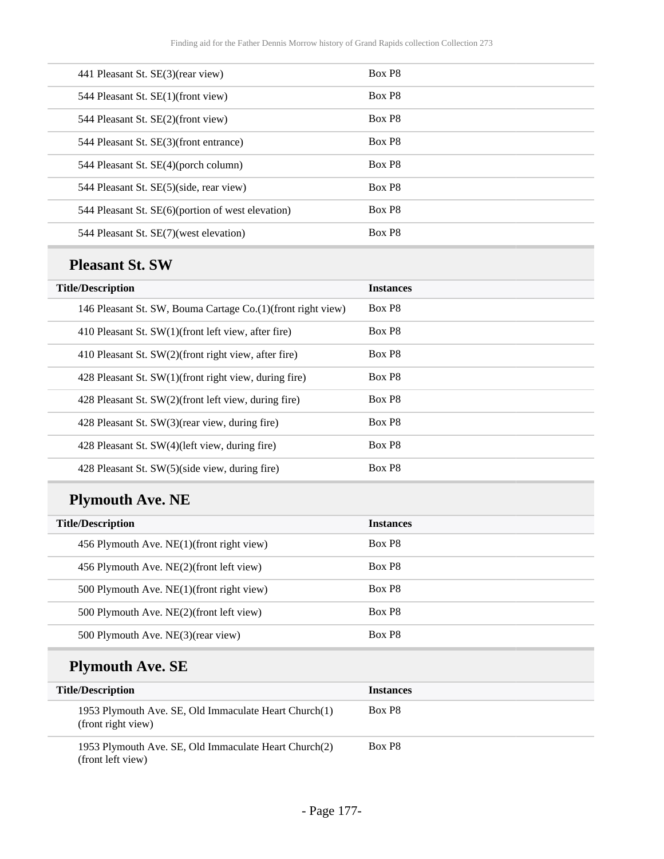| 441 Pleasant St. SE(3)(rear view)                 | Box P8             |
|---------------------------------------------------|--------------------|
| 544 Pleasant St. SE(1)(front view)                | Box P <sub>8</sub> |
| 544 Pleasant St. SE(2)(front view)                | Box P8             |
| 544 Pleasant St. SE(3)(front entrance)            | Box P <sub>8</sub> |
| 544 Pleasant St. SE(4)(porch column)              | Box P <sub>8</sub> |
| 544 Pleasant St. SE(5)(side, rear view)           | Box P8             |
| 544 Pleasant St. SE(6)(portion of west elevation) | Box P <sub>8</sub> |
| 544 Pleasant St. SE(7) (west elevation)           | Box P8             |
|                                                   |                    |

### **Pleasant St. SW**

| <b>Title/Description</b>                                      | <b>Instances</b>   |
|---------------------------------------------------------------|--------------------|
| 146 Pleasant St. SW, Bouma Cartage Co. (1) (front right view) | Box P <sub>8</sub> |
| 410 Pleasant St. SW(1)(front left view, after fire)           | Box P <sub>8</sub> |
| 410 Pleasant St. SW(2)(front right view, after fire)          | Box P <sub>8</sub> |
| 428 Pleasant St. SW(1)(front right view, during fire)         | Box P <sub>8</sub> |
| 428 Pleasant St. SW(2)(front left view, during fire)          | Box P8             |
| 428 Pleasant St. SW(3) (rear view, during fire)               | Box P8             |
| 428 Pleasant St. SW(4)(left view, during fire)                | Box P8             |
| 428 Pleasant St. SW(5)(side view, during fire)                | Box P8             |

# **Plymouth Ave. NE**

| <b>Title/Description</b>                  | <b>Instances</b>   |
|-------------------------------------------|--------------------|
| 456 Plymouth Ave. NE(1)(front right view) | Box P <sub>8</sub> |
| 456 Plymouth Ave. NE(2)(front left view)  | Box P <sub>8</sub> |
| 500 Plymouth Ave. NE(1)(front right view) | Box P <sub>8</sub> |
| 500 Plymouth Ave. NE(2)(front left view)  | Box P <sub>8</sub> |
| 500 Plymouth Ave. NE(3)(rear view)        | Box P <sub>8</sub> |

# **Plymouth Ave. SE**

| <b>Title/Description</b>                                                    | <b>Instances</b>   |
|-----------------------------------------------------------------------------|--------------------|
| 1953 Plymouth Ave. SE, Old Immaculate Heart Church(1)<br>(front right view) | Box P <sub>8</sub> |
| 1953 Plymouth Ave. SE, Old Immaculate Heart Church(2)<br>(front left view)  | Box P <sub>8</sub> |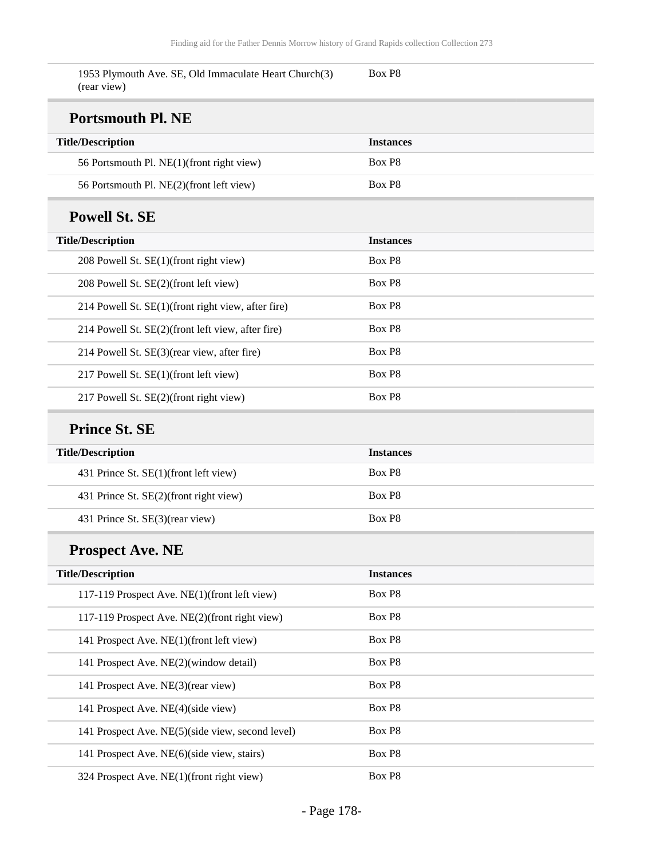| 1953 Plymouth Ave. SE, Old Immaculate Heart Church(3)<br>(rear view) | Box P8           |
|----------------------------------------------------------------------|------------------|
| <b>Portsmouth Pl. NE</b>                                             |                  |
| <b>Title/Description</b>                                             | <b>Instances</b> |
| 56 Portsmouth Pl. NE(1)(front right view)                            | Box P8           |
| 56 Portsmouth Pl. NE(2)(front left view)                             | Box P8           |
| <b>Powell St. SE</b>                                                 |                  |
| <b>Title/Description</b>                                             | <b>Instances</b> |
| 208 Powell St. SE(1)(front right view)                               | Box P8           |
| 208 Powell St. SE(2)(front left view)                                | Box P8           |
| 214 Powell St. SE(1)(front right view, after fire)                   | Box P8           |
| 214 Powell St. SE(2)(front left view, after fire)                    | Box P8           |
| 214 Powell St. SE(3)(rear view, after fire)                          | Box P8           |
| 217 Powell St. SE(1)(front left view)                                | Box P8           |
| 217 Powell St. SE(2)(front right view)                               | Box P8           |
| <b>Prince St. SE</b>                                                 |                  |
| <b>Title/Description</b>                                             | <b>Instances</b> |
| 431 Prince St. SE(1)(front left view)                                | Box P8           |
| 431 Prince St. SE(2)(front right view)                               | Box P8           |
| 431 Prince St. SE(3)(rear view)                                      | Box P8           |
| <b>Prospect Ave. NE</b>                                              |                  |
| <b>Title/Description</b>                                             | <b>Instances</b> |
| 117-119 Prospect Ave. NE(1)(front left view)                         | Box P8           |
| 117-119 Prospect Ave. NE(2)(front right view)                        | Box P8           |
| 141 Prospect Ave. NE(1)(front left view)                             | Box P8           |
| 141 Prospect Ave. NE(2)(window detail)                               | Box P8           |
| 141 Prospect Ave. NE(3)(rear view)                                   | Box P8           |
| 141 Prospect Ave. NE(4)(side view)                                   | Box P8           |
| 141 Prospect Ave. NE(5)(side view, second level)                     | Box P8           |
| 141 Prospect Ave. NE(6)(side view, stairs)                           | Box P8           |
| 324 Prospect Ave. NE(1)(front right view)                            | Box P8           |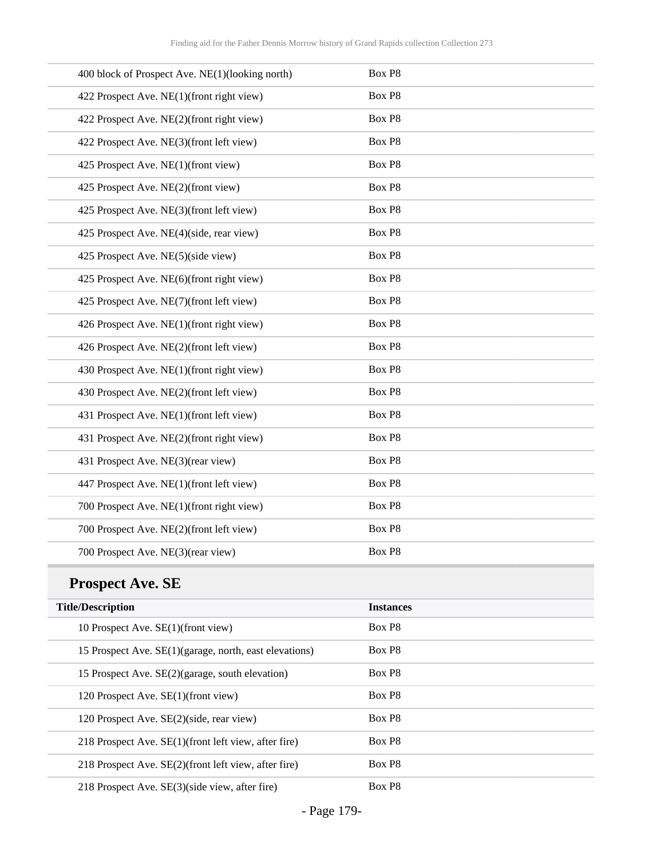| 400 block of Prospect Ave. NE(1)(looking north) | Box P8 |
|-------------------------------------------------|--------|
| 422 Prospect Ave. NE(1)(front right view)       | Box P8 |
| 422 Prospect Ave. NE(2)(front right view)       | Box P8 |
| 422 Prospect Ave. NE(3)(front left view)        | Box P8 |
| 425 Prospect Ave. NE(1)(front view)             | Box P8 |
| 425 Prospect Ave. NE(2)(front view)             | Box P8 |
| 425 Prospect Ave. NE(3)(front left view)        | Box P8 |
| 425 Prospect Ave. NE(4)(side, rear view)        | Box P8 |
| 425 Prospect Ave. NE(5)(side view)              | Box P8 |
| 425 Prospect Ave. NE(6)(front right view)       | Box P8 |
| 425 Prospect Ave. NE(7)(front left view)        | Box P8 |
| 426 Prospect Ave. NE(1)(front right view)       | Box P8 |
| 426 Prospect Ave. NE(2)(front left view)        | Box P8 |
| 430 Prospect Ave. NE(1)(front right view)       | Box P8 |
| 430 Prospect Ave. NE(2)(front left view)        | Box P8 |
| 431 Prospect Ave. NE(1)(front left view)        | Box P8 |
| 431 Prospect Ave. NE(2)(front right view)       | Box P8 |
| 431 Prospect Ave. NE(3)(rear view)              | Box P8 |
| 447 Prospect Ave. NE(1)(front left view)        | Box P8 |
| 700 Prospect Ave. NE(1)(front right view)       | Box P8 |
| 700 Prospect Ave. NE(2)(front left view)        | Box P8 |
| 700 Prospect Ave. NE(3)(rear view)              | Box P8 |

# **Prospect Ave. SE**

| <b>Title/Description</b>                               | <b>Instances</b>   |
|--------------------------------------------------------|--------------------|
| 10 Prospect Ave. SE(1)(front view)                     | Box P8             |
| 15 Prospect Ave. SE(1)(garage, north, east elevations) | Box P8             |
| 15 Prospect Ave. SE(2)(garage, south elevation)        | Box P8             |
| 120 Prospect Ave. SE(1)(front view)                    | Box P <sub>8</sub> |
| 120 Prospect Ave. SE(2)(side, rear view)               | Box P8             |
| 218 Prospect Ave. SE(1)(front left view, after fire)   | Box P <sub>8</sub> |
| 218 Prospect Ave. SE(2)(front left view, after fire)   | Box P8             |
| 218 Prospect Ave SE(3)(side view after fire)           | Box P <sub>8</sub> |

218 Prospect Ave.  $SE(3)$ (side view, after fire) Box P8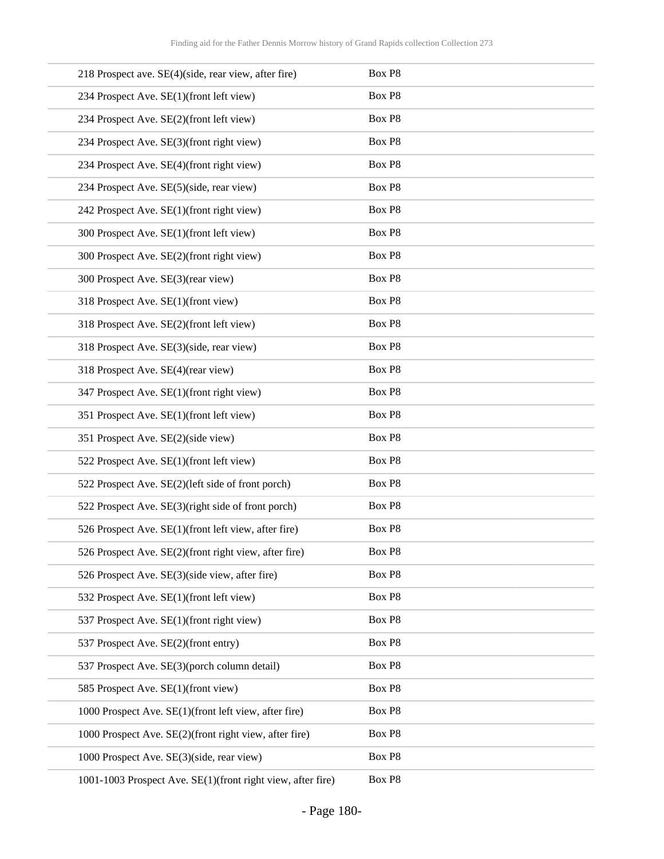| 218 Prospect ave. SE(4)(side, rear view, after fire)        | Box P8             |
|-------------------------------------------------------------|--------------------|
| 234 Prospect Ave. SE(1)(front left view)                    | Box P8             |
| 234 Prospect Ave. SE(2)(front left view)                    | Box P8             |
| 234 Prospect Ave. SE(3)(front right view)                   | Box P8             |
| 234 Prospect Ave. SE(4)(front right view)                   | Box P8             |
| 234 Prospect Ave. SE(5)(side, rear view)                    | Box P8             |
| 242 Prospect Ave. SE(1)(front right view)                   | Box P8             |
| 300 Prospect Ave. SE(1)(front left view)                    | Box P8             |
| 300 Prospect Ave. SE(2)(front right view)                   | Box P8             |
| 300 Prospect Ave. SE(3)(rear view)                          | Box P8             |
| 318 Prospect Ave. SE(1)(front view)                         | Box P8             |
| 318 Prospect Ave. SE(2)(front left view)                    | Box P8             |
| 318 Prospect Ave. SE(3)(side, rear view)                    | Box P8             |
| 318 Prospect Ave. SE(4)(rear view)                          | Box P8             |
| 347 Prospect Ave. SE(1)(front right view)                   | Box P8             |
| 351 Prospect Ave. SE(1)(front left view)                    | Box P8             |
| 351 Prospect Ave. SE(2)(side view)                          | Box P8             |
| 522 Prospect Ave. SE(1)(front left view)                    | Box P8             |
| 522 Prospect Ave. SE(2)(left side of front porch)           | Box P8             |
| 522 Prospect Ave. SE(3)(right side of front porch)          | Box P8             |
| 526 Prospect Ave. SE(1)(front left view, after fire)        | Box P8             |
| 526 Prospect Ave. SE(2)(front right view, after fire)       | Box P <sub>8</sub> |
| 526 Prospect Ave. SE(3)(side view, after fire)              | Box P8             |
| 532 Prospect Ave. SE(1)(front left view)                    | Box P8             |
| 537 Prospect Ave. SE(1)(front right view)                   | Box P8             |
| 537 Prospect Ave. SE(2)(front entry)                        | Box P8             |
| 537 Prospect Ave. SE(3)(porch column detail)                | Box P8             |
| 585 Prospect Ave. SE(1)(front view)                         | Box P8             |
| 1000 Prospect Ave. SE(1)(front left view, after fire)       | Box P8             |
| 1000 Prospect Ave. SE(2)(front right view, after fire)      | Box P8             |
| 1000 Prospect Ave. SE(3)(side, rear view)                   | Box P8             |
| 1001-1003 Prospect Ave. SE(1)(front right view, after fire) | Box P8             |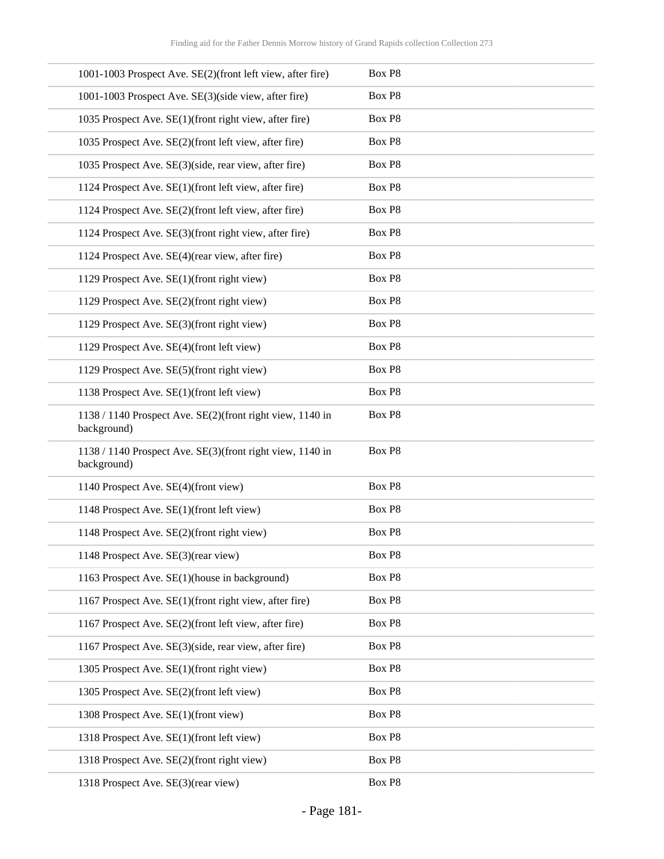| 1001-1003 Prospect Ave. SE(2)(front left view, after fire)               | Box P8 |
|--------------------------------------------------------------------------|--------|
| 1001-1003 Prospect Ave. SE(3)(side view, after fire)                     | Box P8 |
| 1035 Prospect Ave. SE(1)(front right view, after fire)                   | Box P8 |
| 1035 Prospect Ave. SE(2)(front left view, after fire)                    | Box P8 |
| 1035 Prospect Ave. SE(3)(side, rear view, after fire)                    | Box P8 |
| 1124 Prospect Ave. SE(1)(front left view, after fire)                    | Box P8 |
| 1124 Prospect Ave. SE(2)(front left view, after fire)                    | Box P8 |
| 1124 Prospect Ave. SE(3)(front right view, after fire)                   | Box P8 |
| 1124 Prospect Ave. SE(4)(rear view, after fire)                          | Box P8 |
| 1129 Prospect Ave. SE(1)(front right view)                               | Box P8 |
| 1129 Prospect Ave. SE(2)(front right view)                               | Box P8 |
| 1129 Prospect Ave. SE(3)(front right view)                               | Box P8 |
| 1129 Prospect Ave. SE(4)(front left view)                                | Box P8 |
| 1129 Prospect Ave. SE(5)(front right view)                               | Box P8 |
| 1138 Prospect Ave. SE(1)(front left view)                                | Box P8 |
| 1138 / 1140 Prospect Ave. SE(2)(front right view, 1140 in<br>background) | Box P8 |
| 1138 / 1140 Prospect Ave. SE(3)(front right view, 1140 in<br>background) | Box P8 |
| 1140 Prospect Ave. SE(4)(front view)                                     | Box P8 |
| 1148 Prospect Ave. SE(1)(front left view)                                | Box P8 |
| 1148 Prospect Ave. SE(2)(front right view)                               | Box P8 |
| 1148 Prospect Ave. SE(3)(rear view)                                      | Box P8 |
| 1163 Prospect Ave. SE(1)(house in background)                            | Box P8 |
| 1167 Prospect Ave. SE(1)(front right view, after fire)                   | Box P8 |
| 1167 Prospect Ave. SE(2)(front left view, after fire)                    | Box P8 |
| 1167 Prospect Ave. SE(3)(side, rear view, after fire)                    | Box P8 |
| 1305 Prospect Ave. SE(1)(front right view)                               | Box P8 |
| 1305 Prospect Ave. SE(2)(front left view)                                | Box P8 |
| 1308 Prospect Ave. SE(1)(front view)                                     | Box P8 |
| 1318 Prospect Ave. SE(1)(front left view)                                | Box P8 |
| 1318 Prospect Ave. SE(2)(front right view)                               | Box P8 |
| 1318 Prospect Ave. SE(3)(rear view)                                      | Box P8 |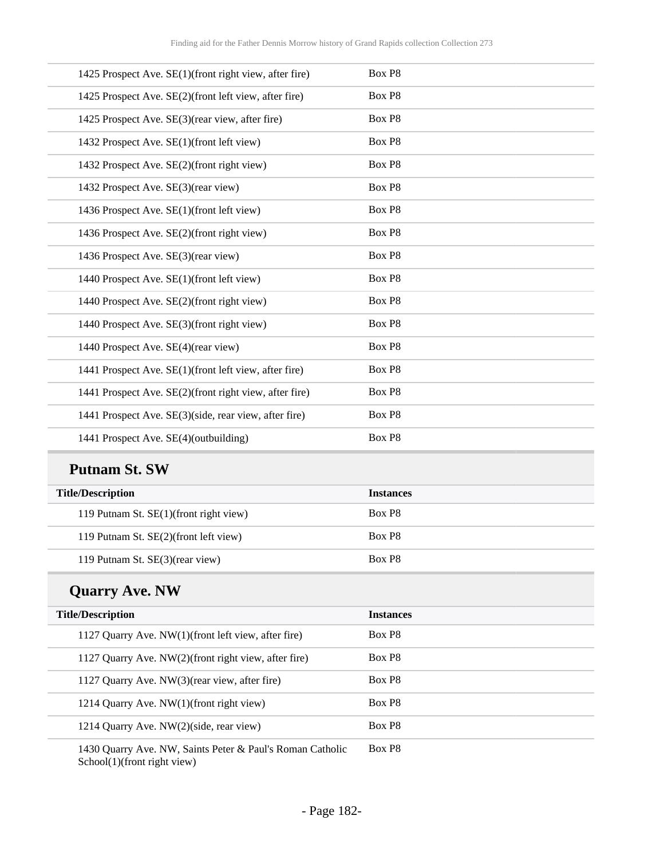| 1425 Prospect Ave. SE(1)(front right view, after fire) | Box P8 |
|--------------------------------------------------------|--------|
| 1425 Prospect Ave. SE(2)(front left view, after fire)  | Box P8 |
| 1425 Prospect Ave. SE(3)(rear view, after fire)        | Box P8 |
| 1432 Prospect Ave. SE(1)(front left view)              | Box P8 |
| 1432 Prospect Ave. SE(2)(front right view)             | Box P8 |
| 1432 Prospect Ave. SE(3)(rear view)                    | Box P8 |
| 1436 Prospect Ave. SE(1)(front left view)              | Box P8 |
| 1436 Prospect Ave. SE(2)(front right view)             | Box P8 |
| 1436 Prospect Ave. SE(3)(rear view)                    | Box P8 |
| 1440 Prospect Ave. SE(1)(front left view)              | Box P8 |
| 1440 Prospect Ave. SE(2)(front right view)             | Box P8 |
| 1440 Prospect Ave. SE(3)(front right view)             | Box P8 |
| 1440 Prospect Ave. SE(4)(rear view)                    | Box P8 |
| 1441 Prospect Ave. SE(1)(front left view, after fire)  | Box P8 |
| 1441 Prospect Ave. SE(2)(front right view, after fire) | Box P8 |
| 1441 Prospect Ave. SE(3)(side, rear view, after fire)  | Box P8 |
| 1441 Prospect Ave. SE(4)(outbuilding)                  | Box P8 |

## **Putnam St. SW**

| <b>Title/Description</b>               | <b>Instances</b>   |
|----------------------------------------|--------------------|
| 119 Putnam St. SE(1)(front right view) | Box P <sub>8</sub> |
| 119 Putnam St. SE(2)(front left view)  | Box P <sub>8</sub> |
| 119 Putnam St. SE(3)(rear view)        | Box P <sub>8</sub> |

# **Quarry Ave. NW**

| <b>Title/Description</b>                                  | <b>Instances</b>   |
|-----------------------------------------------------------|--------------------|
| 1127 Quarry Ave. NW(1)(front left view, after fire)       | Box P <sub>8</sub> |
| 1127 Quarry Ave. NW(2)(front right view, after fire)      | Box P <sub>8</sub> |
| 1127 Quarry Ave. NW(3) (rear view, after fire)            | Box P <sub>8</sub> |
| 1214 Quarry Ave. NW(1)(front right view)                  | Box P <sub>8</sub> |
| 1214 Quarry Ave. NW(2)(side, rear view)                   | Box P <sub>8</sub> |
| 1430 Ouarry Ave. NW, Saints Peter & Paul's Roman Catholic | Box P8             |

1430 Quarry Ave. NW, Saints Peter & Paul's Roman Catholic School(1)(front right view)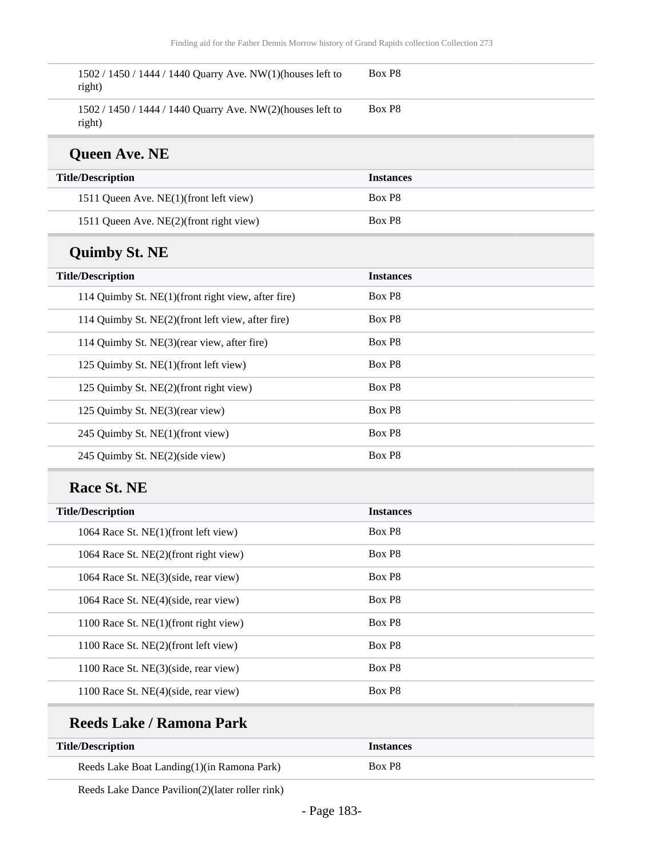| 1502 / 1450 / 1444 / 1440 Quarry Ave. NW(1)(houses left to<br>right) | Box P8           |
|----------------------------------------------------------------------|------------------|
| 1502 / 1450 / 1444 / 1440 Quarry Ave. NW(2)(houses left to<br>right) | Box P8           |
| <b>Queen Ave. NE</b>                                                 |                  |
| <b>Title/Description</b>                                             | <b>Instances</b> |
| 1511 Queen Ave. NE(1)(front left view)                               | Box P8           |
| 1511 Queen Ave. NE(2)(front right view)                              | Box P8           |
| <b>Quimby St. NE</b>                                                 |                  |
| <b>Title/Description</b>                                             | <b>Instances</b> |
| 114 Quimby St. NE(1)(front right view, after fire)                   | Box P8           |
| 114 Quimby St. NE(2)(front left view, after fire)                    | Box P8           |
| 114 Quimby St. NE(3)(rear view, after fire)                          | Box P8           |
| 125 Quimby St. NE(1)(front left view)                                | Box P8           |
| 125 Quimby St. NE(2)(front right view)                               | Box P8           |
| 125 Quimby St. NE(3)(rear view)                                      | Box P8           |
| 245 Quimby St. NE(1)(front view)                                     | Box P8           |
| 245 Quimby St. NE(2)(side view)                                      | Box P8           |
| Race St. NE                                                          |                  |
| <b>Title/Description</b>                                             | <b>Instances</b> |
| 1064 Race St. NE(1)(front left view)                                 | Box P8           |
| 1064 Race St. NE(2)(front right view)                                | Box P8           |
| 1064 Race St. NE(3)(side, rear view)                                 | Box P8           |
| 1064 Race St. NE(4)(side, rear view)                                 | Box P8           |
| 1100 Race St. NE(1)(front right view)                                | Box P8           |

| Box P <sub>8</sub> |  |
|--------------------|--|
| Box P <sub>8</sub> |  |
| Box P <sub>8</sub> |  |
|                    |  |

### **Reeds Lake / Ramona Park**

| <b>Title/Description</b>                   | <i><u><b>Instances</b></u></i> |
|--------------------------------------------|--------------------------------|
| Reeds Lake Boat Landing(1)(in Ramona Park) | Box P8                         |

Reeds Lake Dance Pavilion(2)(later roller rink)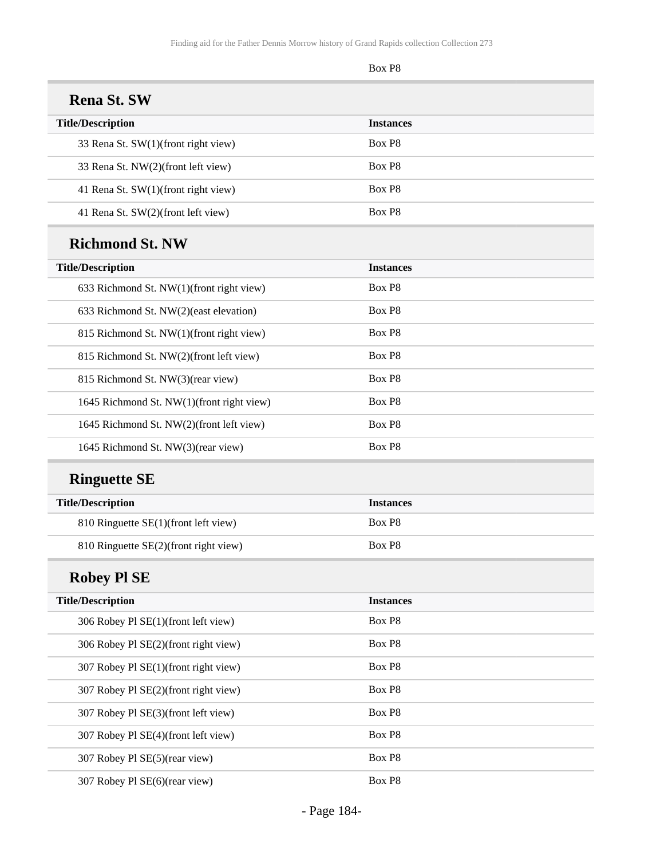|                                           | Box P8           |  |
|-------------------------------------------|------------------|--|
| <b>Rena St. SW</b>                        |                  |  |
| <b>Title/Description</b>                  | <b>Instances</b> |  |
| 33 Rena St. SW(1)(front right view)       | Box P8           |  |
| 33 Rena St. NW(2)(front left view)        | Box P8           |  |
| 41 Rena St. SW(1)(front right view)       | Box P8           |  |
| 41 Rena St. SW(2)(front left view)        | Box P8           |  |
| <b>Richmond St. NW</b>                    |                  |  |
| <b>Title/Description</b>                  | <b>Instances</b> |  |
| 633 Richmond St. NW(1)(front right view)  | Box P8           |  |
| 633 Richmond St. NW(2)(east elevation)    | Box P8           |  |
| 815 Richmond St. NW(1)(front right view)  | Box P8           |  |
| 815 Richmond St. NW(2)(front left view)   | Box P8           |  |
| 815 Richmond St. NW(3)(rear view)         | Box P8           |  |
| 1645 Richmond St. NW(1)(front right view) | Box P8           |  |
| 1645 Richmond St. NW(2)(front left view)  | Box P8           |  |
| 1645 Richmond St. NW(3)(rear view)        | Box P8           |  |
| <b>Ringuette SE</b>                       |                  |  |
| <b>Title/Description</b>                  | <b>Instances</b> |  |
| 810 Ringuette SE(1)(front left view)      | Box P8           |  |
| 810 Ringuette SE(2)(front right view)     | Box P8           |  |
| <b>Robey Pl SE</b>                        |                  |  |
| <b>Title/Description</b>                  | <b>Instances</b> |  |
| 306 Robey Pl SE(1)(front left view)       | Box P8           |  |
| 306 Robey Pl SE(2)(front right view)      | Box P8           |  |
| 307 Robey Pl SE(1)(front right view)      | Box P8           |  |
| 307 Robey Pl SE(2)(front right view)      | Box P8           |  |
| 307 Robey Pl SE(3)(front left view)       | Box P8           |  |
| 307 Robey Pl SE(4)(front left view)       | Box P8           |  |
| 307 Robey Pl SE(5)(rear view)             | Box P8           |  |
| 307 Robey Pl SE(6)(rear view)             | Box P8           |  |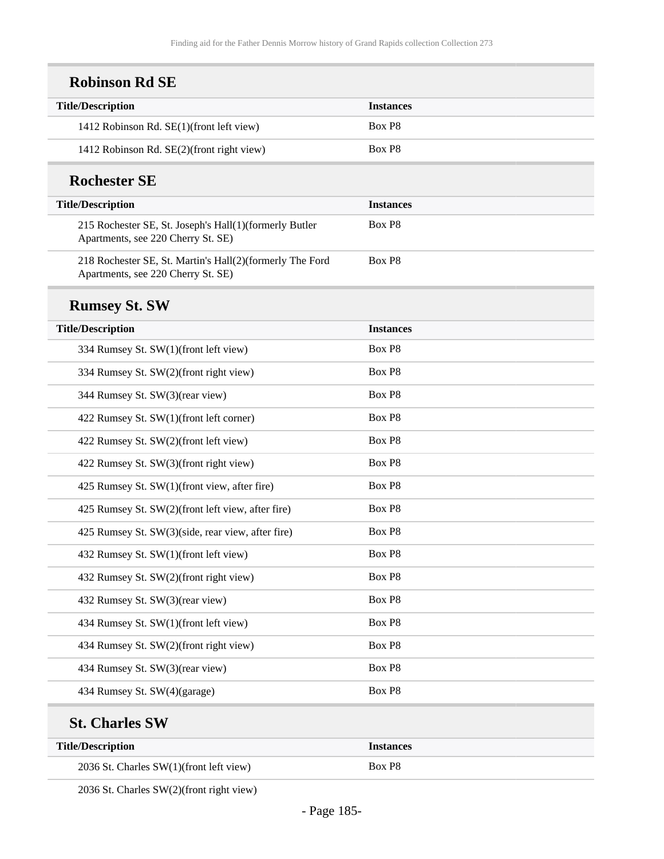| <b>Title/Description</b>                                                                       | <b>Instances</b> |
|------------------------------------------------------------------------------------------------|------------------|
| 1412 Robinson Rd. SE(1)(front left view)                                                       | Box P8           |
| 1412 Robinson Rd. SE(2)(front right view)                                                      | Box P8           |
| <b>Rochester SE</b>                                                                            |                  |
| <b>Title/Description</b>                                                                       | <b>Instances</b> |
| 215 Rochester SE, St. Joseph's Hall(1)(formerly Butler<br>Apartments, see 220 Cherry St. SE)   | Box P8           |
| 218 Rochester SE, St. Martin's Hall(2)(formerly The Ford<br>Apartments, see 220 Cherry St. SE) | Box P8           |
| <b>Rumsey St. SW</b>                                                                           |                  |
| <b>Title/Description</b>                                                                       | <b>Instances</b> |
| 334 Rumsey St. SW(1)(front left view)                                                          | Box P8           |
| 334 Rumsey St. SW(2)(front right view)                                                         | Box P8           |
| 344 Rumsey St. SW(3)(rear view)                                                                | Box P8           |
| 422 Rumsey St. SW(1)(front left corner)                                                        | Box P8           |
| 422 Rumsey St. SW(2)(front left view)                                                          | Box P8           |
| 422 Rumsey St. SW(3)(front right view)                                                         | Box P8           |
| 425 Rumsey St. SW(1)(front view, after fire)                                                   | Box P8           |
| 425 Rumsey St. SW(2)(front left view, after fire)                                              | Box P8           |
| 425 Rumsey St. SW(3)(side, rear view, after fire)                                              | Box P8           |
| 432 Rumsey St. SW(1)(front left view)                                                          | Box P8           |
| 432 Rumsey St. SW(2)(front right view)                                                         | Box P8           |
| 432 Rumsey St. SW(3)(rear view)                                                                | Box P8           |
| 434 Rumsey St. SW(1)(front left view)                                                          | Box P8           |
| 434 Rumsey St. SW(2)(front right view)                                                         | Box P8           |
| 434 Rumsey St. SW(3)(rear view)                                                                | Box P8           |
| 434 Rumsey St. SW(4)(garage)                                                                   | Box P8           |

| THE PERMIT                              | - TIDAHILLA |
|-----------------------------------------|-------------|
| 2036 St. Charles SW(1)(front left view) | $\sim$ D9   |

2036 St. Charles SW(2)(front right view)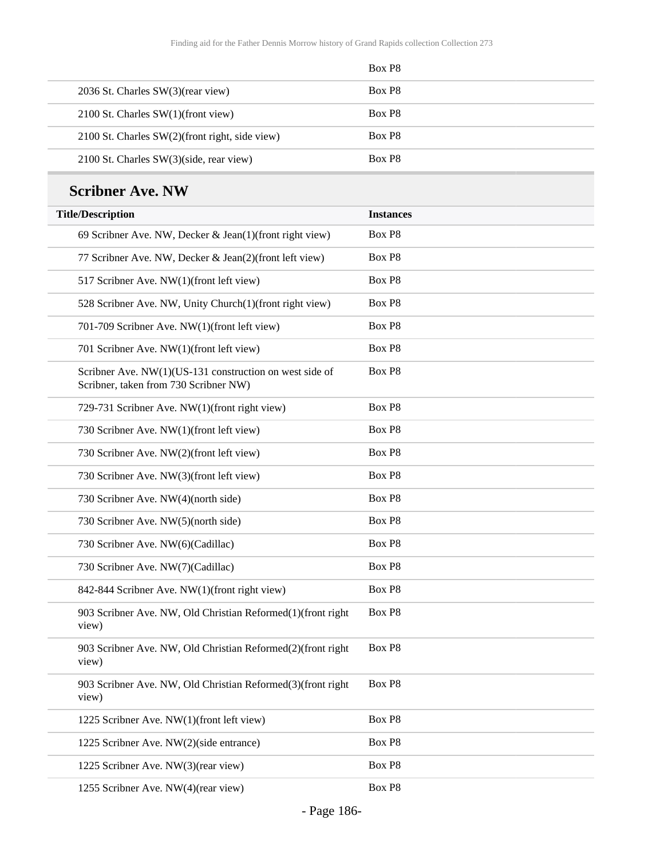| Box P <sub>8</sub> |
|--------------------|
| Box P <sub>8</sub> |
| Box P <sub>8</sub> |
| Box P <sub>8</sub> |
| Box P <sub>8</sub> |
|                    |

## **Scribner Ave. NW**

| <b>Title/Description</b>                                                                         | <b>Instances</b> |
|--------------------------------------------------------------------------------------------------|------------------|
| 69 Scribner Ave. NW, Decker & Jean(1)(front right view)                                          | Box P8           |
| 77 Scribner Ave. NW, Decker & Jean(2)(front left view)                                           | Box P8           |
| 517 Scribner Ave. NW(1)(front left view)                                                         | Box P8           |
| 528 Scribner Ave. NW, Unity Church(1)(front right view)                                          | Box P8           |
| 701-709 Scribner Ave. NW(1)(front left view)                                                     | Box P8           |
| 701 Scribner Ave. NW(1)(front left view)                                                         | Box P8           |
| Scribner Ave. NW(1)(US-131 construction on west side of<br>Scribner, taken from 730 Scribner NW) | Box P8           |
| 729-731 Scribner Ave. NW(1)(front right view)                                                    | Box P8           |
| 730 Scribner Ave. NW(1)(front left view)                                                         | Box P8           |
| 730 Scribner Ave. NW(2)(front left view)                                                         | Box P8           |
| 730 Scribner Ave. NW(3)(front left view)                                                         | Box P8           |
| 730 Scribner Ave. NW(4)(north side)                                                              | Box P8           |
| 730 Scribner Ave. NW(5)(north side)                                                              | Box P8           |
| 730 Scribner Ave. NW(6)(Cadillac)                                                                | Box P8           |
| 730 Scribner Ave. NW(7)(Cadillac)                                                                | Box P8           |
| 842-844 Scribner Ave. NW(1)(front right view)                                                    | Box P8           |
| 903 Scribner Ave. NW, Old Christian Reformed(1)(front right<br>view)                             | Box P8           |
| 903 Scribner Ave. NW, Old Christian Reformed(2)(front right<br>view)                             | Box P8           |
| 903 Scribner Ave. NW, Old Christian Reformed(3)(front right<br>view)                             | Box P8           |
| 1225 Scribner Ave. NW(1)(front left view)                                                        | Box P8           |
| 1225 Scribner Ave. NW(2)(side entrance)                                                          | Box P8           |
| 1225 Scribner Ave. NW(3)(rear view)                                                              | Box P8           |
| 1255 Scribner Ave. NW(4)(rear view)                                                              | Box P8           |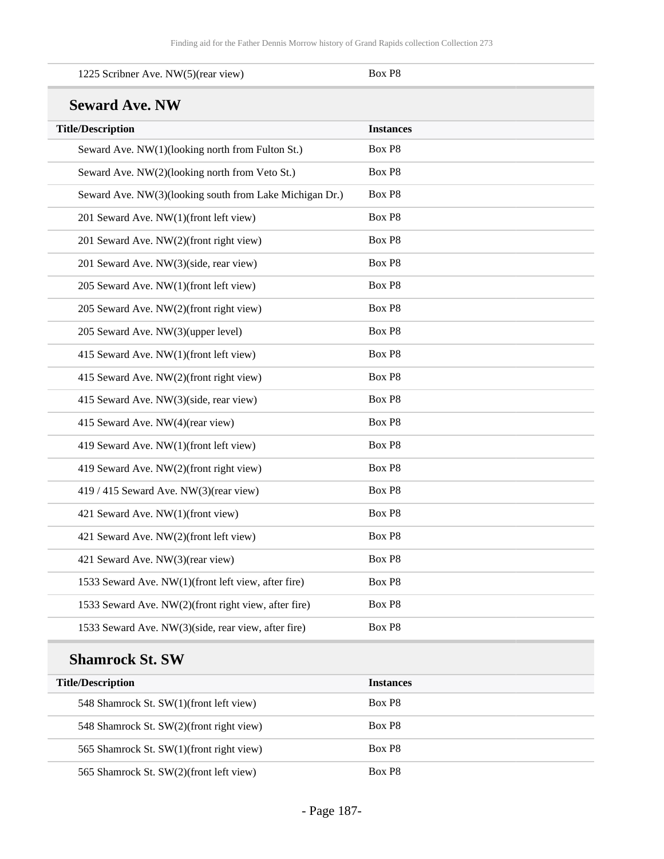| 1225 Scribner Ave. NW(5)(rear view)                     | Box P8           |
|---------------------------------------------------------|------------------|
| <b>Seward Ave. NW</b>                                   |                  |
| <b>Title/Description</b>                                | <b>Instances</b> |
| Seward Ave. NW(1)(looking north from Fulton St.)        | Box P8           |
| Seward Ave. NW(2)(looking north from Veto St.)          | Box P8           |
| Seward Ave. NW(3)(looking south from Lake Michigan Dr.) | Box P8           |
| 201 Seward Ave. NW(1)(front left view)                  | Box P8           |
| 201 Seward Ave. NW(2)(front right view)                 | Box P8           |
| 201 Seward Ave. NW(3)(side, rear view)                  | Box P8           |
| 205 Seward Ave. NW(1)(front left view)                  | Box P8           |
| 205 Seward Ave. NW(2)(front right view)                 | Box P8           |
| 205 Seward Ave. NW(3)(upper level)                      | Box P8           |
| 415 Seward Ave. NW(1)(front left view)                  | Box P8           |
| 415 Seward Ave. NW(2)(front right view)                 | Box P8           |
| 415 Seward Ave. NW(3)(side, rear view)                  | Box P8           |
| 415 Seward Ave. NW(4)(rear view)                        | Box P8           |
| 419 Seward Ave. NW(1)(front left view)                  | Box P8           |
| 419 Seward Ave. NW(2)(front right view)                 | Box P8           |
| 419 / 415 Seward Ave. NW(3)(rear view)                  | Box P8           |
| 421 Seward Ave. NW(1)(front view)                       | Box P8           |
| 421 Seward Ave. NW(2)(front left view)                  | Box P8           |
| 421 Seward Ave. NW(3)(rear view)                        | Box P8           |
| 1533 Seward Ave. NW(1)(front left view, after fire)     | Box P8           |
| 1533 Seward Ave. NW(2)(front right view, after fire)    | Box P8           |
| 1533 Seward Ave. NW(3)(side, rear view, after fire)     | Box P8           |
| <b>Shamrock St. SW</b>                                  |                  |
| <b>Title/Description</b>                                | <b>Instances</b> |
|                                                         |                  |

| Title/Description                        | Instances          |
|------------------------------------------|--------------------|
| 548 Shamrock St. SW(1)(front left view)  | Box P <sub>8</sub> |
| 548 Shamrock St. SW(2)(front right view) | Box P <sub>8</sub> |
| 565 Shamrock St. SW(1)(front right view) | Box P <sub>8</sub> |
| 565 Shamrock St. SW(2)(front left view)  | Box P <sub>8</sub> |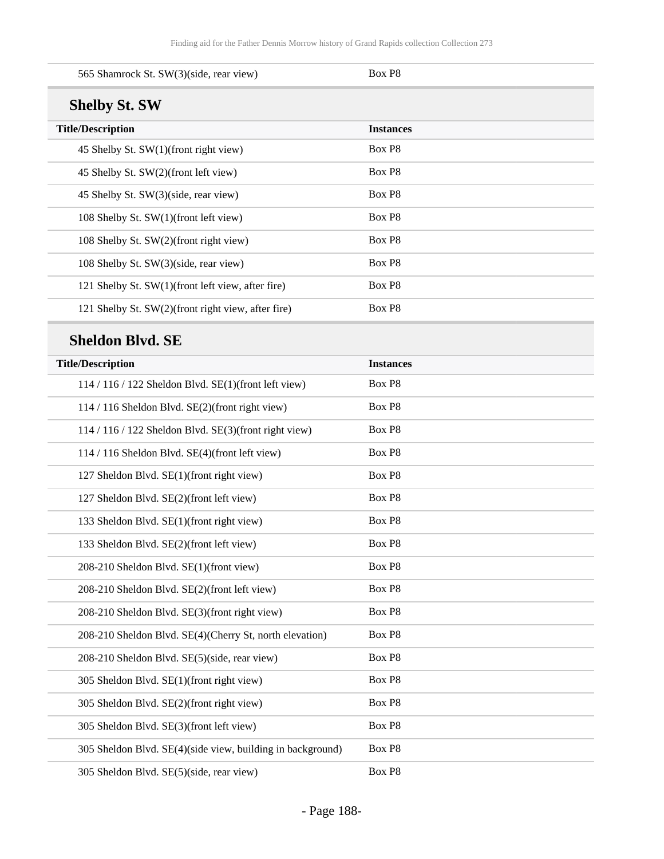| 565 Shamrock St. SW(3)(side, rear view)                    | Box P8           |  |
|------------------------------------------------------------|------------------|--|
| <b>Shelby St. SW</b>                                       |                  |  |
| <b>Title/Description</b>                                   | <b>Instances</b> |  |
| 45 Shelby St. SW(1)(front right view)                      | Box P8           |  |
| 45 Shelby St. SW(2)(front left view)                       | Box P8           |  |
| 45 Shelby St. SW(3)(side, rear view)                       | Box P8           |  |
| 108 Shelby St. SW(1)(front left view)                      | Box P8           |  |
| 108 Shelby St. SW(2)(front right view)                     | Box P8           |  |
| 108 Shelby St. SW(3)(side, rear view)                      | Box P8           |  |
| 121 Shelby St. SW(1)(front left view, after fire)          | Box P8           |  |
| 121 Shelby St. SW(2)(front right view, after fire)         | Box P8           |  |
| <b>Sheldon Blvd. SE</b>                                    |                  |  |
| <b>Title/Description</b>                                   | <b>Instances</b> |  |
| 114 / 116 / 122 Sheldon Blvd. SE(1)(front left view)       | Box P8           |  |
| 114 / 116 Sheldon Blvd. SE(2)(front right view)            | Box P8           |  |
| 114 / 116 / 122 Sheldon Blvd. SE(3)(front right view)      | Box P8           |  |
| 114 / 116 Sheldon Blvd. SE(4)(front left view)             | Box P8           |  |
| 127 Sheldon Blvd. SE(1)(front right view)                  | Box P8           |  |
| 127 Sheldon Blvd. SE(2)(front left view)                   | Box P8           |  |
| 133 Sheldon Blvd. SE(1)(front right view)                  | Box P8           |  |
| 133 Sheldon Blvd. SE(2)(front left view)                   | Box P8           |  |
| 208-210 Sheldon Blvd. SE(1)(front view)                    | Box P8           |  |
| 208-210 Sheldon Blvd. SE(2)(front left view)               | Box P8           |  |
| 208-210 Sheldon Blvd. SE(3)(front right view)              | Box P8           |  |
| 208-210 Sheldon Blvd. SE(4)(Cherry St, north elevation)    | Box P8           |  |
| 208-210 Sheldon Blvd. SE(5)(side, rear view)               | Box P8           |  |
| 305 Sheldon Blvd. SE(1)(front right view)                  | Box P8           |  |
| 305 Sheldon Blvd. SE(2)(front right view)                  | Box P8           |  |
| 305 Sheldon Blvd. SE(3)(front left view)                   | Box P8           |  |
| 305 Sheldon Blvd. SE(4)(side view, building in background) | Box P8           |  |
| 305 Sheldon Blvd. SE(5)(side, rear view)                   | Box P8           |  |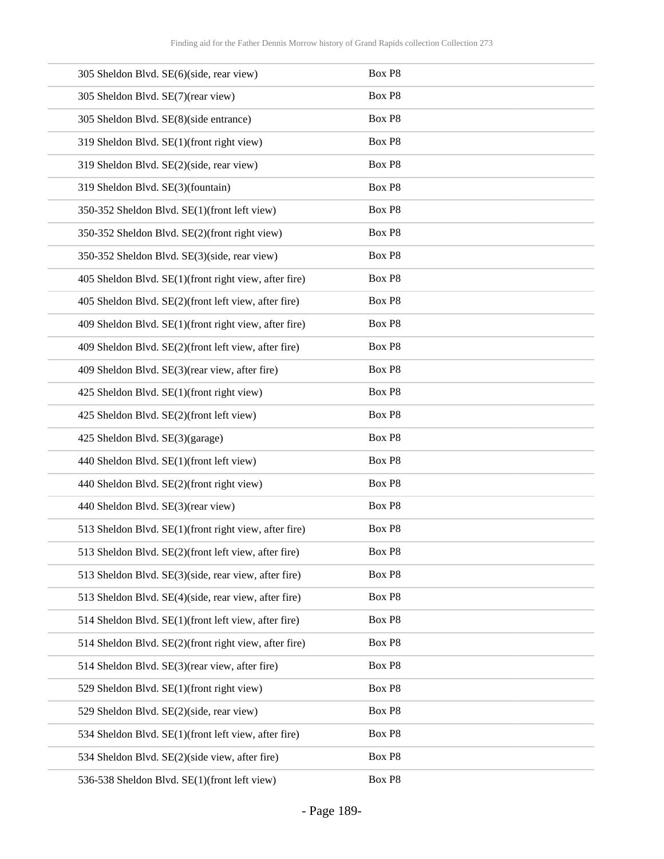| 305 Sheldon Blvd. SE(6)(side, rear view)              | Box P8 |
|-------------------------------------------------------|--------|
| 305 Sheldon Blvd. SE(7)(rear view)                    | Box P8 |
| 305 Sheldon Blvd. SE(8)(side entrance)                | Box P8 |
| 319 Sheldon Blvd. SE(1)(front right view)             | Box P8 |
| 319 Sheldon Blvd. SE(2)(side, rear view)              | Box P8 |
| 319 Sheldon Blvd. SE(3)(fountain)                     | Box P8 |
| 350-352 Sheldon Blvd. SE(1)(front left view)          | Box P8 |
| 350-352 Sheldon Blvd. SE(2)(front right view)         | Box P8 |
| 350-352 Sheldon Blvd. SE(3)(side, rear view)          | Box P8 |
| 405 Sheldon Blvd. SE(1)(front right view, after fire) | Box P8 |
| 405 Sheldon Blvd. SE(2)(front left view, after fire)  | Box P8 |
| 409 Sheldon Blvd. SE(1)(front right view, after fire) | Box P8 |
| 409 Sheldon Blvd. SE(2)(front left view, after fire)  | Box P8 |
| 409 Sheldon Blvd. SE(3)(rear view, after fire)        | Box P8 |
| 425 Sheldon Blvd. SE(1)(front right view)             | Box P8 |
| 425 Sheldon Blvd. SE(2)(front left view)              | Box P8 |
| 425 Sheldon Blvd. SE(3)(garage)                       | Box P8 |
| 440 Sheldon Blvd. SE(1)(front left view)              | Box P8 |
| 440 Sheldon Blvd. SE(2)(front right view)             | Box P8 |
| 440 Sheldon Blvd. SE(3)(rear view)                    | Box P8 |
| 513 Sheldon Blvd. SE(1)(front right view, after fire) | Box P8 |
| 513 Sheldon Blvd. SE(2)(front left view, after fire)  | Box P8 |
| 513 Sheldon Blvd. SE(3)(side, rear view, after fire)  | Box P8 |
| 513 Sheldon Blvd. SE(4)(side, rear view, after fire)  | Box P8 |
| 514 Sheldon Blvd. SE(1)(front left view, after fire)  | Box P8 |
| 514 Sheldon Blvd. SE(2)(front right view, after fire) | Box P8 |
| 514 Sheldon Blvd. SE(3)(rear view, after fire)        | Box P8 |
| 529 Sheldon Blvd. SE(1)(front right view)             | Box P8 |
| 529 Sheldon Blvd. SE(2)(side, rear view)              | Box P8 |
| 534 Sheldon Blvd. SE(1)(front left view, after fire)  | Box P8 |
| 534 Sheldon Blvd. SE(2)(side view, after fire)        | Box P8 |
| 536-538 Sheldon Blvd. SE(1)(front left view)          | Box P8 |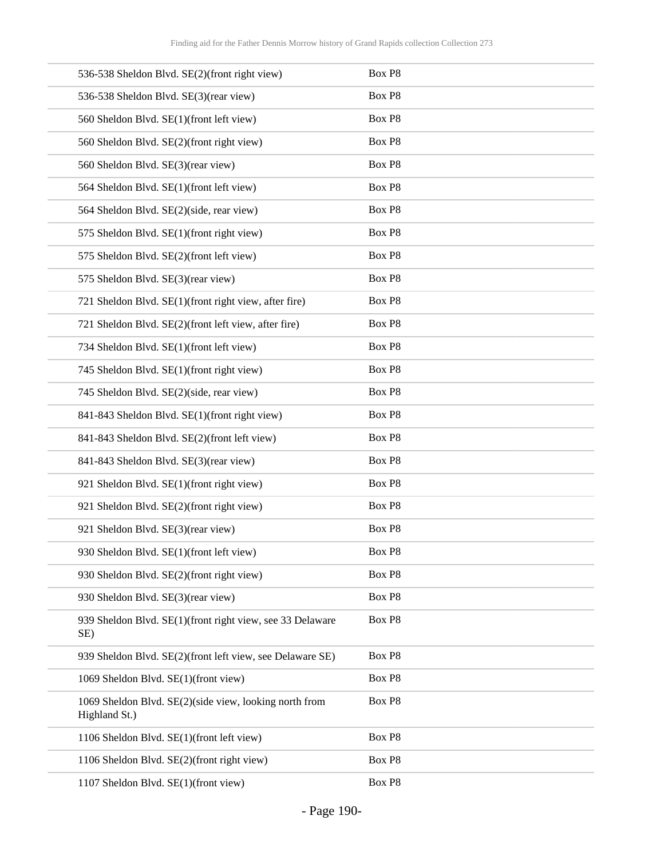| 536-538 Sheldon Blvd. SE(2)(front right view)                           | Box P8 |
|-------------------------------------------------------------------------|--------|
| 536-538 Sheldon Blvd. SE(3)(rear view)                                  | Box P8 |
| 560 Sheldon Blvd. SE(1)(front left view)                                | Box P8 |
| 560 Sheldon Blvd. SE(2)(front right view)                               | Box P8 |
| 560 Sheldon Blvd. SE(3)(rear view)                                      | Box P8 |
| 564 Sheldon Blvd. SE(1)(front left view)                                | Box P8 |
| 564 Sheldon Blvd. SE(2)(side, rear view)                                | Box P8 |
| 575 Sheldon Blvd. SE(1)(front right view)                               | Box P8 |
| 575 Sheldon Blvd. SE(2)(front left view)                                | Box P8 |
| 575 Sheldon Blvd. SE(3)(rear view)                                      | Box P8 |
| 721 Sheldon Blvd. SE(1)(front right view, after fire)                   | Box P8 |
| 721 Sheldon Blvd. SE(2)(front left view, after fire)                    | Box P8 |
| 734 Sheldon Blvd. SE(1)(front left view)                                | Box P8 |
| 745 Sheldon Blvd. SE(1)(front right view)                               | Box P8 |
| 745 Sheldon Blvd. SE(2)(side, rear view)                                | Box P8 |
| 841-843 Sheldon Blvd. SE(1)(front right view)                           | Box P8 |
| 841-843 Sheldon Blvd. SE(2)(front left view)                            | Box P8 |
| 841-843 Sheldon Blvd. SE(3)(rear view)                                  | Box P8 |
| 921 Sheldon Blvd. SE(1)(front right view)                               | Box P8 |
| 921 Sheldon Blvd. SE(2)(front right view)                               | Box P8 |
| 921 Sheldon Blvd. SE(3)(rear view)                                      | Box P8 |
| 930 Sheldon Blvd. SE(1)(front left view)                                | Box P8 |
| 930 Sheldon Blvd. SE(2)(front right view)                               | Box P8 |
| 930 Sheldon Blvd. SE(3)(rear view)                                      | Box P8 |
| 939 Sheldon Blvd. SE(1)(front right view, see 33 Delaware<br>SE)        | Box P8 |
| 939 Sheldon Blvd. SE(2)(front left view, see Delaware SE)               | Box P8 |
| 1069 Sheldon Blvd. SE(1)(front view)                                    | Box P8 |
| 1069 Sheldon Blvd. SE(2)(side view, looking north from<br>Highland St.) | Box P8 |
| 1106 Sheldon Blvd. SE(1)(front left view)                               | Box P8 |
| 1106 Sheldon Blvd. SE(2)(front right view)                              | Box P8 |
| 1107 Sheldon Blvd. SE(1)(front view)                                    | Box P8 |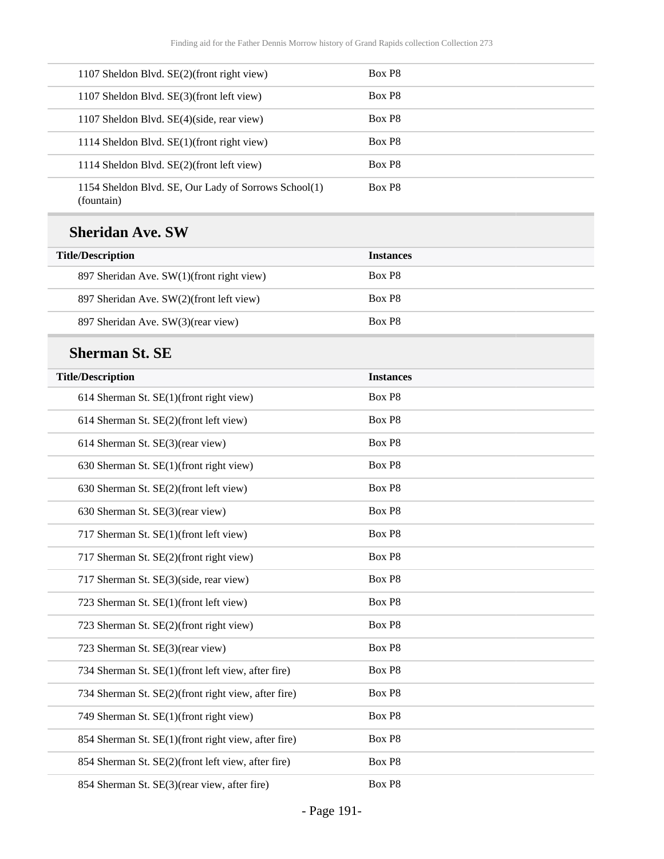| 1107 Sheldon Blvd. SE(2)(front right view)                         | Box P <sub>8</sub> |
|--------------------------------------------------------------------|--------------------|
| 1107 Sheldon Blvd. SE(3)(front left view)                          | Box P8             |
| 1107 Sheldon Blvd. SE(4)(side, rear view)                          | Box P <sub>8</sub> |
| 1114 Sheldon Blvd. SE(1)(front right view)                         | Box P <sub>8</sub> |
| 1114 Sheldon Blvd. SE(2)(front left view)                          | Box P <sub>8</sub> |
| 1154 Sheldon Blvd. SE, Our Lady of Sorrows School(1)<br>(fountain) | Box P <sub>8</sub> |

### **Sheridan Ave. SW**

L

| <b>Title/Description</b>                  | <b>Instances</b>   |
|-------------------------------------------|--------------------|
| 897 Sheridan Ave. SW(1)(front right view) | Box P <sub>8</sub> |
| 897 Sheridan Ave. SW(2)(front left view)  | Box P <sub>8</sub> |
| 897 Sheridan Ave. SW(3)(rear view)        | Box P <sub>8</sub> |

### **Sherman St. SE**

| <b>Title/Description</b>                            | <b>Instances</b> |  |
|-----------------------------------------------------|------------------|--|
| 614 Sherman St. SE(1)(front right view)             | Box P8           |  |
| 614 Sherman St. SE(2)(front left view)              | Box P8           |  |
| 614 Sherman St. SE(3)(rear view)                    | Box P8           |  |
| 630 Sherman St. SE(1)(front right view)             | Box P8           |  |
| 630 Sherman St. SE(2)(front left view)              | Box P8           |  |
| 630 Sherman St. SE(3)(rear view)                    | Box P8           |  |
| 717 Sherman St. SE(1)(front left view)              | Box P8           |  |
| 717 Sherman St. SE(2)(front right view)             | Box P8           |  |
| 717 Sherman St. SE(3)(side, rear view)              | Box P8           |  |
| 723 Sherman St. SE(1)(front left view)              | Box P8           |  |
| 723 Sherman St. SE(2)(front right view)             | Box P8           |  |
| 723 Sherman St. SE(3)(rear view)                    | Box P8           |  |
| 734 Sherman St. SE(1)(front left view, after fire)  | Box P8           |  |
| 734 Sherman St. SE(2)(front right view, after fire) | Box P8           |  |
| 749 Sherman St. SE(1)(front right view)             | Box P8           |  |
| 854 Sherman St. SE(1)(front right view, after fire) | Box P8           |  |
| 854 Sherman St. SE(2)(front left view, after fire)  | Box P8           |  |
| 854 Sherman St. SE(3)(rear view, after fire)        | Box P8           |  |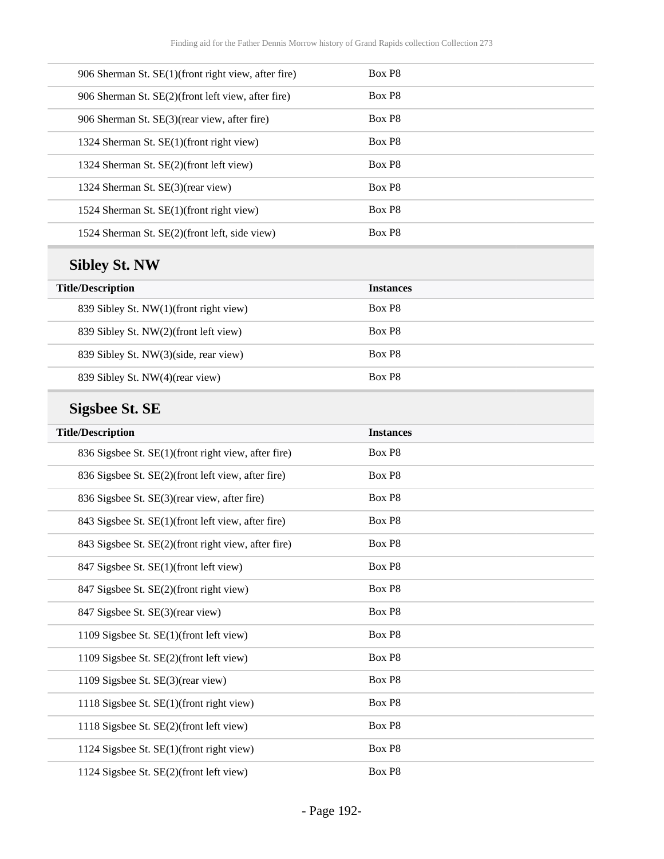| Box P8             |  |
|--------------------|--|
| Box P <sub>8</sub> |  |
| Box P <sub>8</sub> |  |
| Box P <sub>8</sub> |  |
| Box P <sub>8</sub> |  |
| Box P8             |  |
| Box P8             |  |
| Box P <sub>8</sub> |  |
|                    |  |

# **Sibley St. NW**

| <b>Title/Description</b>               | <b>Instances</b>   |
|----------------------------------------|--------------------|
| 839 Sibley St. NW(1)(front right view) | Box P <sub>8</sub> |
| 839 Sibley St. NW(2)(front left view)  | Box P <sub>8</sub> |
| 839 Sibley St. NW(3)(side, rear view)  | Box P <sub>8</sub> |
| 839 Sibley St. NW(4)(rear view)        | Box P <sub>8</sub> |

# **Sigsbee St. SE**

| <b>Title/Description</b>                            | <b>Instances</b> |
|-----------------------------------------------------|------------------|
| 836 Sigsbee St. SE(1)(front right view, after fire) | Box P8           |
| 836 Sigsbee St. SE(2)(front left view, after fire)  | Box P8           |
| 836 Sigsbee St. SE(3)(rear view, after fire)        | Box P8           |
| 843 Sigsbee St. SE(1)(front left view, after fire)  | Box P8           |
| 843 Sigsbee St. SE(2)(front right view, after fire) | Box P8           |
| 847 Sigsbee St. SE(1)(front left view)              | Box P8           |
| 847 Sigsbee St. SE(2)(front right view)             | Box P8           |
| 847 Sigsbee St. SE(3)(rear view)                    | Box P8           |
| 1109 Sigsbee St. SE(1)(front left view)             | Box P8           |
| 1109 Sigsbee St. SE(2)(front left view)             | Box P8           |
| 1109 Sigsbee St. SE(3)(rear view)                   | Box P8           |
| 1118 Sigsbee St. SE(1)(front right view)            | Box P8           |
| 1118 Sigsbee St. SE(2)(front left view)             | Box P8           |
| 1124 Sigsbee St. SE(1)(front right view)            | Box P8           |
| 1124 Sigsbee St. SE(2)(front left view)             | Box P8           |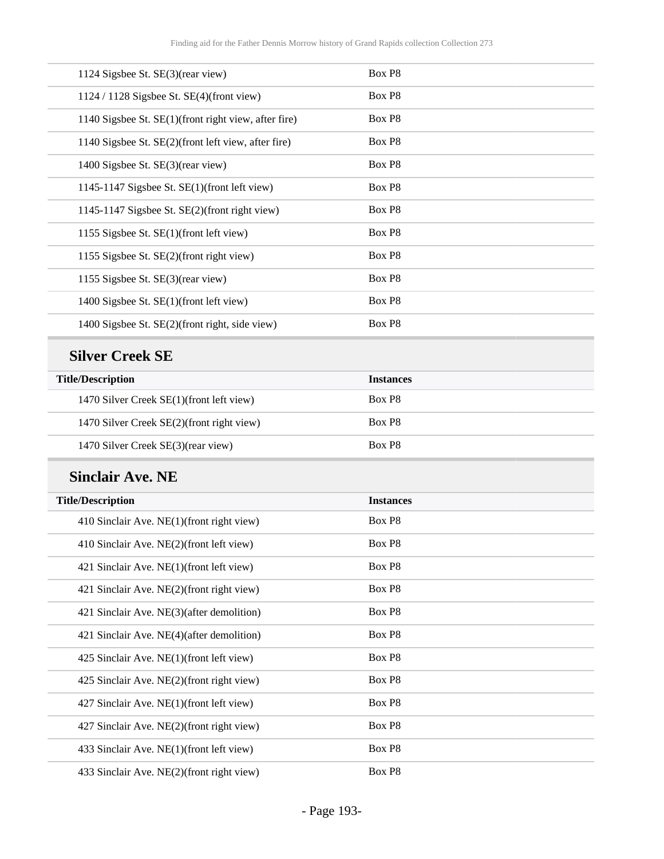| 1124 Sigsbee St. SE(3)(rear view)                    | Box P8 |
|------------------------------------------------------|--------|
| $1124 / 1128$ Sigsbee St. SE(4)(front view)          | Box P8 |
| 1140 Sigsbee St. SE(1)(front right view, after fire) | Box P8 |
| 1140 Sigsbee St. SE(2)(front left view, after fire)  | Box P8 |
| 1400 Sigsbee St. SE(3)(rear view)                    | Box P8 |
| 1145-1147 Sigsbee St. $SE(1)$ (front left view)      | Box P8 |
| 1145-1147 Sigsbee St. SE(2)(front right view)        | Box P8 |
| 1155 Sigsbee St. SE(1)(front left view)              | Box P8 |
| 1155 Sigsbee St. SE(2)(front right view)             | Box P8 |
| 1155 Sigsbee St. SE(3)(rear view)                    | Box P8 |
| 1400 Sigsbee St. SE(1)(front left view)              | Box P8 |
| 1400 Sigsbee St. SE(2)(front right, side view)       | Box P8 |
|                                                      |        |

### **Silver Creek SE**

| <b>Title/Description</b>                  | <b>Instances</b>   |
|-------------------------------------------|--------------------|
| 1470 Silver Creek SE(1)(front left view)  | Box P <sub>8</sub> |
| 1470 Silver Creek SE(2)(front right view) | Box P <sub>8</sub> |
| 1470 Silver Creek SE(3)(rear view)        | Box P <sub>8</sub> |

### **Sinclair Ave. NE**

| <b>Title/Description</b>                  | <b>Instances</b> |
|-------------------------------------------|------------------|
| 410 Sinclair Ave. NE(1)(front right view) | Box P8           |
| 410 Sinclair Ave. NE(2)(front left view)  | Box P8           |
| 421 Sinclair Ave. NE(1)(front left view)  | Box P8           |
| 421 Sinclair Ave. NE(2)(front right view) | Box P8           |
| 421 Sinclair Ave. NE(3)(after demolition) | Box P8           |
| 421 Sinclair Ave. NE(4)(after demolition) | Box P8           |
| 425 Sinclair Ave. NE(1)(front left view)  | Box P8           |
| 425 Sinclair Ave. NE(2)(front right view) | Box P8           |
| 427 Sinclair Ave. NE(1)(front left view)  | Box P8           |
| 427 Sinclair Ave. NE(2)(front right view) | Box P8           |
| 433 Sinclair Ave. NE(1)(front left view)  | Box P8           |
| 433 Sinclair Ave. NE(2)(front right view) | Box P8           |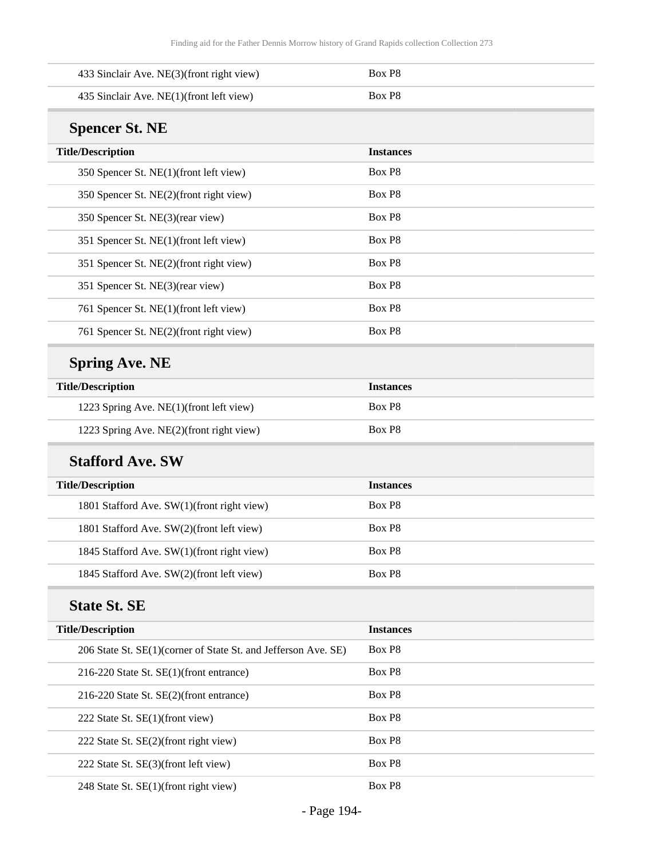| 433 Sinclair Ave. NE(3)(front right view)                      | Box P8           |
|----------------------------------------------------------------|------------------|
| 435 Sinclair Ave. NE(1)(front left view)                       | Box P8           |
| <b>Spencer St. NE</b>                                          |                  |
| <b>Title/Description</b>                                       | <b>Instances</b> |
| 350 Spencer St. NE(1)(front left view)                         | Box P8           |
| 350 Spencer St. NE(2)(front right view)                        | Box P8           |
| 350 Spencer St. NE(3)(rear view)                               | Box P8           |
| 351 Spencer St. NE(1)(front left view)                         | Box P8           |
| 351 Spencer St. NE(2)(front right view)                        | Box P8           |
| 351 Spencer St. NE(3)(rear view)                               | Box P8           |
| 761 Spencer St. NE(1)(front left view)                         | Box P8           |
| 761 Spencer St. NE(2)(front right view)                        | Box P8           |
| <b>Spring Ave. NE</b>                                          |                  |
| <b>Title/Description</b>                                       | <b>Instances</b> |
| 1223 Spring Ave. NE(1)(front left view)                        | Box P8           |
| 1223 Spring Ave. NE(2)(front right view)                       | Box P8           |
| <b>Stafford Ave. SW</b>                                        |                  |
| <b>Title/Description</b>                                       | <b>Instances</b> |
| 1801 Stafford Ave. SW(1)(front right view)                     | Box P8           |
| 1801 Stafford Ave. SW(2)(front left view)                      | Box P8           |
| 1845 Stafford Ave. SW(1)(front right view)                     | Box P8           |
| 1845 Stafford Ave. SW(2)(front left view)                      | Box P8           |
| <b>State St. SE</b>                                            |                  |
| <b>Title/Description</b>                                       | <b>Instances</b> |
| 206 State St. SE(1)(corner of State St. and Jefferson Ave. SE) | Box P8           |
| 216-220 State St. SE(1)(front entrance)                        | Box P8           |
| 216-220 State St. SE(2)(front entrance)                        | Box P8           |
| 222 State St. SE(1)(front view)                                | Box P8           |
| 222 State St. SE(2)(front right view)                          | Box P8           |
| 222 State St. SE(3)(front left view)                           | Box P8           |
| 248 State St. SE(1)(front right view)                          | Box P8           |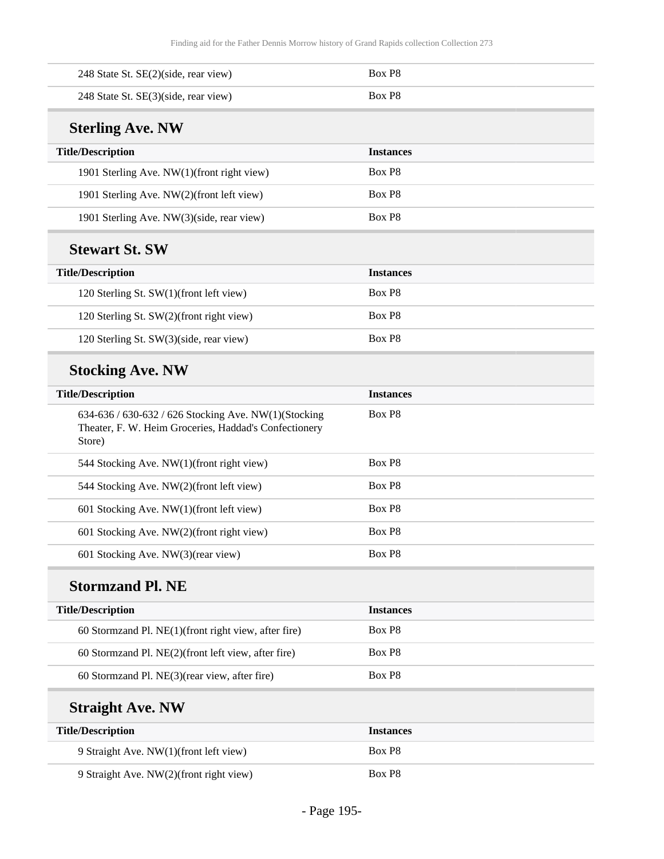| 248 State St. SE(2)(side, rear view)                                                                                    | Box P8           |
|-------------------------------------------------------------------------------------------------------------------------|------------------|
| 248 State St. SE(3)(side, rear view)                                                                                    | Box P8           |
| <b>Sterling Ave. NW</b>                                                                                                 |                  |
| <b>Title/Description</b>                                                                                                | <b>Instances</b> |
| 1901 Sterling Ave. NW(1)(front right view)                                                                              | Box P8           |
| 1901 Sterling Ave. NW(2)(front left view)                                                                               | Box P8           |
| 1901 Sterling Ave. NW(3)(side, rear view)                                                                               | Box P8           |
| <b>Stewart St. SW</b>                                                                                                   |                  |
| <b>Title/Description</b>                                                                                                | <b>Instances</b> |
| 120 Sterling St. SW(1)(front left view)                                                                                 | Box P8           |
| 120 Sterling St. SW(2)(front right view)                                                                                | Box P8           |
| 120 Sterling St. SW(3)(side, rear view)                                                                                 | Box P8           |
| <b>Stocking Ave. NW</b>                                                                                                 |                  |
| <b>Title/Description</b>                                                                                                | <b>Instances</b> |
| 634-636 / 630-632 / 626 Stocking Ave. NW(1)(Stocking<br>Theater, F. W. Heim Groceries, Haddad's Confectionery<br>Store) | Box P8           |
| 544 Stocking Ave. NW(1)(front right view)                                                                               | Box P8           |
| 544 Stocking Ave. NW(2)(front left view)                                                                                | Box P8           |
| 601 Stocking Ave. NW(1)(front left view)                                                                                | Box P8           |
| 601 Stocking Ave. NW(2)(front right view)                                                                               | Box P8           |
| 601 Stocking Ave. NW(3)(rear view)                                                                                      | Box P8           |
| <b>Stormzand Pl. NE</b>                                                                                                 |                  |
| <b>Title/Description</b>                                                                                                | <b>Instances</b> |
| 60 Stormzand Pl. NE(1)(front right view, after fire)                                                                    | Box P8           |
| 60 Stormzand Pl. NE(2)(front left view, after fire)                                                                     | Box P8           |
| 60 Stormzand Pl. NE(3)(rear view, after fire)                                                                           | Box P8           |
| <b>Straight Ave. NW</b>                                                                                                 |                  |
| <b>Title/Description</b>                                                                                                | <b>Instances</b> |
| 9 Straight Ave. NW(1)(front left view)                                                                                  | Box P8           |
| 9 Straight Ave. NW(2)(front right view)                                                                                 | Box P8           |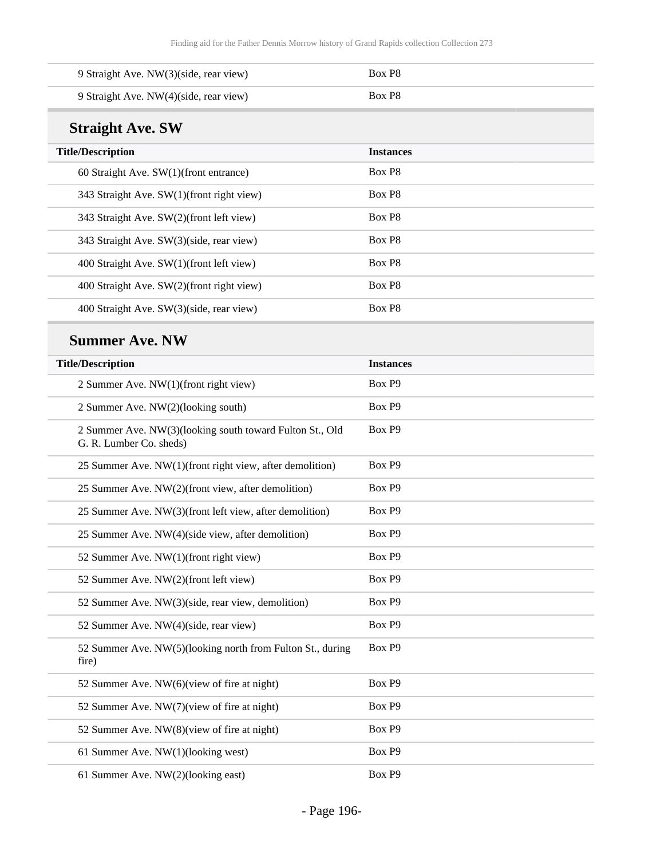| 9 Straight Ave. NW(3)(side, rear view) | Box P <sub>8</sub> |
|----------------------------------------|--------------------|
| 9 Straight Ave. NW(4)(side, rear view) | Box P8             |

## **Straight Ave. SW**

| <b>Title/Description</b>                  | <b>Instances</b>   |
|-------------------------------------------|--------------------|
| 60 Straight Ave. $SW(1)$ (front entrance) | Box P <sub>8</sub> |
| 343 Straight Ave. SW(1)(front right view) | Box P8             |
| 343 Straight Ave. SW(2)(front left view)  | Box P8             |
| 343 Straight Ave. SW(3)(side, rear view)  | Box P8             |
| 400 Straight Ave. SW(1)(front left view)  | Box P <sub>8</sub> |
| 400 Straight Ave. SW(2)(front right view) | Box P8             |
| 400 Straight Ave. SW(3)(side, rear view)  | Box P8             |

### **Summer Ave. NW**

| <b>Title/Description</b>                                                            | <b>Instances</b> |
|-------------------------------------------------------------------------------------|------------------|
| 2 Summer Ave. NW(1)(front right view)                                               | Box P9           |
| 2 Summer Ave. NW(2)(looking south)                                                  | Box P9           |
| 2 Summer Ave. NW(3)(looking south toward Fulton St., Old<br>G. R. Lumber Co. sheds) | Box P9           |
| 25 Summer Ave. NW(1)(front right view, after demolition)                            | Box P9           |
| 25 Summer Ave. NW(2)(front view, after demolition)                                  | Box P9           |
| 25 Summer Ave. NW(3)(front left view, after demolition)                             | Box P9           |
| 25 Summer Ave. NW(4)(side view, after demolition)                                   | Box P9           |
| 52 Summer Ave. NW(1)(front right view)                                              | Box P9           |
| 52 Summer Ave. NW(2)(front left view)                                               | Box P9           |
| 52 Summer Ave. NW(3)(side, rear view, demolition)                                   | Box P9           |
| 52 Summer Ave. NW(4)(side, rear view)                                               | Box P9           |
| 52 Summer Ave. NW(5)(looking north from Fulton St., during<br>fire)                 | Box P9           |
| 52 Summer Ave. NW(6)(view of fire at night)                                         | Box P9           |
| 52 Summer Ave. NW(7)(view of fire at night)                                         | Box P9           |
| 52 Summer Ave. NW(8)(view of fire at night)                                         | Box P9           |
| 61 Summer Ave. NW(1)(looking west)                                                  | Box P9           |
| 61 Summer Ave. NW(2)(looking east)                                                  | Box P9           |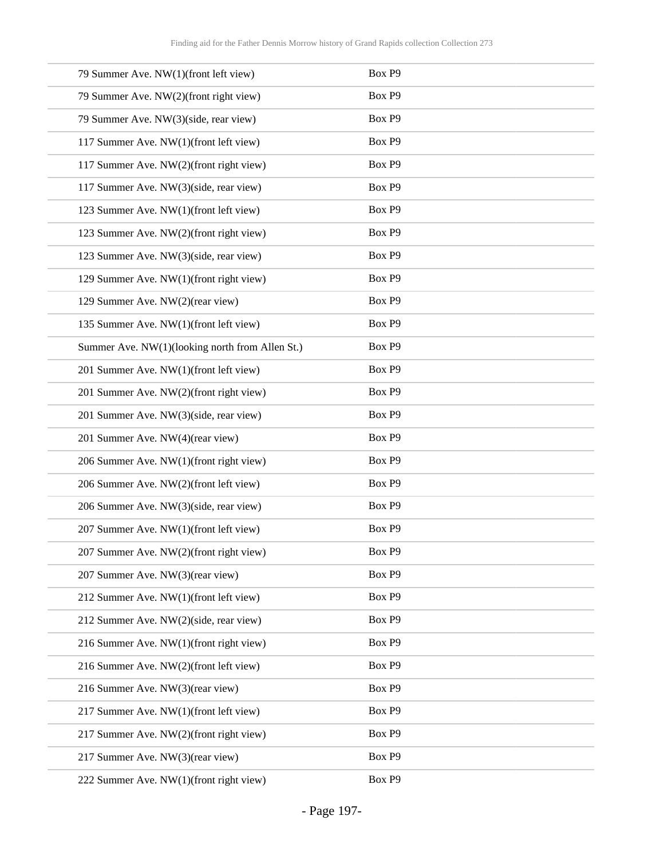| 79 Summer Ave. NW(1)(front left view)           | Box P9 |
|-------------------------------------------------|--------|
| 79 Summer Ave. NW(2)(front right view)          | Box P9 |
| 79 Summer Ave. NW(3)(side, rear view)           | Box P9 |
| 117 Summer Ave. NW(1)(front left view)          | Box P9 |
| 117 Summer Ave. NW(2)(front right view)         | Box P9 |
| 117 Summer Ave. NW(3)(side, rear view)          | Box P9 |
| 123 Summer Ave. NW(1)(front left view)          | Box P9 |
| 123 Summer Ave. NW(2)(front right view)         | Box P9 |
| 123 Summer Ave. NW(3)(side, rear view)          | Box P9 |
| 129 Summer Ave. NW(1)(front right view)         | Box P9 |
| 129 Summer Ave. NW(2)(rear view)                | Box P9 |
| 135 Summer Ave. NW(1)(front left view)          | Box P9 |
| Summer Ave. NW(1)(looking north from Allen St.) | Box P9 |
| 201 Summer Ave. NW(1)(front left view)          | Box P9 |
| 201 Summer Ave. NW(2)(front right view)         | Box P9 |
| 201 Summer Ave. NW(3)(side, rear view)          | Box P9 |
| 201 Summer Ave. NW(4)(rear view)                | Box P9 |
| 206 Summer Ave. NW(1)(front right view)         | Box P9 |
| 206 Summer Ave. NW(2)(front left view)          | Box P9 |
| 206 Summer Ave. NW(3)(side, rear view)          | Box P9 |
| 207 Summer Ave. NW(1)(front left view)          | Box P9 |
| 207 Summer Ave. NW(2)(front right view)         | Box P9 |
| 207 Summer Ave. NW(3)(rear view)                | Box P9 |
| 212 Summer Ave. NW(1)(front left view)          | Box P9 |
| 212 Summer Ave. NW(2)(side, rear view)          | Box P9 |
| 216 Summer Ave. NW(1)(front right view)         | Box P9 |
| 216 Summer Ave. NW(2)(front left view)          | Box P9 |
| 216 Summer Ave. NW(3)(rear view)                | Box P9 |
| 217 Summer Ave. NW(1)(front left view)          | Box P9 |
| 217 Summer Ave. NW(2)(front right view)         | Box P9 |
| 217 Summer Ave. NW(3)(rear view)                | Box P9 |
| 222 Summer Ave. NW(1)(front right view)         | Box P9 |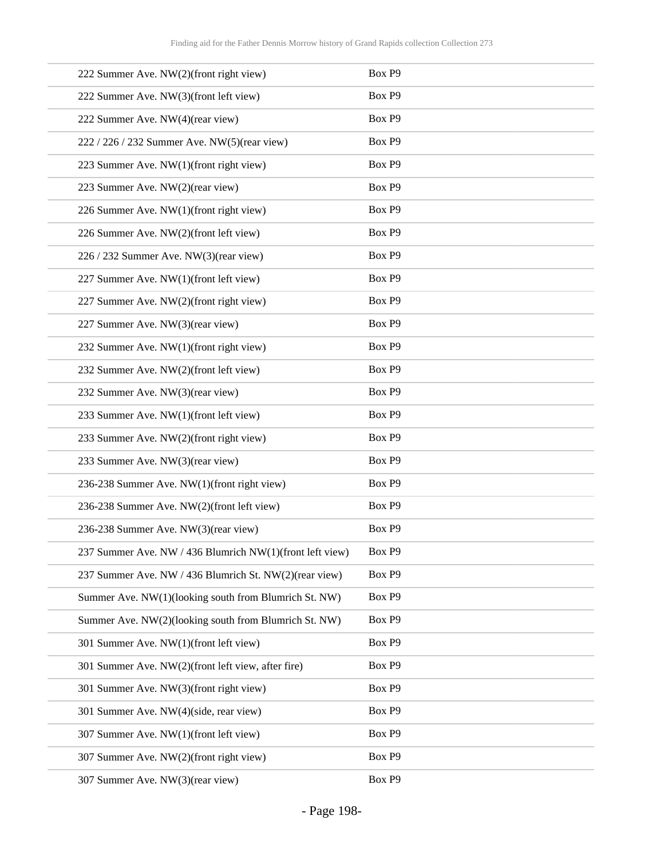| 222 Summer Ave. NW(2)(front right view)                  | Box P9 |
|----------------------------------------------------------|--------|
| 222 Summer Ave. NW(3)(front left view)                   | Box P9 |
| 222 Summer Ave. NW(4)(rear view)                         | Box P9 |
| 222 / 226 / 232 Summer Ave. NW(5)(rear view)             | Box P9 |
| 223 Summer Ave. NW(1)(front right view)                  | Box P9 |
| 223 Summer Ave. NW(2)(rear view)                         | Box P9 |
| 226 Summer Ave. NW(1)(front right view)                  | Box P9 |
| 226 Summer Ave. NW(2)(front left view)                   | Box P9 |
| 226 / 232 Summer Ave. NW(3)(rear view)                   | Box P9 |
| 227 Summer Ave. NW(1)(front left view)                   | Box P9 |
| 227 Summer Ave. NW(2)(front right view)                  | Box P9 |
| 227 Summer Ave. NW(3)(rear view)                         | Box P9 |
| 232 Summer Ave. NW(1)(front right view)                  | Box P9 |
| 232 Summer Ave. NW(2)(front left view)                   | Box P9 |
| 232 Summer Ave. NW(3)(rear view)                         | Box P9 |
| 233 Summer Ave. NW(1)(front left view)                   | Box P9 |
| 233 Summer Ave. NW(2)(front right view)                  | Box P9 |
| 233 Summer Ave. NW(3)(rear view)                         | Box P9 |
| 236-238 Summer Ave. NW(1)(front right view)              | Box P9 |
| 236-238 Summer Ave. NW(2)(front left view)               | Box P9 |
| 236-238 Summer Ave. NW(3)(rear view)                     | Box P9 |
| 237 Summer Ave. NW / 436 Blumrich NW(1)(front left view) | Box P9 |
| 237 Summer Ave. NW / 436 Blumrich St. NW(2)(rear view)   | Box P9 |
| Summer Ave. NW(1)(looking south from Blumrich St. NW)    | Box P9 |
| Summer Ave. NW(2)(looking south from Blumrich St. NW)    | Box P9 |
| 301 Summer Ave. NW(1)(front left view)                   | Box P9 |
| 301 Summer Ave. NW(2)(front left view, after fire)       | Box P9 |
| 301 Summer Ave. NW(3)(front right view)                  | Box P9 |
| 301 Summer Ave. NW(4)(side, rear view)                   | Box P9 |
| 307 Summer Ave. NW(1)(front left view)                   | Box P9 |
| 307 Summer Ave. NW(2)(front right view)                  | Box P9 |
| 307 Summer Ave. NW(3)(rear view)                         | Box P9 |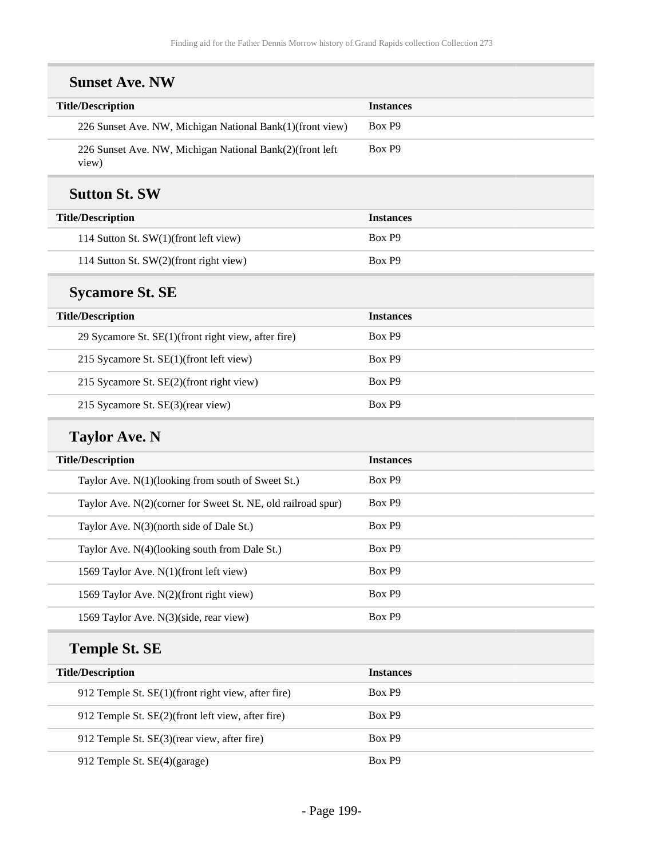| <b>Sunset Ave. NW</b>                                             |                  |
|-------------------------------------------------------------------|------------------|
| <b>Title/Description</b>                                          | <b>Instances</b> |
| 226 Sunset Ave. NW, Michigan National Bank(1)(front view)         | Box P9           |
| 226 Sunset Ave. NW, Michigan National Bank(2)(front left<br>view) | Box P9           |
| <b>Sutton St. SW</b>                                              |                  |
| <b>Title/Description</b>                                          | <b>Instances</b> |
| 114 Sutton St. SW(1)(front left view)                             | Box P9           |
| 114 Sutton St. SW(2)(front right view)                            | Box P9           |
| <b>Sycamore St. SE</b>                                            |                  |
| <b>Title/Description</b>                                          | <b>Instances</b> |
| 29 Sycamore St. SE(1)(front right view, after fire)               | Box P9           |
| 215 Sycamore St. SE(1)(front left view)                           | Box P9           |
| 215 Sycamore St. SE(2)(front right view)                          | Box P9           |
| 215 Sycamore St. SE(3)(rear view)                                 | Box P9           |
| <b>Taylor Ave. N</b>                                              |                  |
| <b>Title/Description</b>                                          | <b>Instances</b> |
| Taylor Ave. N(1)(looking from south of Sweet St.)                 | Box P9           |
| Taylor Ave. N(2)(corner for Sweet St. NE, old railroad spur)      | Box P9           |
| Taylor Ave. N(3)(north side of Dale St.)                          | Box P9           |
| Taylor Ave. N(4)(looking south from Dale St.)                     | Box P9           |
| 1569 Taylor Ave. N(1)(front left view)                            | Box P9           |
| 1569 Taylor Ave. N(2)(front right view)                           | Box P9           |
| 1569 Taylor Ave. N(3)(side, rear view)                            | Box P9           |
| <b>Temple St. SE</b>                                              |                  |
| <b>Title/Description</b>                                          | <b>Instances</b> |
| 912 Temple St. SE(1)(front right view, after fire)                | Box P9           |
| 912 Temple St. SE(2)(front left view, after fire)                 | Box P9           |
| 912 Temple St. SE(3)(rear view, after fire)                       | Box P9           |
| 912 Temple St. SE(4)(garage)                                      | Box P9           |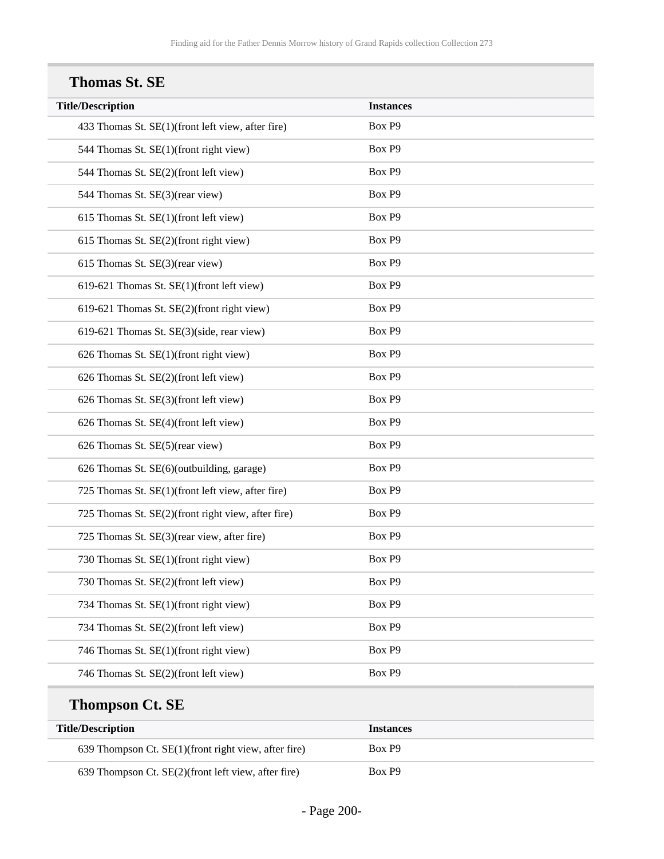**Title/Description Instances**

| <b>Thomas St. SE</b>                              |         |
|---------------------------------------------------|---------|
| <b>Title/Description</b>                          | Instand |
| 433 Thomas St. SE(1)(front left view, after fire) | Box P9  |
| 544 Thomas St. SE(1)(front right view)            | Box P9  |
| 544 Thomas St. SE(2)(front left view)             | Box P9  |
| 544 Thomas St. SE(3)(rear view)                   | Box P9  |
| 615 Thomas St. $SE(1)$ (front left view)          | Box P9  |
| $615$ Thomas St. SE(2)(front right view)          | Box P9  |

| 544 Thomas St. SE(2)(front left view)              | Box P9 |
|----------------------------------------------------|--------|
| 544 Thomas St. SE(3)(rear view)                    | Box P9 |
| 615 Thomas St. SE(1)(front left view)              | Box P9 |
| 615 Thomas St. SE(2)(front right view)             | Box P9 |
| 615 Thomas St. SE(3)(rear view)                    | Box P9 |
| 619-621 Thomas St. SE(1)(front left view)          | Box P9 |
| 619-621 Thomas St. SE(2)(front right view)         | Box P9 |
| 619-621 Thomas St. SE(3)(side, rear view)          | Box P9 |
| 626 Thomas St. SE(1)(front right view)             | Box P9 |
| 626 Thomas St. SE(2)(front left view)              | Box P9 |
| 626 Thomas St. SE(3)(front left view)              | Box P9 |
| 626 Thomas St. SE(4)(front left view)              | Box P9 |
| 626 Thomas St. SE(5)(rear view)                    | Box P9 |
| 626 Thomas St. SE(6)(outbuilding, garage)          | Box P9 |
| 725 Thomas St. SE(1)(front left view, after fire)  | Box P9 |
| 725 Thomas St. SE(2)(front right view, after fire) | Box P9 |
| 725 Thomas St. SE(3)(rear view, after fire)        | Box P9 |
| 730 Thomas St. SE(1)(front right view)             | Box P9 |
| 730 Thomas St. SE(2)(front left view)              | Box P9 |
| 734 Thomas St. SE(1)(front right view)             | Box P9 |
| 734 Thomas St. SE(2)(front left view)              | Box P9 |
| 746 Thomas St. SE(1)(front right view)             | Box P9 |
| 746 Thomas St. SE(2)(front left view)              | Box P9 |
|                                                    |        |

# **Thompson Ct. SE**

| <b>Title/Description</b>                             | <b>Instances</b> |
|------------------------------------------------------|------------------|
| 639 Thompson Ct. SE(1)(front right view, after fire) | Box P9           |
| 639 Thompson Ct. SE(2)(front left view, after fire)  | Box P9           |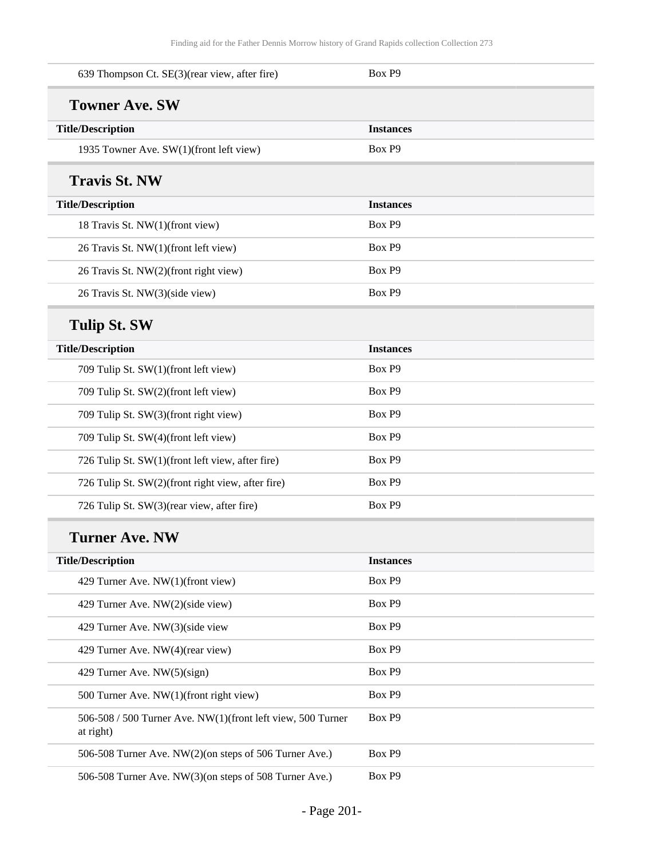| 639 Thompson Ct. SE(3)(rear view, after fire)                            | Box P9           |
|--------------------------------------------------------------------------|------------------|
| <b>Towner Ave. SW</b>                                                    |                  |
| <b>Title/Description</b>                                                 | <b>Instances</b> |
| 1935 Towner Ave. SW(1)(front left view)                                  | Box P9           |
| <b>Travis St. NW</b>                                                     |                  |
| <b>Title/Description</b>                                                 | <b>Instances</b> |
| 18 Travis St. NW(1)(front view)                                          | Box P9           |
| 26 Travis St. NW(1)(front left view)                                     | Box P9           |
| 26 Travis St. NW(2)(front right view)                                    | Box P9           |
| 26 Travis St. NW(3)(side view)                                           | Box P9           |
| <b>Tulip St. SW</b>                                                      |                  |
| <b>Title/Description</b>                                                 | <b>Instances</b> |
| 709 Tulip St. SW(1)(front left view)                                     | Box P9           |
| 709 Tulip St. SW(2)(front left view)                                     | Box P9           |
| 709 Tulip St. SW(3)(front right view)                                    | Box P9           |
| 709 Tulip St. SW(4)(front left view)                                     | Box P9           |
| 726 Tulip St. SW(1)(front left view, after fire)                         | Box P9           |
| 726 Tulip St. SW(2)(front right view, after fire)                        | Box P9           |
| 726 Tulip St. SW(3)(rear view, after fire)                               | Box P9           |
| <b>Turner Ave. NW</b>                                                    |                  |
| <b>Title/Description</b>                                                 | <b>Instances</b> |
| 429 Turner Ave. NW(1)(front view)                                        | Box P9           |
| 429 Turner Ave. NW(2)(side view)                                         | Box P9           |
| 429 Turner Ave. NW(3)(side view                                          | Box P9           |
| 429 Turner Ave. NW(4)(rear view)                                         | Box P9           |
| 429 Turner Ave. NW(5)(sign)                                              | Box P9           |
| 500 Turner Ave. NW(1)(front right view)                                  | Box P9           |
| 506-508 / 500 Turner Ave. NW(1)(front left view, 500 Turner<br>at right) | Box P9           |
| 506-508 Turner Ave. NW(2)(on steps of 506 Turner Ave.)                   | Box P9           |
| 506-508 Turner Ave. NW(3)(on steps of 508 Turner Ave.)                   | Box P9           |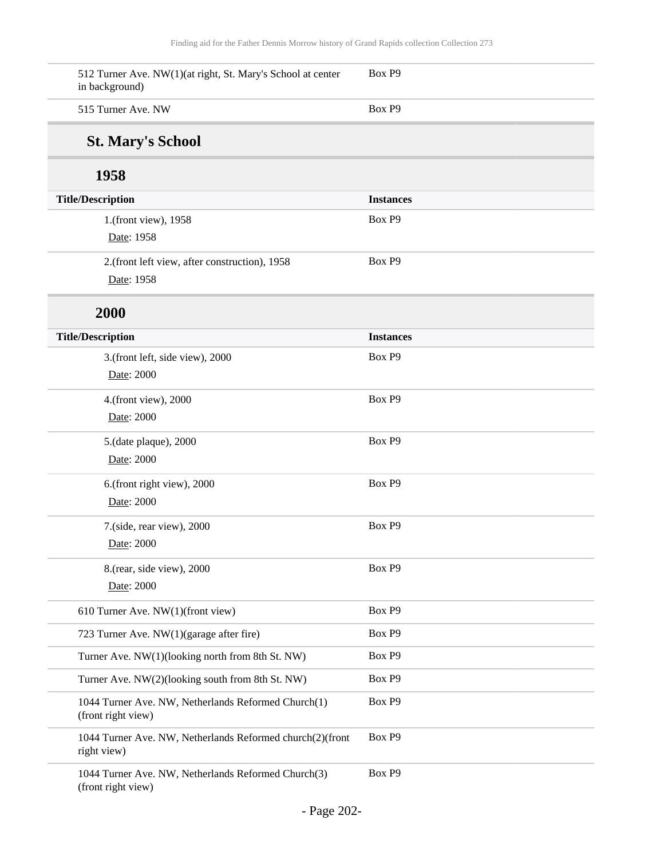| 512 Turner Ave. NW(1)(at right, St. Mary's School at center<br>in background) | Box P9           |
|-------------------------------------------------------------------------------|------------------|
| 515 Turner Ave. NW                                                            | Box P9           |
| <b>St. Mary's School</b>                                                      |                  |
| 1958                                                                          |                  |
| <b>Title/Description</b>                                                      | <b>Instances</b> |
| 1.(front view), 1958                                                          | Box P9           |
| Date: 1958                                                                    |                  |
| 2.(front left view, after construction), 1958                                 | Box P9           |
| Date: 1958                                                                    |                  |
| 2000                                                                          |                  |
| <b>Title/Description</b>                                                      | <b>Instances</b> |
| 3.(front left, side view), 2000                                               | Box P9           |
| Date: 2000                                                                    |                  |
| 4.(front view), 2000                                                          | Box P9           |
| Date: 2000                                                                    |                  |
| 5.(date plaque), 2000                                                         | Box P9           |
| Date: 2000                                                                    |                  |
| 6.(front right view), 2000                                                    | Box P9           |
| Date: 2000                                                                    |                  |
| 7.(side, rear view), 2000                                                     | Box P9           |
| Date: 2000                                                                    |                  |
| 8.(rear, side view), 2000                                                     | Box P9           |
| Date: 2000                                                                    |                  |
| 610 Turner Ave. NW(1)(front view)                                             | Box P9           |
| 723 Turner Ave. NW(1)(garage after fire)                                      | Box P9           |
| Turner Ave. NW(1)(looking north from 8th St. NW)                              | Box P9           |
| Turner Ave. NW(2)(looking south from 8th St. NW)                              | Box P9           |
| 1044 Turner Ave. NW, Netherlands Reformed Church(1)<br>(front right view)     | Box P9           |
| 1044 Turner Ave. NW, Netherlands Reformed church(2)(front<br>right view)      | Box P9           |
| 1044 Turner Ave. NW, Netherlands Reformed Church(3)<br>(front right view)     | Box P9           |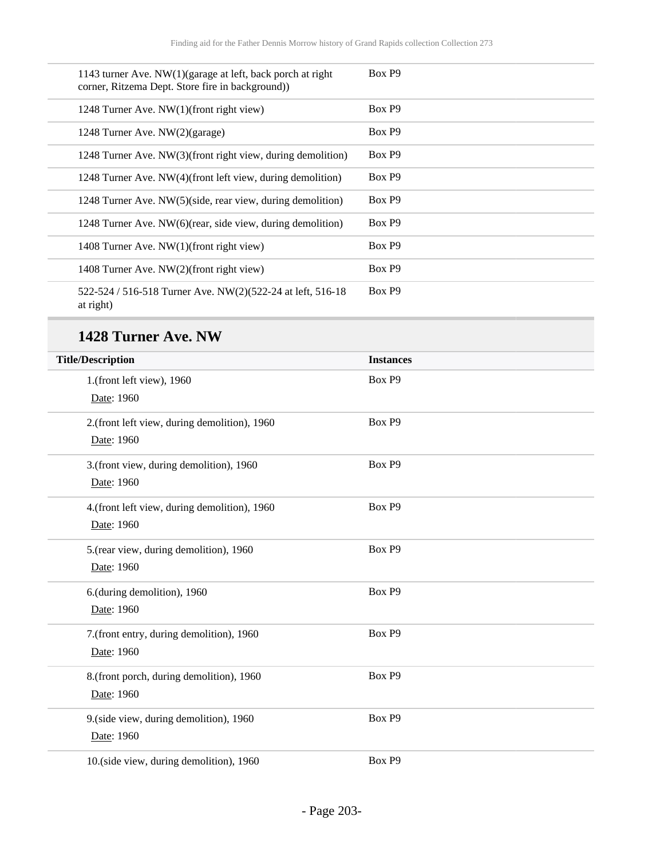| 1143 turner Ave. $NW(1)(\text{garage at left}, \text{back proof at right})$<br>corner, Ritzema Dept. Store fire in background) | Box P9             |
|--------------------------------------------------------------------------------------------------------------------------------|--------------------|
| 1248 Turner Ave. NW(1)(front right view)                                                                                       | Box P <sub>9</sub> |
| 1248 Turner Ave. NW(2)(garage)                                                                                                 | Box P9             |
| 1248 Turner Ave. NW(3)(front right view, during demolition)                                                                    | Box P <sub>9</sub> |
| 1248 Turner Ave. NW(4)(front left view, during demolition)                                                                     | Box P <sub>9</sub> |
| 1248 Turner Ave. NW(5)(side, rear view, during demolition)                                                                     | Box P <sub>9</sub> |
| 1248 Turner Ave. NW(6)(rear, side view, during demolition)                                                                     | Box P <sub>9</sub> |
| 1408 Turner Ave. NW(1)(front right view)                                                                                       | Box P <sub>9</sub> |
| 1408 Turner Ave. NW(2)(front right view)                                                                                       | Box P <sub>9</sub> |
| 522-524 / 516-518 Turner Ave. NW(2)(522-24 at left, 516-18<br>at right)                                                        | Box P9             |

## **1428 Turner Ave. NW**

| <b>Title/Description</b>                     | <b>Instances</b> |  |
|----------------------------------------------|------------------|--|
| 1.(front left view), 1960                    | Box P9           |  |
| Date: 1960                                   |                  |  |
| 2.(front left view, during demolition), 1960 | Box P9           |  |
| Date: 1960                                   |                  |  |
| 3.(front view, during demolition), 1960      | Box P9           |  |
| Date: 1960                                   |                  |  |
| 4.(front left view, during demolition), 1960 | Box P9           |  |
| Date: 1960                                   |                  |  |
| 5.(rear view, during demolition), 1960       | Box P9           |  |
| Date: 1960                                   |                  |  |
| 6.(during demolition), 1960                  | Box P9           |  |
| Date: 1960                                   |                  |  |
| 7.(front entry, during demolition), 1960     | Box P9           |  |
| Date: 1960                                   |                  |  |
| 8.(front porch, during demolition), 1960     | Box P9           |  |
| Date: 1960                                   |                  |  |
| 9.(side view, during demolition), 1960       | Box P9           |  |
| Date: 1960                                   |                  |  |
| 10.(side view, during demolition), 1960      | Box P9           |  |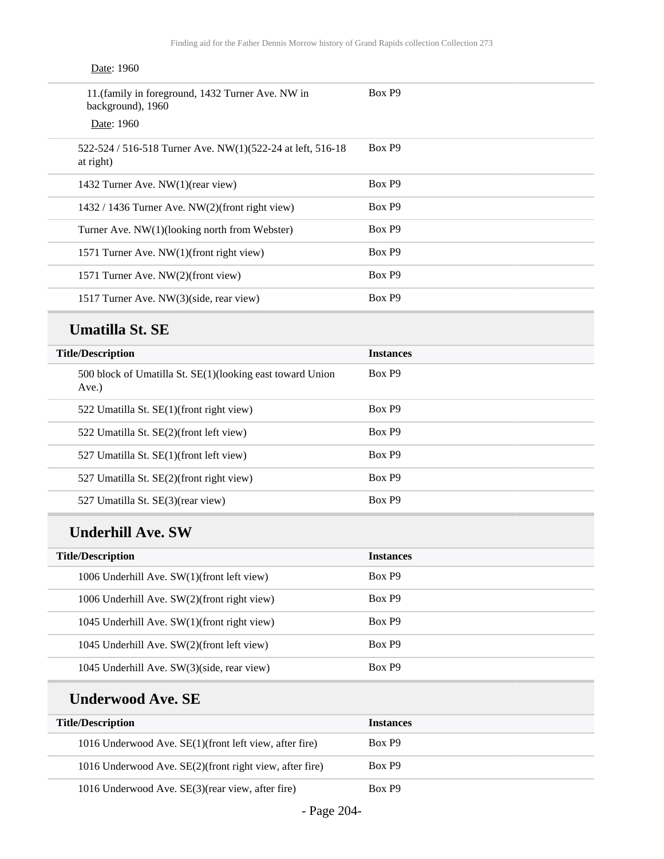| Date: 1960                                                              |        |
|-------------------------------------------------------------------------|--------|
| 11. (family in foreground, 1432 Turner Ave. NW in<br>background), 1960  | Box P9 |
| Date: 1960                                                              |        |
| 522-524 / 516-518 Turner Ave. NW(1)(522-24 at left, 516-18<br>at right) | Box P9 |
| 1432 Turner Ave. NW(1)(rear view)                                       | Box P9 |
| 1432 / 1436 Turner Ave. NW(2)(front right view)                         | Box P9 |
| Turner Ave. NW(1)(looking north from Webster)                           | Box P9 |
| 1571 Turner Ave. NW(1)(front right view)                                | Box P9 |
| 1571 Turner Ave. NW(2)(front view)                                      | Box P9 |
| 1517 Turner Ave. NW(3)(side, rear view)                                 | Box P9 |

#### **Umatilla St. SE**

| <b>Title/Description</b>                                              | <b>Instances</b> |
|-----------------------------------------------------------------------|------------------|
| 500 block of Umatilla St. SE(1)(looking east toward Union<br>$Ave.$ ) | Box P9           |
| 522 Umatilla St. SE(1)(front right view)                              | Box P9           |
| 522 Umatilla St. SE(2)(front left view)                               | Box P9           |
| 527 Umatilla St. SE(1)(front left view)                               | Box P9           |
| 527 Umatilla St. SE(2)(front right view)                              | Box P9           |
| 527 Umatilla St. SE(3)(rear view)                                     | Box P9           |

### **Underhill Ave. SW**

| <b>Title/Description</b>                    | <b>Instances</b> |
|---------------------------------------------|------------------|
| 1006 Underhill Ave. SW(1)(front left view)  | Box P9           |
| 1006 Underhill Ave. SW(2)(front right view) | Box P9           |
| 1045 Underhill Ave. SW(1)(front right view) | Box P9           |
| 1045 Underhill Ave. SW(2)(front left view)  | Box P9           |
| 1045 Underhill Ave. SW(3)(side, rear view)  | Box P9           |

#### **Underwood Ave. SE**

| <b>Title/Description</b>                                | <b>Instances</b> |
|---------------------------------------------------------|------------------|
| 1016 Underwood Ave. SE(1) (front left view, after fire) | Box P9           |
| 1016 Underwood Ave. SE(2)(front right view, after fire) | Box P9           |
| $\sim$ $\sim$ $\sim$ $\sim$ $\sim$                      | $\mathbf{D}$     |

1016 Underwood Ave. SE(3)(rear view, after fire) Box P9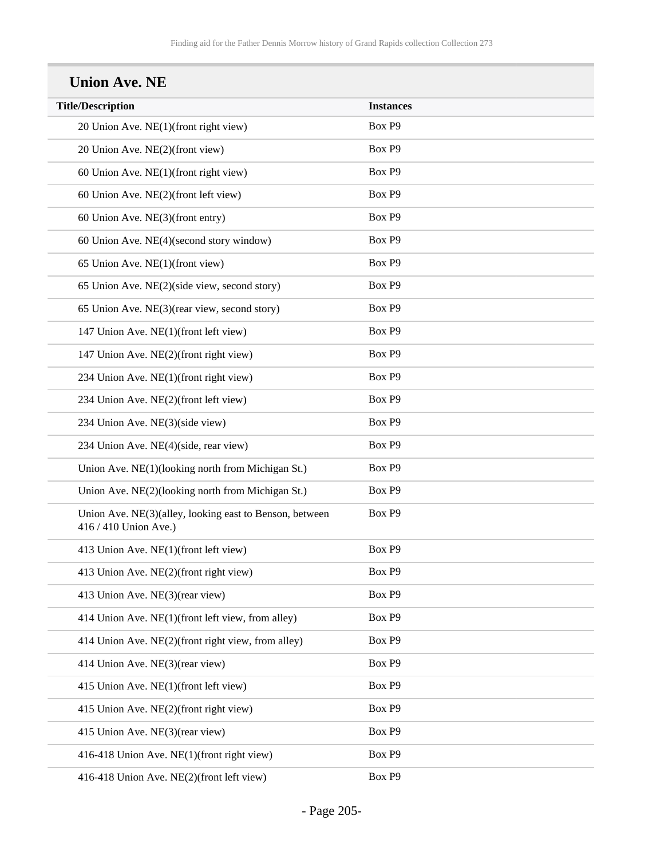| <b>Title/Description</b>                                                         | <b>Instances</b> |
|----------------------------------------------------------------------------------|------------------|
| 20 Union Ave. NE(1)(front right view)                                            | Box P9           |
| 20 Union Ave. NE(2)(front view)                                                  | Box P9           |
| 60 Union Ave. NE(1)(front right view)                                            | Box P9           |
| 60 Union Ave. NE(2)(front left view)                                             | Box P9           |
| 60 Union Ave. NE(3)(front entry)                                                 | Box P9           |
| 60 Union Ave. NE(4)(second story window)                                         | Box P9           |
| 65 Union Ave. NE(1)(front view)                                                  | Box P9           |
| 65 Union Ave. NE(2)(side view, second story)                                     | Box P9           |
| 65 Union Ave. NE(3)(rear view, second story)                                     | Box P9           |
| 147 Union Ave. NE(1)(front left view)                                            | Box P9           |
| 147 Union Ave. NE(2)(front right view)                                           | Box P9           |
| 234 Union Ave. NE(1)(front right view)                                           | Box P9           |
| 234 Union Ave. NE(2)(front left view)                                            | Box P9           |
| 234 Union Ave. NE(3)(side view)                                                  | Box P9           |
| 234 Union Ave. NE(4)(side, rear view)                                            | Box P9           |
| Union Ave. NE(1)(looking north from Michigan St.)                                | Box P9           |
| Union Ave. NE(2)(looking north from Michigan St.)                                | Box P9           |
| Union Ave. NE(3)(alley, looking east to Benson, between<br>416 / 410 Union Ave.) | Box P9           |
| 413 Union Ave. NE(1)(front left view)                                            | Box P9           |
| 413 Union Ave. NE(2)(front right view)                                           | Box P9           |
| 413 Union Ave. NE(3)(rear view)                                                  | Box P9           |
| 414 Union Ave. NE(1)(front left view, from alley)                                | Box P9           |
| 414 Union Ave. NE(2)(front right view, from alley)                               | Box P9           |
| 414 Union Ave. NE(3)(rear view)                                                  | Box P9           |
| 415 Union Ave. NE(1)(front left view)                                            | Box P9           |
| 415 Union Ave. NE(2)(front right view)                                           | Box P9           |
| 415 Union Ave. NE(3)(rear view)                                                  | Box P9           |
| 416-418 Union Ave. NE(1)(front right view)                                       | Box P9           |
| 416-418 Union Ave. NE(2)(front left view)                                        | Box P9           |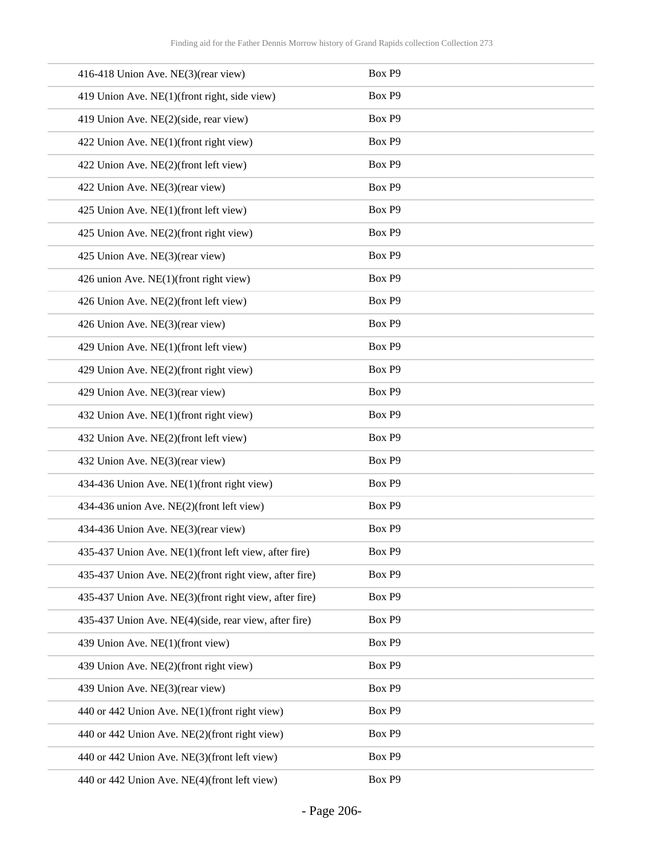| 416-418 Union Ave. NE(3)(rear view)                    | Box P9 |
|--------------------------------------------------------|--------|
| 419 Union Ave. NE(1)(front right, side view)           | Box P9 |
| 419 Union Ave. NE(2)(side, rear view)                  | Box P9 |
| 422 Union Ave. NE(1)(front right view)                 | Box P9 |
| 422 Union Ave. NE(2)(front left view)                  | Box P9 |
| 422 Union Ave. NE(3)(rear view)                        | Box P9 |
| 425 Union Ave. NE(1)(front left view)                  | Box P9 |
| 425 Union Ave. NE(2)(front right view)                 | Box P9 |
| 425 Union Ave. NE(3)(rear view)                        | Box P9 |
| 426 union Ave. NE(1)(front right view)                 | Box P9 |
| 426 Union Ave. NE(2)(front left view)                  | Box P9 |
| 426 Union Ave. NE(3)(rear view)                        | Box P9 |
| 429 Union Ave. NE(1)(front left view)                  | Box P9 |
| 429 Union Ave. NE(2)(front right view)                 | Box P9 |
| 429 Union Ave. NE(3)(rear view)                        | Box P9 |
| 432 Union Ave. NE(1)(front right view)                 | Box P9 |
| 432 Union Ave. NE(2)(front left view)                  | Box P9 |
| 432 Union Ave. NE(3)(rear view)                        | Box P9 |
| 434-436 Union Ave. NE(1)(front right view)             | Box P9 |
| 434-436 union Ave. NE(2)(front left view)              | Box P9 |
| 434-436 Union Ave. NE(3)(rear view)                    | Box P9 |
| 435-437 Union Ave. NE(1)(front left view, after fire)  | Box P9 |
| 435-437 Union Ave. NE(2)(front right view, after fire) | Box P9 |
| 435-437 Union Ave. NE(3)(front right view, after fire) | Box P9 |
| 435-437 Union Ave. NE(4)(side, rear view, after fire)  | Box P9 |
| 439 Union Ave. NE(1)(front view)                       | Box P9 |
| 439 Union Ave. NE(2)(front right view)                 | Box P9 |
| 439 Union Ave. NE(3)(rear view)                        | Box P9 |
| 440 or 442 Union Ave. NE(1)(front right view)          | Box P9 |
| 440 or 442 Union Ave. NE(2)(front right view)          | Box P9 |
| 440 or 442 Union Ave. NE(3)(front left view)           | Box P9 |
| 440 or 442 Union Ave. NE(4)(front left view)           | Box P9 |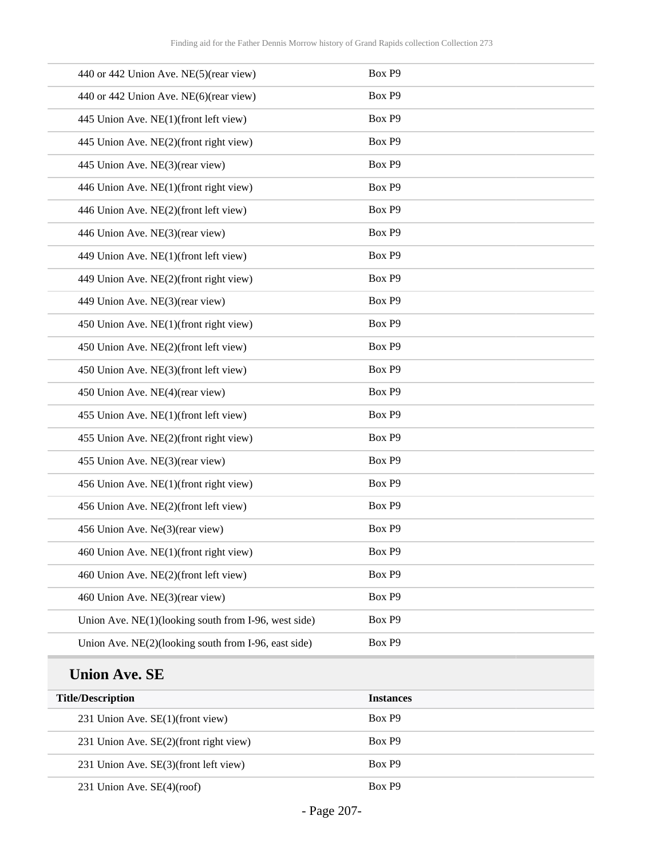| 440 or 442 Union Ave. NE(5)(rear view)               | Box P9 |
|------------------------------------------------------|--------|
| 440 or 442 Union Ave. NE(6)(rear view)               | Box P9 |
| 445 Union Ave. NE(1)(front left view)                | Box P9 |
| 445 Union Ave. NE(2)(front right view)               | Box P9 |
| 445 Union Ave. NE(3)(rear view)                      | Box P9 |
| 446 Union Ave. NE(1)(front right view)               | Box P9 |
| 446 Union Ave. NE(2)(front left view)                | Box P9 |
| 446 Union Ave. NE(3)(rear view)                      | Box P9 |
| 449 Union Ave. NE(1)(front left view)                | Box P9 |
| 449 Union Ave. NE(2)(front right view)               | Box P9 |
| 449 Union Ave. NE(3)(rear view)                      | Box P9 |
| 450 Union Ave. NE(1)(front right view)               | Box P9 |
| 450 Union Ave. NE(2)(front left view)                | Box P9 |
| 450 Union Ave. NE(3)(front left view)                | Box P9 |
| 450 Union Ave. NE(4)(rear view)                      | Box P9 |
| 455 Union Ave. NE(1)(front left view)                | Box P9 |
| 455 Union Ave. NE(2)(front right view)               | Box P9 |
| 455 Union Ave. NE(3)(rear view)                      | Box P9 |
| 456 Union Ave. NE(1)(front right view)               | Box P9 |
| 456 Union Ave. NE(2)(front left view)                | Box P9 |
| 456 Union Ave. Ne(3)(rear view)                      | Box P9 |
| 460 Union Ave. NE(1)(front right view)               | Box P9 |
| 460 Union Ave. NE(2)(front left view)                | Box P9 |
| 460 Union Ave. NE(3)(rear view)                      | Box P9 |
| Union Ave. NE(1)(looking south from I-96, west side) | Box P9 |
| Union Ave. NE(2)(looking south from I-96, east side) | Box P9 |

## **Union Ave. SE**

| <b>Title/Description</b>               | <b>Instances</b> |
|----------------------------------------|------------------|
| 231 Union Ave. $SE(1)$ (front view)    | Box P9           |
| 231 Union Ave. SE(2)(front right view) | Box P9           |
| 231 Union Ave. SE(3)(front left view)  | Box P9           |
| 231 Union Ave. $SE(4)(\text{roof})$    | Box P9           |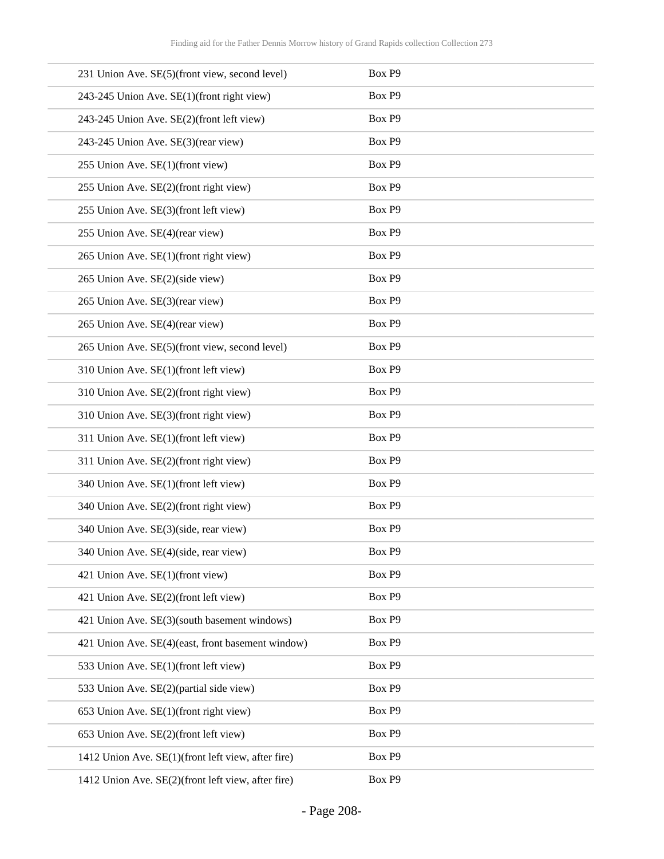|                                  | 231 Union Ave. SE(5)(front view, second level)     | Box P9 |
|----------------------------------|----------------------------------------------------|--------|
|                                  | 243-245 Union Ave. SE(1)(front right view)         | Box P9 |
|                                  | 243-245 Union Ave. SE(2)(front left view)          | Box P9 |
|                                  | 243-245 Union Ave. SE(3)(rear view)                | Box P9 |
| 255 Union Ave. SE(1)(front view) |                                                    | Box P9 |
|                                  | 255 Union Ave. SE(2)(front right view)             | Box P9 |
|                                  | 255 Union Ave. SE(3)(front left view)              | Box P9 |
| 255 Union Ave. SE(4)(rear view)  |                                                    | Box P9 |
|                                  | 265 Union Ave. SE(1)(front right view)             | Box P9 |
| 265 Union Ave. SE(2)(side view)  |                                                    | Box P9 |
| 265 Union Ave. SE(3)(rear view)  |                                                    | Box P9 |
| 265 Union Ave. SE(4)(rear view)  |                                                    | Box P9 |
|                                  | 265 Union Ave. SE(5)(front view, second level)     | Box P9 |
|                                  | 310 Union Ave. SE(1)(front left view)              | Box P9 |
|                                  | 310 Union Ave. SE(2)(front right view)             | Box P9 |
|                                  | 310 Union Ave. SE(3)(front right view)             | Box P9 |
|                                  | 311 Union Ave. SE(1)(front left view)              | Box P9 |
|                                  | 311 Union Ave. SE(2)(front right view)             | Box P9 |
|                                  | 340 Union Ave. SE(1)(front left view)              | Box P9 |
|                                  | 340 Union Ave. SE(2)(front right view)             | Box P9 |
|                                  | 340 Union Ave. SE(3)(side, rear view)              | Box P9 |
|                                  | 340 Union Ave. SE(4)(side, rear view)              | Box P9 |
| 421 Union Ave. SE(1)(front view) |                                                    | Box P9 |
|                                  | 421 Union Ave. SE(2)(front left view)              | Box P9 |
|                                  | 421 Union Ave. SE(3)(south basement windows)       | Box P9 |
|                                  | 421 Union Ave. SE(4)(east, front basement window)  | Box P9 |
|                                  | 533 Union Ave. SE(1)(front left view)              | Box P9 |
|                                  | 533 Union Ave. SE(2)(partial side view)            | Box P9 |
|                                  | 653 Union Ave. SE(1)(front right view)             | Box P9 |
|                                  | 653 Union Ave. SE(2)(front left view)              | Box P9 |
|                                  | 1412 Union Ave. SE(1)(front left view, after fire) | Box P9 |
|                                  | 1412 Union Ave. SE(2)(front left view, after fire) | Box P9 |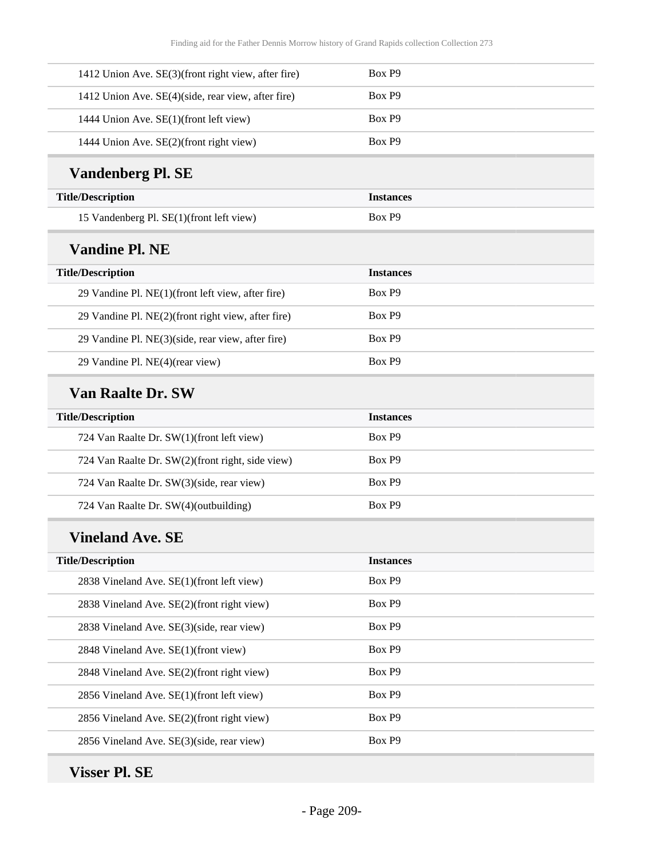| Box P9           |
|------------------|
| Box P9           |
| Box P9           |
| Box P9           |
|                  |
| <b>Instances</b> |
| Box P9           |
|                  |
| <b>Instances</b> |
| Box P9           |
| Box P9           |
| Box P9           |
| Box P9           |
|                  |
| <b>Instances</b> |
| Box P9           |
| Box P9           |
| Box P9           |
| Box P9           |
|                  |
| <b>Instances</b> |
| Box P9           |
| Box P9           |
| Box P9           |
| Box P9           |
| Box P9           |
| Box P9           |
| Box P9           |
|                  |
|                  |

## **Visser Pl. SE**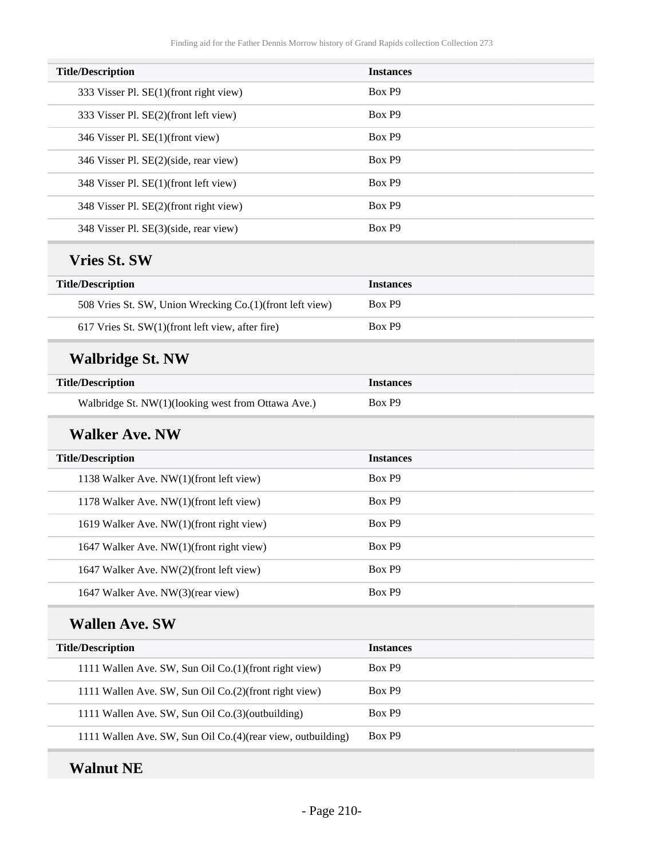| <b>Title/Description</b>                                    | <b>Instances</b> |
|-------------------------------------------------------------|------------------|
| 333 Visser Pl. SE(1)(front right view)                      | Box P9           |
| 333 Visser Pl. SE(2)(front left view)                       | Box P9           |
| 346 Visser Pl. SE(1)(front view)                            | Box P9           |
| 346 Visser Pl. SE(2)(side, rear view)                       | Box P9           |
| 348 Visser Pl. SE(1)(front left view)                       | Box P9           |
| 348 Visser Pl. SE(2)(front right view)                      | Box P9           |
| 348 Visser Pl. SE(3)(side, rear view)                       | Box P9           |
| <b>Vries St. SW</b>                                         |                  |
| <b>Title/Description</b>                                    | <b>Instances</b> |
| 508 Vries St. SW, Union Wrecking Co.(1)(front left view)    | Box P9           |
| 617 Vries St. SW(1)(front left view, after fire)            | Box P9           |
| <b>Walbridge St. NW</b>                                     |                  |
| <b>Title/Description</b>                                    | <b>Instances</b> |
| Walbridge St. NW(1)(looking west from Ottawa Ave.)          | Box P9           |
| <b>Walker Ave. NW</b>                                       |                  |
| <b>Title/Description</b>                                    | <b>Instances</b> |
| 1138 Walker Ave. NW(1)(front left view)                     | Box P9           |
| 1178 Walker Ave. NW(1)(front left view)                     | Box P9           |
| 1619 Walker Ave. NW(1)(front right view)                    | Box P9           |
| 1647 Walker Ave. NW(1)(front right view)                    | Box P9           |
| 1647 Walker Ave. NW(2)(front left view)                     | Box P9           |
| 1647 Walker Ave. NW(3)(rear view)                           | Box P9           |
| <b>Wallen Ave. SW</b>                                       |                  |
| <b>Title/Description</b>                                    | <b>Instances</b> |
| 1111 Wallen Ave. SW, Sun Oil Co.(1)(front right view)       | Box P9           |
| 1111 Wallen Ave. SW, Sun Oil Co.(2)(front right view)       | Box P9           |
| 1111 Wallen Ave. SW, Sun Oil Co.(3)(outbuilding)            | Box P9           |
| 1111 Wallen Ave. SW, Sun Oil Co.(4)(rear view, outbuilding) | Box P9           |
|                                                             |                  |

## **Walnut NE**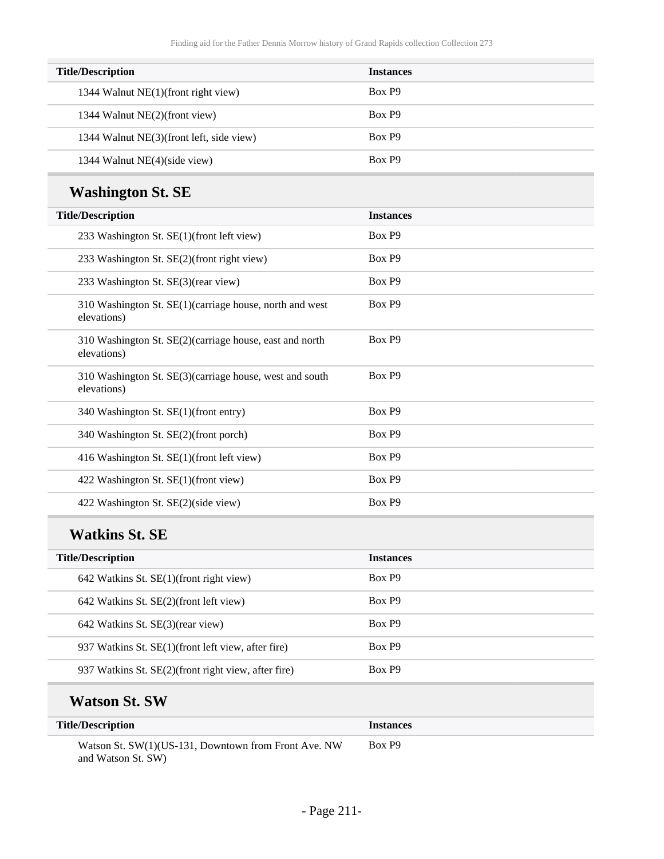| <b>Title/Description</b>                 | <b>Instances</b> |
|------------------------------------------|------------------|
| 1344 Walnut NE(1)(front right view)      | Box P9           |
| 1344 Walnut NE(2)(front view)            | Box P9           |
| 1344 Walnut NE(3)(front left, side view) | Box P9           |
| 1344 Walnut NE(4)(side view)             | Box P9           |

## **Washington St. SE**

### **Watkins St. SE**

| <b>Title/Description</b>                            | <b>Instances</b> |
|-----------------------------------------------------|------------------|
| $642$ Watkins St. SE(1)(front right view)           | Box P9           |
| 642 Watkins St. SE(2)(front left view)              | Box P9           |
| 642 Watkins St. SE(3)(rear view)                    | Box P9           |
| 937 Watkins St. SE(1)(front left view, after fire)  | Box P9           |
| 937 Watkins St. SE(2)(front right view, after fire) | Box P9           |
|                                                     |                  |

### **Watson St. SW**

| <b>Title/Description</b>                                                   | <i><u><b>Instances</b></u></i> |
|----------------------------------------------------------------------------|--------------------------------|
| Watson St. SW(1)(US-131, Downtown from Front Ave. NW<br>and Watson St. SW) | Box P9                         |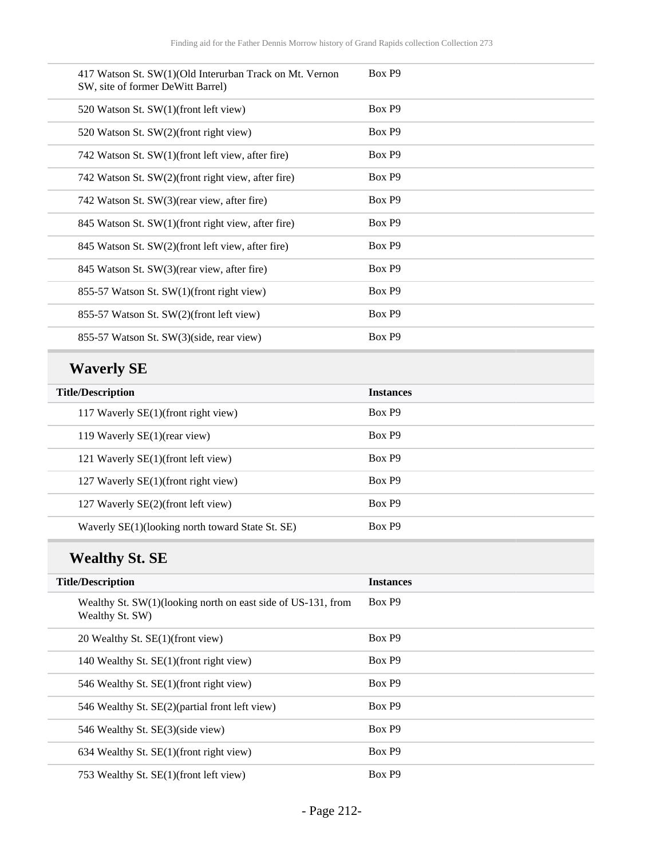| 417 Watson St. SW(1)(Old Interurban Track on Mt. Vernon<br>SW, site of former DeWitt Barrel) | Box P9             |
|----------------------------------------------------------------------------------------------|--------------------|
| 520 Watson St. SW(1)(front left view)                                                        | Box P9             |
| 520 Watson St. SW(2)(front right view)                                                       | Box P <sub>9</sub> |
| 742 Watson St. SW(1)(front left view, after fire)                                            | Box P9             |
| 742 Watson St. SW(2)(front right view, after fire)                                           | Box P9             |
| 742 Watson St. SW(3)(rear view, after fire)                                                  | Box P9             |
| 845 Watson St. SW(1)(front right view, after fire)                                           | Box P9             |
| 845 Watson St. SW(2)(front left view, after fire)                                            | Box P9             |
| 845 Watson St. SW(3)(rear view, after fire)                                                  | Box P9             |
| 855-57 Watson St. SW(1)(front right view)                                                    | Box P9             |
| 855-57 Watson St. SW(2)(front left view)                                                     | Box P <sub>9</sub> |
| 855-57 Watson St. SW(3)(side, rear view)                                                     | Box P9             |

# **Waverly SE**

| <b>Title/Description</b>                         | <b>Instances</b>   |
|--------------------------------------------------|--------------------|
| 117 Waverly SE(1)(front right view)              | Box P9             |
| 119 Waverly SE(1)(rear view)                     | Box P <sub>9</sub> |
| 121 Waverly SE(1)(front left view)               | Box P9             |
| 127 Waverly SE(1)(front right view)              | Box P9             |
| 127 Waverly SE(2)(front left view)               | Box P9             |
| Waverly SE(1)(looking north toward State St. SE) | Box P9             |

# **Wealthy St. SE**

| <b>Title/Description</b>                                                         | <b>Instances</b>   |
|----------------------------------------------------------------------------------|--------------------|
| Wealthy St. SW(1) (looking north on east side of US-131, from<br>Wealthy St. SW) | Box P9             |
| 20 Wealthy St. SE(1)(front view)                                                 | Box P9             |
| 140 Wealthy St. SE(1)(front right view)                                          | Box P <sub>9</sub> |
| 546 Wealthy St. SE(1) (front right view)                                         | Box P9             |
| 546 Wealthy St. SE(2)(partial front left view)                                   | Box P9             |
| 546 Wealthy St. SE(3)(side view)                                                 | Box P9             |
| 634 Wealthy St. SE(1)(front right view)                                          | Box P9             |
| 753 Wealthy St. SE(1)(front left view)                                           | Box P9             |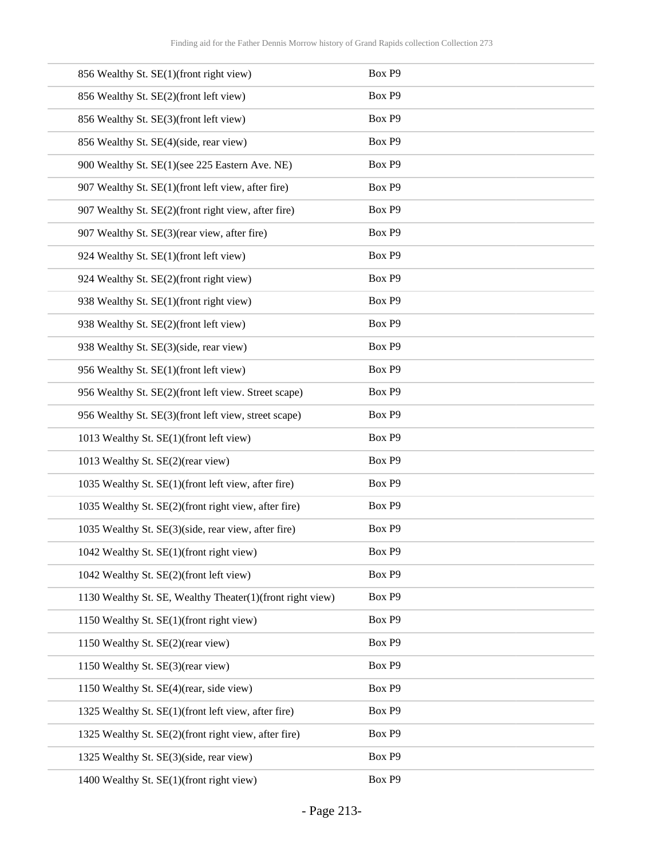| 856 Wealthy St. SE(1)(front right view)                   | Box P9             |
|-----------------------------------------------------------|--------------------|
| 856 Wealthy St. SE(2)(front left view)                    | Box P9             |
| 856 Wealthy St. SE(3)(front left view)                    | Box P9             |
| 856 Wealthy St. SE(4)(side, rear view)                    | Box P9             |
| 900 Wealthy St. SE(1)(see 225 Eastern Ave. NE)            | Box P9             |
| 907 Wealthy St. SE(1)(front left view, after fire)        | Box P9             |
| 907 Wealthy St. SE(2)(front right view, after fire)       | Box P9             |
| 907 Wealthy St. SE(3)(rear view, after fire)              | Box P9             |
| 924 Wealthy St. SE(1)(front left view)                    | Box P9             |
| 924 Wealthy St. SE(2)(front right view)                   | Box P9             |
| 938 Wealthy St. SE(1)(front right view)                   | Box P9             |
| 938 Wealthy St. SE(2)(front left view)                    | Box P9             |
| 938 Wealthy St. SE(3)(side, rear view)                    | Box P9             |
| 956 Wealthy St. SE(1)(front left view)                    | Box P9             |
| 956 Wealthy St. SE(2)(front left view. Street scape)      | Box P9             |
| 956 Wealthy St. SE(3)(front left view, street scape)      | Box P9             |
| 1013 Wealthy St. SE(1)(front left view)                   | Box P9             |
| 1013 Wealthy St. SE(2)(rear view)                         | Box P9             |
| 1035 Wealthy St. SE(1)(front left view, after fire)       | Box P9             |
| 1035 Wealthy St. SE(2)(front right view, after fire)      | Box P9             |
| 1035 Wealthy St. SE(3)(side, rear view, after fire)       | Box P9             |
| 1042 Wealthy St. SE(1)(front right view)                  | Box P <sub>9</sub> |
| 1042 Wealthy St. SE(2)(front left view)                   | Box P9             |
| 1130 Wealthy St. SE, Wealthy Theater(1)(front right view) | Box P9             |
| 1150 Wealthy St. SE(1)(front right view)                  | Box P9             |
| 1150 Wealthy St. SE(2)(rear view)                         | Box P9             |
| 1150 Wealthy St. SE(3)(rear view)                         | Box P9             |
| 1150 Wealthy St. SE(4)(rear, side view)                   | Box P9             |
| 1325 Wealthy St. SE(1)(front left view, after fire)       | Box P9             |
| 1325 Wealthy St. SE(2)(front right view, after fire)      | Box P9             |
| 1325 Wealthy St. SE(3)(side, rear view)                   | Box P9             |
| 1400 Wealthy St. SE(1)(front right view)                  | Box P9             |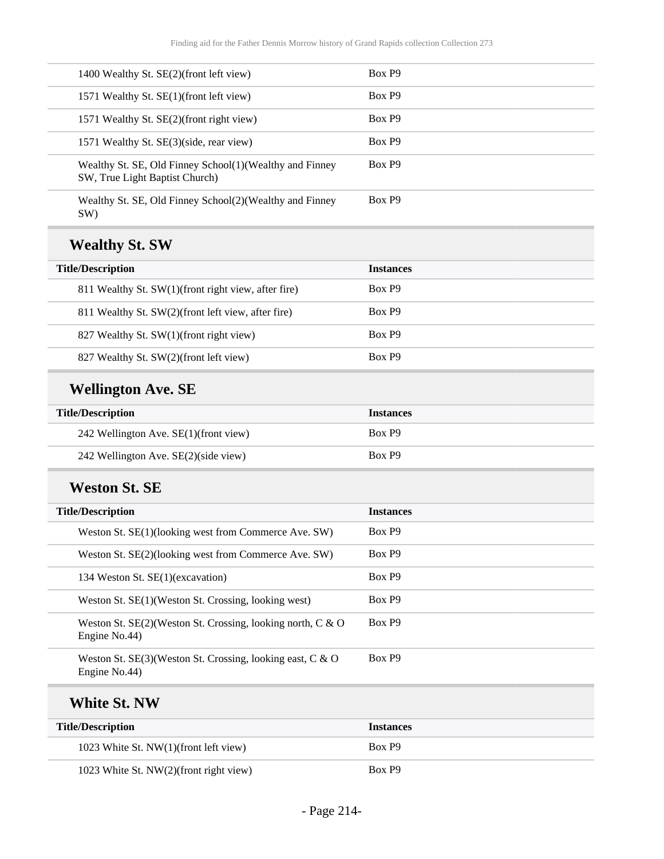| <b>Title/Description</b>                                                                  | <b>Instances</b> |
|-------------------------------------------------------------------------------------------|------------------|
| <b>White St. NW</b>                                                                       |                  |
| Weston St. SE(3)(Weston St. Crossing, looking east, C & O<br>Engine No.44)                | Box P9           |
| Weston St. SE(2)(Weston St. Crossing, looking north, C & O<br>Engine No.44)               | Box P9           |
| Weston St. SE(1)(Weston St. Crossing, looking west)                                       | Box P9           |
| 134 Weston St. SE(1)(excavation)                                                          | Box P9           |
| Weston St. SE(2)(looking west from Commerce Ave. SW)                                      | Box P9           |
| Weston St. SE(1)(looking west from Commerce Ave. SW)                                      | Box P9           |
| <b>Title/Description</b>                                                                  | <b>Instances</b> |
| <b>Weston St. SE</b>                                                                      |                  |
| 242 Wellington Ave. SE(2)(side view)                                                      | Box P9           |
| 242 Wellington Ave. SE(1)(front view)                                                     | Box P9           |
| <b>Title/Description</b>                                                                  | <b>Instances</b> |
| <b>Wellington Ave. SE</b>                                                                 |                  |
| 827 Wealthy St. SW(2)(front left view)                                                    | Box P9           |
| 827 Wealthy St. SW(1)(front right view)                                                   | Box P9           |
| 811 Wealthy St. SW(2)(front left view, after fire)                                        | Box P9           |
| 811 Wealthy St. SW(1)(front right view, after fire)                                       | Box P9           |
| <b>Title/Description</b>                                                                  | <b>Instances</b> |
| <b>Wealthy St. SW</b>                                                                     |                  |
| Wealthy St. SE, Old Finney School(2)(Wealthy and Finney<br>SW)                            | Box P9           |
| Wealthy St. SE, Old Finney School(1)(Wealthy and Finney<br>SW, True Light Baptist Church) | Box P9           |
| 1571 Wealthy St. SE(3)(side, rear view)                                                   | Box P9           |
| 1571 Wealthy St. SE(2)(front right view)                                                  | Box P9           |
| 1571 Wealthy St. SE(1)(front left view)                                                   | Box P9           |
| 1400 Wealthy St. SE(2)(front left view)                                                   | Box P9           |
|                                                                                           |                  |

| 1023 White St. NW(1)(front left view)  | Box P9 |
|----------------------------------------|--------|
| 1023 White St. NW(2)(front right view) | Box P9 |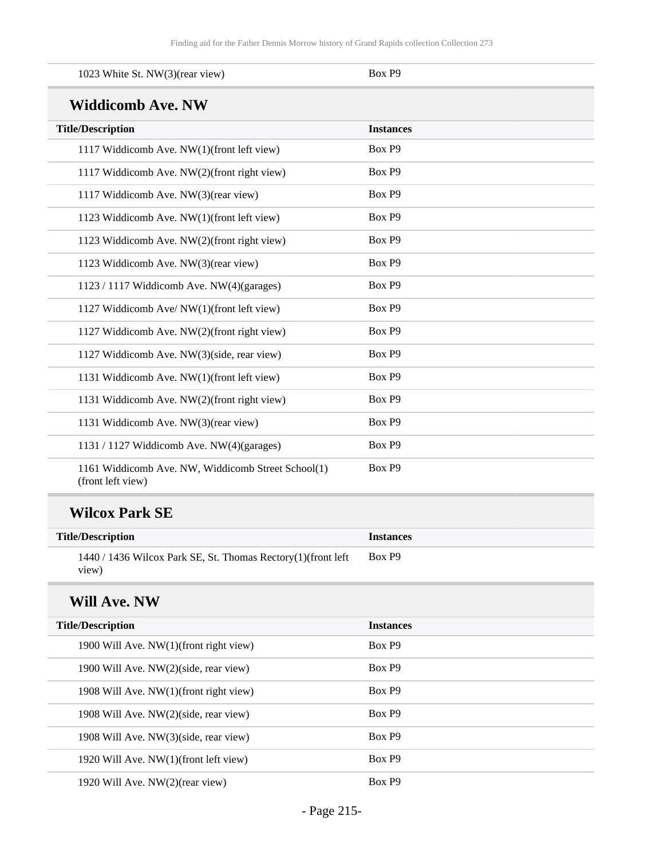| 1023 White St. NW(3)(rear view)                                         | Box P9           |
|-------------------------------------------------------------------------|------------------|
| <b>Widdicomb Ave. NW</b>                                                |                  |
| <b>Title/Description</b>                                                | <b>Instances</b> |
| 1117 Widdicomb Ave. NW(1)(front left view)                              | Box P9           |
| 1117 Widdicomb Ave. NW(2)(front right view)                             | Box P9           |
| 1117 Widdicomb Ave. NW(3)(rear view)                                    | Box P9           |
| 1123 Widdicomb Ave. NW(1)(front left view)                              | Box P9           |
| 1123 Widdicomb Ave. NW(2)(front right view)                             | Box P9           |
| 1123 Widdicomb Ave. NW(3)(rear view)                                    | Box P9           |
| 1123 / 1117 Widdicomb Ave. NW(4)(garages)                               | Box P9           |
| 1127 Widdicomb Ave/ NW(1)(front left view)                              | Box P9           |
| 1127 Widdicomb Ave. NW(2)(front right view)                             | Box P9           |
| 1127 Widdicomb Ave. NW(3)(side, rear view)                              | Box P9           |
| 1131 Widdicomb Ave. NW(1)(front left view)                              | Box P9           |
| 1131 Widdicomb Ave. NW(2)(front right view)                             | Box P9           |
| 1131 Widdicomb Ave. NW(3)(rear view)                                    | Box P9           |
| 1131 / 1127 Widdicomb Ave. NW(4)(garages)                               | Box P9           |
| 1161 Widdicomb Ave. NW, Widdicomb Street School(1)<br>(front left view) | Box P9           |

### **Wilcox Park SE**

| <b>Title/Description</b>                                                    | <b>Instances</b> |
|-----------------------------------------------------------------------------|------------------|
| $1440 / 1436$ Wilcox Park SE, St. Thomas Rectory $(1)$ (front left<br>view) | Box P9           |

### **Will Ave. NW**

| <b>Title/Description</b>                  | <b>Instances</b> |
|-------------------------------------------|------------------|
| 1900 Will Ave. NW(1)(front right view)    | Box P9           |
| 1900 Will Ave. NW(2)(side, rear view)     | Box P9           |
| 1908 Will Ave. $NW(1)$ (front right view) | Box P9           |
| 1908 Will Ave. NW(2)(side, rear view)     | Box P9           |
| 1908 Will Ave. NW(3)(side, rear view)     | Box P9           |
| 1920 Will Ave. NW(1)(front left view)     | Box P9           |
| 1920 Will Ave. NW(2)(rear view)           | Box P9           |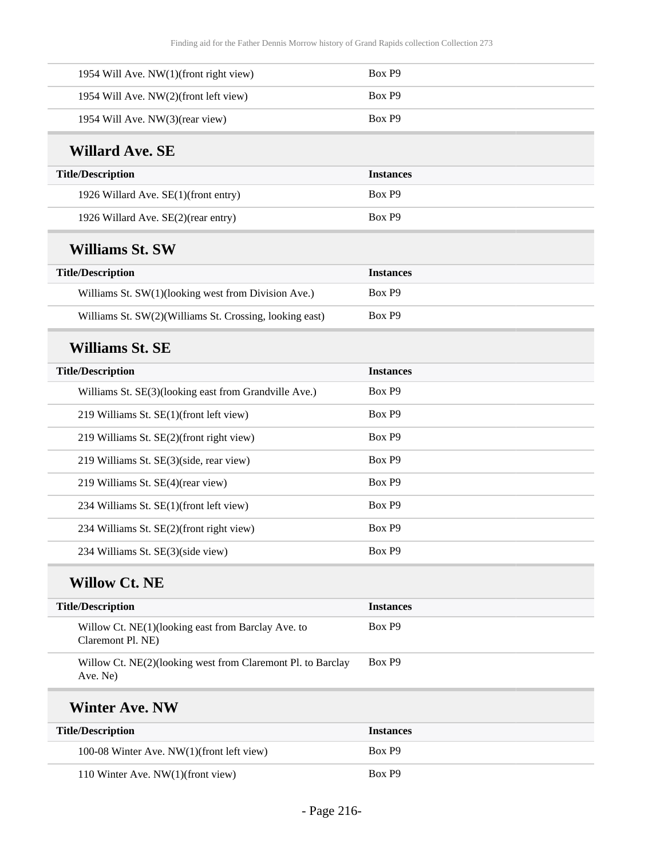| 1954 Will Ave. NW(1)(front right view)                                  | Box P9           |
|-------------------------------------------------------------------------|------------------|
| 1954 Will Ave. NW(2)(front left view)                                   | Box P9           |
| 1954 Will Ave. NW(3)(rear view)                                         | Box P9           |
| <b>Willard Ave. SE</b>                                                  |                  |
| <b>Title/Description</b>                                                | <b>Instances</b> |
| 1926 Willard Ave. SE(1)(front entry)                                    | Box P9           |
| 1926 Willard Ave. SE(2)(rear entry)                                     | Box P9           |
| <b>Williams St. SW</b>                                                  |                  |
| <b>Title/Description</b>                                                | <b>Instances</b> |
| Williams St. SW(1)(looking west from Division Ave.)                     | Box P9           |
| Williams St. SW(2)(Williams St. Crossing, looking east)                 | Box P9           |
| <b>Williams St. SE</b>                                                  |                  |
| <b>Title/Description</b>                                                | <b>Instances</b> |
| Williams St. SE(3)(looking east from Grandville Ave.)                   | Box P9           |
| 219 Williams St. SE(1)(front left view)                                 | Box P9           |
| 219 Williams St. SE(2)(front right view)                                | Box P9           |
| 219 Williams St. SE(3)(side, rear view)                                 | Box P9           |
| 219 Williams St. SE(4)(rear view)                                       | Box P9           |
| 234 Williams St. SE(1)(front left view)                                 | Box P9           |
| 234 Williams St. SE(2)(front right view)                                | Box P9           |
| 234 Williams St. SE(3)(side view)                                       | Box P9           |
| <b>Willow Ct. NE</b>                                                    |                  |
| <b>Title/Description</b>                                                | <b>Instances</b> |
| Willow Ct. NE(1)(looking east from Barclay Ave. to<br>Claremont Pl. NE) | Box P9           |
| Willow Ct. NE(2)(looking west from Claremont Pl. to Barclay<br>Ave. Ne) | Box P9           |
| <b>Winter Ave. NW</b>                                                   |                  |
| <b>Title/Description</b>                                                | <b>Instances</b> |
| 100-08 Winter Ave. NW(1)(front left view)                               | Box P9           |
| 110 Winter Ave. NW(1)(front view)                                       | Box P9           |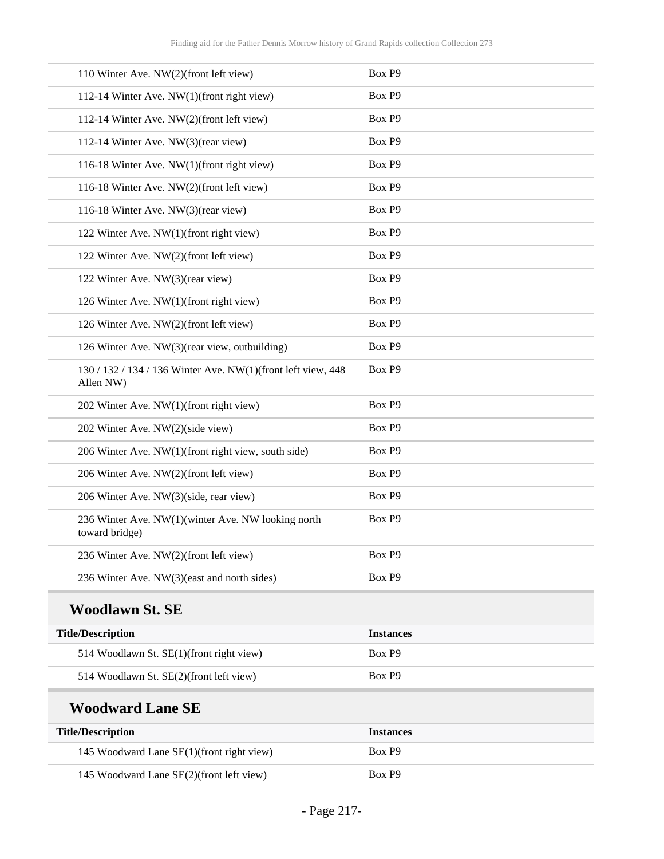| 110 Winter Ave. NW(2)(front left view)                                    | Box P9           |
|---------------------------------------------------------------------------|------------------|
| 112-14 Winter Ave. NW(1)(front right view)                                | Box P9           |
| 112-14 Winter Ave. NW(2)(front left view)                                 | Box P9           |
| 112-14 Winter Ave. NW(3)(rear view)                                       | Box P9           |
| 116-18 Winter Ave. NW(1)(front right view)                                | Box P9           |
| 116-18 Winter Ave. NW(2)(front left view)                                 | Box P9           |
| 116-18 Winter Ave. NW(3)(rear view)                                       | Box P9           |
| 122 Winter Ave. NW(1)(front right view)                                   | Box P9           |
| 122 Winter Ave. NW(2)(front left view)                                    | Box P9           |
| 122 Winter Ave. NW(3)(rear view)                                          | Box P9           |
| 126 Winter Ave. NW(1)(front right view)                                   | Box P9           |
| 126 Winter Ave. NW(2)(front left view)                                    | Box P9           |
| 126 Winter Ave. NW(3)(rear view, outbuilding)                             | Box P9           |
| 130 / 132 / 134 / 136 Winter Ave. NW(1)(front left view, 448<br>Allen NW) | Box P9           |
| 202 Winter Ave. NW(1)(front right view)                                   | Box P9           |
| 202 Winter Ave. NW(2)(side view)                                          | Box P9           |
| 206 Winter Ave. NW(1)(front right view, south side)                       | Box P9           |
| 206 Winter Ave. NW(2)(front left view)                                    | Box P9           |
| 206 Winter Ave. NW(3)(side, rear view)                                    | Box P9           |
| 236 Winter Ave. NW(1)(winter Ave. NW looking north<br>toward bridge)      | Box P9           |
| 236 Winter Ave. NW(2)(front left view)                                    | Box P9           |
| 236 Winter Ave. NW(3)(east and north sides)                               | Box P9           |
| <b>Woodlawn St. SE</b>                                                    |                  |
| <b>Title/Description</b>                                                  | <b>Instances</b> |
| 514 Woodlawn St. SE(1)(front right view)                                  | Box P9           |
| 514 Woodlawn St. SE(2)(front left view)                                   | Box P9           |
| <b>Woodward Lane SE</b>                                                   |                  |
| <b>Title/Description</b>                                                  | <b>Instances</b> |
| 145 Woodward Lane SE(1)(front right view)                                 | Box P9           |
| 145 Woodward Lane SE(2)(front left view)                                  | Box P9           |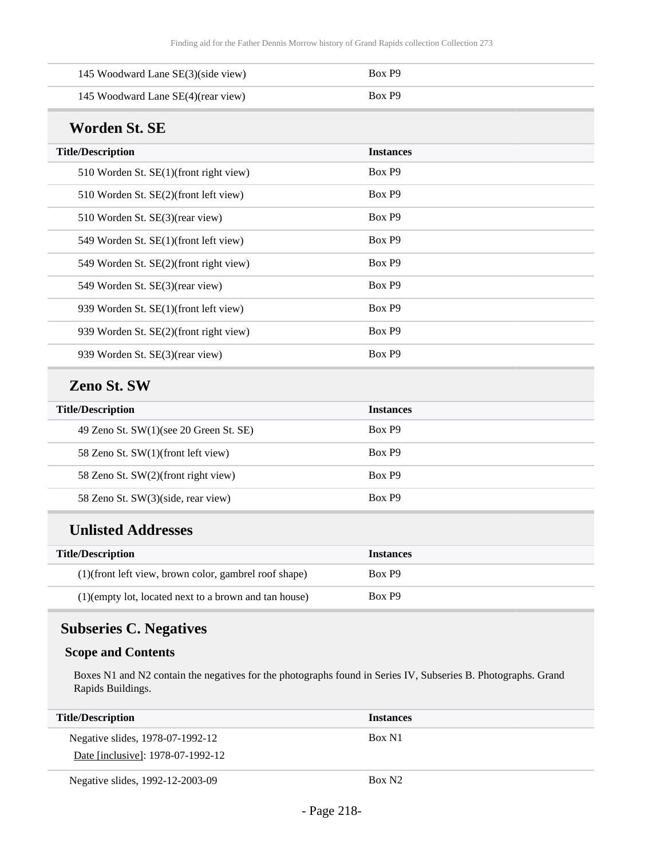| 145 Woodward Lane SE(3)(side view)                    | Box P9             |
|-------------------------------------------------------|--------------------|
| 145 Woodward Lane SE(4)(rear view)                    | Box P9             |
| <b>Worden St. SE</b>                                  |                    |
| <b>Title/Description</b>                              | <b>Instances</b>   |
| 510 Worden St. SE(1)(front right view)                | Box P <sub>9</sub> |
| 510 Worden St. SE(2)(front left view)                 | Box P9             |
| 510 Worden St. SE(3)(rear view)                       | Box P9             |
| 549 Worden St. SE(1)(front left view)                 | Box P9             |
| 549 Worden St. SE(2)(front right view)                | Box P9             |
| 549 Worden St. SE(3)(rear view)                       | Box P9             |
| 939 Worden St. SE(1)(front left view)                 | Box P9             |
| 939 Worden St. SE(2)(front right view)                | Box P9             |
| 939 Worden St. SE(3)(rear view)                       | Box P9             |
| Zeno St. SW                                           |                    |
| <b>Title/Description</b>                              | <b>Instances</b>   |
| 49 Zeno St. SW(1)(see 20 Green St. SE)                | Box P9             |
| 58 Zeno St. SW(1)(front left view)                    | Box P9             |
| 58 Zeno St. SW(2)(front right view)                   | Box P9             |
| 58 Zeno St. SW(3)(side, rear view)                    | Box P9             |
| <b>Unlisted Addresses</b>                             |                    |
| <b>Title/Description</b>                              | <b>Instances</b>   |
| (1)(front left view, brown color, gambrel roof shape) | Box P9             |
| (1)(empty lot, located next to a brown and tan house) | Box P9             |

# **Subseries C. Negatives**

### **Scope and Contents**

Boxes N1 and N2 contain the negatives for the photographs found in Series IV, Subseries B. Photographs. Grand Rapids Buildings.

| <b>Title/Description</b>          | <b>Instances</b>   |
|-----------------------------------|--------------------|
| Negative slides, 1978-07-1992-12  | Box N1             |
| Date [inclusive]: 1978-07-1992-12 |                    |
| Negative slides, 1992-12-2003-09  | Box N <sub>2</sub> |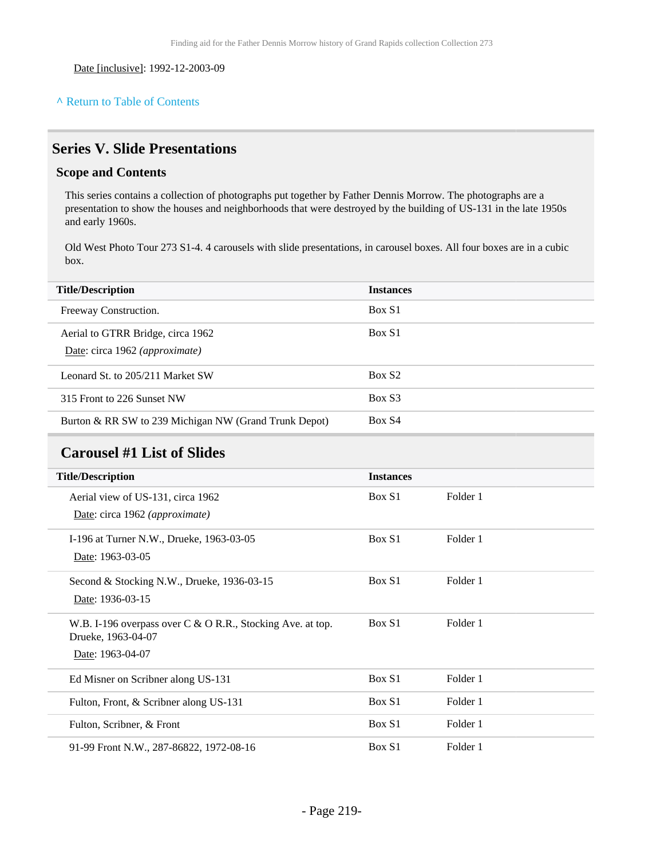Date [inclusive]: 1992-12-2003-09

#### **^** [Return to Table of Contents](#page-1-0)

### **Series V. Slide Presentations**

#### **Scope and Contents**

This series contains a collection of photographs put together by Father Dennis Morrow. The photographs are a presentation to show the houses and neighborhoods that were destroyed by the building of US-131 in the late 1950s and early 1960s.

Old West Photo Tour 273 S1-4. 4 carousels with slide presentations, in carousel boxes. All four boxes are in a cubic box.

| <b>Title/Description</b>                                            | <b>Instances</b>   |
|---------------------------------------------------------------------|--------------------|
| Freeway Construction.                                               | Box S1             |
| Aerial to GTRR Bridge, circa 1962<br>Date: circa 1962 (approximate) | Box S1             |
| Leonard St. to 205/211 Market SW                                    | Box S <sub>2</sub> |
| 315 Front to 226 Sunset NW                                          | Box S3             |
| Burton & RR SW to 239 Michigan NW (Grand Trunk Depot)               | Box S4             |

## **Carousel #1 List of Slides**

| <b>Title/Description</b>                                   | <b>Instances</b> |          |  |
|------------------------------------------------------------|------------------|----------|--|
| Aerial view of US-131, circa 1962                          | Box S1           | Folder 1 |  |
| Date: circa 1962 (approximate)                             |                  |          |  |
| I-196 at Turner N.W., Drueke, 1963-03-05                   | Box S1           | Folder 1 |  |
| Date: 1963-03-05                                           |                  |          |  |
| Second & Stocking N.W., Drueke, $1936-03-15$               | Box S1           | Folder 1 |  |
| Date: 1936-03-15                                           |                  |          |  |
| W.B. I-196 overpass over C & O R.R., Stocking Ave. at top. | Box S1           | Folder 1 |  |
| Drueke, 1963-04-07                                         |                  |          |  |
| Date: 1963-04-07                                           |                  |          |  |
| Ed Misner on Scribner along US-131                         | Box S1           | Folder 1 |  |
| Fulton, Front, & Scribner along US-131                     | Box S1           | Folder 1 |  |
| Fulton, Scribner, & Front                                  | Box S1           | Folder 1 |  |
| 91-99 Front N.W., 287-86822, 1972-08-16                    | Box S1           | Folder 1 |  |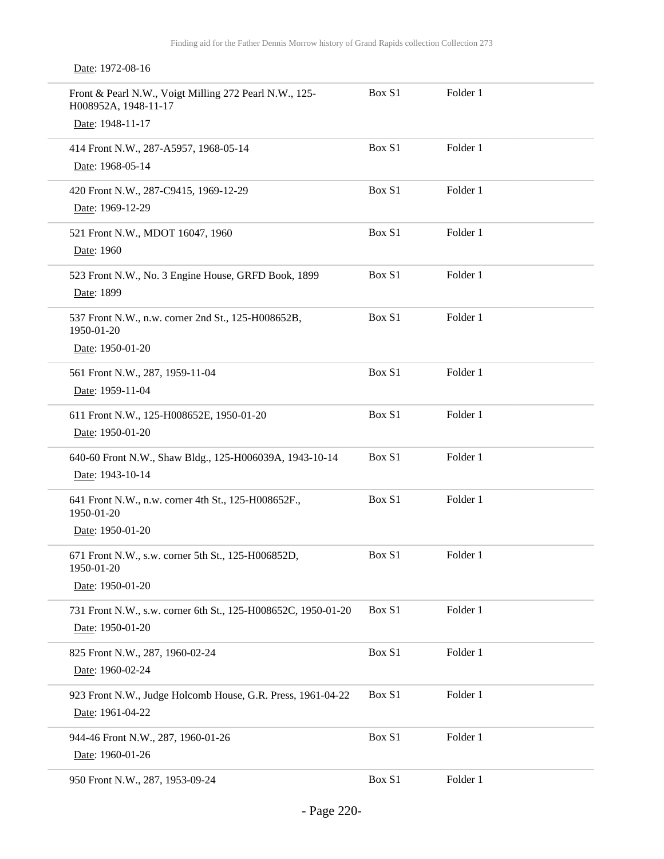| Front & Pearl N.W., Voigt Milling 272 Pearl N.W., 125-<br>H008952A, 1948-11-17<br>Date: 1948-11-17 | Box S1 | Folder 1 |
|----------------------------------------------------------------------------------------------------|--------|----------|
|                                                                                                    |        |          |
| 414 Front N.W., 287-A5957, 1968-05-14                                                              | Box S1 | Folder 1 |
| Date: 1968-05-14                                                                                   |        |          |
|                                                                                                    |        |          |
| 420 Front N.W., 287-C9415, 1969-12-29                                                              | Box S1 | Folder 1 |
| Date: 1969-12-29                                                                                   |        |          |
| 521 Front N.W., MDOT 16047, 1960                                                                   | Box S1 | Folder 1 |
|                                                                                                    |        |          |
| Date: 1960                                                                                         |        |          |
| 523 Front N.W., No. 3 Engine House, GRFD Book, 1899                                                | Box S1 | Folder 1 |
| Date: 1899                                                                                         |        |          |
|                                                                                                    |        |          |
| 537 Front N.W., n.w. corner 2nd St., 125-H008652B,                                                 | Box S1 | Folder 1 |
| 1950-01-20                                                                                         |        |          |
| Date: 1950-01-20                                                                                   |        |          |
| 561 Front N.W., 287, 1959-11-04                                                                    | Box S1 | Folder 1 |
| Date: 1959-11-04                                                                                   |        |          |
|                                                                                                    |        |          |
| 611 Front N.W., 125-H008652E, 1950-01-20                                                           | Box S1 | Folder 1 |
| Date: 1950-01-20                                                                                   |        |          |
|                                                                                                    |        |          |
| 640-60 Front N.W., Shaw Bldg., 125-H006039A, 1943-10-14                                            | Box S1 | Folder 1 |
| Date: 1943-10-14                                                                                   |        |          |
| 641 Front N.W., n.w. corner 4th St., 125-H008652F.,                                                | Box S1 | Folder 1 |
| 1950-01-20                                                                                         |        |          |
| Date: 1950-01-20                                                                                   |        |          |
|                                                                                                    |        |          |
| 671 Front N.W., s.w. corner 5th St., 125-H006852D,                                                 | Box S1 | Folder 1 |
| 1950-01-20                                                                                         |        |          |
| Date: 1950-01-20                                                                                   |        |          |
| 731 Front N.W., s.w. corner 6th St., 125-H008652C, 1950-01-20                                      | Box S1 | Folder 1 |
|                                                                                                    |        |          |
| Date: 1950-01-20                                                                                   |        |          |
| 825 Front N.W., 287, 1960-02-24                                                                    | Box S1 | Folder 1 |
| Date: 1960-02-24                                                                                   |        |          |
|                                                                                                    |        |          |
| 923 Front N.W., Judge Holcomb House, G.R. Press, 1961-04-22                                        | Box S1 | Folder 1 |
| Date: 1961-04-22                                                                                   |        |          |
|                                                                                                    | Box S1 | Folder 1 |
| 944-46 Front N.W., 287, 1960-01-26                                                                 |        |          |
| Date: 1960-01-26                                                                                   |        |          |
| 950 Front N.W., 287, 1953-09-24                                                                    | Box S1 | Folder 1 |
|                                                                                                    |        |          |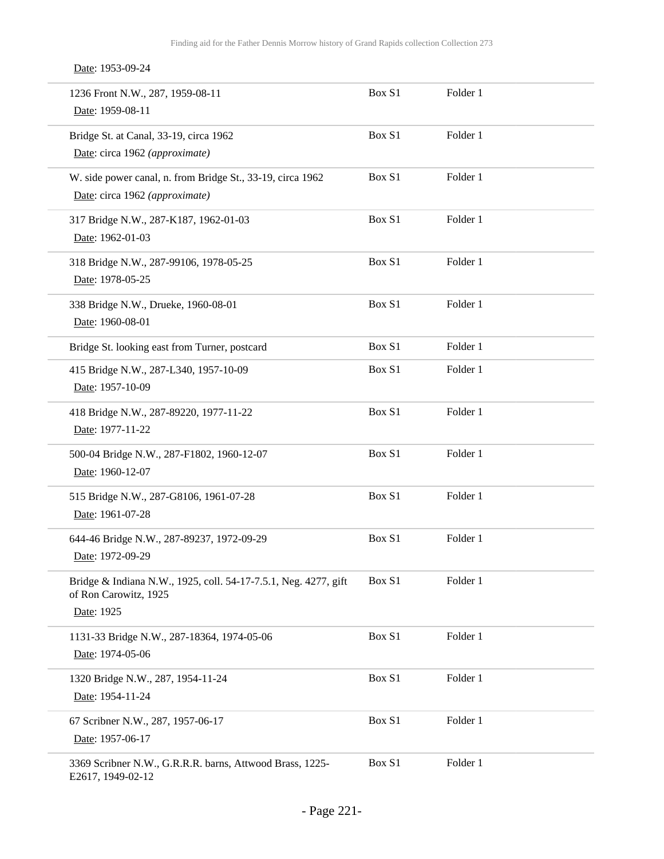Date: 1953-09-24

| 1236 Front N.W., 287, 1959-08-11<br>Date: 1959-08-11                                                   | Box S1 | Folder 1 |
|--------------------------------------------------------------------------------------------------------|--------|----------|
| Bridge St. at Canal, 33-19, circa 1962<br>Date: circa 1962 (approximate)                               | Box S1 | Folder 1 |
| W. side power canal, n. from Bridge St., 33-19, circa 1962<br>Date: circa 1962 (approximate)           | Box S1 | Folder 1 |
| 317 Bridge N.W., 287-K187, 1962-01-03<br>Date: 1962-01-03                                              | Box S1 | Folder 1 |
| 318 Bridge N.W., 287-99106, 1978-05-25<br>Date: 1978-05-25                                             | Box S1 | Folder 1 |
| 338 Bridge N.W., Drueke, 1960-08-01<br>Date: 1960-08-01                                                | Box S1 | Folder 1 |
| Bridge St. looking east from Turner, postcard                                                          | Box S1 | Folder 1 |
| 415 Bridge N.W., 287-L340, 1957-10-09<br>Date: 1957-10-09                                              | Box S1 | Folder 1 |
| 418 Bridge N.W., 287-89220, 1977-11-22<br>Date: 1977-11-22                                             | Box S1 | Folder 1 |
| 500-04 Bridge N.W., 287-F1802, 1960-12-07<br>Date: 1960-12-07                                          | Box S1 | Folder 1 |
| 515 Bridge N.W., 287-G8106, 1961-07-28<br>Date: 1961-07-28                                             | Box S1 | Folder 1 |
| 644-46 Bridge N.W., 287-89237, 1972-09-29<br>Date: 1972-09-29                                          | Box S1 | Folder 1 |
| Bridge & Indiana N.W., 1925, coll. 54-17-7.5.1, Neg. 4277, gift<br>of Ron Carowitz, 1925<br>Date: 1925 | Box S1 | Folder 1 |
| 1131-33 Bridge N.W., 287-18364, 1974-05-06<br>Date: 1974-05-06                                         | Box S1 | Folder 1 |
| 1320 Bridge N.W., 287, 1954-11-24<br>Date: 1954-11-24                                                  | Box S1 | Folder 1 |
| 67 Scribner N.W., 287, 1957-06-17<br>Date: 1957-06-17                                                  | Box S1 | Folder 1 |
| 3369 Scribner N.W., G.R.R.R. barns, Attwood Brass, 1225-<br>E2617, 1949-02-12                          | Box S1 | Folder 1 |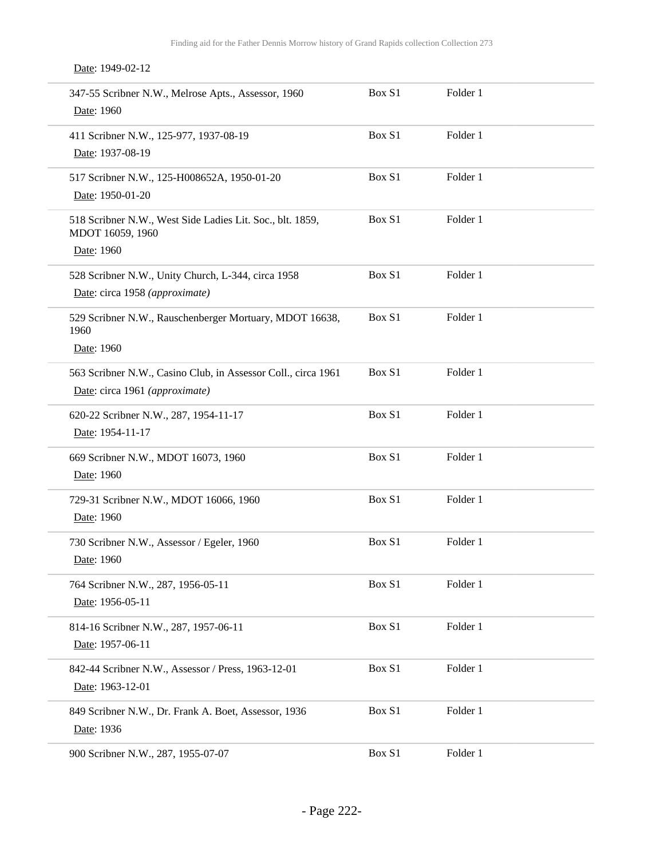Date: 1949-02-12

| 347-55 Scribner N.W., Melrose Apts., Assessor, 1960<br>Date: 1960             | Box S1 | Folder 1 |  |
|-------------------------------------------------------------------------------|--------|----------|--|
| 411 Scribner N.W., 125-977, 1937-08-19<br>Date: 1937-08-19                    | Box S1 | Folder 1 |  |
| 517 Scribner N.W., 125-H008652A, 1950-01-20<br>Date: 1950-01-20               | Box S1 | Folder 1 |  |
| 518 Scribner N.W., West Side Ladies Lit. Soc., blt. 1859,<br>MDOT 16059, 1960 | Box S1 | Folder 1 |  |
| Date: 1960                                                                    |        |          |  |
| 528 Scribner N.W., Unity Church, L-344, circa 1958                            | Box S1 | Folder 1 |  |
| Date: circa 1958 (approximate)                                                |        |          |  |
| 529 Scribner N.W., Rauschenberger Mortuary, MDOT 16638,<br>1960               | Box S1 | Folder 1 |  |
| Date: 1960                                                                    |        |          |  |
| 563 Scribner N.W., Casino Club, in Assessor Coll., circa 1961                 | Box S1 | Folder 1 |  |
| Date: circa 1961 (approximate)                                                |        |          |  |
| 620-22 Scribner N.W., 287, 1954-11-17                                         | Box S1 | Folder 1 |  |
| Date: 1954-11-17                                                              |        |          |  |
| 669 Scribner N.W., MDOT 16073, 1960                                           | Box S1 | Folder 1 |  |
| Date: 1960                                                                    |        |          |  |
| 729-31 Scribner N.W., MDOT 16066, 1960                                        | Box S1 | Folder 1 |  |
| Date: 1960                                                                    |        |          |  |
| 730 Scribner N.W., Assessor / Egeler, 1960                                    | Box S1 | Folder 1 |  |
| Date: 1960                                                                    |        |          |  |
| 764 Scribner N.W., 287, 1956-05-11                                            | Box S1 | Folder 1 |  |
| Date: 1956-05-11                                                              |        |          |  |
| 814-16 Scribner N.W., 287, 1957-06-11                                         | Box S1 | Folder 1 |  |
| Date: 1957-06-11                                                              |        |          |  |
| 842-44 Scribner N.W., Assessor / Press, 1963-12-01                            | Box S1 | Folder 1 |  |
| Date: 1963-12-01                                                              |        |          |  |
| 849 Scribner N.W., Dr. Frank A. Boet, Assessor, 1936                          | Box S1 | Folder 1 |  |
| Date: 1936                                                                    |        |          |  |
| 900 Scribner N.W., 287, 1955-07-07                                            | Box S1 | Folder 1 |  |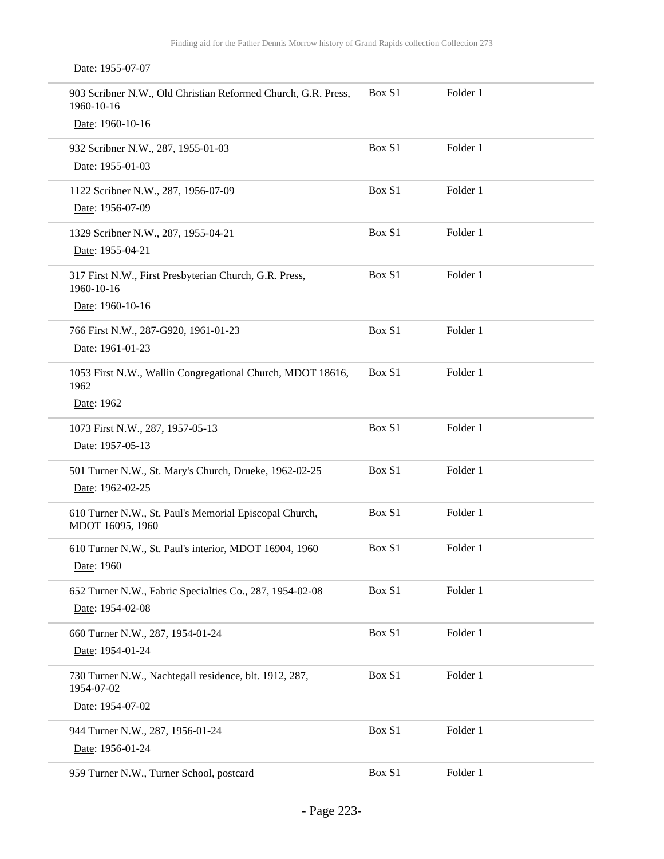Date: 1955-07-07

| 903 Scribner N.W., Old Christian Reformed Church, G.R. Press,<br>1960-10-16 | Box S1 | Folder 1 |
|-----------------------------------------------------------------------------|--------|----------|
| Date: 1960-10-16                                                            |        |          |
| 932 Scribner N.W., 287, 1955-01-03                                          | Box S1 | Folder 1 |
| Date: 1955-01-03                                                            |        |          |
| 1122 Scribner N.W., 287, 1956-07-09                                         | Box S1 | Folder 1 |
| Date: 1956-07-09                                                            |        |          |
| 1329 Scribner N.W., 287, 1955-04-21                                         | Box S1 | Folder 1 |
| Date: 1955-04-21                                                            |        |          |
| 317 First N.W., First Presbyterian Church, G.R. Press,<br>1960-10-16        | Box S1 | Folder 1 |
| Date: 1960-10-16                                                            |        |          |
| 766 First N.W., 287-G920, 1961-01-23                                        | Box S1 | Folder 1 |
| Date: 1961-01-23                                                            |        |          |
| 1053 First N.W., Wallin Congregational Church, MDOT 18616,<br>1962          | Box S1 | Folder 1 |
| Date: 1962                                                                  |        |          |
| 1073 First N.W., 287, 1957-05-13                                            | Box S1 | Folder 1 |
| Date: 1957-05-13                                                            |        |          |
| 501 Turner N.W., St. Mary's Church, Drueke, 1962-02-25                      | Box S1 | Folder 1 |
| Date: 1962-02-25                                                            |        |          |
| 610 Turner N.W., St. Paul's Memorial Episcopal Church,<br>MDOT 16095, 1960  | Box S1 | Folder 1 |
| 610 Turner N.W., St. Paul's interior, MDOT 16904, 1960                      | Box S1 | Folder 1 |
| Date: 1960                                                                  |        |          |
| 652 Turner N.W., Fabric Specialties Co., 287, 1954-02-08                    | Box S1 | Folder 1 |
| Date: 1954-02-08                                                            |        |          |
| 660 Turner N.W., 287, 1954-01-24                                            | Box S1 | Folder 1 |
| Date: 1954-01-24                                                            |        |          |
| 730 Turner N.W., Nachtegall residence, blt. 1912, 287,<br>1954-07-02        | Box S1 | Folder 1 |
| Date: 1954-07-02                                                            |        |          |
| 944 Turner N.W., 287, 1956-01-24                                            | Box S1 | Folder 1 |
| Date: 1956-01-24                                                            |        |          |
| 959 Turner N.W., Turner School, postcard                                    | Box S1 | Folder 1 |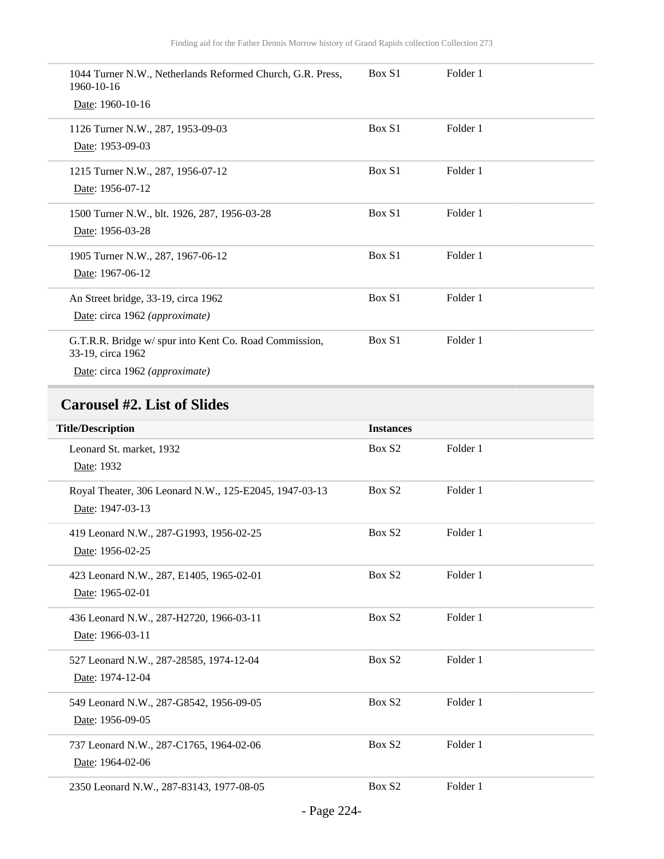| 1044 Turner N.W., Netherlands Reformed Church, G.R. Press,<br>1960-10-16<br>Date: 1960-10-16                 | Box S1 | Folder 1 |
|--------------------------------------------------------------------------------------------------------------|--------|----------|
| 1126 Turner N.W., 287, 1953-09-03<br>Date: 1953-09-03                                                        | Box S1 | Folder 1 |
| 1215 Turner N.W., 287, 1956-07-12<br>Date: 1956-07-12                                                        | Box S1 | Folder 1 |
| 1500 Turner N.W., blt. 1926, 287, 1956-03-28<br>Date: 1956-03-28                                             | Box S1 | Folder 1 |
| 1905 Turner N.W., 287, 1967-06-12<br>Date: 1967-06-12                                                        | Box S1 | Folder 1 |
| An Street bridge, 33-19, circa 1962<br>Date: circa 1962 (approximate)                                        | Box S1 | Folder 1 |
| G.T.R.R. Bridge w/spur into Kent Co. Road Commission,<br>33-19, circa 1962<br>Date: circa 1962 (approximate) | Box S1 | Folder 1 |

# **Carousel #2. List of Slides**

| <b>Title/Description</b>                               | <b>Instances</b>   |          |
|--------------------------------------------------------|--------------------|----------|
| Leonard St. market, 1932                               | Box S <sub>2</sub> | Folder 1 |
| Date: 1932                                             |                    |          |
| Royal Theater, 306 Leonard N.W., 125-E2045, 1947-03-13 | Box S <sub>2</sub> | Folder 1 |
| Date: 1947-03-13                                       |                    |          |
| 419 Leonard N.W., 287-G1993, 1956-02-25                | Box S <sub>2</sub> | Folder 1 |
| Date: 1956-02-25                                       |                    |          |
| 423 Leonard N.W., 287, E1405, 1965-02-01               | Box S <sub>2</sub> | Folder 1 |
| Date: 1965-02-01                                       |                    |          |
| 436 Leonard N.W., 287-H2720, 1966-03-11                | Box S <sub>2</sub> | Folder 1 |
| Date: 1966-03-11                                       |                    |          |
| 527 Leonard N.W., 287-28585, 1974-12-04                | Box S <sub>2</sub> | Folder 1 |
| Date: 1974-12-04                                       |                    |          |
| 549 Leonard N.W., 287-G8542, 1956-09-05                | Box S <sub>2</sub> | Folder 1 |
| Date: 1956-09-05                                       |                    |          |
| 737 Leonard N.W., 287-C1765, 1964-02-06                | Box S <sub>2</sub> | Folder 1 |
| Date: 1964-02-06                                       |                    |          |
| 2350 Leonard N.W., 287-83143, 1977-08-05               | Box S <sub>2</sub> | Folder 1 |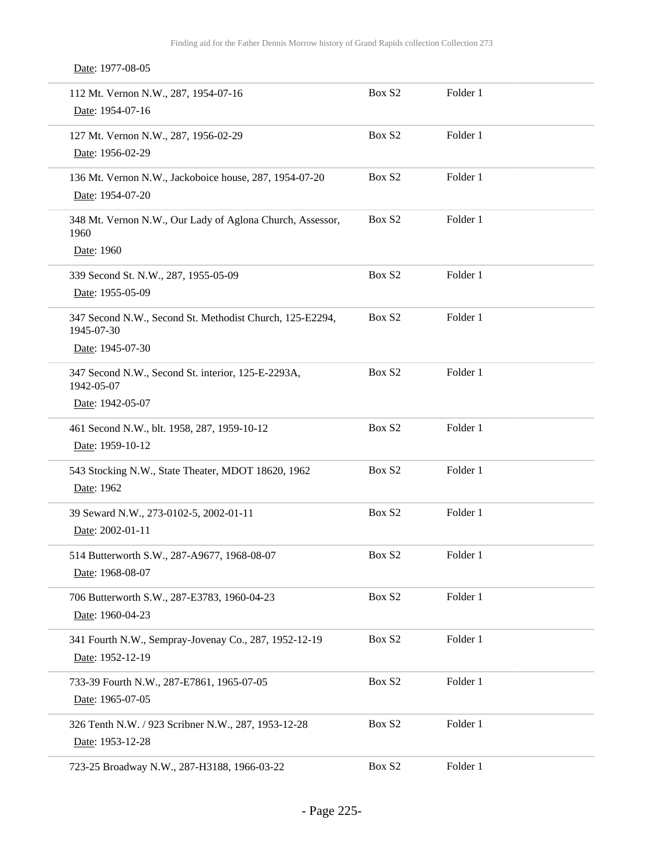Date: 1977-08-05

| 112 Mt. Vernon N.W., 287, 1954-07-16<br>Date: 1954-07-16                                   | Box S <sub>2</sub> | Folder 1 |
|--------------------------------------------------------------------------------------------|--------------------|----------|
| 127 Mt. Vernon N.W., 287, 1956-02-29<br>Date: 1956-02-29                                   | Box S <sub>2</sub> | Folder 1 |
| 136 Mt. Vernon N.W., Jackoboice house, 287, 1954-07-20<br>Date: 1954-07-20                 | Box S <sub>2</sub> | Folder 1 |
| 348 Mt. Vernon N.W., Our Lady of Aglona Church, Assessor,<br>1960<br>Date: 1960            | Box S <sub>2</sub> | Folder 1 |
| 339 Second St. N.W., 287, 1955-05-09<br>Date: 1955-05-09                                   | Box S <sub>2</sub> | Folder 1 |
| 347 Second N.W., Second St. Methodist Church, 125-E2294,<br>1945-07-30<br>Date: 1945-07-30 | Box S <sub>2</sub> | Folder 1 |
| 347 Second N.W., Second St. interior, 125-E-2293A,<br>1942-05-07<br>Date: 1942-05-07       | Box S <sub>2</sub> | Folder 1 |
| 461 Second N.W., blt. 1958, 287, 1959-10-12<br>Date: 1959-10-12                            | Box S <sub>2</sub> | Folder 1 |
| 543 Stocking N.W., State Theater, MDOT 18620, 1962<br>Date: 1962                           | Box S <sub>2</sub> | Folder 1 |
| 39 Seward N.W., 273-0102-5, 2002-01-11<br>Date: 2002-01-11                                 | Box S2             | Folder 1 |
| 514 Butterworth S.W., 287-A9677, 1968-08-07<br>Date: 1968-08-07                            | Box S <sub>2</sub> | Folder 1 |
| 706 Butterworth S.W., 287-E3783, 1960-04-23<br>Date: 1960-04-23                            | Box S <sub>2</sub> | Folder 1 |
| 341 Fourth N.W., Sempray-Jovenay Co., 287, 1952-12-19<br>Date: 1952-12-19                  | Box S <sub>2</sub> | Folder 1 |
| 733-39 Fourth N.W., 287-E7861, 1965-07-05<br>Date: 1965-07-05                              | Box S <sub>2</sub> | Folder 1 |
| 326 Tenth N.W. / 923 Scribner N.W., 287, 1953-12-28<br>Date: 1953-12-28                    | Box S <sub>2</sub> | Folder 1 |
| 723-25 Broadway N.W., 287-H3188, 1966-03-22                                                | Box S <sub>2</sub> | Folder 1 |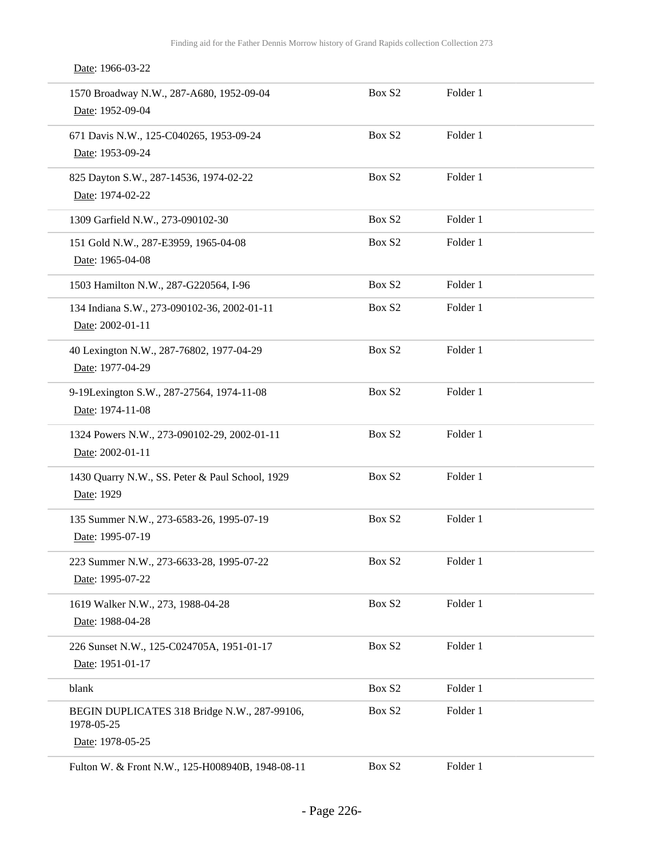Date: 1966-03-22

| 1570 Broadway N.W., 287-A680, 1952-09-04<br>Date: 1952-09-04    | Box S <sub>2</sub> | Folder 1 |  |
|-----------------------------------------------------------------|--------------------|----------|--|
| 671 Davis N.W., 125-C040265, 1953-09-24<br>Date: 1953-09-24     | Box S <sub>2</sub> | Folder 1 |  |
| 825 Dayton S.W., 287-14536, 1974-02-22<br>Date: 1974-02-22      | Box S <sub>2</sub> | Folder 1 |  |
| 1309 Garfield N.W., 273-090102-30                               | Box S2             | Folder 1 |  |
| 151 Gold N.W., 287-E3959, 1965-04-08<br>Date: 1965-04-08        | Box S <sub>2</sub> | Folder 1 |  |
| 1503 Hamilton N.W., 287-G220564, I-96                           | Box S2             | Folder 1 |  |
| 134 Indiana S.W., 273-090102-36, 2002-01-11<br>Date: 2002-01-11 | Box S2             | Folder 1 |  |
| 40 Lexington N.W., 287-76802, 1977-04-29<br>Date: 1977-04-29    | Box S <sub>2</sub> | Folder 1 |  |
| 9-19Lexington S.W., 287-27564, 1974-11-08<br>Date: 1974-11-08   | Box S <sub>2</sub> | Folder 1 |  |
| 1324 Powers N.W., 273-090102-29, 2002-01-11<br>Date: 2002-01-11 | Box S2             | Folder 1 |  |
| 1430 Quarry N.W., SS. Peter & Paul School, 1929<br>Date: 1929   | Box S2             | Folder 1 |  |
| 135 Summer N.W., 273-6583-26, 1995-07-19<br>Date: 1995-07-19    | Box S2             | Folder 1 |  |
| 223 Summer N.W., 273-6633-28, 1995-07-22<br>Date: 1995-07-22    | Box S <sub>2</sub> | Folder 1 |  |
| 1619 Walker N.W., 273, 1988-04-28<br>Date: 1988-04-28           | Box S2             | Folder 1 |  |
| 226 Sunset N.W., 125-C024705A, 1951-01-17<br>Date: 1951-01-17   | Box S2             | Folder 1 |  |
| blank                                                           | Box S2             | Folder 1 |  |
| BEGIN DUPLICATES 318 Bridge N.W., 287-99106,<br>1978-05-25      | Box S <sub>2</sub> | Folder 1 |  |
| Date: 1978-05-25                                                |                    |          |  |
| Fulton W. & Front N.W., 125-H008940B, 1948-08-11                | Box S2             | Folder 1 |  |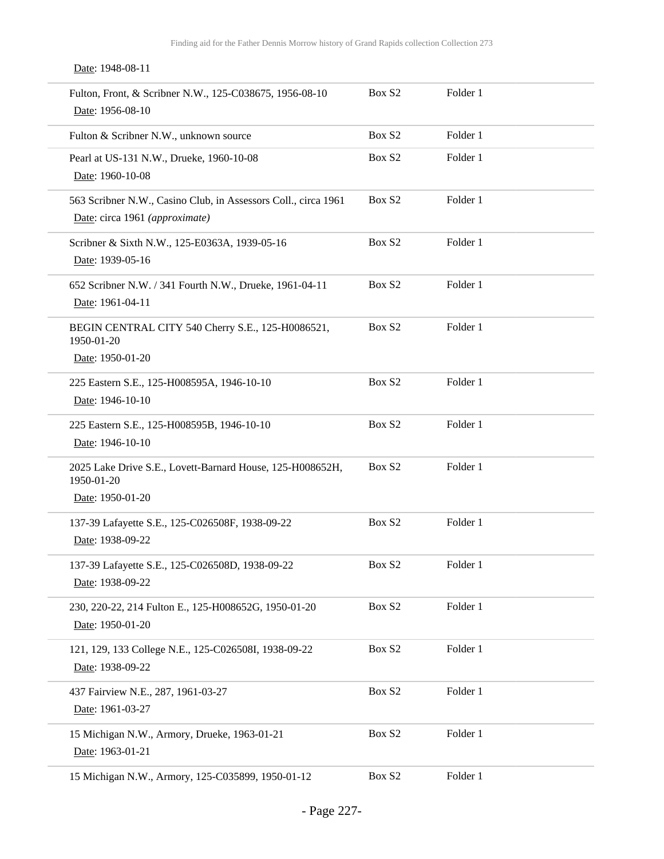| Date: 1948-08-11                                                                                 |                    |          |
|--------------------------------------------------------------------------------------------------|--------------------|----------|
| Fulton, Front, & Scribner N.W., 125-C038675, 1956-08-10<br>Date: 1956-08-10                      | Box S <sub>2</sub> | Folder 1 |
| Fulton & Scribner N.W., unknown source                                                           | Box S <sub>2</sub> | Folder 1 |
| Pearl at US-131 N.W., Drueke, 1960-10-08<br>Date: 1960-10-08                                     | Box S <sub>2</sub> | Folder 1 |
| 563 Scribner N.W., Casino Club, in Assessors Coll., circa 1961<br>Date: circa 1961 (approximate) | Box S2             | Folder 1 |
| Scribner & Sixth N.W., 125-E0363A, 1939-05-16<br>Date: 1939-05-16                                | Box S2             | Folder 1 |
| 652 Scribner N.W. / 341 Fourth N.W., Drueke, 1961-04-11<br>Date: 1961-04-11                      | Box S <sub>2</sub> | Folder 1 |
| BEGIN CENTRAL CITY 540 Cherry S.E., 125-H0086521,<br>1950-01-20                                  | Box S <sub>2</sub> | Folder 1 |
| Date: 1950-01-20                                                                                 |                    |          |
| 225 Eastern S.E., 125-H008595A, 1946-10-10<br>Date: 1946-10-10                                   | Box S <sub>2</sub> | Folder 1 |
| 225 Eastern S.E., 125-H008595B, 1946-10-10<br>Date: 1946-10-10                                   | Box S2             | Folder 1 |
| 2025 Lake Drive S.E., Lovett-Barnard House, 125-H008652H,<br>1950-01-20                          | Box S <sub>2</sub> | Folder 1 |
| Date: 1950-01-20                                                                                 |                    |          |
| 137-39 Lafayette S.E., 125-C026508F, 1938-09-22<br>Date: 1938-09-22                              | Box S <sub>2</sub> | Folder 1 |
| 137-39 Lafayette S.E., 125-C026508D, 1938-09-22<br>Date: 1938-09-22                              | Box S2             | Folder 1 |
| 230, 220-22, 214 Fulton E., 125-H008652G, 1950-01-20<br>Date: 1950-01-20                         | Box S2             | Folder 1 |
| 121, 129, 133 College N.E., 125-C026508I, 1938-09-22<br>Date: 1938-09-22                         | Box S2             | Folder 1 |
| 437 Fairview N.E., 287, 1961-03-27<br>Date: 1961-03-27                                           | Box S2             | Folder 1 |
| 15 Michigan N.W., Armory, Drueke, 1963-01-21<br>Date: 1963-01-21                                 | Box S2             | Folder 1 |
| 15 Michigan N.W., Armory, 125-C035899, 1950-01-12                                                | Box S2             | Folder 1 |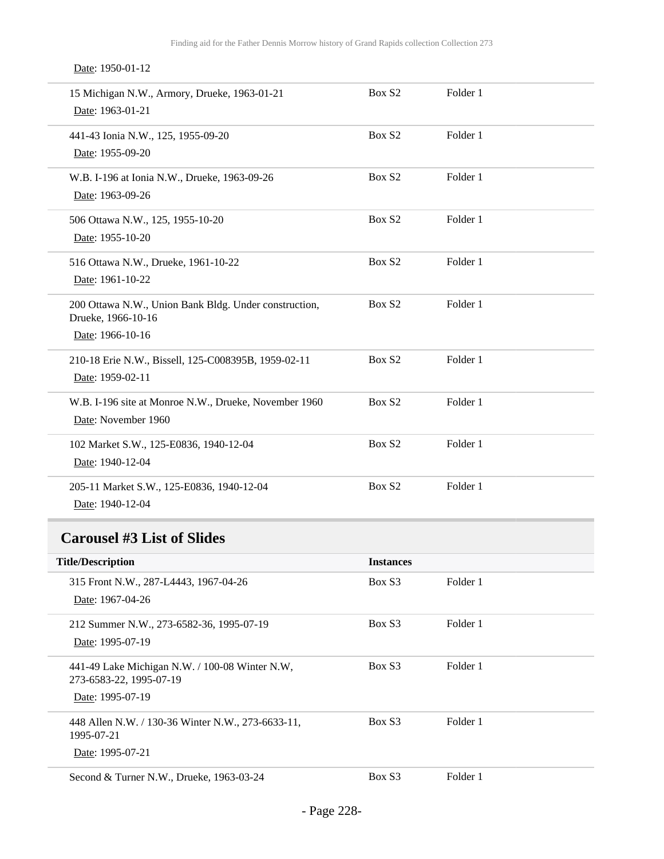Date: 1950-01-12

| 15 Michigan N.W., Armory, Drueke, 1963-01-21<br>Date: 1963-01-21                                | Box S2           | Folder 1 |  |
|-------------------------------------------------------------------------------------------------|------------------|----------|--|
| 441-43 Ionia N.W., 125, 1955-09-20<br>Date: 1955-09-20                                          | Box S2           | Folder 1 |  |
| W.B. I-196 at Ionia N.W., Drueke, 1963-09-26<br>Date: 1963-09-26                                | Box S2           | Folder 1 |  |
| 506 Ottawa N.W., 125, 1955-10-20<br>Date: 1955-10-20                                            | Box S2           | Folder 1 |  |
| 516 Ottawa N.W., Drueke, 1961-10-22<br>Date: 1961-10-22                                         | Box S2           | Folder 1 |  |
| 200 Ottawa N.W., Union Bank Bldg. Under construction,<br>Drueke, 1966-10-16<br>Date: 1966-10-16 | Box S2           | Folder 1 |  |
| 210-18 Erie N.W., Bissell, 125-C008395B, 1959-02-11<br>Date: 1959-02-11                         | Box S2           | Folder 1 |  |
| W.B. I-196 site at Monroe N.W., Drueke, November 1960<br>Date: November 1960                    | Box S2           | Folder 1 |  |
| 102 Market S.W., 125-E0836, 1940-12-04<br>Date: 1940-12-04                                      | Box S2           | Folder 1 |  |
| 205-11 Market S.W., 125-E0836, 1940-12-04<br>Date: 1940-12-04                                   | Box S2           | Folder 1 |  |
| <b>Carousel #3 List of Slides</b>                                                               |                  |          |  |
| <b>Title/Description</b>                                                                        | <b>Instances</b> |          |  |
| 315 Front N.W., 287-L4443, 1967-04-26<br>Date: 1967-04-26                                       | Box S3           | Folder 1 |  |
| 212 Summer N.W., 273-6582-36, 1995-07-19<br>Date: 1995-07-19                                    | Box S3           | Folder 1 |  |
| 441-49 Lake Michigan N.W. / 100-08 Winter N.W,<br>273-6583-22, 1995-07-19                       | Box S3           | Folder 1 |  |
| Date: 1995-07-19                                                                                |                  |          |  |
| 448 Allen N.W. / 130-36 Winter N.W., 273-6633-11,<br>1995-07-21                                 | Box S3           | Folder 1 |  |
| Date: 1995-07-21                                                                                |                  |          |  |
| Second & Turner N.W., Drueke, 1963-03-24                                                        | Box S3           | Folder 1 |  |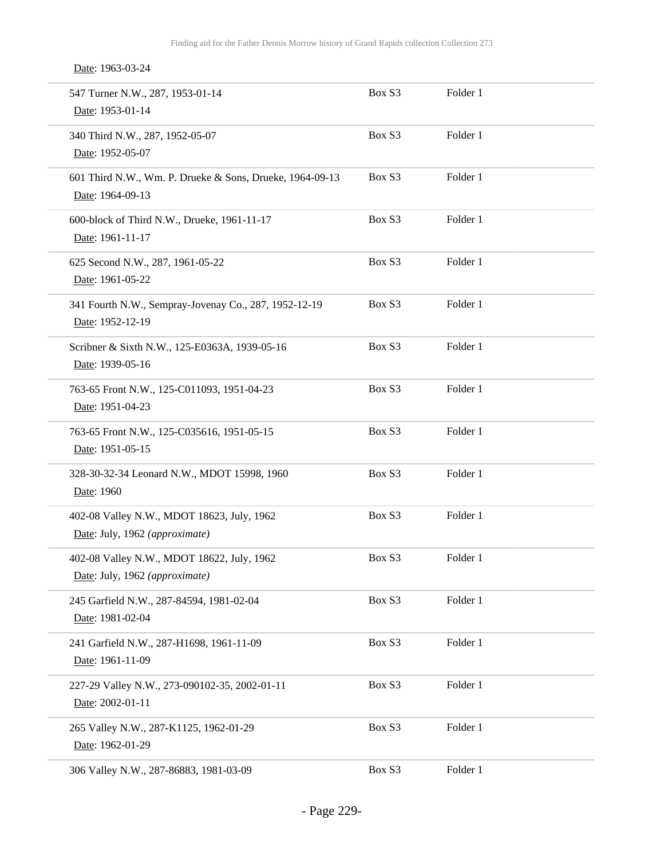Date: 1963-03-24

| 547 Turner N.W., 287, 1953-01-14<br>Date: 1953-01-14                         | Box S3 | Folder 1 |  |
|------------------------------------------------------------------------------|--------|----------|--|
| 340 Third N.W., 287, 1952-05-07<br>Date: 1952-05-07                          | Box S3 | Folder 1 |  |
| 601 Third N.W., Wm. P. Drueke & Sons, Drueke, 1964-09-13<br>Date: 1964-09-13 | Box S3 | Folder 1 |  |
| 600-block of Third N.W., Drueke, 1961-11-17<br>Date: 1961-11-17              | Box S3 | Folder 1 |  |
| 625 Second N.W., 287, 1961-05-22<br>Date: 1961-05-22                         | Box S3 | Folder 1 |  |
| 341 Fourth N.W., Sempray-Jovenay Co., 287, 1952-12-19<br>Date: 1952-12-19    | Box S3 | Folder 1 |  |
| Scribner & Sixth N.W., 125-E0363A, 1939-05-16<br>Date: 1939-05-16            | Box S3 | Folder 1 |  |
| 763-65 Front N.W., 125-C011093, 1951-04-23<br>Date: 1951-04-23               | Box S3 | Folder 1 |  |
| 763-65 Front N.W., 125-C035616, 1951-05-15<br>Date: 1951-05-15               | Box S3 | Folder 1 |  |
| 328-30-32-34 Leonard N.W., MDOT 15998, 1960<br>Date: 1960                    | Box S3 | Folder 1 |  |
| 402-08 Valley N.W., MDOT 18623, July, 1962<br>Date: July, 1962 (approximate) | Box S3 | Folder 1 |  |
| 402-08 Valley N.W., MDOT 18622, July, 1962<br>Date: July, 1962 (approximate) | Box S3 | Folder 1 |  |
| 245 Garfield N.W., 287-84594, 1981-02-04<br>Date: 1981-02-04                 | Box S3 | Folder 1 |  |
| 241 Garfield N.W., 287-H1698, 1961-11-09<br>Date: 1961-11-09                 | Box S3 | Folder 1 |  |
| 227-29 Valley N.W., 273-090102-35, 2002-01-11<br>Date: 2002-01-11            | Box S3 | Folder 1 |  |
| 265 Valley N.W., 287-K1125, 1962-01-29<br>Date: 1962-01-29                   | Box S3 | Folder 1 |  |
| 306 Valley N.W., 287-86883, 1981-03-09                                       | Box S3 | Folder 1 |  |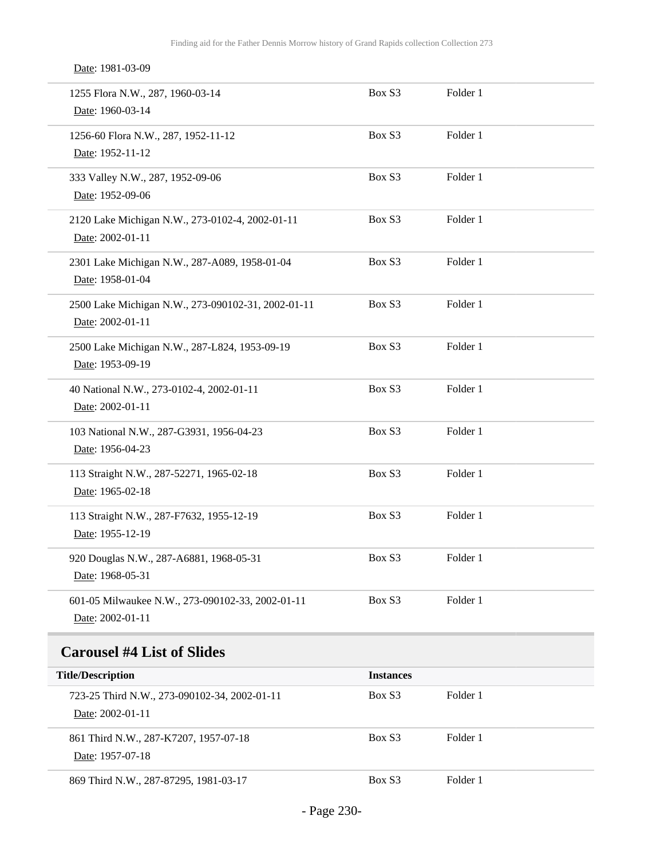Date: 1981-03-09

| 1255 Flora N.W., 287, 1960-03-14<br>Date: 1960-03-14                   | Box S3 | Folder 1 |  |
|------------------------------------------------------------------------|--------|----------|--|
| 1256-60 Flora N.W., 287, 1952-11-12<br>Date: 1952-11-12                | Box S3 | Folder 1 |  |
| 333 Valley N.W., 287, 1952-09-06<br>Date: 1952-09-06                   | Box S3 | Folder 1 |  |
| 2120 Lake Michigan N.W., 273-0102-4, 2002-01-11<br>Date: 2002-01-11    | Box S3 | Folder 1 |  |
| 2301 Lake Michigan N.W., 287-A089, 1958-01-04<br>Date: 1958-01-04      | Box S3 | Folder 1 |  |
| 2500 Lake Michigan N.W., 273-090102-31, 2002-01-11<br>Date: 2002-01-11 | Box S3 | Folder 1 |  |
| 2500 Lake Michigan N.W., 287-L824, 1953-09-19<br>Date: 1953-09-19      | Box S3 | Folder 1 |  |
| 40 National N.W., 273-0102-4, 2002-01-11<br>Date: 2002-01-11           | Box S3 | Folder 1 |  |
| 103 National N.W., 287-G3931, 1956-04-23<br>Date: 1956-04-23           | Box S3 | Folder 1 |  |
| 113 Straight N.W., 287-52271, 1965-02-18<br>Date: 1965-02-18           | Box S3 | Folder 1 |  |
| 113 Straight N.W., 287-F7632, 1955-12-19<br>Date: 1955-12-19           | Box S3 | Folder 1 |  |
| 920 Douglas N.W., 287-A6881, 1968-05-31<br>Date: 1968-05-31            | Box S3 | Folder 1 |  |
| 601-05 Milwaukee N.W., 273-090102-33, 2002-01-11<br>Date: 2002-01-11   | Box S3 | Folder 1 |  |

| <b>Title/Description</b>                                         | <b>Instances</b> |          |  |
|------------------------------------------------------------------|------------------|----------|--|
| 723-25 Third N.W., 273-090102-34, 2002-01-11<br>Date: 2002-01-11 | Box S3           | Folder 1 |  |
| 861 Third N.W., 287-K7207, 1957-07-18<br>Date: 1957-07-18        | Box S3           | Folder 1 |  |
| 869 Third N.W., 287-87295, 1981-03-17                            | Box S3           | Folder 1 |  |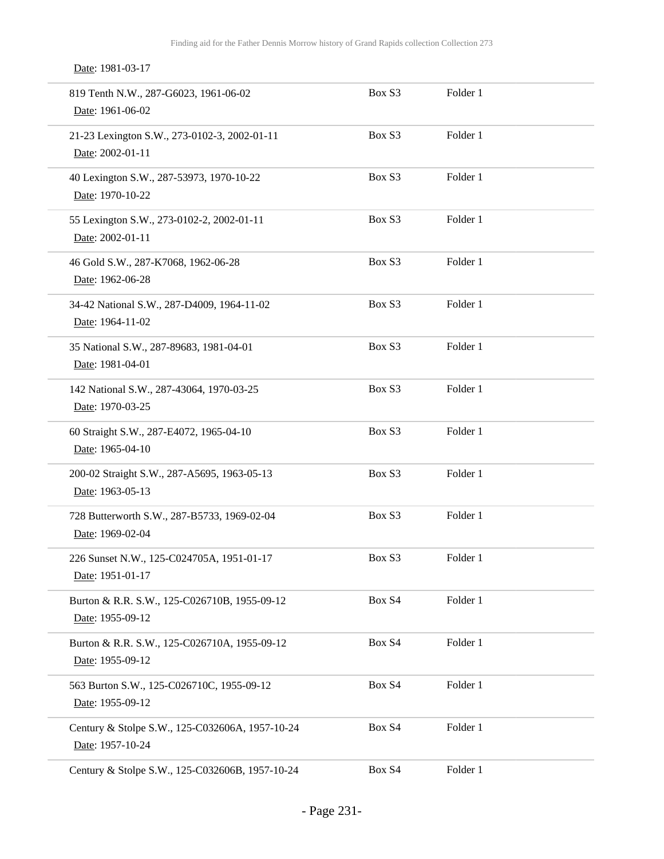Date: 1981-03-17

| 819 Tenth N.W., 287-G6023, 1961-06-02<br>Date: 1961-06-02           | Box S3 | Folder 1 |  |
|---------------------------------------------------------------------|--------|----------|--|
| 21-23 Lexington S.W., 273-0102-3, 2002-01-11<br>Date: 2002-01-11    | Box S3 | Folder 1 |  |
| 40 Lexington S.W., 287-53973, 1970-10-22<br>Date: 1970-10-22        | Box S3 | Folder 1 |  |
| 55 Lexington S.W., 273-0102-2, 2002-01-11<br>Date: 2002-01-11       | Box S3 | Folder 1 |  |
| 46 Gold S.W., 287-K7068, 1962-06-28<br>Date: 1962-06-28             | Box S3 | Folder 1 |  |
| 34-42 National S.W., 287-D4009, 1964-11-02<br>Date: 1964-11-02      | Box S3 | Folder 1 |  |
| 35 National S.W., 287-89683, 1981-04-01<br>Date: 1981-04-01         | Box S3 | Folder 1 |  |
| 142 National S.W., 287-43064, 1970-03-25<br>Date: 1970-03-25        | Box S3 | Folder 1 |  |
| 60 Straight S.W., 287-E4072, 1965-04-10<br>Date: 1965-04-10         | Box S3 | Folder 1 |  |
| 200-02 Straight S.W., 287-A5695, 1963-05-13<br>Date: 1963-05-13     | Box S3 | Folder 1 |  |
| 728 Butterworth S.W., 287-B5733, 1969-02-04<br>Date: 1969-02-04     | Box S3 | Folder 1 |  |
| 226 Sunset N.W., 125-C024705A, 1951-01-17<br>Date: 1951-01-17       | Box S3 | Folder 1 |  |
| Burton & R.R. S.W., 125-C026710B, 1955-09-12<br>Date: 1955-09-12    | Box S4 | Folder 1 |  |
| Burton & R.R. S.W., 125-C026710A, 1955-09-12<br>Date: 1955-09-12    | Box S4 | Folder 1 |  |
| 563 Burton S.W., 125-C026710C, 1955-09-12<br>Date: 1955-09-12       | Box S4 | Folder 1 |  |
| Century & Stolpe S.W., 125-C032606A, 1957-10-24<br>Date: 1957-10-24 | Box S4 | Folder 1 |  |
| Century & Stolpe S.W., 125-C032606B, 1957-10-24                     | Box S4 | Folder 1 |  |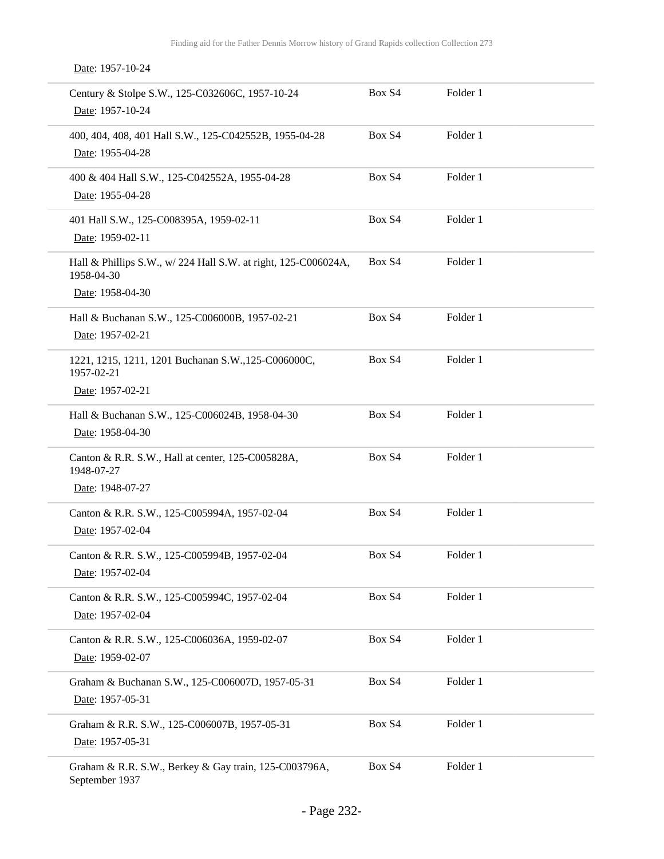Date: 1957-10-24

| Century & Stolpe S.W., 125-C032606C, 1957-10-24<br>Date: 1957-10-24                              | Box S4 | Folder 1 |
|--------------------------------------------------------------------------------------------------|--------|----------|
| 400, 404, 408, 401 Hall S.W., 125-C042552B, 1955-04-28<br>Date: 1955-04-28                       | Box S4 | Folder 1 |
| 400 & 404 Hall S.W., 125-C042552A, 1955-04-28<br>Date: 1955-04-28                                | Box S4 | Folder 1 |
| 401 Hall S.W., 125-C008395A, 1959-02-11<br>Date: 1959-02-11                                      | Box S4 | Folder 1 |
| Hall & Phillips S.W., w/ 224 Hall S.W. at right, 125-C006024A,<br>1958-04-30<br>Date: 1958-04-30 | Box S4 | Folder 1 |
| Hall & Buchanan S.W., 125-C006000B, 1957-02-21<br>Date: 1957-02-21                               | Box S4 | Folder 1 |
| 1221, 1215, 1211, 1201 Buchanan S.W., 125-C006000C,<br>1957-02-21<br>Date: 1957-02-21            | Box S4 | Folder 1 |
| Hall & Buchanan S.W., 125-C006024B, 1958-04-30<br>Date: 1958-04-30                               | Box S4 | Folder 1 |
| Canton & R.R. S.W., Hall at center, 125-C005828A,<br>1948-07-27<br>Date: 1948-07-27              | Box S4 | Folder 1 |
| Canton & R.R. S.W., 125-C005994A, 1957-02-04<br>Date: 1957-02-04                                 | Box S4 | Folder 1 |
| Canton & R.R. S.W., 125-C005994B, 1957-02-04<br>Date: 1957-02-04                                 | Box S4 | Folder 1 |
| Canton & R.R. S.W., 125-C005994C, 1957-02-04<br>Date: 1957-02-04                                 | Box S4 | Folder 1 |
| Canton & R.R. S.W., 125-C006036A, 1959-02-07<br>Date: 1959-02-07                                 | Box S4 | Folder 1 |
| Graham & Buchanan S.W., 125-C006007D, 1957-05-31<br>Date: 1957-05-31                             | Box S4 | Folder 1 |
| Graham & R.R. S.W., 125-C006007B, 1957-05-31<br>Date: 1957-05-31                                 | Box S4 | Folder 1 |
| Graham & R.R. S.W., Berkey & Gay train, 125-C003796A,<br>September 1937                          | Box S4 | Folder 1 |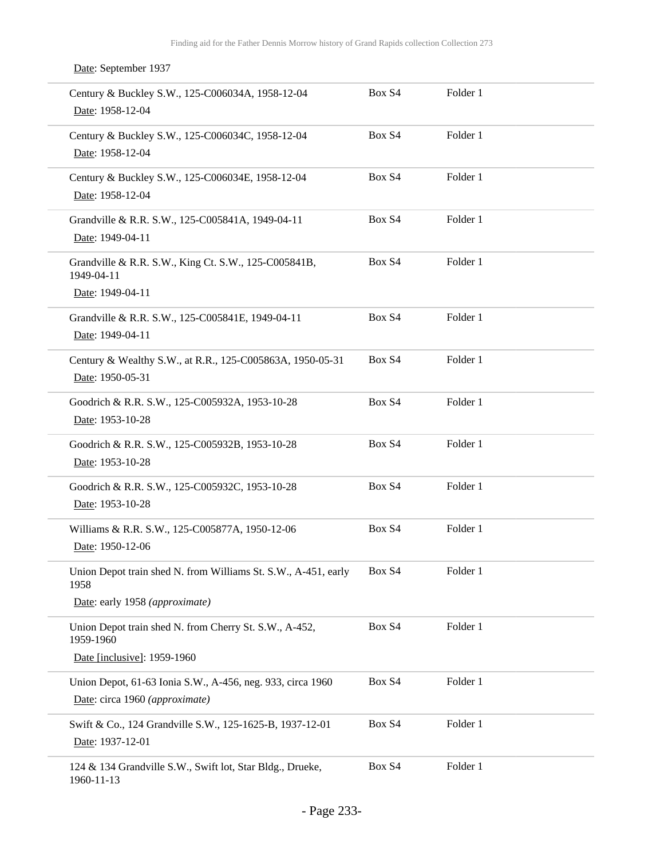| Date: September 1937                                                                                     |        |          |
|----------------------------------------------------------------------------------------------------------|--------|----------|
| Century & Buckley S.W., 125-C006034A, 1958-12-04<br>Date: 1958-12-04                                     | Box S4 | Folder 1 |
| Century & Buckley S.W., 125-C006034C, 1958-12-04<br>Date: 1958-12-04                                     | Box S4 | Folder 1 |
| Century & Buckley S.W., 125-C006034E, 1958-12-04<br>Date: 1958-12-04                                     | Box S4 | Folder 1 |
| Grandville & R.R. S.W., 125-C005841A, 1949-04-11<br>Date: 1949-04-11                                     | Box S4 | Folder 1 |
| Grandville & R.R. S.W., King Ct. S.W., 125-C005841B,<br>1949-04-11<br>Date: 1949-04-11                   | Box S4 | Folder 1 |
| Grandville & R.R. S.W., 125-C005841E, 1949-04-11<br>Date: 1949-04-11                                     | Box S4 | Folder 1 |
| Century & Wealthy S.W., at R.R., 125-C005863A, 1950-05-31<br>Date: 1950-05-31                            | Box S4 | Folder 1 |
| Goodrich & R.R. S.W., 125-C005932A, 1953-10-28<br>Date: 1953-10-28                                       | Box S4 | Folder 1 |
| Goodrich & R.R. S.W., 125-C005932B, 1953-10-28<br>Date: 1953-10-28                                       | Box S4 | Folder 1 |
| Goodrich & R.R. S.W., 125-C005932C, 1953-10-28<br>Date: 1953-10-28                                       | Box S4 | Folder 1 |
| Williams & R.R. S.W., 125-C005877A, 1950-12-06<br>Date: 1950-12-06                                       | Box S4 | Folder 1 |
| Union Depot train shed N. from Williams St. S.W., A-451, early<br>1958<br>Date: early 1958 (approximate) | Box S4 | Folder 1 |
| Union Depot train shed N. from Cherry St. S.W., A-452,<br>1959-1960                                      | Box S4 | Folder 1 |
| Date [inclusive]: 1959-1960                                                                              |        |          |
| Union Depot, 61-63 Ionia S.W., A-456, neg. 933, circa 1960<br>Date: circa 1960 (approximate)             | Box S4 | Folder 1 |
| Swift & Co., 124 Grandville S.W., 125-1625-B, 1937-12-01<br>Date: 1937-12-01                             | Box S4 | Folder 1 |
| 124 & 134 Grandville S.W., Swift lot, Star Bldg., Drueke,<br>1960-11-13                                  | Box S4 | Folder 1 |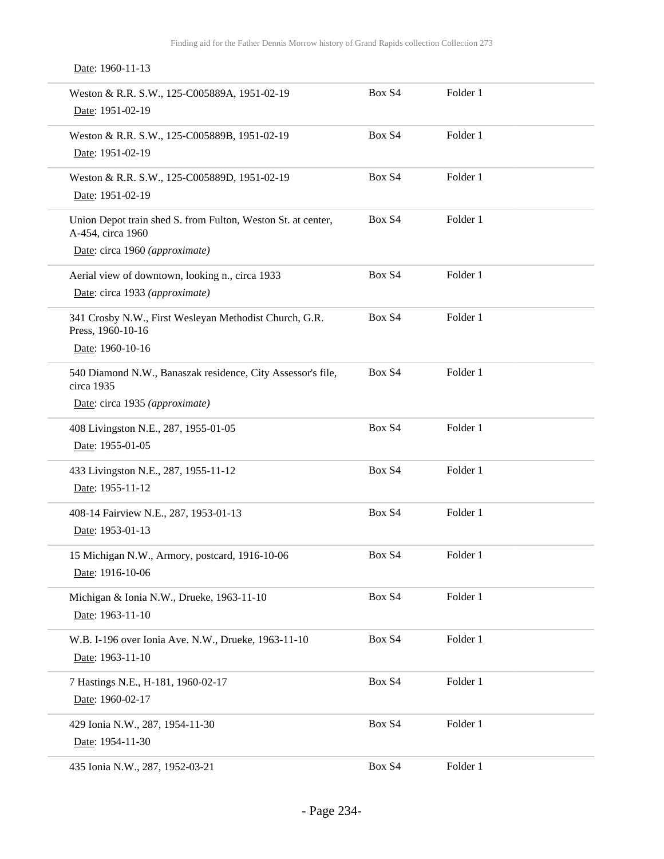Date: 1960-11-13

| Weston & R.R. S.W., 125-C005889A, 1951-02-19<br>Date: 1951-02-19                                                    | Box S4 | Folder 1 |
|---------------------------------------------------------------------------------------------------------------------|--------|----------|
| Weston & R.R. S.W., 125-C005889B, 1951-02-19<br>Date: 1951-02-19                                                    | Box S4 | Folder 1 |
| Weston & R.R. S.W., 125-C005889D, 1951-02-19<br>Date: 1951-02-19                                                    | Box S4 | Folder 1 |
| Union Depot train shed S. from Fulton, Weston St. at center,<br>A-454, circa 1960<br>Date: circa 1960 (approximate) | Box S4 | Folder 1 |
| Aerial view of downtown, looking n., circa 1933<br>Date: circa 1933 (approximate)                                   | Box S4 | Folder 1 |
| 341 Crosby N.W., First Wesleyan Methodist Church, G.R.<br>Press, 1960-10-16<br>Date: 1960-10-16                     | Box S4 | Folder 1 |
| 540 Diamond N.W., Banaszak residence, City Assessor's file,<br>circa 1935<br>Date: circa 1935 (approximate)         | Box S4 | Folder 1 |
| 408 Livingston N.E., 287, 1955-01-05<br>Date: 1955-01-05                                                            | Box S4 | Folder 1 |
| 433 Livingston N.E., 287, 1955-11-12<br>Date: 1955-11-12                                                            | Box S4 | Folder 1 |
| 408-14 Fairview N.E., 287, 1953-01-13<br>Date: 1953-01-13                                                           | Box S4 | Folder 1 |
| 15 Michigan N.W., Armory, postcard, 1916-10-06<br>Date: 1916-10-06                                                  | Box S4 | Folder 1 |
| Michigan & Ionia N.W., Drueke, 1963-11-10<br>Date: 1963-11-10                                                       | Box S4 | Folder 1 |
| W.B. I-196 over Ionia Ave. N.W., Drueke, 1963-11-10<br>Date: 1963-11-10                                             | Box S4 | Folder 1 |
| 7 Hastings N.E., H-181, 1960-02-17<br>Date: 1960-02-17                                                              | Box S4 | Folder 1 |
| 429 Ionia N.W., 287, 1954-11-30<br>Date: 1954-11-30                                                                 | Box S4 | Folder 1 |
| 435 Ionia N.W., 287, 1952-03-21                                                                                     | Box S4 | Folder 1 |